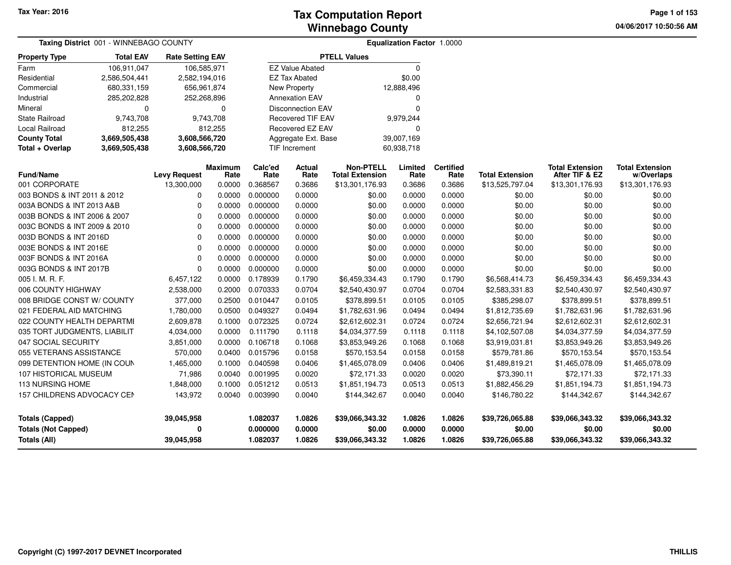**04/06/2017 10:50:56 AM Page 1 of 153**

|                              | Taxing District 001 - WINNEBAGO COUNTY |                         |                        |                 |                          |                                            | Equalization Factor 1.0000 |                          |                        |                                          |                                      |
|------------------------------|----------------------------------------|-------------------------|------------------------|-----------------|--------------------------|--------------------------------------------|----------------------------|--------------------------|------------------------|------------------------------------------|--------------------------------------|
| <b>Property Type</b>         | <b>Total EAV</b>                       | <b>Rate Setting EAV</b> |                        |                 |                          | <b>PTELL Values</b>                        |                            |                          |                        |                                          |                                      |
| Farm                         | 106,911,047                            | 106,585,971             |                        |                 | <b>EZ Value Abated</b>   |                                            | $\Omega$                   |                          |                        |                                          |                                      |
| Residential                  | 2,586,504,441                          | 2,582,194,016           |                        |                 | <b>EZ Tax Abated</b>     |                                            | \$0.00                     |                          |                        |                                          |                                      |
| Commercial                   | 680,331,159                            | 656,961,874             |                        |                 | New Property             |                                            | 12,888,496                 |                          |                        |                                          |                                      |
| Industrial                   | 285,202,828                            | 252,268,896             |                        |                 | <b>Annexation EAV</b>    |                                            | 0                          |                          |                        |                                          |                                      |
| Mineral                      | $\mathbf 0$                            |                         | 0                      |                 | <b>Disconnection EAV</b> |                                            | $\Omega$                   |                          |                        |                                          |                                      |
| <b>State Railroad</b>        | 9,743,708                              |                         | 9,743,708              |                 | <b>Recovered TIF EAV</b> |                                            | 9,979,244                  |                          |                        |                                          |                                      |
| Local Railroad               | 812,255                                |                         | 812,255                |                 | Recovered EZ EAV         |                                            | $\Omega$                   |                          |                        |                                          |                                      |
| <b>County Total</b>          | 3,669,505,438                          | 3,608,566,720           |                        |                 | Aggregate Ext. Base      |                                            | 39,007,169                 |                          |                        |                                          |                                      |
| Total + Overlap              | 3,669,505,438                          | 3,608,566,720           |                        |                 | <b>TIF Increment</b>     |                                            | 60,938,718                 |                          |                        |                                          |                                      |
| <b>Fund/Name</b>             |                                        | <b>Levy Request</b>     | <b>Maximum</b><br>Rate | Calc'ed<br>Rate | <b>Actual</b><br>Rate    | <b>Non-PTELL</b><br><b>Total Extension</b> | Limited<br>Rate            | <b>Certified</b><br>Rate | <b>Total Extension</b> | <b>Total Extension</b><br>After TIF & EZ | <b>Total Extension</b><br>w/Overlaps |
| 001 CORPORATE                |                                        | 13,300,000              | 0.0000                 | 0.368567        | 0.3686                   | \$13,301,176.93                            | 0.3686                     | 0.3686                   | \$13,525,797.04        | \$13,301,176.93                          | \$13,301,176.93                      |
| 003 BONDS & INT 2011 & 2012  |                                        | 0                       | 0.0000                 | 0.000000        | 0.0000                   | \$0.00                                     | 0.0000                     | 0.0000                   | \$0.00                 | \$0.00                                   | \$0.00                               |
| 003A BONDS & INT 2013 A&B    |                                        | $\Omega$                | 0.0000                 | 0.000000        | 0.0000                   | \$0.00                                     | 0.0000                     | 0.0000                   | \$0.00                 | \$0.00                                   | \$0.00                               |
| 003B BONDS & INT 2006 & 2007 |                                        | $\Omega$                | 0.0000                 | 0.000000        | 0.0000                   | \$0.00                                     | 0.0000                     | 0.0000                   | \$0.00                 | \$0.00                                   | \$0.00                               |
| 003C BONDS & INT 2009 & 2010 |                                        | 0                       | 0.0000                 | 0.000000        | 0.0000                   | \$0.00                                     | 0.0000                     | 0.0000                   | \$0.00                 | \$0.00                                   | \$0.00                               |
| 003D BONDS & INT 2016D       |                                        | $\mathbf 0$             | 0.0000                 | 0.000000        | 0.0000                   | \$0.00                                     | 0.0000                     | 0.0000                   | \$0.00                 | \$0.00                                   | \$0.00                               |
| 003E BONDS & INT 2016E       |                                        | 0                       | 0.0000                 | 0.000000        | 0.0000                   | \$0.00                                     | 0.0000                     | 0.0000                   | \$0.00                 | \$0.00                                   | \$0.00                               |
| 003F BONDS & INT 2016A       |                                        | 0                       | 0.0000                 | 0.000000        | 0.0000                   | \$0.00                                     | 0.0000                     | 0.0000                   | \$0.00                 | \$0.00                                   | \$0.00                               |
| 003G BONDS & INT 2017B       |                                        | $\Omega$                | 0.0000                 | 0.000000        | 0.0000                   | \$0.00                                     | 0.0000                     | 0.0000                   | \$0.00                 | \$0.00                                   | \$0.00                               |
| 005 I. M. R. F.              |                                        | 6,457,122               | 0.0000                 | 0.178939        | 0.1790                   | \$6,459,334.43                             | 0.1790                     | 0.1790                   | \$6,568,414.73         | \$6,459,334.43                           | \$6,459,334.43                       |
| 006 COUNTY HIGHWAY           |                                        | 2,538,000               | 0.2000                 | 0.070333        | 0.0704                   | \$2,540,430.97                             | 0.0704                     | 0.0704                   | \$2,583,331.83         | \$2,540,430.97                           | \$2,540,430.97                       |
| 008 BRIDGE CONST W/ COUNTY   |                                        | 377,000                 | 0.2500                 | 0.010447        | 0.0105                   | \$378,899.51                               | 0.0105                     | 0.0105                   | \$385,298.07           | \$378,899.51                             | \$378,899.51                         |
| 021 FEDERAL AID MATCHING     |                                        | 1,780,000               | 0.0500                 | 0.049327        | 0.0494                   | \$1,782,631.96                             | 0.0494                     | 0.0494                   | \$1,812,735.69         | \$1,782,631.96                           | \$1,782,631.96                       |
| 022 COUNTY HEALTH DEPARTMI   |                                        | 2,609,878               | 0.1000                 | 0.072325        | 0.0724                   | \$2,612,602.31                             | 0.0724                     | 0.0724                   | \$2,656,721.94         | \$2,612,602.31                           | \$2,612,602.31                       |
| 035 TORT JUDGMENTS, LIABILIT |                                        | 4,034,000               | 0.0000                 | 0.111790        | 0.1118                   | \$4,034,377.59                             | 0.1118                     | 0.1118                   | \$4,102,507.08         | \$4,034,377.59                           | \$4,034,377.59                       |
| 047 SOCIAL SECURITY          |                                        | 3,851,000               | 0.0000                 | 0.106718        | 0.1068                   | \$3,853,949.26                             | 0.1068                     | 0.1068                   | \$3,919,031.81         | \$3,853,949.26                           | \$3,853,949.26                       |
| 055 VETERANS ASSISTANCE      |                                        | 570,000                 | 0.0400                 | 0.015796        | 0.0158                   | \$570,153.54                               | 0.0158                     | 0.0158                   | \$579,781.86           | \$570,153.54                             | \$570,153.54                         |
| 099 DETENTION HOME (IN COUN  |                                        | 1,465,000               | 0.1000                 | 0.040598        | 0.0406                   | \$1,465,078.09                             | 0.0406                     | 0.0406                   | \$1,489,819.21         | \$1,465,078.09                           | \$1,465,078.09                       |
| 107 HISTORICAL MUSEUM        |                                        | 71,986                  | 0.0040                 | 0.001995        | 0.0020                   | \$72,171.33                                | 0.0020                     | 0.0020                   | \$73,390.11            | \$72,171.33                              | \$72,171.33                          |
| 113 NURSING HOME             |                                        | 1,848,000               | 0.1000                 | 0.051212        | 0.0513                   | \$1,851,194.73                             | 0.0513                     | 0.0513                   | \$1,882,456.29         | \$1,851,194.73                           | \$1,851,194.73                       |
| 157 CHILDRENS ADVOCACY CEN   |                                        | 143,972                 | 0.0040                 | 0.003990        | 0.0040                   | \$144,342.67                               | 0.0040                     | 0.0040                   | \$146,780.22           | \$144,342.67                             | \$144,342.67                         |
| <b>Totals (Capped)</b>       |                                        | 39,045,958              |                        | 1.082037        | 1.0826                   | \$39,066,343.32                            | 1.0826                     | 1.0826                   | \$39,726,065.88        | \$39,066,343.32                          | \$39,066,343.32                      |
| <b>Totals (Not Capped)</b>   |                                        | ŋ                       |                        | 0.000000        | 0.0000                   | \$0.00                                     | 0.0000                     | 0.0000                   | \$0.00                 | \$0.00                                   | \$0.00                               |
| <b>Totals (All)</b>          |                                        | 39,045,958              |                        | 1.082037        | 1.0826                   | \$39,066,343.32                            | 1.0826                     | 1.0826                   | \$39,726,065.88        | \$39,066,343.32                          | \$39,066,343.32                      |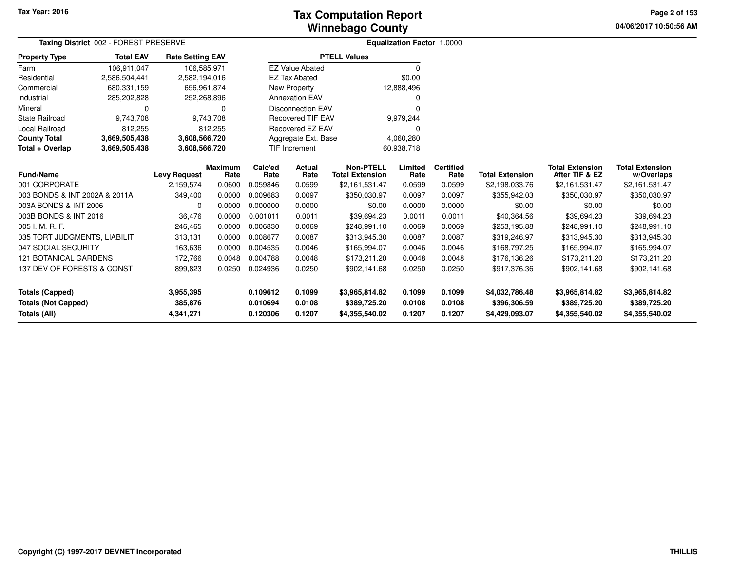# **Winnebago CountyTax Computation Report Tax**

**04/06/2017 10:50:56 AM Page 2 of 153**

|                               | Taxing District 002 - FOREST PRESERVE |                         |                        |                 |                          |                                            | <b>Equalization Factor 1.0000</b> |                          |                        |                                          |                                      |
|-------------------------------|---------------------------------------|-------------------------|------------------------|-----------------|--------------------------|--------------------------------------------|-----------------------------------|--------------------------|------------------------|------------------------------------------|--------------------------------------|
| <b>Property Type</b>          | <b>Total EAV</b>                      | <b>Rate Setting EAV</b> |                        |                 |                          | <b>PTELL Values</b>                        |                                   |                          |                        |                                          |                                      |
| Farm                          | 106,911,047                           | 106,585,971             |                        |                 | <b>EZ Value Abated</b>   |                                            | 0                                 |                          |                        |                                          |                                      |
| Residential                   | 2,586,504,441                         | 2,582,194,016           |                        |                 | <b>EZ Tax Abated</b>     |                                            | \$0.00                            |                          |                        |                                          |                                      |
| Commercial                    | 680,331,159                           | 656,961,874             |                        |                 | New Property             |                                            | 12,888,496                        |                          |                        |                                          |                                      |
| Industrial                    | 285,202,828                           | 252,268,896             |                        |                 | <b>Annexation EAV</b>    |                                            |                                   |                          |                        |                                          |                                      |
| Mineral                       | 0                                     |                         | $\Omega$               |                 | <b>Disconnection EAV</b> |                                            | n                                 |                          |                        |                                          |                                      |
| <b>State Railroad</b>         | 9,743,708                             |                         | 9,743,708              |                 | <b>Recovered TIF EAV</b> |                                            | 9,979,244                         |                          |                        |                                          |                                      |
| <b>Local Railroad</b>         | 812,255                               |                         | 812,255                |                 | Recovered EZ EAV         |                                            |                                   |                          |                        |                                          |                                      |
| <b>County Total</b>           | 3,669,505,438                         | 3,608,566,720           |                        |                 | Aggregate Ext. Base      |                                            | 4,060,280                         |                          |                        |                                          |                                      |
| Total + Overlap               | 3,669,505,438                         | 3,608,566,720           |                        |                 | TIF Increment            |                                            | 60,938,718                        |                          |                        |                                          |                                      |
| Fund/Name                     |                                       | <b>Levy Request</b>     | <b>Maximum</b><br>Rate | Calc'ed<br>Rate | <b>Actual</b><br>Rate    | <b>Non-PTELL</b><br><b>Total Extension</b> | Limited<br>Rate                   | <b>Certified</b><br>Rate | <b>Total Extension</b> | <b>Total Extension</b><br>After TIF & EZ | <b>Total Extension</b><br>w/Overlaps |
| 001 CORPORATE                 |                                       | 2,159,574               | 0.0600                 | 0.059846        | 0.0599                   | \$2,161,531.47                             | 0.0599                            | 0.0599                   | \$2,198,033.76         | \$2,161,531.47                           | \$2,161,531.47                       |
| 003 BONDS & INT 2002A & 2011A |                                       | 349,400                 | 0.0000                 | 0.009683        | 0.0097                   | \$350,030.97                               | 0.0097                            | 0.0097                   | \$355,942.03           | \$350,030.97                             | \$350,030.97                         |
| 003A BONDS & INT 2006         |                                       | 0                       | 0.0000                 | 0.000000        | 0.0000                   | \$0.00                                     | 0.0000                            | 0.0000                   | \$0.00                 | \$0.00                                   | \$0.00                               |
| 003B BONDS & INT 2016         |                                       | 36,476                  | 0.0000                 | 0.001011        | 0.0011                   | \$39,694.23                                | 0.0011                            | 0.0011                   | \$40,364.56            | \$39,694.23                              | \$39,694.23                          |
| 005 I. M. R. F.               |                                       | 246,465                 | 0.0000                 | 0.006830        | 0.0069                   | \$248,991.10                               | 0.0069                            | 0.0069                   | \$253,195.88           | \$248,991.10                             | \$248,991.10                         |
| 035 TORT JUDGMENTS, LIABILIT  |                                       | 313,131                 | 0.0000                 | 0.008677        | 0.0087                   | \$313,945.30                               | 0.0087                            | 0.0087                   | \$319,246.97           | \$313,945.30                             | \$313,945.30                         |
| 047 SOCIAL SECURITY           |                                       | 163,636                 | 0.0000                 | 0.004535        | 0.0046                   | \$165,994.07                               | 0.0046                            | 0.0046                   | \$168,797.25           | \$165,994.07                             | \$165,994.07                         |
| <b>121 BOTANICAL GARDENS</b>  |                                       | 172,766                 | 0.0048                 | 0.004788        | 0.0048                   | \$173,211.20                               | 0.0048                            | 0.0048                   | \$176,136.26           | \$173,211.20                             | \$173,211.20                         |
| 137 DEV OF FORESTS & CONST    |                                       | 899,823                 | 0.0250                 | 0.024936        | 0.0250                   | \$902,141.68                               | 0.0250                            | 0.0250                   | \$917,376.36           | \$902,141.68                             | \$902,141.68                         |
| <b>Totals (Capped)</b>        |                                       | 3,955,395               |                        | 0.109612        | 0.1099                   | \$3,965,814.82                             | 0.1099                            | 0.1099                   | \$4,032,786.48         | \$3,965,814.82                           | \$3,965,814.82                       |
| <b>Totals (Not Capped)</b>    |                                       | 385,876                 |                        | 0.010694        | 0.0108                   | \$389,725.20                               | 0.0108                            | 0.0108                   | \$396,306.59           | \$389,725.20                             | \$389,725.20                         |
| <b>Totals (All)</b>           |                                       | 4,341,271               |                        | 0.120306        | 0.1207                   | \$4,355,540.02                             | 0.1207                            | 0.1207                   | \$4,429,093.07         | \$4,355,540.02                           | \$4,355,540.02                       |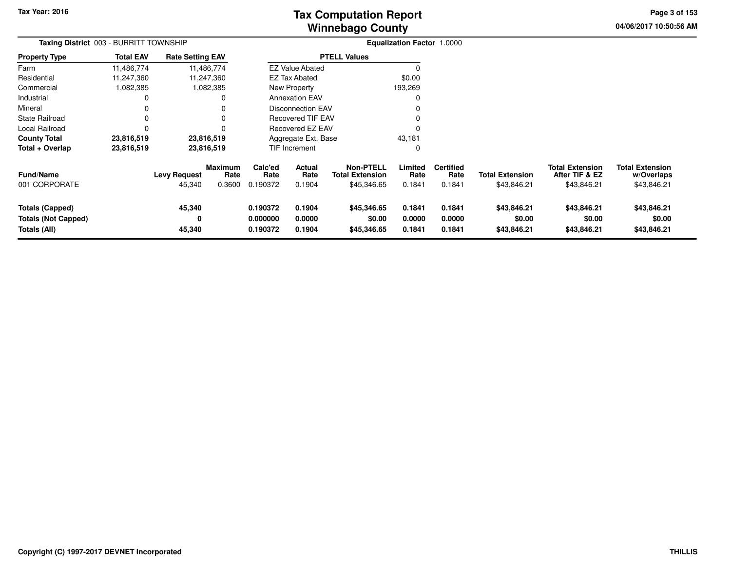# **Winnebago CountyTax Computation Report**

**04/06/2017 10:50:56 AM Page 3 of 153**

| Taxing District 003 - BURRITT TOWNSHIP                               |                  |                               |                           |                                  |                                 |                                                           | <b>Equalization Factor 1.0000</b> |                                    |                                       |                                                         |                                                     |  |
|----------------------------------------------------------------------|------------------|-------------------------------|---------------------------|----------------------------------|---------------------------------|-----------------------------------------------------------|-----------------------------------|------------------------------------|---------------------------------------|---------------------------------------------------------|-----------------------------------------------------|--|
| <b>Property Type</b>                                                 | <b>Total EAV</b> | <b>Rate Setting EAV</b>       |                           |                                  |                                 | <b>PTELL Values</b>                                       |                                   |                                    |                                       |                                                         |                                                     |  |
| Farm                                                                 | 11,486,774       |                               | 11,486,774                |                                  | <b>EZ Value Abated</b>          |                                                           | $\Omega$                          |                                    |                                       |                                                         |                                                     |  |
| Residential                                                          | 11,247,360       |                               | 11,247,360                |                                  | <b>EZ Tax Abated</b>            |                                                           | \$0.00                            |                                    |                                       |                                                         |                                                     |  |
| Commercial                                                           | 1,082,385        |                               | 1,082,385                 |                                  | New Property                    |                                                           | 193,269                           |                                    |                                       |                                                         |                                                     |  |
| Industrial                                                           |                  |                               | 0                         |                                  | <b>Annexation EAV</b>           |                                                           | 0                                 |                                    |                                       |                                                         |                                                     |  |
| Mineral                                                              |                  |                               | $\Omega$                  |                                  | <b>Disconnection EAV</b>        |                                                           | $\Omega$                          |                                    |                                       |                                                         |                                                     |  |
| <b>State Railroad</b>                                                |                  |                               | $\Omega$                  |                                  | Recovered TIF EAV               |                                                           | $\Omega$                          |                                    |                                       |                                                         |                                                     |  |
| Local Railroad                                                       |                  |                               | $\Omega$                  |                                  | Recovered EZ EAV                |                                                           | $\Omega$                          |                                    |                                       |                                                         |                                                     |  |
| <b>County Total</b>                                                  | 23,816,519       |                               | 23,816,519                |                                  | Aggregate Ext. Base             |                                                           | 43,181                            |                                    |                                       |                                                         |                                                     |  |
| Total + Overlap                                                      | 23,816,519       |                               | 23,816,519                |                                  | <b>TIF Increment</b>            |                                                           | 0                                 |                                    |                                       |                                                         |                                                     |  |
| <b>Fund/Name</b><br>001 CORPORATE                                    |                  | <b>Levy Request</b><br>45,340 | Maximum<br>Rate<br>0.3600 | Calc'ed<br>Rate<br>0.190372      | <b>Actual</b><br>Rate<br>0.1904 | <b>Non-PTELL</b><br><b>Total Extension</b><br>\$45,346.65 | Limited<br>Rate<br>0.1841         | <b>Certified</b><br>Rate<br>0.1841 | <b>Total Extension</b><br>\$43,846.21 | <b>Total Extension</b><br>After TIF & EZ<br>\$43,846.21 | <b>Total Extension</b><br>w/Overlaps<br>\$43,846.21 |  |
| <b>Totals (Capped)</b><br><b>Totals (Not Capped)</b><br>Totals (All) |                  | 45,340<br>0<br>45,340         |                           | 0.190372<br>0.000000<br>0.190372 | 0.1904<br>0.0000<br>0.1904      | \$45,346.65<br>\$0.00<br>\$45,346.65                      | 0.1841<br>0.0000<br>0.1841        | 0.1841<br>0.0000<br>0.1841         | \$43,846.21<br>\$0.00<br>\$43,846.21  | \$43,846.21<br>\$0.00<br>\$43,846.21                    | \$43,846.21<br>\$0.00<br>\$43,846.21                |  |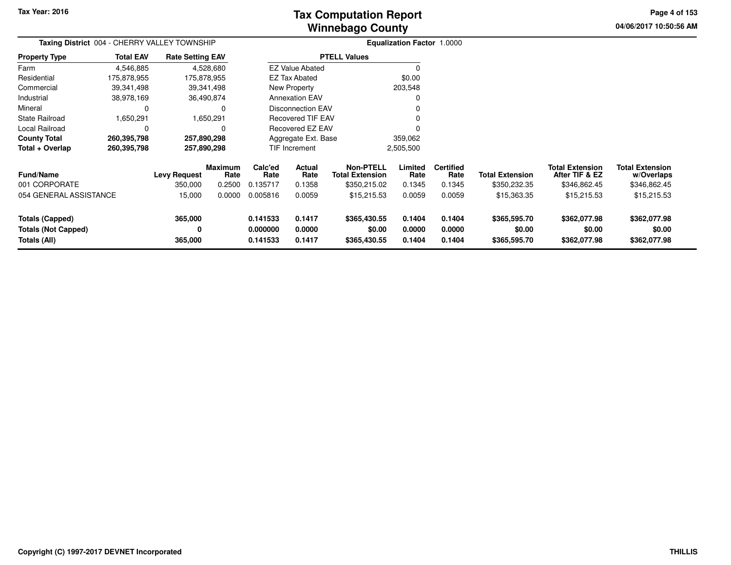# **Winnebago CountyTax Computation Report**

**04/06/2017 10:50:56 AM Page 4 of 153**

| Taxing District 004 - CHERRY VALLEY TOWNSHIP                  |                  |                                |                           |                                  |                            |                                                     | <b>Equalization Factor 1.0000</b> |                                    |                                        |                                                          |                                                      |  |
|---------------------------------------------------------------|------------------|--------------------------------|---------------------------|----------------------------------|----------------------------|-----------------------------------------------------|-----------------------------------|------------------------------------|----------------------------------------|----------------------------------------------------------|------------------------------------------------------|--|
| <b>Property Type</b>                                          | <b>Total EAV</b> | <b>Rate Setting EAV</b>        |                           |                                  |                            | <b>PTELL Values</b>                                 |                                   |                                    |                                        |                                                          |                                                      |  |
| Farm                                                          | 4,546,885        |                                | 4,528,680                 |                                  | <b>EZ Value Abated</b>     |                                                     |                                   |                                    |                                        |                                                          |                                                      |  |
| Residential                                                   | 175,878,955      | 175,878,955                    |                           |                                  | <b>EZ Tax Abated</b>       |                                                     | \$0.00                            |                                    |                                        |                                                          |                                                      |  |
| Commercial                                                    | 39,341,498       |                                | 39,341,498                |                                  | New Property               |                                                     | 203,548                           |                                    |                                        |                                                          |                                                      |  |
| Industrial                                                    | 38,978,169       |                                | 36,490,874                |                                  | <b>Annexation EAV</b>      |                                                     | 0                                 |                                    |                                        |                                                          |                                                      |  |
| Mineral                                                       | $\Omega$         |                                |                           |                                  | <b>Disconnection EAV</b>   |                                                     |                                   |                                    |                                        |                                                          |                                                      |  |
| <b>State Railroad</b>                                         | 1,650,291        |                                | 1,650,291                 |                                  | <b>Recovered TIF EAV</b>   |                                                     | 0                                 |                                    |                                        |                                                          |                                                      |  |
| Local Railroad                                                | 0                |                                |                           |                                  | Recovered EZ EAV           |                                                     |                                   |                                    |                                        |                                                          |                                                      |  |
| <b>County Total</b>                                           | 260,395,798      | 257,890,298                    |                           |                                  | Aggregate Ext. Base        |                                                     | 359,062                           |                                    |                                        |                                                          |                                                      |  |
| Total + Overlap                                               | 260,395,798      | 257,890,298                    |                           |                                  | <b>TIF Increment</b>       |                                                     | 2,505,500                         |                                    |                                        |                                                          |                                                      |  |
| <b>Fund/Name</b><br>001 CORPORATE                             |                  | <b>Levy Request</b><br>350,000 | Maximum<br>Rate<br>0.2500 | Calc'ed<br>Rate<br>0.135717      | Actual<br>Rate<br>0.1358   | Non-PTELL<br><b>Total Extension</b><br>\$350,215.02 | Limited<br>Rate<br>0.1345         | <b>Certified</b><br>Rate<br>0.1345 | <b>Total Extension</b><br>\$350,232.35 | <b>Total Extension</b><br>After TIF & EZ<br>\$346,862.45 | <b>Total Extension</b><br>w/Overlaps<br>\$346,862.45 |  |
| 054 GENERAL ASSISTANCE                                        |                  | 15,000                         | 0.0000                    | 0.005816                         | 0.0059                     | \$15,215.53                                         | 0.0059                            | 0.0059                             | \$15,363.35                            | \$15,215.53                                              | \$15,215.53                                          |  |
| Totals (Capped)<br><b>Totals (Not Capped)</b><br>Totals (All) |                  | 365,000<br>0<br>365,000        |                           | 0.141533<br>0.000000<br>0.141533 | 0.1417<br>0.0000<br>0.1417 | \$365,430.55<br>\$0.00<br>\$365,430.55              | 0.1404<br>0.0000<br>0.1404        | 0.1404<br>0.0000<br>0.1404         | \$365,595.70<br>\$0.00<br>\$365,595.70 | \$362,077.98<br>\$0.00<br>\$362,077.98                   | \$362,077.98<br>\$0.00<br>\$362,077.98               |  |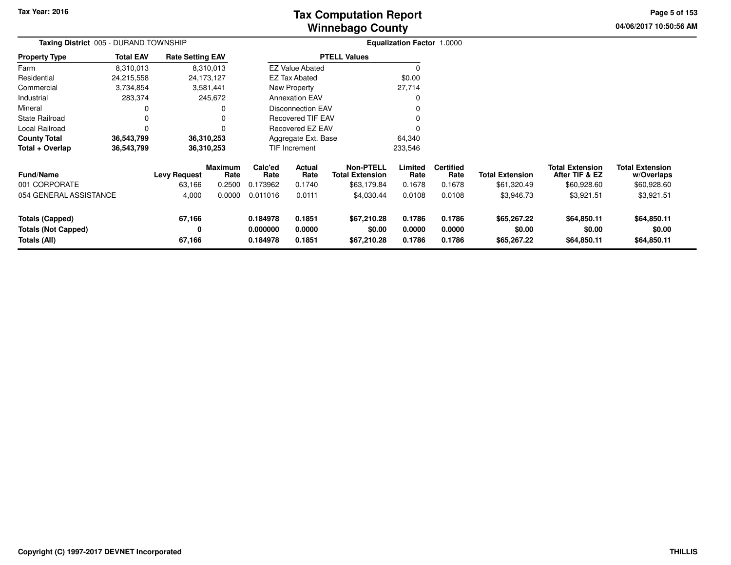# **Winnebago CountyTax Computation Report**

**04/06/2017 10:50:56 AM Page 5 of 153**

| Taxing District 005 - DURAND TOWNSHIP                         |                  |                               |                           |                                  |                            |                                                    | <b>Equalization Factor 1.0000</b> |                                    |                                       |                                                         |                                                     |  |
|---------------------------------------------------------------|------------------|-------------------------------|---------------------------|----------------------------------|----------------------------|----------------------------------------------------|-----------------------------------|------------------------------------|---------------------------------------|---------------------------------------------------------|-----------------------------------------------------|--|
| <b>Property Type</b>                                          | <b>Total EAV</b> | <b>Rate Setting EAV</b>       |                           |                                  |                            | <b>PTELL Values</b>                                |                                   |                                    |                                       |                                                         |                                                     |  |
| Farm                                                          | 8,310,013        |                               | 8,310,013                 |                                  | <b>EZ Value Abated</b>     |                                                    |                                   |                                    |                                       |                                                         |                                                     |  |
| Residential                                                   | 24,215,558       |                               | 24,173,127                |                                  | <b>EZ Tax Abated</b>       |                                                    | \$0.00                            |                                    |                                       |                                                         |                                                     |  |
| Commercial                                                    | 3,734,854        |                               | 3,581,441                 |                                  | New Property               |                                                    | 27,714                            |                                    |                                       |                                                         |                                                     |  |
| Industrial                                                    | 283,374          |                               | 245,672                   |                                  | <b>Annexation EAV</b>      |                                                    | 0                                 |                                    |                                       |                                                         |                                                     |  |
| Mineral                                                       |                  |                               |                           |                                  | <b>Disconnection EAV</b>   |                                                    | $\Omega$                          |                                    |                                       |                                                         |                                                     |  |
| <b>State Railroad</b>                                         |                  |                               |                           |                                  | Recovered TIF EAV          |                                                    | 0                                 |                                    |                                       |                                                         |                                                     |  |
| Local Railroad                                                |                  |                               |                           |                                  | Recovered EZ EAV           |                                                    |                                   |                                    |                                       |                                                         |                                                     |  |
| <b>County Total</b>                                           | 36,543,799       |                               | 36,310,253                |                                  | Aggregate Ext. Base        |                                                    | 64,340                            |                                    |                                       |                                                         |                                                     |  |
| Total + Overlap                                               | 36,543,799       |                               | 36,310,253                |                                  | TIF Increment              |                                                    | 233,546                           |                                    |                                       |                                                         |                                                     |  |
| <b>Fund/Name</b><br>001 CORPORATE                             |                  | <b>Levy Request</b><br>63,166 | Maximum<br>Rate<br>0.2500 | Calc'ed<br>Rate<br>0.173962      | Actual<br>Rate<br>0.1740   | Non-PTELL<br><b>Total Extension</b><br>\$63,179.84 | Limited<br>Rate<br>0.1678         | <b>Certified</b><br>Rate<br>0.1678 | <b>Total Extension</b><br>\$61,320.49 | <b>Total Extension</b><br>After TIF & EZ<br>\$60,928.60 | <b>Total Extension</b><br>w/Overlaps<br>\$60,928.60 |  |
| 054 GENERAL ASSISTANCE                                        |                  | 4,000                         | 0.0000                    | 0.011016                         | 0.0111                     | \$4,030.44                                         | 0.0108                            | 0.0108                             | \$3,946.73                            | \$3,921.51                                              | \$3,921.51                                          |  |
| Totals (Capped)<br><b>Totals (Not Capped)</b><br>Totals (All) |                  | 67,166<br>0<br>67,166         |                           | 0.184978<br>0.000000<br>0.184978 | 0.1851<br>0.0000<br>0.1851 | \$67,210.28<br>\$0.00<br>\$67,210.28               | 0.1786<br>0.0000<br>0.1786        | 0.1786<br>0.0000<br>0.1786         | \$65,267.22<br>\$0.00<br>\$65,267.22  | \$64,850.11<br>\$0.00<br>\$64,850.11                    | \$64,850.11<br>\$0.00<br>\$64,850.11                |  |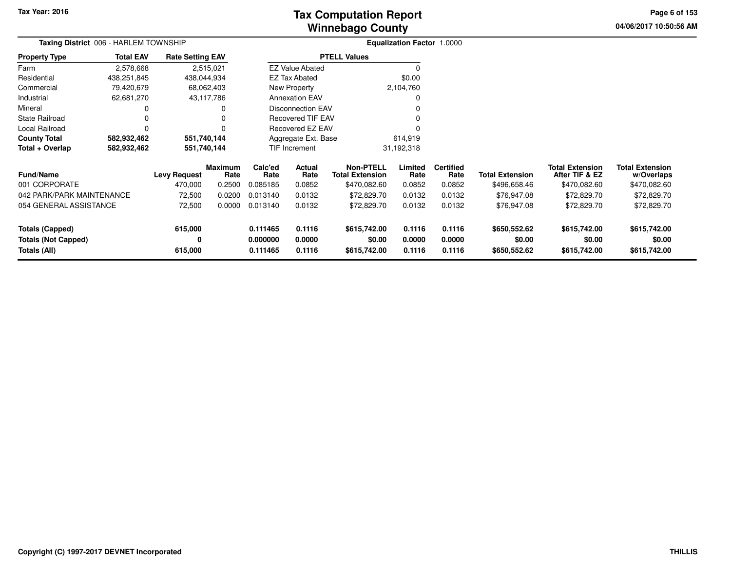# **Winnebago CountyTax Computation Report Tax**

**04/06/2017 10:50:56 AM Page 6 of 153**

| Taxing District 006 - HARLEM TOWNSHIP |                  |                         |                 |                 |                          |                                            | Equalization Factor 1.0000 |                          |                        |                                          |                                      |  |
|---------------------------------------|------------------|-------------------------|-----------------|-----------------|--------------------------|--------------------------------------------|----------------------------|--------------------------|------------------------|------------------------------------------|--------------------------------------|--|
| <b>Property Type</b>                  | <b>Total EAV</b> | <b>Rate Setting EAV</b> |                 |                 |                          | <b>PTELL Values</b>                        |                            |                          |                        |                                          |                                      |  |
| Farm                                  | 2,578,668        |                         | 2,515,021       |                 | <b>EZ Value Abated</b>   |                                            | $\Omega$                   |                          |                        |                                          |                                      |  |
| Residential                           | 438,251,845      | 438,044,934             |                 |                 | EZ Tax Abated            |                                            | \$0.00                     |                          |                        |                                          |                                      |  |
| Commercial                            | 79,420,679       |                         | 68,062,403      |                 | New Property             |                                            | 2,104,760                  |                          |                        |                                          |                                      |  |
| Industrial                            | 62,681,270       |                         | 43,117,786      |                 | <b>Annexation EAV</b>    |                                            | 0                          |                          |                        |                                          |                                      |  |
| Mineral                               | 0                |                         | 0               |                 | <b>Disconnection EAV</b> |                                            |                            |                          |                        |                                          |                                      |  |
| <b>State Railroad</b>                 |                  |                         |                 |                 | <b>Recovered TIF EAV</b> |                                            |                            |                          |                        |                                          |                                      |  |
| Local Railroad                        | 0                |                         |                 |                 | <b>Recovered EZ EAV</b>  |                                            |                            |                          |                        |                                          |                                      |  |
| <b>County Total</b>                   | 582,932,462      | 551,740,144             |                 |                 | Aggregate Ext. Base      |                                            | 614,919                    |                          |                        |                                          |                                      |  |
| Total + Overlap                       | 582,932,462      | 551,740,144             |                 |                 | TIF Increment            |                                            | 31,192,318                 |                          |                        |                                          |                                      |  |
| <b>Fund/Name</b>                      |                  | <b>Levy Request</b>     | Maximum<br>Rate | Calc'ed<br>Rate | Actual<br>Rate           | <b>Non-PTELL</b><br><b>Total Extension</b> | Limited<br>Rate            | <b>Certified</b><br>Rate | <b>Total Extension</b> | <b>Total Extension</b><br>After TIF & EZ | <b>Total Extension</b><br>w/Overlaps |  |
| 001 CORPORATE                         |                  | 470,000                 | 0.2500          | 0.085185        | 0.0852                   | \$470,082.60                               | 0.0852                     | 0.0852                   | \$496,658.46           | \$470,082.60                             | \$470,082.60                         |  |
| 042 PARK/PARK MAINTENANCE             |                  | 72,500                  | 0.0200          | 0.013140        | 0.0132                   | \$72,829.70                                | 0.0132                     | 0.0132                   | \$76,947.08            | \$72,829.70                              | \$72,829.70                          |  |
| 054 GENERAL ASSISTANCE                |                  | 72,500                  | 0.0000          | 0.013140        | 0.0132                   | \$72,829.70                                | 0.0132                     | 0.0132                   | \$76,947.08            | \$72,829.70                              | \$72,829.70                          |  |
| <b>Totals (Capped)</b>                |                  | 615,000                 |                 | 0.111465        | 0.1116                   | \$615,742.00                               | 0.1116                     | 0.1116                   | \$650,552.62           | \$615,742.00                             | \$615,742.00                         |  |
| <b>Totals (Not Capped)</b>            |                  | 0                       |                 | 0.000000        | 0.0000                   | \$0.00                                     | 0.0000                     | 0.0000                   | \$0.00                 | \$0.00                                   | \$0.00                               |  |
| Totals (All)                          |                  | 615,000                 |                 | 0.111465        | 0.1116                   | \$615,742.00                               | 0.1116                     | 0.1116                   | \$650,552.62           | \$615,742.00                             | \$615,742.00                         |  |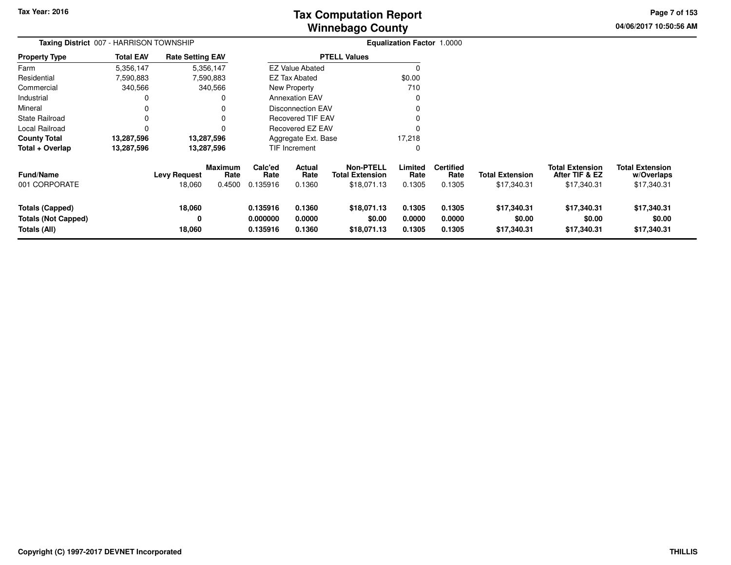**04/06/2017 10:50:56 AM Page 7 of 153**

| Taxing District 007 - HARRISON TOWNSHIP                       |                  |                               |                                  |                                  |                            |                                                           | <b>Equalization Factor 1.0000</b> |                                    |                                       |                                                         |                                                     |
|---------------------------------------------------------------|------------------|-------------------------------|----------------------------------|----------------------------------|----------------------------|-----------------------------------------------------------|-----------------------------------|------------------------------------|---------------------------------------|---------------------------------------------------------|-----------------------------------------------------|
| <b>Property Type</b>                                          | <b>Total EAV</b> | <b>Rate Setting EAV</b>       |                                  |                                  |                            | <b>PTELL Values</b>                                       |                                   |                                    |                                       |                                                         |                                                     |
| Farm                                                          | 5,356,147        |                               | 5,356,147                        |                                  | <b>EZ Value Abated</b>     |                                                           | 0                                 |                                    |                                       |                                                         |                                                     |
| Residential                                                   | 7,590,883        |                               | 7,590,883                        |                                  | <b>EZ Tax Abated</b>       |                                                           | \$0.00                            |                                    |                                       |                                                         |                                                     |
| Commercial                                                    | 340,566          |                               | 340,566                          |                                  | New Property               |                                                           | 710                               |                                    |                                       |                                                         |                                                     |
| Industrial                                                    | O                |                               | O                                |                                  | <b>Annexation EAV</b>      |                                                           | 0                                 |                                    |                                       |                                                         |                                                     |
| Mineral                                                       | O                |                               |                                  |                                  | <b>Disconnection EAV</b>   |                                                           |                                   |                                    |                                       |                                                         |                                                     |
| <b>State Railroad</b>                                         | 0                |                               |                                  |                                  | <b>Recovered TIF EAV</b>   |                                                           |                                   |                                    |                                       |                                                         |                                                     |
| Local Railroad                                                | 0                |                               |                                  |                                  | <b>Recovered EZ EAV</b>    |                                                           |                                   |                                    |                                       |                                                         |                                                     |
| <b>County Total</b>                                           | 13,287,596       |                               | 13,287,596                       |                                  | Aggregate Ext. Base        |                                                           | 17,218                            |                                    |                                       |                                                         |                                                     |
| Total + Overlap                                               | 13,287,596       |                               | 13,287,596                       |                                  | TIF Increment              |                                                           | 0                                 |                                    |                                       |                                                         |                                                     |
| Fund/Name<br>001 CORPORATE                                    |                  | <b>Levy Request</b><br>18,060 | <b>Maximum</b><br>Rate<br>0.4500 | Calc'ed<br>Rate<br>0.135916      | Actual<br>Rate<br>0.1360   | <b>Non-PTELL</b><br><b>Total Extension</b><br>\$18,071.13 | Limited<br>Rate<br>0.1305         | <b>Certified</b><br>Rate<br>0.1305 | <b>Total Extension</b><br>\$17,340.31 | <b>Total Extension</b><br>After TIF & EZ<br>\$17,340.31 | <b>Total Extension</b><br>w/Overlaps<br>\$17,340.31 |
| Totals (Capped)<br><b>Totals (Not Capped)</b><br>Totals (All) |                  | 18,060<br>0<br>18,060         |                                  | 0.135916<br>0.000000<br>0.135916 | 0.1360<br>0.0000<br>0.1360 | \$18,071.13<br>\$0.00<br>\$18,071.13                      | 0.1305<br>0.0000<br>0.1305        | 0.1305<br>0.0000<br>0.1305         | \$17,340.31<br>\$0.00<br>\$17,340.31  | \$17,340.31<br>\$0.00<br>\$17,340.31                    | \$17,340.31<br>\$0.00<br>\$17,340.31                |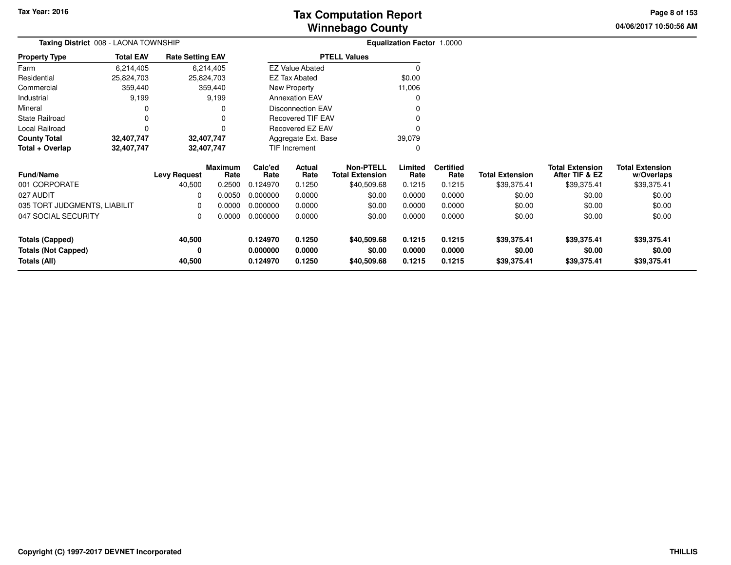**04/06/2017 10:50:56 AM Page 8 of 153**

| Taxing District 008 - LAONA TOWNSHIP |                  |                         |                        |                 |                          |                                            | <b>Equalization Factor 1.0000</b> |                          |                        |                                          |                                      |  |
|--------------------------------------|------------------|-------------------------|------------------------|-----------------|--------------------------|--------------------------------------------|-----------------------------------|--------------------------|------------------------|------------------------------------------|--------------------------------------|--|
| <b>Property Type</b>                 | <b>Total EAV</b> | <b>Rate Setting EAV</b> |                        |                 |                          | <b>PTELL Values</b>                        |                                   |                          |                        |                                          |                                      |  |
| Farm                                 | 6,214,405        |                         | 6,214,405              |                 | <b>EZ Value Abated</b>   |                                            | 0                                 |                          |                        |                                          |                                      |  |
| Residential                          | 25,824,703       |                         | 25,824,703             |                 | <b>EZ Tax Abated</b>     |                                            | \$0.00                            |                          |                        |                                          |                                      |  |
| Commercial                           | 359,440          |                         | 359,440                |                 | New Property             |                                            | 11,006                            |                          |                        |                                          |                                      |  |
| Industrial                           | 9,199            |                         | 9,199                  |                 | <b>Annexation EAV</b>    |                                            |                                   |                          |                        |                                          |                                      |  |
| Mineral                              | O                |                         | 0                      |                 | <b>Disconnection EAV</b> |                                            |                                   |                          |                        |                                          |                                      |  |
| <b>State Railroad</b>                | 0                |                         | 0                      |                 | <b>Recovered TIF EAV</b> |                                            |                                   |                          |                        |                                          |                                      |  |
| Local Railroad                       | $\Omega$         |                         | 0                      |                 | Recovered EZ EAV         |                                            |                                   |                          |                        |                                          |                                      |  |
| <b>County Total</b>                  | 32,407,747       |                         | 32,407,747             |                 | Aggregate Ext. Base      |                                            | 39,079                            |                          |                        |                                          |                                      |  |
| Total + Overlap                      | 32,407,747       |                         | 32,407,747             |                 | TIF Increment            |                                            | 0                                 |                          |                        |                                          |                                      |  |
| Fund/Name                            |                  | <b>Levy Request</b>     | <b>Maximum</b><br>Rate | Calc'ed<br>Rate | Actual<br>Rate           | <b>Non-PTELL</b><br><b>Total Extension</b> | Limited<br>Rate                   | <b>Certified</b><br>Rate | <b>Total Extension</b> | <b>Total Extension</b><br>After TIF & EZ | <b>Total Extension</b><br>w/Overlaps |  |
| 001 CORPORATE                        |                  | 40,500                  | 0.2500                 | 0.124970        | 0.1250                   | \$40,509.68                                | 0.1215                            | 0.1215                   | \$39,375.41            | \$39,375.41                              | \$39,375.41                          |  |
| 027 AUDIT                            |                  | 0                       | 0.0050                 | 0.000000        | 0.0000                   | \$0.00                                     | 0.0000                            | 0.0000                   | \$0.00                 | \$0.00                                   | \$0.00                               |  |
| 035 TORT JUDGMENTS, LIABILIT         |                  | 0                       | 0.0000                 | 0.000000        | 0.0000                   | \$0.00                                     | 0.0000                            | 0.0000                   | \$0.00                 | \$0.00                                   | \$0.00                               |  |
| 047 SOCIAL SECURITY                  |                  | 0                       | 0.0000                 | 0.000000        | 0.0000                   | \$0.00                                     | 0.0000                            | 0.0000                   | \$0.00                 | \$0.00                                   | \$0.00                               |  |
| <b>Totals (Capped)</b>               |                  | 40,500                  |                        | 0.124970        | 0.1250                   | \$40,509.68                                | 0.1215                            | 0.1215                   | \$39,375.41            | \$39,375.41                              | \$39,375.41                          |  |
| <b>Totals (Not Capped)</b>           |                  | 0                       |                        | 0.000000        | 0.0000                   | \$0.00                                     | 0.0000                            | 0.0000                   | \$0.00                 | \$0.00                                   | \$0.00                               |  |
| Totals (All)                         |                  | 40,500                  |                        | 0.124970        | 0.1250                   | \$40,509.68                                | 0.1215                            | 0.1215                   | \$39,375.41            | \$39,375.41                              | \$39,375.41                          |  |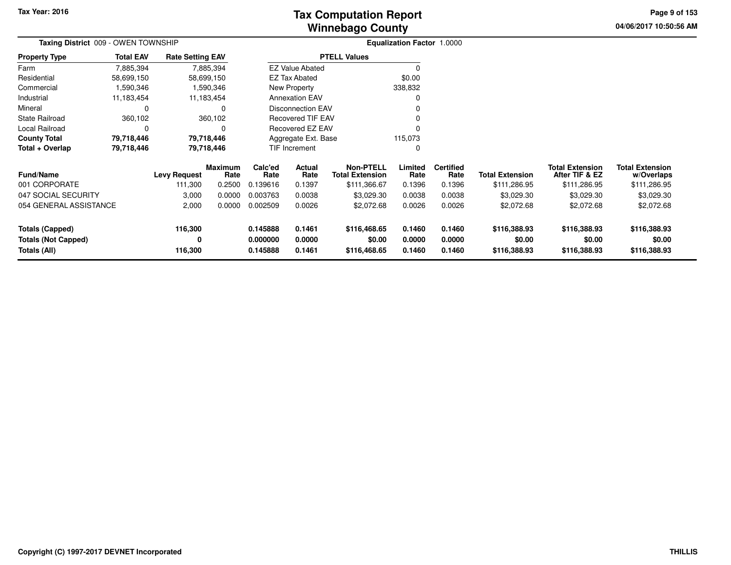**04/06/2017 10:50:56 AM Page 9 of 153**

| Taxing District 009 - OWEN TOWNSHIP |                  |                         |                 |                 |                          |                                            | Equalization Factor 1.0000 |                          |                        |                                          |                                      |  |
|-------------------------------------|------------------|-------------------------|-----------------|-----------------|--------------------------|--------------------------------------------|----------------------------|--------------------------|------------------------|------------------------------------------|--------------------------------------|--|
| <b>Property Type</b>                | <b>Total EAV</b> | <b>Rate Setting EAV</b> |                 |                 |                          | <b>PTELL Values</b>                        |                            |                          |                        |                                          |                                      |  |
| Farm                                | 7,885,394        |                         | 7,885,394       |                 | <b>EZ Value Abated</b>   |                                            | $\Omega$                   |                          |                        |                                          |                                      |  |
| Residential                         | 58,699,150       |                         | 58,699,150      |                 | <b>EZ Tax Abated</b>     |                                            | \$0.00                     |                          |                        |                                          |                                      |  |
| Commercial                          | 1,590,346        |                         | 1,590,346       |                 | New Property             |                                            | 338,832                    |                          |                        |                                          |                                      |  |
| Industrial                          | 11,183,454       |                         | 11,183,454      |                 | <b>Annexation EAV</b>    |                                            | C                          |                          |                        |                                          |                                      |  |
| Mineral                             | 0                |                         | 0               |                 | <b>Disconnection EAV</b> |                                            | $\Omega$                   |                          |                        |                                          |                                      |  |
| <b>State Railroad</b>               | 360,102          |                         | 360,102         |                 | <b>Recovered TIF EAV</b> |                                            | $\Omega$                   |                          |                        |                                          |                                      |  |
| <b>Local Railroad</b>               | $\Omega$         |                         |                 |                 | <b>Recovered EZ EAV</b>  |                                            | $\Omega$                   |                          |                        |                                          |                                      |  |
| <b>County Total</b>                 | 79,718,446       |                         | 79,718,446      |                 | Aggregate Ext. Base      |                                            | 115,073                    |                          |                        |                                          |                                      |  |
| Total + Overlap                     | 79,718,446       |                         | 79,718,446      |                 | TIF Increment            |                                            | 0                          |                          |                        |                                          |                                      |  |
| <b>Fund/Name</b>                    |                  | <b>Levy Request</b>     | Maximum<br>Rate | Calc'ed<br>Rate | Actual<br>Rate           | <b>Non-PTELL</b><br><b>Total Extension</b> | Limited<br>Rate            | <b>Certified</b><br>Rate | <b>Total Extension</b> | <b>Total Extension</b><br>After TIF & EZ | <b>Total Extension</b><br>w/Overlaps |  |
| 001 CORPORATE                       |                  | 111,300                 | 0.2500          | 0.139616        | 0.1397                   | \$111,366.67                               | 0.1396                     | 0.1396                   | \$111,286.95           | \$111,286.95                             | \$111,286.95                         |  |
| 047 SOCIAL SECURITY                 |                  | 3,000                   | 0.0000          | 0.003763        | 0.0038                   | \$3,029.30                                 | 0.0038                     | 0.0038                   | \$3,029.30             | \$3,029.30                               | \$3,029.30                           |  |
| 054 GENERAL ASSISTANCE              |                  | 2,000                   | 0.0000          | 0.002509        | 0.0026                   | \$2,072.68                                 | 0.0026                     | 0.0026                   | \$2,072.68             | \$2,072.68                               | \$2,072.68                           |  |
| Totals (Capped)                     |                  | 116,300                 |                 | 0.145888        | 0.1461                   | \$116,468.65                               | 0.1460                     | 0.1460                   | \$116,388.93           | \$116,388.93                             | \$116,388.93                         |  |
| <b>Totals (Not Capped)</b>          |                  | 0                       |                 | 0.000000        | 0.0000                   | \$0.00                                     | 0.0000                     | 0.0000                   | \$0.00                 | \$0.00                                   | \$0.00                               |  |
| Totals (All)                        |                  | 116,300                 |                 | 0.145888        | 0.1461                   | \$116,468.65                               | 0.1460                     | 0.1460                   | \$116,388.93           | \$116,388.93                             | \$116,388.93                         |  |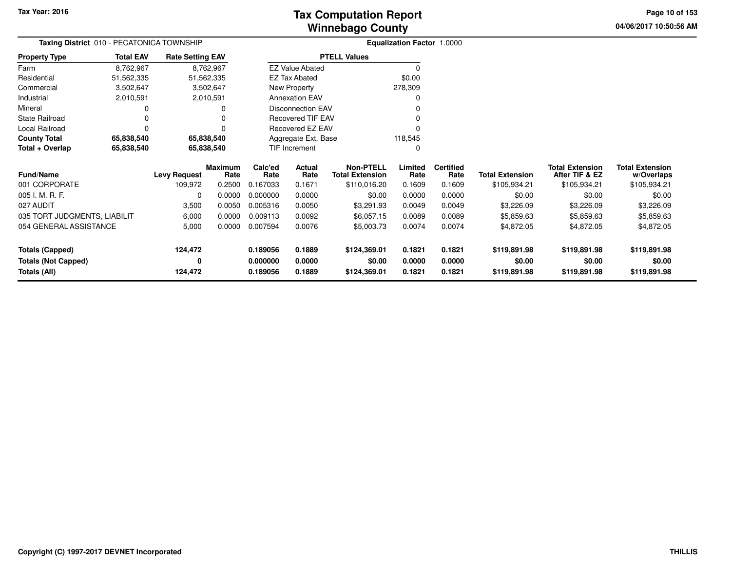# **Winnebago CountyTax Computation Report Tax**

**04/06/2017 10:50:56 AM Page 10 of 153**

| Taxing District 010 - PECATONICA TOWNSHIP |                  |                         |                 |                 |                          |                                            | <b>Equalization Factor 1.0000</b> |                          |                        |                                          |                                      |
|-------------------------------------------|------------------|-------------------------|-----------------|-----------------|--------------------------|--------------------------------------------|-----------------------------------|--------------------------|------------------------|------------------------------------------|--------------------------------------|
| <b>Property Type</b>                      | <b>Total EAV</b> | <b>Rate Setting EAV</b> |                 |                 |                          | <b>PTELL Values</b>                        |                                   |                          |                        |                                          |                                      |
| Farm                                      | 8,762,967        |                         | 8,762,967       |                 | <b>EZ Value Abated</b>   |                                            | $\Omega$                          |                          |                        |                                          |                                      |
| Residential                               | 51,562,335       | 51,562,335              |                 |                 | <b>EZ Tax Abated</b>     |                                            | \$0.00                            |                          |                        |                                          |                                      |
| Commercial                                | 3,502,647        |                         | 3,502,647       |                 | New Property             |                                            | 278,309                           |                          |                        |                                          |                                      |
| Industrial                                | 2,010,591        |                         | 2,010,591       |                 | <b>Annexation EAV</b>    |                                            | 0                                 |                          |                        |                                          |                                      |
| Mineral                                   | 0                |                         |                 |                 | <b>Disconnection EAV</b> |                                            |                                   |                          |                        |                                          |                                      |
| <b>State Railroad</b>                     |                  |                         |                 |                 | <b>Recovered TIF EAV</b> |                                            |                                   |                          |                        |                                          |                                      |
| Local Railroad                            | $\Omega$         |                         |                 |                 | Recovered EZ EAV         |                                            |                                   |                          |                        |                                          |                                      |
| <b>County Total</b>                       | 65,838,540       | 65,838,540              |                 |                 | Aggregate Ext. Base      |                                            | 118,545                           |                          |                        |                                          |                                      |
| Total + Overlap                           | 65,838,540       | 65,838,540              |                 |                 | TIF Increment            |                                            | 0                                 |                          |                        |                                          |                                      |
| <b>Fund/Name</b>                          |                  | <b>Levy Request</b>     | Maximum<br>Rate | Calc'ed<br>Rate | Actual<br>Rate           | <b>Non-PTELL</b><br><b>Total Extension</b> | Limited<br>Rate                   | <b>Certified</b><br>Rate | <b>Total Extension</b> | <b>Total Extension</b><br>After TIF & EZ | <b>Total Extension</b><br>w/Overlaps |
| 001 CORPORATE                             |                  | 109,972                 | 0.2500          | 0.167033        | 0.1671                   | \$110,016.20                               | 0.1609                            | 0.1609                   | \$105,934.21           | \$105,934.21                             | \$105,934.21                         |
| 005 I. M. R. F.                           |                  | $\Omega$                | 0.0000          | 0.000000        | 0.0000                   | \$0.00                                     | 0.0000                            | 0.0000                   | \$0.00                 | \$0.00                                   | \$0.00                               |
| 027 AUDIT                                 |                  | 3,500                   | 0.0050          | 0.005316        | 0.0050                   | \$3,291.93                                 | 0.0049                            | 0.0049                   | \$3,226.09             | \$3,226.09                               | \$3,226.09                           |
| 035 TORT JUDGMENTS, LIABILIT              |                  | 6,000                   | 0.0000          | 0.009113        | 0.0092                   | \$6,057.15                                 | 0.0089                            | 0.0089                   | \$5,859.63             | \$5,859.63                               | \$5,859.63                           |
| 054 GENERAL ASSISTANCE                    |                  | 5,000                   | 0.0000          | 0.007594        | 0.0076                   | \$5,003.73                                 | 0.0074                            | 0.0074                   | \$4,872.05             | \$4,872.05                               | \$4,872.05                           |
| <b>Totals (Capped)</b>                    |                  | 124,472                 |                 | 0.189056        | 0.1889                   | \$124,369.01                               | 0.1821                            | 0.1821                   | \$119,891.98           | \$119,891.98                             | \$119,891.98                         |
| <b>Totals (Not Capped)</b>                |                  | 0                       |                 | 0.000000        | 0.0000                   | \$0.00                                     | 0.0000                            | 0.0000                   | \$0.00                 | \$0.00                                   | \$0.00                               |
| Totals (All)                              |                  | 124,472                 |                 | 0.189056        | 0.1889                   | \$124,369.01                               | 0.1821                            | 0.1821                   | \$119,891.98           | \$119,891.98                             | \$119,891.98                         |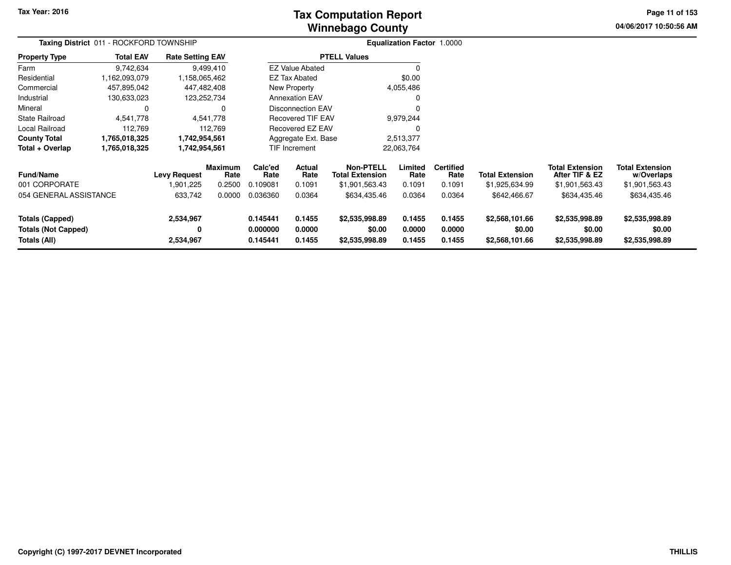# **Winnebago CountyTax Computation Report**

**04/06/2017 10:50:56 AM Page 11 of 153**

| Taxing District 011 - ROCKFORD TOWNSHIP                              |                  |                                  |                                  |                                  |                            |                                                              | Equalization Factor 1.0000 |                                    |                                            |                                                            |                                                        |  |
|----------------------------------------------------------------------|------------------|----------------------------------|----------------------------------|----------------------------------|----------------------------|--------------------------------------------------------------|----------------------------|------------------------------------|--------------------------------------------|------------------------------------------------------------|--------------------------------------------------------|--|
| <b>Property Type</b>                                                 | <b>Total EAV</b> | <b>Rate Setting EAV</b>          |                                  |                                  |                            | <b>PTELL Values</b>                                          |                            |                                    |                                            |                                                            |                                                        |  |
| Farm                                                                 | 9,742,634        |                                  | 9,499,410                        |                                  | <b>EZ Value Abated</b>     |                                                              | 0                          |                                    |                                            |                                                            |                                                        |  |
| Residential                                                          | 1,162,093,079    | 1,158,065,462                    |                                  |                                  | EZ Tax Abated              |                                                              | \$0.00                     |                                    |                                            |                                                            |                                                        |  |
| Commercial                                                           | 457,895,042      | 447,482,408                      |                                  |                                  | <b>New Property</b>        |                                                              | 4,055,486                  |                                    |                                            |                                                            |                                                        |  |
| Industrial                                                           | 130,633,023      | 123,252,734                      |                                  |                                  | <b>Annexation EAV</b>      |                                                              | 0                          |                                    |                                            |                                                            |                                                        |  |
| Mineral                                                              | $\Omega$         |                                  |                                  |                                  | <b>Disconnection EAV</b>   |                                                              | 0                          |                                    |                                            |                                                            |                                                        |  |
| <b>State Railroad</b>                                                | 4,541,778        |                                  | 4,541,778                        |                                  | <b>Recovered TIF EAV</b>   |                                                              | 9,979,244                  |                                    |                                            |                                                            |                                                        |  |
| <b>Local Railroad</b>                                                | 112,769          |                                  | 112,769                          |                                  | Recovered EZ EAV           |                                                              | 0                          |                                    |                                            |                                                            |                                                        |  |
| <b>County Total</b>                                                  | 1,765,018,325    | 1,742,954,561                    |                                  |                                  | Aggregate Ext. Base        |                                                              | 2,513,377                  |                                    |                                            |                                                            |                                                        |  |
| Total + Overlap                                                      | 1,765,018,325    | 1,742,954,561                    |                                  |                                  | TIF Increment              |                                                              | 22,063,764                 |                                    |                                            |                                                            |                                                        |  |
| <b>Fund/Name</b><br>001 CORPORATE                                    |                  | <b>Levy Request</b><br>1,901,225 | <b>Maximum</b><br>Rate<br>0.2500 | Calc'ed<br>Rate<br>0.109081      | Actual<br>Rate<br>0.1091   | <b>Non-PTELL</b><br><b>Total Extension</b><br>\$1,901,563.43 | Limited<br>Rate<br>0.1091  | <b>Certified</b><br>Rate<br>0.1091 | <b>Total Extension</b><br>\$1,925,634.99   | <b>Total Extension</b><br>After TIF & EZ<br>\$1,901,563.43 | <b>Total Extension</b><br>w/Overlaps<br>\$1,901,563.43 |  |
| 054 GENERAL ASSISTANCE                                               |                  | 633,742                          | 0.0000                           | 0.036360                         | 0.0364                     | \$634,435.46                                                 | 0.0364                     | 0.0364                             | \$642,466.67                               | \$634,435.46                                               | \$634,435.46                                           |  |
| <b>Totals (Capped)</b><br><b>Totals (Not Capped)</b><br>Totals (All) |                  | 2,534,967<br>0<br>2,534,967      |                                  | 0.145441<br>0.000000<br>0.145441 | 0.1455<br>0.0000<br>0.1455 | \$2,535,998.89<br>\$0.00<br>\$2,535,998.89                   | 0.1455<br>0.0000<br>0.1455 | 0.1455<br>0.0000<br>0.1455         | \$2,568,101.66<br>\$0.00<br>\$2,568,101.66 | \$2,535,998.89<br>\$0.00<br>\$2,535,998.89                 | \$2,535,998.89<br>\$0.00<br>\$2,535,998.89             |  |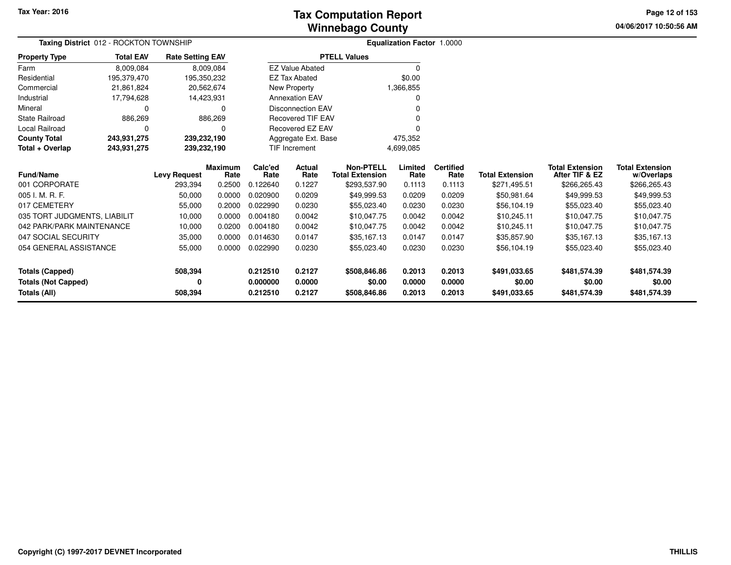**04/06/2017 10:50:56 AMPage 12 of 153**

|                                                   | Taxing District 012 - ROCKTON TOWNSHIP |                         |                |          |                          |                        | <b>Equalization Factor 1.0000</b> |                  |                        |                        |                        |
|---------------------------------------------------|----------------------------------------|-------------------------|----------------|----------|--------------------------|------------------------|-----------------------------------|------------------|------------------------|------------------------|------------------------|
| <b>Property Type</b>                              | <b>Total EAV</b>                       | <b>Rate Setting EAV</b> |                |          |                          | <b>PTELL Values</b>    |                                   |                  |                        |                        |                        |
| Farm                                              | 8,009,084                              |                         | 8,009,084      |          | <b>EZ Value Abated</b>   |                        | 0                                 |                  |                        |                        |                        |
| Residential                                       | 195,379,470                            | 195,350,232             |                |          | <b>EZ Tax Abated</b>     |                        | \$0.00                            |                  |                        |                        |                        |
| Commercial                                        | 21,861,824                             | 20,562,674              |                |          | New Property             |                        | 1,366,855                         |                  |                        |                        |                        |
| Industrial                                        | 17,794,628                             | 14,423,931              |                |          | <b>Annexation EAV</b>    |                        |                                   |                  |                        |                        |                        |
| Mineral                                           | 0                                      |                         | 0              |          | <b>Disconnection EAV</b> |                        |                                   |                  |                        |                        |                        |
| <b>State Railroad</b>                             | 886,269                                |                         | 886,269        |          | <b>Recovered TIF EAV</b> |                        |                                   |                  |                        |                        |                        |
| <b>Local Railroad</b>                             | 0                                      |                         | 0              |          | Recovered EZ EAV         |                        |                                   |                  |                        |                        |                        |
| <b>County Total</b>                               | 243,931,275                            | 239,232,190             |                |          | Aggregate Ext. Base      |                        | 475,352                           |                  |                        |                        |                        |
| Total + Overlap                                   | 243,931,275                            | 239,232,190             |                |          | <b>TIF Increment</b>     |                        | 4,699,085                         |                  |                        |                        |                        |
|                                                   |                                        |                         | <b>Maximum</b> | Calc'ed  | Actual                   | Non-PTELL              | Limited                           | <b>Certified</b> |                        | <b>Total Extension</b> | <b>Total Extension</b> |
| <b>Fund/Name</b>                                  |                                        | <b>Levy Request</b>     | Rate           | Rate     | Rate                     | <b>Total Extension</b> | Rate                              | Rate             | <b>Total Extension</b> | After TIF & EZ         | w/Overlaps             |
| 001 CORPORATE                                     |                                        | 293,394                 | 0.2500         | 0.122640 | 0.1227                   | \$293,537.90           | 0.1113                            | 0.1113           | \$271,495.51           | \$266,265.43           | \$266,265.43           |
| 005 I. M. R. F.                                   |                                        | 50,000                  | 0.0000         | 0.020900 | 0.0209                   | \$49,999.53            | 0.0209                            | 0.0209           | \$50,981.64            | \$49,999.53            | \$49,999.53            |
| 017 CEMETERY                                      |                                        | 55,000                  | 0.2000         | 0.022990 | 0.0230                   | \$55,023.40            | 0.0230                            | 0.0230           | \$56,104.19            | \$55,023.40            | \$55,023.40            |
| 035 TORT JUDGMENTS, LIABILIT                      |                                        | 10,000                  | 0.0000         | 0.004180 | 0.0042                   | \$10,047.75            | 0.0042                            | 0.0042           | \$10,245.11            | \$10,047.75            | \$10,047.75            |
| 042 PARK/PARK MAINTENANCE                         |                                        | 10,000                  | 0.0200         | 0.004180 | 0.0042                   | \$10,047.75            | 0.0042                            | 0.0042           | \$10,245.11            | \$10,047.75            | \$10,047.75            |
| 047 SOCIAL SECURITY                               |                                        | 35,000                  | 0.0000         | 0.014630 | 0.0147                   | \$35,167.13            | 0.0147                            | 0.0147           | \$35,857.90            | \$35,167.13            | \$35,167.13            |
| 054 GENERAL ASSISTANCE                            |                                        | 55,000                  | 0.0000         | 0.022990 | 0.0230                   | \$55,023.40            | 0.0230                            | 0.0230           | \$56,104.19            | \$55,023.40            | \$55,023.40            |
| <b>Totals (Capped)</b>                            |                                        | 508,394                 |                | 0.212510 | 0.2127                   | \$508,846.86           | 0.2013                            | 0.2013           | \$491,033.65           | \$481,574.39           | \$481,574.39           |
|                                                   |                                        | 0                       |                | 0.000000 | 0.0000                   | \$0.00                 | 0.0000                            | 0.0000           | \$0.00                 | \$0.00                 | \$0.00                 |
| <b>Totals (Not Capped)</b><br><b>Totals (All)</b> |                                        | 508,394                 |                | 0.212510 | 0.2127                   | \$508,846.86           | 0.2013                            | 0.2013           | \$491,033.65           | \$481,574.39           | \$481,574.39           |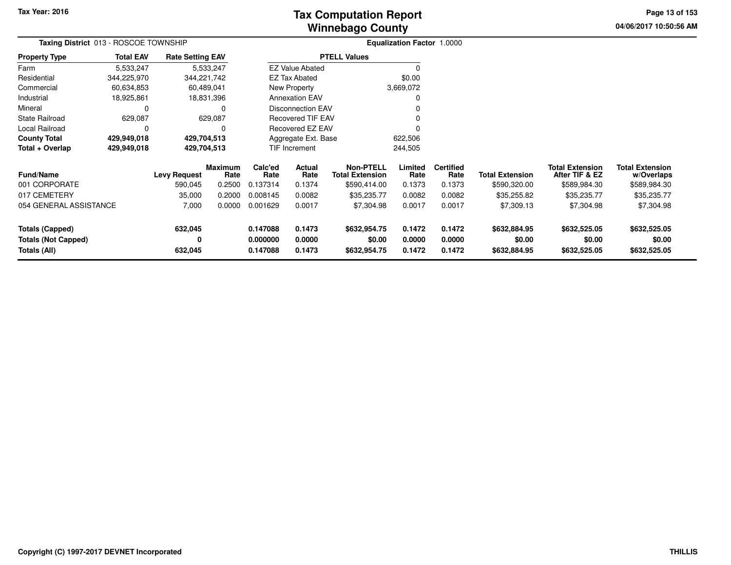# **Winnebago CountyTax Computation Report Tax**

**04/06/2017 10:50:56 AMPage 13 of 153**

|                                                                      | Taxing District 013 - ROSCOE TOWNSHIP |                         |                        |                                  |                                 |                                            | <b>Equalization Factor 1.0000</b> |                            |                                        |                                          |                                        |  |
|----------------------------------------------------------------------|---------------------------------------|-------------------------|------------------------|----------------------------------|---------------------------------|--------------------------------------------|-----------------------------------|----------------------------|----------------------------------------|------------------------------------------|----------------------------------------|--|
| <b>Property Type</b>                                                 | <b>Total EAV</b>                      | <b>Rate Setting EAV</b> |                        |                                  |                                 | <b>PTELL Values</b>                        |                                   |                            |                                        |                                          |                                        |  |
| Farm                                                                 | 5,533,247                             |                         | 5,533,247              |                                  | <b>EZ Value Abated</b>          |                                            |                                   |                            |                                        |                                          |                                        |  |
| Residential                                                          | 344,225,970                           | 344,221,742             |                        |                                  | <b>EZ Tax Abated</b>            |                                            | \$0.00                            |                            |                                        |                                          |                                        |  |
| Commercial                                                           | 60,634,853                            | 60,489,041              |                        |                                  | New Property                    |                                            | 3,669,072                         |                            |                                        |                                          |                                        |  |
| Industrial                                                           | 18,925,861                            | 18,831,396              |                        |                                  | <b>Annexation EAV</b>           |                                            |                                   |                            |                                        |                                          |                                        |  |
| Mineral                                                              |                                       |                         |                        |                                  | <b>Disconnection EAV</b>        |                                            |                                   |                            |                                        |                                          |                                        |  |
| <b>State Railroad</b>                                                | 629,087                               |                         | 629,087                |                                  | <b>Recovered TIF EAV</b>        |                                            |                                   |                            |                                        |                                          |                                        |  |
| Local Railroad                                                       | O                                     |                         |                        |                                  | Recovered EZ EAV                |                                            |                                   |                            |                                        |                                          |                                        |  |
| <b>County Total</b>                                                  | 429,949,018                           | 429,704,513             |                        | Aggregate Ext. Base<br>622,506   |                                 |                                            |                                   |                            |                                        |                                          |                                        |  |
| Total + Overlap                                                      | 429,949,018                           | 429,704,513             |                        |                                  | <b>TIF Increment</b><br>244,505 |                                            |                                   |                            |                                        |                                          |                                        |  |
| <b>Fund/Name</b>                                                     |                                       | <b>Levy Request</b>     | <b>Maximum</b><br>Rate | Calc'ed<br>Rate                  | Actual<br>Rate                  | <b>Non-PTELL</b><br><b>Total Extension</b> | Limited<br>Rate                   | <b>Certified</b><br>Rate   | <b>Total Extension</b>                 | <b>Total Extension</b><br>After TIF & EZ | <b>Total Extension</b><br>w/Overlaps   |  |
| 001 CORPORATE                                                        |                                       | 590,045                 | 0.2500                 | 0.137314                         | 0.1374                          | \$590,414.00                               | 0.1373                            | 0.1373                     | \$590,320.00                           | \$589,984.30                             | \$589,984.30                           |  |
| 017 CEMETERY                                                         |                                       | 35,000                  | 0.2000                 | 0.008145                         | 0.0082                          | \$35,235.77                                | 0.0082                            | 0.0082                     | \$35,255.82                            | \$35,235.77                              | \$35,235.77                            |  |
| 054 GENERAL ASSISTANCE                                               |                                       | 7,000                   | 0.0000                 | 0.001629                         | 0.0017                          | \$7,304.98                                 | 0.0017                            | 0.0017                     | \$7,309.13                             | \$7,304.98                               | \$7,304.98                             |  |
| <b>Totals (Capped)</b><br><b>Totals (Not Capped)</b><br>Totals (All) |                                       | 632,045<br>0<br>632,045 |                        | 0.147088<br>0.000000<br>0.147088 | 0.1473<br>0.0000<br>0.1473      | \$632,954.75<br>\$0.00<br>\$632,954.75     | 0.1472<br>0.0000<br>0.1472        | 0.1472<br>0.0000<br>0.1472 | \$632,884.95<br>\$0.00<br>\$632,884.95 | \$632,525.05<br>\$0.00<br>\$632,525.05   | \$632,525.05<br>\$0.00<br>\$632,525.05 |  |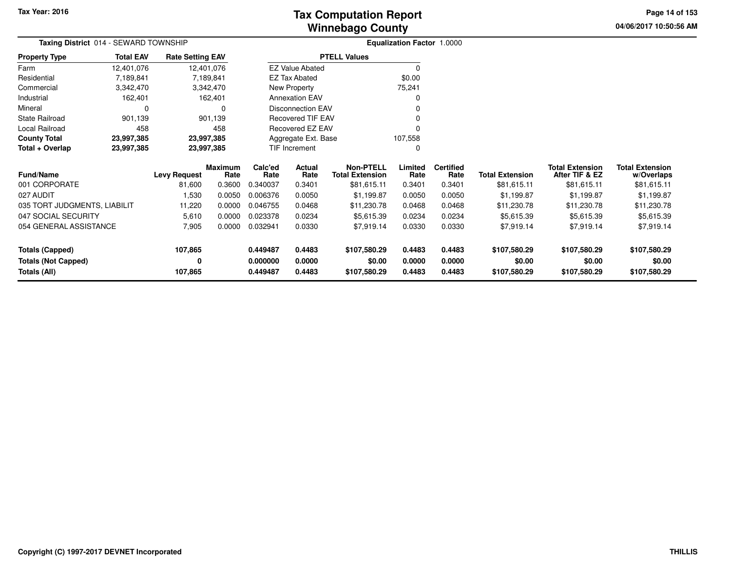**04/06/2017 10:50:56 AM Page 14 of 153**

| <b>Taxing District</b> 014 - SEWARD TOWNSHIP |                  | <b>Equalization Factor 1.0000</b> |                        |                 |                                     |                                            |                 |                          |                        |                                          |                                      |
|----------------------------------------------|------------------|-----------------------------------|------------------------|-----------------|-------------------------------------|--------------------------------------------|-----------------|--------------------------|------------------------|------------------------------------------|--------------------------------------|
| <b>Property Type</b>                         | <b>Total EAV</b> | <b>Rate Setting EAV</b>           |                        |                 |                                     | <b>PTELL Values</b>                        |                 |                          |                        |                                          |                                      |
| Farm                                         | 12,401,076       |                                   | 12,401,076             |                 | <b>EZ Value Abated</b>              |                                            | 0               |                          |                        |                                          |                                      |
| Residential                                  | 7,189,841        |                                   | 7,189,841              |                 | <b>EZ Tax Abated</b>                |                                            | \$0.00          |                          |                        |                                          |                                      |
| Commercial                                   | 3,342,470        |                                   | 3,342,470              |                 | New Property                        |                                            | 75,241          |                          |                        |                                          |                                      |
| Industrial                                   | 162,401          |                                   | 162,401                |                 | <b>Annexation EAV</b>               |                                            | O               |                          |                        |                                          |                                      |
| Mineral                                      | 0                |                                   | $\Omega$               |                 | <b>Disconnection EAV</b>            |                                            |                 |                          |                        |                                          |                                      |
| <b>State Railroad</b>                        | 901,139          |                                   | 901,139                |                 | <b>Recovered TIF EAV</b>            |                                            |                 |                          |                        |                                          |                                      |
| Local Railroad                               | 458              |                                   | 458                    |                 | Recovered EZ EAV                    |                                            | 0               |                          |                        |                                          |                                      |
| <b>County Total</b>                          | 23,997,385       |                                   | 23,997,385             |                 | 107,558<br>Aggregate Ext. Base<br>0 |                                            |                 |                          |                        |                                          |                                      |
| Total + Overlap                              | 23,997,385       |                                   | 23,997,385             |                 | TIF Increment                       |                                            |                 |                          |                        |                                          |                                      |
| <b>Fund/Name</b>                             |                  | <b>Levy Request</b>               | <b>Maximum</b><br>Rate | Calc'ed<br>Rate | Actual<br>Rate                      | <b>Non-PTELL</b><br><b>Total Extension</b> | Limited<br>Rate | <b>Certified</b><br>Rate | <b>Total Extension</b> | <b>Total Extension</b><br>After TIF & EZ | <b>Total Extension</b><br>w/Overlaps |
| 001 CORPORATE                                |                  | 81,600                            | 0.3600                 | 0.340037        | 0.3401                              | \$81,615.11                                | 0.3401          | 0.3401                   | \$81,615.11            | \$81,615.11                              | \$81,615.11                          |
| 027 AUDIT                                    |                  | 1,530                             | 0.0050                 | 0.006376        | 0.0050                              | \$1,199.87                                 | 0.0050          | 0.0050                   | \$1,199.87             | \$1,199.87                               | \$1,199.87                           |
| 035 TORT JUDGMENTS, LIABILIT                 |                  | 11,220                            | 0.0000                 | 0.046755        | 0.0468                              | \$11,230.78                                | 0.0468          | 0.0468                   | \$11,230.78            | \$11,230.78                              | \$11,230.78                          |
| 047 SOCIAL SECURITY                          |                  | 5,610                             | 0.0000                 | 0.023378        | 0.0234                              | \$5,615.39                                 | 0.0234          | 0.0234                   | \$5,615.39             | \$5,615.39                               | \$5,615.39                           |
| 054 GENERAL ASSISTANCE                       |                  | 7,905                             | 0.0000                 | 0.032941        | 0.0330                              | \$7,919.14                                 | 0.0330          | 0.0330                   | \$7,919.14             | \$7,919.14                               | \$7,919.14                           |
| <b>Totals (Capped)</b>                       |                  | 107,865                           |                        | 0.449487        | 0.4483                              | \$107,580.29                               | 0.4483          | 0.4483                   | \$107,580.29           | \$107,580.29                             | \$107,580.29                         |
| <b>Totals (Not Capped)</b>                   |                  | 0                                 |                        | 0.000000        | 0.0000                              | \$0.00                                     | 0.0000          | 0.0000                   | \$0.00                 | \$0.00                                   | \$0.00                               |
| <b>Totals (All)</b>                          |                  | 107,865                           |                        | 0.449487        | 0.4483                              | \$107,580.29                               | 0.4483          | 0.4483                   | \$107,580.29           | \$107,580.29                             | \$107,580.29                         |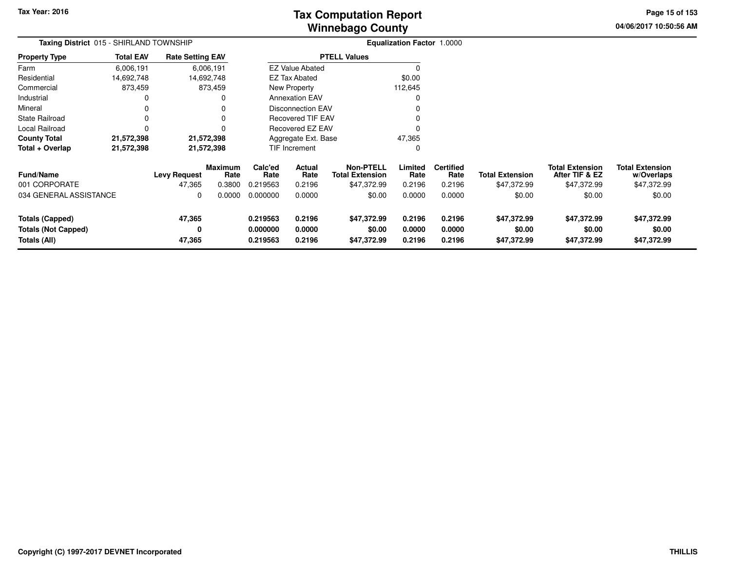# **Winnebago CountyTax Computation Report Tax**

**04/06/2017 10:50:56 AMPage 15 of 153**

|                                                               | Taxing District 015 - SHIRLAND TOWNSHIP |                               |                                  |                                  |                            |                                                           | <b>Equalization Factor 1.0000</b> |                                    |                                       |                                                         |                                                     |
|---------------------------------------------------------------|-----------------------------------------|-------------------------------|----------------------------------|----------------------------------|----------------------------|-----------------------------------------------------------|-----------------------------------|------------------------------------|---------------------------------------|---------------------------------------------------------|-----------------------------------------------------|
| <b>Property Type</b>                                          | <b>Total EAV</b>                        | <b>Rate Setting EAV</b>       |                                  |                                  |                            | <b>PTELL Values</b>                                       |                                   |                                    |                                       |                                                         |                                                     |
| Farm                                                          | 6,006,191                               |                               | 6,006,191                        |                                  | <b>EZ Value Abated</b>     |                                                           | $\Omega$                          |                                    |                                       |                                                         |                                                     |
| Residential                                                   | 14,692,748                              |                               | 14,692,748                       |                                  | EZ Tax Abated              |                                                           | \$0.00                            |                                    |                                       |                                                         |                                                     |
| Commercial                                                    | 873,459                                 |                               | 873,459                          |                                  | New Property               |                                                           | 112,645                           |                                    |                                       |                                                         |                                                     |
| Industrial                                                    | 0                                       |                               | 0                                |                                  | <b>Annexation EAV</b>      |                                                           | 0                                 |                                    |                                       |                                                         |                                                     |
| Mineral                                                       | 0                                       |                               | $\Omega$                         |                                  | <b>Disconnection EAV</b>   |                                                           | $\Omega$                          |                                    |                                       |                                                         |                                                     |
| <b>State Railroad</b>                                         | 0                                       |                               | $\mathbf 0$                      |                                  | <b>Recovered TIF EAV</b>   |                                                           | 0                                 |                                    |                                       |                                                         |                                                     |
| Local Railroad                                                | $\Omega$                                |                               | $\Omega$                         |                                  | Recovered EZ EAV           |                                                           | $\Omega$                          |                                    |                                       |                                                         |                                                     |
| <b>County Total</b>                                           | 21,572,398                              |                               | 21,572,398                       | 47,365<br>Aggregate Ext. Base    |                            |                                                           |                                   |                                    |                                       |                                                         |                                                     |
| Total + Overlap                                               | 21,572,398                              |                               | 21,572,398                       |                                  | <b>TIF Increment</b>       |                                                           | 0                                 |                                    |                                       |                                                         |                                                     |
| <b>Fund/Name</b><br>001 CORPORATE                             |                                         | <b>Levy Request</b><br>47,365 | <b>Maximum</b><br>Rate<br>0.3800 | Calc'ed<br>Rate<br>0.219563      | Actual<br>Rate<br>0.2196   | <b>Non-PTELL</b><br><b>Total Extension</b><br>\$47,372.99 | Limited<br>Rate<br>0.2196         | <b>Certified</b><br>Rate<br>0.2196 | <b>Total Extension</b><br>\$47,372.99 | <b>Total Extension</b><br>After TIF & EZ<br>\$47,372.99 | <b>Total Extension</b><br>w/Overlaps<br>\$47,372.99 |
| 034 GENERAL ASSISTANCE                                        |                                         | 0                             | 0.0000                           | 0.000000                         | 0.0000                     | \$0.00                                                    | 0.0000                            | 0.0000                             | \$0.00                                | \$0.00                                                  | \$0.00                                              |
| Totals (Capped)<br><b>Totals (Not Capped)</b><br>Totals (All) |                                         | 47,365<br>0<br>47,365         |                                  | 0.219563<br>0.000000<br>0.219563 | 0.2196<br>0.0000<br>0.2196 | \$47,372.99<br>\$0.00<br>\$47,372.99                      | 0.2196<br>0.0000<br>0.2196        | 0.2196<br>0.0000<br>0.2196         | \$47,372.99<br>\$0.00<br>\$47,372.99  | \$47,372.99<br>\$0.00<br>\$47,372.99                    | \$47,372.99<br>\$0.00<br>\$47,372.99                |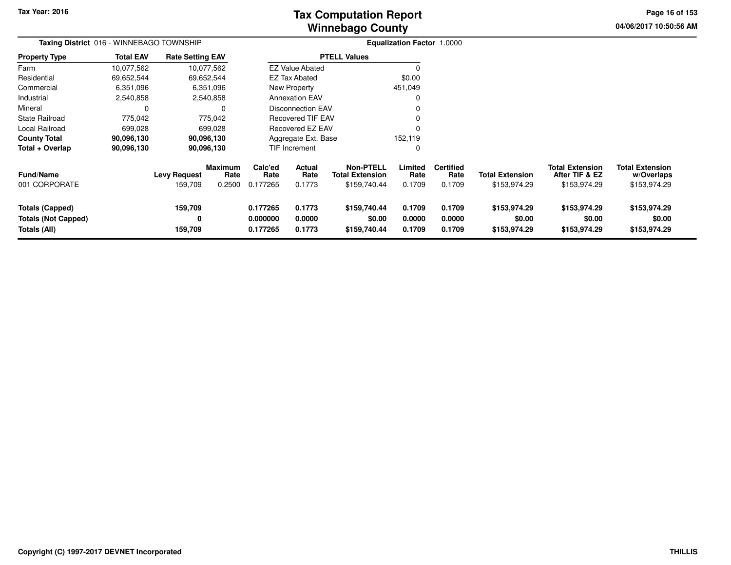# **Winnebago CountyTax Computation Report Tax**

**04/06/2017 10:50:56 AM Page 16 of 153**

| Taxing District 016 - WINNEBAGO TOWNSHIP                             |                  |                                |                                  |                                  |                                 |                                                     | Equalization Factor 1.0000 |                                    |                                        |                                                          |                                                      |
|----------------------------------------------------------------------|------------------|--------------------------------|----------------------------------|----------------------------------|---------------------------------|-----------------------------------------------------|----------------------------|------------------------------------|----------------------------------------|----------------------------------------------------------|------------------------------------------------------|
| <b>Property Type</b>                                                 | <b>Total EAV</b> | <b>Rate Setting EAV</b>        |                                  |                                  |                                 | <b>PTELL Values</b>                                 |                            |                                    |                                        |                                                          |                                                      |
| Farm                                                                 | 10,077,562       |                                | 10,077,562                       |                                  | <b>EZ Value Abated</b>          |                                                     |                            |                                    |                                        |                                                          |                                                      |
| Residential                                                          | 69,652,544       |                                | 69,652,544                       |                                  | <b>EZ Tax Abated</b>            |                                                     | \$0.00                     |                                    |                                        |                                                          |                                                      |
| Commercial                                                           | 6,351,096        |                                | 6,351,096                        |                                  | New Property                    |                                                     | 451,049                    |                                    |                                        |                                                          |                                                      |
| Industrial                                                           | 2,540,858        |                                | 2,540,858                        |                                  | <b>Annexation EAV</b>           |                                                     |                            |                                    |                                        |                                                          |                                                      |
| Mineral                                                              | $\Omega$         |                                | $\Omega$                         |                                  | <b>Disconnection EAV</b>        |                                                     |                            |                                    |                                        |                                                          |                                                      |
| <b>State Railroad</b>                                                | 775,042          |                                | 775,042                          |                                  | <b>Recovered TIF EAV</b>        |                                                     |                            |                                    |                                        |                                                          |                                                      |
| <b>Local Railroad</b>                                                | 699,028          |                                | 699,028                          | Recovered EZ EAV                 |                                 |                                                     |                            |                                    |                                        |                                                          |                                                      |
| <b>County Total</b>                                                  | 90,096,130       |                                | 90,096,130                       |                                  | Aggregate Ext. Base             | 152,119                                             |                            |                                    |                                        |                                                          |                                                      |
| Total + Overlap                                                      | 90,096,130       |                                | 90,096,130                       |                                  | <b>TIF Increment</b>            |                                                     |                            |                                    |                                        |                                                          |                                                      |
| <b>Fund/Name</b><br>001 CORPORATE                                    |                  | <b>Levy Request</b><br>159,709 | <b>Maximum</b><br>Rate<br>0.2500 | Calc'ed<br>Rate<br>0.177265      | <b>Actual</b><br>Rate<br>0.1773 | <b>Non-PTELL</b><br>Total Extension<br>\$159,740.44 | Limited<br>Rate<br>0.1709  | <b>Certified</b><br>Rate<br>0.1709 | <b>Total Extension</b><br>\$153,974.29 | <b>Total Extension</b><br>After TIF & EZ<br>\$153,974.29 | <b>Total Extension</b><br>w/Overlaps<br>\$153,974.29 |
| <b>Totals (Capped)</b><br><b>Totals (Not Capped)</b><br>Totals (All) |                  | 159,709<br>0<br>159,709        |                                  | 0.177265<br>0.000000<br>0.177265 | 0.1773<br>0.0000<br>0.1773      | \$159,740.44<br>\$0.00<br>\$159,740.44              | 0.1709<br>0.0000<br>0.1709 | 0.1709<br>0.0000<br>0.1709         | \$153,974.29<br>\$0.00<br>\$153,974.29 | \$153,974.29<br>\$0.00<br>\$153,974.29                   | \$153,974.29<br>\$0.00<br>\$153,974.29               |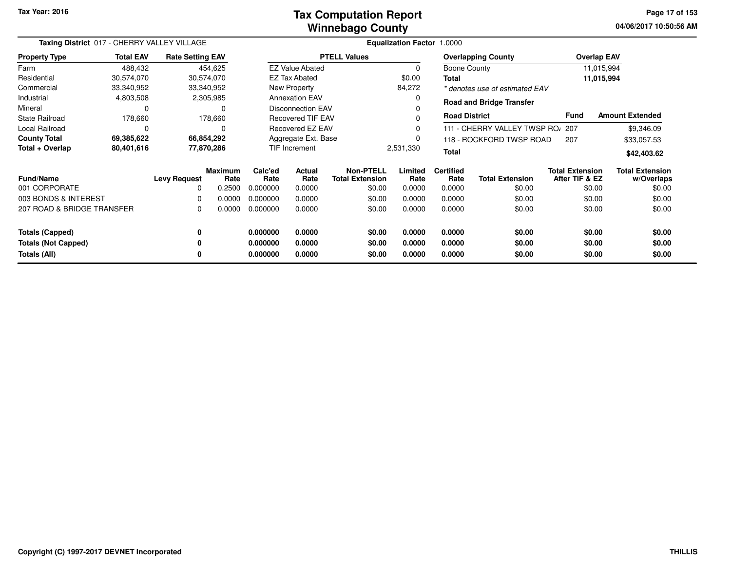#### **Winnebago CountyTax Computation Report Tax**

**04/06/2017 10:50:56 AMPage 17 of 153**

| Taxing District 017 - CHERRY VALLEY VILLAGE |                  |                         |                        |                            | Equalization Factor 1.0000 |                                     |                 |                          |                                  |                                          |                                      |  |
|---------------------------------------------|------------------|-------------------------|------------------------|----------------------------|----------------------------|-------------------------------------|-----------------|--------------------------|----------------------------------|------------------------------------------|--------------------------------------|--|
| <b>Property Type</b>                        | <b>Total EAV</b> | <b>Rate Setting EAV</b> |                        |                            |                            | <b>PTELL Values</b>                 |                 |                          | <b>Overlapping County</b>        |                                          | <b>Overlap EAV</b>                   |  |
| Farm                                        | 488,432          |                         | 454,625                |                            | <b>EZ Value Abated</b>     |                                     | 0               | Boone County             |                                  |                                          | 11,015,994                           |  |
| Residential                                 | 30,574,070       | 30,574,070              |                        |                            | <b>EZ Tax Abated</b>       |                                     | \$0.00          | <b>Total</b>             |                                  |                                          | 11,015,994                           |  |
| Commercial                                  | 33,340,952       | 33,340,952              |                        |                            | New Property               |                                     | 84,272          |                          | * denotes use of estimated EAV   |                                          |                                      |  |
| Industrial                                  | 4,803,508        |                         | 2,305,985              |                            | <b>Annexation EAV</b>      |                                     | 0               |                          | <b>Road and Bridge Transfer</b>  |                                          |                                      |  |
| Mineral                                     | 0                |                         | 0                      |                            | <b>Disconnection EAV</b>   |                                     | 0               |                          |                                  |                                          |                                      |  |
| <b>State Railroad</b>                       | 178,660          |                         | 178,660                |                            | <b>Recovered TIF EAV</b>   |                                     | U               | <b>Road District</b>     |                                  | Fund                                     | <b>Amount Extended</b>               |  |
| Local Railroad                              | 0                |                         | 0                      |                            | Recovered EZ EAV           |                                     | 0               |                          | 111 - CHERRY VALLEY TWSP RO/ 207 |                                          | \$9,346.09                           |  |
| <b>County Total</b>                         | 69,385,622       | 66,854,292              |                        | Aggregate Ext. Base<br>0   |                            |                                     |                 | 118 - ROCKFORD TWSP ROAD | 207                              | \$33,057.53                              |                                      |  |
| Total + Overlap                             | 80,401,616       | 77,870,286              |                        | TIF Increment<br>2,531,330 |                            |                                     | <b>Total</b>    |                          |                                  | \$42,403.62                              |                                      |  |
| Fund/Name                                   |                  | <b>Levy Request</b>     | <b>Maximum</b><br>Rate | Calc'ed<br>Rate            | Actual<br>Rate             | Non-PTELL<br><b>Total Extension</b> | Limited<br>Rate | <b>Certified</b><br>Rate | <b>Total Extension</b>           | <b>Total Extension</b><br>After TIF & EZ | <b>Total Extension</b><br>w/Overlaps |  |
| 001 CORPORATE                               |                  | 0                       | 0.2500                 | 0.000000                   | 0.0000                     | \$0.00                              | 0.0000          | 0.0000                   | \$0.00                           | \$0.00                                   | \$0.00                               |  |
| 003 BONDS & INTEREST                        |                  | 0                       | 0.0000                 | 0.000000                   | 0.0000                     | \$0.00                              | 0.0000          | 0.0000                   | \$0.00                           | \$0.00                                   | \$0.00                               |  |
| 207 ROAD & BRIDGE TRANSFER                  |                  | 0                       | 0.0000                 | 0.000000                   | 0.0000                     | \$0.00                              | 0.0000          | 0.0000                   | \$0.00                           | \$0.00                                   | \$0.00                               |  |
| <b>Totals (Capped)</b>                      |                  | 0                       |                        | 0.000000                   | 0.0000                     | \$0.00                              | 0.0000          | 0.0000                   | \$0.00                           | \$0.00                                   | \$0.00                               |  |
| <b>Totals (Not Capped)</b>                  |                  | 0                       |                        | 0.000000                   | 0.0000                     | \$0.00                              | 0.0000          | 0.0000                   | \$0.00                           | \$0.00                                   | \$0.00                               |  |
| Totals (All)                                |                  | 0                       |                        | 0.000000                   | 0.0000                     | \$0.00                              | 0.0000          | 0.0000                   | \$0.00                           | \$0.00                                   | \$0.00                               |  |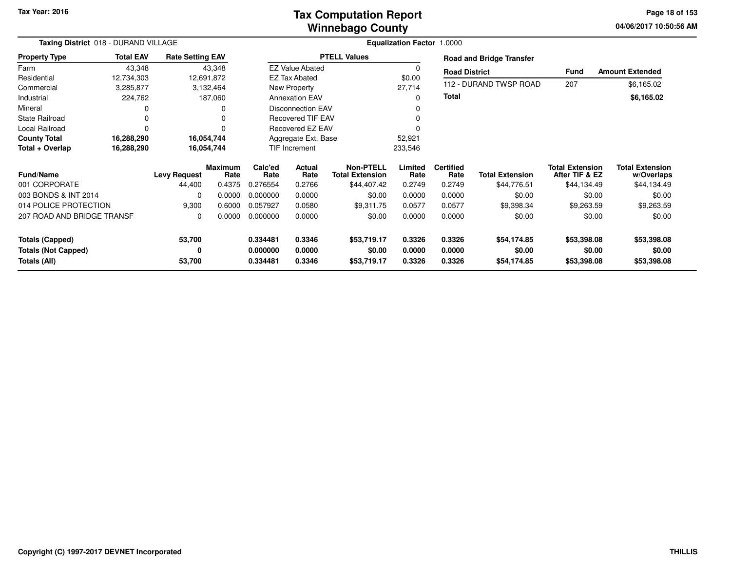### **Winnebago CountyTax Computation Report**

**04/06/2017 10:50:56 AM Page 18 of 153**

| Taxing District 018 - DURAND VILLAGE       |                  |                         | Equalization Factor 1.0000 |                          |                        |                                            |                  |                          |                                 |                                          |                                      |
|--------------------------------------------|------------------|-------------------------|----------------------------|--------------------------|------------------------|--------------------------------------------|------------------|--------------------------|---------------------------------|------------------------------------------|--------------------------------------|
| <b>Property Type</b>                       | <b>Total EAV</b> | <b>Rate Setting EAV</b> |                            |                          |                        | <b>PTELL Values</b>                        |                  |                          | <b>Road and Bridge Transfer</b> |                                          |                                      |
| Farm                                       | 43,348           |                         | 43,348                     |                          | <b>EZ Value Abated</b> |                                            |                  | <b>Road District</b>     |                                 | Fund                                     | <b>Amount Extended</b>               |
| Residential                                | 12,734,303       |                         | 12,691,872                 |                          | <b>EZ Tax Abated</b>   |                                            | \$0.00           |                          |                                 |                                          |                                      |
| Commercial                                 | 3,285,877        |                         | 3,132,464                  |                          | New Property           |                                            | 27,714           |                          | 112 - DURAND TWSP ROAD          | 207                                      | \$6,165.02                           |
| Industrial                                 | 224,762          |                         | 187,060                    |                          | <b>Annexation EAV</b>  |                                            |                  | <b>Total</b>             |                                 |                                          | \$6,165.02                           |
| Mineral                                    | 0                |                         |                            |                          | Disconnection EAV      |                                            |                  |                          |                                 |                                          |                                      |
| <b>State Railroad</b>                      | $\Omega$         |                         |                            | <b>Recovered TIF EAV</b> |                        |                                            |                  |                          |                                 |                                          |                                      |
| Local Railroad                             | 0                |                         |                            |                          | Recovered EZ EAV       |                                            |                  |                          |                                 |                                          |                                      |
| <b>County Total</b>                        | 16,288,290       |                         | 16,054,744                 |                          | Aggregate Ext. Base    |                                            | 52,921           |                          |                                 |                                          |                                      |
| Total + Overlap                            | 16,288,290       |                         | 16,054,744                 | TIF Increment            |                        |                                            | 233,546          |                          |                                 |                                          |                                      |
| <b>Fund/Name</b>                           |                  | <b>Levy Request</b>     | <b>Maximum</b><br>Rate     | Calc'ed<br>Rate          | Actual<br>Rate         | <b>Non-PTELL</b><br><b>Total Extension</b> | Limited<br>Rate  | <b>Certified</b><br>Rate | <b>Total Extension</b>          | <b>Total Extension</b><br>After TIF & EZ | <b>Total Extension</b><br>w/Overlaps |
| 001 CORPORATE                              |                  | 44,400                  | 0.4375                     | 0.276554                 | 0.2766                 | \$44,407.42                                | 0.2749           | 0.2749                   | \$44,776.51                     | \$44,134.49                              | \$44,134.49                          |
| 003 BONDS & INT 2014                       |                  | 0                       | 0.0000                     | 0.000000                 | 0.0000                 | \$0.00                                     | 0.0000           | 0.0000                   | \$0.00                          | \$0.00                                   | \$0.00                               |
| 014 POLICE PROTECTION                      |                  | 9,300                   | 0.6000                     | 0.057927                 | 0.0580                 | \$9,311.75                                 | 0.0577           | 0.0577                   | \$9,398.34                      | \$9,263.59                               | \$9,263.59                           |
| 207 ROAD AND BRIDGE TRANSF                 |                  | 0                       | 0.0000                     | 0.000000                 | 0.0000                 | \$0.00                                     | 0.0000           | 0.0000                   | \$0.00                          | \$0.00                                   | \$0.00                               |
| <b>Totals (Capped)</b>                     |                  | 53,700                  |                            | 0.334481                 | 0.3346                 | \$53,719.17                                | 0.3326           | 0.3326                   | \$54,174.85                     | \$53,398.08                              | \$53,398.08                          |
| <b>Totals (Not Capped)</b><br>Totals (All) |                  | 0<br>53,700             |                            | 0.000000<br>0.334481     | 0.0000<br>0.3346       | \$0.00<br>\$53,719.17                      | 0.0000<br>0.3326 | 0.0000<br>0.3326         | \$0.00<br>\$54,174.85           | \$0.00<br>\$53,398.08                    | \$0.00<br>\$53,398.08                |
|                                            |                  |                         |                            |                          |                        |                                            |                  |                          |                                 |                                          |                                      |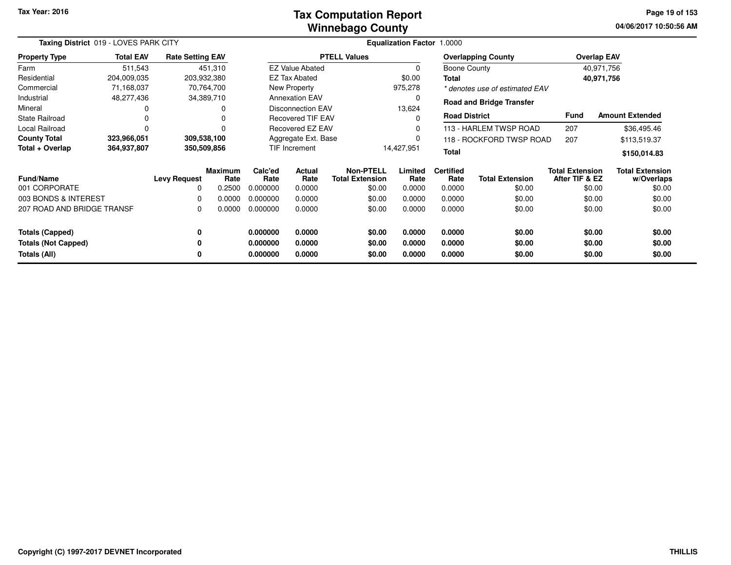#### **Winnebago CountyTax Computation Report Tax**

**04/06/2017 10:50:56 AMPage 19 of 153**

| Taxing District 019 - LOVES PARK CITY |                  |                         |                 |                                            |                          |                                            | <b>Equalization Factor 1.0000</b> |                          |                                 |                                          |                                      |
|---------------------------------------|------------------|-------------------------|-----------------|--------------------------------------------|--------------------------|--------------------------------------------|-----------------------------------|--------------------------|---------------------------------|------------------------------------------|--------------------------------------|
| <b>Property Type</b>                  | <b>Total EAV</b> | <b>Rate Setting EAV</b> |                 |                                            |                          | <b>PTELL Values</b>                        |                                   |                          | <b>Overlapping County</b>       |                                          | <b>Overlap EAV</b>                   |
| Farm                                  | 511,543          |                         | 451,310         |                                            | <b>EZ Value Abated</b>   |                                            | $\Omega$                          | Boone County             |                                 |                                          | 40,971,756                           |
| Residential                           | 204,009,035      | 203,932,380             |                 |                                            | <b>EZ Tax Abated</b>     |                                            | \$0.00                            | <b>Total</b>             |                                 |                                          | 40,971,756                           |
| Commercial                            | 71,168,037       |                         | 70,764,700      |                                            | New Property             |                                            | 975,278                           |                          | * denotes use of estimated EAV  |                                          |                                      |
| Industrial                            | 48,277,436       |                         | 34,389,710      |                                            | <b>Annexation EAV</b>    |                                            |                                   |                          | <b>Road and Bridge Transfer</b> |                                          |                                      |
| Mineral                               | 0                |                         |                 |                                            | Disconnection EAV        |                                            | 13,624                            |                          |                                 |                                          |                                      |
| <b>State Railroad</b>                 | 0                |                         |                 |                                            | <b>Recovered TIF EAV</b> |                                            |                                   | <b>Road District</b>     |                                 | <b>Fund</b>                              | <b>Amount Extended</b>               |
| Local Railroad                        | 0                |                         |                 | Recovered EZ EAV<br>113 - HARLEM TWSP ROAD |                          |                                            | 207                               | \$36,495.46              |                                 |                                          |                                      |
| <b>County Total</b>                   | 323,966,051      | 309,538,100             |                 | Aggregate Ext. Base                        |                          |                                            |                                   |                          | 118 - ROCKFORD TWSP ROAD        | 207                                      | \$113,519.37                         |
| Total + Overlap                       | 364,937,807      | 350,509,856             |                 |                                            | TIF Increment            |                                            | 14,427,951<br><b>Total</b>        |                          |                                 | \$150,014.83                             |                                      |
| <b>Fund/Name</b>                      |                  | <b>Levy Request</b>     | Maximum<br>Rate | Calc'ed<br>Rate                            | <b>Actual</b><br>Rate    | <b>Non-PTELL</b><br><b>Total Extension</b> | Limited<br>Rate                   | <b>Certified</b><br>Rate | <b>Total Extension</b>          | <b>Total Extension</b><br>After TIF & EZ | <b>Total Extension</b><br>w/Overlaps |
| 001 CORPORATE                         |                  | 0                       | 0.2500          | 0.000000                                   | 0.0000                   | \$0.00                                     | 0.0000                            | 0.0000                   | \$0.00                          | \$0.00                                   | \$0.00                               |
| 003 BONDS & INTEREST                  |                  | 0                       | 0.0000          | 0.000000                                   | 0.0000                   | \$0.00                                     | 0.0000                            | 0.0000                   | \$0.00                          | \$0.00                                   | \$0.00                               |
| 207 ROAD AND BRIDGE TRANSF            |                  | 0                       | 0.0000          | 0.000000                                   | 0.0000                   | \$0.00                                     | 0.0000                            | 0.0000                   | \$0.00                          | \$0.00                                   | \$0.00                               |
| <b>Totals (Capped)</b>                |                  | 0                       |                 | 0.000000                                   | 0.0000                   | \$0.00                                     | 0.0000                            | 0.0000                   | \$0.00                          | \$0.00                                   | \$0.00                               |
| <b>Totals (Not Capped)</b>            |                  | 0                       |                 | 0.000000                                   | 0.0000                   | \$0.00                                     | 0.0000                            | 0.0000                   | \$0.00                          | \$0.00                                   | \$0.00                               |
| Totals (All)                          |                  | 0                       |                 | 0.000000                                   | 0.0000                   | \$0.00                                     | 0.0000                            | 0.0000                   | \$0.00                          | \$0.00                                   | \$0.00                               |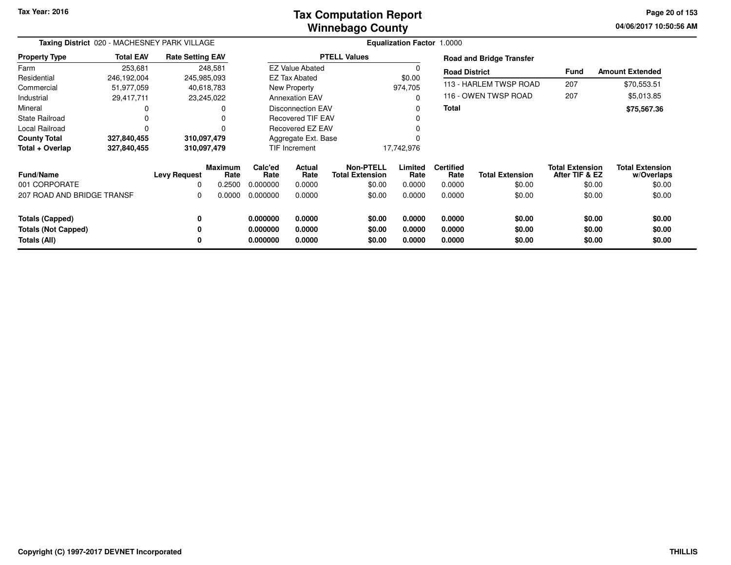### **Winnebago CountyTax Computation Report**

**04/06/2017 10:50:56 AM Page 20 of 153**

÷

|                            | Taxing District 020 - MACHESNEY PARK VILLAGE |                         |                        |                 | Equalization Factor 1.0000 |                                            |                 |                          |                                 |                                          |                                      |  |  |
|----------------------------|----------------------------------------------|-------------------------|------------------------|-----------------|----------------------------|--------------------------------------------|-----------------|--------------------------|---------------------------------|------------------------------------------|--------------------------------------|--|--|
| <b>Property Type</b>       | <b>Total EAV</b>                             | <b>Rate Setting EAV</b> |                        |                 |                            | <b>PTELL Values</b>                        |                 |                          | <b>Road and Bridge Transfer</b> |                                          |                                      |  |  |
| Farm                       | 253,681                                      |                         | 248,581                |                 | <b>EZ Value Abated</b>     |                                            | 0               | <b>Road District</b>     |                                 | <b>Fund</b>                              | <b>Amount Extended</b>               |  |  |
| Residential                | 246,192,004                                  | 245,985,093             |                        |                 | <b>EZ Tax Abated</b>       |                                            | \$0.00          |                          |                                 |                                          |                                      |  |  |
| Commercial                 | 51,977,059                                   |                         | 40,618,783             |                 | New Property               |                                            | 974,705         |                          | 113 - HARLEM TWSP ROAD          | 207                                      | \$70,553.51                          |  |  |
| Industrial                 | 29,417,711                                   |                         | 23,245,022             |                 | <b>Annexation EAV</b>      |                                            | $\mathbf 0$     |                          | 116 - OWEN TWSP ROAD            | 207                                      | \$5,013.85                           |  |  |
| Mineral                    |                                              |                         |                        |                 | Disconnection EAV          |                                            | $\Omega$        | <b>Total</b>             |                                 |                                          | \$75,567.36                          |  |  |
| <b>State Railroad</b>      |                                              |                         |                        |                 | <b>Recovered TIF EAV</b>   |                                            | 0               |                          |                                 |                                          |                                      |  |  |
| Local Railroad             |                                              |                         |                        |                 | Recovered EZ EAV           |                                            |                 |                          |                                 |                                          |                                      |  |  |
| <b>County Total</b>        | 327,840,455                                  | 310,097,479             |                        |                 | Aggregate Ext. Base        |                                            |                 |                          |                                 |                                          |                                      |  |  |
| Total + Overlap            | 327,840,455                                  | 310,097,479             |                        |                 | TIF Increment              |                                            | 17,742,976      |                          |                                 |                                          |                                      |  |  |
| <b>Fund/Name</b>           |                                              | <b>Levy Request</b>     | <b>Maximum</b><br>Rate | Calc'ed<br>Rate | <b>Actual</b><br>Rate      | <b>Non-PTELL</b><br><b>Total Extension</b> | Limited<br>Rate | <b>Certified</b><br>Rate | <b>Total Extension</b>          | <b>Total Extension</b><br>After TIF & EZ | <b>Total Extension</b><br>w/Overlaps |  |  |
| 001 CORPORATE              |                                              | 0                       | 0.2500                 | 0.000000        | 0.0000                     | \$0.00                                     | 0.0000          | 0.0000                   | \$0.00                          | \$0.00                                   | \$0.00                               |  |  |
| 207 ROAD AND BRIDGE TRANSF |                                              | 0                       | 0.0000                 | 0.000000        | 0.0000                     | \$0.00                                     | 0.0000          | 0.0000                   | \$0.00                          | \$0.00                                   | \$0.00                               |  |  |
| <b>Totals (Capped)</b>     |                                              | 0                       |                        | 0.000000        | 0.0000                     | \$0.00                                     | 0.0000          | 0.0000                   | \$0.00                          | \$0.00                                   | \$0.00                               |  |  |
| <b>Totals (Not Capped)</b> |                                              | 0                       |                        | 0.000000        | 0.0000                     | \$0.00                                     | 0.0000          | 0.0000                   | \$0.00                          | \$0.00                                   | \$0.00                               |  |  |
| Totals (All)               |                                              | 0                       |                        | 0.000000        | 0.0000                     | \$0.00                                     | 0.0000          | 0.0000                   | \$0.00                          | \$0.00                                   | \$0.00                               |  |  |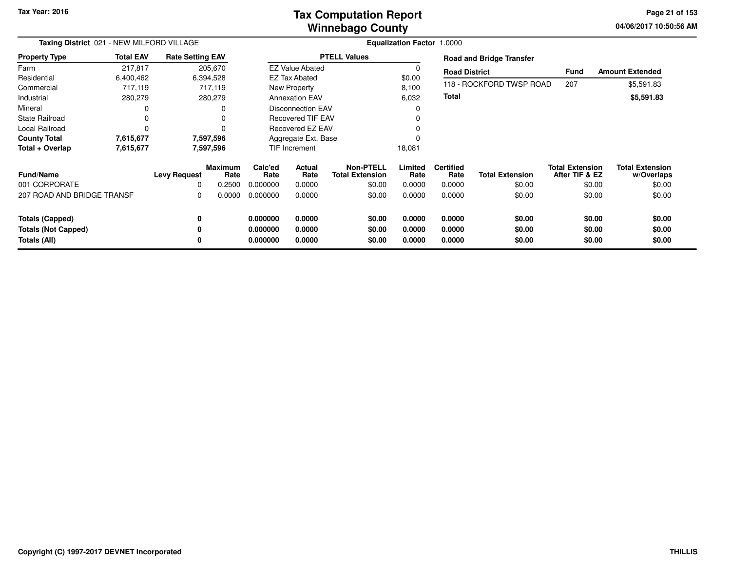### **Winnebago CountyTax Computation Report Tax**

**04/06/2017 10:50:56 AM Page 21 of 153**

| Taxing District 021 - NEW MILFORD VILLAGE |                  |                         |                 |                 |                          | <b>Equalization Factor 1.0000</b>          |                 |                          |                                 |                                          |                                      |
|-------------------------------------------|------------------|-------------------------|-----------------|-----------------|--------------------------|--------------------------------------------|-----------------|--------------------------|---------------------------------|------------------------------------------|--------------------------------------|
| <b>Property Type</b>                      | <b>Total EAV</b> | <b>Rate Setting EAV</b> |                 |                 |                          | <b>PTELL Values</b>                        |                 |                          | <b>Road and Bridge Transfer</b> |                                          |                                      |
| Farm                                      | 217,817          |                         | 205,670         |                 | <b>EZ Value Abated</b>   |                                            |                 | <b>Road District</b>     |                                 | <b>Fund</b>                              | <b>Amount Extended</b>               |
| Residential                               | 6,400,462        |                         | 6,394,528       |                 | <b>EZ Tax Abated</b>     |                                            | \$0.00          |                          |                                 |                                          |                                      |
| Commercial                                | 717,119          |                         | 717,119         |                 | New Property             |                                            | 8,100           |                          | 118 - ROCKFORD TWSP ROAD        | 207                                      | \$5,591.83                           |
| Industrial                                | 280,279          |                         | 280,279         |                 | <b>Annexation EAV</b>    |                                            | 6,032           | <b>Total</b>             |                                 |                                          | \$5,591.83                           |
| Mineral                                   | 0                |                         |                 |                 | <b>Disconnection EAV</b> |                                            |                 |                          |                                 |                                          |                                      |
| <b>State Railroad</b>                     | 0                |                         |                 |                 | <b>Recovered TIF EAV</b> |                                            |                 |                          |                                 |                                          |                                      |
| <b>Local Railroad</b>                     | 0                |                         |                 |                 | Recovered EZ EAV         |                                            |                 |                          |                                 |                                          |                                      |
| <b>County Total</b>                       | 7,615,677        |                         | 7,597,596       |                 | Aggregate Ext. Base      |                                            |                 |                          |                                 |                                          |                                      |
| Total + Overlap                           | 7,615,677        |                         | 7,597,596       |                 | TIF Increment            |                                            | 18,081          |                          |                                 |                                          |                                      |
| <b>Fund/Name</b>                          |                  | <b>Levy Request</b>     | Maximum<br>Rate | Calc'ed<br>Rate | Actual<br>Rate           | <b>Non-PTELL</b><br><b>Total Extension</b> | Limited<br>Rate | <b>Certified</b><br>Rate | <b>Total Extension</b>          | <b>Total Extension</b><br>After TIF & EZ | <b>Total Extension</b><br>w/Overlaps |
| 001 CORPORATE                             |                  | $\Omega$                | 0.2500          | 0.000000        | 0.0000                   | \$0.00                                     | 0.0000          | 0.0000                   | \$0.00                          | \$0.00                                   | \$0.00                               |
| 207 ROAD AND BRIDGE TRANSF                |                  | 0                       | 0.0000          | 0.000000        | 0.0000                   | \$0.00                                     | 0.0000          | 0.0000                   | \$0.00                          | \$0.00                                   | \$0.00                               |
| <b>Totals (Capped)</b>                    |                  | 0                       |                 | 0.000000        | 0.0000                   | \$0.00                                     | 0.0000          | 0.0000                   | \$0.00                          | \$0.00                                   | \$0.00                               |
| <b>Totals (Not Capped)</b>                |                  | 0                       |                 | 0.000000        | 0.0000                   | \$0.00                                     | 0.0000          | 0.0000                   | \$0.00                          | \$0.00                                   | \$0.00                               |
| Totals (All)                              |                  |                         |                 | 0.000000        | 0.0000                   | \$0.00                                     | 0.0000          | 0.0000                   | \$0.00                          | \$0.00                                   | \$0.00                               |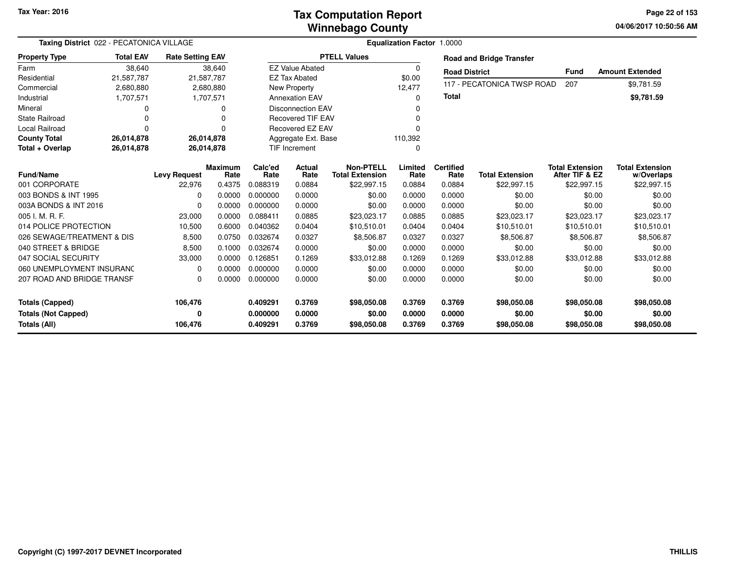### **Winnebago CountyTax Computation Report**

**04/06/2017 10:50:56 AM Page 22 of 153**

| Taxing District 022 - PECATONICA VILLAGE                             |                  |                         |                        | Equalization Factor 1.0000       |                            |                                            |                            |                            |                                      |                                          |                                      |  |  |
|----------------------------------------------------------------------|------------------|-------------------------|------------------------|----------------------------------|----------------------------|--------------------------------------------|----------------------------|----------------------------|--------------------------------------|------------------------------------------|--------------------------------------|--|--|
| <b>Property Type</b>                                                 | <b>Total EAV</b> | <b>Rate Setting EAV</b> |                        |                                  |                            | <b>PTELL Values</b>                        |                            |                            | <b>Road and Bridge Transfer</b>      |                                          |                                      |  |  |
| Farm                                                                 | 38,640           |                         | 38,640                 |                                  | <b>EZ Value Abated</b>     |                                            | $\Omega$                   | <b>Road District</b>       |                                      | <b>Fund</b>                              | <b>Amount Extended</b>               |  |  |
| Residential                                                          | 21,587,787       | 21,587,787              |                        |                                  | <b>EZ Tax Abated</b>       |                                            | \$0.00                     |                            |                                      |                                          |                                      |  |  |
| Commercial                                                           | 2,680,880        |                         | 2,680,880              |                                  | New Property               |                                            | 12,477                     |                            | 117 - PECATONICA TWSP ROAD           | 207                                      | \$9,781.59                           |  |  |
| Industrial                                                           | 1,707,571        |                         | 1,707,571              |                                  | <b>Annexation EAV</b>      |                                            | O                          | <b>Total</b>               |                                      |                                          | \$9,781.59                           |  |  |
| Mineral                                                              | 0                |                         | 0                      |                                  | Disconnection EAV          |                                            |                            |                            |                                      |                                          |                                      |  |  |
| <b>State Railroad</b>                                                | 0                |                         | O                      |                                  | <b>Recovered TIF EAV</b>   |                                            |                            |                            |                                      |                                          |                                      |  |  |
| <b>Local Railroad</b>                                                | $\Omega$         |                         | 0                      |                                  | Recovered EZ EAV           |                                            |                            |                            |                                      |                                          |                                      |  |  |
| <b>County Total</b>                                                  | 26,014,878       | 26,014,878              |                        | Aggregate Ext. Base              |                            |                                            | 110,392                    |                            |                                      |                                          |                                      |  |  |
| Total + Overlap                                                      | 26,014,878       | 26,014,878              |                        | TIF Increment                    |                            | $\Omega$                                   |                            |                            |                                      |                                          |                                      |  |  |
| <b>Fund/Name</b>                                                     |                  | <b>Levy Request</b>     | <b>Maximum</b><br>Rate | Calc'ed<br>Rate                  | Actual<br>Rate             | <b>Non-PTELL</b><br><b>Total Extension</b> | Limited<br>Rate            | <b>Certified</b><br>Rate   | <b>Total Extension</b>               | <b>Total Extension</b><br>After TIF & EZ | <b>Total Extension</b><br>w/Overlaps |  |  |
| 001 CORPORATE                                                        |                  | 22,976                  | 0.4375                 | 0.088319                         | 0.0884                     | \$22,997.15                                | 0.0884                     | 0.0884                     | \$22,997.15                          | \$22,997.15                              | \$22,997.15                          |  |  |
| 003 BONDS & INT 1995                                                 |                  | <sup>0</sup>            | 0.0000                 | 0.000000                         | 0.0000                     | \$0.00                                     | 0.0000                     | 0.0000                     | \$0.00                               | \$0.00                                   | \$0.00                               |  |  |
| 003A BONDS & INT 2016                                                |                  | $\Omega$                | 0.0000                 | 0.000000                         | 0.0000                     | \$0.00                                     | 0.0000                     | 0.0000                     | \$0.00                               | \$0.00                                   | \$0.00                               |  |  |
| 005 I. M. R. F.                                                      |                  | 23,000                  | 0.0000                 | 0.088411                         | 0.0885                     | \$23,023.17                                | 0.0885                     | 0.0885                     | \$23,023.17                          | \$23,023.17                              | \$23,023.17                          |  |  |
| 014 POLICE PROTECTION                                                |                  | 10,500                  | 0.6000                 | 0.040362                         | 0.0404                     | \$10,510.01                                | 0.0404                     | 0.0404                     | \$10,510.01                          | \$10,510.01                              | \$10,510.01                          |  |  |
| 026 SEWAGE/TREATMENT & DIS                                           |                  | 8,500                   | 0.0750                 | 0.032674                         | 0.0327                     | \$8,506.87                                 | 0.0327                     | 0.0327                     | \$8,506.87                           | \$8,506.87                               | \$8,506.87                           |  |  |
| 040 STREET & BRIDGE                                                  |                  | 8,500                   | 0.1000                 | 0.032674                         | 0.0000                     | \$0.00                                     | 0.0000                     | 0.0000                     | \$0.00                               | \$0.00                                   | \$0.00                               |  |  |
| 047 SOCIAL SECURITY                                                  |                  | 33,000                  | 0.0000                 | 0.126851                         | 0.1269                     | \$33,012.88                                | 0.1269                     | 0.1269                     | \$33,012.88                          | \$33,012.88                              | \$33,012.88                          |  |  |
| 060 UNEMPLOYMENT INSURANC                                            |                  | $\Omega$                | 0.0000                 | 0.000000                         | 0.0000                     | \$0.00                                     | 0.0000                     | 0.0000                     | \$0.00                               | \$0.00                                   | \$0.00                               |  |  |
| 207 ROAD AND BRIDGE TRANSF                                           |                  | $\Omega$                | 0.0000                 | 0.000000                         | 0.0000                     | \$0.00                                     | 0.0000                     | 0.0000                     | \$0.00                               | \$0.00                                   | \$0.00                               |  |  |
| <b>Totals (Capped)</b><br><b>Totals (Not Capped)</b><br>Totals (All) |                  | 106,476<br>0<br>106,476 |                        | 0.409291<br>0.000000<br>0.409291 | 0.3769<br>0.0000<br>0.3769 | \$98,050.08<br>\$0.00<br>\$98,050.08       | 0.3769<br>0.0000<br>0.3769 | 0.3769<br>0.0000<br>0.3769 | \$98,050.08<br>\$0.00<br>\$98,050.08 | \$98,050.08<br>\$0.00<br>\$98,050.08     | \$98,050.08<br>\$0.00<br>\$98,050.08 |  |  |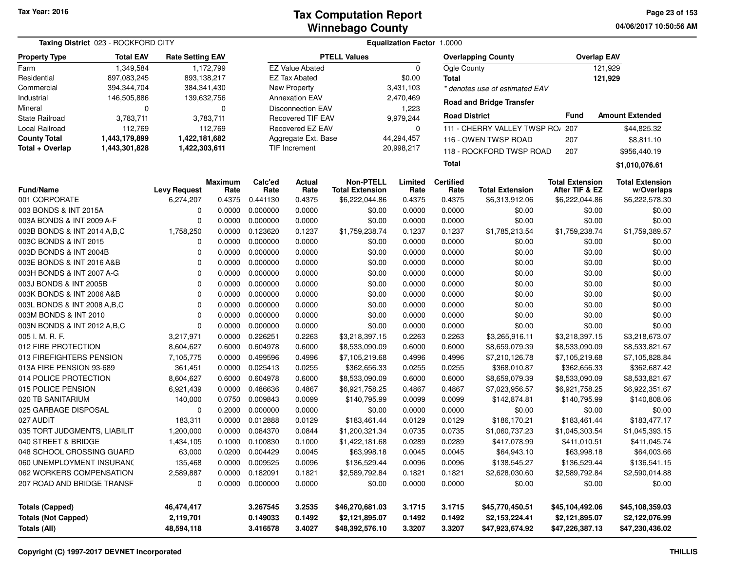| Taxing District 023 - ROCKFORD CITY | Equalization Factor 1.0000 |                         |           |                      |                          |                        |             |                      |                                  |                        |                        |
|-------------------------------------|----------------------------|-------------------------|-----------|----------------------|--------------------------|------------------------|-------------|----------------------|----------------------------------|------------------------|------------------------|
| <b>Property Type</b>                | <b>Total EAV</b>           | <b>Rate Setting EAV</b> |           |                      |                          | <b>PTELL Values</b>    |             |                      | <b>Overlapping County</b>        | <b>Overlap EAV</b>     |                        |
| Farm                                | 1,349,584                  |                         | 1,172,799 |                      | <b>EZ Value Abated</b>   |                        | $\mathbf 0$ | Ogle County          |                                  |                        | 121.929                |
| Residential                         | 897,083,245                | 893,138,217             |           |                      | <b>EZ Tax Abated</b>     |                        | \$0.00      | <b>Total</b>         |                                  |                        | 121,929                |
| Commercial                          | 394,344,704                | 384,341,430             |           |                      | New Property             |                        | 3,431,103   |                      | * denotes use of estimated EAV   |                        |                        |
| Industrial                          | 146,505,886                | 139,632,756             |           |                      | <b>Annexation EAV</b>    |                        | 2,470,469   |                      |                                  |                        |                        |
| Mineral                             | 0                          |                         | 0         |                      | <b>Disconnection EAV</b> |                        | 1,223       |                      | <b>Road and Bridge Transfer</b>  |                        |                        |
| <b>State Railroad</b>               | 3,783,711                  |                         | 3,783,711 |                      | <b>Recovered TIF EAV</b> |                        | 9,979,244   | <b>Road District</b> |                                  | Fund                   | <b>Amount Extended</b> |
| Local Railroad                      | 112,769                    |                         | 112,769   |                      | Recovered EZ EAV         |                        | 0           |                      | 111 - CHERRY VALLEY TWSP RO/ 207 |                        | \$44,825.32            |
| <b>County Total</b>                 | 1,443,179,899              | 1,422,181,682           |           |                      | Aggregate Ext. Base      |                        | 44,294,457  |                      | 116 - OWEN TWSP ROAD             | 207                    | \$8,811.10             |
| Total + Overlap                     | 1,443,301,828              | 1,422,303,611           |           |                      | <b>TIF Increment</b>     |                        | 20,998,217  |                      | 118 - ROCKFORD TWSP ROAD         | 207                    | \$956,440.19           |
|                                     |                            |                         |           |                      |                          |                        |             | Total                |                                  |                        | \$1,010,076.61         |
|                                     |                            |                         | Maximum   | Calc'ed              | Actual                   | <b>Non-PTELL</b>       | Limited     | <b>Certified</b>     |                                  | <b>Total Extension</b> | <b>Total Extension</b> |
| <b>Fund/Name</b>                    |                            | <b>Levy Request</b>     | Rate      | Rate                 | Rate                     | <b>Total Extension</b> | Rate        | Rate                 | <b>Total Extension</b>           | After TIF & EZ         | w/Overlaps             |
| 001 CORPORATE                       |                            | 6,274,207               | 0.4375    | 0.441130             | 0.4375                   | \$6,222,044.86         | 0.4375      | 0.4375               | \$6,313,912.06                   | \$6,222,044.86         | \$6,222,578.30         |
| 003 BONDS & INT 2015A               |                            |                         | 0.0000    | 0.000000             | 0.0000                   | \$0.00                 | 0.0000      | 0.0000               | \$0.00                           | \$0.00                 | \$0.00                 |
| 003A BONDS & INT 2009 A-F           |                            | 0                       | 0.0000    | 0.000000<br>0.123620 | 0.0000                   | \$0.00                 | 0.0000      | 0.0000               | \$0.00                           | \$0.00                 | \$0.00                 |
| 003B BONDS & INT 2014 A, B, C       |                            | 1,758,250               | 0.0000    |                      | 0.1237                   | \$1,759,238.74         | 0.1237      | 0.1237               | \$1,785,213.54                   | \$1,759,238.74         | \$1,759,389.57         |
| 003C BONDS & INT 2015               |                            | 0                       | 0.0000    | 0.000000             | 0.0000                   | \$0.00                 | 0.0000      | 0.0000               | \$0.00                           | \$0.00                 | \$0.00                 |
| 003D BONDS & INT 2004B              |                            | 0                       | 0.0000    | 0.000000             | 0.0000                   | \$0.00                 | 0.0000      | 0.0000               | \$0.00                           | \$0.00                 | \$0.00                 |
| 003E BONDS & INT 2016 A&B           |                            | $\Omega$                | 0.0000    | 0.000000             | 0.0000                   | \$0.00                 | 0.0000      | 0.0000               | \$0.00                           | \$0.00                 | \$0.00                 |
| 003H BONDS & INT 2007 A-G           |                            | 0                       | 0.0000    | 0.000000             | 0.0000                   | \$0.00                 | 0.0000      | 0.0000               | \$0.00                           | \$0.00                 | \$0.00                 |
| 003J BONDS & INT 2005B              |                            | $\Omega$                | 0.0000    | 0.000000             | 0.0000                   | \$0.00                 | 0.0000      | 0.0000               | \$0.00                           | \$0.00                 | \$0.00                 |
| 003K BONDS & INT 2006 A&B           |                            | $\Omega$                | 0.0000    | 0.000000             | 0.0000                   | \$0.00                 | 0.0000      | 0.0000               | \$0.00                           | \$0.00                 | \$0.00                 |
| 003L BONDS & INT 2008 A, B, C       |                            | $\Omega$                | 0.0000    | 0.000000             | 0.0000                   | \$0.00                 | 0.0000      | 0.0000               | \$0.00                           | \$0.00                 | \$0.00                 |
| 003M BONDS & INT 2010               |                            | $\Omega$                | 0.0000    | 0.000000             | 0.0000                   | \$0.00                 | 0.0000      | 0.0000               | \$0.00                           | \$0.00                 | \$0.00                 |
| 003N BONDS & INT 2012 A, B, C       |                            | $\Omega$                | 0.0000    | 0.000000             | 0.0000                   | \$0.00                 | 0.0000      | 0.0000               | \$0.00                           | \$0.00                 | \$0.00                 |
| 005 I. M. R. F.                     |                            | 3,217,971               | 0.0000    | 0.226251             | 0.2263                   | \$3,218,397.15         | 0.2263      | 0.2263               | \$3,265,916.11                   | \$3,218,397.15         | \$3,218,673.07         |
| 012 FIRE PROTECTION                 |                            | 8,604,627               | 0.6000    | 0.604978             | 0.6000                   | \$8,533,090.09         | 0.6000      | 0.6000               | \$8,659,079.39                   | \$8,533,090.09         | \$8,533,821.67         |
| 013 FIREFIGHTERS PENSION            |                            | 7,105,775               | 0.0000    | 0.499596             | 0.4996                   | \$7,105,219.68         | 0.4996      | 0.4996               | \$7,210,126.78                   | \$7,105,219.68         | \$7,105,828.84         |
| 013A FIRE PENSION 93-689            |                            | 361,451                 | 0.0000    | 0.025413             | 0.0255                   | \$362,656.33           | 0.0255      | 0.0255               | \$368,010.87                     | \$362,656.33           | \$362,687.42           |
| 014 POLICE PROTECTION               |                            | 8,604,627               | 0.6000    | 0.604978             | 0.6000                   | \$8,533,090.09         | 0.6000      | 0.6000               | \$8,659,079.39                   | \$8,533,090.09         | \$8,533,821.67         |
| 015 POLICE PENSION                  |                            | 6,921,439               | 0.0000    | 0.486636             | 0.4867                   | \$6,921,758.25         | 0.4867      | 0.4867               | \$7,023,956.57                   | \$6,921,758.25         | \$6,922,351.67         |
| 020 TB SANITARIUM                   |                            | 140,000                 | 0.0750    | 0.009843             | 0.0099                   | \$140,795.99           | 0.0099      | 0.0099               | \$142,874.81                     | \$140,795.99           | \$140,808.06           |
| 025 GARBAGE DISPOSAL                |                            | $\Omega$                | 0.2000    | 0.000000             | 0.0000                   | \$0.00                 | 0.0000      | 0.0000               | \$0.00                           | \$0.00                 | \$0.00                 |
| 027 AUDIT                           |                            | 183,311                 | 0.0000    | 0.012888             | 0.0129                   | \$183,461.44           | 0.0129      | 0.0129               | \$186,170.21                     | \$183,461.44           | \$183,477.17           |
| 035 TORT JUDGMENTS, LIABILIT        |                            | 1,200,000               | 0.0000    | 0.084370             | 0.0844                   | \$1,200,321.34         | 0.0735      | 0.0735               | \$1,060,737.23                   | \$1,045,303.54         | \$1,045,393.15         |
| 040 STREET & BRIDGE                 |                            | 1,434,105               |           | 0.1000 0.100830      | 0.1000                   | \$1,422,181.68         | 0.0289      | 0.0289               | \$417,078.99                     | \$411,010.51           | \$411,045.74           |
| 048 SCHOOL CROSSING GUARD           |                            | 63,000                  |           | 0.0200 0.004429      | 0.0045                   | \$63,998.18            | 0.0045      | 0.0045               | \$64,943.10                      | \$63,998.18            | \$64,003.66            |
| 060 UNEMPLOYMENT INSURANC           |                            | 135,468                 | 0.0000    | 0.009525             | 0.0096                   | \$136,529.44           | 0.0096      | 0.0096               | \$138,545.27                     | \$136,529.44           | \$136,541.15           |
| 062 WORKERS COMPENSATION            |                            | 2,589,887               | 0.0000    | 0.182091             | 0.1821                   | \$2,589,792.84         | 0.1821      | 0.1821               | \$2,628,030.60                   | \$2,589,792.84         | \$2,590,014.88         |
| 207 ROAD AND BRIDGE TRANSF          |                            | 0                       | 0.0000    | 0.000000             | 0.0000                   | \$0.00                 | 0.0000      | 0.0000               | \$0.00                           | \$0.00                 | \$0.00                 |
| <b>Totals (Capped)</b>              |                            | 46,474,417              |           | 3.267545             | 3.2535                   | \$46,270,681.03        | 3.1715      | 3.1715               | \$45,770,450.51                  | \$45,104,492.06        | \$45,108,359.03        |
| <b>Totals (Not Capped)</b>          |                            | 2,119,701               |           | 0.149033             | 0.1492                   | \$2,121,895.07         | 0.1492      | 0.1492               | \$2,153,224.41                   | \$2,121,895.07         | \$2,122,076.99         |
| <b>Totals (All)</b>                 |                            | 48,594,118              |           | 3.416578             | 3.4027                   | \$48,392,576.10        | 3.3207      | 3.3207               | \$47,923,674.92                  | \$47,226,387.13        | \$47,230,436.02        |
|                                     |                            |                         |           |                      |                          |                        |             |                      |                                  |                        |                        |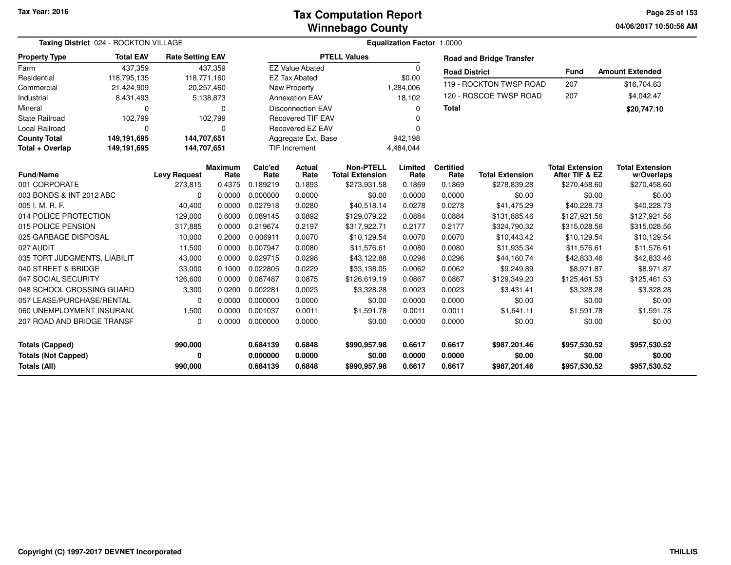**04/06/2017 10:50:56 AM Page 25 of 153**

| Taxing District 024 - ROCKTON VILLAGE | Equalization Factor 1.0000 |                         |                        |                 |                               |                                            |                 |                          |                                 |                                          |                                      |
|---------------------------------------|----------------------------|-------------------------|------------------------|-----------------|-------------------------------|--------------------------------------------|-----------------|--------------------------|---------------------------------|------------------------------------------|--------------------------------------|
| <b>Property Type</b>                  | <b>Total EAV</b>           | <b>Rate Setting EAV</b> |                        |                 |                               | <b>PTELL Values</b>                        |                 |                          | <b>Road and Bridge Transfer</b> |                                          |                                      |
| Farm                                  | 437,359                    |                         | 437,359                |                 | <b>EZ Value Abated</b>        |                                            | $\mathbf 0$     | <b>Road District</b>     |                                 | <b>Fund</b>                              | <b>Amount Extended</b>               |
| Residential                           | 118,795,135                | 118,771,160             |                        |                 | <b>EZ Tax Abated</b>          |                                            | \$0.00          |                          |                                 |                                          |                                      |
| Commercial                            | 21,424,909                 |                         | 20,257,460             |                 | New Property                  |                                            | 1,284,006       |                          | 119 - ROCKTON TWSP ROAD         | 207                                      | \$16,704.63                          |
| Industrial                            | 8,431,493                  |                         | 5,138,873              |                 | <b>Annexation EAV</b>         |                                            | 18,102          |                          | 120 - ROSCOE TWSP ROAD          | 207                                      | \$4,042.47                           |
| Mineral                               | $\Omega$                   |                         | $\Omega$               |                 | <b>Disconnection EAV</b>      |                                            | 0               | <b>Total</b>             |                                 |                                          | \$20,747.10                          |
| <b>State Railroad</b>                 | 102,799                    |                         | 102,799                |                 | <b>Recovered TIF EAV</b><br>ŋ |                                            |                 |                          |                                 |                                          |                                      |
| Local Railroad                        | $\Omega$                   |                         | 0                      |                 | Recovered EZ EAV<br>$\Omega$  |                                            |                 |                          |                                 |                                          |                                      |
| <b>County Total</b>                   | 149,191,695                | 144,707,651             |                        |                 | Aggregate Ext. Base           |                                            | 942,198         |                          |                                 |                                          |                                      |
| Total + Overlap                       | 149,191,695                | 144,707,651             |                        |                 | <b>TIF Increment</b>          |                                            | 4,484,044       |                          |                                 |                                          |                                      |
| <b>Fund/Name</b>                      |                            | <b>Levy Request</b>     | <b>Maximum</b><br>Rate | Calc'ed<br>Rate | <b>Actual</b><br>Rate         | <b>Non-PTELL</b><br><b>Total Extension</b> | Limited<br>Rate | <b>Certified</b><br>Rate | <b>Total Extension</b>          | <b>Total Extension</b><br>After TIF & EZ | <b>Total Extension</b><br>w/Overlaps |
| 001 CORPORATE                         |                            | 273,815                 | 0.4375                 | 0.189219        | 0.1893                        | \$273,931.58                               | 0.1869          | 0.1869                   | \$278,839.28                    | \$270,458.60                             | \$270,458.60                         |
| 003 BONDS & INT 2012 ABC              |                            | $\Omega$                | 0.0000                 | 0.000000        | 0.0000                        | \$0.00                                     | 0.0000          | 0.0000                   | \$0.00                          | \$0.00                                   | \$0.00                               |
| 005 I. M. R. F.                       |                            | 40,400                  | 0.0000                 | 0.027918        | 0.0280                        | \$40,518.14                                | 0.0278          | 0.0278                   | \$41,475.29                     | \$40,228.73                              | \$40,228.73                          |
| 014 POLICE PROTECTION                 |                            | 129,000                 | 0.6000                 | 0.089145        | 0.0892                        | \$129,079.22                               | 0.0884          | 0.0884                   | \$131,885.46                    | \$127,921.56                             | \$127,921.56                         |
| 015 POLICE PENSION                    |                            | 317,885                 | 0.0000                 | 0.219674        | 0.2197                        | \$317,922.71                               | 0.2177          | 0.2177                   | \$324,790.32                    | \$315,028.56                             | \$315,028.56                         |
| 025 GARBAGE DISPOSAL                  |                            | 10,000                  | 0.2000                 | 0.006911        | 0.0070                        | \$10,129.54                                | 0.0070          | 0.0070                   | \$10,443.42                     | \$10,129.54                              | \$10,129.54                          |
| 027 AUDIT                             |                            | 11,500                  | 0.0000                 | 0.007947        | 0.0080                        | \$11,576.61                                | 0.0080          | 0.0080                   | \$11,935.34                     | \$11,576.61                              | \$11,576.61                          |
| 035 TORT JUDGMENTS, LIABILIT          |                            | 43,000                  | 0.0000                 | 0.029715        | 0.0298                        | \$43,122.88                                | 0.0296          | 0.0296                   | \$44,160.74                     | \$42,833.46                              | \$42,833.46                          |
| 040 STREET & BRIDGE                   |                            | 33,000                  | 0.1000                 | 0.022805        | 0.0229                        | \$33,138.05                                | 0.0062          | 0.0062                   | \$9,249.89                      | \$8,971.87                               | \$8,971.87                           |
| 047 SOCIAL SECURITY                   |                            | 126,600                 | 0.0000                 | 0.087487        | 0.0875                        | \$126,619.19                               | 0.0867          | 0.0867                   | \$129,349.20                    | \$125,461.53                             | \$125,461.53                         |
| 048 SCHOOL CROSSING GUARD             |                            | 3,300                   | 0.0200                 | 0.002281        | 0.0023                        | \$3,328.28                                 | 0.0023          | 0.0023                   | \$3,431.41                      | \$3,328.28                               | \$3,328.28                           |
| 057 LEASE/PURCHASE/RENTAL             |                            | $\Omega$                | 0.0000                 | 0.000000        | 0.0000                        | \$0.00                                     | 0.0000          | 0.0000                   | \$0.00                          | \$0.00                                   | \$0.00                               |
| 060 UNEMPLOYMENT INSURANC             |                            | 1,500                   | 0.0000                 | 0.001037        | 0.0011                        | \$1,591.78                                 | 0.0011          | 0.0011                   | \$1,641.11                      | \$1,591.78                               | \$1,591.78                           |
| 207 ROAD AND BRIDGE TRANSF            |                            | $\Omega$                | 0.0000                 | 0.000000        | 0.0000                        | \$0.00                                     | 0.0000          | 0.0000                   | \$0.00                          | \$0.00                                   | \$0.00                               |
| <b>Totals (Capped)</b>                |                            | 990,000                 |                        | 0.684139        | 0.6848                        | \$990,957.98                               | 0.6617          | 0.6617                   | \$987,201.46                    | \$957,530.52                             | \$957,530.52                         |
| <b>Totals (Not Capped)</b>            |                            | 0                       |                        | 0.000000        | 0.0000                        | \$0.00                                     | 0.0000          | 0.0000                   | \$0.00                          | \$0.00                                   | \$0.00                               |
| <b>Totals (All)</b>                   |                            | 990,000                 |                        | 0.684139        | 0.6848                        | \$990,957.98                               | 0.6617          | 0.6617                   | \$987,201.46                    | \$957,530.52                             | \$957,530.52                         |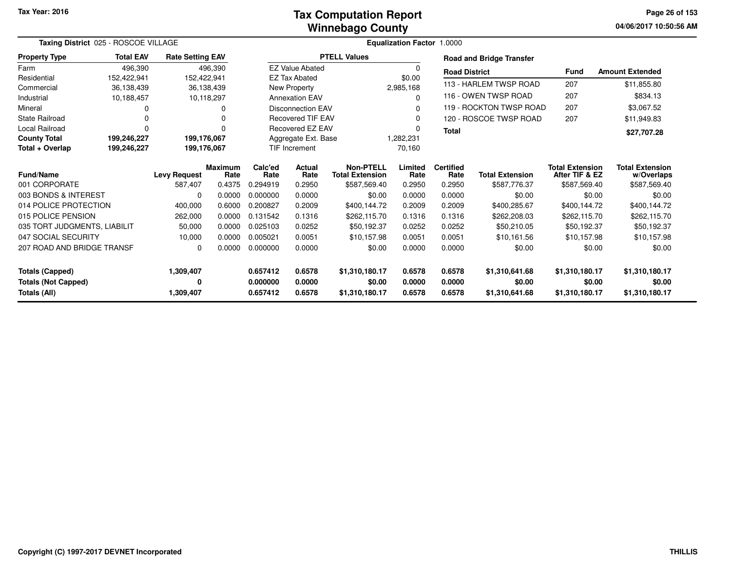#### **Winnebago CountyTax Computation Report**

**04/06/2017 10:50:56 AM Page 26 of 153**

| Taxing District 025 - ROSCOE VILLAGE |                                                                   |                     |                        |                     |                          |                                            | <b>Equalization Factor 1.0000</b> |                          |                                 |                                          |                                      |
|--------------------------------------|-------------------------------------------------------------------|---------------------|------------------------|---------------------|--------------------------|--------------------------------------------|-----------------------------------|--------------------------|---------------------------------|------------------------------------------|--------------------------------------|
| <b>Property Type</b>                 | <b>Total EAV</b><br><b>Rate Setting EAV</b><br>496,390<br>496.390 |                     |                        |                     |                          | <b>PTELL Values</b>                        |                                   |                          | <b>Road and Bridge Transfer</b> |                                          |                                      |
| Farm                                 |                                                                   |                     |                        |                     | <b>EZ Value Abated</b>   |                                            | 0                                 | <b>Road District</b>     |                                 | <b>Fund</b>                              | <b>Amount Extended</b>               |
| Residential                          | 152,422,941                                                       | 152,422,941         |                        |                     | <b>EZ Tax Abated</b>     |                                            | \$0.00                            |                          |                                 |                                          |                                      |
| Commercial                           | 36,138,439                                                        |                     | 36,138,439             |                     | New Property             |                                            | 2,985,168                         |                          | 113 - HARLEM TWSP ROAD          | 207                                      | \$11,855.80                          |
| Industrial                           | 10,188,457                                                        |                     | 10,118,297             |                     | <b>Annexation EAV</b>    |                                            | 0                                 |                          | 116 - OWEN TWSP ROAD            | 207                                      | \$834.13                             |
| Mineral                              | 0                                                                 |                     | 0                      |                     | <b>Disconnection EAV</b> |                                            | 0                                 |                          | 119 - ROCKTON TWSP ROAD         | 207                                      | \$3,067.52                           |
| <b>State Railroad</b>                | 0                                                                 |                     |                        |                     | <b>Recovered TIF EAV</b> |                                            | 0                                 |                          | 120 - ROSCOE TWSP ROAD          | 207                                      | \$11,949.83                          |
| <b>Local Railroad</b>                | 0                                                                 |                     | $\Omega$               |                     | Recovered EZ EAV         |                                            | 0                                 | <b>Total</b>             |                                 |                                          | \$27,707.28                          |
| <b>County Total</b>                  | 199,176,067<br>199,246,227                                        |                     |                        | Aggregate Ext. Base |                          |                                            | 1,282,231                         |                          |                                 |                                          |                                      |
| Total + Overlap                      | 199,246,227                                                       | 199,176,067         |                        |                     | <b>TIF Increment</b>     |                                            | 70,160                            |                          |                                 |                                          |                                      |
| Fund/Name                            |                                                                   | <b>Levy Request</b> | <b>Maximum</b><br>Rate | Calc'ed<br>Rate     | <b>Actual</b><br>Rate    | <b>Non-PTELL</b><br><b>Total Extension</b> | Limited<br>Rate                   | <b>Certified</b><br>Rate | <b>Total Extension</b>          | <b>Total Extension</b><br>After TIF & EZ | <b>Total Extension</b><br>w/Overlaps |
| 001 CORPORATE                        |                                                                   | 587,407             | 0.4375                 | 0.294919            | 0.2950                   | \$587,569.40                               | 0.2950                            | 0.2950                   | \$587,776.37                    | \$587,569.40                             | \$587,569.40                         |
| 003 BONDS & INTEREST                 |                                                                   | $\Omega$            | 0.0000                 | 0.000000            | 0.0000                   | \$0.00                                     | 0.0000                            | 0.0000                   | \$0.00                          | \$0.00                                   | \$0.00                               |
| 014 POLICE PROTECTION                |                                                                   | 400,000             | 0.6000                 | 0.200827            | 0.2009                   | \$400,144.72                               | 0.2009                            | 0.2009                   | \$400,285.67                    | \$400,144.72                             | \$400,144.72                         |
| 015 POLICE PENSION                   |                                                                   | 262,000             | 0.0000                 | 0.131542            | 0.1316                   | \$262,115.70                               | 0.1316                            | 0.1316                   | \$262,208.03                    | \$262,115.70                             | \$262,115.70                         |
| 035 TORT JUDGMENTS, LIABILIT         |                                                                   | 50,000              | 0.0000                 | 0.025103            | 0.0252                   | \$50,192.37                                | 0.0252                            | 0.0252                   | \$50,210.05                     | \$50,192.37                              | \$50,192.37                          |
| 047 SOCIAL SECURITY                  |                                                                   | 10,000              | 0.0000                 | 0.005021            | 0.0051                   | \$10,157.98                                | 0.0051                            | 0.0051                   | \$10.161.56                     | \$10,157.98                              | \$10,157.98                          |
| 207 ROAD AND BRIDGE TRANSF           |                                                                   | 0                   | 0.0000                 | 0.000000            | 0.0000                   | \$0.00                                     | 0.0000                            | 0.0000                   | \$0.00                          | \$0.00                                   | \$0.00                               |
| <b>Totals (Capped)</b>               |                                                                   | 1,309,407           |                        | 0.657412            | 0.6578                   | \$1,310,180.17                             | 0.6578                            | 0.6578                   | \$1,310,641.68                  | \$1,310,180.17                           | \$1,310,180.17                       |
| <b>Totals (Not Capped)</b>           |                                                                   | 0                   |                        | 0.000000            | 0.0000                   | \$0.00                                     | 0.0000                            | 0.0000                   | \$0.00                          | \$0.00                                   | \$0.00                               |
| Totals (All)                         |                                                                   | 1,309,407           |                        | 0.657412            | 0.6578                   | \$1,310,180.17                             | 0.6578                            | 0.6578                   | \$1,310,641.68                  | \$1,310,180.17                           | \$1,310,180.17                       |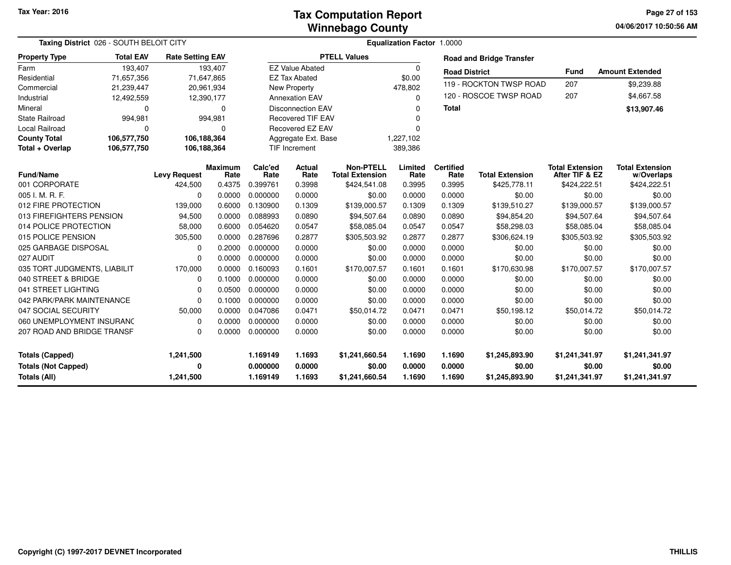**04/06/2017 10:50:56 AM Page 27 of 153**

| Taxing District 026 - SOUTH BELOIT CITY |                  |                         |                        |                 |                          |                                            | <b>Equalization Factor 1.0000</b> |                          |                                 |                                          |                                      |
|-----------------------------------------|------------------|-------------------------|------------------------|-----------------|--------------------------|--------------------------------------------|-----------------------------------|--------------------------|---------------------------------|------------------------------------------|--------------------------------------|
| <b>Property Type</b>                    | <b>Total EAV</b> | <b>Rate Setting EAV</b> |                        |                 |                          | <b>PTELL Values</b>                        |                                   |                          | <b>Road and Bridge Transfer</b> |                                          |                                      |
| Farm                                    | 193,407          |                         | 193,407                |                 | <b>EZ Value Abated</b>   |                                            | 0                                 | <b>Road District</b>     |                                 | <b>Fund</b>                              | <b>Amount Extended</b>               |
| Residential                             | 71,657,356       |                         | 71,647,865             |                 | <b>EZ Tax Abated</b>     |                                            | \$0.00                            |                          | 119 - ROCKTON TWSP ROAD         | 207                                      | \$9,239.88                           |
| Commercial                              | 21,239,447       |                         | 20,961,934             |                 | New Property             |                                            | 478,802                           |                          |                                 |                                          |                                      |
| Industrial                              | 12,492,559       |                         | 12,390,177             |                 | <b>Annexation EAV</b>    |                                            | $\Omega$                          |                          | 120 - ROSCOE TWSP ROAD          | 207                                      | \$4,667.58                           |
| Mineral                                 | $\Omega$         |                         | 0                      |                 | <b>Disconnection EAV</b> |                                            | 0                                 | <b>Total</b>             |                                 |                                          | \$13,907.46                          |
| <b>State Railroad</b>                   | 994,981          |                         | 994,981                |                 | <b>Recovered TIF EAV</b> |                                            | n                                 |                          |                                 |                                          |                                      |
| <b>Local Railroad</b>                   | $\Omega$         |                         | $\Omega$               |                 | <b>Recovered EZ EAV</b>  |                                            | $\Omega$                          |                          |                                 |                                          |                                      |
| <b>County Total</b>                     | 106,577,750      | 106,188,364             |                        |                 | Aggregate Ext. Base      |                                            | 1,227,102                         |                          |                                 |                                          |                                      |
| Total + Overlap                         | 106,577,750      | 106,188,364             |                        |                 | TIF Increment            |                                            | 389,386                           |                          |                                 |                                          |                                      |
| <b>Fund/Name</b>                        |                  | <b>Levy Request</b>     | <b>Maximum</b><br>Rate | Calc'ed<br>Rate | Actual<br>Rate           | <b>Non-PTELL</b><br><b>Total Extension</b> | Limited<br>Rate                   | <b>Certified</b><br>Rate | <b>Total Extension</b>          | <b>Total Extension</b><br>After TIF & EZ | <b>Total Extension</b><br>w/Overlaps |
| 001 CORPORATE                           |                  | 424,500                 | 0.4375                 | 0.399761        | 0.3998                   | \$424,541.08                               | 0.3995                            | 0.3995                   | \$425,778.11                    | \$424,222.51                             | \$424,222.51                         |
| 005 I. M. R. F.                         |                  | $\Omega$                | 0.0000                 | 0.000000        | 0.0000                   | \$0.00                                     | 0.0000                            | 0.0000                   | \$0.00                          | \$0.00                                   | \$0.00                               |
| 012 FIRE PROTECTION                     |                  | 139,000                 | 0.6000                 | 0.130900        | 0.1309                   | \$139,000.57                               | 0.1309                            | 0.1309                   | \$139,510.27                    | \$139,000.57                             | \$139,000.57                         |
| 013 FIREFIGHTERS PENSION                |                  | 94,500                  | 0.0000                 | 0.088993        | 0.0890                   | \$94,507.64                                | 0.0890                            | 0.0890                   | \$94,854.20                     | \$94,507.64                              | \$94,507.64                          |
| 014 POLICE PROTECTION                   |                  | 58,000                  | 0.6000                 | 0.054620        | 0.0547                   | \$58,085.04                                | 0.0547                            | 0.0547                   | \$58,298.03                     | \$58,085.04                              | \$58,085.04                          |
| 015 POLICE PENSION                      |                  | 305,500                 | 0.0000                 | 0.287696        | 0.2877                   | \$305,503.92                               | 0.2877                            | 0.2877                   | \$306,624.19                    | \$305,503.92                             | \$305,503.92                         |
| 025 GARBAGE DISPOSAL                    |                  | 0                       | 0.2000                 | 0.000000        | 0.0000                   | \$0.00                                     | 0.0000                            | 0.0000                   | \$0.00                          | \$0.00                                   | \$0.00                               |
| 027 AUDIT                               |                  | $\Omega$                | 0.0000                 | 0.000000        | 0.0000                   | \$0.00                                     | 0.0000                            | 0.0000                   | \$0.00                          | \$0.00                                   | \$0.00                               |
| 035 TORT JUDGMENTS, LIABILIT            |                  | 170,000                 | 0.0000                 | 0.160093        | 0.1601                   | \$170,007.57                               | 0.1601                            | 0.1601                   | \$170,630.98                    | \$170,007.57                             | \$170,007.57                         |
| 040 STREET & BRIDGE                     |                  | 0                       | 0.1000                 | 0.000000        | 0.0000                   | \$0.00                                     | 0.0000                            | 0.0000                   | \$0.00                          | \$0.00                                   | \$0.00                               |
| 041 STREET LIGHTING                     |                  | 0                       | 0.0500                 | 0.000000        | 0.0000                   | \$0.00                                     | 0.0000                            | 0.0000                   | \$0.00                          | \$0.00                                   | \$0.00                               |
| 042 PARK/PARK MAINTENANCE               |                  | $\Omega$                | 0.1000                 | 0.000000        | 0.0000                   | \$0.00                                     | 0.0000                            | 0.0000                   | \$0.00                          | \$0.00                                   | \$0.00                               |
| 047 SOCIAL SECURITY                     |                  | 50,000                  | 0.0000                 | 0.047086        | 0.0471                   | \$50,014.72                                | 0.0471                            | 0.0471                   | \$50,198.12                     | \$50,014.72                              | \$50,014.72                          |
| 060 UNEMPLOYMENT INSURANC               |                  | $\Omega$                | 0.0000                 | 0.000000        | 0.0000                   | \$0.00                                     | 0.0000                            | 0.0000                   | \$0.00                          | \$0.00                                   | \$0.00                               |
| 207 ROAD AND BRIDGE TRANSF              |                  | $\Omega$                | 0.0000                 | 0.000000        | 0.0000                   | \$0.00                                     | 0.0000                            | 0.0000                   | \$0.00                          | \$0.00                                   | \$0.00                               |
| <b>Totals (Capped)</b>                  |                  | 1,241,500               |                        | 1.169149        | 1.1693                   | \$1,241,660.54                             | 1.1690                            | 1.1690                   | \$1,245,893.90                  | \$1,241,341.97                           | \$1,241,341.97                       |
| <b>Totals (Not Capped)</b>              |                  | 0                       |                        | 0.000000        | 0.0000                   | \$0.00                                     | 0.0000                            | 0.0000                   | \$0.00                          | \$0.00                                   | \$0.00                               |
| <b>Totals (All)</b>                     |                  | 1,241,500               |                        | 1.169149        | 1.1693                   | \$1,241,660.54                             | 1.1690                            | 1.1690                   | \$1,245,893.90                  | \$1,241,341.97                           | \$1,241,341.97                       |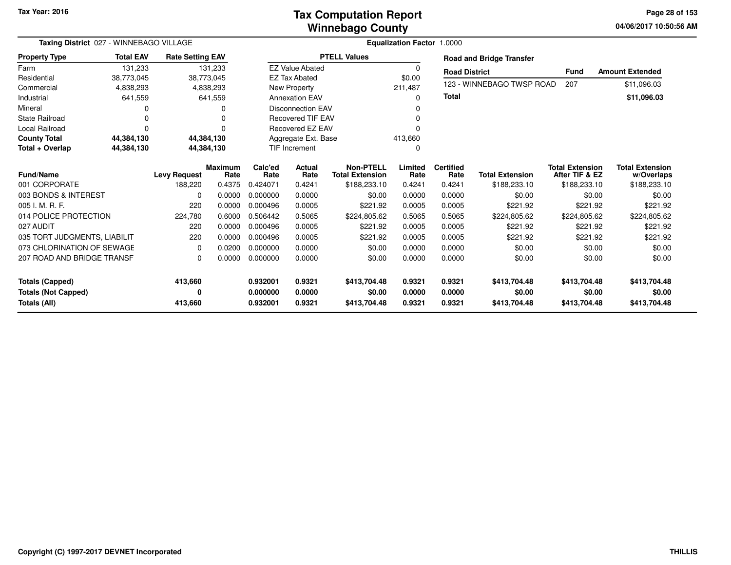### **Winnebago CountyTax Computation Report**

**04/06/2017 10:50:56 AM Page 28 of 153**

| Taxing District 027 - WINNEBAGO VILLAGE                              |                          |                                |                                  |                                  | <b>Equalization Factor 1.0000</b> |                                                            |                            |                                    |                                        |                                                          |                                                      |
|----------------------------------------------------------------------|--------------------------|--------------------------------|----------------------------------|----------------------------------|-----------------------------------|------------------------------------------------------------|----------------------------|------------------------------------|----------------------------------------|----------------------------------------------------------|------------------------------------------------------|
| <b>Property Type</b>                                                 | <b>Total EAV</b>         | <b>Rate Setting EAV</b>        |                                  |                                  |                                   | <b>PTELL Values</b>                                        |                            |                                    | <b>Road and Bridge Transfer</b>        |                                                          |                                                      |
| Farm                                                                 | 131.233                  |                                | 131,233                          |                                  | <b>EZ Value Abated</b>            |                                                            | 0                          | <b>Road District</b>               |                                        | <b>Fund</b>                                              | <b>Amount Extended</b>                               |
| Residential                                                          | 38,773,045               |                                | 38,773,045                       |                                  | <b>EZ Tax Abated</b>              |                                                            | \$0.00                     |                                    |                                        |                                                          |                                                      |
| Commercial                                                           | 4,838,293                |                                | 4,838,293                        |                                  | New Property                      |                                                            | 211,487                    |                                    | 123 - WINNEBAGO TWSP ROAD              | 207                                                      | \$11,096.03                                          |
| Industrial                                                           | 641,559                  |                                | 641,559                          |                                  | <b>Annexation EAV</b>             |                                                            | $\Omega$                   | Total                              |                                        |                                                          | \$11,096.03                                          |
| Mineral                                                              |                          |                                | O                                |                                  | <b>Disconnection EAV</b>          |                                                            | O                          |                                    |                                        |                                                          |                                                      |
| <b>State Railroad</b>                                                |                          |                                |                                  |                                  | <b>Recovered TIF EAV</b>          |                                                            |                            |                                    |                                        |                                                          |                                                      |
| <b>Local Railroad</b>                                                |                          |                                | O                                |                                  | Recovered EZ EAV                  |                                                            |                            |                                    |                                        |                                                          |                                                      |
| <b>County Total</b>                                                  | 44,384,130               |                                | 44,384,130                       |                                  | Aggregate Ext. Base               |                                                            | 413,660                    |                                    |                                        |                                                          |                                                      |
| Total + Overlap                                                      | 44,384,130<br>44,384,130 |                                |                                  |                                  | <b>TIF Increment</b>              |                                                            | 0                          |                                    |                                        |                                                          |                                                      |
| <b>Fund/Name</b><br>001 CORPORATE                                    |                          | <b>Levy Request</b><br>188,220 | <b>Maximum</b><br>Rate<br>0.4375 | Calc'ed<br>Rate<br>0.424071      | <b>Actual</b><br>Rate<br>0.4241   | <b>Non-PTELL</b><br><b>Total Extension</b><br>\$188,233.10 | Limited<br>Rate<br>0.4241  | <b>Certified</b><br>Rate<br>0.4241 | <b>Total Extension</b><br>\$188,233.10 | <b>Total Extension</b><br>After TIF & EZ<br>\$188,233.10 | <b>Total Extension</b><br>w/Overlaps<br>\$188,233.10 |
| 003 BONDS & INTEREST                                                 |                          | $\Omega$                       | 0.0000                           | 0.000000                         | 0.0000                            | \$0.00                                                     | 0.0000                     | 0.0000                             | \$0.00                                 | \$0.00                                                   | \$0.00                                               |
| 005 I. M. R. F.                                                      |                          | 220                            | 0.0000                           | 0.000496                         | 0.0005                            | \$221.92                                                   | 0.0005                     | 0.0005                             | \$221.92                               | \$221.92                                                 | \$221.92                                             |
| 014 POLICE PROTECTION                                                |                          | 224,780                        | 0.6000                           | 0.506442                         | 0.5065                            | \$224,805.62                                               | 0.5065                     | 0.5065                             | \$224,805.62                           | \$224,805.62                                             | \$224,805.62                                         |
| 027 AUDIT                                                            |                          | 220                            | 0.0000                           | 0.000496                         | 0.0005                            | \$221.92                                                   | 0.0005                     | 0.0005                             | \$221.92                               | \$221.92                                                 | \$221.92                                             |
| 035 TORT JUDGMENTS, LIABILIT                                         |                          | 220                            | 0.0000                           | 0.000496                         | 0.0005                            | \$221.92                                                   | 0.0005                     | 0.0005                             | \$221.92                               | \$221.92                                                 | \$221.92                                             |
| 073 CHLORINATION OF SEWAGE                                           |                          | $\Omega$                       | 0.0200                           | 0.000000                         | 0.0000                            | \$0.00                                                     | 0.0000                     | 0.0000                             | \$0.00                                 | \$0.00                                                   | \$0.00                                               |
| 207 ROAD AND BRIDGE TRANSF                                           |                          | $\Omega$                       | 0.0000                           | 0.000000                         | 0.0000                            | \$0.00                                                     | 0.0000                     | 0.0000                             | \$0.00                                 | \$0.00                                                   | \$0.00                                               |
| <b>Totals (Capped)</b><br><b>Totals (Not Capped)</b><br>Totals (All) |                          | 413,660<br>0<br>413,660        |                                  | 0.932001<br>0.000000<br>0.932001 | 0.9321<br>0.0000<br>0.9321        | \$413,704.48<br>\$0.00<br>\$413,704.48                     | 0.9321<br>0.0000<br>0.9321 | 0.9321<br>0.0000<br>0.9321         | \$413,704.48<br>\$0.00<br>\$413,704.48 | \$413,704.48<br>\$0.00<br>\$413,704.48                   | \$413,704.48<br>\$0.00<br>\$413,704.48               |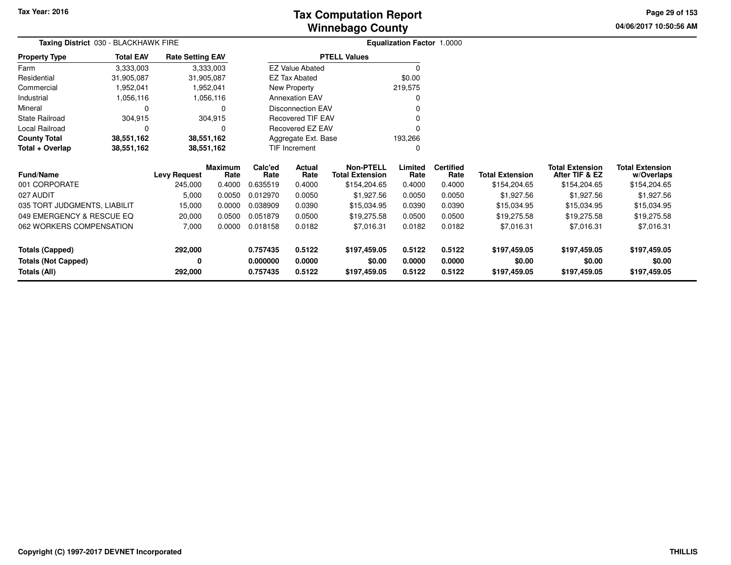**04/06/2017 10:50:56 AM Page 29 of 153**

| <b>Taxing District</b> 030 - BLACKHAWK FIRE |                  |                         |                        |                 | <b>Equalization Factor 1.0000</b> |                                     |                 |                          |                        |                                          |                                      |
|---------------------------------------------|------------------|-------------------------|------------------------|-----------------|-----------------------------------|-------------------------------------|-----------------|--------------------------|------------------------|------------------------------------------|--------------------------------------|
| <b>Property Type</b>                        | <b>Total EAV</b> | <b>Rate Setting EAV</b> |                        |                 |                                   | <b>PTELL Values</b>                 |                 |                          |                        |                                          |                                      |
| Farm                                        | 3,333,003        |                         | 3,333,003              |                 | <b>EZ Value Abated</b>            |                                     | $\Omega$        |                          |                        |                                          |                                      |
| Residential                                 | 31,905,087       | 31,905,087              |                        |                 | <b>EZ Tax Abated</b>              |                                     | \$0.00          |                          |                        |                                          |                                      |
| Commercial                                  | 1,952,041        |                         | 1,952,041              |                 | New Property                      |                                     | 219,575         |                          |                        |                                          |                                      |
| Industrial                                  | 1,056,116        |                         | 1,056,116              |                 | <b>Annexation EAV</b>             |                                     |                 |                          |                        |                                          |                                      |
| Mineral                                     | 0                |                         |                        |                 | <b>Disconnection EAV</b>          |                                     |                 |                          |                        |                                          |                                      |
| <b>State Railroad</b>                       | 304,915          |                         | 304,915                |                 | <b>Recovered TIF EAV</b>          |                                     |                 |                          |                        |                                          |                                      |
| Local Railroad                              | $\Omega$         |                         |                        |                 | Recovered EZ EAV                  |                                     |                 |                          |                        |                                          |                                      |
| <b>County Total</b>                         | 38,551,162       | 38,551,162              |                        |                 | Aggregate Ext. Base               |                                     | 193,266         |                          |                        |                                          |                                      |
| Total + Overlap                             | 38,551,162       | 38,551,162              |                        |                 | TIF Increment                     |                                     | 0               |                          |                        |                                          |                                      |
| <b>Fund/Name</b>                            |                  | <b>Levy Request</b>     | <b>Maximum</b><br>Rate | Calc'ed<br>Rate | Actual<br>Rate                    | Non-PTELL<br><b>Total Extension</b> | Limited<br>Rate | <b>Certified</b><br>Rate | <b>Total Extension</b> | <b>Total Extension</b><br>After TIF & EZ | <b>Total Extension</b><br>w/Overlaps |
| 001 CORPORATE                               |                  | 245,000                 | 0.4000                 | 0.635519        | 0.4000                            | \$154,204.65                        | 0.4000          | 0.4000                   | \$154,204.65           | \$154,204.65                             | \$154,204.65                         |
| 027 AUDIT                                   |                  | 5,000                   | 0.0050                 | 0.012970        | 0.0050                            | \$1,927.56                          | 0.0050          | 0.0050                   | \$1,927.56             | \$1,927.56                               | \$1,927.56                           |
| 035 TORT JUDGMENTS, LIABILIT                |                  | 15,000                  | 0.0000                 | 0.038909        | 0.0390                            | \$15,034.95                         | 0.0390          | 0.0390                   | \$15,034.95            | \$15,034.95                              | \$15,034.95                          |
| 049 EMERGENCY & RESCUE EQ                   |                  | 20,000                  | 0.0500                 | 0.051879        | 0.0500                            | \$19,275.58                         | 0.0500          | 0.0500                   | \$19,275.58            | \$19,275.58                              | \$19,275.58                          |
| 062 WORKERS COMPENSATION                    |                  | 7,000                   | 0.0000                 | 0.018158        | 0.0182                            | \$7,016.31                          | 0.0182          | 0.0182                   | \$7,016.31             | \$7,016.31                               | \$7,016.31                           |
| Totals (Capped)                             |                  | 292,000                 |                        | 0.757435        | 0.5122                            | \$197,459.05                        | 0.5122          | 0.5122                   | \$197,459.05           | \$197,459.05                             | \$197,459.05                         |
| <b>Totals (Not Capped)</b>                  |                  | 0                       |                        | 0.000000        | 0.0000                            | \$0.00                              | 0.0000          | 0.0000                   | \$0.00                 | \$0.00                                   | \$0.00                               |
| <b>Totals (All)</b>                         |                  | 292,000                 |                        | 0.757435        | 0.5122                            | \$197,459.05                        | 0.5122          | 0.5122                   | \$197,459.05           | \$197,459.05                             | \$197,459.05                         |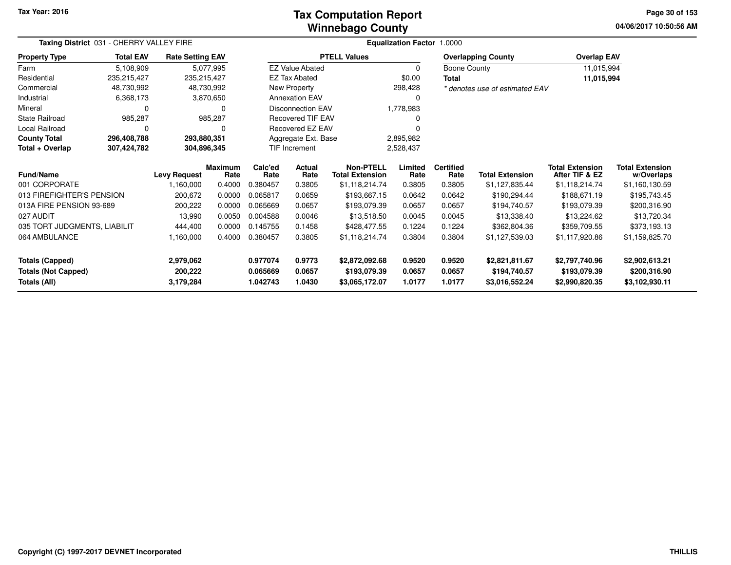### **Winnebago CountyTax Computation Report Tax**

**04/06/2017 10:50:56 AM Page 30 of 153**

| Taxing District 031 - CHERRY VALLEY FIRE<br><b>Rate Setting EAV</b> |                  |                     |                 | <b>Equalization Factor 1.0000</b> |                          |                                            |                 |                          |                                |                                          |                                      |
|---------------------------------------------------------------------|------------------|---------------------|-----------------|-----------------------------------|--------------------------|--------------------------------------------|-----------------|--------------------------|--------------------------------|------------------------------------------|--------------------------------------|
| <b>Property Type</b>                                                | <b>Total EAV</b> |                     |                 |                                   |                          | <b>PTELL Values</b>                        |                 |                          | <b>Overlapping County</b>      | <b>Overlap EAV</b>                       |                                      |
| Farm                                                                | 5,108,909        |                     | 5,077,995       |                                   | <b>EZ Value Abated</b>   |                                            | 0               | Boone County             |                                | 11,015,994                               |                                      |
| Residential                                                         | 235,215,427      | 235,215,427         |                 |                                   | <b>EZ Tax Abated</b>     |                                            | \$0.00          | <b>Total</b>             |                                | 11,015,994                               |                                      |
| Commercial                                                          | 48,730,992       | 48,730,992          |                 |                                   | New Property             |                                            | 298,428         |                          | * denotes use of estimated EAV |                                          |                                      |
| Industrial                                                          | 6,368,173        |                     | 3,870,650       |                                   | <b>Annexation EAV</b>    |                                            | 0               |                          |                                |                                          |                                      |
| Mineral                                                             | 0                |                     | $\Omega$        |                                   | <b>Disconnection EAV</b> |                                            | 1,778,983       |                          |                                |                                          |                                      |
| State Railroad                                                      | 985,287          |                     | 985,287         |                                   | <b>Recovered TIF EAV</b> |                                            |                 |                          |                                |                                          |                                      |
| Local Railroad                                                      | 0                |                     | 0               |                                   | Recovered EZ EAV         |                                            |                 |                          |                                |                                          |                                      |
| <b>County Total</b>                                                 | 296,408,788      | 293,880,351         |                 |                                   | Aggregate Ext. Base      |                                            | 2,895,982       |                          |                                |                                          |                                      |
| Total + Overlap<br>304,896,345<br>307,424,782                       |                  |                     |                 | TIF Increment                     |                          | 2,528,437                                  |                 |                          |                                |                                          |                                      |
| Fund/Name                                                           |                  | <b>Levy Request</b> | Maximum<br>Rate | Calc'ed<br>Rate                   | Actual<br>Rate           | <b>Non-PTELL</b><br><b>Total Extension</b> | Limited<br>Rate | <b>Certified</b><br>Rate | <b>Total Extension</b>         | <b>Total Extension</b><br>After TIF & EZ | <b>Total Extension</b><br>w/Overlaps |
| 001 CORPORATE                                                       |                  | 1,160,000           | 0.4000          | 0.380457                          | 0.3805                   | \$1,118,214.74                             | 0.3805          | 0.3805                   | \$1,127,835.44                 | \$1,118,214.74                           | \$1,160,130.59                       |
| 013 FIREFIGHTER'S PENSION                                           |                  | 200,672             | 0.0000          | 0.065817                          | 0.0659                   | \$193,667.15                               | 0.0642          | 0.0642                   | \$190,294.44                   | \$188,671.19                             | \$195,743.45                         |
| 013A FIRE PENSION 93-689                                            |                  | 200,222             | 0.0000          | 0.065669                          | 0.0657                   | \$193,079.39                               | 0.0657          | 0.0657                   | \$194,740.57                   | \$193,079.39                             | \$200,316.90                         |
| 027 AUDIT                                                           |                  | 13,990              | 0.0050          | 0.004588                          | 0.0046                   | \$13,518.50                                | 0.0045          | 0.0045                   | \$13,338.40                    | \$13,224.62                              | \$13,720.34                          |
| 035 TORT JUDGMENTS, LIABILIT                                        |                  | 444,400             | 0.0000          | 0.145755                          | 0.1458                   | \$428,477.55                               | 0.1224          | 0.1224                   | \$362,804.36                   | \$359,709.55                             | \$373,193.13                         |
| 064 AMBULANCE                                                       |                  | 1,160,000           | 0.4000          | 0.380457                          | 0.3805                   | \$1,118,214.74                             | 0.3804          | 0.3804                   | \$1,127,539.03                 | \$1,117,920.86                           | \$1,159,825.70                       |
| <b>Totals (Capped)</b>                                              |                  | 2,979,062           |                 | 0.977074                          | 0.9773                   | \$2,872,092.68                             | 0.9520          | 0.9520                   | \$2,821,811.67                 | \$2,797,740.96                           | \$2,902,613.21                       |
| <b>Totals (Not Capped)</b>                                          |                  | 200,222             |                 | 0.065669                          | 0.0657                   | \$193,079.39                               | 0.0657          | 0.0657                   | \$194,740.57                   | \$193,079.39                             | \$200,316.90                         |
| <b>Totals (All)</b>                                                 |                  | 3,179,284           |                 | 1.042743                          | 1.0430                   | \$3,065,172.07                             | 1.0177          | 1.0177                   | \$3,016,552.24                 | \$2,990,820.35                           | \$3,102,930.11                       |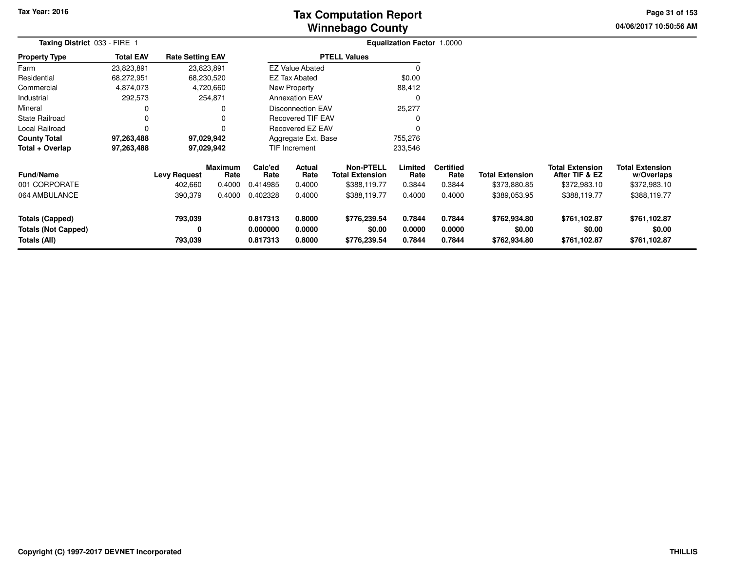# **Winnebago CountyTax Computation Report**

**04/06/2017 10:50:56 AM Page 31 of 153**

| Taxing District 033 - FIRE 1                                  |                  |                                | <b>Equalization Factor 1.0000</b> |                                  |                            |                                                            |                            |                                    |                                        |                                                          |                                                      |  |
|---------------------------------------------------------------|------------------|--------------------------------|-----------------------------------|----------------------------------|----------------------------|------------------------------------------------------------|----------------------------|------------------------------------|----------------------------------------|----------------------------------------------------------|------------------------------------------------------|--|
| <b>Property Type</b>                                          | <b>Total EAV</b> | <b>Rate Setting EAV</b>        |                                   |                                  |                            | <b>PTELL Values</b>                                        |                            |                                    |                                        |                                                          |                                                      |  |
| Farm                                                          | 23,823,891       | 23,823,891                     |                                   |                                  | <b>EZ Value Abated</b>     |                                                            |                            |                                    |                                        |                                                          |                                                      |  |
| Residential                                                   | 68,272,951       | 68,230,520                     |                                   |                                  | <b>EZ Tax Abated</b>       |                                                            | \$0.00                     |                                    |                                        |                                                          |                                                      |  |
| Commercial                                                    | 4,874,073        |                                | 4,720,660                         |                                  | <b>New Property</b>        |                                                            | 88,412                     |                                    |                                        |                                                          |                                                      |  |
| Industrial                                                    | 292,573          |                                | 254,871                           |                                  | <b>Annexation EAV</b>      |                                                            | $\Omega$                   |                                    |                                        |                                                          |                                                      |  |
| Mineral                                                       | 0                |                                | 0                                 |                                  | <b>Disconnection EAV</b>   |                                                            | 25,277                     |                                    |                                        |                                                          |                                                      |  |
| <b>State Railroad</b>                                         | 0                |                                |                                   | <b>Recovered TIF EAV</b>         |                            |                                                            |                            |                                    |                                        |                                                          |                                                      |  |
| Local Railroad                                                | 0                |                                |                                   |                                  | <b>Recovered EZ EAV</b>    |                                                            |                            |                                    |                                        |                                                          |                                                      |  |
| <b>County Total</b>                                           | 97,263,488       |                                | 97,029,942                        |                                  | Aggregate Ext. Base        |                                                            | 755,276                    |                                    |                                        |                                                          |                                                      |  |
| Total + Overlap                                               | 97,263,488       |                                | 97,029,942                        |                                  | <b>TIF Increment</b>       |                                                            | 233,546                    |                                    |                                        |                                                          |                                                      |  |
| Fund/Name<br>001 CORPORATE                                    |                  | <b>Levy Request</b><br>402,660 | <b>Maximum</b><br>Rate<br>0.4000  | Calc'ed<br>Rate<br>0.414985      | Actual<br>Rate<br>0.4000   | <b>Non-PTELL</b><br><b>Total Extension</b><br>\$388,119.77 | Limited<br>Rate<br>0.3844  | <b>Certified</b><br>Rate<br>0.3844 | <b>Total Extension</b><br>\$373,880.85 | <b>Total Extension</b><br>After TIF & EZ<br>\$372,983.10 | <b>Total Extension</b><br>w/Overlaps<br>\$372,983.10 |  |
| 064 AMBULANCE                                                 |                  | 390,379                        | 0.4000                            | 0.402328                         | 0.4000                     | \$388,119.77                                               | 0.4000                     | 0.4000                             | \$389,053.95                           | \$388,119.77                                             | \$388,119.77                                         |  |
| Totals (Capped)<br><b>Totals (Not Capped)</b><br>Totals (All) |                  | 793,039<br>0<br>793,039        |                                   | 0.817313<br>0.000000<br>0.817313 | 0.8000<br>0.0000<br>0.8000 | \$776,239.54<br>\$0.00<br>\$776,239.54                     | 0.7844<br>0.0000<br>0.7844 | 0.7844<br>0.0000<br>0.7844         | \$762,934.80<br>\$0.00<br>\$762,934.80 | \$761,102.87<br>\$0.00<br>\$761,102.87                   | \$761,102.87<br>\$0.00<br>\$761,102.87               |  |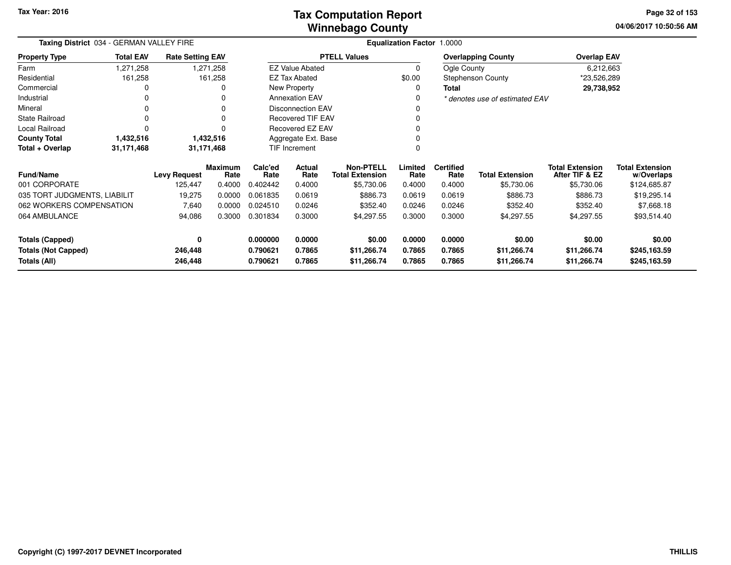| Taxing District 034 - GERMAN VALLEY FIRE   |                  |                         |                        | <b>Equalization Factor 1.0000</b> |                          |                                            |                  |                          |                                |                                          |                                      |  |
|--------------------------------------------|------------------|-------------------------|------------------------|-----------------------------------|--------------------------|--------------------------------------------|------------------|--------------------------|--------------------------------|------------------------------------------|--------------------------------------|--|
| <b>Property Type</b>                       | <b>Total EAV</b> | <b>Rate Setting EAV</b> |                        |                                   |                          | <b>PTELL Values</b>                        |                  |                          | <b>Overlapping County</b>      | <b>Overlap EAV</b>                       |                                      |  |
| Farm                                       | 1,271,258        |                         | 1,271,258              |                                   | <b>EZ Value Abated</b>   |                                            | 0                | Ogle County              |                                | 6,212,663                                |                                      |  |
| Residential                                | 161,258          |                         | 161,258                |                                   | <b>EZ Tax Abated</b>     |                                            | \$0.00           |                          | <b>Stephenson County</b>       | *23,526,289                              |                                      |  |
| Commercial                                 | 0                |                         | 0                      |                                   | New Property             |                                            | 0                | Total                    |                                | 29,738,952                               |                                      |  |
| Industrial                                 | 0                |                         | 0                      |                                   | <b>Annexation EAV</b>    |                                            |                  |                          | * denotes use of estimated EAV |                                          |                                      |  |
| Mineral                                    | 0                |                         | 0                      |                                   | <b>Disconnection EAV</b> |                                            |                  |                          |                                |                                          |                                      |  |
| <b>State Railroad</b>                      | 0                |                         | 0                      |                                   | <b>Recovered TIF EAV</b> |                                            |                  |                          |                                |                                          |                                      |  |
| Local Railroad                             | $\Omega$         |                         |                        |                                   | Recovered EZ EAV         |                                            |                  |                          |                                |                                          |                                      |  |
| <b>County Total</b>                        | 1,432,516        |                         | 1,432,516              |                                   | Aggregate Ext. Base      |                                            |                  |                          |                                |                                          |                                      |  |
| Total + Overlap                            | 31,171,468       | 31,171,468              |                        |                                   | TIF Increment            |                                            |                  |                          |                                |                                          |                                      |  |
| <b>Fund/Name</b>                           |                  | <b>Levy Request</b>     | <b>Maximum</b><br>Rate | Calc'ed<br>Rate                   | Actual<br>Rate           | <b>Non-PTELL</b><br><b>Total Extension</b> | Limited<br>Rate  | <b>Certified</b><br>Rate | <b>Total Extension</b>         | <b>Total Extension</b><br>After TIF & EZ | <b>Total Extension</b><br>w/Overlaps |  |
| 001 CORPORATE                              |                  | 125,447                 | 0.4000                 | 0.402442                          | 0.4000                   | \$5,730.06                                 | 0.4000           | 0.4000                   | \$5,730.06                     | \$5,730.06                               | \$124,685.87                         |  |
| 035 TORT JUDGMENTS, LIABILIT               |                  | 19,275                  | 0.0000                 | 0.061835                          | 0.0619                   | \$886.73                                   | 0.0619           | 0.0619                   | \$886.73                       | \$886.73                                 | \$19,295.14                          |  |
| 062 WORKERS COMPENSATION                   |                  | 7,640                   | 0.0000                 | 0.024510                          | 0.0246                   | \$352.40                                   | 0.0246           | 0.0246                   | \$352.40                       | \$352.40                                 | \$7,668.18                           |  |
| 064 AMBULANCE                              |                  | 94,086                  | 0.3000                 | 0.301834                          | 0.3000                   | \$4,297.55                                 | 0.3000           | 0.3000                   | \$4,297.55                     | \$4,297.55                               | \$93,514.40                          |  |
| <b>Totals (Capped)</b>                     |                  | 0                       |                        | 0.000000                          | 0.0000                   | \$0.00                                     | 0.0000           | 0.0000                   | \$0.00                         | \$0.00                                   | \$0.00                               |  |
| <b>Totals (Not Capped)</b><br>Totals (All) |                  | 246,448<br>246,448      |                        | 0.790621<br>0.790621              | 0.7865<br>0.7865         | \$11,266.74<br>\$11,266.74                 | 0.7865<br>0.7865 | 0.7865<br>0.7865         | \$11,266.74<br>\$11,266.74     | \$11,266.74<br>\$11,266.74               | \$245,163.59<br>\$245,163.59         |  |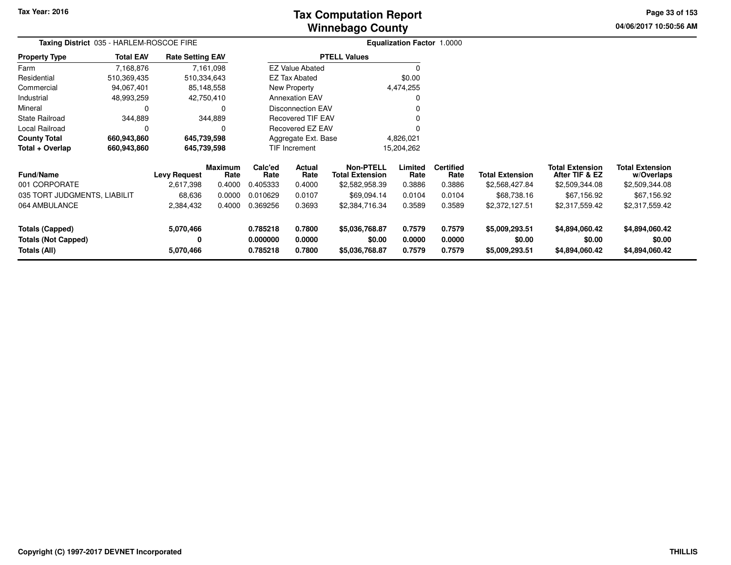# **Winnebago CountyTax Computation Report**

**04/06/2017 10:50:56 AM Page 33 of 153**

|                                                               | Taxing District 035 - HARLEM-ROSCOE FIRE<br>Equalization Factor 1.0000 |                                  |                                  |                                  |                            |                                                              |                            |                                    |                                            |                                                            |                                                        |  |
|---------------------------------------------------------------|------------------------------------------------------------------------|----------------------------------|----------------------------------|----------------------------------|----------------------------|--------------------------------------------------------------|----------------------------|------------------------------------|--------------------------------------------|------------------------------------------------------------|--------------------------------------------------------|--|
| <b>Property Type</b>                                          | <b>Total EAV</b>                                                       | <b>Rate Setting EAV</b>          |                                  |                                  |                            | <b>PTELL Values</b>                                          |                            |                                    |                                            |                                                            |                                                        |  |
| Farm                                                          | 7,168,876                                                              |                                  | 7,161,098                        |                                  | <b>EZ Value Abated</b>     |                                                              | $\Omega$                   |                                    |                                            |                                                            |                                                        |  |
| Residential                                                   | 510,369,435                                                            | 510,334,643                      |                                  |                                  | EZ Tax Abated              |                                                              | \$0.00                     |                                    |                                            |                                                            |                                                        |  |
| Commercial                                                    | 94,067,401                                                             |                                  | 85,148,558                       |                                  | New Property               |                                                              | 4,474,255                  |                                    |                                            |                                                            |                                                        |  |
| Industrial                                                    | 48,993,259                                                             |                                  | 42,750,410                       |                                  | <b>Annexation EAV</b>      |                                                              | 0                          |                                    |                                            |                                                            |                                                        |  |
| Mineral                                                       | 0                                                                      |                                  | 0                                |                                  | <b>Disconnection EAV</b>   |                                                              |                            |                                    |                                            |                                                            |                                                        |  |
| <b>State Railroad</b>                                         | 344,889                                                                |                                  | 344,889                          |                                  | <b>Recovered TIF EAV</b>   |                                                              | 0                          |                                    |                                            |                                                            |                                                        |  |
| Local Railroad                                                | 0                                                                      |                                  | 0                                |                                  | Recovered EZ EAV           |                                                              |                            |                                    |                                            |                                                            |                                                        |  |
| <b>County Total</b>                                           | 660,943,860                                                            | 645,739,598                      |                                  |                                  | Aggregate Ext. Base        |                                                              | 4,826,021                  |                                    |                                            |                                                            |                                                        |  |
| Total + Overlap                                               | 660,943,860                                                            | 645,739,598                      |                                  |                                  | TIF Increment              |                                                              | 15,204,262                 |                                    |                                            |                                                            |                                                        |  |
| <b>Fund/Name</b><br>001 CORPORATE                             |                                                                        | <b>Levy Request</b><br>2,617,398 | <b>Maximum</b><br>Rate<br>0.4000 | Calc'ed<br>Rate<br>0.405333      | Actual<br>Rate<br>0.4000   | <b>Non-PTELL</b><br><b>Total Extension</b><br>\$2,582,958.39 | Limited<br>Rate<br>0.3886  | <b>Certified</b><br>Rate<br>0.3886 | <b>Total Extension</b><br>\$2,568,427.84   | <b>Total Extension</b><br>After TIF & EZ<br>\$2,509,344.08 | <b>Total Extension</b><br>w/Overlaps<br>\$2,509,344.08 |  |
| 035 TORT JUDGMENTS, LIABILIT                                  |                                                                        | 68,636                           | 0.0000                           | 0.010629                         | 0.0107                     | \$69,094.14                                                  | 0.0104                     | 0.0104                             | \$68,738.16                                | \$67,156.92                                                | \$67,156.92                                            |  |
| 064 AMBULANCE                                                 |                                                                        | 2,384,432                        | 0.4000                           | 0.369256                         | 0.3693                     | \$2,384,716.34                                               | 0.3589                     | 0.3589                             | \$2,372,127.51                             | \$2,317,559.42                                             | \$2,317,559.42                                         |  |
| Totals (Capped)<br><b>Totals (Not Capped)</b><br>Totals (All) |                                                                        | 5,070,466<br>0<br>5,070,466      |                                  | 0.785218<br>0.000000<br>0.785218 | 0.7800<br>0.0000<br>0.7800 | \$5,036,768.87<br>\$0.00<br>\$5,036,768.87                   | 0.7579<br>0.0000<br>0.7579 | 0.7579<br>0.0000<br>0.7579         | \$5,009,293.51<br>\$0.00<br>\$5,009,293.51 | \$4,894,060.42<br>\$0.00<br>\$4,894,060.42                 | \$4,894,060.42<br>\$0.00<br>\$4,894,060.42             |  |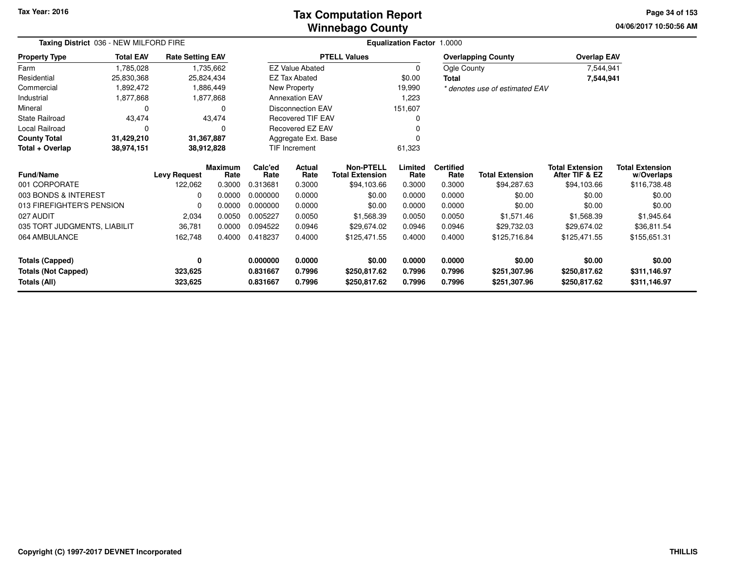### **Winnebago CountyTax Computation Report Tax**

**04/06/2017 10:50:56 AM Page 34 of 153**

| Taxing District 036 - NEW MILFORD FIRE<br><b>Total EAV</b><br><b>Rate Setting EAV</b> |            |                     |                 |                 |                          |                                            | <b>Equalization Factor 1.0000</b> |                          |                                |                                          |                                      |
|---------------------------------------------------------------------------------------|------------|---------------------|-----------------|-----------------|--------------------------|--------------------------------------------|-----------------------------------|--------------------------|--------------------------------|------------------------------------------|--------------------------------------|
| <b>Property Type</b>                                                                  |            |                     |                 |                 |                          | <b>PTELL Values</b>                        |                                   |                          | <b>Overlapping County</b>      | <b>Overlap EAV</b>                       |                                      |
| Farm                                                                                  | 1,785,028  |                     | 1,735,662       |                 | <b>EZ Value Abated</b>   |                                            | $\mathbf 0$                       | Ogle County              |                                | 7,544,941                                |                                      |
| Residential                                                                           | 25,830,368 |                     | 25,824,434      |                 | <b>EZ Tax Abated</b>     |                                            | \$0.00                            | Total                    |                                | 7,544,941                                |                                      |
| Commercial                                                                            | 1,892,472  |                     | 1,886,449       |                 | New Property             |                                            | 19,990                            |                          | * denotes use of estimated EAV |                                          |                                      |
| Industrial                                                                            | 1,877,868  |                     | 1,877,868       |                 | <b>Annexation EAV</b>    |                                            | 1,223                             |                          |                                |                                          |                                      |
| Mineral                                                                               | 0          |                     | 0               |                 | <b>Disconnection EAV</b> |                                            | 151,607                           |                          |                                |                                          |                                      |
| <b>State Railroad</b>                                                                 | 43,474     |                     | 43,474          |                 | <b>Recovered TIF EAV</b> |                                            | O                                 |                          |                                |                                          |                                      |
| Local Railroad                                                                        | 0          |                     | $\Omega$        |                 | Recovered EZ EAV         |                                            |                                   |                          |                                |                                          |                                      |
| <b>County Total</b>                                                                   | 31,429,210 |                     | 31,367,887      |                 | Aggregate Ext. Base      |                                            | n                                 |                          |                                |                                          |                                      |
| Total + Overlap                                                                       | 38,974,151 |                     | 38,912,828      |                 | TIF Increment            |                                            | 61,323                            |                          |                                |                                          |                                      |
| Fund/Name                                                                             |            | <b>Levy Request</b> | Maximum<br>Rate | Calc'ed<br>Rate | Actual<br>Rate           | <b>Non-PTELL</b><br><b>Total Extension</b> | Limited<br>Rate                   | <b>Certified</b><br>Rate | <b>Total Extension</b>         | <b>Total Extension</b><br>After TIF & EZ | <b>Total Extension</b><br>w/Overlaps |
| 001 CORPORATE                                                                         |            | 122,062             | 0.3000          | 0.313681        | 0.3000                   | \$94,103.66                                | 0.3000                            | 0.3000                   | \$94,287.63                    | \$94,103.66                              | \$116,738.48                         |
| 003 BONDS & INTEREST                                                                  |            | 0                   | 0.0000          | 0.000000        | 0.0000                   | \$0.00                                     | 0.0000                            | 0.0000                   | \$0.00                         | \$0.00                                   | \$0.00                               |
| 013 FIREFIGHTER'S PENSION                                                             |            | 0                   | 0.0000          | 0.000000        | 0.0000                   | \$0.00                                     | 0.0000                            | 0.0000                   | \$0.00                         | \$0.00                                   | \$0.00                               |
| 027 AUDIT                                                                             |            | 2,034               | 0.0050          | 0.005227        | 0.0050                   | \$1,568.39                                 | 0.0050                            | 0.0050                   | \$1,571.46                     | \$1,568.39                               | \$1,945.64                           |
| 035 TORT JUDGMENTS, LIABILIT                                                          |            | 36,781              | 0.0000          | 0.094522        | 0.0946                   | \$29,674.02                                | 0.0946                            | 0.0946                   | \$29,732.03                    | \$29,674.02                              | \$36,811.54                          |
| 064 AMBULANCE                                                                         |            | 162,748             | 0.4000          | 0.418237        | 0.4000                   | \$125,471.55                               | 0.4000                            | 0.4000                   | \$125,716.84                   | \$125,471.55                             | \$155,651.31                         |
| Totals (Capped)                                                                       |            | 0                   |                 | 0.000000        | 0.0000                   | \$0.00                                     | 0.0000                            | 0.0000                   | \$0.00                         | \$0.00                                   | \$0.00                               |
| <b>Totals (Not Capped)</b>                                                            |            | 323,625             |                 | 0.831667        | 0.7996                   | \$250,817.62                               | 0.7996                            | 0.7996                   | \$251,307.96                   | \$250,817.62                             | \$311,146.97                         |
| Totals (All)                                                                          |            | 323,625             |                 | 0.831667        | 0.7996                   | \$250,817.62                               | 0.7996                            | 0.7996                   | \$251,307.96                   | \$250,817.62                             | \$311,146.97                         |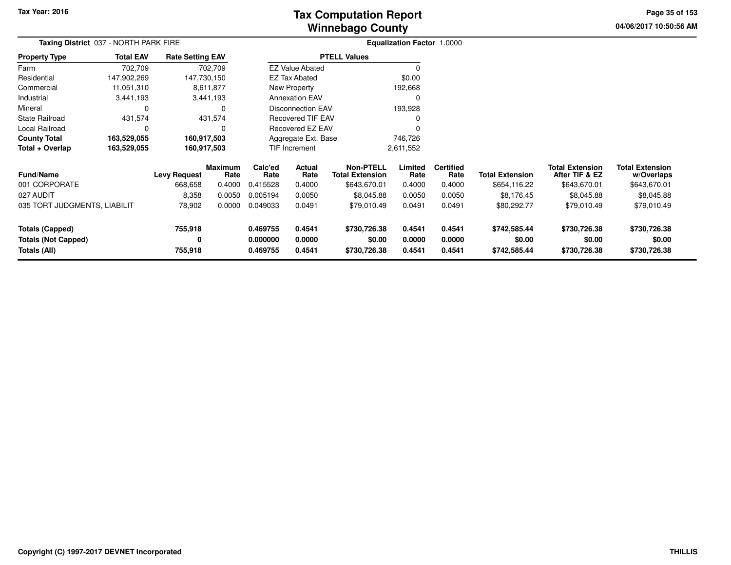# **Winnebago CountyTax Computation Report Tax**

**04/06/2017 10:50:56 AM Page 35 of 153**

| Taxing District 037 - NORTH PARK FIRE         |                  |                         |                        |                      |                          |                                            | <b>Equalization Factor 1.0000</b> |                          |                        |                                          |                                      |  |
|-----------------------------------------------|------------------|-------------------------|------------------------|----------------------|--------------------------|--------------------------------------------|-----------------------------------|--------------------------|------------------------|------------------------------------------|--------------------------------------|--|
| <b>Property Type</b>                          | <b>Total EAV</b> | <b>Rate Setting EAV</b> |                        |                      |                          | <b>PTELL Values</b>                        |                                   |                          |                        |                                          |                                      |  |
| Farm                                          | 702,709          |                         | 702,709                |                      | <b>EZ Value Abated</b>   |                                            |                                   |                          |                        |                                          |                                      |  |
| Residential                                   | 147,902,269      | 147,730,150             |                        |                      | <b>EZ Tax Abated</b>     |                                            | \$0.00                            |                          |                        |                                          |                                      |  |
| Commercial                                    | 11,051,310       |                         | 8,611,877              |                      | New Property             |                                            | 192,668                           |                          |                        |                                          |                                      |  |
| Industrial                                    | 3,441,193        |                         | 3,441,193              |                      | <b>Annexation EAV</b>    |                                            | 0                                 |                          |                        |                                          |                                      |  |
| Mineral                                       |                  |                         | 0                      |                      | <b>Disconnection EAV</b> |                                            | 193,928                           |                          |                        |                                          |                                      |  |
| <b>State Railroad</b>                         | 431,574          |                         | 431,574                |                      | <b>Recovered TIF EAV</b> |                                            |                                   |                          |                        |                                          |                                      |  |
| Local Railroad                                | 0                |                         | O                      |                      | Recovered EZ EAV         |                                            |                                   |                          |                        |                                          |                                      |  |
| <b>County Total</b>                           | 163,529,055      | 160,917,503             |                        |                      | Aggregate Ext. Base      |                                            | 746,726                           |                          |                        |                                          |                                      |  |
| Total + Overlap                               | 163,529,055      | 160,917,503             |                        |                      | TIF Increment            |                                            | 2,611,552                         |                          |                        |                                          |                                      |  |
| <b>Fund/Name</b>                              |                  | <b>Levy Request</b>     | <b>Maximum</b><br>Rate | Calc'ed<br>Rate      | Actual<br>Rate           | <b>Non-PTELL</b><br><b>Total Extension</b> | Limited<br>Rate                   | <b>Certified</b><br>Rate | <b>Total Extension</b> | <b>Total Extension</b><br>After TIF & EZ | <b>Total Extension</b><br>w/Overlaps |  |
| 001 CORPORATE                                 |                  | 668,658                 | 0.4000                 | 0.415528             | 0.4000                   | \$643,670.01                               | 0.4000                            | 0.4000                   | \$654,116.22           | \$643,670.01                             | \$643,670.01                         |  |
| 027 AUDIT                                     |                  | 8,358                   | 0.0050                 | 0.005194             | 0.0050                   | \$8,045.88                                 | 0.0050                            | 0.0050                   | \$8,176.45             | \$8,045.88                               | \$8,045.88                           |  |
| 035 TORT JUDGMENTS, LIABILIT                  |                  | 78,902                  | 0.0000                 | 0.049033             | 0.0491                   | \$79,010.49                                | 0.0491                            | 0.0491                   | \$80,292.77            | \$79,010.49                              | \$79,010.49                          |  |
| Totals (Capped)<br><b>Totals (Not Capped)</b> |                  | 755,918<br>0            |                        | 0.469755<br>0.000000 | 0.4541<br>0.0000         | \$730,726.38<br>\$0.00                     | 0.4541<br>0.0000                  | 0.4541<br>0.0000         | \$742,585.44<br>\$0.00 | \$730,726.38<br>\$0.00                   | \$730,726.38<br>\$0.00               |  |
| Totals (All)                                  |                  | 755,918                 |                        | 0.469755             | 0.4541                   | \$730,726.38                               | 0.4541                            | 0.4541                   | \$742,585.44           | \$730,726.38                             | \$730,726.38                         |  |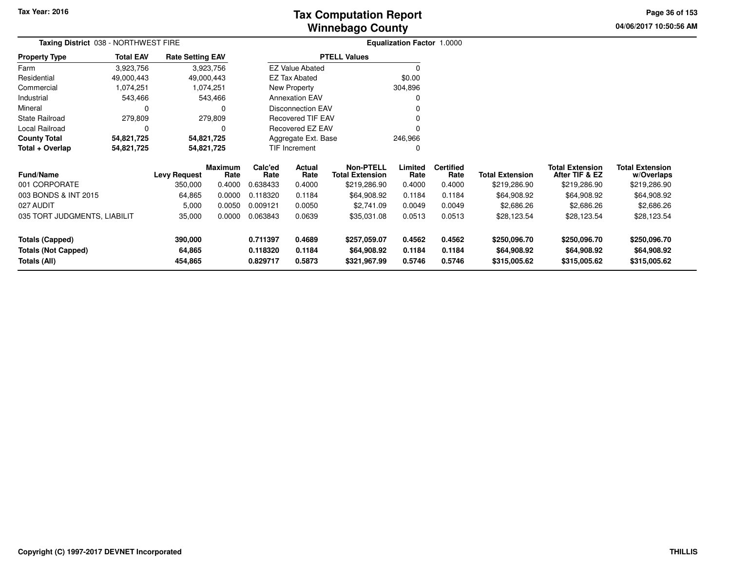**04/06/2017 10:50:56 AM Page 36 of 153**

| Taxing District 038 - NORTHWEST FIRE |                                |                         |                        |                 |                          |                                            | Equalization Factor 1.0000 |                          |                        |                                          |                                      |
|--------------------------------------|--------------------------------|-------------------------|------------------------|-----------------|--------------------------|--------------------------------------------|----------------------------|--------------------------|------------------------|------------------------------------------|--------------------------------------|
| <b>Property Type</b>                 | <b>Total EAV</b>               | <b>Rate Setting EAV</b> |                        |                 |                          | <b>PTELL Values</b>                        |                            |                          |                        |                                          |                                      |
| Farm                                 | 3,923,756                      |                         | 3,923,756              |                 | <b>EZ Value Abated</b>   |                                            | 0                          |                          |                        |                                          |                                      |
| Residential                          | 49,000,443                     | 49,000,443              |                        |                 | EZ Tax Abated            |                                            | \$0.00                     |                          |                        |                                          |                                      |
| Commercial                           | 1,074,251                      |                         | 1,074,251              |                 | New Property             |                                            | 304,896                    |                          |                        |                                          |                                      |
| Industrial                           | 543,466                        |                         | 543,466                |                 | <b>Annexation EAV</b>    |                                            |                            |                          |                        |                                          |                                      |
| Mineral                              |                                |                         | 0                      |                 | <b>Disconnection EAV</b> |                                            |                            |                          |                        |                                          |                                      |
| <b>State Railroad</b>                | 279,809<br>279,809<br>$\Omega$ |                         |                        |                 | <b>Recovered TIF EAV</b> |                                            |                            |                          |                        |                                          |                                      |
| Local Railroad                       |                                |                         |                        |                 | Recovered EZ EAV         |                                            |                            |                          |                        |                                          |                                      |
| <b>County Total</b>                  | 54,821,725                     | 54,821,725              |                        |                 | Aggregate Ext. Base      |                                            | 246,966                    |                          |                        |                                          |                                      |
| Total + Overlap                      | 54,821,725                     | 54,821,725              |                        |                 | TIF Increment            |                                            | 0                          |                          |                        |                                          |                                      |
| <b>Fund/Name</b>                     |                                | <b>Levy Request</b>     | <b>Maximum</b><br>Rate | Calc'ed<br>Rate | Actual<br>Rate           | <b>Non-PTELL</b><br><b>Total Extension</b> | Limited<br>Rate            | <b>Certified</b><br>Rate | <b>Total Extension</b> | <b>Total Extension</b><br>After TIF & EZ | <b>Total Extension</b><br>w/Overlaps |
| 001 CORPORATE                        |                                | 350,000                 | 0.4000                 | 0.638433        | 0.4000                   | \$219,286.90                               | 0.4000                     | 0.4000                   | \$219,286.90           | \$219,286.90                             | \$219,286.90                         |
| 003 BONDS & INT 2015                 |                                | 64,865                  | 0.0000                 | 0.118320        | 0.1184                   | \$64,908.92                                | 0.1184                     | 0.1184                   | \$64,908.92            | \$64,908.92                              | \$64,908.92                          |
| 027 AUDIT                            |                                | 5,000                   | 0.0050                 | 0.009121        | 0.0050                   | \$2,741.09                                 | 0.0049                     | 0.0049                   | \$2,686.26             | \$2,686.26                               | \$2,686.26                           |
| 035 TORT JUDGMENTS, LIABILIT         |                                | 35,000                  | 0.0000                 | 0.063843        | 0.0639                   | \$35,031.08                                | 0.0513                     | 0.0513                   | \$28,123.54            | \$28,123.54                              | \$28,123.54                          |
| <b>Totals (Capped)</b>               |                                | 390,000                 |                        | 0.711397        | 0.4689                   | \$257,059.07                               | 0.4562                     | 0.4562                   | \$250,096.70           | \$250,096.70                             | \$250,096.70                         |
| <b>Totals (Not Capped)</b>           |                                | 64,865                  |                        | 0.118320        | 0.1184                   | \$64,908.92                                | 0.1184                     | 0.1184                   | \$64,908.92            | \$64,908.92                              | \$64,908.92                          |
| 454,865<br>Totals (All)              |                                |                         | 0.829717               | 0.5873          | \$321,967.99             | 0.5746                                     | 0.5746                     | \$315,005.62             | \$315,005.62           | \$315,005.62                             |                                      |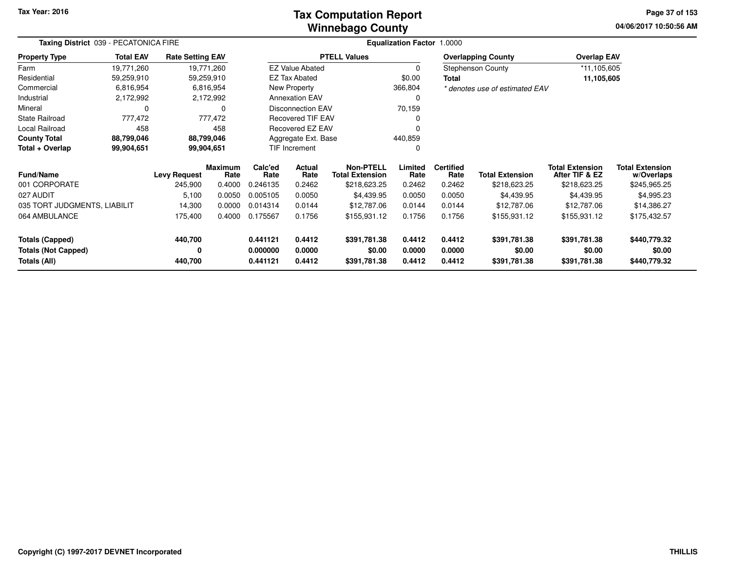### **Winnebago CountyTax Computation Report**

**04/06/2017 10:50:56 AM Page 37 of 153**

| Taxing District 039 - PECATONICA FIRE |                  |                         |                        |                 |                          |                                            | Equalization Factor 1.0000 |                          |                                |                                          |                                      |
|---------------------------------------|------------------|-------------------------|------------------------|-----------------|--------------------------|--------------------------------------------|----------------------------|--------------------------|--------------------------------|------------------------------------------|--------------------------------------|
| <b>Property Type</b>                  | <b>Total EAV</b> | <b>Rate Setting EAV</b> |                        |                 |                          | <b>PTELL Values</b>                        |                            |                          | <b>Overlapping County</b>      | <b>Overlap EAV</b>                       |                                      |
| Farm                                  | 19,771,260       |                         | 19,771,260             |                 | <b>EZ Value Abated</b>   |                                            | 0                          |                          | <b>Stephenson County</b>       | *11,105,605                              |                                      |
| Residential                           | 59,259,910       |                         | 59,259,910             |                 | <b>EZ Tax Abated</b>     |                                            | \$0.00                     | Total                    |                                | 11,105,605                               |                                      |
| Commercial                            | 6,816,954        |                         | 6,816,954              |                 | New Property             |                                            | 366,804                    |                          | * denotes use of estimated EAV |                                          |                                      |
| Industrial                            | 2,172,992        |                         | 2,172,992              |                 | <b>Annexation EAV</b>    |                                            | 0                          |                          |                                |                                          |                                      |
| Mineral                               | 0                |                         |                        |                 | <b>Disconnection EAV</b> |                                            | 70,159                     |                          |                                |                                          |                                      |
| <b>State Railroad</b>                 | 777,472          |                         | 777,472                |                 | <b>Recovered TIF EAV</b> |                                            |                            |                          |                                |                                          |                                      |
| Local Railroad                        | 458              |                         | 458                    |                 | Recovered EZ EAV         |                                            |                            |                          |                                |                                          |                                      |
| <b>County Total</b>                   | 88,799,046       |                         | 88,799,046             |                 | Aggregate Ext. Base      |                                            | 440,859                    |                          |                                |                                          |                                      |
| Total + Overlap                       | 99,904,651       |                         | 99,904,651             |                 | TIF Increment            |                                            | 0                          |                          |                                |                                          |                                      |
| <b>Fund/Name</b>                      |                  | <b>Levy Request</b>     | <b>Maximum</b><br>Rate | Calc'ed<br>Rate | Actual<br>Rate           | <b>Non-PTELL</b><br><b>Total Extension</b> | Limited<br>Rate            | <b>Certified</b><br>Rate | <b>Total Extension</b>         | <b>Total Extension</b><br>After TIF & EZ | <b>Total Extension</b><br>w/Overlaps |
| 001 CORPORATE                         |                  | 245,900                 | 0.4000                 | 0.246135        | 0.2462                   | \$218,623.25                               | 0.2462                     | 0.2462                   | \$218,623.25                   | \$218,623.25                             | \$245,965.25                         |
| 027 AUDIT                             |                  | 5,100                   | 0.0050                 | 0.005105        | 0.0050                   | \$4,439.95                                 | 0.0050                     | 0.0050                   | \$4,439.95                     | \$4,439.95                               | \$4,995.23                           |
| 035 TORT JUDGMENTS, LIABILIT          |                  | 14,300                  | 0.0000                 | 0.014314        | 0.0144                   | \$12,787.06                                | 0.0144                     | 0.0144                   | \$12,787.06                    | \$12,787.06                              | \$14,386.27                          |
| 064 AMBULANCE                         |                  | 175,400                 | 0.4000                 | 0.175567        | 0.1756                   | \$155,931.12                               | 0.1756                     | 0.1756                   | \$155,931.12                   | \$155,931.12                             | \$175,432.57                         |
| <b>Totals (Capped)</b>                |                  | 440,700                 |                        | 0.441121        | 0.4412                   | \$391,781.38                               | 0.4412                     | 0.4412                   | \$391,781.38                   | \$391,781.38                             | \$440,779.32                         |
| <b>Totals (Not Capped)</b>            |                  | 0                       |                        | 0.000000        | 0.0000                   | \$0.00                                     | 0.0000                     | 0.0000                   | \$0.00                         | \$0.00                                   | \$0.00                               |
| <b>Totals (All)</b><br>440,700        |                  |                         | 0.441121               | 0.4412          | \$391,781.38             | 0.4412                                     | 0.4412                     | \$391,781.38             | \$391,781.38                   | \$440,779.32                             |                                      |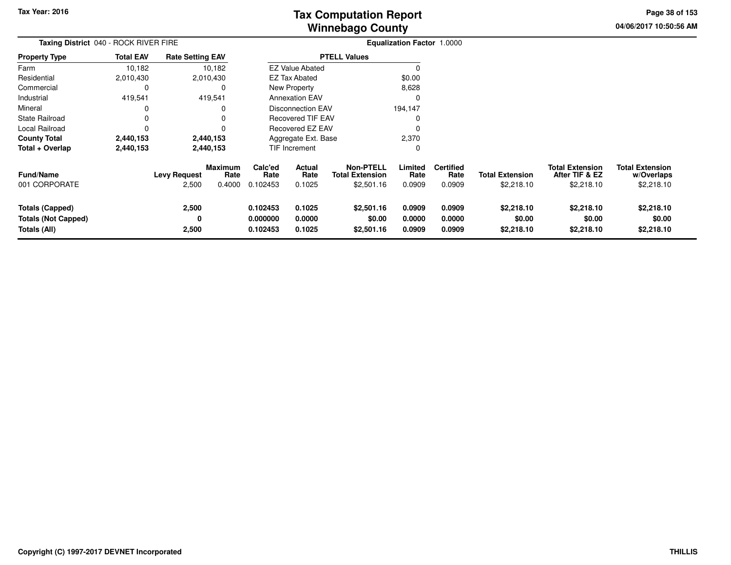**04/06/2017 10:50:56 AM Page 38 of 153**

| Taxing District 040 - ROCK RIVER FIRE                         |                  |                              |                                  |                                  |                            |                                                   | <b>Equalization Factor 1.0000</b> |                                    |                                      |                                                        |                                                    |  |
|---------------------------------------------------------------|------------------|------------------------------|----------------------------------|----------------------------------|----------------------------|---------------------------------------------------|-----------------------------------|------------------------------------|--------------------------------------|--------------------------------------------------------|----------------------------------------------------|--|
| <b>Property Type</b>                                          | <b>Total EAV</b> | <b>Rate Setting EAV</b>      |                                  |                                  |                            | <b>PTELL Values</b>                               |                                   |                                    |                                      |                                                        |                                                    |  |
| Farm                                                          | 10,182           |                              | 10,182                           |                                  | <b>EZ Value Abated</b>     |                                                   | <sup>0</sup>                      |                                    |                                      |                                                        |                                                    |  |
| Residential                                                   | 2,010,430        |                              | 2,010,430                        |                                  | <b>EZ Tax Abated</b>       |                                                   | \$0.00                            |                                    |                                      |                                                        |                                                    |  |
| Commercial                                                    | 0                |                              | 0                                |                                  | New Property               |                                                   | 8,628                             |                                    |                                      |                                                        |                                                    |  |
| Industrial                                                    | 419,541          |                              | 419,541                          |                                  | <b>Annexation EAV</b>      |                                                   | 0                                 |                                    |                                      |                                                        |                                                    |  |
| Mineral                                                       |                  |                              | 0                                |                                  | Disconnection EAV          |                                                   | 194,147                           |                                    |                                      |                                                        |                                                    |  |
| <b>State Railroad</b>                                         | $\Omega$         |                              | 0                                |                                  | <b>Recovered TIF EAV</b>   |                                                   |                                   |                                    |                                      |                                                        |                                                    |  |
| <b>Local Railroad</b>                                         | 0                |                              | 0                                |                                  | Recovered EZ EAV           |                                                   | $\Omega$                          |                                    |                                      |                                                        |                                                    |  |
| <b>County Total</b>                                           | 2,440,153        |                              | 2,440,153                        |                                  | Aggregate Ext. Base        |                                                   | 2,370                             |                                    |                                      |                                                        |                                                    |  |
| Total + Overlap                                               | 2,440,153        |                              | 2,440,153                        |                                  | TIF Increment              |                                                   | $\Omega$                          |                                    |                                      |                                                        |                                                    |  |
| <b>Fund/Name</b><br>001 CORPORATE                             |                  | <b>Levy Request</b><br>2,500 | <b>Maximum</b><br>Rate<br>0.4000 | Calc'ed<br>Rate<br>0.102453      | Actual<br>Rate<br>0.1025   | Non-PTELL<br><b>Total Extension</b><br>\$2,501.16 | Limited<br>Rate<br>0.0909         | <b>Certified</b><br>Rate<br>0.0909 | <b>Total Extension</b><br>\$2,218.10 | <b>Total Extension</b><br>After TIF & EZ<br>\$2,218.10 | <b>Total Extension</b><br>w/Overlaps<br>\$2,218.10 |  |
| Totals (Capped)<br><b>Totals (Not Capped)</b><br>Totals (All) |                  | 2,500<br>0<br>2,500          |                                  | 0.102453<br>0.000000<br>0.102453 | 0.1025<br>0.0000<br>0.1025 | \$2,501.16<br>\$0.00<br>\$2,501.16                | 0.0909<br>0.0000<br>0.0909        | 0.0909<br>0.0000<br>0.0909         | \$2,218.10<br>\$0.00<br>\$2,218.10   | \$2,218.10<br>\$0.00<br>\$2,218.10                     | \$2,218.10<br>\$0.00<br>\$2,218.10                 |  |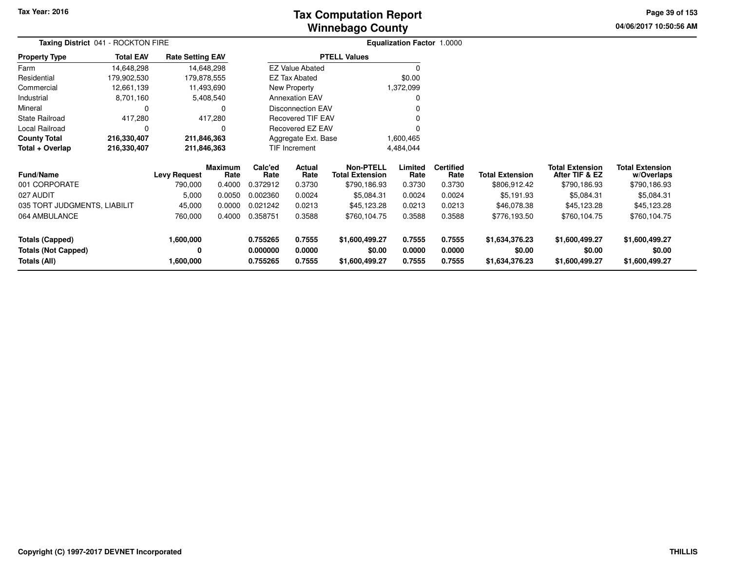# **Winnebago CountyTax Computation Report Tax**

**04/06/2017 10:50:56 AM Page 39 of 153**

|                                         | Taxing District 041 - ROCKTON FIRE |                         |                 |                      |                                     |                     | Equalization Factor 1.0000 |                        |                                          |                                      |                |  |
|-----------------------------------------|------------------------------------|-------------------------|-----------------|----------------------|-------------------------------------|---------------------|----------------------------|------------------------|------------------------------------------|--------------------------------------|----------------|--|
| <b>Property Type</b>                    | <b>Total EAV</b>                   | <b>Rate Setting EAV</b> |                 |                      |                                     | <b>PTELL Values</b> |                            |                        |                                          |                                      |                |  |
| Farm                                    | 14,648,298                         |                         | 14,648,298      |                      | <b>EZ Value Abated</b>              |                     | $\Omega$                   |                        |                                          |                                      |                |  |
| Residential                             | 179,902,530                        | 179,878,555             |                 |                      | <b>EZ Tax Abated</b>                |                     | \$0.00                     |                        |                                          |                                      |                |  |
| Commercial                              | 12,661,139                         |                         | 11,493,690      |                      | New Property                        |                     | 1,372,099                  |                        |                                          |                                      |                |  |
| Industrial                              | 8,701,160                          |                         | 5,408,540       |                      | <b>Annexation EAV</b>               |                     | 0                          |                        |                                          |                                      |                |  |
| Mineral                                 | $\Omega$                           |                         | 0               |                      | <b>Disconnection EAV</b>            |                     |                            |                        |                                          |                                      |                |  |
| <b>State Railroad</b>                   | 417,280                            |                         | 417,280         |                      | <b>Recovered TIF EAV</b>            |                     |                            |                        |                                          |                                      |                |  |
| Local Railroad                          | 0                                  |                         | 0               |                      | <b>Recovered EZ EAV</b>             |                     |                            |                        |                                          |                                      |                |  |
| <b>County Total</b>                     | 216,330,407                        | 211,846,363             |                 |                      | Aggregate Ext. Base                 |                     | 1,600,465                  |                        |                                          |                                      |                |  |
| Total + Overlap                         | 216,330,407                        | 211,846,363             |                 | <b>TIF Increment</b> |                                     |                     | 4,484,044                  |                        |                                          |                                      |                |  |
| <b>Fund/Name</b><br><b>Levy Request</b> |                                    | Maximum<br>Rate         | Calc'ed<br>Rate | Actual<br>Rate       | Non-PTELL<br><b>Total Extension</b> | Limited<br>Rate     | <b>Certified</b><br>Rate   | <b>Total Extension</b> | <b>Total Extension</b><br>After TIF & EZ | <b>Total Extension</b><br>w/Overlaps |                |  |
| 001 CORPORATE                           |                                    | 790,000                 | 0.4000          | 0.372912             | 0.3730                              | \$790,186.93        | 0.3730                     | 0.3730                 | \$806,912.42                             | \$790,186.93                         | \$790,186.93   |  |
| 027 AUDIT                               |                                    | 5,000                   | 0.0050          | 0.002360             | 0.0024                              | \$5,084.31          | 0.0024                     | 0.0024                 | \$5,191.93                               | \$5,084.31                           | \$5,084.31     |  |
| 035 TORT JUDGMENTS, LIABILIT            |                                    | 45,000                  | 0.0000          | 0.021242             | 0.0213                              | \$45,123.28         | 0.0213                     | 0.0213                 | \$46,078.38                              | \$45,123.28                          | \$45,123.28    |  |
| 064 AMBULANCE                           |                                    | 760,000                 | 0.4000          | 0.358751             | 0.3588                              | \$760,104.75        | 0.3588                     | 0.3588                 | \$776,193.50                             | \$760,104.75                         | \$760,104.75   |  |
| <b>Totals (Capped)</b><br>1,600,000     |                                    |                         | 0.755265        | 0.7555               | \$1,600,499.27                      | 0.7555              | 0.7555                     | \$1,634,376.23         | \$1,600,499.27                           | \$1,600,499.27                       |                |  |
| <b>Totals (Not Capped)</b>              |                                    | 0                       |                 | 0.000000             | 0.0000                              | \$0.00              | 0.0000                     | 0.0000                 | \$0.00                                   | \$0.00                               | \$0.00         |  |
| <b>Totals (All)</b>                     |                                    | 1,600,000               |                 | 0.755265             | 0.7555                              | \$1,600,499.27      | 0.7555                     | 0.7555                 | \$1,634,376.23                           | \$1,600,499.27                       | \$1,600,499.27 |  |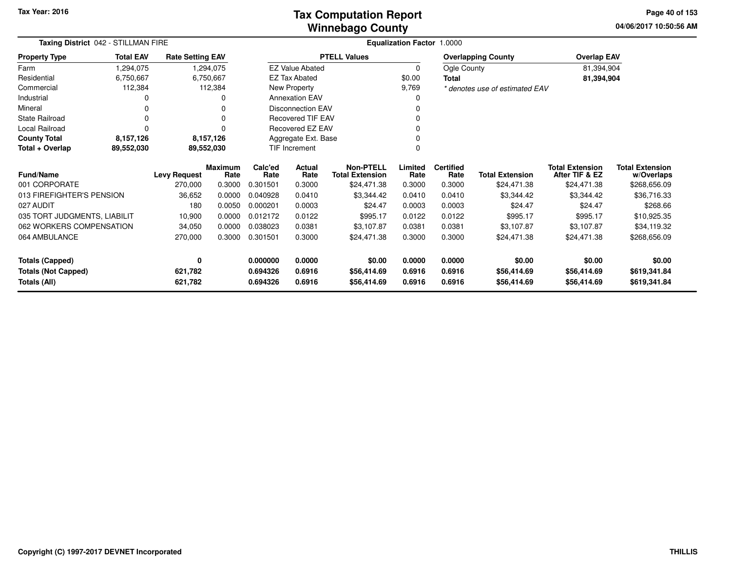### **Winnebago CountyTax Computation Report Tax**

**04/06/2017 10:50:56 AMPage 40 of 153**

| Taxing District 042 - STILLMAN FIRE         |                  |                         |                        | Equalization Factor 1.0000 |                          |                                            |                 |                          |                                |                                          |                                      |
|---------------------------------------------|------------------|-------------------------|------------------------|----------------------------|--------------------------|--------------------------------------------|-----------------|--------------------------|--------------------------------|------------------------------------------|--------------------------------------|
| <b>Property Type</b>                        | <b>Total EAV</b> | <b>Rate Setting EAV</b> |                        |                            |                          | <b>PTELL Values</b>                        |                 |                          | <b>Overlapping County</b>      | <b>Overlap EAV</b>                       |                                      |
| Farm                                        | 1,294,075        |                         | 1,294,075              |                            | <b>EZ Value Abated</b>   |                                            | $\Omega$        | Ogle County              |                                | 81,394,904                               |                                      |
| Residential                                 | 6,750,667        |                         | 6,750,667              |                            | <b>EZ Tax Abated</b>     |                                            | \$0.00          | Total                    |                                | 81,394,904                               |                                      |
| Commercial                                  | 112,384          |                         | 112,384                |                            | New Property             |                                            | 9,769           |                          | * denotes use of estimated EAV |                                          |                                      |
| Industrial                                  | 0                |                         |                        |                            | <b>Annexation EAV</b>    |                                            |                 |                          |                                |                                          |                                      |
| Mineral                                     |                  |                         |                        |                            | <b>Disconnection EAV</b> |                                            |                 |                          |                                |                                          |                                      |
| <b>State Railroad</b>                       | 0                |                         |                        |                            | <b>Recovered TIF EAV</b> |                                            |                 |                          |                                |                                          |                                      |
| <b>Local Railroad</b>                       | O                |                         |                        |                            | Recovered EZ EAV         |                                            |                 |                          |                                |                                          |                                      |
| <b>County Total</b>                         | 8,157,126        |                         | 8,157,126              |                            | Aggregate Ext. Base      |                                            |                 |                          |                                |                                          |                                      |
| Total + Overlap<br>89,552,030<br>89,552,030 |                  |                         |                        | <b>TIF Increment</b>       |                          |                                            |                 |                          |                                |                                          |                                      |
| <b>Fund/Name</b>                            |                  | <b>Levy Request</b>     | <b>Maximum</b><br>Rate | Calc'ed<br>Rate            | Actual<br>Rate           | <b>Non-PTELL</b><br><b>Total Extension</b> | Limited<br>Rate | <b>Certified</b><br>Rate | <b>Total Extension</b>         | <b>Total Extension</b><br>After TIF & EZ | <b>Total Extension</b><br>w/Overlaps |
| 001 CORPORATE                               |                  | 270,000                 | 0.3000                 | 0.301501                   | 0.3000                   | \$24,471.38                                | 0.3000          | 0.3000                   | \$24,471.38                    | \$24,471.38                              | \$268,656.09                         |
| 013 FIREFIGHTER'S PENSION                   |                  | 36,652                  | 0.0000                 | 0.040928                   | 0.0410                   | \$3,344.42                                 | 0.0410          | 0.0410                   | \$3.344.42                     | \$3,344.42                               | \$36,716.33                          |
| 027 AUDIT                                   |                  | 180                     | 0.0050                 | 0.000201                   | 0.0003                   | \$24.47                                    | 0.0003          | 0.0003                   | \$24.47                        | \$24.47                                  | \$268.66                             |
| 035 TORT JUDGMENTS, LIABILIT                |                  | 10,900                  | 0.0000                 | 0.012172                   | 0.0122                   | \$995.17                                   | 0.0122          | 0.0122                   | \$995.17                       | \$995.17                                 | \$10,925.35                          |
| 062 WORKERS COMPENSATION                    |                  | 34,050                  | 0.0000                 | 0.038023                   | 0.0381                   | \$3,107.87                                 | 0.0381          | 0.0381                   | \$3,107.87                     | \$3,107.87                               | \$34,119.32                          |
| 064 AMBULANCE                               |                  | 270,000                 | 0.3000                 | 0.301501                   | 0.3000                   | \$24,471.38                                | 0.3000          | 0.3000                   | \$24,471.38                    | \$24,471.38                              | \$268,656.09                         |
| <b>Totals (Capped)</b>                      |                  | 0                       |                        | 0.000000                   | 0.0000                   | \$0.00                                     | 0.0000          | 0.0000                   | \$0.00                         | \$0.00                                   | \$0.00                               |
| <b>Totals (Not Capped)</b>                  |                  | 621,782                 |                        | 0.694326                   | 0.6916                   | \$56,414.69                                | 0.6916          | 0.6916                   | \$56,414.69                    | \$56,414.69                              | \$619,341.84                         |
| Totals (All)                                |                  | 621,782                 |                        | 0.694326                   | 0.6916                   | \$56,414.69                                | 0.6916          | 0.6916                   | \$56,414.69                    | \$56,414.69                              | \$619,341.84                         |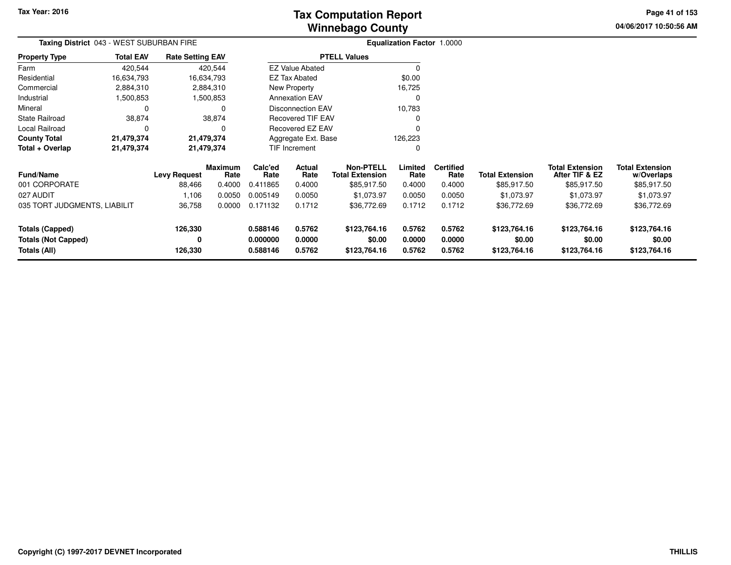**04/06/2017 10:50:56 AMPage 41 of 153**

| Taxing District 043 - WEST SUBURBAN FIRE                             |                                       |                         |                      |                  |                          |                                            | Equalization Factor 1.0000 |                          |                        |                                          |                                      |
|----------------------------------------------------------------------|---------------------------------------|-------------------------|----------------------|------------------|--------------------------|--------------------------------------------|----------------------------|--------------------------|------------------------|------------------------------------------|--------------------------------------|
| <b>Property Type</b>                                                 | <b>Total EAV</b>                      | <b>Rate Setting EAV</b> |                      |                  |                          | <b>PTELL Values</b>                        |                            |                          |                        |                                          |                                      |
| Farm                                                                 | 420,544                               |                         | 420,544              |                  | <b>EZ Value Abated</b>   |                                            | 0                          |                          |                        |                                          |                                      |
| Residential                                                          | 16,634,793                            |                         | 16,634,793           |                  | <b>EZ Tax Abated</b>     |                                            | \$0.00                     |                          |                        |                                          |                                      |
| Commercial                                                           | 2,884,310                             |                         | 2,884,310            |                  | New Property             |                                            | 16,725                     |                          |                        |                                          |                                      |
| Industrial                                                           | 1,500,853                             |                         | 1,500,853            |                  | <b>Annexation EAV</b>    |                                            | O                          |                          |                        |                                          |                                      |
| Mineral                                                              | 0                                     |                         | 0                    |                  | <b>Disconnection EAV</b> |                                            | 10,783                     |                          |                        |                                          |                                      |
| <b>State Railroad</b>                                                | 38,874                                |                         | 38,874               |                  | Recovered TIF EAV        |                                            |                            |                          |                        |                                          |                                      |
| Local Railroad                                                       | 0                                     |                         | 0                    |                  | <b>Recovered EZ EAV</b>  |                                            |                            |                          |                        |                                          |                                      |
| <b>County Total</b>                                                  | 21,479,374                            |                         | 21,479,374           |                  | Aggregate Ext. Base      |                                            | 126,223                    |                          |                        |                                          |                                      |
| Total + Overlap                                                      | 21,479,374                            |                         | 21,479,374           |                  | TIF Increment            |                                            |                            |                          |                        |                                          |                                      |
| <b>Fund/Name</b>                                                     | <b>Maximum</b><br><b>Levy Request</b> |                         | Rate                 | Calc'ed<br>Rate  | Actual<br>Rate           | <b>Non-PTELL</b><br><b>Total Extension</b> | Limited<br>Rate            | <b>Certified</b><br>Rate | <b>Total Extension</b> | <b>Total Extension</b><br>After TIF & EZ | <b>Total Extension</b><br>w/Overlaps |
| 001 CORPORATE                                                        |                                       | 88,466                  | 0.4000               | 0.411865         | 0.4000                   | \$85,917.50                                | 0.4000                     | 0.4000                   | \$85,917.50            | \$85,917.50                              | \$85,917.50                          |
| 027 AUDIT                                                            |                                       | 1,106                   | 0.0050               | 0.005149         | 0.0050                   | \$1,073.97                                 | 0.0050                     | 0.0050                   | \$1,073.97             | \$1,073.97                               | \$1,073.97                           |
| 035 TORT JUDGMENTS, LIABILIT                                         |                                       | 36,758                  | 0.0000               | 0.171132         | 0.1712                   | \$36,772.69                                | 0.1712                     | 0.1712                   | \$36,772.69            | \$36,772.69                              | \$36,772.69                          |
| 126,330<br><b>Totals (Capped)</b><br><b>Totals (Not Capped)</b><br>0 |                                       |                         | 0.588146<br>0.000000 | 0.5762<br>0.0000 | \$123,764.16<br>\$0.00   | 0.5762<br>0.0000                           | 0.5762<br>0.0000           | \$123,764.16<br>\$0.00   | \$123,764.16<br>\$0.00 | \$123,764.16<br>\$0.00                   |                                      |
| 126,330<br>Totals (All)                                              |                                       |                         |                      | 0.588146         | 0.5762                   | \$123,764.16                               | 0.5762                     | 0.5762                   | \$123,764.16           | \$123,764.16                             | \$123,764.16                         |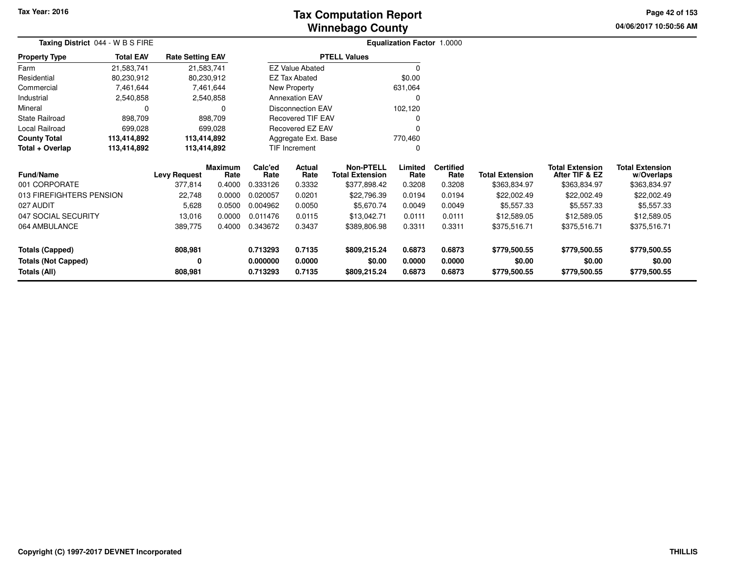# **Winnebago CountyTax Computation Report Tax**

**04/06/2017 10:50:56 AM Page 42 of 153**

|                            | Taxing District 044 - W B S FIRE |                         |                        |                 |                          |                                            | Equalization Factor 1.0000 |                          |                        |                                          |                                      |
|----------------------------|----------------------------------|-------------------------|------------------------|-----------------|--------------------------|--------------------------------------------|----------------------------|--------------------------|------------------------|------------------------------------------|--------------------------------------|
| <b>Property Type</b>       | <b>Total EAV</b>                 | <b>Rate Setting EAV</b> |                        |                 |                          | <b>PTELL Values</b>                        |                            |                          |                        |                                          |                                      |
| Farm                       | 21,583,741                       | 21,583,741              |                        |                 | <b>EZ Value Abated</b>   |                                            |                            |                          |                        |                                          |                                      |
| Residential                | 80,230,912                       | 80,230,912              |                        |                 | <b>EZ Tax Abated</b>     |                                            | \$0.00                     |                          |                        |                                          |                                      |
| Commercial                 | 7,461,644                        |                         | 7,461,644              |                 | New Property             |                                            | 631,064                    |                          |                        |                                          |                                      |
| Industrial                 | 2,540,858                        |                         | 2,540,858              |                 | <b>Annexation EAV</b>    |                                            | 0                          |                          |                        |                                          |                                      |
| Mineral                    |                                  |                         | 0                      |                 | <b>Disconnection EAV</b> |                                            | 102,120                    |                          |                        |                                          |                                      |
| <b>State Railroad</b>      | 898,709                          |                         | 898,709                |                 | <b>Recovered TIF EAV</b> |                                            |                            |                          |                        |                                          |                                      |
| Local Railroad             | 699,028                          |                         | 699,028                |                 | Recovered EZ EAV         |                                            |                            |                          |                        |                                          |                                      |
| <b>County Total</b>        | 113,414,892                      | 113,414,892             |                        |                 | Aggregate Ext. Base      |                                            | 770,460                    |                          |                        |                                          |                                      |
| Total + Overlap            | 113,414,892                      | 113,414,892             |                        | TIF Increment   |                          |                                            | 0                          |                          |                        |                                          |                                      |
| <b>Fund/Name</b>           |                                  | <b>Levy Request</b>     | <b>Maximum</b><br>Rate | Calc'ed<br>Rate | Actual<br>Rate           | <b>Non-PTELL</b><br><b>Total Extension</b> | Limited<br>Rate            | <b>Certified</b><br>Rate | <b>Total Extension</b> | <b>Total Extension</b><br>After TIF & EZ | <b>Total Extension</b><br>w/Overlaps |
| 001 CORPORATE              |                                  | 377,814                 | 0.4000                 | 0.333126        | 0.3332                   | \$377,898.42                               | 0.3208                     | 0.3208                   | \$363,834.97           | \$363,834.97                             | \$363,834.97                         |
| 013 FIREFIGHTERS PENSION   |                                  | 22,748                  | 0.0000                 | 0.020057        | 0.0201                   | \$22,796.39                                | 0.0194                     | 0.0194                   | \$22,002.49            | \$22,002.49                              | \$22,002.49                          |
| 027 AUDIT                  |                                  | 5,628                   | 0.0500                 | 0.004962        | 0.0050                   | \$5,670.74                                 | 0.0049                     | 0.0049                   | \$5,557.33             | \$5,557.33                               | \$5,557.33                           |
| 047 SOCIAL SECURITY        |                                  | 13,016                  | 0.0000                 | 0.011476        | 0.0115                   | \$13,042.71                                | 0.0111                     | 0.0111                   | \$12,589.05            | \$12,589.05                              | \$12,589.05                          |
| 064 AMBULANCE              |                                  | 389,775                 | 0.4000                 | 0.343672        | 0.3437                   | \$389,806.98                               | 0.3311                     | 0.3311                   | \$375,516.71           | \$375,516.71                             | \$375,516.71                         |
| <b>Totals (Capped)</b>     |                                  | 808,981                 |                        | 0.713293        | 0.7135                   | \$809,215.24                               | 0.6873                     | 0.6873                   | \$779,500.55           | \$779,500.55                             | \$779,500.55                         |
| <b>Totals (Not Capped)</b> |                                  | 0                       |                        | 0.000000        | 0.0000                   | \$0.00                                     | 0.0000                     | 0.0000                   | \$0.00                 | \$0.00                                   | \$0.00                               |
| Totals (All)               |                                  | 808,981                 |                        | 0.713293        | 0.7135                   | \$809,215.24                               | 0.6873                     | 0.6873                   | \$779,500.55           | \$779,500.55                             | \$779,500.55                         |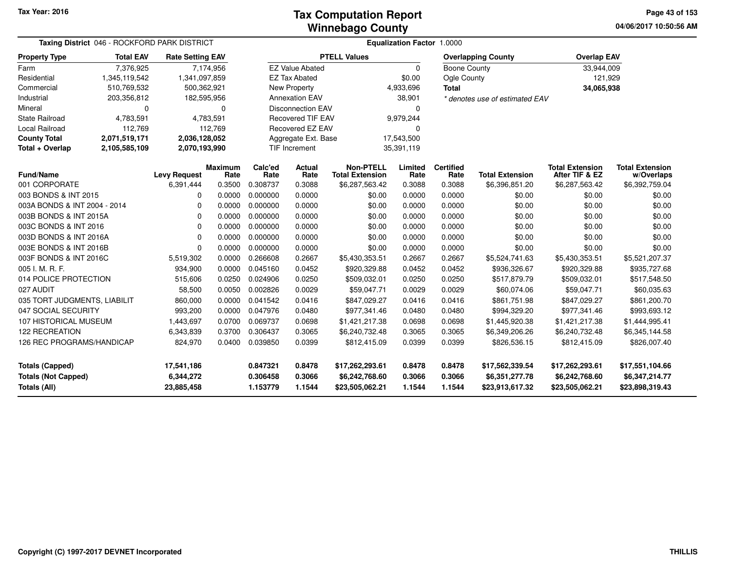#### **Winnebago CountyTax Computation Report Tax**

**04/06/2017 10:50:56 AM Page 43 of 153**

| Taxing District 046 - ROCKFORD PARK DISTRICT      |                  |                         |                        |                      |                          |                                            | Equalization Factor 1.0000 |                          |                                   |                                          |                                      |
|---------------------------------------------------|------------------|-------------------------|------------------------|----------------------|--------------------------|--------------------------------------------|----------------------------|--------------------------|-----------------------------------|------------------------------------------|--------------------------------------|
| <b>Property Type</b>                              | <b>Total EAV</b> | <b>Rate Setting EAV</b> |                        |                      |                          | <b>PTELL Values</b>                        |                            |                          | <b>Overlapping County</b>         | <b>Overlap EAV</b>                       |                                      |
| Farm                                              | 7,376,925        | 7,174,956               |                        |                      | <b>EZ Value Abated</b>   |                                            | 0                          | <b>Boone County</b>      |                                   | 33,944,009                               |                                      |
| Residential                                       | 1,345,119,542    | 1,341,097,859           |                        |                      | <b>EZ Tax Abated</b>     |                                            | \$0.00                     | Ogle County              |                                   | 121,929                                  |                                      |
| Commercial                                        | 510,769,532      | 500,362,921             |                        |                      | <b>New Property</b>      |                                            | 4,933,696                  | <b>Total</b>             |                                   | 34,065,938                               |                                      |
| Industrial                                        | 203,356,812      | 182,595,956             |                        |                      | <b>Annexation EAV</b>    |                                            | 38,901                     |                          | * denotes use of estimated EAV    |                                          |                                      |
| Mineral                                           | 0                |                         | $\Omega$               |                      | <b>Disconnection EAV</b> |                                            | 0                          |                          |                                   |                                          |                                      |
| <b>State Railroad</b>                             | 4,783,591        | 4,783,591               |                        |                      | <b>Recovered TIF EAV</b> |                                            | 9,979,244                  |                          |                                   |                                          |                                      |
| <b>Local Railroad</b>                             | 112,769          |                         | 112,769                |                      | Recovered EZ EAV         |                                            | $\Omega$                   |                          |                                   |                                          |                                      |
| <b>County Total</b>                               | 2,071,519,171    | 2,036,128,052           |                        |                      | Aggregate Ext. Base      |                                            | 17,543,500                 |                          |                                   |                                          |                                      |
| Total + Overlap                                   | 2,105,585,109    | 2,070,193,990           |                        |                      | <b>TIF Increment</b>     |                                            | 35,391,119                 |                          |                                   |                                          |                                      |
| Fund/Name                                         |                  | <b>Levy Request</b>     | <b>Maximum</b><br>Rate | Calc'ed<br>Rate      | Actual<br>Rate           | <b>Non-PTELL</b><br><b>Total Extension</b> | Limited<br>Rate            | <b>Certified</b><br>Rate | <b>Total Extension</b>            | <b>Total Extension</b><br>After TIF & EZ | <b>Total Extension</b><br>w/Overlaps |
| 001 CORPORATE                                     |                  | 6,391,444               | 0.3500                 | 0.308737             | 0.3088                   | \$6,287,563.42                             | 0.3088                     | 0.3088                   | \$6,396,851.20                    | \$6,287,563.42                           | \$6,392,759.04                       |
| 003 BONDS & INT 2015                              |                  | 0                       | 0.0000                 | 0.000000             | 0.0000                   | \$0.00                                     | 0.0000                     | 0.0000                   | \$0.00                            | \$0.00                                   | \$0.00                               |
| 003A BONDS & INT 2004 - 2014                      |                  | 0                       | 0.0000                 | 0.000000             | 0.0000                   | \$0.00                                     | 0.0000                     | 0.0000                   | \$0.00                            | \$0.00                                   | \$0.00                               |
| 003B BONDS & INT 2015A                            |                  | 0                       | 0.0000                 | 0.000000             | 0.0000                   | \$0.00                                     | 0.0000                     | 0.0000                   | \$0.00                            | \$0.00                                   | \$0.00                               |
| 003C BONDS & INT 2016                             |                  | $\mathbf 0$             | 0.0000                 | 0.000000             | 0.0000                   | \$0.00                                     | 0.0000                     | 0.0000                   | \$0.00                            | \$0.00                                   | \$0.00                               |
| 003D BONDS & INT 2016A                            |                  | $\Omega$                | 0.0000                 | 0.000000             | 0.0000                   | \$0.00                                     | 0.0000                     | 0.0000                   | \$0.00                            | \$0.00                                   | \$0.00                               |
| 003E BONDS & INT 2016B                            |                  | $\Omega$                | 0.0000                 | 0.000000             | 0.0000                   | \$0.00                                     | 0.0000                     | 0.0000                   | \$0.00                            | \$0.00                                   | \$0.00                               |
| 003F BONDS & INT 2016C                            |                  | 5,519,302               | 0.0000                 | 0.266608             | 0.2667                   | \$5,430,353.51                             | 0.2667                     | 0.2667                   | \$5,524,741.63                    | \$5,430,353.51                           | \$5,521,207.37                       |
| 005 I. M. R. F.                                   |                  | 934,900                 | 0.0000                 | 0.045160             | 0.0452                   | \$920,329.88                               | 0.0452                     | 0.0452                   | \$936,326.67                      | \$920,329.88                             | \$935,727.68                         |
| 014 POLICE PROTECTION                             |                  | 515,606                 | 0.0250                 | 0.024906             | 0.0250                   | \$509,032.01                               | 0.0250                     | 0.0250                   | \$517,879.79                      | \$509,032.01                             | \$517,548.50                         |
| 027 AUDIT                                         |                  | 58,500                  | 0.0050                 | 0.002826             | 0.0029                   | \$59,047.71                                | 0.0029                     | 0.0029                   | \$60,074.06                       | \$59,047.71                              | \$60,035.63                          |
| 035 TORT JUDGMENTS, LIABILIT                      |                  | 860,000                 | 0.0000                 | 0.041542             | 0.0416                   | \$847,029.27                               | 0.0416                     | 0.0416                   | \$861,751.98                      | \$847,029.27                             | \$861,200.70                         |
| 047 SOCIAL SECURITY                               |                  | 993,200                 | 0.0000                 | 0.047976             | 0.0480                   | \$977,341.46                               | 0.0480                     | 0.0480                   | \$994,329.20                      | \$977,341.46                             | \$993,693.12                         |
| 107 HISTORICAL MUSEUM                             |                  | 1,443,697               | 0.0700                 | 0.069737             | 0.0698                   | \$1,421,217.38                             | 0.0698                     | 0.0698                   | \$1,445,920.38                    | \$1,421,217.38                           | \$1,444,995.41                       |
| 122 RECREATION                                    |                  | 6,343,839               | 0.3700                 | 0.306437             | 0.3065                   | \$6,240,732.48                             | 0.3065                     | 0.3065                   | \$6,349,206.26                    | \$6,240,732.48                           | \$6,345,144.58                       |
| 126 REC PROGRAMS/HANDICAP                         |                  | 824,970                 | 0.0400                 | 0.039850             | 0.0399                   | \$812,415.09                               | 0.0399                     | 0.0399                   | \$826,536.15                      | \$812,415.09                             | \$826,007.40                         |
| <b>Totals (Capped)</b>                            |                  | 17,541,186              |                        | 0.847321             | 0.8478                   | \$17,262,293.61                            | 0.8478                     | 0.8478                   | \$17,562,339.54                   | \$17,262,293.61                          | \$17,551,104.66                      |
| <b>Totals (Not Capped)</b><br><b>Totals (All)</b> |                  | 6,344,272<br>23,885,458 |                        | 0.306458<br>1.153779 | 0.3066<br>1.1544         | \$6,242,768.60<br>\$23,505,062.21          | 0.3066<br>1.1544           | 0.3066<br>1.1544         | \$6,351,277.78<br>\$23,913,617.32 | \$6,242,768.60<br>\$23,505,062.21        | \$6,347,214.77<br>\$23,898,319.43    |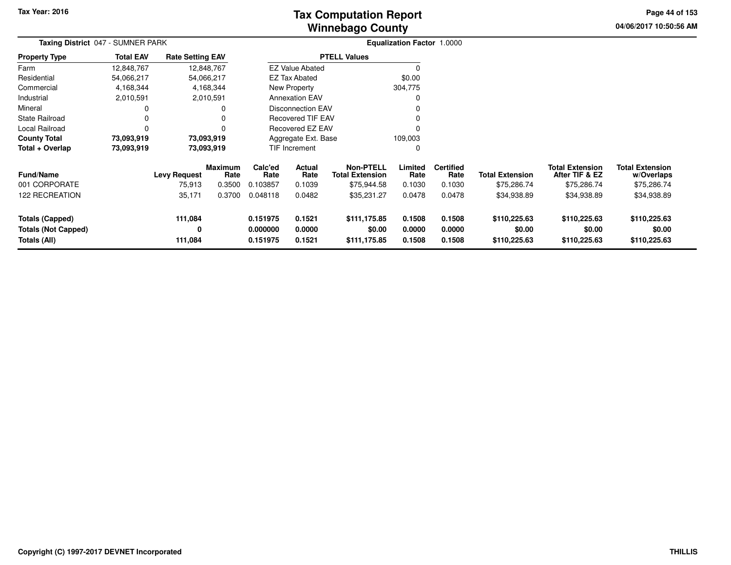# **Winnebago CountyTax Computation Report**

**04/06/2017 10:50:56 AM Page 44 of 153**

|                                                               | Taxing District 047 - SUMNER PARK |                               |                           |                                  |                            |                                                           | <b>Equalization Factor 1.0000</b> |                                    |                                        |                                                         |                                                     |  |
|---------------------------------------------------------------|-----------------------------------|-------------------------------|---------------------------|----------------------------------|----------------------------|-----------------------------------------------------------|-----------------------------------|------------------------------------|----------------------------------------|---------------------------------------------------------|-----------------------------------------------------|--|
| <b>Property Type</b>                                          | <b>Total EAV</b>                  | <b>Rate Setting EAV</b>       |                           |                                  |                            | <b>PTELL Values</b>                                       |                                   |                                    |                                        |                                                         |                                                     |  |
| Farm                                                          | 12,848,767                        |                               | 12,848,767                |                                  | <b>EZ Value Abated</b>     |                                                           | 0                                 |                                    |                                        |                                                         |                                                     |  |
| Residential                                                   | 54,066,217                        |                               | 54,066,217                |                                  | <b>EZ Tax Abated</b>       |                                                           | \$0.00                            |                                    |                                        |                                                         |                                                     |  |
| Commercial                                                    | 4,168,344                         |                               | 4,168,344                 |                                  | New Property               |                                                           | 304,775                           |                                    |                                        |                                                         |                                                     |  |
| Industrial                                                    | 2,010,591                         |                               | 2,010,591                 |                                  | <b>Annexation EAV</b>      |                                                           | 0                                 |                                    |                                        |                                                         |                                                     |  |
| Mineral                                                       |                                   |                               | 0                         |                                  | <b>Disconnection EAV</b>   |                                                           | 0                                 |                                    |                                        |                                                         |                                                     |  |
| State Railroad                                                | 0                                 |                               |                           |                                  | <b>Recovered TIF EAV</b>   |                                                           | 0                                 |                                    |                                        |                                                         |                                                     |  |
| Local Railroad                                                | $\Omega$                          |                               |                           |                                  | Recovered EZ EAV           |                                                           | 0                                 |                                    |                                        |                                                         |                                                     |  |
| <b>County Total</b>                                           | 73,093,919                        |                               | 73,093,919                |                                  | Aggregate Ext. Base        |                                                           | 109,003                           |                                    |                                        |                                                         |                                                     |  |
| Total + Overlap                                               | 73,093,919                        |                               | 73,093,919                |                                  | <b>TIF Increment</b><br>0  |                                                           |                                   |                                    |                                        |                                                         |                                                     |  |
| <b>Fund/Name</b><br>001 CORPORATE                             |                                   | <b>Levy Request</b><br>75,913 | Maximum<br>Rate<br>0.3500 | Calc'ed<br>Rate<br>0.103857      | Actual<br>Rate<br>0.1039   | <b>Non-PTELL</b><br><b>Total Extension</b><br>\$75,944.58 | Limited<br>Rate<br>0.1030         | <b>Certified</b><br>Rate<br>0.1030 | <b>Total Extension</b><br>\$75,286.74  | <b>Total Extension</b><br>After TIF & EZ<br>\$75,286.74 | <b>Total Extension</b><br>w/Overlaps<br>\$75,286.74 |  |
| <b>122 RECREATION</b>                                         |                                   | 35,171                        | 0.3700                    | 0.048118                         | 0.0482                     | \$35,231.27                                               | 0.0478                            | 0.0478                             | \$34,938.89                            | \$34,938.89                                             | \$34,938.89                                         |  |
| Totals (Capped)<br><b>Totals (Not Capped)</b><br>Totals (All) |                                   | 111,084<br>0<br>111,084       |                           | 0.151975<br>0.000000<br>0.151975 | 0.1521<br>0.0000<br>0.1521 | \$111,175.85<br>\$0.00<br>\$111,175.85                    | 0.1508<br>0.0000<br>0.1508        | 0.1508<br>0.0000<br>0.1508         | \$110,225.63<br>\$0.00<br>\$110,225.63 | \$110,225.63<br>\$0.00<br>\$110,225.63                  | \$110,225.63<br>\$0.00<br>\$110,225.63              |  |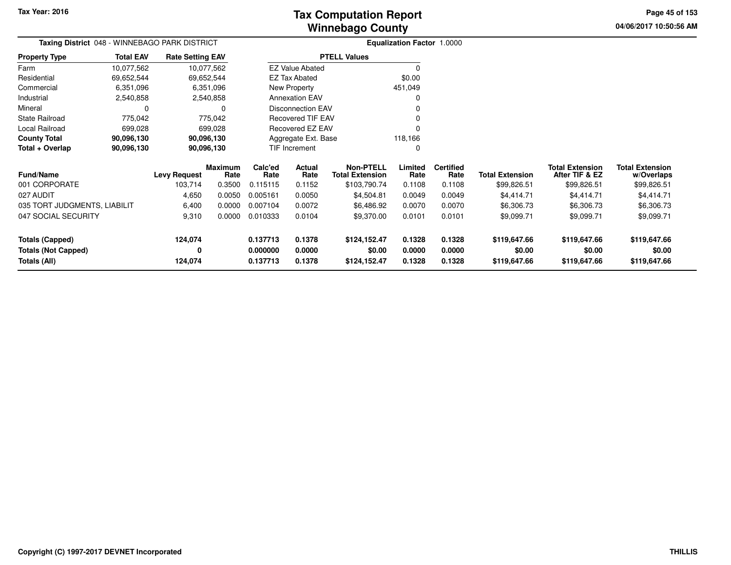**04/06/2017 10:50:56 AM Page 45 of 153**

| Taxing District 048 - WINNEBAGO PARK DISTRICT   |                  |                         |                        |                     |                          |                                            | Equalization Factor 1.0000 |                          |                        |                                          |                                      |
|-------------------------------------------------|------------------|-------------------------|------------------------|---------------------|--------------------------|--------------------------------------------|----------------------------|--------------------------|------------------------|------------------------------------------|--------------------------------------|
| <b>Property Type</b>                            | <b>Total EAV</b> | <b>Rate Setting EAV</b> |                        |                     |                          | <b>PTELL Values</b>                        |                            |                          |                        |                                          |                                      |
| Farm                                            | 10,077,562       | 10,077,562              |                        |                     | <b>EZ Value Abated</b>   |                                            |                            |                          |                        |                                          |                                      |
| Residential                                     | 69,652,544       | 69,652,544              |                        |                     | <b>EZ Tax Abated</b>     |                                            | \$0.00                     |                          |                        |                                          |                                      |
| Commercial                                      | 6,351,096        |                         | 6,351,096              |                     | New Property             |                                            | 451,049                    |                          |                        |                                          |                                      |
| Industrial                                      | 2,540,858        |                         | 2,540,858              |                     | <b>Annexation EAV</b>    |                                            |                            |                          |                        |                                          |                                      |
| Mineral                                         | 0                |                         | <sup>0</sup>           |                     | <b>Disconnection EAV</b> |                                            |                            |                          |                        |                                          |                                      |
| <b>State Railroad</b>                           | 775,042          |                         | 775,042                |                     | Recovered TIF EAV        |                                            |                            |                          |                        |                                          |                                      |
| Local Railroad                                  | 699,028          |                         | 699,028                |                     | Recovered EZ EAV         |                                            |                            |                          |                        |                                          |                                      |
| <b>County Total</b><br>90,096,130<br>90,096,130 |                  |                         |                        | Aggregate Ext. Base |                          | 118,166                                    |                            |                          |                        |                                          |                                      |
| Total + Overlap                                 | 90,096,130       | 90,096,130              |                        |                     | TIF Increment            |                                            |                            |                          |                        |                                          |                                      |
| <b>Fund/Name</b>                                |                  | <b>Levy Request</b>     | <b>Maximum</b><br>Rate | Calc'ed<br>Rate     | Actual<br>Rate           | <b>Non-PTELL</b><br><b>Total Extension</b> | Limited<br>Rate            | <b>Certified</b><br>Rate | <b>Total Extension</b> | <b>Total Extension</b><br>After TIF & EZ | <b>Total Extension</b><br>w/Overlaps |
| 001 CORPORATE                                   |                  | 103,714                 | 0.3500                 | 0.115115            | 0.1152                   | \$103,790.74                               | 0.1108                     | 0.1108                   | \$99,826.51            | \$99,826.51                              | \$99,826.51                          |
| 027 AUDIT                                       |                  | 4,650                   | 0.0050                 | 0.005161            | 0.0050                   | \$4,504.81                                 | 0.0049                     | 0.0049                   | \$4,414.71             | \$4,414.71                               | \$4,414.71                           |
| 035 TORT JUDGMENTS, LIABILIT                    |                  | 6,400                   | 0.0000                 | 0.007104            | 0.0072                   | \$6,486.92                                 | 0.0070                     | 0.0070                   | \$6,306.73             | \$6,306.73                               | \$6,306.73                           |
| 047 SOCIAL SECURITY                             |                  | 9,310                   | 0.0000                 | 0.010333            | 0.0104                   | \$9,370.00                                 | 0.0101                     | 0.0101                   | \$9,099.71             | \$9,099.71                               | \$9,099.71                           |
| <b>Totals (Capped)</b>                          |                  | 124,074                 |                        | 0.137713            | 0.1378                   | \$124,152.47                               | 0.1328                     | 0.1328                   | \$119,647.66           | \$119,647.66                             | \$119,647.66                         |
| <b>Totals (Not Capped)</b>                      |                  | 0                       |                        | 0.000000            | 0.0000                   | \$0.00                                     | 0.0000                     | 0.0000                   | \$0.00                 | \$0.00                                   | \$0.00                               |
| <b>Totals (All)</b>                             |                  | 124,074                 |                        | 0.137713            | 0.1378                   | \$124,152.47                               | 0.1328                     | 0.1328                   | \$119,647.66           | \$119,647.66                             | \$119,647.66                         |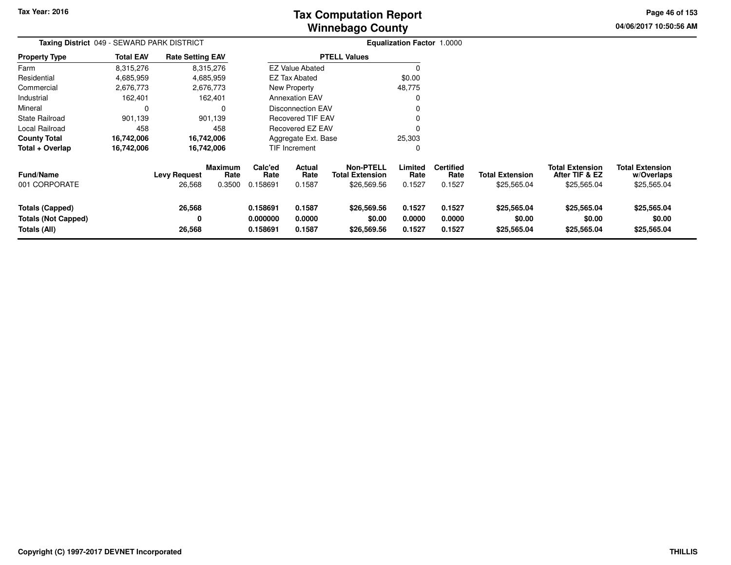**04/06/2017 10:50:56 AM Page 46 of 153**

| Taxing District 049 - SEWARD PARK DISTRICT                           |                  |                               |                                  |                                  |                            |                                                    | <b>Equalization Factor 1.0000</b> |                                    |                                       |                                                         |                                                     |
|----------------------------------------------------------------------|------------------|-------------------------------|----------------------------------|----------------------------------|----------------------------|----------------------------------------------------|-----------------------------------|------------------------------------|---------------------------------------|---------------------------------------------------------|-----------------------------------------------------|
| Property Type                                                        | <b>Total EAV</b> | <b>Rate Setting EAV</b>       |                                  |                                  |                            | <b>PTELL Values</b>                                |                                   |                                    |                                       |                                                         |                                                     |
| Farm                                                                 | 8,315,276        |                               | 8,315,276                        |                                  | <b>EZ Value Abated</b>     |                                                    | $\Omega$                          |                                    |                                       |                                                         |                                                     |
| Residential                                                          | 4,685,959        |                               | 4,685,959                        |                                  | <b>EZ Tax Abated</b>       |                                                    | \$0.00                            |                                    |                                       |                                                         |                                                     |
| Commercial                                                           | 2,676,773        |                               | 2,676,773                        |                                  | New Property               |                                                    | 48,775                            |                                    |                                       |                                                         |                                                     |
| Industrial                                                           | 162,401          |                               | 162,401                          |                                  | <b>Annexation EAV</b>      |                                                    | 0                                 |                                    |                                       |                                                         |                                                     |
| Mineral                                                              | 0                |                               | $\Omega$                         |                                  | Disconnection EAV          |                                                    |                                   |                                    |                                       |                                                         |                                                     |
| State Railroad                                                       | 901,139          |                               | 901,139                          |                                  | <b>Recovered TIF EAV</b>   |                                                    | 0                                 |                                    |                                       |                                                         |                                                     |
| Local Railroad                                                       | 458              |                               | 458                              |                                  | Recovered EZ EAV           |                                                    |                                   |                                    |                                       |                                                         |                                                     |
| County Total                                                         | 16,742,006       |                               | 16,742,006                       |                                  | Aggregate Ext. Base        |                                                    | 25,303                            |                                    |                                       |                                                         |                                                     |
| Total + Overlap                                                      | 16,742,006       |                               | 16,742,006                       |                                  | TIF Increment              |                                                    | 0                                 |                                    |                                       |                                                         |                                                     |
| Fund/Name<br>001 CORPORATE                                           |                  | <b>Levy Request</b><br>26,568 | <b>Maximum</b><br>Rate<br>0.3500 | Calc'ed<br>Rate<br>0.158691      | Actual<br>Rate<br>0.1587   | <b>Non-PTELL</b><br>Total Extension<br>\$26,569.56 | Limited<br>Rate<br>0.1527         | <b>Certified</b><br>Rate<br>0.1527 | <b>Total Extension</b><br>\$25,565.04 | <b>Total Extension</b><br>After TIF & EZ<br>\$25,565.04 | <b>Total Extension</b><br>w/Overlaps<br>\$25,565.04 |
| <b>Totals (Capped)</b><br><b>Totals (Not Capped)</b><br>Totals (All) |                  | 26,568<br>0<br>26,568         |                                  | 0.158691<br>0.000000<br>0.158691 | 0.1587<br>0.0000<br>0.1587 | \$26,569.56<br>\$0.00<br>\$26,569.56               | 0.1527<br>0.0000<br>0.1527        | 0.1527<br>0.0000<br>0.1527         | \$25,565.04<br>\$0.00<br>\$25,565.04  | \$25,565.04<br>\$0.00<br>\$25,565.04                    | \$25,565.04<br>\$0.00<br>\$25,565.04                |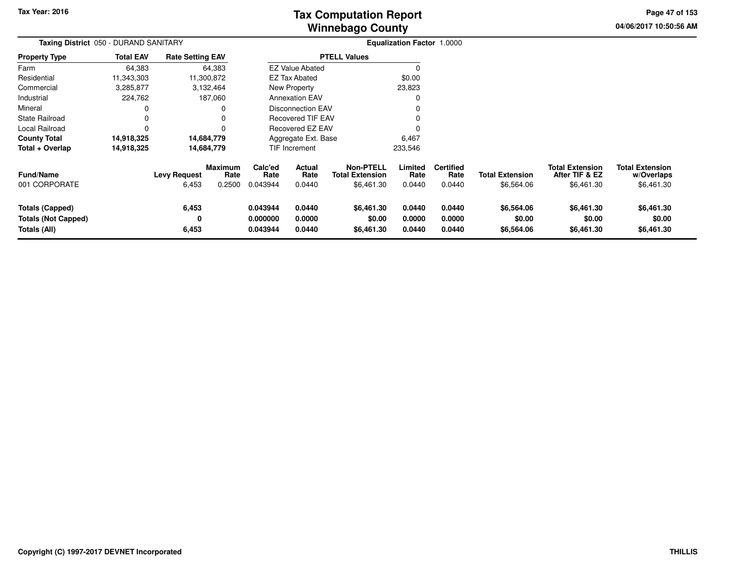# **Winnebago CountyTax Computation Report Tax**

**04/06/2017 10:50:56 AMPage 47 of 153**

| Taxing District 050 - DURAND SANITARY                                |                  |                              |                           |                                  |                                 |                                                   | <b>Equalization Factor 1.0000</b> |                                    |                                      |                                                        |                                                    |
|----------------------------------------------------------------------|------------------|------------------------------|---------------------------|----------------------------------|---------------------------------|---------------------------------------------------|-----------------------------------|------------------------------------|--------------------------------------|--------------------------------------------------------|----------------------------------------------------|
| <b>Property Type</b>                                                 | <b>Total EAV</b> | <b>Rate Setting EAV</b>      |                           |                                  |                                 | <b>PTELL Values</b>                               |                                   |                                    |                                      |                                                        |                                                    |
| Farm                                                                 | 64,383           |                              | 64,383                    |                                  | <b>EZ Value Abated</b>          |                                                   | $\Omega$                          |                                    |                                      |                                                        |                                                    |
| Residential                                                          | 11,343,303       |                              | 11,300,872                |                                  | <b>EZ Tax Abated</b>            |                                                   | \$0.00                            |                                    |                                      |                                                        |                                                    |
| Commercial                                                           | 3,285,877        |                              | 3,132,464                 |                                  | New Property                    |                                                   | 23,823                            |                                    |                                      |                                                        |                                                    |
| Industrial                                                           | 224,762          |                              | 187,060                   |                                  | <b>Annexation EAV</b>           |                                                   | 0                                 |                                    |                                      |                                                        |                                                    |
| Mineral                                                              | 0                |                              | 0                         |                                  | <b>Disconnection EAV</b>        |                                                   | 0                                 |                                    |                                      |                                                        |                                                    |
| <b>State Railroad</b>                                                | 0                |                              | 0                         |                                  | <b>Recovered TIF EAV</b>        |                                                   |                                   |                                    |                                      |                                                        |                                                    |
| Local Railroad                                                       | $\mathbf 0$      |                              | 0                         |                                  | <b>Recovered EZ EAV</b>         |                                                   |                                   |                                    |                                      |                                                        |                                                    |
| <b>County Total</b>                                                  | 14,918,325       |                              | 14,684,779                |                                  | Aggregate Ext. Base             |                                                   | 6,467                             |                                    |                                      |                                                        |                                                    |
| Total + Overlap                                                      | 14,918,325       |                              | 14,684,779                |                                  | TIF Increment                   |                                                   | 233,546                           |                                    |                                      |                                                        |                                                    |
| Fund/Name<br>001 CORPORATE                                           |                  | <b>Levy Request</b><br>6,453 | Maximum<br>Rate<br>0.2500 | Calc'ed<br>Rate<br>0.043944      | <b>Actual</b><br>Rate<br>0.0440 | Non-PTELL<br><b>Total Extension</b><br>\$6,461.30 | Limited<br>Rate<br>0.0440         | <b>Certified</b><br>Rate<br>0.0440 | <b>Total Extension</b><br>\$6,564.06 | <b>Total Extension</b><br>After TIF & EZ<br>\$6,461.30 | <b>Total Extension</b><br>w/Overlaps<br>\$6,461.30 |
| <b>Totals (Capped)</b><br><b>Totals (Not Capped)</b><br>Totals (All) |                  | 6,453<br>0<br>6,453          |                           | 0.043944<br>0.000000<br>0.043944 | 0.0440<br>0.0000<br>0.0440      | \$6,461.30<br>\$0.00<br>\$6,461.30                | 0.0440<br>0.0000<br>0.0440        | 0.0440<br>0.0000<br>0.0440         | \$6,564.06<br>\$0.00<br>\$6,564.06   | \$6,461.30<br>\$0.00<br>\$6,461.30                     | \$6,461.30<br>\$0.00<br>\$6,461.30                 |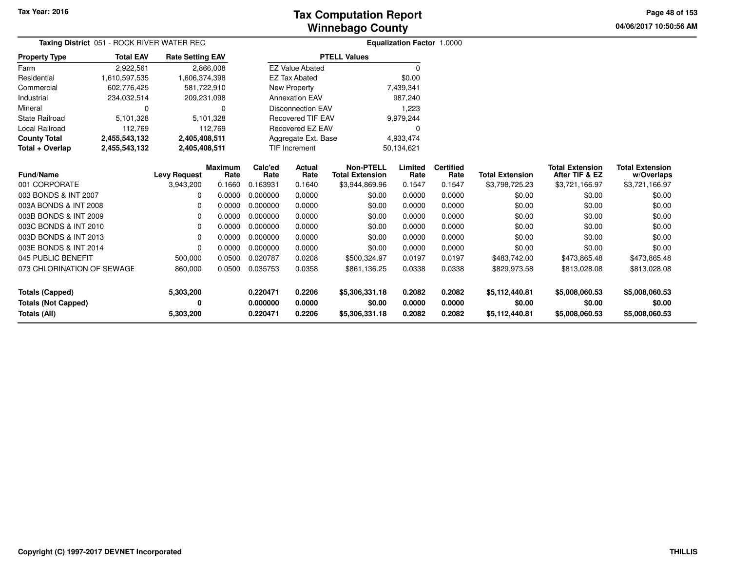# **Winnebago CountyTax Computation Report Tax**

**04/06/2017 10:50:56 AM Page 48 of 153**

| Taxing District 051 - ROCK RIVER WATER REC |                  |                                  |                        |                      |                          |                                            | <b>Equalization Factor 1.0000</b> |                          |                          |                                          |                                      |
|--------------------------------------------|------------------|----------------------------------|------------------------|----------------------|--------------------------|--------------------------------------------|-----------------------------------|--------------------------|--------------------------|------------------------------------------|--------------------------------------|
| <b>Property Type</b>                       | <b>Total EAV</b> | <b>Rate Setting EAV</b>          |                        |                      |                          | <b>PTELL Values</b>                        |                                   |                          |                          |                                          |                                      |
| Farm                                       | 2,922,561        |                                  | 2,866,008              |                      | <b>EZ Value Abated</b>   |                                            | $\Omega$                          |                          |                          |                                          |                                      |
| Residential                                | 1,610,597,535    | 1,606,374,398                    |                        |                      | <b>EZ Tax Abated</b>     |                                            | \$0.00                            |                          |                          |                                          |                                      |
| Commercial                                 | 602,776,425      | 581,722,910                      |                        |                      | New Property             |                                            | 7,439,341                         |                          |                          |                                          |                                      |
| Industrial                                 | 234,032,514      | 209,231,098                      |                        |                      | <b>Annexation EAV</b>    |                                            | 987,240                           |                          |                          |                                          |                                      |
| Mineral                                    | 0                |                                  | 0                      |                      | <b>Disconnection EAV</b> |                                            | 1,223                             |                          |                          |                                          |                                      |
| <b>State Railroad</b>                      | 5,101,328        |                                  | 5,101,328              |                      | <b>Recovered TIF EAV</b> |                                            | 9,979,244                         |                          |                          |                                          |                                      |
| <b>Local Railroad</b>                      | 112,769          |                                  | 112,769                |                      | Recovered EZ EAV         |                                            | 0                                 |                          |                          |                                          |                                      |
| <b>County Total</b>                        | 2,455,543,132    | 2,405,408,511                    |                        |                      | Aggregate Ext. Base      |                                            | 4,933,474                         |                          |                          |                                          |                                      |
| Total + Overlap                            | 2,455,543,132    | 2,405,408,511                    |                        | <b>TIF Increment</b> |                          |                                            | 50,134,621                        |                          |                          |                                          |                                      |
|                                            | <b>Fund/Name</b> |                                  | <b>Maximum</b><br>Rate | Calc'ed<br>Rate      | Actual<br>Rate           | <b>Non-PTELL</b><br><b>Total Extension</b> | Limited<br>Rate                   | <b>Certified</b><br>Rate | <b>Total Extension</b>   | <b>Total Extension</b><br>After TIF & EZ | <b>Total Extension</b><br>w/Overlaps |
| 001 CORPORATE                              |                  | <b>Levy Request</b><br>3,943,200 | 0.1660                 | 0.163931             | 0.1640                   | \$3,944,869.96                             | 0.1547                            | 0.1547                   | \$3,798,725.23           | \$3,721,166.97                           | \$3,721,166.97                       |
| 003 BONDS & INT 2007                       |                  | 0                                | 0.0000                 | 0.000000             | 0.0000                   | \$0.00                                     | 0.0000                            | 0.0000                   | \$0.00                   | \$0.00                                   | \$0.00                               |
| 003A BONDS & INT 2008                      |                  | $\Omega$                         | 0.0000                 | 0.000000             | 0.0000                   | \$0.00                                     | 0.0000                            | 0.0000                   | \$0.00                   | \$0.00                                   | \$0.00                               |
| 003B BONDS & INT 2009                      |                  | $\Omega$                         | 0.0000                 | 0.000000             | 0.0000                   | \$0.00                                     | 0.0000                            | 0.0000                   | \$0.00                   | \$0.00                                   | \$0.00                               |
| 003C BONDS & INT 2010                      |                  | 0                                | 0.0000                 | 0.000000             | 0.0000                   | \$0.00                                     | 0.0000                            | 0.0000                   | \$0.00                   | \$0.00                                   | \$0.00                               |
| 003D BONDS & INT 2013                      |                  | 0                                | 0.0000                 | 0.000000             | 0.0000                   | \$0.00                                     | 0.0000                            | 0.0000                   | \$0.00                   | \$0.00                                   | \$0.00                               |
| 003E BONDS & INT 2014                      |                  | 0                                | 0.0000                 | 0.000000             | 0.0000                   | \$0.00                                     | 0.0000                            | 0.0000                   | \$0.00                   | \$0.00                                   | \$0.00                               |
| 045 PUBLIC BENEFIT                         |                  | 500,000                          | 0.0500                 | 0.020787             | 0.0208                   | \$500,324.97                               | 0.0197                            | 0.0197                   | \$483,742.00             | \$473,865.48                             | \$473,865.48                         |
| 073 CHLORINATION OF SEWAGE                 |                  | 860,000                          | 0.0500                 | 0.035753             | 0.0358                   | \$861,136.25                               | 0.0338                            | 0.0338                   | \$829,973.58             | \$813,028.08                             | \$813,028.08                         |
| <b>Totals (Capped)</b>                     |                  | 5,303,200                        |                        | 0.220471             | 0.2206                   | \$5,306,331.18                             | 0.2082                            | 0.2082                   | \$5,112,440.81           | \$5,008,060.53                           | \$5,008,060.53                       |
| <b>Totals (Not Capped)</b><br>Totals (All) |                  | 0<br>5,303,200                   |                        | 0.000000<br>0.220471 | 0.0000<br>0.2206         | \$0.00<br>\$5,306,331.18                   | 0.0000<br>0.2082                  | 0.0000<br>0.2082         | \$0.00<br>\$5,112,440.81 | \$0.00<br>\$5,008,060.53                 | \$0.00<br>\$5,008,060.53             |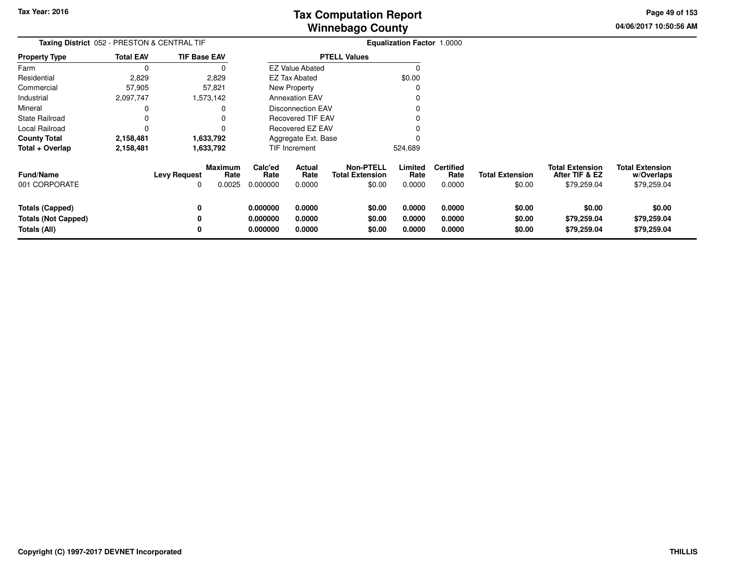**04/06/2017 10:50:56 AMPage 49 of 153**

| Taxing District 052 - PRESTON & CENTRAL TIF                          |                  |                          |                           |                                  |                            |                                                      | Equalization Factor 1.0000 |                                    |                                  |                                                         |                                                     |
|----------------------------------------------------------------------|------------------|--------------------------|---------------------------|----------------------------------|----------------------------|------------------------------------------------------|----------------------------|------------------------------------|----------------------------------|---------------------------------------------------------|-----------------------------------------------------|
| <b>Property Type</b>                                                 | <b>Total EAV</b> | <b>TIF Base EAV</b>      |                           |                                  |                            | <b>PTELL Values</b>                                  |                            |                                    |                                  |                                                         |                                                     |
| Farm                                                                 | $\Omega$         |                          | 0                         |                                  | <b>EZ Value Abated</b>     |                                                      | ∩                          |                                    |                                  |                                                         |                                                     |
| Residential                                                          | 2,829            |                          | 2,829                     |                                  | EZ Tax Abated              |                                                      | \$0.00                     |                                    |                                  |                                                         |                                                     |
| Commercial                                                           | 57,905           |                          | 57,821                    |                                  | <b>New Property</b>        |                                                      | C                          |                                    |                                  |                                                         |                                                     |
| Industrial                                                           | 2,097,747        |                          | 1,573,142                 |                                  | <b>Annexation EAV</b>      |                                                      | 0                          |                                    |                                  |                                                         |                                                     |
| Mineral                                                              | 0                |                          | 0                         |                                  | <b>Disconnection EAV</b>   |                                                      |                            |                                    |                                  |                                                         |                                                     |
| <b>State Railroad</b>                                                | 0                |                          | $\Omega$                  |                                  | Recovered TIF EAV          |                                                      |                            |                                    |                                  |                                                         |                                                     |
| Local Railroad                                                       | 0                |                          | 0                         |                                  | Recovered EZ EAV           |                                                      |                            |                                    |                                  |                                                         |                                                     |
| <b>County Total</b>                                                  | 2,158,481        |                          | 1,633,792                 |                                  | Aggregate Ext. Base        |                                                      |                            |                                    |                                  |                                                         |                                                     |
| Total + Overlap                                                      | 2,158,481        |                          | 1,633,792                 |                                  | TIF Increment              |                                                      | 524,689                    |                                    |                                  |                                                         |                                                     |
| <b>Fund/Name</b><br>001 CORPORATE                                    |                  | <b>Levy Request</b><br>0 | Maximum<br>Rate<br>0.0025 | Calc'ed<br>Rate<br>0.000000      | Actual<br>Rate<br>0.0000   | <b>Non-PTELL</b><br><b>Total Extension</b><br>\$0.00 | Limited<br>Rate<br>0.0000  | <b>Certified</b><br>Rate<br>0.0000 | <b>Total Extension</b><br>\$0.00 | <b>Total Extension</b><br>After TIF & EZ<br>\$79,259.04 | <b>Total Extension</b><br>w/Overlaps<br>\$79,259.04 |
| <b>Totals (Capped)</b><br><b>Totals (Not Capped)</b><br>Totals (All) |                  | 0<br>0<br>0              |                           | 0.000000<br>0.000000<br>0.000000 | 0.0000<br>0.0000<br>0.0000 | \$0.00<br>\$0.00<br>\$0.00                           | 0.0000<br>0.0000<br>0.0000 | 0.0000<br>0.0000<br>0.0000         | \$0.00<br>\$0.00<br>\$0.00       | \$0.00<br>\$79,259.04<br>\$79,259.04                    | \$0.00<br>\$79,259.04<br>\$79,259.04                |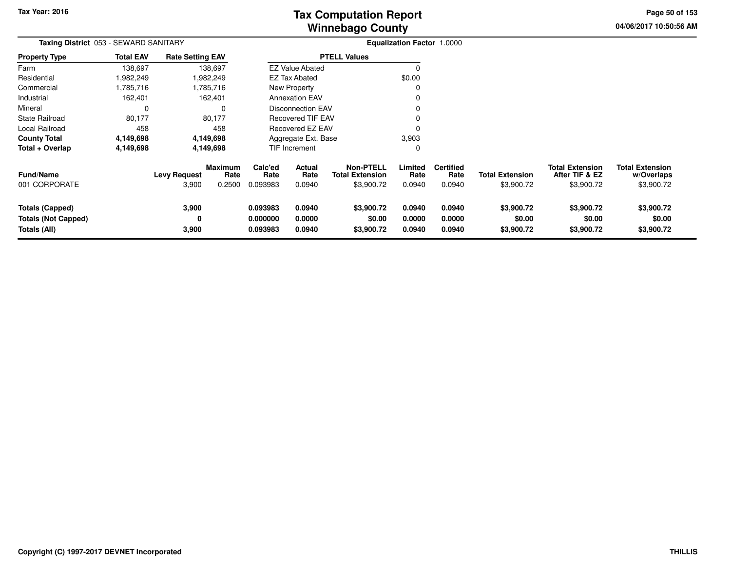**04/06/2017 10:50:56 AM Page 50 of 153**

| <b>Taxing District</b> 053 - SEWARD SANITARY                         |                  |                              |                                  | <b>Equalization Factor 1.0000</b> |                            |                                                          |                            |                                    |                                      |                                                        |                                                    |
|----------------------------------------------------------------------|------------------|------------------------------|----------------------------------|-----------------------------------|----------------------------|----------------------------------------------------------|----------------------------|------------------------------------|--------------------------------------|--------------------------------------------------------|----------------------------------------------------|
| <b>Property Type</b>                                                 | <b>Total EAV</b> | <b>Rate Setting EAV</b>      |                                  |                                   |                            | <b>PTELL Values</b>                                      |                            |                                    |                                      |                                                        |                                                    |
| Farm                                                                 | 138,697          |                              | 138,697                          |                                   | <b>EZ Value Abated</b>     |                                                          | $\Omega$                   |                                    |                                      |                                                        |                                                    |
| Residential                                                          | .982,249         |                              | .982,249                         |                                   | <b>EZ Tax Abated</b>       |                                                          | \$0.00                     |                                    |                                      |                                                        |                                                    |
| Commercial                                                           | ,785,716         |                              | ,785,716                         |                                   | New Property               |                                                          | 0                          |                                    |                                      |                                                        |                                                    |
| Industrial                                                           | 162,401          |                              | 162,401                          |                                   | <b>Annexation EAV</b>      |                                                          |                            |                                    |                                      |                                                        |                                                    |
| Mineral                                                              | 0                |                              | 0                                |                                   | Disconnection EAV          |                                                          |                            |                                    |                                      |                                                        |                                                    |
| State Railroad                                                       | 80,177           |                              | 80,177                           |                                   | <b>Recovered TIF EAV</b>   |                                                          | 0                          |                                    |                                      |                                                        |                                                    |
| Local Railroad                                                       | 458              |                              | 458                              |                                   | Recovered EZ EAV           |                                                          | 0                          |                                    |                                      |                                                        |                                                    |
| <b>County Total</b>                                                  | 4,149,698        |                              | 4,149,698                        |                                   | Aggregate Ext. Base        |                                                          | 3,903                      |                                    |                                      |                                                        |                                                    |
| Total + Overlap                                                      | 4,149,698        |                              | 4,149,698                        |                                   | TIF Increment              |                                                          | 0                          |                                    |                                      |                                                        |                                                    |
| <b>Fund/Name</b><br>001 CORPORATE                                    |                  | <b>Levy Request</b><br>3,900 | <b>Maximum</b><br>Rate<br>0.2500 | Calc'ed<br>Rate<br>0.093983       | Actual<br>Rate<br>0.0940   | <b>Non-PTELL</b><br><b>Total Extension</b><br>\$3,900.72 | Limited<br>Rate<br>0.0940  | <b>Certified</b><br>Rate<br>0.0940 | <b>Total Extension</b><br>\$3,900.72 | <b>Total Extension</b><br>After TIF & EZ<br>\$3,900.72 | <b>Total Extension</b><br>w/Overlaps<br>\$3,900.72 |
| <b>Totals (Capped)</b><br><b>Totals (Not Capped)</b><br>Totals (All) |                  | 3,900<br>0<br>3,900          |                                  | 0.093983<br>0.000000<br>0.093983  | 0.0940<br>0.0000<br>0.0940 | \$3,900.72<br>\$0.00<br>\$3,900.72                       | 0.0940<br>0.0000<br>0.0940 | 0.0940<br>0.0000<br>0.0940         | \$3,900.72<br>\$0.00<br>\$3,900.72   | \$3,900.72<br>\$0.00<br>\$3,900.72                     | \$3,900.72<br>\$0.00<br>\$3,900.72                 |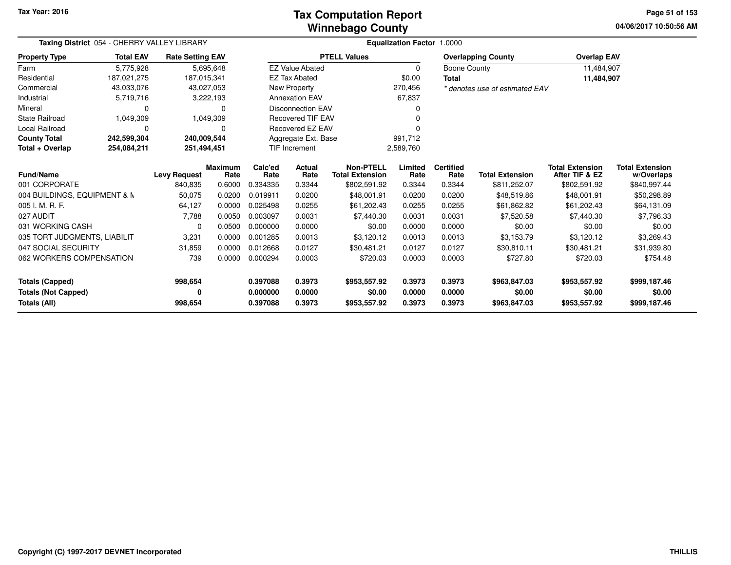### **Winnebago CountyTax Computation Report**

**04/06/2017 10:50:56 AMPage 51 of 153**

| Taxing District 054 - CHERRY VALLEY LIBRARY |                                |                         |                        |                                   | Equalization Factor 1.0000 |                                            |                 |                          |                                |                                          |                                      |  |  |
|---------------------------------------------|--------------------------------|-------------------------|------------------------|-----------------------------------|----------------------------|--------------------------------------------|-----------------|--------------------------|--------------------------------|------------------------------------------|--------------------------------------|--|--|
| Property Type                               | <b>Total EAV</b>               | <b>Rate Setting EAV</b> |                        |                                   |                            | <b>PTELL Values</b>                        |                 |                          | <b>Overlapping County</b>      | <b>Overlap EAV</b>                       |                                      |  |  |
| Farm                                        | 5,775,928                      |                         | 5,695,648              |                                   | <b>EZ Value Abated</b>     |                                            | 0               | <b>Boone County</b>      |                                | 11,484,907                               |                                      |  |  |
| Residential                                 | 187,021,275                    | 187,015,341             |                        |                                   | <b>EZ Tax Abated</b>       |                                            | \$0.00          | <b>Total</b>             |                                | 11,484,907                               |                                      |  |  |
| Commercial                                  | 43,033,076                     |                         | 43,027,053             |                                   | New Property               |                                            | 270,456         |                          | * denotes use of estimated EAV |                                          |                                      |  |  |
| Industrial                                  | 5,719,716                      |                         | 3,222,193              |                                   | <b>Annexation EAV</b>      |                                            | 67,837          |                          |                                |                                          |                                      |  |  |
| Mineral                                     | 0                              |                         | 0                      |                                   | <b>Disconnection EAV</b>   |                                            |                 |                          |                                |                                          |                                      |  |  |
| State Railroad                              | 1,049,309                      |                         | 1,049,309              |                                   | <b>Recovered TIF EAV</b>   |                                            |                 |                          |                                |                                          |                                      |  |  |
| Local Railroad                              | 0                              |                         | $\Omega$               |                                   | Recovered EZ EAV           |                                            | 0               |                          |                                |                                          |                                      |  |  |
| <b>County Total</b>                         | 242,599,304                    | 240,009,544             |                        |                                   | Aggregate Ext. Base        |                                            | 991,712         |                          |                                |                                          |                                      |  |  |
| Total + Overlap                             | 254,084,211<br>251,494,451     |                         |                        | <b>TIF Increment</b><br>2,589,760 |                            |                                            |                 |                          |                                |                                          |                                      |  |  |
| <b>Fund/Name</b>                            | <b>Levy Request</b><br>840,835 |                         | <b>Maximum</b><br>Rate | Calc'ed<br>Rate                   | <b>Actual</b><br>Rate      | <b>Non-PTELL</b><br><b>Total Extension</b> | Limited<br>Rate | <b>Certified</b><br>Rate | <b>Total Extension</b>         | <b>Total Extension</b><br>After TIF & EZ | <b>Total Extension</b><br>w/Overlaps |  |  |
| 001 CORPORATE                               |                                |                         | 0.6000                 | 0.334335                          | 0.3344                     | \$802,591.92                               | 0.3344          | 0.3344                   | \$811,252.07                   | \$802,591.92                             | \$840,997.44                         |  |  |
| 004 BUILDINGS, EQUIPMENT & N                |                                | 50,075                  | 0.0200                 | 0.019911                          | 0.0200                     | \$48,001.91                                | 0.0200          | 0.0200                   | \$48,519.86                    | \$48,001.91                              | \$50,298.89                          |  |  |
| 005 I. M. R. F.                             |                                | 64,127                  | 0.0000                 | 0.025498                          | 0.0255                     | \$61,202.43                                | 0.0255          | 0.0255                   | \$61,862.82                    | \$61,202.43                              | \$64,131.09                          |  |  |
| 027 AUDIT                                   |                                | 7,788                   | 0.0050                 | 0.003097                          | 0.0031                     | \$7,440.30                                 | 0.0031          | 0.0031                   | \$7,520.58                     | \$7,440.30                               | \$7,796.33                           |  |  |
| 031 WORKING CASH                            |                                | 0                       | 0.0500                 | 0.000000                          | 0.0000                     | \$0.00                                     | 0.0000          | 0.0000                   | \$0.00                         | \$0.00                                   | \$0.00                               |  |  |
| 035 TORT JUDGMENTS, LIABILIT                |                                | 3,231                   | 0.0000                 | 0.001285                          | 0.0013                     | \$3,120.12                                 | 0.0013          | 0.0013                   | \$3,153.79                     | \$3,120.12                               | \$3,269.43                           |  |  |
| 047 SOCIAL SECURITY                         |                                | 31,859                  | 0.0000                 | 0.012668                          | 0.0127                     | \$30,481.21                                | 0.0127          | 0.0127                   | \$30,810.11                    | \$30,481.21                              | \$31,939.80                          |  |  |
| 062 WORKERS COMPENSATION                    |                                | 739                     | 0.0000                 | 0.000294                          | 0.0003                     | \$720.03                                   | 0.0003          | 0.0003                   | \$727.80                       | \$720.03                                 | \$754.48                             |  |  |
| <b>Totals (Capped)</b>                      |                                | 998,654                 |                        | 0.397088                          | 0.3973                     | \$953,557.92                               | 0.3973          | 0.3973                   | \$963,847.03                   | \$953,557.92                             | \$999,187.46                         |  |  |
| <b>Totals (Not Capped)</b>                  |                                | 0                       |                        | 0.000000                          | 0.0000                     | \$0.00                                     | 0.0000          | 0.0000                   | \$0.00                         | \$0.00                                   | \$0.00                               |  |  |
| Totals (All)                                |                                | 998,654                 |                        | 0.397088                          | 0.3973                     | \$953,557.92                               | 0.3973          | 0.3973                   | \$963,847.03                   | \$953,557.92                             | \$999,187.46                         |  |  |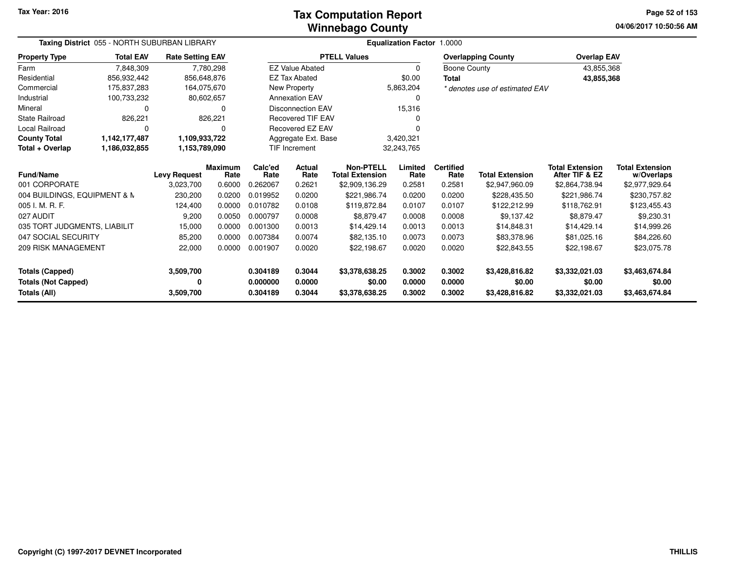### **Winnebago CountyTax Computation Report Tax**

**04/06/2017 10:50:56 AMPage 52 of 153**

| Taxing District 055 - NORTH SUBURBAN LIBRARY |                  |                         |                        |                 | Equalization Factor 1.0000  |                                            |                 |                          |                                |                                          |                                      |  |  |
|----------------------------------------------|------------------|-------------------------|------------------------|-----------------|-----------------------------|--------------------------------------------|-----------------|--------------------------|--------------------------------|------------------------------------------|--------------------------------------|--|--|
| <b>Property Type</b>                         | <b>Total EAV</b> | <b>Rate Setting EAV</b> |                        |                 |                             | <b>PTELL Values</b>                        |                 |                          | <b>Overlapping County</b>      | <b>Overlap EAV</b>                       |                                      |  |  |
| Farm                                         | 7,848,309        |                         | 7,780,298              |                 | <b>EZ Value Abated</b>      |                                            | $\Omega$        | Boone County             |                                | 43,855,368                               |                                      |  |  |
| Residential                                  | 856,932,442      | 856,648,876             |                        |                 | <b>EZ Tax Abated</b>        |                                            | \$0.00          | Total                    |                                | 43,855,368                               |                                      |  |  |
| Commercial                                   | 175,837,283      | 164,075,670             |                        |                 | New Property                |                                            | 5,863,204       |                          | * denotes use of estimated EAV |                                          |                                      |  |  |
| Industrial                                   | 100,733,232      |                         | 80,602,657             |                 | <b>Annexation EAV</b>       |                                            | 0               |                          |                                |                                          |                                      |  |  |
| Mineral                                      | 0                |                         | 0                      |                 | <b>Disconnection EAV</b>    |                                            | 15,316          |                          |                                |                                          |                                      |  |  |
| State Railroad                               | 826,221          |                         | 826,221                |                 | <b>Recovered TIF EAV</b>    |                                            |                 |                          |                                |                                          |                                      |  |  |
| Local Railroad                               | 0                |                         | 0                      |                 | Recovered EZ EAV            |                                            | 0               |                          |                                |                                          |                                      |  |  |
| <b>County Total</b>                          | 1,142,177,487    | 1,109,933,722           |                        |                 | Aggregate Ext. Base         |                                            | 3,420,321       |                          |                                |                                          |                                      |  |  |
| Total + Overlap                              | 1,186,032,855    | 1,153,789,090           |                        |                 | TIF Increment<br>32,243,765 |                                            |                 |                          |                                |                                          |                                      |  |  |
| <b>Fund/Name</b>                             |                  | <b>Levy Request</b>     | <b>Maximum</b><br>Rate | Calc'ed<br>Rate | Actual<br>Rate              | <b>Non-PTELL</b><br><b>Total Extension</b> | Limited<br>Rate | <b>Certified</b><br>Rate | <b>Total Extension</b>         | <b>Total Extension</b><br>After TIF & EZ | <b>Total Extension</b><br>w/Overlaps |  |  |
| 001 CORPORATE                                |                  | 3,023,700               | 0.6000                 | 0.262067        | 0.2621                      | \$2,909,136.29                             | 0.2581          | 0.2581                   | \$2,947,960.09                 | \$2,864,738.94                           | \$2,977,929.64                       |  |  |
| 004 BUILDINGS, EQUIPMENT & N                 |                  | 230,200                 | 0.0200                 | 0.019952        | 0.0200                      | \$221,986.74                               | 0.0200          | 0.0200                   | \$228,435.50                   | \$221,986.74                             | \$230,757.82                         |  |  |
| 005 I. M. R. F.                              |                  | 124,400                 | 0.0000                 | 0.010782        | 0.0108                      | \$119,872.84                               | 0.0107          | 0.0107                   | \$122,212.99                   | \$118,762.91                             | \$123,455.43                         |  |  |
| 027 AUDIT                                    |                  | 9,200                   | 0.0050                 | 0.000797        | 0.0008                      | \$8,879.47                                 | 0.0008          | 0.0008                   | \$9,137.42                     | \$8,879.47                               | \$9,230.31                           |  |  |
| 035 TORT JUDGMENTS, LIABILIT                 |                  | 15,000                  | 0.0000                 | 0.001300        | 0.0013                      | \$14,429.14                                | 0.0013          | 0.0013                   | \$14,848.31                    | \$14,429.14                              | \$14,999.26                          |  |  |
| 047 SOCIAL SECURITY                          |                  | 85,200                  | 0.0000                 | 0.007384        | 0.0074                      | \$82,135.10                                | 0.0073          | 0.0073                   | \$83,378.96                    | \$81,025.16                              | \$84,226.60                          |  |  |
| <b>209 RISK MANAGEMENT</b>                   |                  | 22,000                  | 0.0000                 | 0.001907        | 0.0020                      | \$22,198.67                                | 0.0020          | 0.0020                   | \$22,843.55                    | \$22,198.67                              | \$23,075.78                          |  |  |
| <b>Totals (Capped)</b>                       |                  | 3,509,700               |                        | 0.304189        | 0.3044                      | \$3,378,638.25                             | 0.3002          | 0.3002                   | \$3,428,816.82                 | \$3,332,021.03                           | \$3,463,674.84                       |  |  |
| <b>Totals (Not Capped)</b>                   |                  | 0                       |                        | 0.000000        | 0.0000                      | \$0.00                                     | 0.0000          | 0.0000                   | \$0.00                         | \$0.00                                   | \$0.00                               |  |  |
| Totals (All)                                 |                  | 3,509,700               |                        | 0.304189        | 0.3044                      | \$3,378,638.25                             | 0.3002          | 0.3002                   | \$3,428,816.82                 | \$3,332,021.03                           | \$3,463,674.84                       |  |  |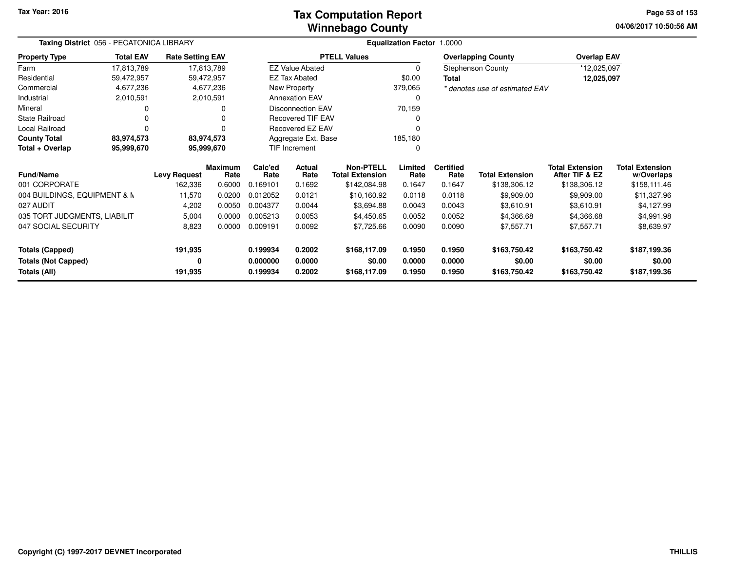### **Winnebago CountyTax Computation Report**

**04/06/2017 10:50:56 AM Page 53 of 153**

| Taxing District 056 - PECATONICA LIBRARY |                  |                         |                 |                 |                          |                                            | <b>Equalization Factor 1.0000</b> |                          |                                |                                          |                                      |
|------------------------------------------|------------------|-------------------------|-----------------|-----------------|--------------------------|--------------------------------------------|-----------------------------------|--------------------------|--------------------------------|------------------------------------------|--------------------------------------|
| <b>Property Type</b>                     | <b>Total EAV</b> | <b>Rate Setting EAV</b> |                 |                 |                          | <b>PTELL Values</b>                        |                                   |                          | <b>Overlapping County</b>      | <b>Overlap EAV</b>                       |                                      |
| Farm                                     | 17,813,789       |                         | 17,813,789      |                 | <b>EZ Value Abated</b>   |                                            | $\mathbf 0$                       |                          | <b>Stephenson County</b>       | *12,025,097                              |                                      |
| Residential                              | 59,472,957       |                         | 59,472,957      |                 | <b>EZ Tax Abated</b>     |                                            | \$0.00                            | <b>Total</b>             |                                | 12,025,097                               |                                      |
| Commercial                               | 4,677,236        |                         | 4,677,236       |                 | New Property             |                                            | 379,065                           |                          | * denotes use of estimated EAV |                                          |                                      |
| Industrial                               | 2,010,591        |                         | 2,010,591       |                 | <b>Annexation EAV</b>    |                                            | 0                                 |                          |                                |                                          |                                      |
| Mineral                                  |                  |                         |                 |                 | Disconnection EAV        |                                            | 70,159                            |                          |                                |                                          |                                      |
| <b>State Railroad</b>                    |                  |                         |                 |                 | <b>Recovered TIF EAV</b> |                                            |                                   |                          |                                |                                          |                                      |
| Local Railroad                           |                  |                         |                 |                 | Recovered EZ EAV         |                                            |                                   |                          |                                |                                          |                                      |
| <b>County Total</b>                      | 83,974,573       |                         | 83,974,573      |                 | Aggregate Ext. Base      |                                            | 185,180                           |                          |                                |                                          |                                      |
| Total + Overlap<br>95,999,670            |                  |                         | 95,999,670      |                 | <b>TIF Increment</b>     |                                            | 0                                 |                          |                                |                                          |                                      |
| Fund/Name                                |                  | <b>Levy Request</b>     | Maximum<br>Rate | Calc'ed<br>Rate | Actual<br>Rate           | <b>Non-PTELL</b><br><b>Total Extension</b> | Limited<br>Rate                   | <b>Certified</b><br>Rate | <b>Total Extension</b>         | <b>Total Extension</b><br>After TIF & EZ | <b>Total Extension</b><br>w/Overlaps |
| 001 CORPORATE                            |                  | 162,336                 | 0.6000          | 0.169101        | 0.1692                   | \$142,084.98                               | 0.1647                            | 0.1647                   | \$138,306.12                   | \$138,306.12                             | \$158,111.46                         |
| 004 BUILDINGS, EQUIPMENT & N             |                  | 11,570                  | 0.0200          | 0.012052        | 0.0121                   | \$10,160.92                                | 0.0118                            | 0.0118                   | \$9,909.00                     | \$9,909.00                               | \$11,327.96                          |
| 027 AUDIT                                |                  | 4,202                   | 0.0050          | 0.004377        | 0.0044                   | \$3,694.88                                 | 0.0043                            | 0.0043                   | \$3,610.91                     | \$3,610.91                               | \$4,127.99                           |
| 035 TORT JUDGMENTS, LIABILIT             |                  | 5,004                   | 0.0000          | 0.005213        | 0.0053                   | \$4,450.65                                 | 0.0052                            | 0.0052                   | \$4,366.68                     | \$4,366.68                               | \$4,991.98                           |
| 047 SOCIAL SECURITY                      |                  | 8,823                   | 0.0000          | 0.009191        | 0.0092                   | \$7,725.66                                 | 0.0090                            | 0.0090                   | \$7,557.71                     | \$7,557.71                               | \$8,639.97                           |
| <b>Totals (Capped)</b>                   |                  | 191,935                 |                 | 0.199934        | 0.2002                   | \$168,117.09                               | 0.1950                            | 0.1950                   | \$163,750.42                   | \$163,750.42                             | \$187,199.36                         |
| <b>Totals (Not Capped)</b>               |                  | 0                       |                 | 0.000000        | 0.0000                   | \$0.00                                     | 0.0000                            | 0.0000                   | \$0.00                         | \$0.00                                   | \$0.00                               |
| Totals (All)                             |                  | 191,935                 |                 | 0.199934        | 0.2002                   | \$168,117.09                               | 0.1950                            | 0.1950                   | \$163,750.42                   | \$163,750.42                             | \$187,199.36                         |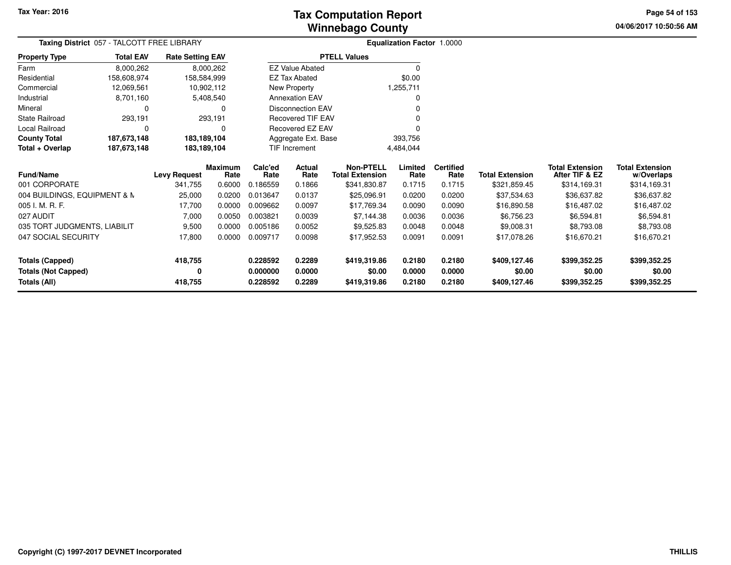**04/06/2017 10:50:56 AM Page 54 of 153**

| Taxing District 057 - TALCOTT FREE LIBRARY |                  |                         |                 |                 |                          |                                            | <b>Equalization Factor 1.0000</b> |                          |                        |                                          |                                      |
|--------------------------------------------|------------------|-------------------------|-----------------|-----------------|--------------------------|--------------------------------------------|-----------------------------------|--------------------------|------------------------|------------------------------------------|--------------------------------------|
| <b>Property Type</b>                       | <b>Total EAV</b> | <b>Rate Setting EAV</b> |                 |                 |                          | <b>PTELL Values</b>                        |                                   |                          |                        |                                          |                                      |
| Farm                                       | 8,000,262        |                         | 8,000,262       |                 | <b>EZ Value Abated</b>   |                                            | 0                                 |                          |                        |                                          |                                      |
| Residential                                | 158,608,974      | 158,584,999             |                 |                 | <b>EZ Tax Abated</b>     |                                            | \$0.00                            |                          |                        |                                          |                                      |
| Commercial                                 | 12,069,561       |                         | 10,902,112      |                 | New Property             |                                            | 1,255,711                         |                          |                        |                                          |                                      |
| Industrial                                 | 8,701,160        |                         | 5,408,540       |                 | <b>Annexation EAV</b>    |                                            | 0                                 |                          |                        |                                          |                                      |
| Mineral                                    | 0                |                         | 0               |                 | <b>Disconnection EAV</b> |                                            |                                   |                          |                        |                                          |                                      |
| State Railroad                             | 293,191          |                         | 293,191         |                 | <b>Recovered TIF EAV</b> |                                            |                                   |                          |                        |                                          |                                      |
| Local Railroad                             | 0                |                         | 0               |                 | Recovered EZ EAV         |                                            |                                   |                          |                        |                                          |                                      |
| <b>County Total</b>                        | 187,673,148      | 183,189,104             |                 |                 | Aggregate Ext. Base      |                                            | 393,756                           |                          |                        |                                          |                                      |
| Total + Overlap                            | 187,673,148      | 183,189,104             |                 |                 | <b>TIF Increment</b>     |                                            | 4,484,044                         |                          |                        |                                          |                                      |
| <b>Fund/Name</b>                           |                  | <b>Levy Request</b>     | Maximum<br>Rate | Calc'ed<br>Rate | Actual<br>Rate           | <b>Non-PTELL</b><br><b>Total Extension</b> | Limited<br>Rate                   | <b>Certified</b><br>Rate | <b>Total Extension</b> | <b>Total Extension</b><br>After TIF & EZ | <b>Total Extension</b><br>w/Overlaps |
| 001 CORPORATE                              |                  | 341,755                 | 0.6000          | 0.186559        | 0.1866                   | \$341,830.87                               | 0.1715                            | 0.1715                   | \$321,859.45           | \$314,169.31                             | \$314,169.31                         |
| 004 BUILDINGS, EQUIPMENT & N               |                  | 25,000                  | 0.0200          | 0.013647        | 0.0137                   | \$25,096.91                                | 0.0200                            | 0.0200                   | \$37,534.63            | \$36,637.82                              | \$36,637.82                          |
| 005 I. M. R. F.                            |                  | 17,700                  | 0.0000          | 0.009662        | 0.0097                   | \$17,769.34                                | 0.0090                            | 0.0090                   | \$16,890.58            | \$16,487.02                              | \$16,487.02                          |
| 027 AUDIT                                  |                  | 7,000                   | 0.0050          | 0.003821        | 0.0039                   | \$7,144.38                                 | 0.0036                            | 0.0036                   | \$6,756.23             | \$6,594.81                               | \$6,594.81                           |
| 035 TORT JUDGMENTS, LIABILIT               |                  | 9,500                   | 0.0000          | 0.005186        | 0.0052                   | \$9,525.83                                 | 0.0048                            | 0.0048                   | \$9,008.31             | \$8,793.08                               | \$8,793.08                           |
| 047 SOCIAL SECURITY                        |                  | 17,800                  | 0.0000          | 0.009717        | 0.0098                   | \$17,952.53                                | 0.0091                            | 0.0091                   | \$17,078.26            | \$16,670.21                              | \$16,670.21                          |
| <b>Totals (Capped)</b>                     |                  | 418,755                 |                 | 0.228592        | 0.2289                   | \$419,319.86                               | 0.2180                            | 0.2180                   | \$409,127.46           | \$399,352.25                             | \$399,352.25                         |
| <b>Totals (Not Capped)</b>                 |                  | 0                       |                 | 0.000000        | 0.0000                   | \$0.00                                     | 0.0000                            | 0.0000                   | \$0.00                 | \$0.00                                   | \$0.00                               |
| Totals (All)                               |                  | 418,755                 |                 | 0.228592        | 0.2289                   | \$419,319.86                               | 0.2180                            | 0.2180                   | \$409,127.46           | \$399,352.25                             | \$399,352.25                         |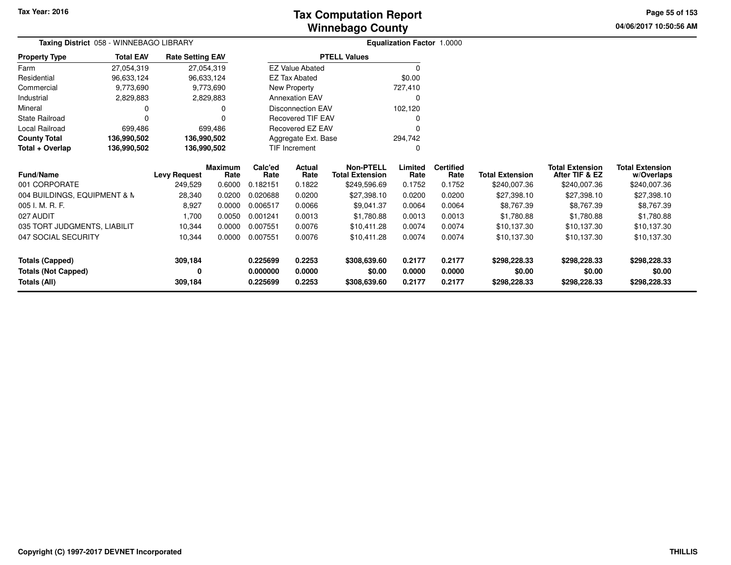# **Winnebago CountyTax Computation Report Tax**

**04/06/2017 10:50:56 AMPage 55 of 153**

|                              | Taxing District 058 - WINNEBAGO LIBRARY |                         |                        |                 |                          |                                            | <b>Equalization Factor 1.0000</b> |                          |                        |                                          |                                      |
|------------------------------|-----------------------------------------|-------------------------|------------------------|-----------------|--------------------------|--------------------------------------------|-----------------------------------|--------------------------|------------------------|------------------------------------------|--------------------------------------|
| <b>Property Type</b>         | <b>Total EAV</b>                        | <b>Rate Setting EAV</b> |                        |                 |                          | <b>PTELL Values</b>                        |                                   |                          |                        |                                          |                                      |
| Farm                         | 27,054,319                              |                         | 27,054,319             |                 | <b>EZ Value Abated</b>   |                                            | $\Omega$                          |                          |                        |                                          |                                      |
| Residential                  | 96,633,124                              |                         | 96,633,124             |                 | <b>EZ Tax Abated</b>     |                                            | \$0.00                            |                          |                        |                                          |                                      |
| Commercial                   | 9,773,690                               |                         | 9,773,690              |                 | New Property             |                                            | 727,410                           |                          |                        |                                          |                                      |
| Industrial                   | 2,829,883                               |                         | 2,829,883              |                 | <b>Annexation EAV</b>    |                                            | 0                                 |                          |                        |                                          |                                      |
| Mineral                      |                                         |                         |                        |                 | <b>Disconnection EAV</b> |                                            | 102,120                           |                          |                        |                                          |                                      |
| <b>State Railroad</b>        |                                         |                         |                        |                 | Recovered TIF EAV        |                                            |                                   |                          |                        |                                          |                                      |
| Local Railroad               | 699,486                                 |                         | 699.486                |                 | <b>Recovered EZ EAV</b>  |                                            |                                   |                          |                        |                                          |                                      |
| <b>County Total</b>          | 136,990,502                             | 136,990,502             |                        |                 | Aggregate Ext. Base      |                                            | 294,742                           |                          |                        |                                          |                                      |
| Total + Overlap              | 136,990,502                             | 136,990,502             |                        |                 | TIF Increment            |                                            | $\Omega$                          |                          |                        |                                          |                                      |
| <b>Fund/Name</b>             |                                         | <b>Levy Request</b>     | <b>Maximum</b><br>Rate | Calc'ed<br>Rate | <b>Actual</b><br>Rate    | <b>Non-PTELL</b><br><b>Total Extension</b> | Limited<br>Rate                   | <b>Certified</b><br>Rate | <b>Total Extension</b> | <b>Total Extension</b><br>After TIF & EZ | <b>Total Extension</b><br>w/Overlaps |
| 001 CORPORATE                |                                         | 249,529                 | 0.6000                 | 0.182151        | 0.1822                   | \$249,596.69                               | 0.1752                            | 0.1752                   | \$240,007.36           | \$240,007.36                             | \$240,007.36                         |
| 004 BUILDINGS, EQUIPMENT & N |                                         | 28,340                  | 0.0200                 | 0.020688        | 0.0200                   | \$27,398.10                                | 0.0200                            | 0.0200                   | \$27,398.10            | \$27,398.10                              | \$27,398.10                          |
| 005 I. M. R. F.              |                                         | 8,927                   | 0.0000                 | 0.006517        | 0.0066                   | \$9,041.37                                 | 0.0064                            | 0.0064                   | \$8,767.39             | \$8,767.39                               | \$8,767.39                           |
| 027 AUDIT                    |                                         | 1,700                   | 0.0050                 | 0.001241        | 0.0013                   | \$1,780.88                                 | 0.0013                            | 0.0013                   | \$1,780.88             | \$1,780.88                               | \$1,780.88                           |
| 035 TORT JUDGMENTS, LIABILIT |                                         | 10,344                  | 0.0000                 | 0.007551        | 0.0076                   | \$10,411.28                                | 0.0074                            | 0.0074                   | \$10,137.30            | \$10,137.30                              | \$10,137.30                          |
| 047 SOCIAL SECURITY          |                                         | 10,344                  | 0.0000                 | 0.007551        | 0.0076                   | \$10,411.28                                | 0.0074                            | 0.0074                   | \$10,137.30            | \$10,137.30                              | \$10,137.30                          |
| <b>Totals (Capped)</b>       |                                         | 309,184                 |                        | 0.225699        | 0.2253                   | \$308,639.60                               | 0.2177                            | 0.2177                   | \$298,228.33           | \$298,228.33                             | \$298,228.33                         |
| <b>Totals (Not Capped)</b>   |                                         | 0                       |                        | 0.000000        | 0.0000                   | \$0.00                                     | 0.0000                            | 0.0000                   | \$0.00                 | \$0.00                                   | \$0.00                               |
| Totals (All)                 |                                         | 309,184                 |                        | 0.225699        | 0.2253                   | \$308,639.60                               | 0.2177                            | 0.2177                   | \$298,228.33           | \$298,228.33                             | \$298,228.33                         |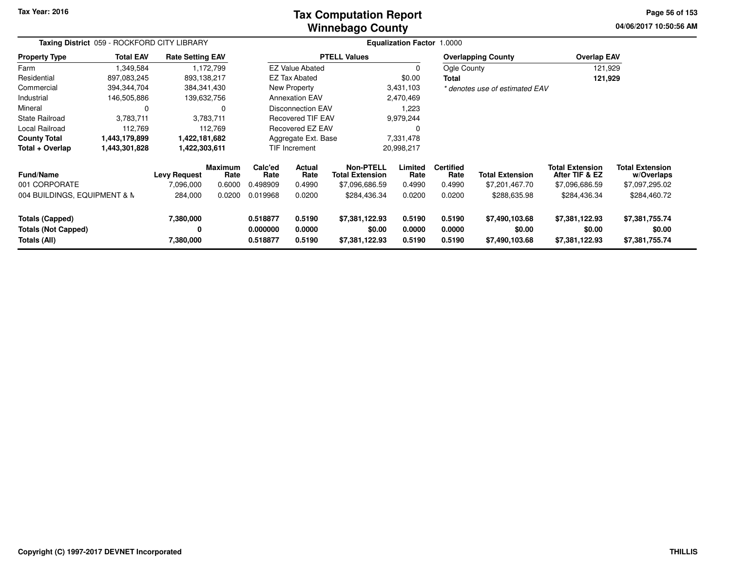### **Winnebago CountyTax Computation Report Tax**

**04/06/2017 10:50:56 AM Page 56 of 153**

| Taxing District 059 - ROCKFORD CITY LIBRARY<br><b>Rate Setting EAV</b> |                  |                     |                        |                 |                          |                                            | <b>Equalization Factor</b> | 1.0000                   |                                |                                          |                                      |  |
|------------------------------------------------------------------------|------------------|---------------------|------------------------|-----------------|--------------------------|--------------------------------------------|----------------------------|--------------------------|--------------------------------|------------------------------------------|--------------------------------------|--|
| <b>Property Type</b>                                                   | <b>Total EAV</b> |                     |                        |                 |                          | <b>PTELL Values</b>                        |                            |                          | <b>Overlapping County</b>      | <b>Overlap EAV</b>                       |                                      |  |
| Farm                                                                   | 1,349,584        |                     | 1,172,799              |                 | <b>EZ Value Abated</b>   |                                            | 0                          | Ogle County              |                                | 121,929                                  |                                      |  |
| Residential                                                            | 897,083,245      | 893,138,217         |                        |                 | <b>EZ Tax Abated</b>     |                                            | \$0.00                     | Total                    |                                | 121,929                                  |                                      |  |
| Commercial                                                             | 394,344,704      | 384, 341, 430       |                        |                 | New Property             |                                            | 3,431,103                  |                          | * denotes use of estimated EAV |                                          |                                      |  |
| Industrial                                                             | 146,505,886      | 139,632,756         |                        |                 | <b>Annexation EAV</b>    |                                            | 2,470,469                  |                          |                                |                                          |                                      |  |
| Mineral                                                                | <sup>0</sup>     |                     | 0                      |                 | <b>Disconnection EAV</b> |                                            | 1,223                      |                          |                                |                                          |                                      |  |
| State Railroad                                                         | 3,783,711        |                     | 3,783,711              |                 | Recovered TIF EAV        |                                            | 9,979,244                  |                          |                                |                                          |                                      |  |
| Local Railroad                                                         | 112,769          |                     | 112,769                |                 | Recovered EZ EAV         |                                            | 0                          |                          |                                |                                          |                                      |  |
| <b>County Total</b>                                                    | 1,443,179,899    | 1,422,181,682       |                        |                 | Aggregate Ext. Base      |                                            | 7,331,478                  |                          |                                |                                          |                                      |  |
| Total + Overlap                                                        | 1,443,301,828    | 1,422,303,611       |                        |                 | TIF Increment            |                                            | 20,998,217                 |                          |                                |                                          |                                      |  |
| Fund/Name                                                              |                  | <b>Levy Request</b> | <b>Maximum</b><br>Rate | Calc'ed<br>Rate | Actual<br>Rate           | <b>Non-PTELL</b><br><b>Total Extension</b> | Limited<br>Rate            | <b>Certified</b><br>Rate | <b>Total Extension</b>         | <b>Total Extension</b><br>After TIF & EZ | <b>Total Extension</b><br>w/Overlaps |  |
| 001 CORPORATE                                                          |                  | 7,096,000           | 0.6000                 | 0.498909        | 0.4990                   | \$7,096,686.59                             | 0.4990                     | 0.4990                   | \$7,201,467.70                 | \$7,096,686.59                           | \$7,097,295.02                       |  |
| 004 BUILDINGS, EQUIPMENT & N                                           |                  | 284,000             | 0.0200                 | 0.019968        | 0.0200                   | \$284,436.34                               | 0.0200                     | 0.0200                   | \$288,635.98                   | \$284,436.34                             | \$284,460.72                         |  |
| <b>Totals (Capped)</b>                                                 |                  | 7,380,000           |                        | 0.518877        | 0.5190                   | \$7,381,122.93                             | 0.5190                     | 0.5190                   | \$7,490,103.68                 | \$7,381,122.93                           | \$7,381,755.74                       |  |
| <b>Totals (Not Capped)</b>                                             |                  | 0                   |                        | 0.000000        | 0.0000                   | \$0.00                                     | 0.0000                     | 0.0000                   | \$0.00                         | \$0.00                                   | \$0.00                               |  |
| Totals (All)                                                           |                  | 7,380,000           |                        | 0.518877        | 0.5190                   | \$7,381,122.93                             | 0.5190                     | 0.5190                   | \$7,490,103.68                 | \$7,381,122.93                           | \$7,381,755.74                       |  |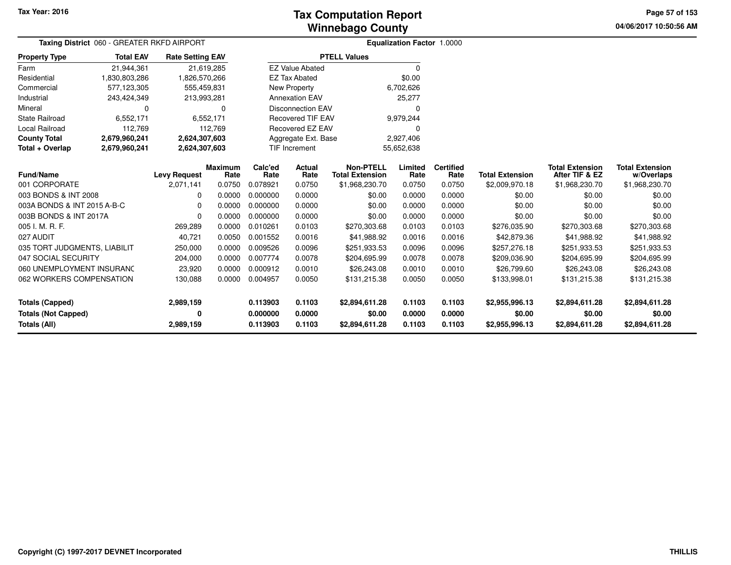# **Winnebago CountyTax Computation Report Tax**

**04/06/2017 10:50:56 AM Page 57 of 153**

| <b>Taxing District</b> 060 - GREATER RKFD AIRPORT |                     |                         |                 |                      |                          |                                            | <b>Equalization Factor 1.0000</b> |                          |                        |                                          |                                      |  |
|---------------------------------------------------|---------------------|-------------------------|-----------------|----------------------|--------------------------|--------------------------------------------|-----------------------------------|--------------------------|------------------------|------------------------------------------|--------------------------------------|--|
| <b>Property Type</b>                              | <b>Total EAV</b>    | <b>Rate Setting EAV</b> |                 |                      |                          | <b>PTELL Values</b>                        |                                   |                          |                        |                                          |                                      |  |
| Farm                                              | 21,944,361          | 21,619,285              |                 |                      | <b>EZ Value Abated</b>   |                                            | $\Omega$                          |                          |                        |                                          |                                      |  |
| Residential                                       | 1,830,803,286       | 1,826,570,266           |                 |                      | <b>EZ Tax Abated</b>     |                                            | \$0.00                            |                          |                        |                                          |                                      |  |
| Commercial                                        | 577,123,305         | 555,459,831             |                 |                      | New Property             |                                            | 6,702,626                         |                          |                        |                                          |                                      |  |
| Industrial                                        | 243,424,349         | 213,993,281             |                 |                      | <b>Annexation EAV</b>    |                                            | 25,277                            |                          |                        |                                          |                                      |  |
| Mineral                                           | 0                   |                         | $\Omega$        |                      | <b>Disconnection EAV</b> |                                            |                                   |                          |                        |                                          |                                      |  |
| <b>State Railroad</b>                             | 6,552,171           |                         | 6,552,171       |                      | <b>Recovered TIF EAV</b> |                                            | 9,979,244                         |                          |                        |                                          |                                      |  |
| <b>Local Railroad</b>                             | 112,769             |                         | 112,769         |                      | <b>Recovered EZ EAV</b>  |                                            |                                   |                          |                        |                                          |                                      |  |
| <b>County Total</b>                               | 2,679,960,241       | 2,624,307,603           |                 | Aggregate Ext. Base  |                          |                                            | 2,927,406                         |                          |                        |                                          |                                      |  |
| Total + Overlap                                   | 2,679,960,241       | 2,624,307,603           |                 | <b>TIF Increment</b> |                          |                                            | 55,652,638                        |                          |                        |                                          |                                      |  |
| <b>Fund/Name</b>                                  | <b>Levy Request</b> |                         | Maximum<br>Rate | Calc'ed<br>Rate      | Actual<br>Rate           | <b>Non-PTELL</b><br><b>Total Extension</b> | Limited<br>Rate                   | <b>Certified</b><br>Rate | <b>Total Extension</b> | <b>Total Extension</b><br>After TIF & EZ | <b>Total Extension</b><br>w/Overlaps |  |
| 001 CORPORATE                                     |                     | 2,071,141               | 0.0750          | 0.078921             | 0.0750                   | \$1,968,230.70                             | 0.0750                            | 0.0750                   | \$2,009,970.18         | \$1,968,230.70                           | \$1,968,230.70                       |  |
| 003 BONDS & INT 2008                              |                     | 0                       | 0.0000          | 0.000000             | 0.0000                   | \$0.00                                     | 0.0000                            | 0.0000                   | \$0.00                 | \$0.00                                   | \$0.00                               |  |
| 003A BONDS & INT 2015 A-B-C                       |                     | $\Omega$                | 0.0000          | 0.000000             | 0.0000                   | \$0.00                                     | 0.0000                            | 0.0000                   | \$0.00                 | \$0.00                                   | \$0.00                               |  |
| 003B BONDS & INT 2017A                            |                     | $\Omega$                | 0.0000          | 0.000000             | 0.0000                   | \$0.00                                     | 0.0000                            | 0.0000                   | \$0.00                 | \$0.00                                   | \$0.00                               |  |
| 005 I. M. R. F.                                   |                     | 269,289                 | 0.0000          | 0.010261             | 0.0103                   | \$270,303.68                               | 0.0103                            | 0.0103                   | \$276,035.90           | \$270,303.68                             | \$270,303.68                         |  |
| 027 AUDIT                                         |                     | 40,721                  | 0.0050          | 0.001552             | 0.0016                   | \$41,988.92                                | 0.0016                            | 0.0016                   | \$42,879.36            | \$41,988.92                              | \$41,988.92                          |  |
| 035 TORT JUDGMENTS, LIABILIT                      |                     | 250,000                 | 0.0000          | 0.009526             | 0.0096                   | \$251,933.53                               | 0.0096                            | 0.0096                   | \$257,276.18           | \$251,933.53                             | \$251,933.53                         |  |
| 047 SOCIAL SECURITY                               |                     | 204,000                 | 0.0000          | 0.007774             | 0.0078                   | \$204,695.99                               | 0.0078                            | 0.0078                   | \$209,036.90           | \$204,695.99                             | \$204,695.99                         |  |
| 060 UNEMPLOYMENT INSURANC                         |                     | 23,920                  | 0.0000          | 0.000912             | 0.0010                   | \$26,243.08                                | 0.0010                            | 0.0010                   | \$26,799.60            | \$26,243.08                              | \$26,243.08                          |  |
| 062 WORKERS COMPENSATION                          |                     | 130,088                 | 0.0000          | 0.004957             | 0.0050                   | \$131,215.38                               | 0.0050                            | 0.0050                   | \$133,998.01           | \$131,215.38                             | \$131,215.38                         |  |
| <b>Totals (Capped)</b>                            |                     | 2,989,159               |                 | 0.113903             | 0.1103                   | \$2,894,611.28                             | 0.1103                            | 0.1103                   | \$2,955,996.13         | \$2,894,611.28                           | \$2,894,611.28                       |  |
| <b>Totals (Not Capped)</b>                        |                     | 0                       |                 | 0.000000             | 0.0000                   | \$0.00                                     | 0.0000                            | 0.0000                   | \$0.00                 | \$0.00                                   | \$0.00                               |  |
| Totals (All)                                      |                     | 2,989,159               |                 | 0.113903             | 0.1103                   | \$2,894,611.28                             | 0.1103                            | 0.1103                   | \$2,955,996.13         | \$2,894,611.28                           | \$2,894,611.28                       |  |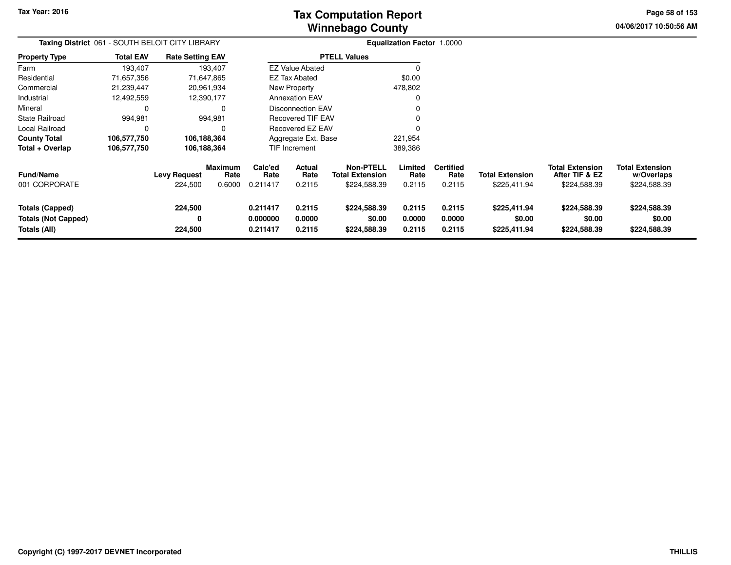**04/06/2017 10:50:56 AM Page 58 of 153**

| Taxing District 061 - SOUTH BELOIT CITY LIBRARY                      |                  |                                |                                  |                                  |                            |                                                            | <b>Equalization Factor 1.0000</b> |                                    |                                        |                                                          |                                                      |
|----------------------------------------------------------------------|------------------|--------------------------------|----------------------------------|----------------------------------|----------------------------|------------------------------------------------------------|-----------------------------------|------------------------------------|----------------------------------------|----------------------------------------------------------|------------------------------------------------------|
| <b>Property Type</b>                                                 | <b>Total EAV</b> | <b>Rate Setting EAV</b>        |                                  |                                  |                            | <b>PTELL Values</b>                                        |                                   |                                    |                                        |                                                          |                                                      |
| Farm                                                                 | 193,407          |                                | 193,407                          |                                  | <b>EZ Value Abated</b>     |                                                            |                                   |                                    |                                        |                                                          |                                                      |
| Residential                                                          | 71,657,356       |                                | 71,647,865                       |                                  | <b>EZ Tax Abated</b>       |                                                            | \$0.00                            |                                    |                                        |                                                          |                                                      |
| Commercial                                                           | 21,239,447       |                                | 20,961,934                       |                                  | New Property               |                                                            | 478,802                           |                                    |                                        |                                                          |                                                      |
| Industrial                                                           | 12,492,559       |                                | 12,390,177                       |                                  | <b>Annexation EAV</b>      |                                                            | 0                                 |                                    |                                        |                                                          |                                                      |
| Mineral                                                              | 0                |                                | 0                                |                                  | Disconnection EAV          |                                                            |                                   |                                    |                                        |                                                          |                                                      |
| <b>State Railroad</b>                                                | 994,981          |                                | 994,981                          |                                  | <b>Recovered TIF EAV</b>   |                                                            | 0                                 |                                    |                                        |                                                          |                                                      |
| <b>Local Railroad</b>                                                | 0                |                                | 0                                |                                  | Recovered EZ EAV           |                                                            |                                   |                                    |                                        |                                                          |                                                      |
| <b>County Total</b>                                                  | 106,577,750      |                                | 106,188,364                      |                                  | Aggregate Ext. Base        |                                                            | 221,954                           |                                    |                                        |                                                          |                                                      |
| Total + Overlap                                                      | 106,577,750      |                                | 106,188,364                      |                                  | <b>TIF Increment</b>       |                                                            | 389,386                           |                                    |                                        |                                                          |                                                      |
| <b>Fund/Name</b><br>001 CORPORATE                                    |                  | <b>Levy Request</b><br>224,500 | <b>Maximum</b><br>Rate<br>0.6000 | Calc'ed<br>Rate<br>0.211417      | Actual<br>Rate<br>0.2115   | <b>Non-PTELL</b><br><b>Total Extension</b><br>\$224,588.39 | Limited<br>Rate<br>0.2115         | <b>Certified</b><br>Rate<br>0.2115 | <b>Total Extension</b><br>\$225,411.94 | <b>Total Extension</b><br>After TIF & EZ<br>\$224,588.39 | <b>Total Extension</b><br>w/Overlaps<br>\$224,588.39 |
| <b>Totals (Capped)</b><br><b>Totals (Not Capped)</b><br>Totals (All) |                  | 224,500<br>0<br>224,500        |                                  | 0.211417<br>0.000000<br>0.211417 | 0.2115<br>0.0000<br>0.2115 | \$224,588.39<br>\$0.00<br>\$224,588.39                     | 0.2115<br>0.0000<br>0.2115        | 0.2115<br>0.0000<br>0.2115         | \$225,411.94<br>\$0.00<br>\$225,411.94 | \$224,588.39<br>\$0.00<br>\$224,588.39                   | \$224,588.39<br>\$0.00<br>\$224,588.39               |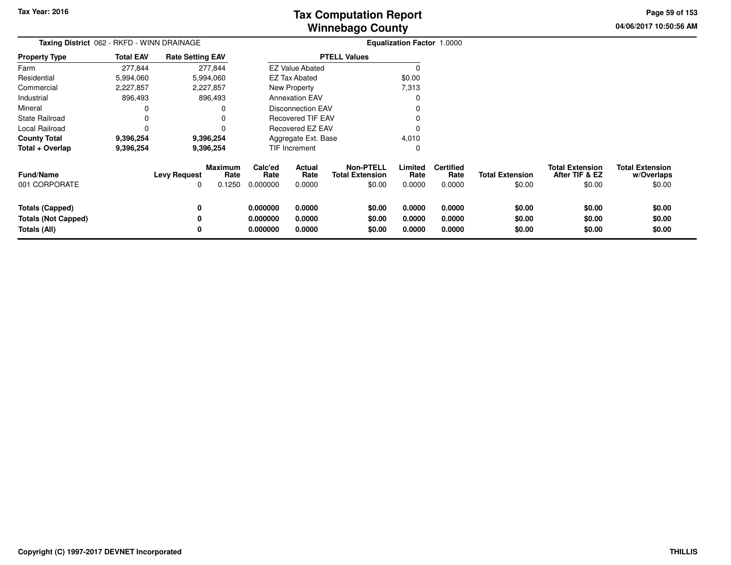**04/06/2017 10:50:56 AM Page 59 of 153**

| Taxing District 062 - RKFD - WINN DRAINAGE                           |                  |                          |                                  |                                  |                                 |                                                      | Equalization Factor 1.0000 |                                    |                                  |                                                    |                                                |
|----------------------------------------------------------------------|------------------|--------------------------|----------------------------------|----------------------------------|---------------------------------|------------------------------------------------------|----------------------------|------------------------------------|----------------------------------|----------------------------------------------------|------------------------------------------------|
| Property Type                                                        | <b>Total EAV</b> | <b>Rate Setting EAV</b>  |                                  |                                  |                                 | <b>PTELL Values</b>                                  |                            |                                    |                                  |                                                    |                                                |
| Farm                                                                 | 277,844          |                          | 277,844                          |                                  | <b>EZ Value Abated</b>          |                                                      | $\Omega$                   |                                    |                                  |                                                    |                                                |
| Residential                                                          | 5,994,060        |                          | 5,994,060                        |                                  | <b>EZ Tax Abated</b>            |                                                      | \$0.00                     |                                    |                                  |                                                    |                                                |
| Commercial                                                           | 2,227,857        |                          | 2,227,857                        |                                  | New Property                    |                                                      | 7,313                      |                                    |                                  |                                                    |                                                |
| Industrial                                                           | 896,493          |                          | 896,493                          |                                  | <b>Annexation EAV</b>           |                                                      |                            |                                    |                                  |                                                    |                                                |
| Mineral                                                              | 0                |                          |                                  |                                  | Disconnection EAV               |                                                      |                            |                                    |                                  |                                                    |                                                |
| State Railroad                                                       | 0                |                          |                                  |                                  | <b>Recovered TIF EAV</b>        |                                                      |                            |                                    |                                  |                                                    |                                                |
| Local Railroad                                                       | 0                |                          |                                  |                                  | Recovered EZ EAV                |                                                      |                            |                                    |                                  |                                                    |                                                |
| County Total                                                         | 9,396,254        |                          | 9,396,254                        |                                  | Aggregate Ext. Base             |                                                      | 4,010                      |                                    |                                  |                                                    |                                                |
| Total + Overlap                                                      | 9,396,254        |                          | 9,396,254                        |                                  | <b>TIF Increment</b>            |                                                      | 0                          |                                    |                                  |                                                    |                                                |
| Fund/Name<br>001 CORPORATE                                           |                  | <b>Levy Request</b><br>0 | <b>Maximum</b><br>Rate<br>0.1250 | Calc'ed<br>Rate<br>0.000000      | <b>Actual</b><br>Rate<br>0.0000 | <b>Non-PTELL</b><br><b>Total Extension</b><br>\$0.00 | Limited<br>Rate<br>0.0000  | <b>Certified</b><br>Rate<br>0.0000 | <b>Total Extension</b><br>\$0.00 | <b>Total Extension</b><br>After TIF & EZ<br>\$0.00 | <b>Total Extension</b><br>w/Overlaps<br>\$0.00 |
| <b>Totals (Capped)</b><br><b>Totals (Not Capped)</b><br>Totals (All) |                  | 0<br>0<br>0              |                                  | 0.000000<br>0.000000<br>0.000000 | 0.0000<br>0.0000<br>0.0000      | \$0.00<br>\$0.00<br>\$0.00                           | 0.0000<br>0.0000<br>0.0000 | 0.0000<br>0.0000<br>0.0000         | \$0.00<br>\$0.00<br>\$0.00       | \$0.00<br>\$0.00<br>\$0.00                         | \$0.00<br>\$0.00<br>\$0.00                     |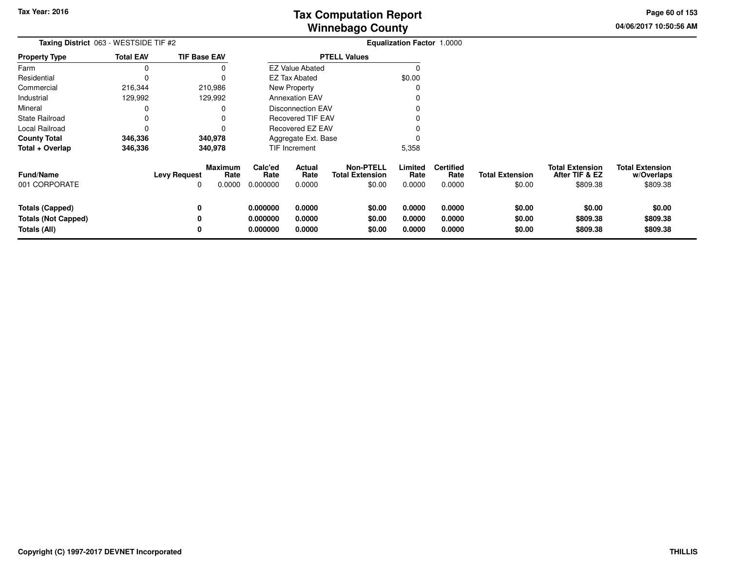**04/06/2017 10:50:56 AMPage 60 of 153**

| Taxing District 063 - WESTSIDE TIF #2                                |                  |                          |                                  |                                  |                            |                                                      | <b>Equalization Factor 1.0000</b> |                                    |                                  |                                                      |                                                  |
|----------------------------------------------------------------------|------------------|--------------------------|----------------------------------|----------------------------------|----------------------------|------------------------------------------------------|-----------------------------------|------------------------------------|----------------------------------|------------------------------------------------------|--------------------------------------------------|
| <b>Property Type</b>                                                 | <b>Total EAV</b> | <b>TIF Base EAV</b>      |                                  |                                  |                            | <b>PTELL Values</b>                                  |                                   |                                    |                                  |                                                      |                                                  |
| Farm                                                                 |                  |                          |                                  |                                  | <b>EZ Value Abated</b>     |                                                      |                                   |                                    |                                  |                                                      |                                                  |
| Residential                                                          |                  |                          |                                  |                                  | <b>EZ Tax Abated</b>       |                                                      | \$0.00                            |                                    |                                  |                                                      |                                                  |
| Commercial                                                           | 216,344          |                          | 210,986                          |                                  | New Property               |                                                      |                                   |                                    |                                  |                                                      |                                                  |
| Industrial                                                           | 129,992          |                          | 129,992                          |                                  | <b>Annexation EAV</b>      |                                                      |                                   |                                    |                                  |                                                      |                                                  |
| Mineral                                                              |                  |                          |                                  |                                  | <b>Disconnection EAV</b>   |                                                      |                                   |                                    |                                  |                                                      |                                                  |
| State Railroad                                                       |                  |                          |                                  |                                  | <b>Recovered TIF EAV</b>   |                                                      |                                   |                                    |                                  |                                                      |                                                  |
| Local Railroad                                                       |                  |                          |                                  |                                  | Recovered EZ EAV           |                                                      |                                   |                                    |                                  |                                                      |                                                  |
| <b>County Total</b>                                                  | 346,336          |                          | 340,978                          |                                  | Aggregate Ext. Base        |                                                      |                                   |                                    |                                  |                                                      |                                                  |
| Total + Overlap                                                      | 346,336          |                          | 340,978                          |                                  | <b>TIF Increment</b>       |                                                      | 5,358                             |                                    |                                  |                                                      |                                                  |
| <b>Fund/Name</b><br>001 CORPORATE                                    |                  | <b>Levy Request</b><br>0 | <b>Maximum</b><br>Rate<br>0.0000 | Calc'ed<br>Rate<br>0.000000      | Actual<br>Rate<br>0.0000   | <b>Non-PTELL</b><br><b>Total Extension</b><br>\$0.00 | Limited<br>Rate<br>0.0000         | <b>Certified</b><br>Rate<br>0.0000 | <b>Total Extension</b><br>\$0.00 | <b>Total Extension</b><br>After TIF & EZ<br>\$809.38 | <b>Total Extension</b><br>w/Overlaps<br>\$809.38 |
| <b>Totals (Capped)</b><br><b>Totals (Not Capped)</b><br>Totals (All) |                  | 0<br>0<br>0              |                                  | 0.000000<br>0.000000<br>0.000000 | 0.0000<br>0.0000<br>0.0000 | \$0.00<br>\$0.00<br>\$0.00                           | 0.0000<br>0.0000<br>0.0000        | 0.0000<br>0.0000<br>0.0000         | \$0.00<br>\$0.00<br>\$0.00       | \$0.00<br>\$809.38<br>\$809.38                       | \$0.00<br>\$809.38<br>\$809.38                   |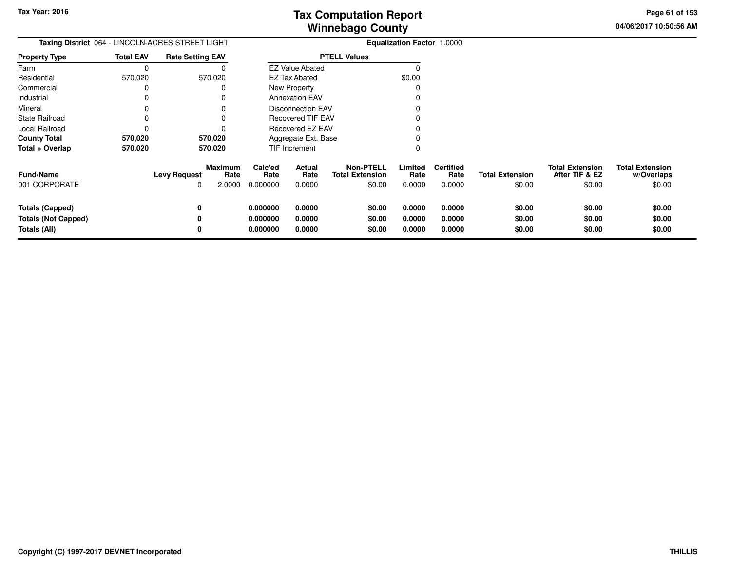**04/06/2017 10:50:56 AM Page 61 of 153**

|                                                                      | Taxing District 064 - LINCOLN-ACRES STREET LIGHT |                                                         |                                  |                                 | Equalization Factor 1.0000                           |                            |                                    |                                  |                                                    |                                                |
|----------------------------------------------------------------------|--------------------------------------------------|---------------------------------------------------------|----------------------------------|---------------------------------|------------------------------------------------------|----------------------------|------------------------------------|----------------------------------|----------------------------------------------------|------------------------------------------------|
| <b>Property Type</b>                                                 | <b>Total EAV</b>                                 | <b>Rate Setting EAV</b>                                 |                                  |                                 | <b>PTELL Values</b>                                  |                            |                                    |                                  |                                                    |                                                |
| Farm                                                                 | 0                                                |                                                         |                                  | <b>EZ Value Abated</b>          |                                                      |                            |                                    |                                  |                                                    |                                                |
| Residential                                                          | 570,020                                          | 570,020                                                 |                                  | <b>EZ Tax Abated</b>            |                                                      | \$0.00                     |                                    |                                  |                                                    |                                                |
| Commercial                                                           |                                                  |                                                         |                                  | New Property                    |                                                      |                            |                                    |                                  |                                                    |                                                |
| Industrial                                                           |                                                  |                                                         |                                  | <b>Annexation EAV</b>           |                                                      |                            |                                    |                                  |                                                    |                                                |
| Mineral                                                              |                                                  |                                                         |                                  | <b>Disconnection EAV</b>        |                                                      |                            |                                    |                                  |                                                    |                                                |
| State Railroad                                                       |                                                  |                                                         |                                  | Recovered TIF EAV               |                                                      |                            |                                    |                                  |                                                    |                                                |
| Local Railroad                                                       | 0                                                |                                                         |                                  | Recovered EZ EAV                |                                                      |                            |                                    |                                  |                                                    |                                                |
| <b>County Total</b><br>570,020<br>570,020                            |                                                  |                                                         |                                  | Aggregate Ext. Base             |                                                      |                            |                                    |                                  |                                                    |                                                |
| Total + Overlap                                                      | 570,020                                          | 570,020                                                 |                                  | <b>TIF Increment</b>            |                                                      |                            |                                    |                                  |                                                    |                                                |
| Fund/Name<br>001 CORPORATE                                           |                                                  | <b>Maximum</b><br><b>Levy Request</b><br>Rate<br>2.0000 | Calc'ed<br>Rate<br>0.000000      | <b>Actual</b><br>Rate<br>0.0000 | <b>Non-PTELL</b><br><b>Total Extension</b><br>\$0.00 | Limited<br>Rate<br>0.0000  | <b>Certified</b><br>Rate<br>0.0000 | <b>Total Extension</b><br>\$0.00 | <b>Total Extension</b><br>After TIF & EZ<br>\$0.00 | <b>Total Extension</b><br>w/Overlaps<br>\$0.00 |
| <b>Totals (Capped)</b><br><b>Totals (Not Capped)</b><br>Totals (All) |                                                  | 0<br>0<br>0                                             | 0.000000<br>0.000000<br>0.000000 | 0.0000<br>0.0000<br>0.0000      | \$0.00<br>\$0.00<br>\$0.00                           | 0.0000<br>0.0000<br>0.0000 | 0.0000<br>0.0000<br>0.0000         | \$0.00<br>\$0.00<br>\$0.00       | \$0.00<br>\$0.00<br>\$0.00                         | \$0.00<br>\$0.00<br>\$0.00                     |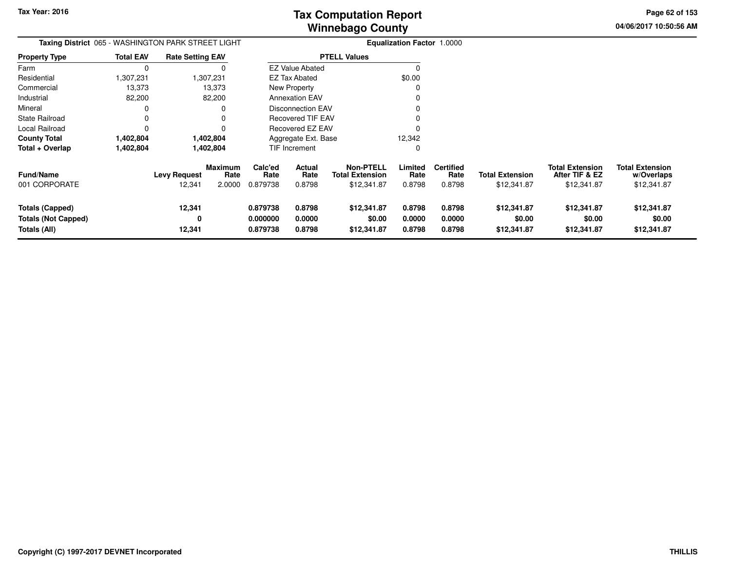**04/06/2017 10:50:56 AM Page 62 of 153**

| Taxing District 065 - WASHINGTON PARK STREET LIGHT            |                  |                               |                                  |                                  |                            |                                                           | <b>Equalization Factor 1.0000</b> |                                    |                                       |                                                         |                                                     |
|---------------------------------------------------------------|------------------|-------------------------------|----------------------------------|----------------------------------|----------------------------|-----------------------------------------------------------|-----------------------------------|------------------------------------|---------------------------------------|---------------------------------------------------------|-----------------------------------------------------|
| <b>Property Type</b>                                          | <b>Total EAV</b> | <b>Rate Setting EAV</b>       |                                  |                                  |                            | <b>PTELL Values</b>                                       |                                   |                                    |                                       |                                                         |                                                     |
| Farm                                                          | $\Omega$         |                               |                                  |                                  | <b>EZ Value Abated</b>     |                                                           |                                   |                                    |                                       |                                                         |                                                     |
| Residential                                                   | 1,307,231        |                               | 1,307,231                        |                                  | <b>EZ Tax Abated</b>       |                                                           | \$0.00                            |                                    |                                       |                                                         |                                                     |
| Commercial                                                    | 13,373           |                               | 13,373                           |                                  | New Property               |                                                           |                                   |                                    |                                       |                                                         |                                                     |
| Industrial                                                    | 82,200           |                               | 82,200                           |                                  | <b>Annexation EAV</b>      |                                                           |                                   |                                    |                                       |                                                         |                                                     |
| Mineral                                                       |                  |                               |                                  |                                  | <b>Disconnection EAV</b>   |                                                           |                                   |                                    |                                       |                                                         |                                                     |
| State Railroad                                                |                  |                               |                                  |                                  | <b>Recovered TIF EAV</b>   |                                                           |                                   |                                    |                                       |                                                         |                                                     |
| Local Railroad                                                |                  |                               |                                  |                                  | Recovered EZ EAV           |                                                           |                                   |                                    |                                       |                                                         |                                                     |
| <b>County Total</b>                                           | 1,402,804        |                               | 1,402,804                        |                                  | Aggregate Ext. Base        |                                                           | 12,342                            |                                    |                                       |                                                         |                                                     |
| Total + Overlap                                               | 1,402,804        |                               | 1,402,804                        |                                  | TIF Increment              |                                                           | 0                                 |                                    |                                       |                                                         |                                                     |
| Fund/Name<br>001 CORPORATE                                    |                  | <b>Levy Request</b><br>12,341 | <b>Maximum</b><br>Rate<br>2.0000 | Calc'ed<br>Rate<br>0.879738      | Actual<br>Rate<br>0.8798   | <b>Non-PTELL</b><br><b>Total Extension</b><br>\$12,341.87 | Limited<br>Rate<br>0.8798         | <b>Certified</b><br>Rate<br>0.8798 | <b>Total Extension</b><br>\$12,341.87 | <b>Total Extension</b><br>After TIF & EZ<br>\$12,341.87 | <b>Total Extension</b><br>w/Overlaps<br>\$12,341.87 |
| Totals (Capped)<br><b>Totals (Not Capped)</b><br>Totals (All) |                  | 12,341<br>0<br>12,341         |                                  | 0.879738<br>0.000000<br>0.879738 | 0.8798<br>0.0000<br>0.8798 | \$12,341.87<br>\$0.00<br>\$12,341.87                      | 0.8798<br>0.0000<br>0.8798        | 0.8798<br>0.0000<br>0.8798         | \$12,341.87<br>\$0.00<br>\$12,341.87  | \$12,341.87<br>\$0.00<br>\$12,341.87                    | \$12,341.87<br>\$0.00<br>\$12,341.87                |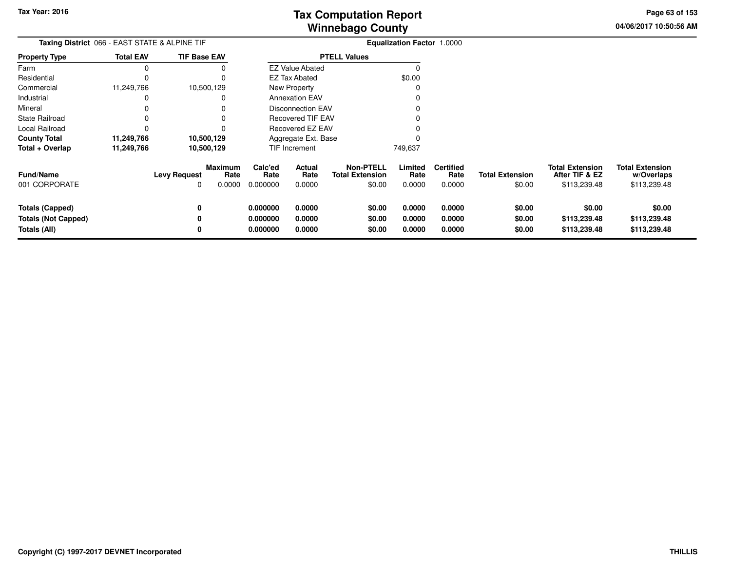**04/06/2017 10:50:56 AMPage 63 of 153**

| <b>Taxing District 066 - EAST STATE &amp; ALPINE TIF</b>             |                  |                     |                                  |                                  |                            |                                                      | <b>Equalization Factor 1.0000</b> |                                    |                                  |                                                          |                                                      |
|----------------------------------------------------------------------|------------------|---------------------|----------------------------------|----------------------------------|----------------------------|------------------------------------------------------|-----------------------------------|------------------------------------|----------------------------------|----------------------------------------------------------|------------------------------------------------------|
| <b>Property Type</b>                                                 | <b>Total EAV</b> | <b>TIF Base EAV</b> |                                  |                                  |                            | <b>PTELL Values</b>                                  |                                   |                                    |                                  |                                                          |                                                      |
| Farm                                                                 | $\Omega$         |                     |                                  |                                  | <b>EZ Value Abated</b>     |                                                      | 0                                 |                                    |                                  |                                                          |                                                      |
| Residential                                                          | C                |                     |                                  |                                  | EZ Tax Abated              |                                                      | \$0.00                            |                                    |                                  |                                                          |                                                      |
| Commercial                                                           | 11,249,766       |                     | 10,500,129                       |                                  | New Property               |                                                      |                                   |                                    |                                  |                                                          |                                                      |
| Industrial                                                           | 0                |                     | 0                                |                                  | <b>Annexation EAV</b>      |                                                      |                                   |                                    |                                  |                                                          |                                                      |
| Mineral                                                              |                  |                     |                                  |                                  | <b>Disconnection EAV</b>   |                                                      |                                   |                                    |                                  |                                                          |                                                      |
| <b>State Railroad</b>                                                |                  |                     |                                  |                                  | <b>Recovered TIF EAV</b>   |                                                      |                                   |                                    |                                  |                                                          |                                                      |
| Local Railroad                                                       |                  |                     |                                  |                                  | <b>Recovered EZ EAV</b>    |                                                      |                                   |                                    |                                  |                                                          |                                                      |
| <b>County Total</b><br>11,249,766<br>10,500,129                      |                  |                     |                                  | Aggregate Ext. Base              |                            |                                                      |                                   |                                    |                                  |                                                          |                                                      |
| Total + Overlap                                                      | 11,249,766       |                     | 10,500,129                       |                                  | TIF Increment              |                                                      | 749,637                           |                                    |                                  |                                                          |                                                      |
| <b>Fund/Name</b><br>001 CORPORATE                                    |                  | <b>Levy Request</b> | <b>Maximum</b><br>Rate<br>0.0000 | Calc'ed<br>Rate<br>0.000000      | Actual<br>Rate<br>0.0000   | <b>Non-PTELL</b><br><b>Total Extension</b><br>\$0.00 | Limited<br>Rate<br>0.0000         | <b>Certified</b><br>Rate<br>0.0000 | <b>Total Extension</b><br>\$0.00 | <b>Total Extension</b><br>After TIF & EZ<br>\$113,239.48 | <b>Total Extension</b><br>w/Overlaps<br>\$113,239.48 |
| <b>Totals (Capped)</b><br><b>Totals (Not Capped)</b><br>Totals (All) |                  | 0<br>0<br>0         |                                  | 0.000000<br>0.000000<br>0.000000 | 0.0000<br>0.0000<br>0.0000 | \$0.00<br>\$0.00<br>\$0.00                           | 0.0000<br>0.0000<br>0.0000        | 0.0000<br>0.0000<br>0.0000         | \$0.00<br>\$0.00<br>\$0.00       | \$0.00<br>\$113,239.48<br>\$113,239.48                   | \$0.00<br>\$113,239.48<br>\$113,239.48               |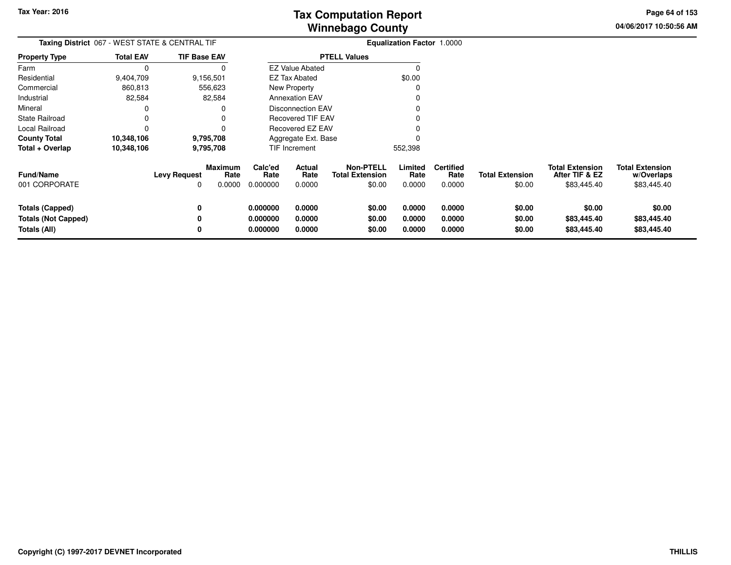**04/06/2017 10:50:56 AMPage 64 of 153**

| Taxing District 067 - WEST STATE & CENTRAL TIF                       |                  |                     |                                  |                                  |                            |                                                      | Equalization Factor 1.0000 |                                    |                                  |                                                         |                                                     |
|----------------------------------------------------------------------|------------------|---------------------|----------------------------------|----------------------------------|----------------------------|------------------------------------------------------|----------------------------|------------------------------------|----------------------------------|---------------------------------------------------------|-----------------------------------------------------|
| <b>Property Type</b>                                                 | <b>Total EAV</b> | <b>TIF Base EAV</b> |                                  |                                  |                            | <b>PTELL Values</b>                                  |                            |                                    |                                  |                                                         |                                                     |
| Farm                                                                 | 0                |                     |                                  |                                  | <b>EZ Value Abated</b>     |                                                      |                            |                                    |                                  |                                                         |                                                     |
| Residential                                                          | 9,404,709        |                     | 9,156,501                        |                                  | <b>EZ Tax Abated</b>       |                                                      | \$0.00                     |                                    |                                  |                                                         |                                                     |
| Commercial                                                           | 860,813          |                     | 556,623                          |                                  | New Property               |                                                      |                            |                                    |                                  |                                                         |                                                     |
| Industrial                                                           | 82,584           |                     | 82,584                           |                                  | <b>Annexation EAV</b>      |                                                      |                            |                                    |                                  |                                                         |                                                     |
| Mineral                                                              |                  |                     |                                  |                                  | <b>Disconnection EAV</b>   |                                                      |                            |                                    |                                  |                                                         |                                                     |
| <b>State Railroad</b>                                                | 0                |                     |                                  |                                  | <b>Recovered TIF EAV</b>   |                                                      |                            |                                    |                                  |                                                         |                                                     |
| Local Railroad                                                       | 0                |                     |                                  |                                  | Recovered EZ EAV           |                                                      |                            |                                    |                                  |                                                         |                                                     |
| <b>County Total</b>                                                  | 10,348,106       |                     | 9,795,708                        |                                  | Aggregate Ext. Base        |                                                      |                            |                                    |                                  |                                                         |                                                     |
| Total + Overlap                                                      | 10,348,106       |                     | 9,795,708                        |                                  | <b>TIF Increment</b>       |                                                      | 552,398                    |                                    |                                  |                                                         |                                                     |
| Fund/Name<br>001 CORPORATE                                           |                  | <b>Levy Request</b> | <b>Maximum</b><br>Rate<br>0.0000 | Calc'ed<br>Rate<br>0.000000      | Actual<br>Rate<br>0.0000   | <b>Non-PTELL</b><br><b>Total Extension</b><br>\$0.00 | Limited<br>Rate<br>0.0000  | <b>Certified</b><br>Rate<br>0.0000 | <b>Total Extension</b><br>\$0.00 | <b>Total Extension</b><br>After TIF & EZ<br>\$83,445.40 | <b>Total Extension</b><br>w/Overlaps<br>\$83,445.40 |
| <b>Totals (Capped)</b><br><b>Totals (Not Capped)</b><br>Totals (All) |                  | 0<br>0<br>0         |                                  | 0.000000<br>0.000000<br>0.000000 | 0.0000<br>0.0000<br>0.0000 | \$0.00<br>\$0.00<br>\$0.00                           | 0.0000<br>0.0000<br>0.0000 | 0.0000<br>0.0000<br>0.0000         | \$0.00<br>\$0.00<br>\$0.00       | \$0.00<br>\$83,445.40<br>\$83,445.40                    | \$0.00<br>\$83,445.40<br>\$83,445.40                |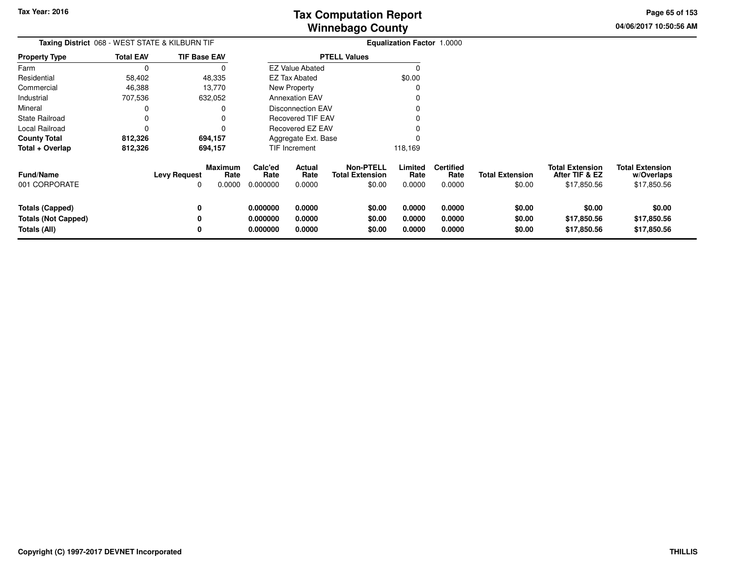**04/06/2017 10:50:56 AMPage 65 of 153**

| Taxing District 068 - WEST STATE & KILBURN TIF |                  |                     |                        |                              |                          |                                            | Equalization Factor 1.0000 |                          |                        |                                          |                                      |
|------------------------------------------------|------------------|---------------------|------------------------|------------------------------|--------------------------|--------------------------------------------|----------------------------|--------------------------|------------------------|------------------------------------------|--------------------------------------|
| <b>Property Type</b>                           | <b>Total EAV</b> | <b>TIF Base EAV</b> |                        |                              |                          | <b>PTELL Values</b>                        |                            |                          |                        |                                          |                                      |
| Farm                                           | $\Omega$         |                     | 0                      |                              | <b>EZ Value Abated</b>   |                                            | $\Omega$                   |                          |                        |                                          |                                      |
| Residential                                    | 58,402           | 48,335              |                        |                              | <b>EZ Tax Abated</b>     |                                            | \$0.00                     |                          |                        |                                          |                                      |
| Commercial                                     | 46,388           | 13,770              |                        |                              | New Property             |                                            | 0                          |                          |                        |                                          |                                      |
| Industrial                                     | 707,536          | 632,052             |                        |                              | <b>Annexation EAV</b>    |                                            | 0                          |                          |                        |                                          |                                      |
| Mineral                                        |                  |                     | 0                      |                              | <b>Disconnection EAV</b> |                                            |                            |                          |                        |                                          |                                      |
| <b>State Railroad</b>                          |                  |                     | O                      |                              | <b>Recovered TIF EAV</b> |                                            |                            |                          |                        |                                          |                                      |
| Local Railroad                                 |                  |                     | $\Omega$               |                              | <b>Recovered EZ EAV</b>  |                                            |                            |                          |                        |                                          |                                      |
| 812,326<br><b>County Total</b><br>694,157      |                  |                     |                        |                              | Aggregate Ext. Base      |                                            |                            |                          |                        |                                          |                                      |
| Total + Overlap                                | 812,326          |                     | 694,157                |                              | TIF Increment            |                                            | 118,169                    |                          |                        |                                          |                                      |
| <b>Fund/Name</b>                               |                  | <b>Levy Request</b> | <b>Maximum</b><br>Rate | Calc'ed<br>Rate              | Actual<br>Rate           | <b>Non-PTELL</b><br><b>Total Extension</b> | Limited<br>Rate            | <b>Certified</b><br>Rate | <b>Total Extension</b> | <b>Total Extension</b><br>After TIF & EZ | <b>Total Extension</b><br>w/Overlaps |
| 001 CORPORATE                                  |                  |                     | 0.0000                 | 0.000000                     | 0.0000                   | \$0.00                                     | 0.0000                     | 0.0000                   | \$0.00                 | \$17,850.56                              | \$17,850.56                          |
| Totals (Capped)                                |                  | 0                   |                        | 0.000000                     | 0.0000                   | \$0.00                                     | 0.0000                     | 0.0000                   | \$0.00                 | \$0.00                                   | \$0.00                               |
| <b>Totals (Not Capped)</b>                     |                  |                     |                        | 0.000000                     | 0.0000                   | \$0.00                                     | 0.0000                     | 0.0000                   | \$0.00                 | \$17,850.56                              | \$17,850.56                          |
| Totals (All)                                   |                  |                     |                        | 0.000000<br>0.0000<br>\$0.00 |                          |                                            | 0.0000                     | 0.0000                   | \$0.00                 | \$17,850.56                              | \$17,850.56                          |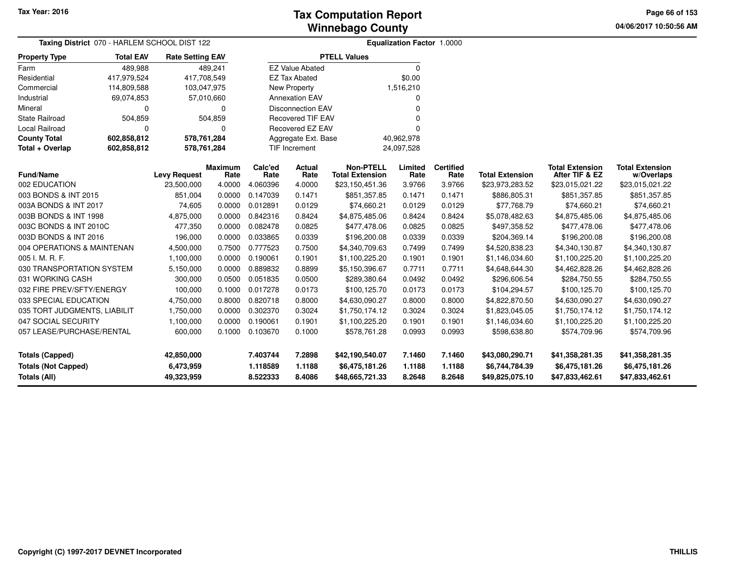**04/06/2017 10:50:56 AMPage 66 of 153**

|                                                                      | Taxing District 070 - HARLEM SCHOOL DIST 122 |                                       |                        |                                  | <b>Equalization Factor 1.0000</b> |                                                      |                            |                            |                                                      |                                                      |                                                      |  |  |
|----------------------------------------------------------------------|----------------------------------------------|---------------------------------------|------------------------|----------------------------------|-----------------------------------|------------------------------------------------------|----------------------------|----------------------------|------------------------------------------------------|------------------------------------------------------|------------------------------------------------------|--|--|
| <b>Property Type</b>                                                 | <b>Total EAV</b>                             | <b>Rate Setting EAV</b>               |                        |                                  |                                   | <b>PTELL Values</b>                                  |                            |                            |                                                      |                                                      |                                                      |  |  |
| Farm                                                                 | 489,988                                      |                                       | 489,241                |                                  | <b>EZ Value Abated</b>            |                                                      | $\Omega$                   |                            |                                                      |                                                      |                                                      |  |  |
| Residential                                                          | 417,979,524                                  | 417,708,549                           |                        |                                  | <b>EZ Tax Abated</b>              |                                                      | \$0.00                     |                            |                                                      |                                                      |                                                      |  |  |
| Commercial                                                           | 114,809,588                                  |                                       | 103,047,975            |                                  | New Property                      |                                                      | 1,516,210                  |                            |                                                      |                                                      |                                                      |  |  |
| Industrial                                                           | 69,074,853                                   |                                       | 57,010,660             |                                  | <b>Annexation EAV</b>             |                                                      | O                          |                            |                                                      |                                                      |                                                      |  |  |
| Mineral                                                              | 0                                            |                                       | 0                      |                                  | <b>Disconnection EAV</b>          |                                                      | $\Omega$                   |                            |                                                      |                                                      |                                                      |  |  |
| <b>State Railroad</b>                                                | 504,859                                      |                                       | 504,859                |                                  | <b>Recovered TIF EAV</b>          |                                                      | O                          |                            |                                                      |                                                      |                                                      |  |  |
| Local Railroad                                                       | $\Omega$                                     |                                       | 0                      |                                  | Recovered EZ EAV                  |                                                      | $\Omega$                   |                            |                                                      |                                                      |                                                      |  |  |
| <b>County Total</b>                                                  | 602,858,812                                  | 578,761,284                           |                        |                                  | Aggregate Ext. Base               |                                                      | 40,962,978                 |                            |                                                      |                                                      |                                                      |  |  |
| Total + Overlap                                                      | 602,858,812                                  | 578,761,284                           |                        |                                  | <b>TIF Increment</b>              |                                                      | 24,097,528                 |                            |                                                      |                                                      |                                                      |  |  |
| <b>Fund/Name</b>                                                     | <b>Levy Request</b>                          |                                       | <b>Maximum</b><br>Rate | Calc'ed<br>Rate                  | Actual<br>Rate                    | <b>Non-PTELL</b><br><b>Total Extension</b>           | Limited<br>Rate            | <b>Certified</b><br>Rate   | <b>Total Extension</b>                               | <b>Total Extension</b><br>After TIF & EZ             | <b>Total Extension</b><br>w/Overlaps                 |  |  |
| 002 EDUCATION                                                        |                                              | 23,500,000                            | 4.0000                 | 4.060396                         | 4.0000                            | \$23,150,451.36                                      | 3.9766                     | 3.9766                     | \$23,973,283.52                                      | \$23,015,021.22                                      | \$23,015,021.22                                      |  |  |
| 003 BONDS & INT 2015                                                 |                                              | 851,004                               | 0.0000                 | 0.147039                         | 0.1471                            | \$851,357.85                                         | 0.1471                     | 0.1471                     | \$886,805.31                                         | \$851,357.85                                         | \$851,357.85                                         |  |  |
| 003A BONDS & INT 2017                                                |                                              | 74,605                                | 0.0000                 | 0.012891                         | 0.0129                            | \$74,660.21                                          | 0.0129                     | 0.0129                     | \$77,768.79                                          | \$74,660.21                                          | \$74,660.21                                          |  |  |
|                                                                      | 003B BONDS & INT 1998                        |                                       | 0.0000                 | 0.842316                         | 0.8424                            | \$4,875,485.06                                       | 0.8424                     | 0.8424                     | \$5,078,482.63                                       | \$4,875,485.06                                       | \$4,875,485.06                                       |  |  |
| 003C BONDS & INT 2010C                                               |                                              | 477,350                               | 0.0000                 | 0.082478                         | 0.0825                            | \$477,478.06                                         | 0.0825                     | 0.0825                     | \$497,358.52                                         | \$477,478.06                                         | \$477,478.06                                         |  |  |
| 003D BONDS & INT 2016                                                |                                              | 196,000                               | 0.0000                 | 0.033865                         | 0.0339                            | \$196,200.08                                         | 0.0339                     | 0.0339                     | \$204,369.14                                         | \$196,200.08                                         | \$196,200.08                                         |  |  |
| 004 OPERATIONS & MAINTENAN                                           |                                              | 4,500,000                             | 0.7500                 | 0.777523                         | 0.7500                            | \$4,340,709.63                                       | 0.7499                     | 0.7499                     | \$4,520,838.23                                       | \$4,340,130.87                                       | \$4,340,130.87                                       |  |  |
| 005 I. M. R. F.                                                      |                                              | 1,100,000                             | 0.0000                 | 0.190061                         | 0.1901                            | \$1,100,225.20                                       | 0.1901                     | 0.1901                     | \$1,146,034.60                                       | \$1,100,225.20                                       | \$1,100,225.20                                       |  |  |
| 030 TRANSPORTATION SYSTEM                                            |                                              | 5,150,000                             | 0.0000                 | 0.889832                         | 0.8899                            | \$5,150,396.67                                       | 0.7711                     | 0.7711                     | \$4,648,644.30                                       | \$4,462,828.26                                       | \$4,462,828.26                                       |  |  |
| 031 WORKING CASH                                                     |                                              | 300,000                               | 0.0500                 | 0.051835                         | 0.0500                            | \$289,380.64                                         | 0.0492                     | 0.0492                     | \$296,606.54                                         | \$284,750.55                                         | \$284,750.55                                         |  |  |
| 032 FIRE PREV/SFTY/ENERGY                                            |                                              | 100,000                               | 0.1000                 | 0.017278                         | 0.0173                            | \$100,125.70                                         | 0.0173                     | 0.0173                     | \$104,294.57                                         | \$100,125.70                                         | \$100,125.70                                         |  |  |
| 033 SPECIAL EDUCATION                                                |                                              | 4,750,000                             | 0.8000                 | 0.820718                         | 0.8000                            | \$4,630,090.27                                       | 0.8000                     | 0.8000                     | \$4,822,870.50                                       | \$4,630,090.27                                       | \$4,630,090.27                                       |  |  |
| 035 TORT JUDGMENTS, LIABILIT                                         |                                              | 1,750,000                             | 0.0000                 | 0.302370                         | 0.3024                            | \$1,750,174.12                                       | 0.3024                     | 0.3024                     | \$1,823,045.05                                       | \$1,750,174.12                                       | \$1,750,174.12                                       |  |  |
| 047 SOCIAL SECURITY                                                  |                                              | 1,100,000                             | 0.0000                 | 0.190061                         | 0.1901                            | \$1,100,225.20                                       | 0.1901                     | 0.1901                     | \$1,146,034.60                                       | \$1,100,225.20                                       | \$1,100,225.20                                       |  |  |
| 057 LEASE/PURCHASE/RENTAL                                            |                                              | 600,000                               | 0.1000                 | 0.103670                         | 0.1000                            | \$578,761.28                                         | 0.0993                     | 0.0993                     | \$598,638.80                                         | \$574,709.96                                         | \$574,709.96                                         |  |  |
| <b>Totals (Capped)</b><br><b>Totals (Not Capped)</b><br>Totals (All) |                                              | 42,850,000<br>6,473,959<br>49,323,959 |                        | 7.403744<br>1.118589<br>8.522333 | 7.2898<br>1.1188<br>8.4086        | \$42,190,540.07<br>\$6,475,181.26<br>\$48,665,721.33 | 7.1460<br>1.1188<br>8.2648 | 7.1460<br>1.1188<br>8.2648 | \$43,080,290.71<br>\$6,744,784.39<br>\$49,825,075.10 | \$41,358,281.35<br>\$6,475,181.26<br>\$47,833,462.61 | \$41,358,281.35<br>\$6,475,181.26<br>\$47,833,462.61 |  |  |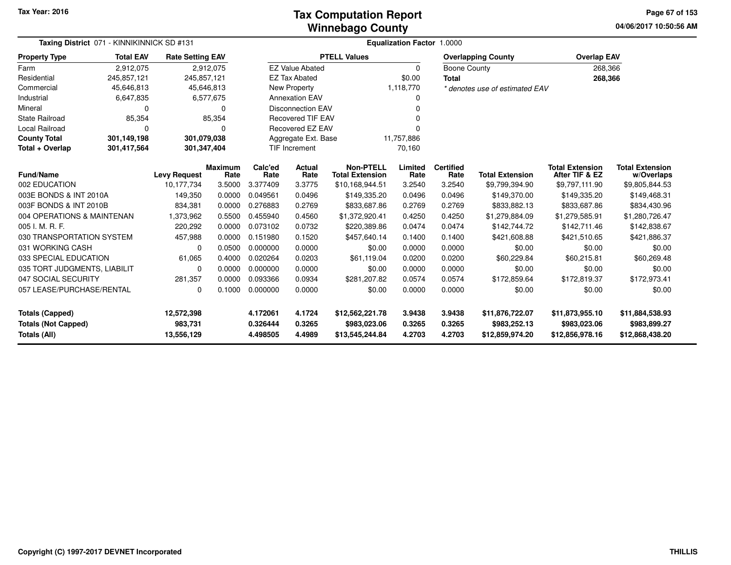### **Winnebago CountyTax Computation Report Tax**

**04/06/2017 10:50:56 AM Page 67 of 153**

| Taxing District 071 - KINNIKINNICK SD #131        |                  |                         |                        |                      | <b>Equalization Factor 1.0000</b> |                                            |                  |                          |                                 |                                          |                                      |  |  |  |
|---------------------------------------------------|------------------|-------------------------|------------------------|----------------------|-----------------------------------|--------------------------------------------|------------------|--------------------------|---------------------------------|------------------------------------------|--------------------------------------|--|--|--|
| <b>Property Type</b>                              | <b>Total EAV</b> | <b>Rate Setting EAV</b> |                        |                      |                                   | <b>PTELL Values</b>                        |                  |                          | <b>Overlapping County</b>       | <b>Overlap EAV</b>                       |                                      |  |  |  |
| Farm                                              | 2,912,075        |                         | 2,912,075              |                      | <b>EZ Value Abated</b>            |                                            | 0                | <b>Boone County</b>      |                                 | 268,366                                  |                                      |  |  |  |
| Residential                                       | 245,857,121      | 245,857,121             |                        |                      | <b>EZ Tax Abated</b>              |                                            | \$0.00           | <b>Total</b>             |                                 | 268,366                                  |                                      |  |  |  |
| Commercial                                        | 45,646,813       | 45,646,813              |                        |                      | New Property                      |                                            | 1,118,770        |                          | * denotes use of estimated EAV  |                                          |                                      |  |  |  |
| Industrial                                        | 6,647,835        |                         | 6,577,675              |                      | <b>Annexation EAV</b>             |                                            | 0                |                          |                                 |                                          |                                      |  |  |  |
| Mineral                                           | 0                |                         | $\Omega$               |                      | <b>Disconnection EAV</b>          |                                            |                  |                          |                                 |                                          |                                      |  |  |  |
| <b>State Railroad</b>                             | 85,354           |                         | 85,354                 |                      | <b>Recovered TIF EAV</b>          |                                            | U                |                          |                                 |                                          |                                      |  |  |  |
| <b>Local Railroad</b>                             | $\Omega$         |                         | $\Omega$               |                      | <b>Recovered EZ EAV</b>           |                                            |                  |                          |                                 |                                          |                                      |  |  |  |
| <b>County Total</b>                               | 301,149,198      | 301,079,038             |                        |                      | Aggregate Ext. Base               |                                            | 11,757,886       |                          |                                 |                                          |                                      |  |  |  |
| Total + Overlap                                   | 301,417,564      | 301,347,404             |                        | TIF Increment        |                                   |                                            | 70,160           |                          |                                 |                                          |                                      |  |  |  |
| <b>Fund/Name</b>                                  |                  | <b>Levy Request</b>     | <b>Maximum</b><br>Rate | Calc'ed<br>Rate      | Actual<br>Rate                    | <b>Non-PTELL</b><br><b>Total Extension</b> | Limited<br>Rate  | <b>Certified</b><br>Rate | <b>Total Extension</b>          | <b>Total Extension</b><br>After TIF & EZ | <b>Total Extension</b><br>w/Overlaps |  |  |  |
| 002 EDUCATION                                     |                  | 10,177,734              | 3.5000                 | 3.377409             | 3.3775                            | \$10,168,944.51                            | 3.2540           | 3.2540                   | \$9,799,394.90                  | \$9,797,111.90                           | \$9,805,844.53                       |  |  |  |
| 003E BONDS & INT 2010A                            |                  | 149,350                 | 0.0000                 | 0.049561             | 0.0496                            | \$149,335.20                               | 0.0496           | 0.0496                   | \$149,370.00                    | \$149,335.20                             | \$149,468.31                         |  |  |  |
| 003F BONDS & INT 2010B                            |                  | 834,381                 | 0.0000                 | 0.276883             | 0.2769                            | \$833,687.86                               | 0.2769           | 0.2769                   | \$833,882.13                    | \$833,687.86                             | \$834,430.96                         |  |  |  |
| 004 OPERATIONS & MAINTENAN                        |                  | 1,373,962               | 0.5500                 | 0.455940             | 0.4560                            | \$1,372,920.41                             | 0.4250           | 0.4250                   | \$1,279,884.09                  | \$1,279,585.91                           | \$1,280,726.47                       |  |  |  |
| 005 I. M. R. F.                                   |                  | 220,292                 | 0.0000                 | 0.073102             | 0.0732                            | \$220,389.86                               | 0.0474           | 0.0474                   | \$142,744.72                    | \$142,711.46                             | \$142,838.67                         |  |  |  |
| 030 TRANSPORTATION SYSTEM                         |                  | 457,988                 | 0.0000                 | 0.151980             | 0.1520                            | \$457,640.14                               | 0.1400           | 0.1400                   | \$421,608.88                    | \$421,510.65                             | \$421,886.37                         |  |  |  |
| 031 WORKING CASH                                  |                  | 0                       | 0.0500                 | 0.000000             | 0.0000                            | \$0.00                                     | 0.0000           | 0.0000                   | \$0.00                          | \$0.00                                   | \$0.00                               |  |  |  |
| 033 SPECIAL EDUCATION                             |                  | 61,065                  | 0.4000                 | 0.020264             | 0.0203                            | \$61,119.04                                | 0.0200           | 0.0200                   | \$60,229.84                     | \$60,215.81                              | \$60,269.48                          |  |  |  |
| 035 TORT JUDGMENTS, LIABILIT                      |                  | 0                       | 0.0000                 | 0.000000             | 0.0000                            | \$0.00                                     | 0.0000           | 0.0000                   | \$0.00                          | \$0.00                                   | \$0.00                               |  |  |  |
| 047 SOCIAL SECURITY                               |                  | 281,357                 | 0.0000                 | 0.093366             | 0.0934                            | \$281.207.82                               | 0.0574           | 0.0574                   | \$172,859.64                    | \$172,819.37                             | \$172,973.41                         |  |  |  |
| 057 LEASE/PURCHASE/RENTAL                         |                  | 0                       | 0.1000                 | 0.000000             | 0.0000                            | \$0.00                                     | 0.0000           | 0.0000                   | \$0.00                          | \$0.00                                   | \$0.00                               |  |  |  |
| <b>Totals (Capped)</b>                            |                  | 12,572,398              |                        | 4.172061             | 4.1724                            | \$12,562,221.78                            | 3.9438           | 3.9438                   | \$11,876,722.07                 | \$11,873,955.10                          | \$11,884,538.93                      |  |  |  |
| <b>Totals (Not Capped)</b><br><b>Totals (All)</b> |                  | 983,731<br>13,556,129   |                        | 0.326444<br>4.498505 | 0.3265<br>4.4989                  | \$983,023.06<br>\$13,545,244.84            | 0.3265<br>4.2703 | 0.3265<br>4.2703         | \$983,252.13<br>\$12,859,974.20 | \$983,023.06<br>\$12,856,978.16          | \$983,899.27<br>\$12,868,438.20      |  |  |  |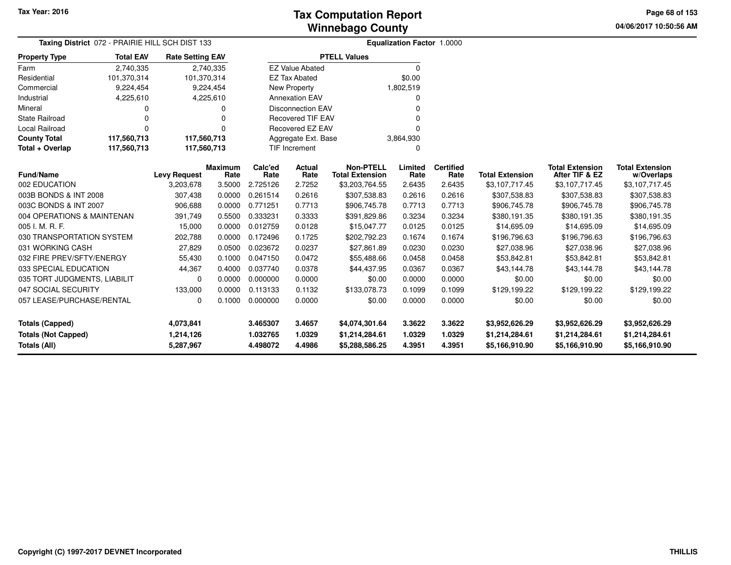**04/06/2017 10:50:56 AM Page 68 of 153**

| Taxing District 072 - PRAIRIE HILL SCH DIST 133 |                                                                        |                         |                | Equalization Factor 1.0000 |                          |                                            |                 |                          |                        |                                          |                                      |  |
|-------------------------------------------------|------------------------------------------------------------------------|-------------------------|----------------|----------------------------|--------------------------|--------------------------------------------|-----------------|--------------------------|------------------------|------------------------------------------|--------------------------------------|--|
| <b>Property Type</b>                            | <b>Total EAV</b>                                                       | <b>Rate Setting EAV</b> |                |                            |                          | <b>PTELL Values</b>                        |                 |                          |                        |                                          |                                      |  |
| Farm                                            | 2,740,335                                                              |                         | 2,740,335      |                            | <b>EZ Value Abated</b>   |                                            | $\mathbf 0$     |                          |                        |                                          |                                      |  |
| Residential                                     | 101,370,314                                                            | 101,370,314             |                |                            | <b>EZ Tax Abated</b>     |                                            | \$0.00          |                          |                        |                                          |                                      |  |
| Commercial                                      | 9,224,454                                                              |                         | 9,224,454      |                            | New Property             |                                            | 1,802,519       |                          |                        |                                          |                                      |  |
| Industrial                                      | 4,225,610                                                              |                         | 4,225,610      |                            | <b>Annexation EAV</b>    |                                            | 0               |                          |                        |                                          |                                      |  |
| Mineral                                         | 0                                                                      |                         |                |                            | <b>Disconnection EAV</b> |                                            | $\Omega$        |                          |                        |                                          |                                      |  |
| <b>State Railroad</b>                           | 0                                                                      |                         |                |                            | <b>Recovered TIF EAV</b> |                                            | $\Omega$        |                          |                        |                                          |                                      |  |
| Local Railroad                                  | $\Omega$                                                               |                         |                |                            | Recovered EZ EAV         |                                            | $\Omega$        |                          |                        |                                          |                                      |  |
| <b>County Total</b>                             | 117,560,713                                                            | 117,560,713             |                |                            | Aggregate Ext. Base      |                                            | 3,864,930       |                          |                        |                                          |                                      |  |
| Total + Overlap                                 | 117,560,713                                                            | 117,560,713             |                |                            | TIF Increment            |                                            | 0               |                          |                        |                                          |                                      |  |
|                                                 | <b>Maximum</b><br><b>Fund/Name</b><br><b>Levy Request</b><br>3,203,678 |                         |                |                            | <b>Actual</b><br>Rate    | <b>Non-PTELL</b><br><b>Total Extension</b> | Limited<br>Rate | <b>Certified</b><br>Rate | <b>Total Extension</b> | <b>Total Extension</b><br>After TIF & EZ | <b>Total Extension</b><br>w/Overlaps |  |
| 002 EDUCATION                                   |                                                                        |                         | Rate<br>3.5000 | Rate<br>2.725126           | 2.7252                   | \$3,203,764.55                             | 2.6435          | 2.6435                   | \$3,107,717.45         | \$3,107,717.45                           | \$3,107,717.45                       |  |
| 003B BONDS & INT 2008                           |                                                                        | 307,438                 | 0.0000         | 0.261514                   | 0.2616                   | \$307,538.83                               | 0.2616          | 0.2616                   | \$307,538.83           | \$307,538.83                             | \$307,538.83                         |  |
| 003C BONDS & INT 2007                           |                                                                        | 906,688                 | 0.0000         | 0.771251                   | 0.7713                   | \$906,745.78                               | 0.7713          | 0.7713                   | \$906,745.78           | \$906,745.78                             | \$906,745.78                         |  |
| 004 OPERATIONS & MAINTENAN                      |                                                                        | 391,749                 | 0.5500         | 0.333231                   | 0.3333                   | \$391,829.86                               | 0.3234          | 0.3234                   | \$380,191.35           | \$380,191.35                             | \$380,191.35                         |  |
| 005 I. M. R. F.                                 |                                                                        | 15,000                  | 0.0000         | 0.012759                   | 0.0128                   | \$15,047.77                                | 0.0125          | 0.0125                   | \$14,695.09            | \$14,695.09                              | \$14,695.09                          |  |
| 030 TRANSPORTATION SYSTEM                       |                                                                        | 202,788                 | 0.0000         | 0.172496                   | 0.1725                   | \$202,792.23                               | 0.1674          | 0.1674                   | \$196,796.63           | \$196,796.63                             | \$196,796.63                         |  |
| 031 WORKING CASH                                |                                                                        | 27,829                  | 0.0500         | 0.023672                   | 0.0237                   | \$27,861.89                                | 0.0230          | 0.0230                   | \$27,038.96            | \$27,038.96                              | \$27,038.96                          |  |
| 032 FIRE PREV/SFTY/ENERGY                       |                                                                        | 55,430                  | 0.1000         | 0.047150                   | 0.0472                   | \$55,488.66                                | 0.0458          | 0.0458                   | \$53,842.81            | \$53,842.81                              | \$53,842.81                          |  |
| 033 SPECIAL EDUCATION                           |                                                                        | 44,367                  | 0.4000         | 0.037740                   | 0.0378                   | \$44,437.95                                | 0.0367          | 0.0367                   | \$43,144.78            | \$43,144.78                              | \$43,144.78                          |  |
| 035 TORT JUDGMENTS, LIABILIT                    |                                                                        | 0                       | 0.0000         | 0.000000                   | 0.0000                   | \$0.00                                     | 0.0000          | 0.0000                   | \$0.00                 | \$0.00                                   | \$0.00                               |  |
| 047 SOCIAL SECURITY                             |                                                                        | 133,000                 | 0.0000         | 0.113133                   | 0.1132                   | \$133,078.73                               | 0.1099          | 0.1099                   | \$129,199.22           | \$129,199.22                             | \$129,199.22                         |  |
| 057 LEASE/PURCHASE/RENTAL                       |                                                                        | 0                       | 0.1000         | 0.000000                   | 0.0000                   | \$0.00                                     | 0.0000          | 0.0000                   | \$0.00                 | \$0.00                                   | \$0.00                               |  |
| <b>Totals (Capped)</b>                          |                                                                        | 4,073,841               |                | 3.465307                   | 3.4657                   | \$4,074,301.64                             | 3.3622          | 3.3622                   | \$3,952,626.29         | \$3,952,626.29                           | \$3,952,626.29                       |  |
| <b>Totals (Not Capped)</b>                      |                                                                        | 1,214,126               |                | 1.032765                   | 1.0329                   | \$1,214,284.61                             | 1.0329          | 1.0329                   | \$1,214,284.61         | \$1,214,284.61                           | \$1,214,284.61                       |  |
| Totals (All)                                    |                                                                        | 5,287,967               |                | 4.498072                   | 4.4986                   | \$5,288,586.25                             | 4.3951          | 4.3951                   | \$5,166,910.90         | \$5,166,910.90                           | \$5,166,910.90                       |  |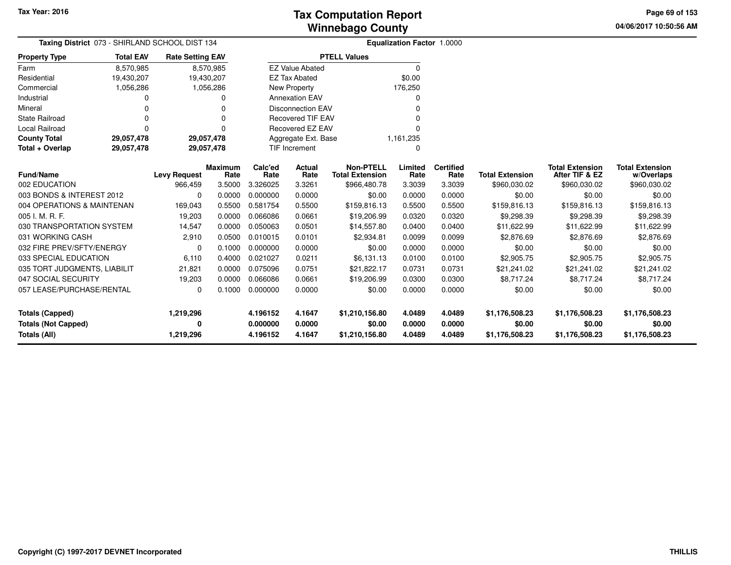**04/06/2017 10:50:56 AM Page 69 of 153**

and the

| Taxing District 073 - SHIRLAND SCHOOL DIST 134      |                                                          | Equalization Factor 1.0000 |                 |                      |                          |                                        |                 |                          |                        |                                          |                            |  |
|-----------------------------------------------------|----------------------------------------------------------|----------------------------|-----------------|----------------------|--------------------------|----------------------------------------|-----------------|--------------------------|------------------------|------------------------------------------|----------------------------|--|
| <b>Property Type</b>                                | <b>Total EAV</b>                                         | <b>Rate Setting EAV</b>    |                 |                      |                          | <b>PTELL Values</b>                    |                 |                          |                        |                                          |                            |  |
| Farm                                                | 8,570,985                                                |                            | 8,570,985       |                      | <b>EZ Value Abated</b>   |                                        | 0               |                          |                        |                                          |                            |  |
| Residential                                         | 19,430,207                                               | 19,430,207                 |                 |                      | <b>EZ Tax Abated</b>     |                                        | \$0.00          |                          |                        |                                          |                            |  |
| Commercial                                          | 1,056,286                                                |                            | 1,056,286       |                      | New Property             |                                        | 176,250         |                          |                        |                                          |                            |  |
| Industrial                                          |                                                          |                            | 0               |                      | <b>Annexation EAV</b>    |                                        | 0               |                          |                        |                                          |                            |  |
| Mineral                                             |                                                          |                            | $\Omega$        |                      | <b>Disconnection EAV</b> |                                        | $\Omega$        |                          |                        |                                          |                            |  |
| <b>State Railroad</b>                               |                                                          |                            | $\Omega$        |                      | <b>Recovered TIF EAV</b> |                                        | 0               |                          |                        |                                          |                            |  |
| Local Railroad                                      |                                                          |                            | $\Omega$        |                      | Recovered EZ EAV         |                                        | $\Omega$        |                          |                        |                                          |                            |  |
| <b>County Total</b>                                 | 29,057,478                                               | 29,057,478                 |                 |                      | Aggregate Ext. Base      |                                        | 1,161,235       |                          |                        |                                          |                            |  |
| Total + Overlap                                     | 29,057,478                                               | 29,057,478                 |                 | <b>TIF Increment</b> |                          |                                        | $\mathbf 0$     |                          |                        |                                          |                            |  |
|                                                     | <b>Fund/Name</b><br><b>Levy Request</b><br>002 EDUCATION |                            | Maximum<br>Rate | Calc'ed<br>Rate      | <b>Actual</b><br>Rate    | <b>Non-PTELL</b>                       | Limited<br>Rate | <b>Certified</b><br>Rate | <b>Total Extension</b> | <b>Total Extension</b><br>After TIF & EZ | <b>Total Extension</b>     |  |
|                                                     |                                                          | 966,459                    | 3.5000          | 3.326025             | 3.3261                   | <b>Total Extension</b><br>\$966,480.78 | 3.3039          | 3.3039                   | \$960,030.02           | \$960,030.02                             | w/Overlaps<br>\$960,030.02 |  |
| 003 BONDS & INTEREST 2012                           |                                                          | 0                          | 0.0000          | 0.000000             | 0.0000                   | \$0.00                                 | 0.0000          | 0.0000                   | \$0.00                 | \$0.00                                   | \$0.00                     |  |
| 004 OPERATIONS & MAINTENAN                          |                                                          | 169,043                    | 0.5500          | 0.581754             | 0.5500                   | \$159,816.13                           | 0.5500          | 0.5500                   | \$159,816.13           | \$159,816.13                             | \$159,816.13               |  |
| 005 I. M. R. F.                                     |                                                          | 19,203                     | 0.0000          | 0.066086             | 0.0661                   | \$19,206.99                            | 0.0320          | 0.0320                   | \$9,298.39             | \$9,298.39                               | \$9,298.39                 |  |
| 030 TRANSPORTATION SYSTEM                           |                                                          | 14,547                     | 0.0000          | 0.050063             | 0.0501                   | \$14,557.80                            | 0.0400          | 0.0400                   | \$11,622.99            | \$11,622.99                              | \$11,622.99                |  |
| 031 WORKING CASH                                    |                                                          | 2,910                      | 0.0500          | 0.010015             | 0.0101                   | \$2,934.81                             | 0.0099          | 0.0099                   | \$2,876.69             | \$2,876.69                               | \$2,876.69                 |  |
| 032 FIRE PREV/SFTY/ENERGY                           |                                                          |                            | 0.1000          | 0.000000             | 0.0000                   | \$0.00                                 | 0.0000          | 0.0000                   | \$0.00                 | \$0.00                                   | \$0.00                     |  |
| 033 SPECIAL EDUCATION                               |                                                          | 0                          | 0.4000          | 0.021027             | 0.0211                   |                                        | 0.0100          | 0.0100                   |                        |                                          |                            |  |
|                                                     |                                                          | 6,110                      | 0.0000          | 0.075096             | 0.0751                   | \$6,131.13                             | 0.0731          | 0.0731                   | \$2,905.75             | \$2,905.75                               | \$2,905.75                 |  |
| 035 TORT JUDGMENTS, LIABILIT<br>047 SOCIAL SECURITY |                                                          | 21,821                     | 0.0000          | 0.066086             | 0.0661                   | \$21,822.17                            |                 | 0.0300                   | \$21,241.02            | \$21,241.02<br>\$8,717.24                | \$21,241.02<br>\$8,717.24  |  |
|                                                     |                                                          | 19,203                     |                 |                      |                          | \$19,206.99                            | 0.0300          |                          | \$8,717.24             |                                          |                            |  |
| 057 LEASE/PURCHASE/RENTAL                           |                                                          | 0                          | 0.1000          | 0.000000             | 0.0000                   | \$0.00                                 | 0.0000          | 0.0000                   | \$0.00                 | \$0.00                                   | \$0.00                     |  |
| <b>Totals (Capped)</b>                              |                                                          | 1,219,296                  |                 | 4.196152             | 4.1647                   | \$1,210,156.80                         | 4.0489          | 4.0489                   | \$1,176,508.23         | \$1,176,508.23                           | \$1,176,508.23             |  |
| <b>Totals (Not Capped)</b>                          |                                                          | 0                          |                 | 0.000000             | 0.0000                   | \$0.00                                 | 0.0000          | 0.0000                   | \$0.00                 | \$0.00                                   | \$0.00                     |  |
| <b>Totals (All)</b>                                 |                                                          | 1,219,296                  |                 | 4.196152             | 4.1647                   | \$1,210,156.80                         | 4.0489          | 4.0489                   | \$1,176,508.23         | \$1,176,508.23                           | \$1,176,508.23             |  |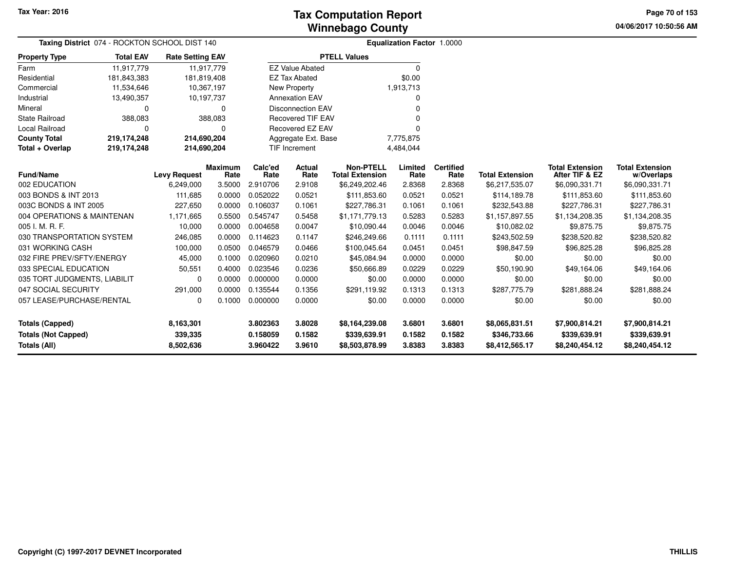**04/06/2017 10:50:56 AM Page 70 of 153**

| Taxing District 074 - ROCKTON SCHOOL DIST 140 |                     |                         |                        | <b>Equalization Factor 1.0000</b> |                          |                                            |                 |                          |                        |                                          |                                      |  |  |
|-----------------------------------------------|---------------------|-------------------------|------------------------|-----------------------------------|--------------------------|--------------------------------------------|-----------------|--------------------------|------------------------|------------------------------------------|--------------------------------------|--|--|
| <b>Property Type</b>                          | <b>Total EAV</b>    | <b>Rate Setting EAV</b> |                        |                                   |                          | <b>PTELL Values</b>                        |                 |                          |                        |                                          |                                      |  |  |
| Farm                                          | 11.917.779          | 11,917,779              |                        |                                   | <b>EZ Value Abated</b>   |                                            | $\mathbf 0$     |                          |                        |                                          |                                      |  |  |
| Residential                                   | 181,843,383         | 181,819,408             |                        |                                   | <b>EZ Tax Abated</b>     |                                            | \$0.00          |                          |                        |                                          |                                      |  |  |
| Commercial                                    | 11,534,646          | 10,367,197              |                        |                                   | <b>New Property</b>      |                                            | 1,913,713       |                          |                        |                                          |                                      |  |  |
| Industrial                                    | 13,490,357          | 10,197,737              |                        |                                   | <b>Annexation EAV</b>    |                                            | $\Omega$        |                          |                        |                                          |                                      |  |  |
| Mineral                                       | 0                   |                         | 0                      |                                   | <b>Disconnection EAV</b> |                                            | $\Omega$        |                          |                        |                                          |                                      |  |  |
| State Railroad                                | 388,083             |                         | 388,083                |                                   | <b>Recovered TIF EAV</b> |                                            |                 |                          |                        |                                          |                                      |  |  |
| Local Railroad                                | $\Omega$            |                         | n                      |                                   | <b>Recovered EZ EAV</b>  |                                            | O               |                          |                        |                                          |                                      |  |  |
| <b>County Total</b>                           | 219,174,248         | 214,690,204             |                        |                                   | Aggregate Ext. Base      |                                            | 7,775,875       |                          |                        |                                          |                                      |  |  |
| Total + Overlap                               | 219,174,248         | 214,690,204             |                        |                                   | TIF Increment            |                                            | 4,484,044       |                          |                        |                                          |                                      |  |  |
| <b>Fund/Name</b>                              | <b>Levy Request</b> |                         | <b>Maximum</b><br>Rate | Calc'ed<br>Rate                   | Actual<br>Rate           | <b>Non-PTELL</b><br><b>Total Extension</b> | Limited<br>Rate | <b>Certified</b><br>Rate | <b>Total Extension</b> | <b>Total Extension</b><br>After TIF & EZ | <b>Total Extension</b><br>w/Overlaps |  |  |
| 002 EDUCATION                                 |                     | 6,249,000               | 3.5000                 | 2.910706                          | 2.9108                   | \$6,249,202.46                             | 2.8368          | 2.8368                   | \$6,217,535.07         | \$6,090,331.71                           | \$6,090,331.71                       |  |  |
| 003 BONDS & INT 2013                          |                     | 111,685                 | 0.0000                 | 0.052022                          | 0.0521                   | \$111,853.60                               | 0.0521          | 0.0521                   | \$114,189.78           | \$111,853.60                             | \$111,853.60                         |  |  |
| 003C BONDS & INT 2005                         |                     | 227,650                 | 0.0000                 | 0.106037                          | 0.1061                   | \$227,786.31                               | 0.1061          | 0.1061                   | \$232,543.88           | \$227,786.31                             | \$227,786.31                         |  |  |
| 004 OPERATIONS & MAINTENAN                    |                     | 1,171,665               | 0.5500                 | 0.545747                          | 0.5458                   | \$1,171,779.13                             | 0.5283          | 0.5283                   | \$1,157,897.55         | \$1,134,208.35                           | \$1,134,208.35                       |  |  |
| 005 I. M. R. F.                               |                     | 10,000                  | 0.0000                 | 0.004658                          | 0.0047                   | \$10,090.44                                | 0.0046          | 0.0046                   | \$10,082.02            | \$9,875.75                               | \$9,875.75                           |  |  |
| 030 TRANSPORTATION SYSTEM                     |                     | 246,085                 | 0.0000                 | 0.114623                          | 0.1147                   | \$246,249.66                               | 0.1111          | 0.1111                   | \$243,502.59           | \$238,520.82                             | \$238,520.82                         |  |  |
| 031 WORKING CASH                              |                     | 100,000                 | 0.0500                 | 0.046579                          | 0.0466                   | \$100,045.64                               | 0.0451          | 0.0451                   | \$98,847.59            | \$96,825.28                              | \$96,825.28                          |  |  |
| 032 FIRE PREV/SFTY/ENERGY                     |                     | 45,000                  | 0.1000                 | 0.020960                          | 0.0210                   | \$45,084.94                                | 0.0000          | 0.0000                   | \$0.00                 | \$0.00                                   | \$0.00                               |  |  |
| 033 SPECIAL EDUCATION                         |                     | 50,551                  | 0.4000                 | 0.023546                          | 0.0236                   | \$50,666.89                                | 0.0229          | 0.0229                   | \$50,190.90            | \$49,164.06                              | \$49,164.06                          |  |  |
| 035 TORT JUDGMENTS, LIABILIT                  |                     | 0                       | 0.0000                 | 0.000000                          | 0.0000                   | \$0.00                                     | 0.0000          | 0.0000                   | \$0.00                 | \$0.00                                   | \$0.00                               |  |  |
| 047 SOCIAL SECURITY                           |                     | 291,000                 | 0.0000                 | 0.135544                          | 0.1356                   | \$291,119.92                               | 0.1313          | 0.1313                   | \$287,775.79           | \$281,888.24                             | \$281,888.24                         |  |  |
| 057 LEASE/PURCHASE/RENTAL                     |                     | 0                       | 0.1000                 | 0.000000                          | 0.0000                   | \$0.00                                     | 0.0000          | 0.0000                   | \$0.00                 | \$0.00                                   | \$0.00                               |  |  |
| <b>Totals (Capped)</b>                        |                     | 8,163,301               |                        | 3.802363                          | 3.8028                   | \$8,164,239.08                             | 3.6801          | 3.6801                   | \$8,065,831.51         | \$7,900,814.21                           | \$7,900,814.21                       |  |  |
| <b>Totals (Not Capped)</b>                    |                     | 339,335                 |                        | 0.158059                          | 0.1582                   | \$339,639.91                               | 0.1582          | 0.1582                   | \$346,733.66           | \$339,639.91                             | \$339,639.91                         |  |  |
| Totals (All)                                  |                     | 8,502,636               |                        | 3.960422                          | 3.9610                   | \$8,503,878.99                             | 3.8383          | 3.8383                   | \$8,412,565.17         | \$8,240,454.12                           | \$8,240,454.12                       |  |  |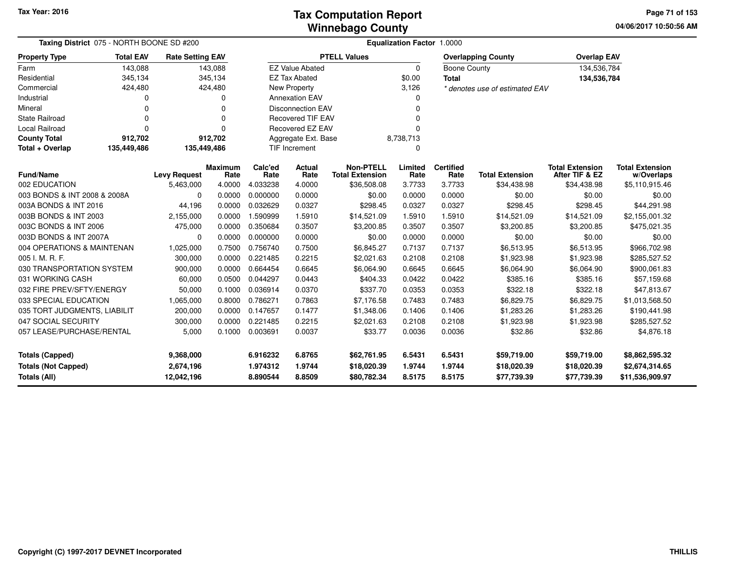**04/06/2017 10:50:56 AMPage 71 of 153**

|                                                                             | Taxing District 075 - NORTH BOONE SD #200 |                                      |                 |                                  | Equalization Factor 1.0000 |                                            |                            |                            |                                           |                                           |                                                     |  |  |
|-----------------------------------------------------------------------------|-------------------------------------------|--------------------------------------|-----------------|----------------------------------|----------------------------|--------------------------------------------|----------------------------|----------------------------|-------------------------------------------|-------------------------------------------|-----------------------------------------------------|--|--|
| <b>Property Type</b>                                                        | <b>Total EAV</b>                          | <b>Rate Setting EAV</b>              |                 |                                  |                            | <b>PTELL Values</b>                        |                            |                            | <b>Overlapping County</b>                 | <b>Overlap EAV</b>                        |                                                     |  |  |
| Farm                                                                        | 143,088                                   |                                      | 143,088         |                                  | <b>EZ Value Abated</b>     |                                            | $\Omega$                   | Boone County               |                                           | 134,536,784                               |                                                     |  |  |
| Residential                                                                 | 345,134                                   |                                      | 345,134         |                                  | <b>EZ Tax Abated</b>       |                                            | \$0.00                     | <b>Total</b>               |                                           | 134,536,784                               |                                                     |  |  |
| Commercial                                                                  | 424,480                                   |                                      | 424,480         |                                  | New Property               |                                            | 3,126                      |                            | * denotes use of estimated EAV            |                                           |                                                     |  |  |
| Industrial                                                                  | $\Omega$                                  |                                      | $\Omega$        |                                  | <b>Annexation EAV</b>      |                                            | 0                          |                            |                                           |                                           |                                                     |  |  |
| Mineral                                                                     | $\Omega$                                  |                                      | $\Omega$        |                                  | <b>Disconnection EAV</b>   |                                            | 0                          |                            |                                           |                                           |                                                     |  |  |
| <b>State Railroad</b>                                                       | n                                         |                                      | 0               |                                  | <b>Recovered TIF EAV</b>   |                                            | O                          |                            |                                           |                                           |                                                     |  |  |
| <b>Local Railroad</b>                                                       | n                                         |                                      | 0               |                                  | <b>Recovered EZ EAV</b>    |                                            | $\Omega$                   |                            |                                           |                                           |                                                     |  |  |
| <b>County Total</b>                                                         | 912,702                                   |                                      | 912,702         |                                  | Aggregate Ext. Base        |                                            | 8,738,713                  |                            |                                           |                                           |                                                     |  |  |
| Total + Overlap                                                             | 135,449,486                               | 135,449,486                          |                 |                                  | <b>TIF Increment</b><br>0  |                                            |                            |                            |                                           |                                           |                                                     |  |  |
| <b>Fund/Name</b>                                                            |                                           | <b>Levy Request</b>                  | Maximum<br>Rate | Calc'ed<br>Rate                  | Actual<br>Rate             | <b>Non-PTELL</b><br><b>Total Extension</b> | Limited<br>Rate            | <b>Certified</b><br>Rate   | <b>Total Extension</b>                    | <b>Total Extension</b><br>After TIF & EZ  | <b>Total Extension</b><br>w/Overlaps                |  |  |
| 002 EDUCATION                                                               |                                           | 5,463,000                            | 4.0000          | 4.033238                         | 4.0000                     | \$36,508.08                                | 3.7733                     | 3.7733                     | \$34,438.98                               | \$34,438.98                               | \$5,110,915.46                                      |  |  |
| 003 BONDS & INT 2008 & 2008A                                                |                                           | $\Omega$                             | 0.0000          | 0.000000                         | 0.0000                     | \$0.00                                     | 0.0000                     | 0.0000                     | \$0.00                                    | \$0.00                                    | \$0.00                                              |  |  |
| 003A BONDS & INT 2016                                                       |                                           | 44,196                               | 0.0000          | 0.032629                         | 0.0327                     | \$298.45                                   | 0.0327                     | 0.0327                     | \$298.45                                  | \$298.45                                  | \$44,291.98                                         |  |  |
| 003B BONDS & INT 2003                                                       |                                           | 2,155,000                            | 0.0000          | 1.590999                         | 1.5910                     | \$14,521.09                                | 1.5910                     | 1.5910                     | \$14,521.09                               | \$14,521.09                               | \$2,155,001.32                                      |  |  |
| 003C BONDS & INT 2006                                                       |                                           | 475,000                              | 0.0000          | 0.350684                         | 0.3507                     | \$3,200.85                                 | 0.3507                     | 0.3507                     | \$3,200.85                                | \$3,200.85                                | \$475,021.35                                        |  |  |
| 003D BONDS & INT 2007A                                                      |                                           | $\mathbf 0$                          | 0.0000          | 0.000000                         | 0.0000                     | \$0.00                                     | 0.0000                     | 0.0000                     | \$0.00                                    | \$0.00                                    | \$0.00                                              |  |  |
| 004 OPERATIONS & MAINTENAN                                                  |                                           | 1,025,000                            | 0.7500          | 0.756740                         | 0.7500                     | \$6,845.27                                 | 0.7137                     | 0.7137                     | \$6,513.95                                | \$6,513.95                                | \$966,702.98                                        |  |  |
| 005 I. M. R. F.                                                             |                                           | 300,000                              | 0.0000          | 0.221485                         | 0.2215                     | \$2,021.63                                 | 0.2108                     | 0.2108                     | \$1,923.98                                | \$1,923.98                                | \$285,527.52                                        |  |  |
| 030 TRANSPORTATION SYSTEM                                                   |                                           | 900,000                              | 0.0000          | 0.664454                         | 0.6645                     | \$6,064.90                                 | 0.6645                     | 0.6645                     | \$6,064.90                                | \$6,064.90                                | \$900,061.83                                        |  |  |
| 031 WORKING CASH                                                            |                                           | 60,000                               | 0.0500          | 0.044297                         | 0.0443                     | \$404.33                                   | 0.0422                     | 0.0422                     | \$385.16                                  | \$385.16                                  | \$57,159.68                                         |  |  |
| 032 FIRE PREV/SFTY/ENERGY                                                   |                                           | 50,000                               | 0.1000          | 0.036914                         | 0.0370                     | \$337.70                                   | 0.0353                     | 0.0353                     | \$322.18                                  | \$322.18                                  | \$47,813.67                                         |  |  |
| 033 SPECIAL EDUCATION                                                       |                                           | 1,065,000                            | 0.8000          | 0.786271                         | 0.7863                     | \$7,176.58                                 | 0.7483                     | 0.7483                     | \$6,829.75                                | \$6,829.75                                | \$1,013,568.50                                      |  |  |
| 035 TORT JUDGMENTS, LIABILIT                                                |                                           | 200,000                              | 0.0000          | 0.147657                         | 0.1477                     | \$1,348.06                                 | 0.1406                     | 0.1406                     | \$1,283.26                                | \$1,283.26                                | \$190,441.98                                        |  |  |
| 047 SOCIAL SECURITY                                                         |                                           | 300,000                              | 0.0000          | 0.221485                         | 0.2215                     | \$2,021.63                                 | 0.2108                     | 0.2108                     | \$1,923.98                                | \$1,923.98                                | \$285,527.52                                        |  |  |
| 057 LEASE/PURCHASE/RENTAL                                                   |                                           | 5,000                                | 0.1000          | 0.003691                         | 0.0037                     | \$33.77                                    | 0.0036                     | 0.0036                     | \$32.86                                   | \$32.86                                   | \$4,876.18                                          |  |  |
| <b>Totals (Capped)</b><br><b>Totals (Not Capped)</b><br><b>Totals (All)</b> |                                           | 9,368,000<br>2,674,196<br>12,042,196 |                 | 6.916232<br>1.974312<br>8.890544 | 6.8765<br>1.9744<br>8.8509 | \$62,761.95<br>\$18,020.39<br>\$80,782.34  | 6.5431<br>1.9744<br>8.5175 | 6.5431<br>1.9744<br>8.5175 | \$59,719.00<br>\$18,020.39<br>\$77,739.39 | \$59,719.00<br>\$18,020.39<br>\$77,739.39 | \$8,862,595.32<br>\$2,674,314.65<br>\$11,536,909.97 |  |  |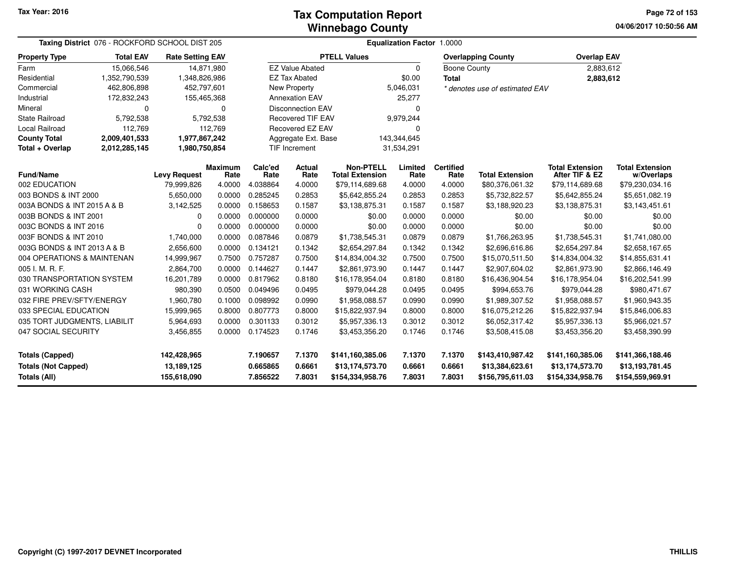**04/06/2017 10:50:56 AM Page 72 of 153**

| Taxing District 076 - ROCKFORD SCHOOL DIST 205 |                  |                         |                        | <b>Equalization Factor 1.0000</b> |                          |                                            |                 |                          |                                |                                          |                                      |  |  |  |
|------------------------------------------------|------------------|-------------------------|------------------------|-----------------------------------|--------------------------|--------------------------------------------|-----------------|--------------------------|--------------------------------|------------------------------------------|--------------------------------------|--|--|--|
| <b>Property Type</b>                           | <b>Total EAV</b> | <b>Rate Setting EAV</b> |                        |                                   |                          | <b>PTELL Values</b>                        |                 |                          | <b>Overlapping County</b>      | <b>Overlap EAV</b>                       |                                      |  |  |  |
| Farm                                           | 15,066,546       | 14,871,980              |                        |                                   | <b>EZ Value Abated</b>   |                                            | 0               | Boone County             |                                | 2,883,612                                |                                      |  |  |  |
| Residential                                    | 1,352,790,539    | 1,348,826,986           |                        |                                   | <b>EZ Tax Abated</b>     |                                            | \$0.00          | <b>Total</b>             |                                | 2,883,612                                |                                      |  |  |  |
| Commercial                                     | 462,806,898      | 452,797,601             |                        |                                   | <b>New Property</b>      |                                            | 5,046,031       |                          | * denotes use of estimated EAV |                                          |                                      |  |  |  |
| Industrial                                     | 172,832,243      | 155,465,368             |                        |                                   | <b>Annexation EAV</b>    |                                            | 25,277          |                          |                                |                                          |                                      |  |  |  |
| Mineral                                        | 0                |                         | 0                      |                                   | <b>Disconnection EAV</b> |                                            | 0               |                          |                                |                                          |                                      |  |  |  |
| <b>State Railroad</b>                          | 5,792,538        |                         | 5,792,538              |                                   | <b>Recovered TIF EAV</b> |                                            | 9,979,244       |                          |                                |                                          |                                      |  |  |  |
| Local Railroad                                 | 112,769          |                         | 112,769                |                                   | Recovered EZ EAV         |                                            | 0               |                          |                                |                                          |                                      |  |  |  |
| <b>County Total</b>                            | 2,009,401,533    | 1,977,867,242           |                        |                                   | Aggregate Ext. Base      |                                            | 143,344,645     |                          |                                |                                          |                                      |  |  |  |
| Total + Overlap                                | 2,012,285,145    | 1,980,750,854           |                        |                                   | <b>TIF Increment</b>     |                                            | 31,534,291      |                          |                                |                                          |                                      |  |  |  |
| <b>Fund/Name</b>                               |                  | <b>Levy Request</b>     | <b>Maximum</b><br>Rate | Calc'ed<br>Rate                   | <b>Actual</b><br>Rate    | <b>Non-PTELL</b><br><b>Total Extension</b> | Limited<br>Rate | <b>Certified</b><br>Rate | <b>Total Extension</b>         | <b>Total Extension</b><br>After TIF & EZ | <b>Total Extension</b><br>w/Overlaps |  |  |  |
| 002 EDUCATION                                  |                  | 79,999,826              | 4.0000                 | 4.038864                          | 4.0000                   | \$79,114,689.68                            | 4.0000          | 4.0000                   | \$80,376,061.32                | \$79,114,689.68                          | \$79,230,034.16                      |  |  |  |
| 003 BONDS & INT 2000                           |                  | 5,650,000               | 0.0000                 | 0.285245                          | 0.2853                   | \$5,642,855.24                             | 0.2853          | 0.2853                   | \$5,732,822.57                 | \$5,642,855.24                           | \$5,651,082.19                       |  |  |  |
| 003A BONDS & INT 2015 A & B                    |                  | 3,142,525               | 0.0000                 | 0.158653                          | 0.1587                   | \$3,138,875.31                             | 0.1587          | 0.1587                   | \$3,188,920.23                 | \$3,138,875.31                           | \$3,143,451.61                       |  |  |  |
| 003B BONDS & INT 2001                          |                  | 0                       | 0.0000                 | 0.000000                          | 0.0000                   | \$0.00                                     | 0.0000          | 0.0000                   | \$0.00                         | \$0.00                                   | \$0.00                               |  |  |  |
| 003C BONDS & INT 2016                          |                  | $\mathbf 0$             | 0.0000                 | 0.000000                          | 0.0000                   | \$0.00                                     | 0.0000          | 0.0000                   | \$0.00                         | \$0.00                                   | \$0.00                               |  |  |  |
| 003F BONDS & INT 2010                          |                  | 1,740,000               | 0.0000                 | 0.087846                          | 0.0879                   | \$1,738,545.31                             | 0.0879          | 0.0879                   | \$1,766,263.95                 | \$1,738,545.31                           | \$1,741,080.00                       |  |  |  |
| 003G BONDS & INT 2013 A & B                    |                  | 2,656,600               | 0.0000                 | 0.134121                          | 0.1342                   | \$2,654,297.84                             | 0.1342          | 0.1342                   | \$2,696,616.86                 | \$2,654,297.84                           | \$2,658,167.65                       |  |  |  |
| 004 OPERATIONS & MAINTENAN                     |                  | 14,999,967              | 0.7500                 | 0.757287                          | 0.7500                   | \$14,834,004.32                            | 0.7500          | 0.7500                   | \$15,070,511.50                | \$14,834,004.32                          | \$14,855,631.41                      |  |  |  |
| 005 I. M. R. F.                                |                  | 2,864,700               | 0.0000                 | 0.144627                          | 0.1447                   | \$2,861,973.90                             | 0.1447          | 0.1447                   | \$2,907,604.02                 | \$2,861,973.90                           | \$2,866,146.49                       |  |  |  |
| 030 TRANSPORTATION SYSTEM                      |                  | 16,201,789              | 0.0000                 | 0.817962                          | 0.8180                   | \$16,178,954.04                            | 0.8180          | 0.8180                   | \$16,436,904.54                | \$16,178,954.04                          | \$16,202,541.99                      |  |  |  |
| 031 WORKING CASH                               |                  | 980,390                 | 0.0500                 | 0.049496                          | 0.0495                   | \$979,044.28                               | 0.0495          | 0.0495                   | \$994,653.76                   | \$979,044.28                             | \$980,471.67                         |  |  |  |
| 032 FIRE PREV/SFTY/ENERGY                      |                  | 1,960,780               | 0.1000                 | 0.098992                          | 0.0990                   | \$1,958,088.57                             | 0.0990          | 0.0990                   | \$1,989,307.52                 | \$1,958,088.57                           | \$1,960,943.35                       |  |  |  |
| 033 SPECIAL EDUCATION                          |                  | 15,999,965              | 0.8000                 | 0.807773                          | 0.8000                   | \$15,822,937.94                            | 0.8000          | 0.8000                   | \$16,075,212.26                | \$15,822,937.94                          | \$15,846,006.83                      |  |  |  |
| 035 TORT JUDGMENTS, LIABILIT                   |                  | 5,964,693               | 0.0000                 | 0.301133                          | 0.3012                   | \$5,957,336.13                             | 0.3012          | 0.3012                   | \$6,052,317.42                 | \$5,957,336.13                           | \$5,966,021.57                       |  |  |  |
| 047 SOCIAL SECURITY                            |                  | 3,456,855               | 0.0000                 | 0.174523                          | 0.1746                   | \$3,453,356.20                             | 0.1746          | 0.1746                   | \$3,508,415.08                 | \$3,453,356.20                           | \$3,458,390.99                       |  |  |  |
| <b>Totals (Capped)</b>                         |                  | 142,428,965             |                        | 7.190657                          | 7.1370                   | \$141,160,385.06                           | 7.1370          | 7.1370                   | \$143,410,987.42               | \$141,160,385.06                         | \$141,366,188.46                     |  |  |  |
| <b>Totals (Not Capped)</b>                     |                  | 13,189,125              |                        | 0.665865                          | 0.6661                   | \$13,174,573.70                            | 0.6661          | 0.6661                   | \$13,384,623.61                | \$13,174,573.70                          | \$13,193,781.45                      |  |  |  |
| <b>Totals (All)</b>                            |                  | 155,618,090             |                        | 7.856522                          | 7.8031                   | \$154,334,958.76                           | 7.8031          | 7.8031                   | \$156,795,611.03               | \$154,334,958.76                         | \$154,559,969.91                     |  |  |  |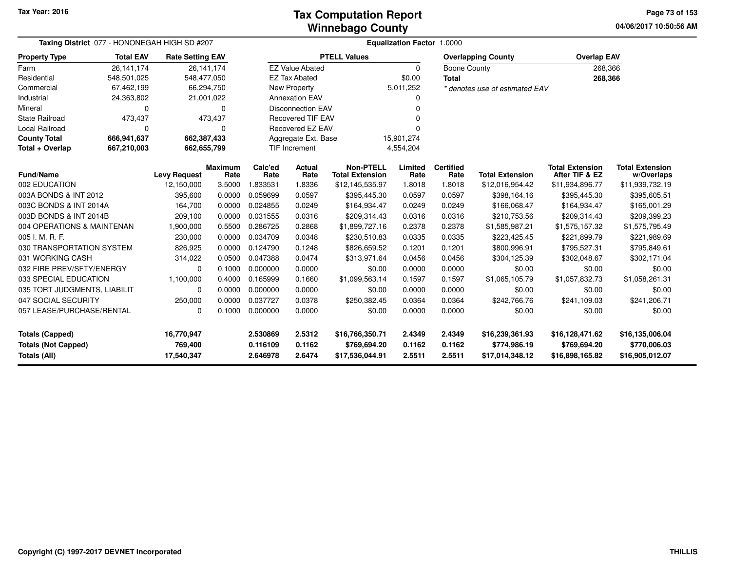#### **Winnebago CountyTax Computation Report Tax**

**04/06/2017 10:50:56 AM Page 73 of 153**

| Taxing District 077 - HONONEGAH HIGH SD #207 |                  |                         |                        | Equalization Factor 1.0000 |                          |                                            |                  |                          |                                 |                                          |                                      |  |  |
|----------------------------------------------|------------------|-------------------------|------------------------|----------------------------|--------------------------|--------------------------------------------|------------------|--------------------------|---------------------------------|------------------------------------------|--------------------------------------|--|--|
| <b>Property Type</b>                         | <b>Total EAV</b> | <b>Rate Setting EAV</b> |                        |                            |                          | <b>PTELL Values</b>                        |                  |                          | <b>Overlapping County</b>       | <b>Overlap EAV</b>                       |                                      |  |  |
| Farm                                         | 26,141,174       |                         | 26,141,174             |                            | <b>EZ Value Abated</b>   |                                            | $\mathbf 0$      | <b>Boone County</b>      |                                 | 268,366                                  |                                      |  |  |
| Residential                                  | 548,501,025      |                         | 548,477,050            |                            | <b>EZ Tax Abated</b>     |                                            | \$0.00           | <b>Total</b>             |                                 | 268,366                                  |                                      |  |  |
| Commercial                                   | 67,462,199       |                         | 66,294,750             |                            | <b>New Property</b>      |                                            | 5,011,252        |                          | * denotes use of estimated EAV  |                                          |                                      |  |  |
| Industrial                                   | 24,363,802       |                         | 21,001,022             |                            | <b>Annexation EAV</b>    |                                            | 0                |                          |                                 |                                          |                                      |  |  |
| Mineral                                      | 0                |                         | 0                      |                            | <b>Disconnection EAV</b> |                                            | O                |                          |                                 |                                          |                                      |  |  |
| <b>State Railroad</b>                        | 473,437          |                         | 473,437                |                            | <b>Recovered TIF EAV</b> |                                            |                  |                          |                                 |                                          |                                      |  |  |
| Local Railroad                               | 0                |                         | 0                      |                            | Recovered EZ EAV         |                                            | $\Omega$         |                          |                                 |                                          |                                      |  |  |
| <b>County Total</b>                          | 666,941,637      |                         | 662,387,433            |                            | Aggregate Ext. Base      |                                            | 15,901,274       |                          |                                 |                                          |                                      |  |  |
| Total + Overlap                              | 667,210,003      |                         | 662,655,799            |                            | TIF Increment            |                                            | 4,554,204        |                          |                                 |                                          |                                      |  |  |
| Fund/Name                                    |                  | <b>Levy Request</b>     | <b>Maximum</b><br>Rate | Calc'ed<br>Rate            | Actual<br>Rate           | <b>Non-PTELL</b><br><b>Total Extension</b> | Limited<br>Rate  | <b>Certified</b><br>Rate | <b>Total Extension</b>          | <b>Total Extension</b><br>After TIF & EZ | <b>Total Extension</b><br>w/Overlaps |  |  |
| 002 EDUCATION                                |                  | 12,150,000              | 3.5000                 | 1.833531                   | 1.8336                   | \$12,145,535.97                            | 1.8018           | 1.8018                   | \$12,016,954.42                 | \$11,934,896.77                          | \$11,939,732.19                      |  |  |
| 003A BONDS & INT 2012                        |                  | 395,600                 | 0.0000                 | 0.059699                   | 0.0597                   | \$395,445.30                               | 0.0597           | 0.0597                   | \$398,164.16                    | \$395,445.30                             | \$395,605.51                         |  |  |
| 003C BONDS & INT 2014A                       |                  | 164,700                 | 0.0000                 | 0.024855                   | 0.0249                   | \$164,934.47                               | 0.0249           | 0.0249                   | \$166,068.47                    | \$164,934.47                             | \$165,001.29                         |  |  |
| 003D BONDS & INT 2014B                       |                  | 209,100                 | 0.0000                 | 0.031555                   | 0.0316                   | \$209,314.43                               | 0.0316           | 0.0316                   | \$210,753.56                    | \$209,314.43                             | \$209,399.23                         |  |  |
| 004 OPERATIONS & MAINTENAN                   |                  | 1,900,000               | 0.5500                 | 0.286725                   | 0.2868                   | \$1,899,727.16                             | 0.2378           | 0.2378                   | \$1,585,987.21                  | \$1,575,157.32                           | \$1,575,795.49                       |  |  |
| 005 I. M. R. F.                              |                  | 230,000                 | 0.0000                 | 0.034709                   | 0.0348                   | \$230,510.83                               | 0.0335           | 0.0335                   | \$223,425.45                    | \$221,899.79                             | \$221,989.69                         |  |  |
| 030 TRANSPORTATION SYSTEM                    |                  | 826,925                 | 0.0000                 | 0.124790                   | 0.1248                   | \$826,659.52                               | 0.1201           | 0.1201                   | \$800,996.91                    | \$795,527.31                             | \$795,849.61                         |  |  |
| 031 WORKING CASH                             |                  | 314,022                 | 0.0500                 | 0.047388                   | 0.0474                   | \$313,971.64                               | 0.0456           | 0.0456                   | \$304,125.39                    | \$302,048.67                             | \$302,171.04                         |  |  |
| 032 FIRE PREV/SFTY/ENERGY                    |                  | 0                       | 0.1000                 | 0.000000                   | 0.0000                   | \$0.00                                     | 0.0000           | 0.0000                   | \$0.00                          | \$0.00                                   | \$0.00                               |  |  |
| 033 SPECIAL EDUCATION                        |                  | 1,100,000               | 0.4000                 | 0.165999                   | 0.1660                   | \$1,099,563.14                             | 0.1597           | 0.1597                   | \$1,065,105.79                  | \$1,057,832.73                           | \$1,058,261.31                       |  |  |
| 035 TORT JUDGMENTS, LIABILIT                 |                  | 0                       | 0.0000                 | 0.000000                   | 0.0000                   | \$0.00                                     | 0.0000           | 0.0000                   | \$0.00                          | \$0.00                                   | \$0.00                               |  |  |
| 047 SOCIAL SECURITY                          |                  | 250,000                 | 0.0000                 | 0.037727                   | 0.0378                   | \$250,382.45                               | 0.0364           | 0.0364                   | \$242,766.76                    | \$241,109.03                             | \$241,206.71                         |  |  |
| 057 LEASE/PURCHASE/RENTAL<br>0               |                  |                         | 0.1000                 | 0.000000                   | 0.0000                   | \$0.00                                     | 0.0000           | 0.0000                   | \$0.00                          | \$0.00                                   | \$0.00                               |  |  |
| 16,770,947<br><b>Totals (Capped)</b>         |                  |                         |                        | 2.530869                   | 2.5312                   | \$16,766,350.71                            | 2.4349           | 2.4349                   | \$16,239,361.93                 | \$16,128,471.62                          | \$16,135,006.04                      |  |  |
| <b>Totals (Not Capped)</b><br>Totals (All)   |                  | 769,400<br>17,540,347   |                        | 0.116109<br>2.646978       | 0.1162<br>2.6474         | \$769,694.20<br>\$17,536,044.91            | 0.1162<br>2.5511 | 0.1162<br>2.5511         | \$774,986.19<br>\$17,014,348.12 | \$769,694.20<br>\$16,898,165.82          | \$770,006.03<br>\$16,905,012.07      |  |  |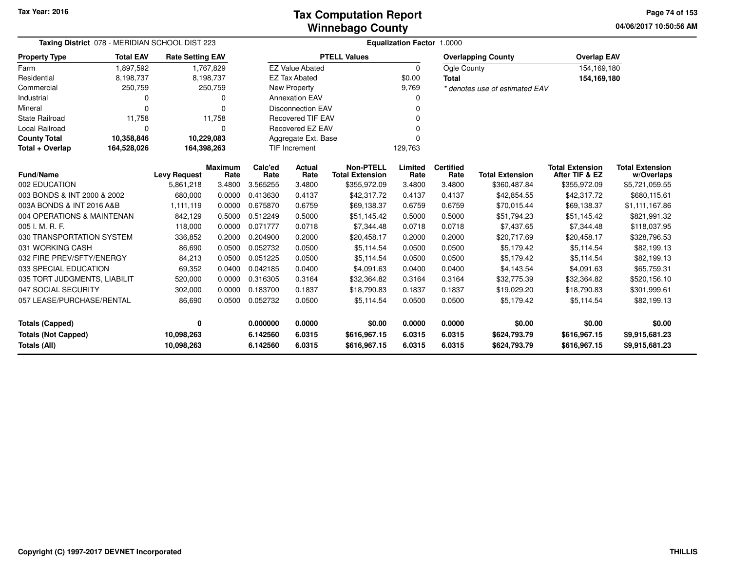**04/06/2017 10:50:56 AM Page 74 of 153**

| Taxing District 078 - MERIDIAN SCHOOL DIST 223 |                  |                         |                        | <b>Equalization Factor 1.0000</b> |                          |                                            |                 |                          |                                |                                          |                                      |  |  |  |
|------------------------------------------------|------------------|-------------------------|------------------------|-----------------------------------|--------------------------|--------------------------------------------|-----------------|--------------------------|--------------------------------|------------------------------------------|--------------------------------------|--|--|--|
| <b>Property Type</b>                           | <b>Total EAV</b> | <b>Rate Setting EAV</b> |                        |                                   |                          | <b>PTELL Values</b>                        |                 |                          | <b>Overlapping County</b>      | <b>Overlap EAV</b>                       |                                      |  |  |  |
| Farm                                           | 1,897,592        |                         | 1,767,829              |                                   | <b>EZ Value Abated</b>   |                                            | $\mathbf 0$     | Ogle County              |                                | 154,169,180                              |                                      |  |  |  |
| Residential                                    | 8,198,737        |                         | 8,198,737              |                                   | <b>EZ Tax Abated</b>     |                                            | \$0.00          | <b>Total</b>             |                                | 154,169,180                              |                                      |  |  |  |
| Commercial                                     | 250,759          |                         | 250,759                |                                   | New Property             |                                            | 9,769           |                          | * denotes use of estimated EAV |                                          |                                      |  |  |  |
| Industrial                                     |                  |                         | 0                      |                                   | <b>Annexation EAV</b>    |                                            | 0               |                          |                                |                                          |                                      |  |  |  |
| Mineral                                        | O                |                         | O                      |                                   | <b>Disconnection EAV</b> |                                            | $\Omega$        |                          |                                |                                          |                                      |  |  |  |
| <b>State Railroad</b>                          | 11,758           |                         | 11,758                 |                                   | <b>Recovered TIF EAV</b> |                                            | $\Omega$        |                          |                                |                                          |                                      |  |  |  |
| Local Railroad                                 | n                |                         | O                      |                                   | Recovered EZ EAV         |                                            | $\Omega$        |                          |                                |                                          |                                      |  |  |  |
| <b>County Total</b>                            | 10,358,846       | 10,229,083              |                        |                                   | Aggregate Ext. Base      |                                            | $\Omega$        |                          |                                |                                          |                                      |  |  |  |
| Total + Overlap                                | 164,528,026      | 164,398,263             |                        |                                   | TIF Increment            |                                            | 129,763         |                          |                                |                                          |                                      |  |  |  |
| <b>Fund/Name</b>                               |                  | <b>Levy Request</b>     | <b>Maximum</b><br>Rate | Calc'ed<br>Rate                   | Actual<br>Rate           | <b>Non-PTELL</b><br><b>Total Extension</b> | Limited<br>Rate | <b>Certified</b><br>Rate | <b>Total Extension</b>         | <b>Total Extension</b><br>After TIF & EZ | <b>Total Extension</b><br>w/Overlaps |  |  |  |
| 002 EDUCATION                                  |                  | 5,861,218               | 3.4800                 | 3.565255                          | 3.4800                   | \$355,972.09                               | 3.4800          | 3.4800                   | \$360,487.84                   | \$355,972.09                             | \$5,721,059.55                       |  |  |  |
| 003 BONDS & INT 2000 & 2002                    |                  | 680,000                 | 0.0000                 | 0.413630                          | 0.4137                   | \$42,317.72                                | 0.4137          | 0.4137                   | \$42,854.55                    | \$42,317.72                              | \$680,115.61                         |  |  |  |
| 003A BONDS & INT 2016 A&B                      |                  | 1,111,119               | 0.0000                 | 0.675870                          | 0.6759                   | \$69,138.37                                | 0.6759          | 0.6759                   | \$70,015.44                    | \$69,138.37                              | \$1,111,167.86                       |  |  |  |
| 004 OPERATIONS & MAINTENAN                     |                  | 842,129                 | 0.5000                 | 0.512249                          | 0.5000                   | \$51,145.42                                | 0.5000          | 0.5000                   | \$51,794.23                    | \$51,145.42                              | \$821,991.32                         |  |  |  |
| 005 I. M. R. F.                                |                  | 118,000                 | 0.0000                 | 0.071777                          | 0.0718                   | \$7,344.48                                 | 0.0718          | 0.0718                   | \$7,437.65                     | \$7,344.48                               | \$118,037.95                         |  |  |  |
| 030 TRANSPORTATION SYSTEM                      |                  | 336,852                 | 0.2000                 | 0.204900                          | 0.2000                   | \$20,458.17                                | 0.2000          | 0.2000                   | \$20,717.69                    | \$20,458.17                              | \$328,796.53                         |  |  |  |
| 031 WORKING CASH                               |                  | 86,690                  | 0.0500                 | 0.052732                          | 0.0500                   | \$5,114.54                                 | 0.0500          | 0.0500                   | \$5,179.42                     | \$5,114.54                               | \$82,199.13                          |  |  |  |
| 032 FIRE PREV/SFTY/ENERGY                      |                  | 84,213                  | 0.0500                 | 0.051225                          | 0.0500                   | \$5,114.54                                 | 0.0500          | 0.0500                   | \$5,179.42                     | \$5,114.54                               | \$82,199.13                          |  |  |  |
| 033 SPECIAL EDUCATION                          |                  | 69,352                  | 0.0400                 | 0.042185                          | 0.0400                   | \$4,091.63                                 | 0.0400          | 0.0400                   | \$4,143.54                     | \$4,091.63                               | \$65,759.31                          |  |  |  |
| 035 TORT JUDGMENTS, LIABILIT                   |                  | 520,000                 | 0.0000                 | 0.316305                          | 0.3164                   | \$32,364.82                                | 0.3164          | 0.3164                   | \$32,775.39                    | \$32,364.82                              | \$520,156.10                         |  |  |  |
| 047 SOCIAL SECURITY                            |                  | 302,000                 | 0.0000                 | 0.183700                          | 0.1837                   | \$18,790.83                                | 0.1837          | 0.1837                   | \$19,029.20                    | \$18,790.83                              | \$301,999.61                         |  |  |  |
| 057 LEASE/PURCHASE/RENTAL                      |                  | 86,690                  | 0.0500                 | 0.052732                          | 0.0500                   | \$5,114.54                                 | 0.0500          | 0.0500                   | \$5,179.42                     | \$5,114.54                               | \$82,199.13                          |  |  |  |
| <b>Totals (Capped)</b>                         |                  | 0                       |                        | 0.000000                          | 0.0000                   | \$0.00                                     | 0.0000          | 0.0000                   | \$0.00                         | \$0.00                                   | \$0.00                               |  |  |  |
| <b>Totals (Not Capped)</b>                     |                  | 10,098,263              |                        | 6.142560                          | 6.0315                   | \$616,967.15                               | 6.0315          | 6.0315                   | \$624,793.79                   | \$616,967.15                             | \$9,915,681.23                       |  |  |  |
| Totals (All)                                   |                  | 10,098,263              |                        | 6.142560                          | 6.0315                   | \$616,967.15                               | 6.0315          | 6.0315                   | \$624,793.79                   | \$616,967.15                             | \$9,915,681.23                       |  |  |  |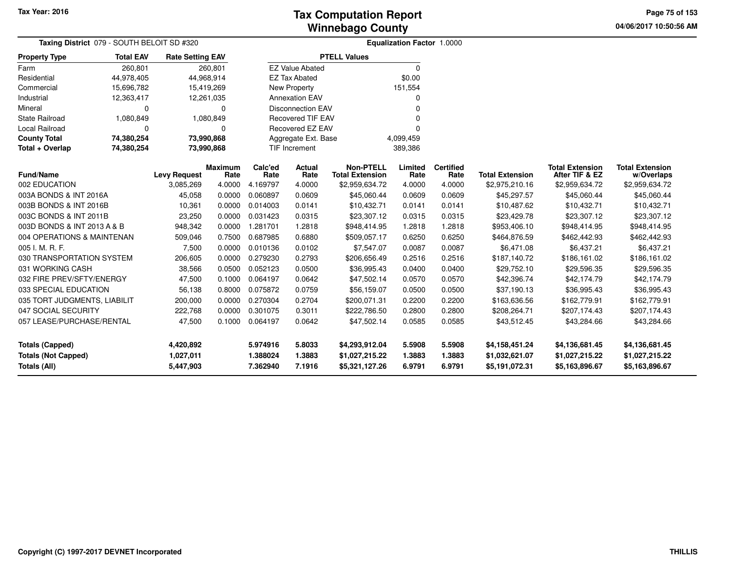**04/06/2017 10:50:56 AM Page 75 of 153**

| <b>Taxing District</b> 079 - SOUTH BELOIT SD #320 |                          |                         |                        |                 |                          |                                            | <b>Equalization Factor 1.0000</b> |                          |                        |                                          |                                      |  |
|---------------------------------------------------|--------------------------|-------------------------|------------------------|-----------------|--------------------------|--------------------------------------------|-----------------------------------|--------------------------|------------------------|------------------------------------------|--------------------------------------|--|
| <b>Property Type</b>                              | <b>Total EAV</b>         | <b>Rate Setting EAV</b> |                        |                 |                          | <b>PTELL Values</b>                        |                                   |                          |                        |                                          |                                      |  |
| Farm                                              | 260,801                  |                         | 260,801                |                 | <b>EZ Value Abated</b>   |                                            | $\Omega$                          |                          |                        |                                          |                                      |  |
| Residential                                       | 44,978,405               |                         | 44,968,914             |                 | <b>EZ Tax Abated</b>     |                                            | \$0.00                            |                          |                        |                                          |                                      |  |
| Commercial                                        | 15,696,782               |                         | 15,419,269             |                 | <b>New Property</b>      |                                            | 151,554                           |                          |                        |                                          |                                      |  |
| Industrial                                        | 12,363,417               |                         | 12,261,035             |                 | <b>Annexation EAV</b>    |                                            | 0                                 |                          |                        |                                          |                                      |  |
| Mineral                                           | n                        |                         | $\Omega$               |                 | <b>Disconnection EAV</b> |                                            | O                                 |                          |                        |                                          |                                      |  |
| <b>State Railroad</b>                             | 1,080,849                |                         | 1,080,849              |                 | <b>Recovered TIF EAV</b> |                                            |                                   |                          |                        |                                          |                                      |  |
| Local Railroad                                    | 0<br>$\Omega$            |                         |                        |                 | Recovered EZ EAV         |                                            | O                                 |                          |                        |                                          |                                      |  |
| <b>County Total</b>                               | 73,990,868<br>74,380,254 |                         |                        |                 | Aggregate Ext. Base      |                                            | 4,099,459                         |                          |                        |                                          |                                      |  |
| Total + Overlap                                   | 74,380,254               |                         | 73,990,868             |                 | TIF Increment            |                                            | 389,386                           |                          |                        |                                          |                                      |  |
| <b>Fund/Name</b>                                  |                          | <b>Levy Request</b>     | <b>Maximum</b><br>Rate | Calc'ed<br>Rate | Actual<br>Rate           | <b>Non-PTELL</b><br><b>Total Extension</b> | Limited<br>Rate                   | <b>Certified</b><br>Rate | <b>Total Extension</b> | <b>Total Extension</b><br>After TIF & EZ | <b>Total Extension</b><br>w/Overlaps |  |
| 002 EDUCATION                                     |                          | 3,085,269               | 4.0000                 | 4.169797        | 4.0000                   | \$2,959,634.72                             | 4.0000                            | 4.0000                   | \$2,975,210.16         | \$2,959,634.72                           | \$2,959,634.72                       |  |
| 003A BONDS & INT 2016A                            |                          | 45,058                  | 0.0000                 | 0.060897        | 0.0609                   | \$45,060.44                                | 0.0609                            | 0.0609                   | \$45,297.57            | \$45,060.44                              | \$45,060.44                          |  |
| 003B BONDS & INT 2016B                            |                          | 10,361                  | 0.0000                 | 0.014003        | 0.0141                   | \$10,432.71                                | 0.0141                            | 0.0141                   | \$10,487.62            | \$10,432.71                              | \$10,432.71                          |  |
| 003C BONDS & INT 2011B                            |                          | 23,250                  | 0.0000                 | 0.031423        | 0.0315                   | \$23,307.12                                | 0.0315                            | 0.0315                   | \$23,429.78            | \$23,307.12                              | \$23,307.12                          |  |
| 003D BONDS & INT 2013 A & B                       |                          | 948,342                 | 0.0000                 | 1.281701        | 1.2818                   | \$948,414.95                               | 1.2818                            | 1.2818                   | \$953,406.10           | \$948,414.95                             | \$948,414.95                         |  |
| 004 OPERATIONS & MAINTENAN                        |                          | 509,046                 | 0.7500                 | 0.687985        | 0.6880                   | \$509,057.17                               | 0.6250                            | 0.6250                   | \$464,876.59           | \$462,442.93                             | \$462,442.93                         |  |
| 005 I. M. R. F.                                   |                          | 7,500                   | 0.0000                 | 0.010136        | 0.0102                   | \$7,547.07                                 | 0.0087                            | 0.0087                   | \$6,471.08             | \$6,437.21                               | \$6,437.21                           |  |
| 030 TRANSPORTATION SYSTEM                         |                          | 206,605                 | 0.0000                 | 0.279230        | 0.2793                   | \$206,656.49                               | 0.2516                            | 0.2516                   | \$187,140.72           | \$186,161.02                             | \$186,161.02                         |  |
| 031 WORKING CASH                                  |                          | 38,566                  | 0.0500                 | 0.052123        | 0.0500                   | \$36,995.43                                | 0.0400                            | 0.0400                   | \$29,752.10            | \$29,596.35                              | \$29,596.35                          |  |
| 032 FIRE PREV/SFTY/ENERGY                         |                          | 47,500                  | 0.1000                 | 0.064197        | 0.0642                   | \$47,502.14                                | 0.0570                            | 0.0570                   | \$42,396.74            | \$42,174.79                              | \$42,174.79                          |  |
| 033 SPECIAL EDUCATION                             |                          | 56,138                  | 0.8000                 | 0.075872        | 0.0759                   | \$56,159.07                                | 0.0500                            | 0.0500                   | \$37,190.13            | \$36,995.43                              | \$36,995.43                          |  |
| 035 TORT JUDGMENTS, LIABILIT                      |                          | 200,000                 | 0.0000                 | 0.270304        | 0.2704                   | \$200,071.31                               | 0.2200                            | 0.2200                   | \$163,636.56           | \$162,779.91                             | \$162,779.91                         |  |
| 047 SOCIAL SECURITY                               |                          | 222,768                 | 0.0000                 | 0.301075        | 0.3011                   | \$222,786.50                               | 0.2800                            | 0.2800                   | \$208,264.71           | \$207,174.43                             | \$207,174.43                         |  |
| 057 LEASE/PURCHASE/RENTAL                         |                          | 47,500                  | 0.1000                 | 0.064197        | 0.0642                   | \$47,502.14                                | 0.0585                            | 0.0585                   | \$43,512.45            | \$43,284.66                              | \$43,284.66                          |  |
| <b>Totals (Capped)</b>                            |                          | 4,420,892               |                        | 5.974916        | 5.8033                   | \$4,293,912.04                             | 5.5908                            | 5.5908                   | \$4,158,451.24         | \$4,136,681.45                           | \$4,136,681.45                       |  |
| <b>Totals (Not Capped)</b>                        |                          | 1,027,011               |                        | 1.388024        | 1.3883                   | \$1,027,215.22                             | 1.3883                            | 1.3883                   | \$1,032,621.07         | \$1,027,215.22                           | \$1,027,215.22                       |  |
| Totals (All)                                      |                          | 5,447,903               |                        | 7.362940        | 7.1916                   | \$5,321,127.26                             | 6.9791                            | 6.9791                   | \$5,191,072.31         | \$5,163,896.67                           | \$5,163,896.67                       |  |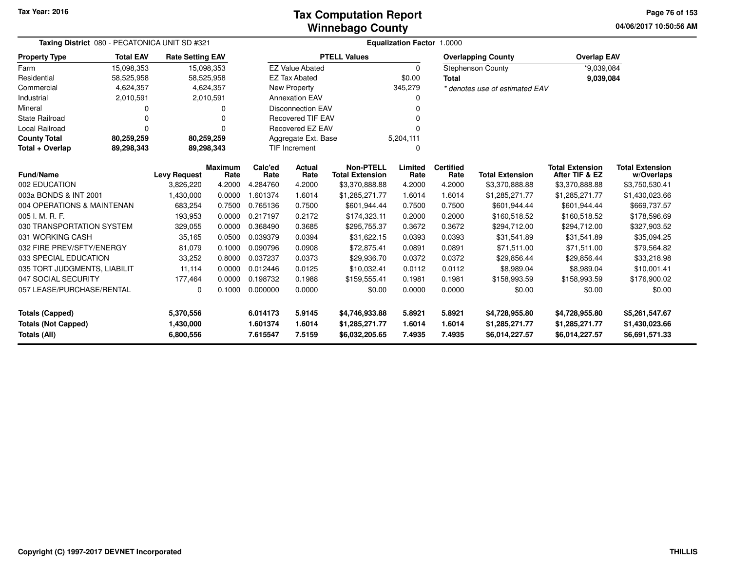#### **Winnebago CountyTax Computation Report**

**04/06/2017 10:50:56 AM Page 76 of 153**

| Taxing District 080 - PECATONICA UNIT SD #321 |                  |                         |                        |                 |                          |                                            | Equalization Factor 1.0000 |                          |                                |                                          |                                      |
|-----------------------------------------------|------------------|-------------------------|------------------------|-----------------|--------------------------|--------------------------------------------|----------------------------|--------------------------|--------------------------------|------------------------------------------|--------------------------------------|
| <b>Property Type</b>                          | <b>Total EAV</b> | <b>Rate Setting EAV</b> |                        |                 |                          | <b>PTELL Values</b>                        |                            |                          | <b>Overlapping County</b>      | <b>Overlap EAV</b>                       |                                      |
| Farm                                          | 15,098,353       |                         | 15,098,353             |                 | <b>EZ Value Abated</b>   |                                            | $\Omega$                   |                          | <b>Stephenson County</b>       | *9,039,084                               |                                      |
| Residential                                   | 58,525,958       |                         | 58,525,958             |                 | <b>EZ Tax Abated</b>     |                                            | \$0.00<br><b>Total</b>     |                          |                                | 9,039,084                                |                                      |
| Commercial                                    | 4,624,357        |                         | 4,624,357              |                 | New Property             |                                            | 345,279                    |                          | * denotes use of estimated EAV |                                          |                                      |
| Industrial                                    | 2,010,591        |                         | 2,010,591              |                 | <b>Annexation EAV</b>    |                                            | 0                          |                          |                                |                                          |                                      |
| Mineral                                       | 0                |                         | 0                      |                 | <b>Disconnection EAV</b> |                                            | 0                          |                          |                                |                                          |                                      |
| <b>State Railroad</b>                         | 0                |                         | $\Omega$               |                 | <b>Recovered TIF EAV</b> |                                            | ŋ                          |                          |                                |                                          |                                      |
| <b>Local Railroad</b>                         | 0                |                         | $\Omega$               |                 | Recovered EZ EAV         |                                            | ŋ                          |                          |                                |                                          |                                      |
| <b>County Total</b>                           | 80,259,259       |                         | 80,259,259             |                 | Aggregate Ext. Base      |                                            | 5,204,111                  |                          |                                |                                          |                                      |
| Total + Overlap                               | 89,298,343       |                         | 89,298,343             |                 | TIF Increment            |                                            | 0                          |                          |                                |                                          |                                      |
| <b>Fund/Name</b>                              |                  | <b>Levy Request</b>     | <b>Maximum</b><br>Rate | Calc'ed<br>Rate | <b>Actual</b><br>Rate    | <b>Non-PTELL</b><br><b>Total Extension</b> | Limited<br>Rate            | <b>Certified</b><br>Rate | <b>Total Extension</b>         | <b>Total Extension</b><br>After TIF & EZ | <b>Total Extension</b><br>w/Overlaps |
| 002 EDUCATION                                 |                  | 3,826,220               | 4.2000                 | 4.284760        | 4.2000                   | \$3,370,888.88                             | 4.2000                     | 4.2000                   | \$3,370,888.88                 | \$3,370,888.88                           | \$3,750,530.41                       |
| 003a BONDS & INT 2001                         |                  | 1,430,000               | 0.0000                 | 1.601374        | 1.6014                   | \$1,285,271.77                             | 1.6014                     | 1.6014                   | \$1,285,271.77                 | \$1,285,271.77                           | \$1,430,023.66                       |
| 004 OPERATIONS & MAINTENAN                    |                  | 683,254                 | 0.7500                 | 0.765136        | 0.7500                   | \$601,944.44                               | 0.7500                     | 0.7500                   | \$601,944.44                   | \$601,944.44                             | \$669,737.57                         |
| 005 I. M. R. F.                               |                  | 193,953                 | 0.0000                 | 0.217197        | 0.2172                   | \$174,323.11                               | 0.2000                     | 0.2000                   | \$160,518.52                   | \$160,518.52                             | \$178,596.69                         |
| 030 TRANSPORTATION SYSTEM                     |                  | 329,055                 | 0.0000                 | 0.368490        | 0.3685                   | \$295,755.37                               | 0.3672                     | 0.3672                   | \$294,712.00                   | \$294,712.00                             | \$327,903.52                         |
| 031 WORKING CASH                              |                  | 35,165                  | 0.0500                 | 0.039379        | 0.0394                   | \$31,622.15                                | 0.0393                     | 0.0393                   | \$31,541.89                    | \$31,541.89                              | \$35,094.25                          |
| 032 FIRE PREV/SFTY/ENERGY                     |                  | 81,079                  | 0.1000                 | 0.090796        | 0.0908                   | \$72,875.41                                | 0.0891                     | 0.0891                   | \$71,511.00                    | \$71,511.00                              | \$79,564.82                          |
| 033 SPECIAL EDUCATION                         |                  | 33,252                  | 0.8000                 | 0.037237        | 0.0373                   | \$29,936.70                                | 0.0372                     | 0.0372                   | \$29,856.44                    | \$29,856.44                              | \$33,218.98                          |
| 035 TORT JUDGMENTS, LIABILIT                  |                  | 11,114                  | 0.0000                 | 0.012446        | 0.0125                   | \$10,032.41                                | 0.0112                     | 0.0112                   | \$8,989.04                     | \$8,989.04                               | \$10,001.41                          |
| 047 SOCIAL SECURITY                           |                  | 177,464                 | 0.0000                 | 0.198732        | 0.1988                   | \$159,555.41                               | 0.1981                     | 0.1981                   | \$158,993.59                   | \$158,993.59                             | \$176,900.02                         |
| 057 LEASE/PURCHASE/RENTAL                     |                  | 0                       | 0.1000                 | 0.000000        | 0.0000                   | \$0.00                                     | 0.0000                     | 0.0000                   | \$0.00                         | \$0.00                                   | \$0.00                               |
| <b>Totals (Capped)</b>                        |                  | 5,370,556               |                        | 6.014173        | 5.9145                   | \$4,746,933.88                             | 5.8921                     | 5.8921                   | \$4,728,955.80                 | \$4,728,955.80                           | \$5,261,547.67                       |
| <b>Totals (Not Capped)</b>                    |                  | 1,430,000               |                        | 1.601374        | 1.6014                   | \$1,285,271.77                             | 1.6014                     | 1.6014                   | \$1,285,271.77                 | \$1,285,271.77                           | \$1,430,023.66                       |
| Totals (All)                                  |                  | 6,800,556               |                        | 7.615547        | 7.5159                   | \$6,032,205.65                             | 7.4935                     | 7.4935                   | \$6,014,227.57                 | \$6,014,227.57                           | \$6,691,571.33                       |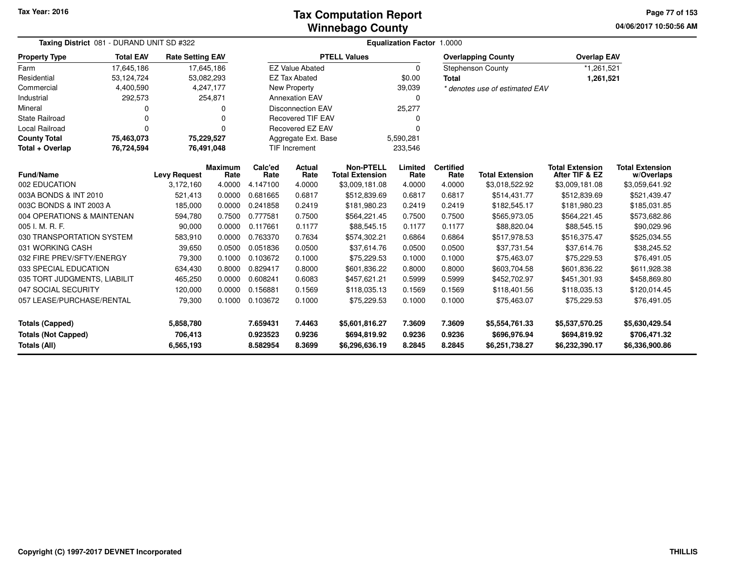#### **Winnebago CountyTax Computation Report**

**04/06/2017 10:50:56 AM Page 77 of 153**

| Taxing District 081 - DURAND UNIT SD #322  |                  |                         |                        | <b>Equalization Factor 1.0000</b> |                          |                                            |                 |                          |                                |                                          |                                      |
|--------------------------------------------|------------------|-------------------------|------------------------|-----------------------------------|--------------------------|--------------------------------------------|-----------------|--------------------------|--------------------------------|------------------------------------------|--------------------------------------|
| <b>Property Type</b>                       | <b>Total EAV</b> | <b>Rate Setting EAV</b> |                        |                                   |                          | <b>PTELL Values</b>                        |                 |                          | <b>Overlapping County</b>      | <b>Overlap EAV</b>                       |                                      |
| Farm                                       | 17,645,186       | 17,645,186              |                        |                                   | <b>EZ Value Abated</b>   |                                            | $\Omega$        |                          | <b>Stephenson County</b>       | *1,261,521                               |                                      |
| Residential                                | 53,124,724       | 53,082,293              |                        |                                   | <b>EZ Tax Abated</b>     |                                            | \$0.00          | <b>Total</b>             |                                | 1,261,521                                |                                      |
| Commercial                                 | 4,400,590        |                         | 4,247,177              |                                   | <b>New Property</b>      |                                            | 39,039          |                          | * denotes use of estimated EAV |                                          |                                      |
| Industrial                                 | 292,573          |                         | 254,871                |                                   | <b>Annexation EAV</b>    |                                            | $\Omega$        |                          |                                |                                          |                                      |
| Mineral                                    | ი                |                         | 0                      |                                   | <b>Disconnection EAV</b> |                                            | 25,277          |                          |                                |                                          |                                      |
| <b>State Railroad</b>                      | 0                |                         | 0                      |                                   | <b>Recovered TIF EAV</b> |                                            |                 |                          |                                |                                          |                                      |
| <b>Local Railroad</b>                      | $\Omega$         |                         | $\Omega$               |                                   | Recovered EZ EAV         |                                            |                 |                          |                                |                                          |                                      |
| <b>County Total</b>                        | 75,463,073       | 75,229,527              |                        |                                   | Aggregate Ext. Base      |                                            | 5,590,281       |                          |                                |                                          |                                      |
| Total + Overlap                            | 76,724,594       | 76,491,048              |                        |                                   | TIF Increment            |                                            | 233,546         |                          |                                |                                          |                                      |
| <b>Fund/Name</b>                           |                  | <b>Levy Request</b>     | <b>Maximum</b><br>Rate | Calc'ed<br>Rate                   | Actual<br>Rate           | <b>Non-PTELL</b><br><b>Total Extension</b> | Limited<br>Rate | <b>Certified</b><br>Rate | <b>Total Extension</b>         | <b>Total Extension</b><br>After TIF & EZ | <b>Total Extension</b><br>w/Overlaps |
| 002 EDUCATION                              |                  | 3,172,160               | 4.0000                 | 4.147100                          | 4.0000                   | \$3,009,181.08                             | 4.0000          | 4.0000                   | \$3,018,522.92                 | \$3,009,181.08                           | \$3,059,641.92                       |
| 003A BONDS & INT 2010<br>521,413<br>0.0000 |                  | 0.681665                | 0.6817                 | \$512,839.69                      | 0.6817                   | 0.6817                                     | \$514,431.77    | \$512,839.69             | \$521,439.47                   |                                          |                                      |
| 003C BONDS & INT 2003 A                    |                  | 185,000                 | 0.0000                 | 0.241858                          | 0.2419                   | \$181,980.23                               | 0.2419          | 0.2419                   | \$182,545.17                   | \$181,980.23                             | \$185,031.85                         |
| 004 OPERATIONS & MAINTENAN                 |                  | 594,780                 | 0.7500                 | 0.777581                          | 0.7500                   | \$564,221.45                               | 0.7500          | 0.7500                   | \$565,973.05                   | \$564,221.45                             | \$573,682.86                         |
| 005 I. M. R. F.                            |                  | 90,000                  | 0.0000                 | 0.117661                          | 0.1177                   | \$88,545.15                                | 0.1177          | 0.1177                   | \$88,820.04                    | \$88,545.15                              | \$90,029.96                          |
| 030 TRANSPORTATION SYSTEM                  |                  | 583,910                 | 0.0000                 | 0.763370                          | 0.7634                   | \$574,302.21                               | 0.6864          | 0.6864                   | \$517,978.53                   | \$516,375.47                             | \$525,034.55                         |
| 031 WORKING CASH                           |                  | 39,650                  | 0.0500                 | 0.051836                          | 0.0500                   | \$37,614.76                                | 0.0500          | 0.0500                   | \$37,731.54                    | \$37,614.76                              | \$38,245.52                          |
| 032 FIRE PREV/SFTY/ENERGY                  |                  | 79,300                  | 0.1000                 | 0.103672                          | 0.1000                   | \$75,229.53                                | 0.1000          | 0.1000                   | \$75,463.07                    | \$75,229.53                              | \$76,491.05                          |
| 033 SPECIAL EDUCATION                      |                  | 634,430                 | 0.8000                 | 0.829417                          | 0.8000                   | \$601,836.22                               | 0.8000          | 0.8000                   | \$603,704.58                   | \$601,836.22                             | \$611,928.38                         |
| 035 TORT JUDGMENTS, LIABILIT               |                  | 465,250                 | 0.0000                 | 0.608241                          | 0.6083                   | \$457,621.21                               | 0.5999          | 0.5999                   | \$452,702.97                   | \$451,301.93                             | \$458,869.80                         |
| 047 SOCIAL SECURITY                        |                  | 120,000                 | 0.0000                 | 0.156881                          | 0.1569                   | \$118,035.13                               | 0.1569          | 0.1569                   | \$118,401.56                   | \$118,035.13                             | \$120,014.45                         |
| 057 LEASE/PURCHASE/RENTAL                  |                  | 79,300                  | 0.1000                 | 0.103672                          | 0.1000                   | \$75,229.53                                | 0.1000          | 0.1000                   | \$75,463.07                    | \$75,229.53                              | \$76,491.05                          |
| <b>Totals (Capped)</b><br>5,858,780        |                  |                         | 7.659431               | 7.4463                            | \$5,601,816.27           | 7.3609                                     | 7.3609          | \$5,554,761.33           | \$5,537,570.25                 | \$5,630,429.54                           |                                      |
| <b>Totals (Not Capped)</b>                 |                  | 706,413                 |                        | 0.923523                          | 0.9236                   | \$694,819.92                               | 0.9236          | 0.9236                   | \$696,976.94                   | \$694,819.92                             | \$706,471.32                         |
| Totals (All)                               |                  | 6,565,193               |                        | 8.582954                          | 8.3699                   | \$6,296,636.19                             | 8.2845          | 8.2845                   | \$6,251,738.27                 | \$6,232,390.17                           | \$6,336,900.86                       |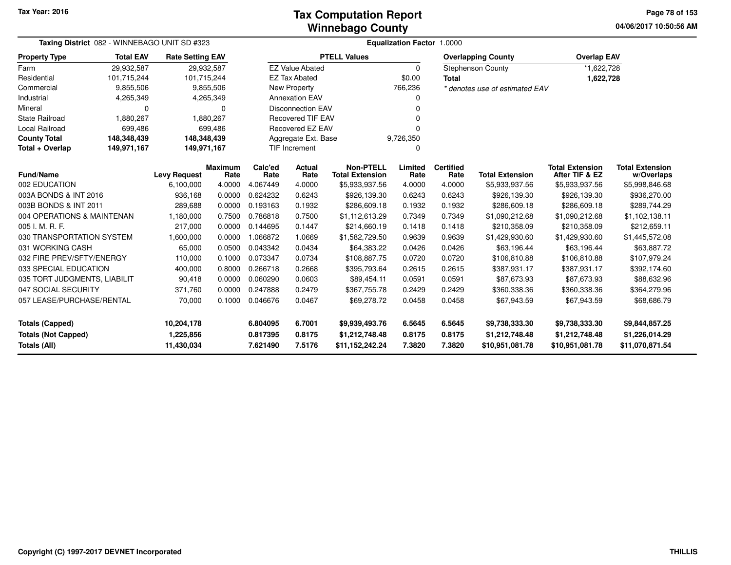#### **Winnebago CountyTax Computation Report**

**04/06/2017 10:50:56 AM Page 78 of 153**

| Taxing District 082 - WINNEBAGO UNIT SD #323 | <b>Equalization Factor 1.0000</b> |                         |                        |                 |                          |                                            |                 |                          |                                |                                          |                                      |  |
|----------------------------------------------|-----------------------------------|-------------------------|------------------------|-----------------|--------------------------|--------------------------------------------|-----------------|--------------------------|--------------------------------|------------------------------------------|--------------------------------------|--|
| <b>Property Type</b>                         | <b>Total EAV</b>                  | <b>Rate Setting EAV</b> |                        |                 |                          | <b>PTELL Values</b>                        |                 |                          | <b>Overlapping County</b>      | <b>Overlap EAV</b>                       |                                      |  |
| Farm                                         | 29,932,587                        |                         | 29,932,587             |                 | <b>EZ Value Abated</b>   |                                            | $\Omega$        |                          | <b>Stephenson County</b>       | *1,622,728                               |                                      |  |
| Residential                                  | 101.715.244                       | 101,715,244             |                        |                 | <b>EZ Tax Abated</b>     |                                            | \$0.00          | <b>Total</b>             |                                |                                          | 1,622,728                            |  |
| Commercial                                   | 9,855,506                         |                         | 9,855,506              |                 | <b>New Property</b>      |                                            | 766,236         |                          | * denotes use of estimated EAV |                                          |                                      |  |
| Industrial                                   | 4,265,349                         |                         | 4,265,349              |                 | <b>Annexation EAV</b>    |                                            | 0               |                          |                                |                                          |                                      |  |
| Mineral                                      | 0                                 |                         | $\Omega$               |                 | <b>Disconnection EAV</b> |                                            | $\Omega$        |                          |                                |                                          |                                      |  |
| <b>State Railroad</b>                        | 1,880,267                         |                         | 1,880,267              |                 | <b>Recovered TIF EAV</b> |                                            |                 |                          |                                |                                          |                                      |  |
| <b>Local Railroad</b>                        | 699,486                           |                         | 699,486                |                 | Recovered EZ EAV         |                                            | ŋ               |                          |                                |                                          |                                      |  |
| <b>County Total</b>                          | 148,348,439                       | 148,348,439             |                        |                 | Aggregate Ext. Base      |                                            | 9,726,350       |                          |                                |                                          |                                      |  |
| Total + Overlap                              | 149,971,167                       | 149,971,167             |                        |                 | <b>TIF Increment</b>     |                                            | 0               |                          |                                |                                          |                                      |  |
| <b>Fund/Name</b>                             |                                   | <b>Levy Request</b>     | <b>Maximum</b><br>Rate | Calc'ed<br>Rate | Actual<br>Rate           | <b>Non-PTELL</b><br><b>Total Extension</b> | Limited<br>Rate | <b>Certified</b><br>Rate | <b>Total Extension</b>         | <b>Total Extension</b><br>After TIF & EZ | <b>Total Extension</b><br>w/Overlaps |  |
| 002 EDUCATION                                |                                   | 6,100,000               | 4.0000                 | 4.067449        | 4.0000                   | \$5,933,937.56                             | 4.0000          | 4.0000                   | \$5,933,937.56                 | \$5,933,937.56                           | \$5,998,846.68                       |  |
| 003A BONDS & INT 2016                        |                                   | 936,168                 | 0.0000                 | 0.624232        | 0.6243                   | \$926,139.30                               | 0.6243          | 0.6243                   | \$926,139.30                   | \$926,139.30                             | \$936,270.00                         |  |
| 003B BONDS & INT 2011                        |                                   | 289,688                 | 0.0000                 | 0.193163        | 0.1932                   | \$286,609.18                               | 0.1932          | 0.1932                   | \$286,609.18                   | \$286,609.18                             | \$289,744.29                         |  |
| 004 OPERATIONS & MAINTENAN                   |                                   | 1,180,000               | 0.7500                 | 0.786818        | 0.7500                   | \$1,112,613.29                             | 0.7349          | 0.7349                   | \$1,090,212.68                 | \$1,090,212.68                           | \$1,102,138.11                       |  |
| 005 I. M. R. F.                              |                                   | 217,000                 | 0.0000                 | 0.144695        | 0.1447                   | \$214,660.19                               | 0.1418          | 0.1418                   | \$210,358.09                   | \$210,358.09                             | \$212,659.11                         |  |
| 030 TRANSPORTATION SYSTEM                    |                                   | 1,600,000               | 0.0000                 | 1.066872        | 1.0669                   | \$1,582,729.50                             | 0.9639          | 0.9639                   | \$1,429,930.60                 | \$1,429,930.60                           | \$1,445,572.08                       |  |
| 031 WORKING CASH                             |                                   | 65,000                  | 0.0500                 | 0.043342        | 0.0434                   | \$64,383.22                                | 0.0426          | 0.0426                   | \$63,196.44                    | \$63,196.44                              | \$63,887.72                          |  |
| 032 FIRE PREV/SFTY/ENERGY                    |                                   | 110,000                 | 0.1000                 | 0.073347        | 0.0734                   | \$108,887.75                               | 0.0720          | 0.0720                   | \$106,810.88                   | \$106,810.88                             | \$107,979.24                         |  |
| 033 SPECIAL EDUCATION                        |                                   | 400,000                 | 0.8000                 | 0.266718        | 0.2668                   | \$395,793.64                               | 0.2615          | 0.2615                   | \$387,931.17                   | \$387,931.17                             | \$392,174.60                         |  |
| 035 TORT JUDGMENTS, LIABILIT                 |                                   | 90,418                  | 0.0000                 | 0.060290        | 0.0603                   | \$89,454.11                                | 0.0591          | 0.0591                   | \$87,673.93                    | \$87,673.93                              | \$88,632.96                          |  |
| 047 SOCIAL SECURITY                          |                                   | 371,760                 | 0.0000                 | 0.247888        | 0.2479                   | \$367,755.78                               | 0.2429          | 0.2429                   | \$360,338.36                   | \$360,338.36                             | \$364,279.96                         |  |
| 057 LEASE/PURCHASE/RENTAL                    |                                   | 70,000                  | 0.1000                 | 0.046676        | 0.0467                   | \$69,278.72                                | 0.0458          | 0.0458                   | \$67,943.59                    | \$67,943.59                              | \$68,686.79                          |  |
| <b>Totals (Capped)</b>                       |                                   | 10,204,178              |                        | 6.804095        | 6.7001                   | \$9,939,493.76                             | 6.5645          | 6.5645                   | \$9,738,333.30                 | \$9,738,333.30                           | \$9,844,857.25                       |  |
| <b>Totals (Not Capped)</b>                   |                                   | 1,225,856               |                        | 0.817395        | 0.8175                   | \$1,212,748.48                             | 0.8175          | 0.8175                   | \$1,212,748.48                 | \$1,212,748.48                           | \$1,226,014.29                       |  |
| Totals (All)                                 |                                   | 11,430,034              |                        | 7.621490        | 7.5176                   | \$11,152,242.24                            | 7.3820          | 7.3820                   | \$10,951,081.78                | \$10,951,081.78                          | \$11,070,871.54                      |  |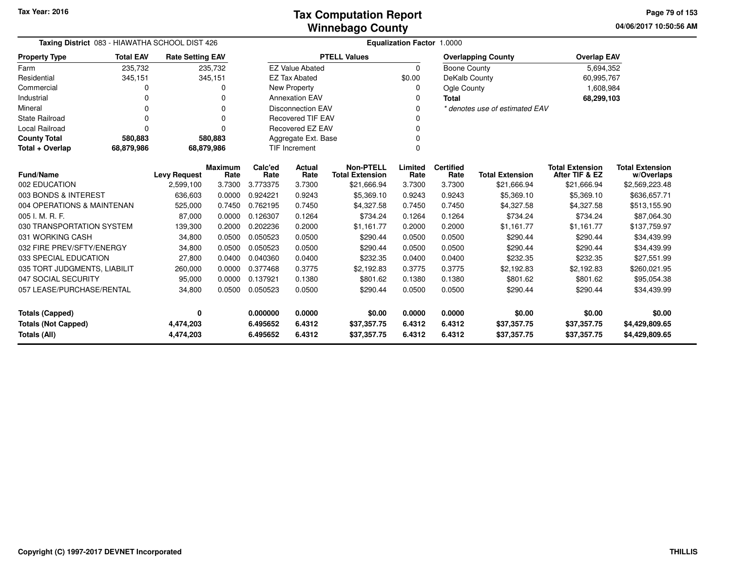| Taxing District 083 - HIAWATHA SCHOOL DIST 426                                                                                                                                                   |                  |                         |                        | Equalization Factor 1.0000 |                          |                                            |                 |                          |                                |                                          |                                      |  |  |
|--------------------------------------------------------------------------------------------------------------------------------------------------------------------------------------------------|------------------|-------------------------|------------------------|----------------------------|--------------------------|--------------------------------------------|-----------------|--------------------------|--------------------------------|------------------------------------------|--------------------------------------|--|--|
| <b>Property Type</b>                                                                                                                                                                             | <b>Total EAV</b> | <b>Rate Setting EAV</b> |                        |                            |                          | <b>PTELL Values</b>                        |                 |                          | <b>Overlapping County</b>      | <b>Overlap EAV</b>                       |                                      |  |  |
| Farm                                                                                                                                                                                             | 235,732          |                         | 235,732                |                            | <b>EZ Value Abated</b>   |                                            | $\Omega$        | Boone County             |                                | 5,694,352                                |                                      |  |  |
| Residential                                                                                                                                                                                      | 345,151          |                         | 345,151                |                            | <b>EZ Tax Abated</b>     |                                            | \$0.00          | DeKalb County            |                                | 60,995,767                               |                                      |  |  |
| Commercial                                                                                                                                                                                       |                  |                         |                        |                            | New Property             |                                            | 0               | Ogle County              |                                | 1,608,984                                |                                      |  |  |
| Industrial                                                                                                                                                                                       |                  |                         |                        |                            | <b>Annexation EAV</b>    |                                            | 0               | <b>Total</b>             |                                | 68,299,103                               |                                      |  |  |
| Mineral                                                                                                                                                                                          |                  |                         | 0                      |                            | <b>Disconnection EAV</b> |                                            | $\Omega$        |                          | * denotes use of estimated EAV |                                          |                                      |  |  |
| <b>State Railroad</b>                                                                                                                                                                            |                  |                         | O                      |                            | <b>Recovered TIF EAV</b> |                                            | 0               |                          |                                |                                          |                                      |  |  |
| Local Railroad                                                                                                                                                                                   |                  |                         |                        |                            | Recovered EZ EAV         |                                            | 0               |                          |                                |                                          |                                      |  |  |
| <b>County Total</b>                                                                                                                                                                              | 580,883          |                         | 580,883                |                            | Aggregate Ext. Base      |                                            | $\mathbf 0$     |                          |                                |                                          |                                      |  |  |
| Total + Overlap                                                                                                                                                                                  | 68,879,986       | 68,879,986              |                        |                            | TIF Increment            |                                            | $\mathbf 0$     |                          |                                |                                          |                                      |  |  |
| <b>Fund/Name</b>                                                                                                                                                                                 |                  | <b>Levy Request</b>     | <b>Maximum</b><br>Rate | Calc'ed<br>Rate            | Actual<br>Rate           | <b>Non-PTELL</b><br><b>Total Extension</b> | Limited<br>Rate | <b>Certified</b><br>Rate | <b>Total Extension</b>         | <b>Total Extension</b><br>After TIF & EZ | <b>Total Extension</b><br>w/Overlaps |  |  |
| 002 EDUCATION                                                                                                                                                                                    |                  | 2,599,100               | 3.7300                 | 3.773375                   | 3.7300                   | \$21,666.94                                | 3.7300          | 3.7300                   | \$21,666.94                    | \$21,666.94                              | \$2,569,223.48                       |  |  |
| 003 BONDS & INTEREST                                                                                                                                                                             |                  | 636,603                 | 0.0000                 | 0.924221                   | 0.9243                   | \$5,369.10                                 | 0.9243          | 0.9243                   | \$5,369.10                     | \$5,369.10                               | \$636,657.71                         |  |  |
| 004 OPERATIONS & MAINTENAN                                                                                                                                                                       |                  | 525,000                 | 0.7450                 | 0.762195                   | 0.7450                   | \$4,327.58                                 | 0.7450          | 0.7450                   | \$4,327.58                     | \$4,327.58                               | \$513,155.90                         |  |  |
| 005 I. M. R. F.                                                                                                                                                                                  |                  | 87,000                  | 0.0000                 | 0.126307                   | 0.1264                   | \$734.24                                   | 0.1264          | 0.1264                   | \$734.24                       | \$734.24                                 | \$87,064.30                          |  |  |
| 030 TRANSPORTATION SYSTEM                                                                                                                                                                        |                  | 139,300                 | 0.2000                 | 0.202236                   | 0.2000                   | \$1,161.77                                 | 0.2000          | 0.2000                   | \$1,161.77                     | \$1,161.77                               | \$137,759.97                         |  |  |
| 031 WORKING CASH                                                                                                                                                                                 |                  | 34,800                  | 0.0500                 | 0.050523                   | 0.0500                   | \$290.44                                   | 0.0500          | 0.0500                   | \$290.44                       | \$290.44                                 | \$34,439.99                          |  |  |
| 032 FIRE PREV/SFTY/ENERGY                                                                                                                                                                        |                  | 34,800                  | 0.0500                 | 0.050523                   | 0.0500                   | \$290.44                                   | 0.0500          | 0.0500                   | \$290.44                       | \$290.44                                 | \$34,439.99                          |  |  |
| 033 SPECIAL EDUCATION                                                                                                                                                                            |                  | 27,800                  | 0.0400                 | 0.040360                   | 0.0400                   | \$232.35                                   | 0.0400          | 0.0400                   | \$232.35                       | \$232.35                                 | \$27,551.99                          |  |  |
| 035 TORT JUDGMENTS, LIABILIT                                                                                                                                                                     |                  | 260,000                 | 0.0000                 | 0.377468                   | 0.3775                   | \$2,192.83                                 | 0.3775          | 0.3775                   | \$2,192.83                     | \$2,192.83                               | \$260,021.95                         |  |  |
| 047 SOCIAL SECURITY                                                                                                                                                                              |                  | 95,000                  | 0.0000                 | 0.137921                   | 0.1380                   | \$801.62                                   | 0.1380          | 0.1380                   | \$801.62                       | \$801.62                                 | \$95,054.38                          |  |  |
| 057 LEASE/PURCHASE/RENTAL                                                                                                                                                                        |                  | 34,800                  | 0.0500                 | 0.050523                   | 0.0500                   | \$290.44                                   | 0.0500          | 0.0500                   | \$290.44                       | \$290.44                                 | \$34,439.99                          |  |  |
| <b>Totals (Capped)</b><br>$\mathbf 0$                                                                                                                                                            |                  |                         | 0.000000               | 0.0000                     | \$0.00                   | 0.0000                                     | 0.0000          | \$0.00                   | \$0.00                         | \$0.00                                   |                                      |  |  |
|                                                                                                                                                                                                  |                  |                         |                        | 6.495652                   | 6.4312                   |                                            | 6.4312          | 6.4312                   |                                |                                          | \$4,429,809.65                       |  |  |
| <b>Totals (Not Capped)</b><br>4,474,203<br>\$37,357.75<br>\$37,357.75<br>\$37,357.75<br>6.4312<br><b>Totals (All)</b><br>6.495652<br>6.4312<br>6.4312<br>4,474,203<br>\$37,357.75<br>\$37,357.75 |                  |                         |                        | \$37,357.75                | \$4,429,809.65           |                                            |                 |                          |                                |                                          |                                      |  |  |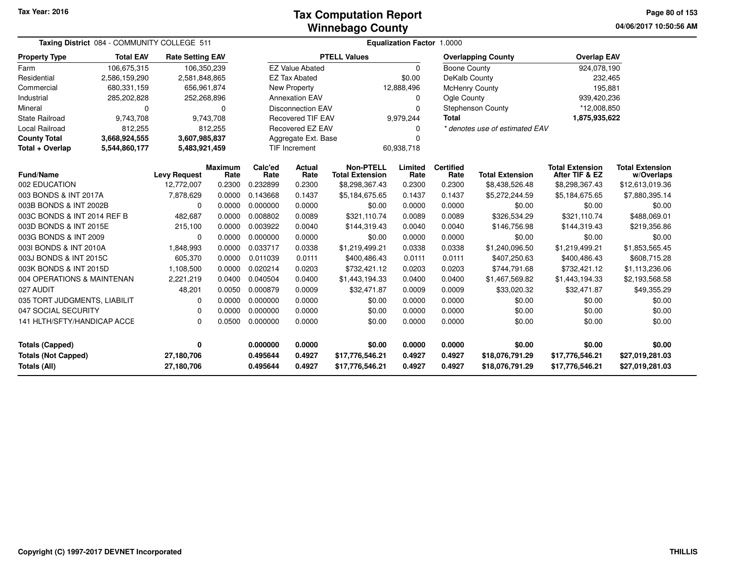#### **Winnebago CountyTax Computation Report Tax**

**04/06/2017 10:50:56 AM Page 80 of 153**

| Taxing District 084 - COMMUNITY COLLEGE 511 |                  |                         |                        | Equalization Factor 1.0000            |                                      |                                            |                 |                          |                                |                                          |                                      |  |  |
|---------------------------------------------|------------------|-------------------------|------------------------|---------------------------------------|--------------------------------------|--------------------------------------------|-----------------|--------------------------|--------------------------------|------------------------------------------|--------------------------------------|--|--|
| <b>Property Type</b>                        | <b>Total EAV</b> | <b>Rate Setting EAV</b> |                        |                                       |                                      | <b>PTELL Values</b>                        |                 |                          | <b>Overlapping County</b>      | <b>Overlap EAV</b>                       |                                      |  |  |
| Farm                                        | 106,675,315      | 106,350,239             |                        |                                       | <b>EZ Value Abated</b>               |                                            | $\Omega$        | <b>Boone County</b>      |                                | 924,078,190                              |                                      |  |  |
| Residential                                 | 2,586,159,290    | 2,581,848,865           |                        |                                       | <b>EZ Tax Abated</b>                 |                                            | \$0.00          | DeKalb County            |                                | 232,465                                  |                                      |  |  |
| Commercial                                  | 680,331,159      | 656,961,874             |                        |                                       | <b>New Property</b>                  |                                            | 12,888,496      |                          | <b>McHenry County</b>          | 195,881                                  |                                      |  |  |
| Industrial                                  | 285,202,828      | 252,268,896             |                        |                                       | <b>Annexation EAV</b>                |                                            | 0               | Ogle County              |                                | 939,420,236                              |                                      |  |  |
| Mineral                                     | 0                |                         | $\Omega$               |                                       | <b>Disconnection EAV</b><br>$\Omega$ |                                            |                 |                          | <b>Stephenson County</b>       | *12,008,850                              |                                      |  |  |
| <b>State Railroad</b>                       | 9,743,708        |                         | 9,743,708              | <b>Recovered TIF EAV</b><br>9,979,244 |                                      |                                            | <b>Total</b>    |                          | 1,875,935,622                  |                                          |                                      |  |  |
| Local Railroad                              | 812,255          |                         | 812,255                | Recovered EZ EAV<br>0                 |                                      |                                            |                 |                          | * denotes use of estimated EAV |                                          |                                      |  |  |
| <b>County Total</b>                         | 3,668,924,555    | 3,607,985,837           |                        | Aggregate Ext. Base<br>$\Omega$       |                                      |                                            |                 |                          |                                |                                          |                                      |  |  |
| Total + Overlap                             | 5,544,860,177    | 5,483,921,459           |                        |                                       | TIF Increment                        |                                            | 60,938,718      |                          |                                |                                          |                                      |  |  |
| <b>Fund/Name</b>                            |                  | <b>Levy Request</b>     | <b>Maximum</b><br>Rate | Calc'ed<br>Rate                       | <b>Actual</b><br>Rate                | <b>Non-PTELL</b><br><b>Total Extension</b> | Limited<br>Rate | <b>Certified</b><br>Rate | <b>Total Extension</b>         | <b>Total Extension</b><br>After TIF & EZ | <b>Total Extension</b><br>w/Overlaps |  |  |
| 002 EDUCATION                               |                  | 12,772,007              | 0.2300                 | 0.232899                              | 0.2300                               | \$8,298,367.43                             | 0.2300          | 0.2300                   | \$8,438,526.48                 | \$8,298,367.43                           | \$12,613,019.36                      |  |  |
| 003 BONDS & INT 2017A                       |                  | 7,878,629               | 0.0000                 | 0.143668                              | 0.1437                               | \$5,184,675.65                             | 0.1437          | 0.1437                   | \$5,272,244.59                 | \$5,184,675.65                           | \$7,880,395.14                       |  |  |
| 003B BONDS & INT 2002B                      |                  | 0                       | 0.0000                 | 0.000000                              | 0.0000                               | \$0.00                                     | 0.0000          | 0.0000                   | \$0.00                         | \$0.00                                   | \$0.00                               |  |  |
| 003C BONDS & INT 2014 REF B                 |                  | 482,687                 | 0.0000                 | 0.008802                              | 0.0089                               | \$321,110.74                               | 0.0089          | 0.0089                   | \$326,534.29                   | \$321,110.74                             | \$488,069.01                         |  |  |
| 003D BONDS & INT 2015E                      |                  | 215,100                 | 0.0000                 | 0.003922                              | 0.0040                               | \$144,319.43                               | 0.0040          | 0.0040                   | \$146,756.98                   | \$144,319.43                             | \$219,356.86                         |  |  |
| 003G BONDS & INT 2009                       |                  | 0                       | 0.0000                 | 0.000000                              | 0.0000                               | \$0.00                                     | 0.0000          | 0.0000                   | \$0.00                         | \$0.00                                   | \$0.00                               |  |  |
| 003I BONDS & INT 2010A                      |                  | 1,848,993               | 0.0000                 | 0.033717                              | 0.0338                               | \$1,219,499.21                             | 0.0338          | 0.0338                   | \$1,240,096.50                 | \$1,219,499.21                           | \$1,853,565.45                       |  |  |
| 003J BONDS & INT 2015C                      |                  | 605,370                 | 0.0000                 | 0.011039                              | 0.0111                               | \$400,486.43                               | 0.0111          | 0.0111                   | \$407,250.63                   | \$400,486.43                             | \$608,715.28                         |  |  |
| 003K BONDS & INT 2015D                      |                  | 1,108,500               | 0.0000                 | 0.020214                              | 0.0203                               | \$732,421.12                               | 0.0203          | 0.0203                   | \$744,791.68                   | \$732,421.12                             | \$1,113,236.06                       |  |  |
| 004 OPERATIONS & MAINTENAN                  |                  | 2,221,219               | 0.0400                 | 0.040504                              | 0.0400                               | \$1,443,194.33                             | 0.0400          | 0.0400                   | \$1,467,569.82                 | \$1,443,194.33                           | \$2,193,568.58                       |  |  |
| 027 AUDIT                                   |                  | 48,201                  | 0.0050                 | 0.000879                              | 0.0009                               | \$32,471.87                                | 0.0009          | 0.0009                   | \$33,020.32                    | \$32,471.87                              | \$49,355.29                          |  |  |
| 035 TORT JUDGMENTS, LIABILIT                |                  | $\Omega$                | 0.0000                 | 0.000000                              | 0.0000                               | \$0.00                                     | 0.0000          | 0.0000                   | \$0.00                         | \$0.00                                   | \$0.00                               |  |  |
| 047 SOCIAL SECURITY                         |                  | 0                       | 0.0000                 | 0.000000                              | 0.0000                               | \$0.00                                     | 0.0000          | 0.0000                   | \$0.00                         | \$0.00                                   | \$0.00                               |  |  |
| 141 HLTH/SFTY/HANDICAP ACCE                 |                  | 0                       | 0.0500                 | 0.000000                              | 0.0000                               | \$0.00                                     | 0.0000          | 0.0000                   | \$0.00                         | \$0.00                                   | \$0.00                               |  |  |
| <b>Totals (Capped)</b>                      |                  | 0                       |                        | 0.000000                              | 0.0000                               | \$0.00                                     | 0.0000          | 0.0000                   | \$0.00                         | \$0.00                                   | \$0.00                               |  |  |
| <b>Totals (Not Capped)</b>                  |                  | 27,180,706              |                        | 0.495644                              | 0.4927                               | \$17,776,546.21                            | 0.4927          | 0.4927                   | \$18,076,791.29                | \$17,776,546.21                          | \$27,019,281.03                      |  |  |
| Totals (All)                                |                  | 27,180,706              |                        | 0.495644                              | 0.4927                               | \$17,776,546.21                            | 0.4927          | 0.4927                   | \$18,076,791.29                | \$17,776,546.21                          | \$27,019,281.03                      |  |  |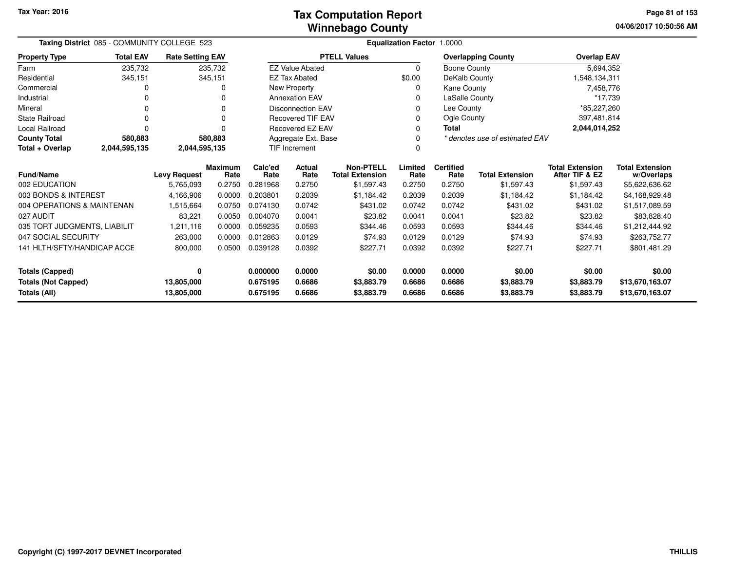**04/06/2017 10:50:56 AM Page 81 of 153**

|                                            | Taxing District 085 - COMMUNITY COLLEGE 523 |                          |                        |                      | Equalization Factor 1.0000 |                                            |                  |                          |                                |                                                                |                                      |  |
|--------------------------------------------|---------------------------------------------|--------------------------|------------------------|----------------------|----------------------------|--------------------------------------------|------------------|--------------------------|--------------------------------|----------------------------------------------------------------|--------------------------------------|--|
| <b>Property Type</b>                       | <b>Total EAV</b>                            | <b>Rate Setting EAV</b>  |                        |                      |                            | <b>PTELL Values</b>                        |                  |                          | <b>Overlapping County</b>      | <b>Overlap EAV</b>                                             |                                      |  |
| Farm                                       | 235,732                                     |                          | 235,732                |                      | <b>EZ Value Abated</b>     |                                            | $\Omega$         | Boone County             |                                | 5,694,352                                                      |                                      |  |
| Residential                                | 345,151                                     |                          | 345,151                |                      | <b>EZ Tax Abated</b>       |                                            | \$0.00           | DeKalb County            |                                | 1,548,134,311                                                  |                                      |  |
| Commercial                                 | 0                                           |                          |                        |                      | New Property               |                                            | 0                | Kane County              |                                | 7,458,776                                                      |                                      |  |
| Industrial                                 | 0                                           |                          |                        |                      | <b>Annexation EAV</b>      |                                            | 0                | LaSalle County           |                                | *17,739                                                        |                                      |  |
| Mineral                                    | 0                                           |                          | 0                      |                      | <b>Disconnection EAV</b>   |                                            | $\Omega$         | Lee County               |                                | *85,227,260                                                    |                                      |  |
| <b>State Railroad</b>                      | $\Omega$                                    |                          |                        |                      | <b>Recovered TIF EAV</b>   |                                            | 0                | Ogle County              |                                | 397,481,814                                                    |                                      |  |
| Local Railroad                             | $\Omega$                                    |                          |                        |                      | Recovered EZ EAV           |                                            | $\Omega$         | <b>Total</b>             |                                | 2,044,014,252                                                  |                                      |  |
| <b>County Total</b>                        | 580,883                                     |                          | 580,883                |                      | Aggregate Ext. Base        |                                            | 0                |                          | * denotes use of estimated EAV |                                                                |                                      |  |
| Total + Overlap                            | 2,044,595,135                               | 2,044,595,135            |                        |                      | TIF Increment              |                                            | 0                |                          |                                |                                                                |                                      |  |
| <b>Fund/Name</b>                           |                                             | <b>Levy Request</b>      | <b>Maximum</b><br>Rate | Calc'ed<br>Rate      | Actual<br>Rate             | <b>Non-PTELL</b><br><b>Total Extension</b> | Limited<br>Rate  | <b>Certified</b><br>Rate | <b>Total Extension</b>         | <b>Total Extension</b><br>After TIF & EZ                       | <b>Total Extension</b><br>w/Overlaps |  |
| 002 EDUCATION                              |                                             | 5,765,093                | 0.2750                 | 0.281968             | 0.2750                     | \$1,597.43                                 | 0.2750           | 0.2750                   | \$1,597.43                     | \$1,597.43                                                     | \$5,622,636.62                       |  |
| 003 BONDS & INTEREST                       |                                             | 4,166,906                | 0.0000                 | 0.203801             | 0.2039                     | \$1,184.42                                 | 0.2039           | 0.2039                   | \$1.184.42                     | \$1,184.42                                                     | \$4,168,929.48                       |  |
| 004 OPERATIONS & MAINTENAN                 |                                             | 1,515,664                | 0.0750                 | 0.074130             | 0.0742                     | \$431.02                                   | 0.0742           | 0.0742                   | \$431.02                       | \$431.02                                                       | \$1,517,089.59                       |  |
| 027 AUDIT                                  |                                             | 83,221                   | 0.0050                 | 0.004070             | 0.0041                     | \$23.82                                    | 0.0041           | 0.0041                   | \$23.82                        | \$23.82                                                        | \$83,828.40                          |  |
| 035 TORT JUDGMENTS, LIABILIT               |                                             | 1,211,116                | 0.0000                 | 0.059235             | 0.0593                     | \$344.46                                   | 0.0593           | 0.0593                   | \$344.46                       | \$344.46                                                       | \$1,212,444.92                       |  |
| 047 SOCIAL SECURITY                        |                                             | 263,000                  | 0.0000                 | 0.012863             | 0.0129                     | \$74.93                                    | 0.0129           | 0.0129                   | \$74.93                        | \$74.93                                                        | \$263,752.77                         |  |
| 141 HLTH/SFTY/HANDICAP ACCE                |                                             | 800,000                  | 0.0500                 | 0.039128             | 0.0392                     | \$227.71                                   | 0.0392           | 0.0392                   | \$227.71                       | \$227.71                                                       | \$801,481.29                         |  |
| <b>Totals (Capped)</b><br>0                |                                             | 0.000000                 | 0.0000                 | \$0.00               | 0.0000                     | 0.0000                                     | \$0.00           | \$0.00                   | \$0.00                         |                                                                |                                      |  |
| <b>Totals (Not Capped)</b><br>Totals (All) |                                             | 13,805,000<br>13,805,000 |                        | 0.675195<br>0.675195 | 0.6686<br>0.6686           | \$3,883.79<br>\$3,883.79                   | 0.6686<br>0.6686 | 0.6686<br>0.6686         | \$3,883.79<br>\$3,883.79       | \$3,883.79<br>\$13,670,163.07<br>\$3,883.79<br>\$13,670,163.07 |                                      |  |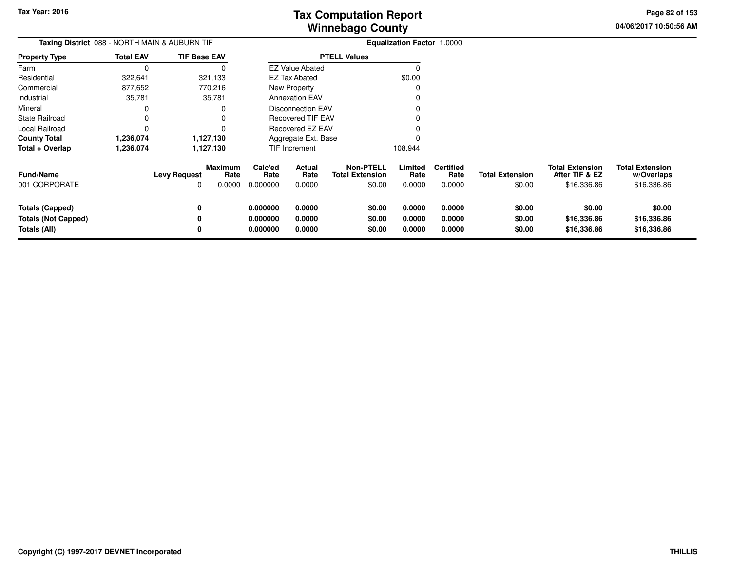**04/06/2017 10:50:56 AMPage 82 of 153**

| Taxing District 088 - NORTH MAIN & AUBURN TIF<br><b>TIF Base EAV</b> |                  |                          |                                  |                                  |                            |                                                      | Equalization Factor 1.0000 |                                    |                                  |                                                         |                                                     |
|----------------------------------------------------------------------|------------------|--------------------------|----------------------------------|----------------------------------|----------------------------|------------------------------------------------------|----------------------------|------------------------------------|----------------------------------|---------------------------------------------------------|-----------------------------------------------------|
| <b>Property Type</b>                                                 | <b>Total EAV</b> |                          |                                  |                                  |                            | <b>PTELL Values</b>                                  |                            |                                    |                                  |                                                         |                                                     |
| Farm                                                                 | 0                |                          | O                                |                                  | <b>EZ Value Abated</b>     |                                                      | 0                          |                                    |                                  |                                                         |                                                     |
| Residential                                                          | 322,641          |                          | 321,133                          |                                  | EZ Tax Abated              |                                                      | \$0.00                     |                                    |                                  |                                                         |                                                     |
| Commercial                                                           | 877,652          |                          | 770,216                          |                                  | New Property               |                                                      | 0                          |                                    |                                  |                                                         |                                                     |
| Industrial                                                           | 35,781           |                          | 35,781                           |                                  | <b>Annexation EAV</b>      |                                                      |                            |                                    |                                  |                                                         |                                                     |
| Mineral                                                              | 0                |                          | 0                                |                                  | <b>Disconnection EAV</b>   |                                                      |                            |                                    |                                  |                                                         |                                                     |
| <b>State Railroad</b>                                                | 0                |                          | 0                                |                                  | <b>Recovered TIF EAV</b>   |                                                      |                            |                                    |                                  |                                                         |                                                     |
| Local Railroad                                                       | $\Omega$         |                          | 0                                |                                  | <b>Recovered EZ EAV</b>    |                                                      |                            |                                    |                                  |                                                         |                                                     |
| <b>County Total</b>                                                  | 1,236,074        |                          | 1,127,130                        |                                  | Aggregate Ext. Base        |                                                      |                            |                                    |                                  |                                                         |                                                     |
| Total + Overlap                                                      | 1,236,074        |                          | 1,127,130                        |                                  | TIF Increment              |                                                      | 108,944                    |                                    |                                  |                                                         |                                                     |
| <b>Fund/Name</b><br>001 CORPORATE                                    |                  | <b>Levy Request</b><br>0 | <b>Maximum</b><br>Rate<br>0.0000 | Calc'ed<br>Rate<br>0.000000      | Actual<br>Rate<br>0.0000   | <b>Non-PTELL</b><br><b>Total Extension</b><br>\$0.00 | Limited<br>Rate<br>0.0000  | <b>Certified</b><br>Rate<br>0.0000 | <b>Total Extension</b><br>\$0.00 | <b>Total Extension</b><br>After TIF & EZ<br>\$16,336.86 | <b>Total Extension</b><br>w/Overlaps<br>\$16,336.86 |
| <b>Totals (Capped)</b><br><b>Totals (Not Capped)</b><br>Totals (All) |                  | 0<br>0<br>0              |                                  | 0.000000<br>0.000000<br>0.000000 | 0.0000<br>0.0000<br>0.0000 | \$0.00<br>\$0.00<br>\$0.00                           | 0.0000<br>0.0000<br>0.0000 | 0.0000<br>0.0000<br>0.0000         | \$0.00<br>\$0.00<br>\$0.00       | \$0.00<br>\$16,336.86<br>\$16,336.86                    | \$0.00<br>\$16,336.86<br>\$16,336.86                |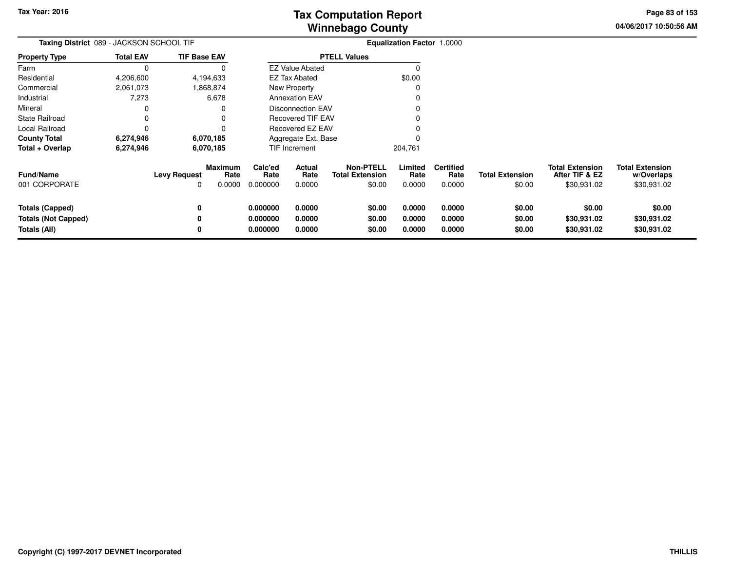**04/06/2017 10:50:56 AMPage 83 of 153**

| Taxing District 089 - JACKSON SCHOOL TIF                             |                  |                     |                                  | <b>Equalization Factor 1.0000</b> |                            |                                                      |                            |                                    |                                  |                                                         |                                                     |
|----------------------------------------------------------------------|------------------|---------------------|----------------------------------|-----------------------------------|----------------------------|------------------------------------------------------|----------------------------|------------------------------------|----------------------------------|---------------------------------------------------------|-----------------------------------------------------|
| <b>Property Type</b>                                                 | <b>Total EAV</b> | <b>TIF Base EAV</b> |                                  |                                   |                            | <b>PTELL Values</b>                                  |                            |                                    |                                  |                                                         |                                                     |
| Farm                                                                 |                  |                     |                                  |                                   | <b>EZ Value Abated</b>     |                                                      |                            |                                    |                                  |                                                         |                                                     |
| Residential                                                          | 4,206,600        | 4,194,633           |                                  |                                   | <b>EZ Tax Abated</b>       |                                                      | \$0.00                     |                                    |                                  |                                                         |                                                     |
| Commercial                                                           | 2,061,073        |                     | 1,868,874                        |                                   | New Property               |                                                      |                            |                                    |                                  |                                                         |                                                     |
| Industrial                                                           | 7,273            |                     | 6,678                            |                                   | <b>Annexation EAV</b>      |                                                      |                            |                                    |                                  |                                                         |                                                     |
| Mineral                                                              |                  |                     |                                  |                                   | Disconnection EAV          |                                                      |                            |                                    |                                  |                                                         |                                                     |
| <b>State Railroad</b>                                                |                  |                     |                                  |                                   | <b>Recovered TIF EAV</b>   |                                                      |                            |                                    |                                  |                                                         |                                                     |
| Local Railroad                                                       |                  |                     |                                  |                                   | Recovered EZ EAV           |                                                      |                            |                                    |                                  |                                                         |                                                     |
| <b>County Total</b>                                                  | 6,274,946        | 6,070,185           |                                  |                                   | Aggregate Ext. Base        |                                                      |                            |                                    |                                  |                                                         |                                                     |
| Total + Overlap                                                      | 6,274,946        | 6,070,185           |                                  |                                   | TIF Increment              |                                                      | 204,761                    |                                    |                                  |                                                         |                                                     |
| <b>Fund/Name</b><br>001 CORPORATE                                    |                  | <b>Levy Request</b> | <b>Maximum</b><br>Rate<br>0.0000 | Calc'ed<br>Rate<br>0.000000       | Actual<br>Rate<br>0.0000   | <b>Non-PTELL</b><br><b>Total Extension</b><br>\$0.00 | Limited<br>Rate<br>0.0000  | <b>Certified</b><br>Rate<br>0.0000 | <b>Total Extension</b><br>\$0.00 | <b>Total Extension</b><br>After TIF & EZ<br>\$30,931.02 | <b>Total Extension</b><br>w/Overlaps<br>\$30,931.02 |
| <b>Totals (Capped)</b><br><b>Totals (Not Capped)</b><br>Totals (All) |                  | 0                   |                                  | 0.000000<br>0.000000<br>0.000000  | 0.0000<br>0.0000<br>0.0000 | \$0.00<br>\$0.00<br>\$0.00                           | 0.0000<br>0.0000<br>0.0000 | 0.0000<br>0.0000<br>0.0000         | \$0.00<br>\$0.00<br>\$0.00       | \$0.00<br>\$30,931.02<br>\$30,931.02                    | \$0.00<br>\$30,931.02<br>\$30,931.02                |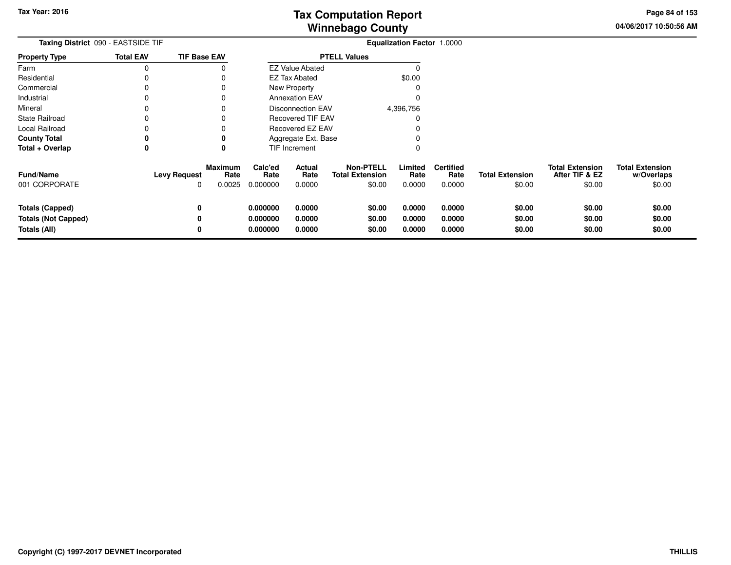**04/06/2017 10:50:56 AMPage 84 of 153**

| Taxing District 090 - EASTSIDE TIF                                   |                     |                                       | <b>Equalization Factor 1.0000</b> |                            |                                               |                            |                                    |                                  |                                                    |                                                |
|----------------------------------------------------------------------|---------------------|---------------------------------------|-----------------------------------|----------------------------|-----------------------------------------------|----------------------------|------------------------------------|----------------------------------|----------------------------------------------------|------------------------------------------------|
| <b>Property Type</b>                                                 | <b>Total EAV</b>    | <b>TIF Base EAV</b>                   |                                   |                            | <b>PTELL Values</b>                           |                            |                                    |                                  |                                                    |                                                |
| Farm                                                                 | 0                   |                                       |                                   | <b>EZ Value Abated</b>     |                                               |                            |                                    |                                  |                                                    |                                                |
| Residential                                                          |                     |                                       |                                   | <b>EZ Tax Abated</b>       |                                               | \$0.00                     |                                    |                                  |                                                    |                                                |
| Commercial                                                           | 0                   | 0                                     |                                   | New Property               |                                               |                            |                                    |                                  |                                                    |                                                |
| Industrial                                                           | 0                   | 0                                     |                                   | <b>Annexation EAV</b>      |                                               |                            |                                    |                                  |                                                    |                                                |
| Mineral                                                              | 0                   | 0                                     |                                   | Disconnection EAV          |                                               | 4,396,756                  |                                    |                                  |                                                    |                                                |
| <b>State Railroad</b>                                                | 0                   | 0                                     |                                   | <b>Recovered TIF EAV</b>   |                                               | O                          |                                    |                                  |                                                    |                                                |
| <b>Local Railroad</b>                                                | 0                   | 0                                     |                                   | Recovered EZ EAV           |                                               |                            |                                    |                                  |                                                    |                                                |
| <b>County Total</b>                                                  | 0                   | 0                                     |                                   | Aggregate Ext. Base        |                                               |                            |                                    |                                  |                                                    |                                                |
| Total + Overlap                                                      | 0                   | 0                                     |                                   | TIF Increment              |                                               | 0                          |                                    |                                  |                                                    |                                                |
| <b>Fund/Name</b><br>001 CORPORATE                                    | <b>Levy Request</b> | <b>Maximum</b><br>Rate<br>0.0025<br>0 | Calc'ed<br>Rate<br>0.000000       | Actual<br>Rate<br>0.0000   | Non-PTELL<br><b>Total Extension</b><br>\$0.00 | Limited<br>Rate<br>0.0000  | <b>Certified</b><br>Rate<br>0.0000 | <b>Total Extension</b><br>\$0.00 | <b>Total Extension</b><br>After TIF & EZ<br>\$0.00 | <b>Total Extension</b><br>w/Overlaps<br>\$0.00 |
| <b>Totals (Capped)</b><br><b>Totals (Not Capped)</b><br>Totals (All) |                     | 0<br>0<br>0                           | 0.000000<br>0.000000<br>0.000000  | 0.0000<br>0.0000<br>0.0000 | \$0.00<br>\$0.00<br>\$0.00                    | 0.0000<br>0.0000<br>0.0000 | 0.0000<br>0.0000<br>0.0000         | \$0.00<br>\$0.00<br>\$0.00       | \$0.00<br>\$0.00<br>\$0.00                         | \$0.00<br>\$0.00<br>\$0.00                     |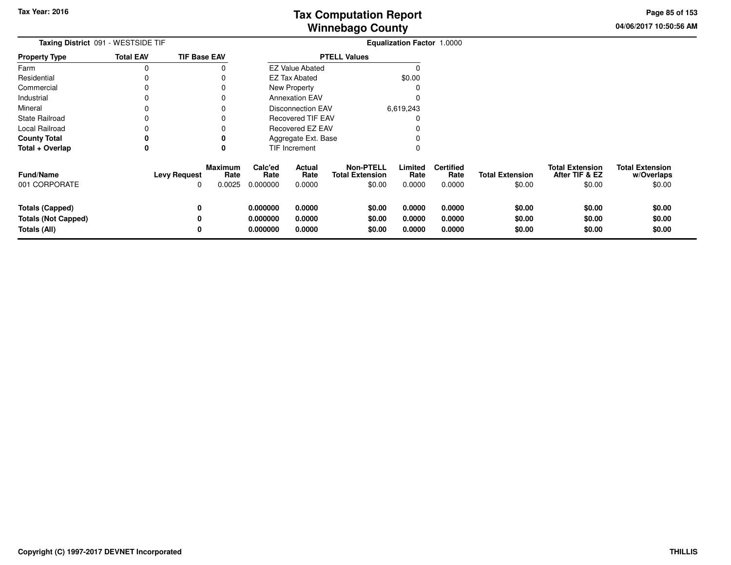**04/06/2017 10:50:56 AM Page 85 of 153**

| Taxing District 091 - WESTSIDE TIF                                   |                     |                                       | <b>Equalization Factor 1.0000</b> |                            |                                                      |                            |                                    |                                  |                                                    |                                                |
|----------------------------------------------------------------------|---------------------|---------------------------------------|-----------------------------------|----------------------------|------------------------------------------------------|----------------------------|------------------------------------|----------------------------------|----------------------------------------------------|------------------------------------------------|
| <b>Property Type</b>                                                 | <b>Total EAV</b>    | <b>TIF Base EAV</b>                   |                                   |                            | <b>PTELL Values</b>                                  |                            |                                    |                                  |                                                    |                                                |
| Farm                                                                 |                     |                                       |                                   | <b>EZ Value Abated</b>     |                                                      |                            |                                    |                                  |                                                    |                                                |
| Residential                                                          |                     |                                       |                                   | <b>EZ Tax Abated</b>       |                                                      | \$0.00                     |                                    |                                  |                                                    |                                                |
| Commercial                                                           |                     | 0                                     |                                   | New Property               |                                                      |                            |                                    |                                  |                                                    |                                                |
| Industrial                                                           |                     | 0                                     |                                   | <b>Annexation EAV</b>      |                                                      |                            |                                    |                                  |                                                    |                                                |
| Mineral                                                              |                     | 0                                     |                                   | <b>Disconnection EAV</b>   |                                                      | 6,619,243                  |                                    |                                  |                                                    |                                                |
| <b>State Railroad</b>                                                |                     | 0                                     |                                   | <b>Recovered TIF EAV</b>   |                                                      |                            |                                    |                                  |                                                    |                                                |
| Local Railroad                                                       |                     | 0                                     |                                   | Recovered EZ EAV           |                                                      |                            |                                    |                                  |                                                    |                                                |
| <b>County Total</b>                                                  | 0                   | 0                                     |                                   | Aggregate Ext. Base        |                                                      |                            |                                    |                                  |                                                    |                                                |
| Total + Overlap                                                      | 0                   | 0                                     |                                   | TIF Increment              |                                                      |                            |                                    |                                  |                                                    |                                                |
| <b>Fund/Name</b><br>001 CORPORATE                                    | <b>Levy Request</b> | <b>Maximum</b><br>Rate<br>0.0025<br>0 | Calc'ed<br>Rate<br>0.000000       | Actual<br>Rate<br>0.0000   | <b>Non-PTELL</b><br><b>Total Extension</b><br>\$0.00 | Limited<br>Rate<br>0.0000  | <b>Certified</b><br>Rate<br>0.0000 | <b>Total Extension</b><br>\$0.00 | <b>Total Extension</b><br>After TIF & EZ<br>\$0.00 | <b>Total Extension</b><br>w/Overlaps<br>\$0.00 |
| <b>Totals (Capped)</b><br><b>Totals (Not Capped)</b><br>Totals (All) |                     | 0<br>0<br>0                           | 0.000000<br>0.000000<br>0.000000  | 0.0000<br>0.0000<br>0.0000 | \$0.00<br>\$0.00<br>\$0.00                           | 0.0000<br>0.0000<br>0.0000 | 0.0000<br>0.0000<br>0.0000         | \$0.00<br>\$0.00<br>\$0.00       | \$0.00<br>\$0.00<br>\$0.00                         | \$0.00<br>\$0.00<br>\$0.00                     |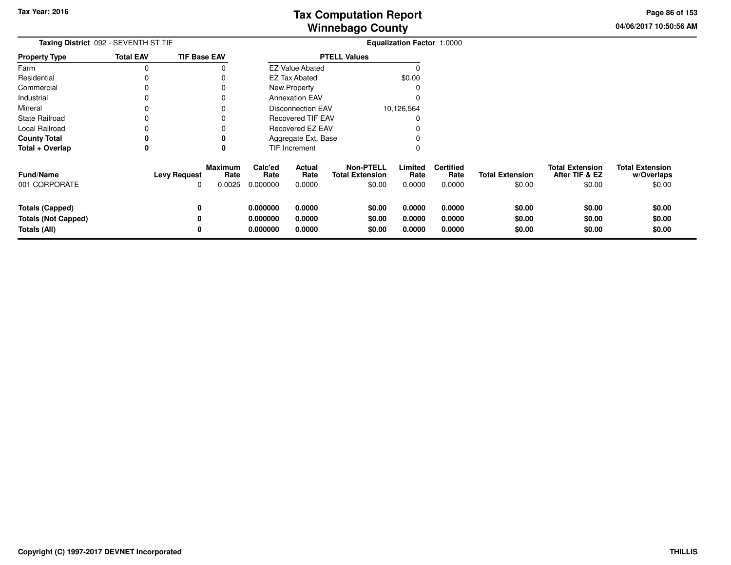**04/06/2017 10:50:56 AM Page 86 of 153**

|                                                                      | Taxing District 092 - SEVENTH ST TIF |                                       |                                  |                            |                                               | <b>Equalization Factor 1.0000</b> |                                    |                                  |                                                    |                                                |
|----------------------------------------------------------------------|--------------------------------------|---------------------------------------|----------------------------------|----------------------------|-----------------------------------------------|-----------------------------------|------------------------------------|----------------------------------|----------------------------------------------------|------------------------------------------------|
| <b>Property Type</b>                                                 | <b>Total EAV</b>                     | <b>TIF Base EAV</b>                   |                                  |                            | <b>PTELL Values</b>                           |                                   |                                    |                                  |                                                    |                                                |
| Farm                                                                 | 0                                    |                                       |                                  | <b>EZ Value Abated</b>     |                                               |                                   |                                    |                                  |                                                    |                                                |
| Residential                                                          |                                      | 0                                     |                                  | EZ Tax Abated              |                                               | \$0.00                            |                                    |                                  |                                                    |                                                |
| Commercial                                                           | 0                                    | 0                                     |                                  | New Property               |                                               |                                   |                                    |                                  |                                                    |                                                |
| Industrial                                                           |                                      | 0                                     |                                  | <b>Annexation EAV</b>      |                                               |                                   |                                    |                                  |                                                    |                                                |
| Mineral                                                              | 0                                    | 0                                     |                                  | <b>Disconnection EAV</b>   |                                               | 10,126,564                        |                                    |                                  |                                                    |                                                |
| <b>State Railroad</b>                                                | 0                                    | 0                                     |                                  | <b>Recovered TIF EAV</b>   |                                               |                                   |                                    |                                  |                                                    |                                                |
| Local Railroad                                                       |                                      | 0                                     |                                  | Recovered EZ EAV           |                                               |                                   |                                    |                                  |                                                    |                                                |
| <b>County Total</b>                                                  | 0                                    | 0                                     |                                  | Aggregate Ext. Base        |                                               |                                   |                                    |                                  |                                                    |                                                |
| Total + Overlap                                                      | 0                                    | 0                                     |                                  | <b>TIF Increment</b>       |                                               |                                   |                                    |                                  |                                                    |                                                |
| <b>Fund/Name</b><br>001 CORPORATE                                    | <b>Levy Request</b>                  | <b>Maximum</b><br>Rate<br>0.0025<br>0 | Calc'ed<br>Rate<br>0.000000      | Actual<br>Rate<br>0.0000   | Non-PTELL<br><b>Total Extension</b><br>\$0.00 | Limited<br>Rate<br>0.0000         | <b>Certified</b><br>Rate<br>0.0000 | <b>Total Extension</b><br>\$0.00 | <b>Total Extension</b><br>After TIF & EZ<br>\$0.00 | <b>Total Extension</b><br>w/Overlaps<br>\$0.00 |
| <b>Totals (Capped)</b><br><b>Totals (Not Capped)</b><br>Totals (All) |                                      | 0<br>0<br>0                           | 0.000000<br>0.000000<br>0.000000 | 0.0000<br>0.0000<br>0.0000 | \$0.00<br>\$0.00<br>\$0.00                    | 0.0000<br>0.0000<br>0.0000        | 0.0000<br>0.0000<br>0.0000         | \$0.00<br>\$0.00<br>\$0.00       | \$0.00<br>\$0.00<br>\$0.00                         | \$0.00<br>\$0.00<br>\$0.00                     |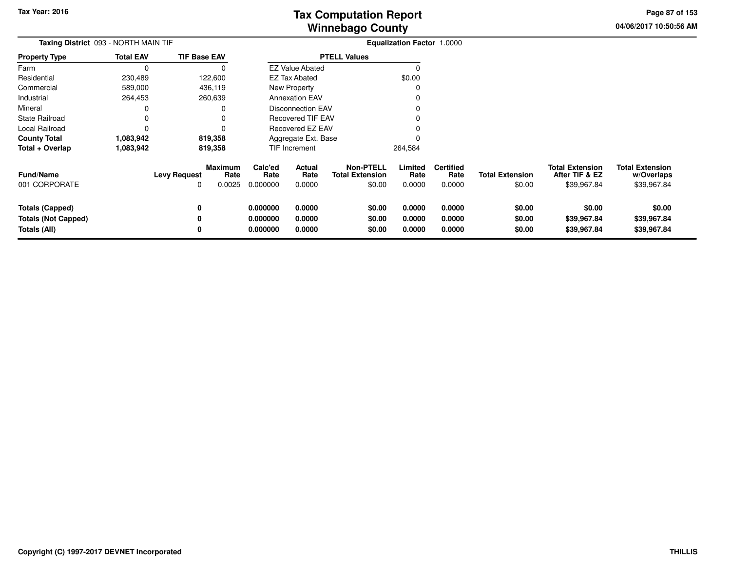**04/06/2017 10:50:56 AMPage 87 of 153**

| <b>Taxing District</b> 093 - NORTH MAIN TIF                   |                  |                          |                                  | <b>Equalization Factor 1.0000</b> |                            |                                                      |                            |                                    |                                  |                                                         |                                                     |
|---------------------------------------------------------------|------------------|--------------------------|----------------------------------|-----------------------------------|----------------------------|------------------------------------------------------|----------------------------|------------------------------------|----------------------------------|---------------------------------------------------------|-----------------------------------------------------|
| Property Type                                                 | <b>Total EAV</b> | <b>TIF Base EAV</b>      |                                  |                                   |                            | <b>PTELL Values</b>                                  |                            |                                    |                                  |                                                         |                                                     |
| Farm                                                          | 0                |                          | 0                                |                                   | <b>EZ Value Abated</b>     |                                                      | 0                          |                                    |                                  |                                                         |                                                     |
| Residential                                                   | 230,489          |                          | 122,600                          |                                   | <b>EZ Tax Abated</b>       |                                                      | \$0.00                     |                                    |                                  |                                                         |                                                     |
| Commercial                                                    | 589,000          |                          | 436,119                          |                                   | New Property               |                                                      |                            |                                    |                                  |                                                         |                                                     |
| Industrial                                                    | 264,453          |                          | 260,639                          |                                   | <b>Annexation EAV</b>      |                                                      |                            |                                    |                                  |                                                         |                                                     |
| Mineral                                                       | 0                |                          |                                  |                                   | <b>Disconnection EAV</b>   |                                                      |                            |                                    |                                  |                                                         |                                                     |
| State Railroad                                                | 0                |                          |                                  |                                   | <b>Recovered TIF EAV</b>   |                                                      |                            |                                    |                                  |                                                         |                                                     |
| Local Railroad                                                | 0                |                          |                                  |                                   | Recovered EZ EAV           |                                                      |                            |                                    |                                  |                                                         |                                                     |
| County Total                                                  | 1,083,942        |                          | 819,358                          |                                   | Aggregate Ext. Base        |                                                      |                            |                                    |                                  |                                                         |                                                     |
| Total + Overlap                                               | 1,083,942        |                          | 819,358                          |                                   | TIF Increment              |                                                      | 264,584                    |                                    |                                  |                                                         |                                                     |
| Fund/Name<br>001 CORPORATE                                    |                  | <b>Levy Request</b><br>O | <b>Maximum</b><br>Rate<br>0.0025 | Calc'ed<br>Rate<br>0.000000       | Actual<br>Rate<br>0.0000   | <b>Non-PTELL</b><br><b>Total Extension</b><br>\$0.00 | Limited<br>Rate<br>0.0000  | <b>Certified</b><br>Rate<br>0.0000 | <b>Total Extension</b><br>\$0.00 | <b>Total Extension</b><br>After TIF & EZ<br>\$39,967.84 | <b>Total Extension</b><br>w/Overlaps<br>\$39,967.84 |
| Totals (Capped)<br><b>Totals (Not Capped)</b><br>Totals (All) |                  | 0<br>0<br>0              |                                  | 0.000000<br>0.000000<br>0.000000  | 0.0000<br>0.0000<br>0.0000 | \$0.00<br>\$0.00<br>\$0.00                           | 0.0000<br>0.0000<br>0.0000 | 0.0000<br>0.0000<br>0.0000         | \$0.00<br>\$0.00<br>\$0.00       | \$0.00<br>\$39,967.84<br>\$39,967.84                    | \$0.00<br>\$39,967.84<br>\$39,967.84                |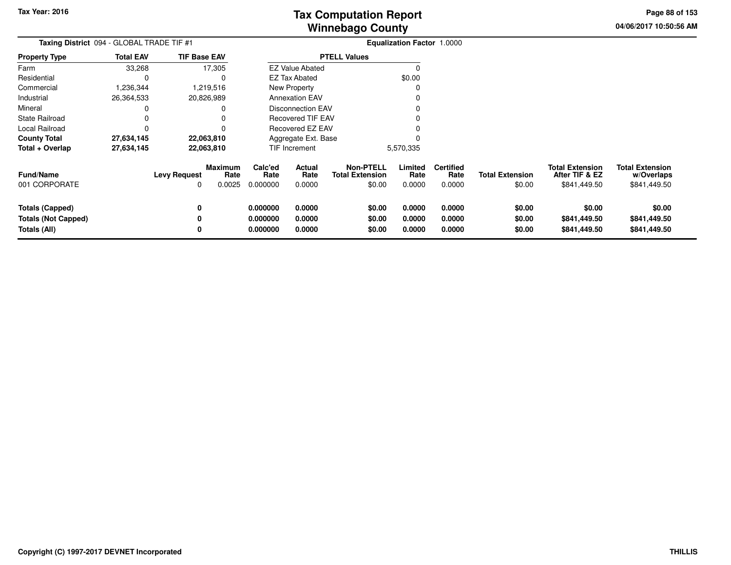**04/06/2017 10:50:56 AMPage 88 of 153**

> **w/Overlaps**\$841,449.50

| Taxing District 094 - GLOBAL TRADE TIF #1            |                  |                          |                                  | <b>Equalization Factor 1.0000</b> |                                 |                                                      |                           |                                    |                                  |                                                          |                                                      |
|------------------------------------------------------|------------------|--------------------------|----------------------------------|-----------------------------------|---------------------------------|------------------------------------------------------|---------------------------|------------------------------------|----------------------------------|----------------------------------------------------------|------------------------------------------------------|
| <b>Property Type</b>                                 | <b>Total EAV</b> | <b>TIF Base EAV</b>      |                                  |                                   |                                 | <b>PTELL Values</b>                                  |                           |                                    |                                  |                                                          |                                                      |
| Farm                                                 | 33,268           |                          | 17,305                           |                                   | <b>EZ Value Abated</b>          |                                                      |                           |                                    |                                  |                                                          |                                                      |
| Residential                                          |                  |                          | $\Omega$                         |                                   | <b>EZ Tax Abated</b>            |                                                      | \$0.00                    |                                    |                                  |                                                          |                                                      |
| Commercial                                           | 1,236,344        |                          | 1,219,516                        |                                   | <b>New Property</b>             |                                                      |                           |                                    |                                  |                                                          |                                                      |
| Industrial                                           | 26,364,533       |                          | 20,826,989                       |                                   | <b>Annexation EAV</b>           |                                                      |                           |                                    |                                  |                                                          |                                                      |
| Mineral                                              |                  |                          | 0                                |                                   | <b>Disconnection EAV</b>        |                                                      |                           |                                    |                                  |                                                          |                                                      |
| <b>State Railroad</b>                                |                  |                          |                                  |                                   | Recovered TIF EAV               |                                                      |                           |                                    |                                  |                                                          |                                                      |
| Local Railroad                                       |                  |                          |                                  |                                   | Recovered EZ EAV                |                                                      |                           |                                    |                                  |                                                          |                                                      |
| <b>County Total</b>                                  | 27,634,145       |                          | 22,063,810                       |                                   | Aggregate Ext. Base             |                                                      |                           |                                    |                                  |                                                          |                                                      |
| Total + Overlap                                      | 27,634,145       |                          | 22,063,810                       |                                   | TIF Increment                   |                                                      | 5,570,335                 |                                    |                                  |                                                          |                                                      |
| <b>Fund/Name</b><br>001 CORPORATE                    |                  | <b>Levy Request</b><br>0 | <b>Maximum</b><br>Rate<br>0.0025 | Calc'ed<br>Rate<br>0.000000       | <b>Actual</b><br>Rate<br>0.0000 | <b>Non-PTELL</b><br><b>Total Extension</b><br>\$0.00 | Limited<br>Rate<br>0.0000 | <b>Certified</b><br>Rate<br>0.0000 | <b>Total Extension</b><br>\$0.00 | <b>Total Extension</b><br>After TIF & EZ<br>\$841,449.50 | <b>Total Extension</b><br>w/Overlaps<br>\$841,449.50 |
| <b>Totals (Capped)</b><br><b>Totals (Not Capped)</b> |                  | 0<br>0                   |                                  | 0.000000<br>0.000000              | 0.0000<br>0.0000                | \$0.00<br>\$0.00                                     | 0.0000<br>0.0000          | 0.0000<br>0.0000                   | \$0.00<br>\$0.00                 | \$0.00<br>\$841,449.50                                   | \$0.00<br>\$841,449.50                               |
| Totals (All)                                         |                  | 0                        |                                  | 0.000000                          | 0.0000                          | \$0.00                                               | 0.0000                    | 0.0000                             | \$0.00                           | \$841,449.50                                             | \$841,449.50                                         |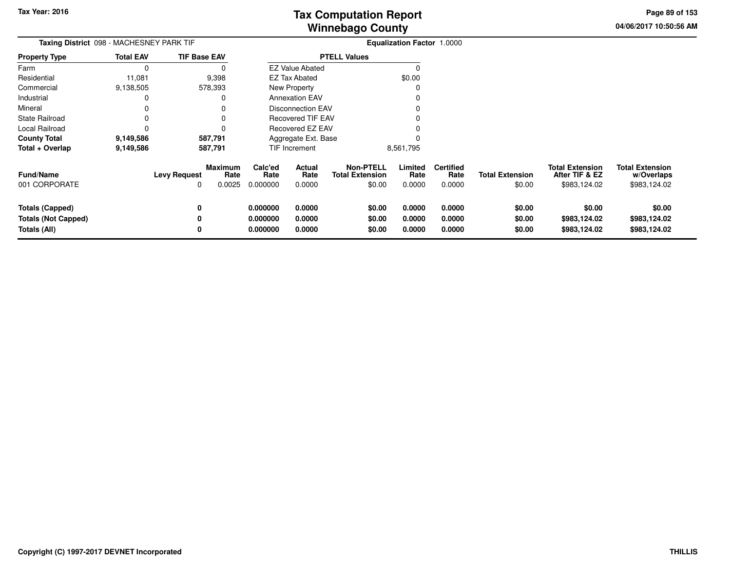**04/06/2017 10:50:56 AMPage 89 of 153**

| Taxing District 098 - MACHESNEY PARK TIF   |                  |                          |                           | <b>Equalization Factor 1.0000</b> |                          |                                                      |                           |                                    |                                  |                                                          |                                                      |
|--------------------------------------------|------------------|--------------------------|---------------------------|-----------------------------------|--------------------------|------------------------------------------------------|---------------------------|------------------------------------|----------------------------------|----------------------------------------------------------|------------------------------------------------------|
| <b>Property Type</b>                       | <b>Total EAV</b> | <b>TIF Base EAV</b>      |                           |                                   |                          | <b>PTELL Values</b>                                  |                           |                                    |                                  |                                                          |                                                      |
| Farm                                       |                  |                          |                           |                                   | <b>EZ Value Abated</b>   |                                                      |                           |                                    |                                  |                                                          |                                                      |
| Residential                                | 11,081           | 9,398                    |                           |                                   | EZ Tax Abated            |                                                      | \$0.00                    |                                    |                                  |                                                          |                                                      |
| Commercial                                 | 9,138,505        | 578,393                  |                           |                                   | New Property             |                                                      | C                         |                                    |                                  |                                                          |                                                      |
| Industrial                                 |                  |                          | 0                         |                                   | <b>Annexation EAV</b>    |                                                      |                           |                                    |                                  |                                                          |                                                      |
| Mineral                                    |                  |                          |                           |                                   | <b>Disconnection EAV</b> |                                                      |                           |                                    |                                  |                                                          |                                                      |
| <b>State Railroad</b>                      |                  |                          | 0                         |                                   | <b>Recovered TIF EAV</b> |                                                      |                           |                                    |                                  |                                                          |                                                      |
| Local Railroad                             |                  |                          | 0                         |                                   | <b>Recovered EZ EAV</b>  |                                                      |                           |                                    |                                  |                                                          |                                                      |
| <b>County Total</b>                        | 9,149,586        | 587,791                  |                           |                                   | Aggregate Ext. Base      |                                                      |                           |                                    |                                  |                                                          |                                                      |
| Total + Overlap                            | 9,149,586        | 587,791                  |                           |                                   | TIF Increment            |                                                      | 8,561,795                 |                                    |                                  |                                                          |                                                      |
| <b>Fund/Name</b><br>001 CORPORATE          |                  | <b>Levy Request</b><br>0 | Maximum<br>Rate<br>0.0025 | Calc'ed<br>Rate<br>0.000000       | Actual<br>Rate<br>0.0000 | <b>Non-PTELL</b><br><b>Total Extension</b><br>\$0.00 | Limited<br>Rate<br>0.0000 | <b>Certified</b><br>Rate<br>0.0000 | <b>Total Extension</b><br>\$0.00 | <b>Total Extension</b><br>After TIF & EZ<br>\$983,124.02 | <b>Total Extension</b><br>w/Overlaps<br>\$983,124.02 |
| <b>Totals (Capped)</b>                     |                  | 0                        |                           | 0.000000                          | 0.0000                   | \$0.00                                               | 0.0000                    | 0.0000                             | \$0.00                           | \$0.00                                                   | \$0.00                                               |
| <b>Totals (Not Capped)</b><br>Totals (All) |                  | 0<br>0                   |                           | 0.000000<br>0.000000              | 0.0000<br>0.0000         | \$0.00<br>\$0.00                                     | 0.0000<br>0.0000          | 0.0000<br>0.0000                   | \$0.00<br>\$0.00                 | \$983,124.02<br>\$983,124.02                             | \$983,124.02<br>\$983,124.02                         |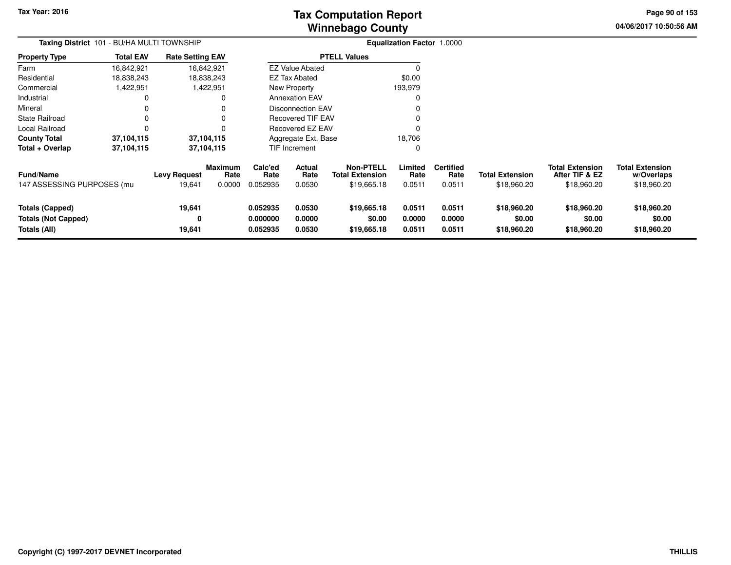# **Winnebago CountyTax Computation Report Tax**

**04/06/2017 10:50:56 AMPage 90 of 153**

| Taxing District 101 - BU/HA MULTI TOWNSHIP                           |                  |                               |                                  | <b>Equalization Factor 1.0000</b> |                                 |                                                           |                            |                                    |                                       |                                                         |                                                     |
|----------------------------------------------------------------------|------------------|-------------------------------|----------------------------------|-----------------------------------|---------------------------------|-----------------------------------------------------------|----------------------------|------------------------------------|---------------------------------------|---------------------------------------------------------|-----------------------------------------------------|
| <b>Property Type</b>                                                 | <b>Total EAV</b> | <b>Rate Setting EAV</b>       |                                  |                                   |                                 | <b>PTELL Values</b>                                       |                            |                                    |                                       |                                                         |                                                     |
| Farm                                                                 | 16,842,921       |                               | 16,842,921                       |                                   | <b>EZ Value Abated</b>          |                                                           | $\Omega$                   |                                    |                                       |                                                         |                                                     |
| Residential                                                          | 18,838,243       |                               | 18,838,243                       |                                   | <b>EZ Tax Abated</b>            |                                                           | \$0.00                     |                                    |                                       |                                                         |                                                     |
| Commercial                                                           | 1,422,951        |                               | 1,422,951                        |                                   | New Property                    |                                                           | 193,979                    |                                    |                                       |                                                         |                                                     |
| Industrial                                                           |                  |                               |                                  |                                   | <b>Annexation EAV</b>           |                                                           | 0                          |                                    |                                       |                                                         |                                                     |
| Mineral                                                              |                  |                               |                                  |                                   | <b>Disconnection EAV</b>        |                                                           | 0                          |                                    |                                       |                                                         |                                                     |
| State Railroad                                                       |                  |                               |                                  |                                   | <b>Recovered TIF EAV</b>        |                                                           | 0                          |                                    |                                       |                                                         |                                                     |
| Local Railroad                                                       |                  |                               |                                  |                                   | Recovered EZ EAV                |                                                           | 0                          |                                    |                                       |                                                         |                                                     |
| <b>County Total</b>                                                  | 37,104,115       |                               | 37,104,115                       |                                   | Aggregate Ext. Base             |                                                           | 18,706                     |                                    |                                       |                                                         |                                                     |
| Total + Overlap                                                      | 37,104,115       |                               | 37,104,115                       |                                   | TIF Increment                   | 0                                                         |                            |                                    |                                       |                                                         |                                                     |
| Fund/Name<br>147 ASSESSING PURPOSES (mu                              |                  | <b>Levy Request</b><br>19,641 | <b>Maximum</b><br>Rate<br>0.0000 | Calc'ed<br>Rate<br>0.052935       | <b>Actual</b><br>Rate<br>0.0530 | <b>Non-PTELL</b><br><b>Total Extension</b><br>\$19,665.18 | Limited<br>Rate<br>0.0511  | <b>Certified</b><br>Rate<br>0.0511 | <b>Total Extension</b><br>\$18,960.20 | <b>Total Extension</b><br>After TIF & EZ<br>\$18,960.20 | <b>Total Extension</b><br>w/Overlaps<br>\$18,960.20 |
| <b>Totals (Capped)</b><br><b>Totals (Not Capped)</b><br>Totals (All) |                  | 19,641<br>0<br>19,641         |                                  | 0.052935<br>0.000000<br>0.052935  | 0.0530<br>0.0000<br>0.0530      | \$19,665.18<br>\$0.00<br>\$19,665.18                      | 0.0511<br>0.0000<br>0.0511 | 0.0511<br>0.0000<br>0.0511         | \$18,960.20<br>\$0.00<br>\$18,960.20  | \$18,960.20<br>\$0.00<br>\$18,960.20                    | \$18,960.20<br>\$0.00<br>\$18,960.20                |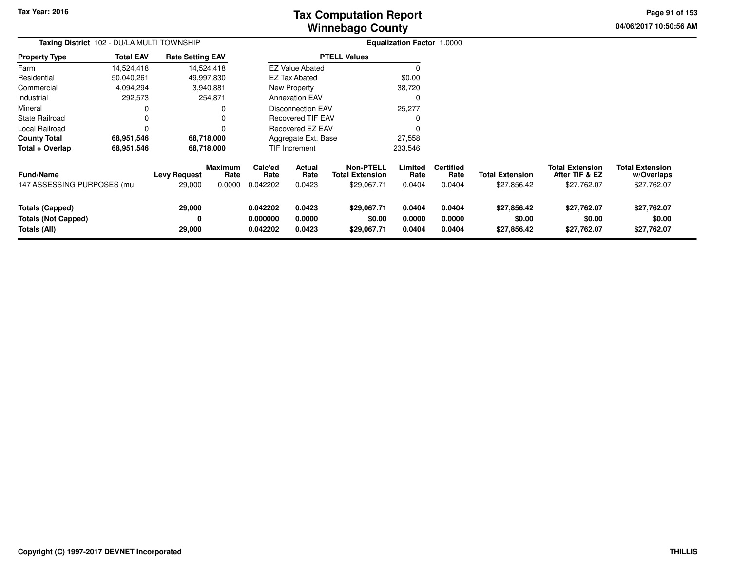# **Winnebago CountyTax Computation Report**

**04/06/2017 10:50:56 AM Page 91 of 153**

| Taxing District 102 - DU/LA MULTI TOWNSHIP                           |                  |                               |                                  | Equalization Factor 1.0000       |                                 |                                                    |                            |                                    |                                       |                                                         |                                                     |
|----------------------------------------------------------------------|------------------|-------------------------------|----------------------------------|----------------------------------|---------------------------------|----------------------------------------------------|----------------------------|------------------------------------|---------------------------------------|---------------------------------------------------------|-----------------------------------------------------|
| <b>Property Type</b>                                                 | <b>Total EAV</b> | <b>Rate Setting EAV</b>       |                                  |                                  |                                 | <b>PTELL Values</b>                                |                            |                                    |                                       |                                                         |                                                     |
| Farm                                                                 | 14,524,418       |                               | 14,524,418                       |                                  | <b>EZ Value Abated</b>          |                                                    |                            |                                    |                                       |                                                         |                                                     |
| Residential                                                          | 50,040,261       |                               | 49,997,830                       |                                  | EZ Tax Abated                   |                                                    | \$0.00                     |                                    |                                       |                                                         |                                                     |
| Commercial                                                           | 4,094,294        |                               | 3,940,881                        |                                  | New Property                    |                                                    | 38,720                     |                                    |                                       |                                                         |                                                     |
| Industrial                                                           | 292,573          |                               | 254,871                          |                                  | <b>Annexation EAV</b>           |                                                    | 0                          |                                    |                                       |                                                         |                                                     |
| Mineral                                                              |                  |                               | 0                                |                                  | Disconnection EAV               |                                                    | 25,277                     |                                    |                                       |                                                         |                                                     |
| <b>State Railroad</b>                                                |                  |                               | 0                                |                                  | <b>Recovered TIF EAV</b>        |                                                    | 0                          |                                    |                                       |                                                         |                                                     |
| Local Railroad                                                       |                  |                               | 0                                |                                  | Recovered EZ EAV                |                                                    |                            |                                    |                                       |                                                         |                                                     |
| <b>County Total</b>                                                  | 68,951,546       |                               | 68,718,000                       |                                  | Aggregate Ext. Base             |                                                    | 27,558                     |                                    |                                       |                                                         |                                                     |
| Total + Overlap                                                      | 68,951,546       |                               | 68,718,000                       |                                  | <b>TIF Increment</b><br>233,546 |                                                    |                            |                                    |                                       |                                                         |                                                     |
| <b>Fund/Name</b><br>147 ASSESSING PURPOSES (mu                       |                  | <b>Levy Request</b><br>29,000 | <b>Maximum</b><br>Rate<br>0.0000 | Calc'ed<br>Rate<br>0.042202      | <b>Actual</b><br>Rate<br>0.0423 | Non-PTELL<br><b>Total Extension</b><br>\$29,067.71 | Limited<br>Rate<br>0.0404  | <b>Certified</b><br>Rate<br>0.0404 | <b>Total Extension</b><br>\$27,856.42 | <b>Total Extension</b><br>After TIF & EZ<br>\$27,762.07 | <b>Total Extension</b><br>w/Overlaps<br>\$27,762.07 |
| <b>Totals (Capped)</b><br><b>Totals (Not Capped)</b><br>Totals (All) |                  | 29,000<br>0<br>29,000         |                                  | 0.042202<br>0.000000<br>0.042202 | 0.0423<br>0.0000<br>0.0423      | \$29,067.71<br>\$0.00<br>\$29,067.71               | 0.0404<br>0.0000<br>0.0404 | 0.0404<br>0.0000<br>0.0404         | \$27,856.42<br>\$0.00<br>\$27,856.42  | \$27,762.07<br>\$0.00<br>\$27,762.07                    | \$27,762.07<br>\$0.00<br>\$27,762.07                |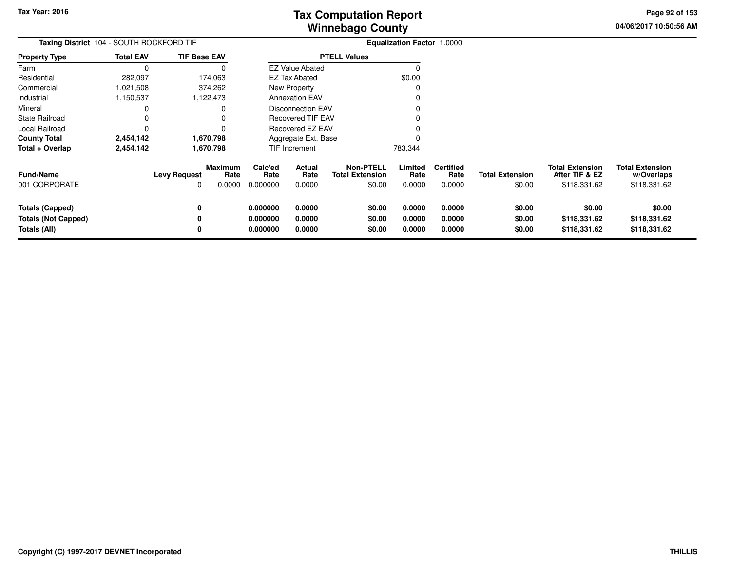**04/06/2017 10:50:56 AMPage 92 of 153**

| Taxing District 104 - SOUTH ROCKFORD TIF                             |                  |                          |                                  |                                  | Equalization Factor 1.0000 |                                                      |                            |                                    |                                  |                                                          |                                                      |
|----------------------------------------------------------------------|------------------|--------------------------|----------------------------------|----------------------------------|----------------------------|------------------------------------------------------|----------------------------|------------------------------------|----------------------------------|----------------------------------------------------------|------------------------------------------------------|
| <b>Property Type</b>                                                 | <b>Total EAV</b> | <b>TIF Base EAV</b>      |                                  |                                  |                            | <b>PTELL Values</b>                                  |                            |                                    |                                  |                                                          |                                                      |
| Farm                                                                 | C                |                          | 0                                |                                  | <b>EZ Value Abated</b>     |                                                      | 0                          |                                    |                                  |                                                          |                                                      |
| Residential                                                          | 282,097          |                          | 174,063                          |                                  | EZ Tax Abated              |                                                      | \$0.00                     |                                    |                                  |                                                          |                                                      |
| Commercial                                                           | 1,021,508        |                          | 374,262                          |                                  | New Property               |                                                      | 0                          |                                    |                                  |                                                          |                                                      |
| Industrial                                                           | 1,150,537        |                          | 1,122,473                        |                                  | <b>Annexation EAV</b>      |                                                      |                            |                                    |                                  |                                                          |                                                      |
| Mineral                                                              | 0                |                          | 0                                |                                  | <b>Disconnection EAV</b>   |                                                      |                            |                                    |                                  |                                                          |                                                      |
| <b>State Railroad</b>                                                | 0                |                          | 0                                |                                  | Recovered TIF EAV          |                                                      |                            |                                    |                                  |                                                          |                                                      |
| Local Railroad                                                       | $\Omega$         |                          | 0                                |                                  | <b>Recovered EZ EAV</b>    |                                                      |                            |                                    |                                  |                                                          |                                                      |
| <b>County Total</b>                                                  | 2,454,142        |                          | 1,670,798                        |                                  | Aggregate Ext. Base        |                                                      | O                          |                                    |                                  |                                                          |                                                      |
| Total + Overlap                                                      | 2,454,142        |                          | 1,670,798                        |                                  | TIF Increment              |                                                      | 783,344                    |                                    |                                  |                                                          |                                                      |
| Fund/Name<br>001 CORPORATE                                           |                  | <b>Levy Request</b><br>0 | <b>Maximum</b><br>Rate<br>0.0000 | Calc'ed<br>Rate<br>0.000000      | Actual<br>Rate<br>0.0000   | <b>Non-PTELL</b><br><b>Total Extension</b><br>\$0.00 | Limited<br>Rate<br>0.0000  | <b>Certified</b><br>Rate<br>0.0000 | <b>Total Extension</b><br>\$0.00 | <b>Total Extension</b><br>After TIF & EZ<br>\$118,331.62 | <b>Total Extension</b><br>w/Overlaps<br>\$118,331.62 |
| <b>Totals (Capped)</b><br><b>Totals (Not Capped)</b><br>Totals (All) |                  | 0<br>0<br>0              |                                  | 0.000000<br>0.000000<br>0.000000 | 0.0000<br>0.0000<br>0.0000 | \$0.00<br>\$0.00<br>\$0.00                           | 0.0000<br>0.0000<br>0.0000 | 0.0000<br>0.0000<br>0.0000         | \$0.00<br>\$0.00<br>\$0.00       | \$0.00<br>\$118,331.62<br>\$118,331.62                   | \$0.00<br>\$118,331.62<br>\$118,331.62               |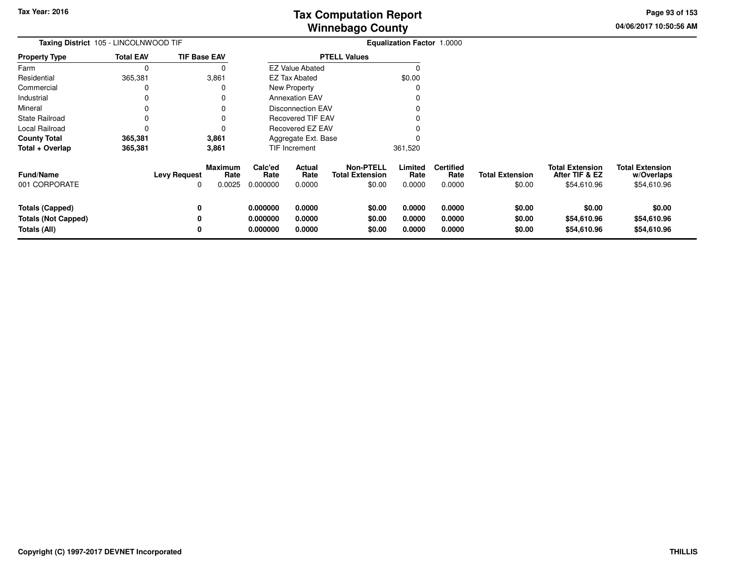**04/06/2017 10:50:56 AMPage 93 of 153**

| <b>Taxing District</b> 105 - LINCOLNWOOD TIF                         |                  |                                 |                                  | <b>Equalization Factor 1.0000</b> |                            |                                                      |                            |                                    |                                  |                                                         |                                                     |
|----------------------------------------------------------------------|------------------|---------------------------------|----------------------------------|-----------------------------------|----------------------------|------------------------------------------------------|----------------------------|------------------------------------|----------------------------------|---------------------------------------------------------|-----------------------------------------------------|
| <b>Property Type</b>                                                 | <b>Total EAV</b> | <b>TIF Base EAV</b>             |                                  |                                   |                            | <b>PTELL Values</b>                                  |                            |                                    |                                  |                                                         |                                                     |
| Farm                                                                 | 0                |                                 |                                  |                                   | <b>EZ Value Abated</b>     |                                                      |                            |                                    |                                  |                                                         |                                                     |
| Residential                                                          | 365,381          |                                 | 3,861                            |                                   | <b>EZ Tax Abated</b>       |                                                      | \$0.00                     |                                    |                                  |                                                         |                                                     |
| Commercial                                                           | 0                |                                 |                                  |                                   | New Property               |                                                      |                            |                                    |                                  |                                                         |                                                     |
| Industrial                                                           | 0                |                                 |                                  |                                   | <b>Annexation EAV</b>      |                                                      |                            |                                    |                                  |                                                         |                                                     |
| Mineral                                                              |                  |                                 |                                  |                                   | <b>Disconnection EAV</b>   |                                                      |                            |                                    |                                  |                                                         |                                                     |
| <b>State Railroad</b>                                                | $\Omega$         |                                 |                                  |                                   | <b>Recovered TIF EAV</b>   |                                                      |                            |                                    |                                  |                                                         |                                                     |
| Local Railroad                                                       | $\Omega$         |                                 |                                  |                                   | Recovered EZ EAV           |                                                      |                            |                                    |                                  |                                                         |                                                     |
| <b>County Total</b>                                                  | 365,381          |                                 | 3,861                            |                                   | Aggregate Ext. Base        |                                                      |                            |                                    |                                  |                                                         |                                                     |
| Total + Overlap                                                      | 365,381          |                                 | 3,861                            |                                   | TIF Increment              |                                                      | 361,520                    |                                    |                                  |                                                         |                                                     |
| <b>Fund/Name</b><br>001 CORPORATE                                    |                  | <b>Levy Request</b><br>$\Omega$ | <b>Maximum</b><br>Rate<br>0.0025 | Calc'ed<br>Rate<br>0.000000       | Actual<br>Rate<br>0.0000   | <b>Non-PTELL</b><br><b>Total Extension</b><br>\$0.00 | Limited<br>Rate<br>0.0000  | <b>Certified</b><br>Rate<br>0.0000 | <b>Total Extension</b><br>\$0.00 | <b>Total Extension</b><br>After TIF & EZ<br>\$54,610.96 | <b>Total Extension</b><br>w/Overlaps<br>\$54,610.96 |
| <b>Totals (Capped)</b><br><b>Totals (Not Capped)</b><br>Totals (All) |                  | 0<br>0<br>0                     |                                  | 0.000000<br>0.000000<br>0.000000  | 0.0000<br>0.0000<br>0.0000 | \$0.00<br>\$0.00<br>\$0.00                           | 0.0000<br>0.0000<br>0.0000 | 0.0000<br>0.0000<br>0.0000         | \$0.00<br>\$0.00<br>\$0.00       | \$0.00<br>\$54,610.96<br>\$54,610.96                    | \$0.00<br>\$54,610.96<br>\$54,610.96                |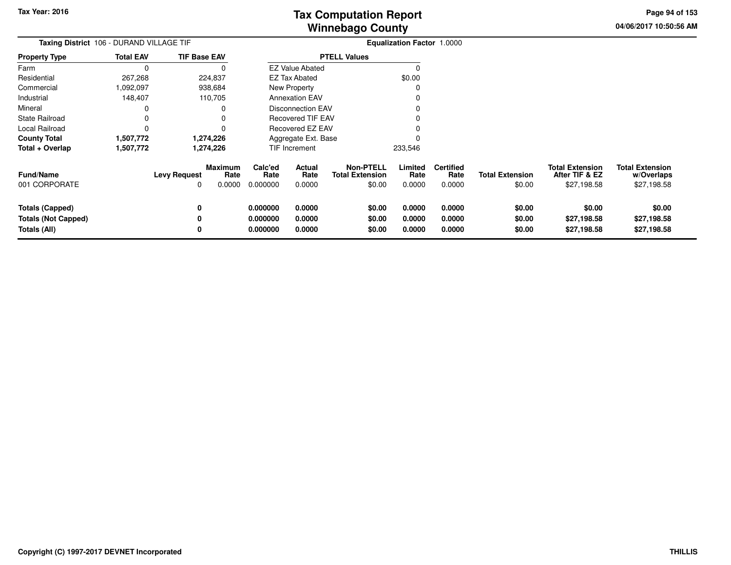**04/06/2017 10:50:56 AMPage 94 of 153**

| Taxing District 106 - DURAND VILLAGE TIF                                    |                  |                          |                                  |                                  |                            |                                                      | Equalization Factor 1.0000 |                                    |                                  |                                                         |                                                     |
|-----------------------------------------------------------------------------|------------------|--------------------------|----------------------------------|----------------------------------|----------------------------|------------------------------------------------------|----------------------------|------------------------------------|----------------------------------|---------------------------------------------------------|-----------------------------------------------------|
| <b>Property Type</b>                                                        | <b>Total EAV</b> | <b>TIF Base EAV</b>      |                                  |                                  |                            | <b>PTELL Values</b>                                  |                            |                                    |                                  |                                                         |                                                     |
| Farm                                                                        | $\Omega$         |                          |                                  |                                  | <b>EZ Value Abated</b>     |                                                      |                            |                                    |                                  |                                                         |                                                     |
| Residential                                                                 | 267,268          |                          | 224,837                          |                                  | <b>EZ Tax Abated</b>       |                                                      | \$0.00                     |                                    |                                  |                                                         |                                                     |
| Commercial                                                                  | 1,092,097        |                          | 938,684                          |                                  | New Property               |                                                      |                            |                                    |                                  |                                                         |                                                     |
| Industrial                                                                  | 148,407          |                          | 110,705                          |                                  | <b>Annexation EAV</b>      |                                                      |                            |                                    |                                  |                                                         |                                                     |
| Mineral                                                                     |                  |                          |                                  |                                  | <b>Disconnection EAV</b>   |                                                      |                            |                                    |                                  |                                                         |                                                     |
| <b>State Railroad</b>                                                       |                  |                          |                                  |                                  | <b>Recovered TIF EAV</b>   |                                                      |                            |                                    |                                  |                                                         |                                                     |
| Local Railroad                                                              | 0                |                          |                                  |                                  | Recovered EZ EAV           |                                                      |                            |                                    |                                  |                                                         |                                                     |
| <b>County Total</b>                                                         | 1,507,772        |                          | 1,274,226                        |                                  | Aggregate Ext. Base        |                                                      |                            |                                    |                                  |                                                         |                                                     |
| Total + Overlap                                                             | 1,507,772        |                          | 1,274,226                        |                                  | <b>TIF Increment</b>       |                                                      | 233,546                    |                                    |                                  |                                                         |                                                     |
| <b>Fund/Name</b><br>001 CORPORATE                                           |                  | <b>Levy Request</b><br>0 | <b>Maximum</b><br>Rate<br>0.0000 | Calc'ed<br>Rate<br>0.000000      | Actual<br>Rate<br>0.0000   | <b>Non-PTELL</b><br><b>Total Extension</b><br>\$0.00 | Limited<br>Rate<br>0.0000  | <b>Certified</b><br>Rate<br>0.0000 | <b>Total Extension</b><br>\$0.00 | <b>Total Extension</b><br>After TIF & EZ<br>\$27,198.58 | <b>Total Extension</b><br>w/Overlaps<br>\$27,198.58 |
| <b>Totals (Capped)</b><br><b>Totals (Not Capped)</b><br><b>Totals (All)</b> |                  | 0<br>0<br>0              |                                  | 0.000000<br>0.000000<br>0.000000 | 0.0000<br>0.0000<br>0.0000 | \$0.00<br>\$0.00<br>\$0.00                           | 0.0000<br>0.0000<br>0.0000 | 0.0000<br>0.0000<br>0.0000         | \$0.00<br>\$0.00<br>\$0.00       | \$0.00<br>\$27,198.58<br>\$27,198.58                    | \$0.00<br>\$27,198.58<br>\$27,198.58                |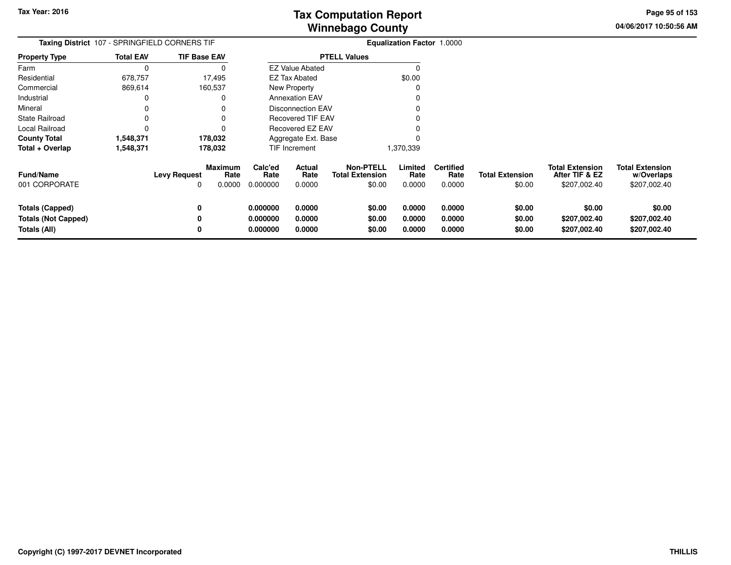**04/06/2017 10:50:56 AMPage 95 of 153**

| Taxing District 107 - SPRINGFIELD CORNERS TIF                        |                  |                                                              |                                  | <b>Equalization Factor 1.0000</b> |                                                      |                            |                                    |                                  |                                                          |                                                      |
|----------------------------------------------------------------------|------------------|--------------------------------------------------------------|----------------------------------|-----------------------------------|------------------------------------------------------|----------------------------|------------------------------------|----------------------------------|----------------------------------------------------------|------------------------------------------------------|
| <b>Property Type</b>                                                 | <b>Total EAV</b> | <b>TIF Base EAV</b>                                          |                                  |                                   | <b>PTELL Values</b>                                  |                            |                                    |                                  |                                                          |                                                      |
| Farm                                                                 |                  |                                                              |                                  | <b>EZ Value Abated</b>            |                                                      |                            |                                    |                                  |                                                          |                                                      |
| Residential                                                          | 678,757          | 17,495                                                       |                                  | <b>EZ Tax Abated</b>              |                                                      | \$0.00                     |                                    |                                  |                                                          |                                                      |
| Commercial                                                           | 869,614          | 160,537                                                      |                                  | New Property                      |                                                      |                            |                                    |                                  |                                                          |                                                      |
| Industrial                                                           |                  | 0                                                            |                                  | <b>Annexation EAV</b>             |                                                      |                            |                                    |                                  |                                                          |                                                      |
| Mineral                                                              |                  |                                                              |                                  | <b>Disconnection EAV</b>          |                                                      |                            |                                    |                                  |                                                          |                                                      |
| <b>State Railroad</b>                                                |                  |                                                              |                                  | Recovered TIF EAV                 |                                                      |                            |                                    |                                  |                                                          |                                                      |
| Local Railroad                                                       |                  |                                                              |                                  | <b>Recovered EZ EAV</b>           |                                                      |                            |                                    |                                  |                                                          |                                                      |
| <b>County Total</b>                                                  | 1,548,371        | 178,032                                                      |                                  | Aggregate Ext. Base               |                                                      |                            |                                    |                                  |                                                          |                                                      |
| Total + Overlap                                                      | 1,548,371        | 178,032                                                      |                                  | TIF Increment                     |                                                      | 1,370,339                  |                                    |                                  |                                                          |                                                      |
| Fund/Name<br>001 CORPORATE                                           |                  | <b>Maximum</b><br><b>Levy Request</b><br>Rate<br>0.0000<br>0 | Calc'ed<br>Rate<br>0.000000      | <b>Actual</b><br>Rate<br>0.0000   | <b>Non-PTELL</b><br><b>Total Extension</b><br>\$0.00 | Limited<br>Rate<br>0.0000  | <b>Certified</b><br>Rate<br>0.0000 | <b>Total Extension</b><br>\$0.00 | <b>Total Extension</b><br>After TIF & EZ<br>\$207,002.40 | <b>Total Extension</b><br>w/Overlaps<br>\$207,002.40 |
| <b>Totals (Capped)</b><br><b>Totals (Not Capped)</b><br>Totals (All) |                  | 0<br>0<br>0                                                  | 0.000000<br>0.000000<br>0.000000 | 0.0000<br>0.0000<br>0.0000        | \$0.00<br>\$0.00<br>\$0.00                           | 0.0000<br>0.0000<br>0.0000 | 0.0000<br>0.0000<br>0.0000         | \$0.00<br>\$0.00<br>\$0.00       | \$0.00<br>\$207,002.40<br>\$207,002.40                   | \$0.00<br>\$207,002.40<br>\$207,002.40               |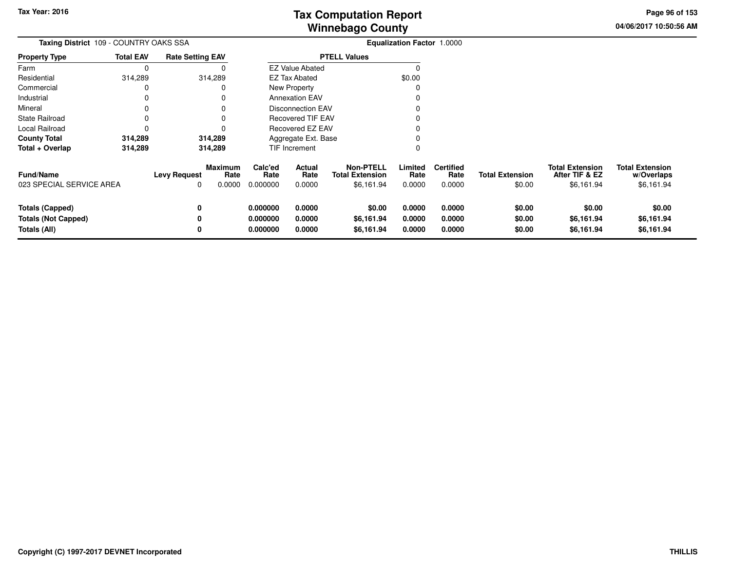**04/06/2017 10:50:56 AM Page 96 of 153**

| <b>Taxing District</b> 109 - COUNTRY OAKS SSA                        |                  |                         |                                  | <b>Equalization Factor 1.0000</b> |                                 |                                                          |                            |                                    |                                  |                                                        |                                                    |
|----------------------------------------------------------------------|------------------|-------------------------|----------------------------------|-----------------------------------|---------------------------------|----------------------------------------------------------|----------------------------|------------------------------------|----------------------------------|--------------------------------------------------------|----------------------------------------------------|
| <b>Property Type</b>                                                 | <b>Total EAV</b> | <b>Rate Setting EAV</b> |                                  |                                   |                                 | <b>PTELL Values</b>                                      |                            |                                    |                                  |                                                        |                                                    |
| Farm                                                                 | 0                |                         |                                  |                                   | <b>EZ Value Abated</b>          |                                                          | <sup>0</sup>               |                                    |                                  |                                                        |                                                    |
| Residential                                                          | 314,289          |                         | 314,289                          |                                   | <b>EZ Tax Abated</b>            |                                                          | \$0.00                     |                                    |                                  |                                                        |                                                    |
| Commercial                                                           |                  |                         |                                  |                                   | New Property                    |                                                          |                            |                                    |                                  |                                                        |                                                    |
| Industrial                                                           |                  |                         |                                  |                                   | <b>Annexation EAV</b>           |                                                          |                            |                                    |                                  |                                                        |                                                    |
| Mineral                                                              |                  |                         |                                  |                                   | Disconnection EAV               |                                                          |                            |                                    |                                  |                                                        |                                                    |
| State Railroad                                                       |                  |                         |                                  |                                   | <b>Recovered TIF EAV</b>        |                                                          |                            |                                    |                                  |                                                        |                                                    |
| Local Railroad                                                       |                  |                         |                                  |                                   | Recovered EZ EAV                |                                                          |                            |                                    |                                  |                                                        |                                                    |
| <b>County Total</b>                                                  | 314,289          |                         | 314,289                          |                                   | Aggregate Ext. Base             |                                                          |                            |                                    |                                  |                                                        |                                                    |
| Total + Overlap                                                      | 314,289          |                         | 314,289                          |                                   | <b>TIF Increment</b>            |                                                          |                            |                                    |                                  |                                                        |                                                    |
| Fund/Name<br>023 SPECIAL SERVICE AREA                                |                  | <b>Levy Request</b>     | <b>Maximum</b><br>Rate<br>0.0000 | Calc'ed<br>Rate<br>0.000000       | <b>Actual</b><br>Rate<br>0.0000 | <b>Non-PTELL</b><br><b>Total Extension</b><br>\$6,161.94 | Limited<br>Rate<br>0.0000  | <b>Certified</b><br>Rate<br>0.0000 | <b>Total Extension</b><br>\$0.00 | <b>Total Extension</b><br>After TIF & EZ<br>\$6,161.94 | <b>Total Extension</b><br>w/Overlaps<br>\$6,161.94 |
| <b>Totals (Capped)</b><br><b>Totals (Not Capped)</b><br>Totals (All) |                  | 0<br>0<br>0             |                                  | 0.000000<br>0.000000<br>0.000000  | 0.0000<br>0.0000<br>0.0000      | \$0.00<br>\$6,161.94<br>\$6,161.94                       | 0.0000<br>0.0000<br>0.0000 | 0.0000<br>0.0000<br>0.0000         | \$0.00<br>\$0.00<br>\$0.00       | \$0.00<br>\$6,161.94<br>\$6,161.94                     | \$0.00<br>\$6,161.94<br>\$6,161.94                 |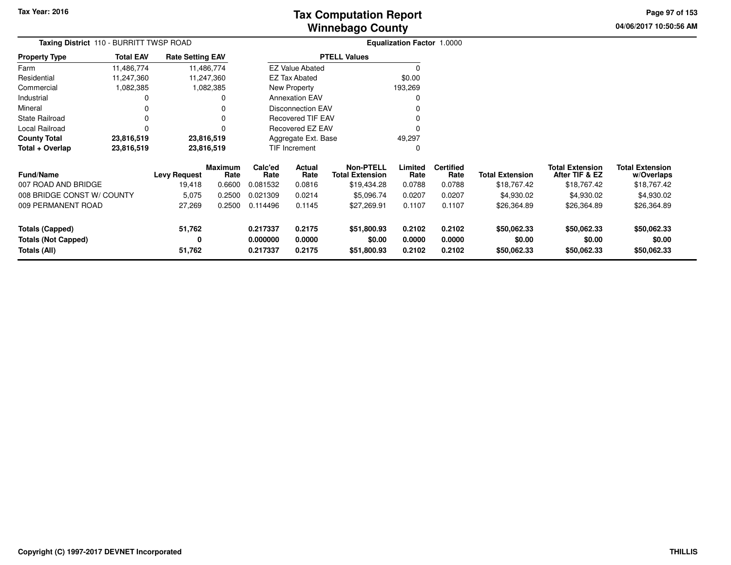**04/06/2017 10:50:56 AM Page 97 of 153**

| <b>Taxing District</b> 110 - BURRITT TWSP ROAD |                  |                         |                        |                      |                          |                                            | <b>Equalization Factor 1.0000</b> |                          |                        |                                          |                                      |
|------------------------------------------------|------------------|-------------------------|------------------------|----------------------|--------------------------|--------------------------------------------|-----------------------------------|--------------------------|------------------------|------------------------------------------|--------------------------------------|
| <b>Property Type</b>                           | <b>Total EAV</b> | <b>Rate Setting EAV</b> |                        |                      |                          | <b>PTELL Values</b>                        |                                   |                          |                        |                                          |                                      |
| Farm                                           | 11,486,774       |                         | 11,486,774             |                      | <b>EZ Value Abated</b>   |                                            |                                   |                          |                        |                                          |                                      |
| Residential                                    | 11,247,360       |                         | 11,247,360             |                      | <b>EZ Tax Abated</b>     |                                            | \$0.00                            |                          |                        |                                          |                                      |
| Commercial                                     | 1,082,385        |                         | 1,082,385              |                      | New Property             |                                            | 193,269                           |                          |                        |                                          |                                      |
| Industrial                                     |                  |                         | 0                      |                      | <b>Annexation EAV</b>    |                                            | 0                                 |                          |                        |                                          |                                      |
| Mineral                                        |                  |                         |                        |                      | <b>Disconnection EAV</b> |                                            |                                   |                          |                        |                                          |                                      |
| State Railroad                                 |                  |                         |                        |                      | <b>Recovered TIF EAV</b> |                                            |                                   |                          |                        |                                          |                                      |
| Local Railroad                                 |                  |                         |                        |                      | <b>Recovered EZ EAV</b>  |                                            |                                   |                          |                        |                                          |                                      |
| County Total                                   | 23,816,519       |                         | 23,816,519             |                      | Aggregate Ext. Base      |                                            | 49,297                            |                          |                        |                                          |                                      |
| Total + Overlap                                | 23,816,519       |                         | 23,816,519             |                      | TIF Increment            |                                            | 0                                 |                          |                        |                                          |                                      |
| Fund/Name                                      |                  | <b>Levy Request</b>     | <b>Maximum</b><br>Rate | Calc'ed<br>Rate      | Actual<br>Rate           | <b>Non-PTELL</b><br><b>Total Extension</b> | Limited<br>Rate                   | <b>Certified</b><br>Rate | <b>Total Extension</b> | <b>Total Extension</b><br>After TIF & EZ | <b>Total Extension</b><br>w/Overlaps |
| 007 ROAD AND BRIDGE                            |                  | 19,418                  | 0.6600                 | 0.081532             | 0.0816                   | \$19,434.28                                | 0.0788                            | 0.0788                   | \$18,767.42            | \$18,767.42                              | \$18,767.42                          |
| 008 BRIDGE CONST W/ COUNTY                     |                  | 5,075                   | 0.2500                 | 0.021309             | 0.0214                   | \$5,096.74                                 | 0.0207                            | 0.0207                   | \$4,930.02             | \$4,930.02                               | \$4,930.02                           |
| 009 PERMANENT ROAD                             |                  | 27,269                  | 0.2500                 | 0.114496             | 0.1145                   | \$27,269.91                                | 0.1107                            | 0.1107                   | \$26,364.89            | \$26,364.89                              | \$26,364.89                          |
| Totals (Capped)                                |                  | 51,762                  |                        | 0.217337             | 0.2175                   | \$51,800.93                                | 0.2102                            | 0.2102                   | \$50,062.33            | \$50,062.33                              | \$50,062.33                          |
| Totals (Not Capped)<br>Totals (All)            |                  | 0<br>51,762             |                        | 0.000000<br>0.217337 | 0.0000<br>0.2175         | \$0.00<br>\$51,800.93                      | 0.0000<br>0.2102                  | 0.0000<br>0.2102         | \$0.00<br>\$50,062.33  | \$0.00<br>\$50,062.33                    | \$0.00<br>\$50,062.33                |
|                                                |                  |                         |                        |                      |                          |                                            |                                   |                          |                        |                                          |                                      |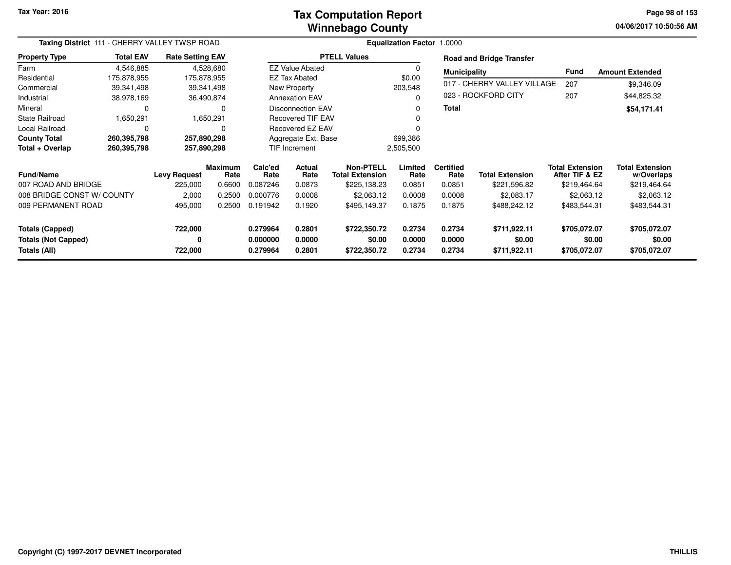#### **Winnebago CountyTax Computation Report**

**04/06/2017 10:50:56 AM Page 98 of 153**

| Taxing District 111 - CHERRY VALLEY TWSP ROAD                                  |                  |                                |                                  |                                  |                                                    |                                        | Equalization Factor 1.0000 |                                    |                                        |                                                          |                                                      |
|--------------------------------------------------------------------------------|------------------|--------------------------------|----------------------------------|----------------------------------|----------------------------------------------------|----------------------------------------|----------------------------|------------------------------------|----------------------------------------|----------------------------------------------------------|------------------------------------------------------|
| <b>Property Type</b>                                                           | <b>Total EAV</b> | <b>Rate Setting EAV</b>        |                                  |                                  |                                                    | <b>PTELL Values</b>                    |                            |                                    | <b>Road and Bridge Transfer</b>        |                                                          |                                                      |
| Farm                                                                           | 4,546,885        |                                | 4,528,680                        |                                  | <b>EZ Value Abated</b>                             |                                        | $\Omega$                   | <b>Municipality</b>                |                                        | Fund                                                     | <b>Amount Extended</b>                               |
| Residential                                                                    | 175,878,955      | 175,878,955                    |                                  |                                  | <b>EZ Tax Abated</b>                               |                                        | \$0.00                     |                                    |                                        |                                                          |                                                      |
| Commercial                                                                     | 39,341,498       |                                | 39,341,498                       |                                  | New Property                                       |                                        | 203,548                    |                                    | 017 - CHERRY VALLEY VILLAGE            | 207                                                      | \$9,346.09                                           |
| Industrial                                                                     | 38,978,169       |                                | 36,490,874                       |                                  | <b>Annexation EAV</b>                              |                                        | $\Omega$                   |                                    | 023 - ROCKFORD CITY                    | 207                                                      | \$44,825.32                                          |
| Mineral                                                                        | 0                |                                | 0                                |                                  | <b>Disconnection EAV</b>                           |                                        | 0                          | <b>Total</b>                       |                                        |                                                          | \$54,171.41                                          |
| <b>State Railroad</b>                                                          | 1,650,291        |                                | 1,650,291                        |                                  | <b>Recovered TIF EAV</b>                           |                                        |                            |                                    |                                        |                                                          |                                                      |
| Local Railroad                                                                 | $\Omega$         |                                |                                  |                                  | <b>Recovered EZ EAV</b>                            |                                        |                            |                                    |                                        |                                                          |                                                      |
| <b>County Total</b>                                                            | 260,395,798      | 257,890,298                    |                                  |                                  | Aggregate Ext. Base                                |                                        | 699,386                    |                                    |                                        |                                                          |                                                      |
| Total + Overlap                                                                | 260,395,798      | 257,890,298                    |                                  | <b>TIF Increment</b>             |                                                    |                                        | 2,505,500                  |                                    |                                        |                                                          |                                                      |
| <b>Fund/Name</b><br>007 ROAD AND BRIDGE                                        |                  | <b>Levy Request</b><br>225,000 | <b>Maximum</b><br>Rate<br>0.6600 | Calc'ed<br>Rate<br>0.087246      | Actual<br><b>Total Extension</b><br>Rate<br>0.0873 |                                        | Limited<br>Rate<br>0.0851  | <b>Certified</b><br>Rate<br>0.0851 | <b>Total Extension</b><br>\$221,596.82 | <b>Total Extension</b><br>After TIF & EZ<br>\$219,464.64 | <b>Total Extension</b><br>w/Overlaps<br>\$219,464.64 |
|                                                                                |                  |                                |                                  | 0.000776                         | 0.0008                                             | \$225,138.23<br>\$2,063.12             | 0.0008                     | 0.0008                             | \$2,083.17                             | \$2,063.12                                               | \$2,063.12                                           |
| 008 BRIDGE CONST W/ COUNTY<br>2,000<br>0.2500<br>009 PERMANENT ROAD<br>495,000 |                  | 0.2500                         | 0.191942                         | 0.1920                           | \$495,149.37                                       | 0.1875                                 | 0.1875                     | \$488,242.12                       | \$483,544.31                           | \$483,544.31                                             |                                                      |
| <b>Totals (Capped)</b><br><b>Totals (Not Capped)</b><br>Totals (All)           |                  | 722,000<br>0<br>722,000        |                                  | 0.279964<br>0.000000<br>0.279964 | 0.2801<br>0.0000<br>0.2801                         | \$722,350.72<br>\$0.00<br>\$722,350.72 | 0.2734<br>0.0000<br>0.2734 | 0.2734<br>0.0000<br>0.2734         | \$711,922.11<br>\$0.00<br>\$711,922.11 | \$705,072.07<br>\$0.00<br>\$705,072.07                   | \$705,072.07<br>\$0.00<br>\$705,072.07               |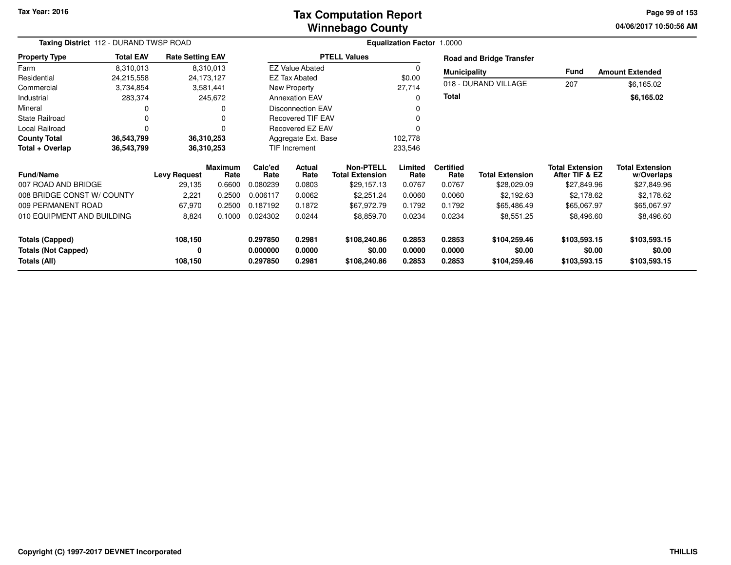#### **Winnebago CountyTax Computation Report**

**04/06/2017 10:50:56 AM Page 99 of 153**

| Taxing District 112 - DURAND TWSP ROAD     |                                     |                         |                        | <b>Equalization Factor 1.0000</b>        |                          |                                            |                  |                          |                                 |                                          |                                      |
|--------------------------------------------|-------------------------------------|-------------------------|------------------------|------------------------------------------|--------------------------|--------------------------------------------|------------------|--------------------------|---------------------------------|------------------------------------------|--------------------------------------|
| <b>Property Type</b>                       | <b>Total EAV</b>                    | <b>Rate Setting EAV</b> |                        |                                          |                          | <b>PTELL Values</b>                        |                  |                          | <b>Road and Bridge Transfer</b> |                                          |                                      |
| Farm                                       | 8,310,013                           |                         | 8,310,013              |                                          | <b>EZ Value Abated</b>   |                                            |                  | <b>Municipality</b>      |                                 | Fund                                     | <b>Amount Extended</b>               |
| Residential                                | 24,215,558                          |                         | 24,173,127             |                                          | <b>EZ Tax Abated</b>     |                                            | \$0.00           |                          |                                 |                                          |                                      |
| Commercial                                 | 3,734,854                           |                         | 3,581,441              |                                          | New Property             |                                            | 27,714           |                          | 018 - DURAND VILLAGE            | 207                                      | \$6,165.02                           |
| Industrial                                 | 283,374                             |                         | 245,672                |                                          | <b>Annexation EAV</b>    |                                            |                  | <b>Total</b>             |                                 |                                          | \$6,165.02                           |
| Mineral                                    | 0                                   |                         |                        |                                          | <b>Disconnection EAV</b> |                                            |                  |                          |                                 |                                          |                                      |
| <b>State Railroad</b>                      | 0                                   |                         | $\Omega$               |                                          | <b>Recovered TIF EAV</b> |                                            |                  |                          |                                 |                                          |                                      |
| Local Railroad                             | $\mathbf 0$                         |                         |                        |                                          | Recovered EZ EAV         |                                            |                  |                          |                                 |                                          |                                      |
| <b>County Total</b>                        | 36,543,799                          |                         | 36,310,253             |                                          | Aggregate Ext. Base      |                                            | 102,778          |                          |                                 |                                          |                                      |
| Total + Overlap                            | 36,543,799                          |                         | 36,310,253             |                                          | TIF Increment            |                                            | 233,546          |                          |                                 |                                          |                                      |
| <b>Fund/Name</b>                           |                                     | <b>Levy Request</b>     | <b>Maximum</b><br>Rate | Calc'ed<br><b>Actual</b><br>Rate<br>Rate |                          | <b>Non-PTELL</b><br><b>Total Extension</b> | Limited<br>Rate  | <b>Certified</b><br>Rate | <b>Total Extension</b>          | <b>Total Extension</b><br>After TIF & EZ | <b>Total Extension</b><br>w/Overlaps |
| 007 ROAD AND BRIDGE                        |                                     | 29,135                  | 0.6600                 | 0.080239                                 | 0.0803                   | \$29,157.13                                | 0.0767           | 0.0767                   | \$28,029.09                     | \$27,849.96                              | \$27,849.96                          |
| 008 BRIDGE CONST W/ COUNTY                 |                                     | 2,221                   | 0.2500                 | 0.006117                                 | 0.0062                   | \$2,251.24                                 | 0.0060           | 0.0060                   | \$2,192.63                      | \$2,178.62                               | \$2,178.62                           |
| 009 PERMANENT ROAD                         |                                     | 67,970                  | 0.2500                 | 0.187192                                 | 0.1872                   | \$67,972.79                                | 0.1792           | 0.1792                   | \$65,486.49                     | \$65,067.97                              | \$65,067.97                          |
|                                            | 010 EQUIPMENT AND BUILDING<br>8,824 |                         | 0.1000                 | 0.024302                                 | 0.0244                   | \$8,859.70                                 | 0.0234           | 0.0234                   | \$8,551.25                      | \$8,496.60                               | \$8,496.60                           |
| <b>Totals (Capped)</b>                     |                                     | 108,150                 |                        | 0.297850                                 | 0.2981                   | \$108,240.86                               | 0.2853           | 0.2853                   | \$104,259.46                    | \$103,593.15                             | \$103,593.15                         |
| <b>Totals (Not Capped)</b><br>Totals (All) |                                     | 0<br>108,150            |                        | 0.000000<br>0.297850                     | 0.0000<br>0.2981         | \$0.00<br>\$108,240.86                     | 0.0000<br>0.2853 | 0.0000<br>0.2853         | \$0.00<br>\$104,259.46          | \$0.00<br>\$103,593.15                   | \$0.00<br>\$103,593.15               |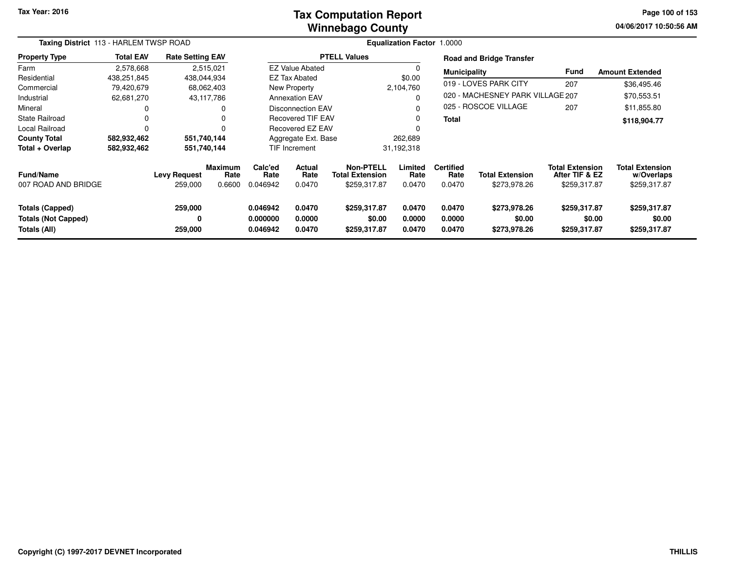#### **Winnebago CountyTax Computation Report**

**04/06/2017 10:50:56 AM Page 100 of 153**

| Taxing District 113 - HARLEM TWSP ROAD                               |                  |                                |                                  |                                  |                            |                                                            | <b>Equalization Factor 1.0000</b> |                                    |                                        |                                                          |                                                      |
|----------------------------------------------------------------------|------------------|--------------------------------|----------------------------------|----------------------------------|----------------------------|------------------------------------------------------------|-----------------------------------|------------------------------------|----------------------------------------|----------------------------------------------------------|------------------------------------------------------|
| <b>Property Type</b>                                                 | <b>Total EAV</b> | <b>Rate Setting EAV</b>        |                                  |                                  |                            | <b>PTELL Values</b>                                        |                                   |                                    | <b>Road and Bridge Transfer</b>        |                                                          |                                                      |
| Farm                                                                 | 2,578,668        | 2,515,021                      |                                  |                                  | EZ Value Abated            |                                                            | 0                                 | <b>Municipality</b>                |                                        | Fund                                                     | <b>Amount Extended</b>                               |
| Residential                                                          | 438,251,845      | 438,044,934                    |                                  |                                  | <b>EZ Tax Abated</b>       |                                                            | \$0.00                            |                                    | 019 - LOVES PARK CITY                  |                                                          |                                                      |
| Commercial                                                           | 79,420,679       | 68,062,403                     |                                  |                                  | New Property               |                                                            | 2,104,760                         |                                    |                                        | 207                                                      | \$36,495.46                                          |
| Industrial                                                           | 62,681,270       | 43,117,786                     |                                  |                                  | <b>Annexation EAV</b>      |                                                            | 0                                 |                                    | 020 - MACHESNEY PARK VILLAGE 207       |                                                          | \$70,553.51                                          |
| Mineral                                                              |                  |                                | $\Omega$                         |                                  | <b>Disconnection EAV</b>   |                                                            | 0                                 |                                    | 025 - ROSCOE VILLAGE                   | 207                                                      | \$11,855.80                                          |
| <b>State Railroad</b>                                                |                  |                                | $\Omega$                         |                                  | <b>Recovered TIF EAV</b>   |                                                            | 0                                 | <b>Total</b>                       |                                        |                                                          | \$118,904.77                                         |
| Local Railroad                                                       |                  |                                | $\Omega$                         |                                  | Recovered EZ EAV           |                                                            | 0                                 |                                    |                                        |                                                          |                                                      |
| <b>County Total</b>                                                  | 582,932,462      | 551,740,144                    |                                  |                                  | Aggregate Ext. Base        |                                                            | 262,689                           |                                    |                                        |                                                          |                                                      |
| Total + Overlap                                                      | 582,932,462      | 551,740,144                    |                                  |                                  | TIF Increment              |                                                            | 31,192,318                        |                                    |                                        |                                                          |                                                      |
| <b>Fund/Name</b><br>007 ROAD AND BRIDGE                              |                  | <b>Levy Request</b><br>259,000 | <b>Maximum</b><br>Rate<br>0.6600 | Calc'ed<br>Rate<br>0.046942      | Actual<br>Rate<br>0.0470   | <b>Non-PTELL</b><br><b>Total Extension</b><br>\$259,317.87 | Limited<br>Rate<br>0.0470         | <b>Certified</b><br>Rate<br>0.0470 | <b>Total Extension</b><br>\$273,978.26 | <b>Total Extension</b><br>After TIF & EZ<br>\$259,317.87 | <b>Total Extension</b><br>w/Overlaps<br>\$259,317.87 |
| <b>Totals (Capped)</b><br><b>Totals (Not Capped)</b><br>Totals (All) |                  | 259,000<br>0<br>259,000        |                                  | 0.046942<br>0.000000<br>0.046942 | 0.0470<br>0.0000<br>0.0470 | \$259,317.87<br>\$0.00<br>\$259,317.87                     | 0.0470<br>0.0000<br>0.0470        | 0.0470<br>0.0000<br>0.0470         | \$273,978.26<br>\$0.00<br>\$273,978.26 | \$259,317.87<br>\$0.00<br>\$259,317.87                   | \$259,317.87<br>\$0.00<br>\$259,317.87               |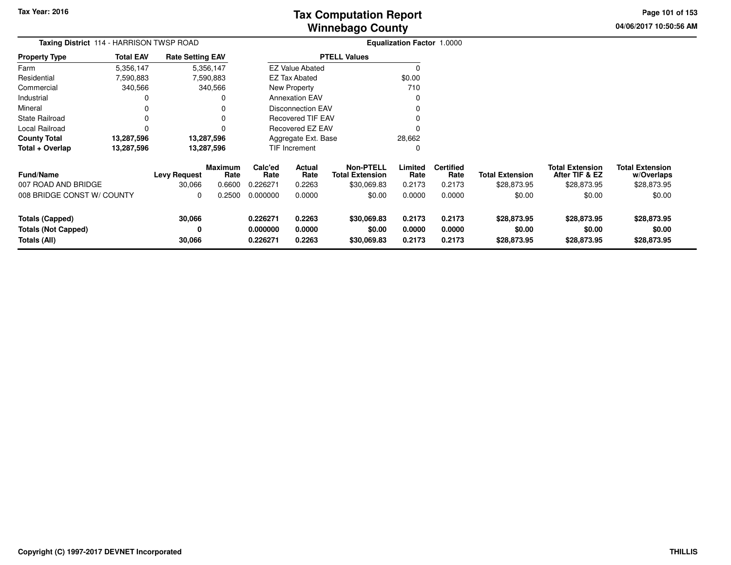# **Winnebago CountyTax Computation Report**

**04/06/2017 10:50:56 AM Page 101 of 153**

| Taxing District 114 - HARRISON TWSP ROAD |                  |                               |                                  |                             |                                                                                       |                     | Equalization Factor 1.0000 |                                    |                                       |                                                         |                                                     |  |
|------------------------------------------|------------------|-------------------------------|----------------------------------|-----------------------------|---------------------------------------------------------------------------------------|---------------------|----------------------------|------------------------------------|---------------------------------------|---------------------------------------------------------|-----------------------------------------------------|--|
| <b>Property Type</b>                     | <b>Total EAV</b> | <b>Rate Setting EAV</b>       |                                  |                             |                                                                                       | <b>PTELL Values</b> |                            |                                    |                                       |                                                         |                                                     |  |
| Farm                                     | 5,356,147        |                               | 5,356,147                        |                             | <b>EZ Value Abated</b>                                                                |                     | 0                          |                                    |                                       |                                                         |                                                     |  |
| Residential                              | 7,590,883        |                               | 7,590,883                        |                             | <b>EZ Tax Abated</b>                                                                  |                     | \$0.00                     |                                    |                                       |                                                         |                                                     |  |
| Commercial                               | 340,566          |                               | 340,566                          |                             | New Property                                                                          |                     | 710                        |                                    |                                       |                                                         |                                                     |  |
| Industrial                               | 0                |                               |                                  |                             | <b>Annexation EAV</b>                                                                 |                     | $\Omega$                   |                                    |                                       |                                                         |                                                     |  |
| Mineral                                  | 0                |                               | 0                                |                             | Disconnection EAV                                                                     |                     | 0                          |                                    |                                       |                                                         |                                                     |  |
| <b>State Railroad</b>                    | 0                |                               |                                  |                             | <b>Recovered TIF EAV</b>                                                              |                     | 0                          |                                    |                                       |                                                         |                                                     |  |
| Local Railroad                           | 0                |                               | $\Omega$                         |                             | <b>Recovered EZ EAV</b>                                                               |                     | $\Omega$                   |                                    |                                       |                                                         |                                                     |  |
| <b>County Total</b>                      | 13,287,596       |                               | 13,287,596                       |                             | Aggregate Ext. Base                                                                   |                     | 28,662                     |                                    |                                       |                                                         |                                                     |  |
| Total + Overlap                          | 13,287,596       |                               | 13,287,596                       |                             | <b>TIF Increment</b>                                                                  |                     | 0                          |                                    |                                       |                                                         |                                                     |  |
| <b>Fund/Name</b><br>007 ROAD AND BRIDGE  |                  | <b>Levy Request</b><br>30,066 | <b>Maximum</b><br>Rate<br>0.6600 | Calc'ed<br>Rate<br>0.226271 | <b>Non-PTELL</b><br>Actual<br>Rate<br><b>Total Extension</b><br>0.2263<br>\$30,069.83 |                     | Limited<br>Rate<br>0.2173  | <b>Certified</b><br>Rate<br>0.2173 | <b>Total Extension</b><br>\$28,873.95 | <b>Total Extension</b><br>After TIF & EZ<br>\$28,873.95 | <b>Total Extension</b><br>w/Overlaps<br>\$28,873.95 |  |
| 008 BRIDGE CONST W/ COUNTY               |                  | 0                             | 0.2500                           | 0.000000                    | 0.0000                                                                                | \$0.00              | 0.0000                     | 0.0000                             | \$0.00                                | \$0.00                                                  | \$0.00                                              |  |
| <b>Totals (Capped)</b>                   |                  | 30,066                        |                                  | 0.226271                    | 0.2263                                                                                | \$30,069.83         | 0.2173                     | 0.2173                             | \$28,873.95                           | \$28,873.95                                             | \$28,873.95                                         |  |
| <b>Totals (Not Capped)</b>               |                  | 0                             |                                  | 0.000000                    | 0.0000                                                                                | \$0.00              | 0.0000                     | 0.0000                             | \$0.00                                | \$0.00                                                  | \$0.00                                              |  |
| Totals (All)                             |                  | 30,066                        |                                  | 0.226271                    | 0.2263<br>\$30,069.83                                                                 |                     | 0.2173                     | 0.2173                             | \$28,873.95                           | \$28,873.95                                             | \$28,873.95                                         |  |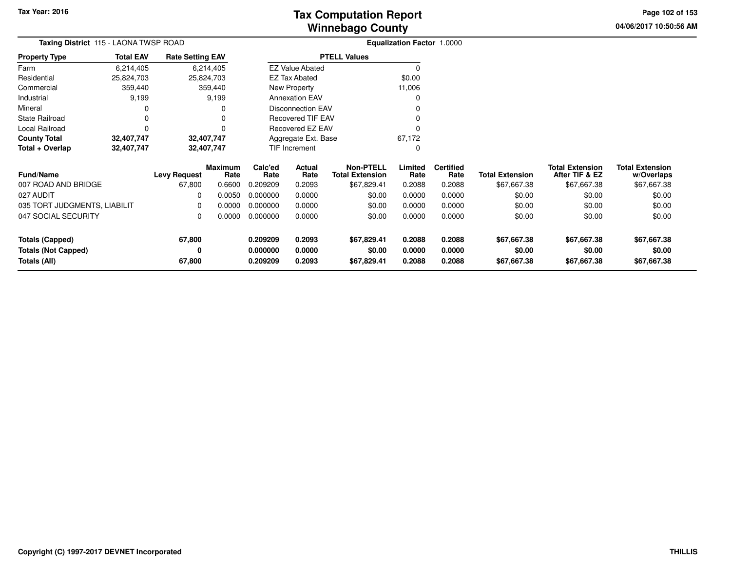# **Winnebago CountyTax Computation Report Tax**

**04/06/2017 10:50:56 AM Page 102 of 153**

| Taxing District 115 - LAONA TWSP ROAD   |                  |                         |                        | <b>Equalization Factor 1.0000</b> |                          |                                            |                 |                          |                        |                                          |                                      |  |
|-----------------------------------------|------------------|-------------------------|------------------------|-----------------------------------|--------------------------|--------------------------------------------|-----------------|--------------------------|------------------------|------------------------------------------|--------------------------------------|--|
| <b>Property Type</b>                    | <b>Total EAV</b> | <b>Rate Setting EAV</b> |                        |                                   |                          | <b>PTELL Values</b>                        |                 |                          |                        |                                          |                                      |  |
| Farm                                    | 6,214,405        |                         | 6,214,405              |                                   | <b>EZ Value Abated</b>   |                                            | $\Omega$        |                          |                        |                                          |                                      |  |
| Residential                             | 25,824,703       |                         | 25,824,703             |                                   | <b>EZ Tax Abated</b>     |                                            | \$0.00          |                          |                        |                                          |                                      |  |
| Commercial                              | 359,440          |                         | 359,440                |                                   | New Property             |                                            | 11,006          |                          |                        |                                          |                                      |  |
| Industrial                              | 9,199            |                         | 9,199                  |                                   | <b>Annexation EAV</b>    |                                            | 0               |                          |                        |                                          |                                      |  |
| Mineral                                 |                  |                         |                        |                                   | <b>Disconnection EAV</b> |                                            | 0               |                          |                        |                                          |                                      |  |
| <b>State Railroad</b>                   | 0                |                         |                        |                                   | <b>Recovered TIF EAV</b> |                                            | 0               |                          |                        |                                          |                                      |  |
| Local Railroad                          | 0                |                         |                        |                                   | Recovered EZ EAV         |                                            | 0               |                          |                        |                                          |                                      |  |
| <b>County Total</b>                     | 32,407,747       |                         | 32,407,747             |                                   | Aggregate Ext. Base      |                                            | 67,172          |                          |                        |                                          |                                      |  |
| Total + Overlap                         | 32,407,747       |                         | 32,407,747             |                                   | TIF Increment            |                                            | 0               |                          |                        |                                          |                                      |  |
| <b>Fund/Name</b><br>007 ROAD AND BRIDGE |                  | <b>Levy Request</b>     | <b>Maximum</b><br>Rate | Calc'ed<br>Actual<br>Rate<br>Rate |                          | <b>Non-PTELL</b><br><b>Total Extension</b> | Limited<br>Rate | <b>Certified</b><br>Rate | <b>Total Extension</b> | <b>Total Extension</b><br>After TIF & EZ | <b>Total Extension</b><br>w/Overlaps |  |
|                                         |                  | 67,800                  | 0.6600                 | 0.209209                          | 0.2093                   | \$67,829.41                                | 0.2088          | 0.2088                   | \$67,667.38            | \$67,667.38                              | \$67,667.38                          |  |
| 027 AUDIT                               |                  | 0                       | 0.0050                 | 0.000000                          | 0.0000                   | \$0.00                                     | 0.0000          | 0.0000                   | \$0.00                 | \$0.00                                   | \$0.00                               |  |
| 035 TORT JUDGMENTS, LIABILIT            |                  | $\Omega$                | 0.0000                 | 0.000000                          | 0.0000                   | \$0.00<br>\$0.00                           | 0.0000          | 0.0000                   | \$0.00                 | \$0.00                                   | \$0.00                               |  |
| 047 SOCIAL SECURITY                     |                  | 0                       | 0.0000                 |                                   | 0.000000<br>0.0000       |                                            | 0.0000          | 0.0000                   | \$0.00                 | \$0.00                                   | \$0.00                               |  |
| <b>Totals (Capped)</b>                  |                  | 67,800                  |                        | 0.209209                          | 0.2093                   | \$67,829.41                                | 0.2088          | 0.2088                   | \$67,667.38            | \$67,667.38                              | \$67,667.38                          |  |
| <b>Totals (Not Capped)</b>              |                  |                         |                        | 0.000000                          | 0.0000                   | \$0.00                                     | 0.0000          | 0.0000                   | \$0.00                 | \$0.00                                   | \$0.00                               |  |
| Totals (All)                            |                  | 67,800                  |                        | 0.209209                          | 0.2093                   | \$67,829.41                                | 0.2088          | 0.2088                   | \$67,667.38            | \$67,667.38                              | \$67,667.38                          |  |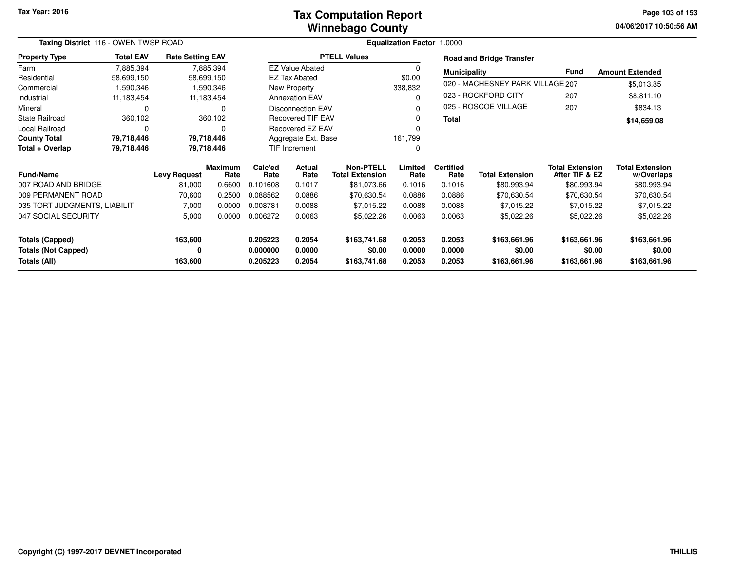#### **Winnebago CountyTax Computation Report**

**04/06/2017 10:50:56 AM Page 103 of 153**

| Taxing District 116 - OWEN TWSP ROAD |                  |                         |                | Equalization Factor 1.0000 |                          |                        |         |                     |                                  |                        |                        |
|--------------------------------------|------------------|-------------------------|----------------|----------------------------|--------------------------|------------------------|---------|---------------------|----------------------------------|------------------------|------------------------|
| <b>Property Type</b>                 | <b>Total EAV</b> | <b>Rate Setting EAV</b> |                |                            |                          | <b>PTELL Values</b>    |         |                     | <b>Road and Bridge Transfer</b>  |                        |                        |
| Farm                                 | 7,885,394        |                         | 7,885,394      |                            | <b>EZ Value Abated</b>   |                        | 0       | <b>Municipality</b> |                                  | Fund                   | <b>Amount Extended</b> |
| Residential                          | 58,699,150       |                         | 58,699,150     |                            | EZ Tax Abated            |                        | \$0.00  |                     |                                  |                        |                        |
| Commercial                           | 1,590,346        |                         | 1,590,346      |                            | New Property             |                        | 338,832 |                     | 020 - MACHESNEY PARK VILLAGE 207 |                        | \$5,013.85             |
| Industrial                           | 11,183,454       |                         | 11,183,454     |                            | <b>Annexation EAV</b>    |                        | 0       |                     | 023 - ROCKFORD CITY              | 207                    | \$8,811.10             |
| Mineral                              | 0                |                         | $\Omega$       |                            | <b>Disconnection EAV</b> |                        | n       |                     | 025 - ROSCOE VILLAGE             | 207                    | \$834.13               |
| <b>State Railroad</b>                | 360,102          |                         | 360,102        |                            | Recovered TIF EAV        |                        | 0       | <b>Total</b>        |                                  |                        | \$14,659.08            |
| Local Railroad                       | 0                |                         | 0              |                            | <b>Recovered EZ EAV</b>  |                        | 0       |                     |                                  |                        |                        |
| <b>County Total</b>                  | 79,718,446       |                         | 79,718,446     |                            | Aggregate Ext. Base      |                        | 161,799 |                     |                                  |                        |                        |
| Total + Overlap                      | 79,718,446       |                         | 79,718,446     |                            | TIF Increment            |                        | 0       |                     |                                  |                        |                        |
|                                      |                  |                         | <b>Maximum</b> | Calc'ed                    | Actual                   | <b>Non-PTELL</b>       | Limited | <b>Certified</b>    |                                  | <b>Total Extension</b> | <b>Total Extension</b> |
| <b>Fund/Name</b>                     |                  | <b>Levy Request</b>     | Rate           | Rate                       | Rate                     | <b>Total Extension</b> | Rate    | Rate                | <b>Total Extension</b>           | After TIF & EZ         | w/Overlaps             |
| 007 ROAD AND BRIDGE                  |                  | 81,000                  | 0.6600         | 0.101608                   | 0.1017                   | \$81,073.66            | 0.1016  | 0.1016              | \$80,993.94                      | \$80,993.94            | \$80,993.94            |
| 009 PERMANENT ROAD                   |                  | 70,600                  | 0.2500         | 0.088562                   | 0.0886                   | \$70,630.54            | 0.0886  | 0.0886              | \$70,630.54                      | \$70,630.54            | \$70,630.54            |
| 035 TORT JUDGMENTS, LIABILIT         |                  | 7,000                   | 0.0000         | 0.008781                   | 0.0088                   | \$7,015.22             | 0.0088  | 0.0088              | \$7,015.22                       | \$7,015.22             | \$7,015.22             |
| 047 SOCIAL SECURITY                  |                  | 5,000                   | 0.0000         | 0.006272                   | 0.0063                   | \$5,022.26             | 0.0063  | 0.0063              | \$5,022.26                       | \$5,022.26             | \$5,022.26             |
| <b>Totals (Capped)</b>               |                  | 163,600                 |                | 0.205223                   | 0.2054                   | \$163,741.68           | 0.2053  | 0.2053              | \$163,661.96                     | \$163,661.96           | \$163,661.96           |
| <b>Totals (Not Capped)</b>           |                  | 0                       |                | 0.000000                   | 0.0000                   | \$0.00                 | 0.0000  | 0.0000              | \$0.00                           | \$0.00                 | \$0.00                 |
| Totals (All)                         |                  | 163,600                 |                | 0.205223                   | 0.2054                   | \$163,741.68           | 0.2053  | 0.2053              | \$163,661.96                     | \$163,661.96           | \$163,661.96           |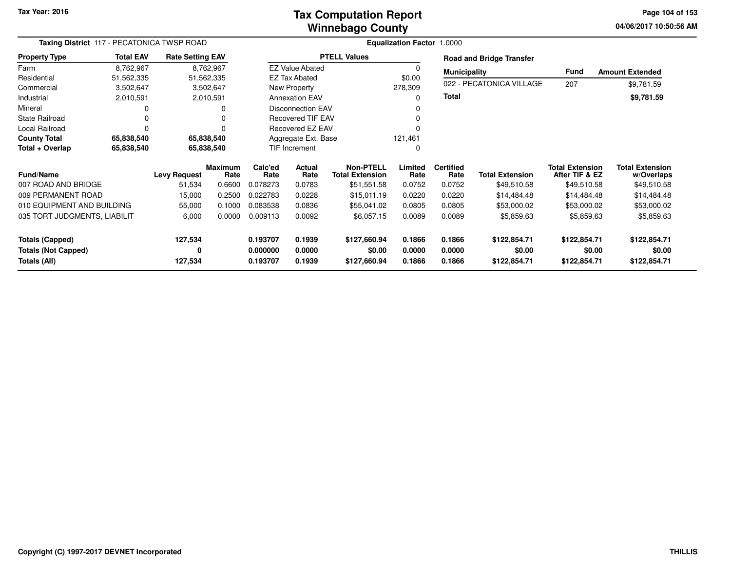#### **Winnebago CountyTax Computation Report Tax**

**04/06/2017 10:50:56 AM Page 104 of 153**

| Taxing District 117 - PECATONICA TWSP ROAD |                  |                         |                        |                                   |                          |                                            | <b>Equalization Factor 1.0000</b> |                          |                                 |                                          |                                      |  |
|--------------------------------------------|------------------|-------------------------|------------------------|-----------------------------------|--------------------------|--------------------------------------------|-----------------------------------|--------------------------|---------------------------------|------------------------------------------|--------------------------------------|--|
| <b>Property Type</b>                       | <b>Total EAV</b> | <b>Rate Setting EAV</b> |                        |                                   |                          | <b>PTELL Values</b>                        |                                   |                          | <b>Road and Bridge Transfer</b> |                                          |                                      |  |
| Farm                                       | 8,762,967        |                         | 8,762,967              |                                   | <b>EZ Value Abated</b>   |                                            | 0                                 | <b>Municipality</b>      |                                 | <b>Fund</b>                              | <b>Amount Extended</b>               |  |
| Residential                                | 51,562,335       |                         | 51,562,335             |                                   | <b>EZ Tax Abated</b>     |                                            | \$0.00                            |                          | 022 - PECATONICA VILLAGE        | 207                                      | \$9,781.59                           |  |
| Commercial                                 | 3,502,647        |                         | 3,502,647              |                                   | New Property             |                                            | 278,309                           |                          |                                 |                                          |                                      |  |
| Industrial                                 | 2,010,591        |                         | 2,010,591              |                                   | <b>Annexation EAV</b>    |                                            | ŋ                                 | Total                    |                                 |                                          | \$9,781.59                           |  |
| Mineral                                    |                  |                         | 0                      |                                   | <b>Disconnection EAV</b> |                                            |                                   |                          |                                 |                                          |                                      |  |
| <b>State Railroad</b>                      |                  |                         |                        |                                   | <b>Recovered TIF EAV</b> |                                            |                                   |                          |                                 |                                          |                                      |  |
| Local Railroad                             |                  |                         |                        |                                   | Recovered EZ EAV         |                                            |                                   |                          |                                 |                                          |                                      |  |
| <b>County Total</b>                        | 65,838,540       |                         | 65,838,540             |                                   | Aggregate Ext. Base      |                                            | 121,461                           |                          |                                 |                                          |                                      |  |
| Total + Overlap                            | 65,838,540       |                         | 65,838,540             |                                   | <b>TIF Increment</b>     |                                            | 0                                 |                          |                                 |                                          |                                      |  |
| <b>Fund/Name</b>                           |                  | <b>Levy Request</b>     | <b>Maximum</b><br>Rate | Calc'ed<br>Actual<br>Rate<br>Rate |                          | <b>Non-PTELL</b><br><b>Total Extension</b> | Limited<br>Rate                   | <b>Certified</b><br>Rate | <b>Total Extension</b>          | <b>Total Extension</b><br>After TIF & EZ | <b>Total Extension</b><br>w/Overlaps |  |
| 007 ROAD AND BRIDGE                        |                  | 51,534                  | 0.6600                 | 0.078273                          | 0.0783                   | \$51,551.58                                | 0.0752                            | 0.0752                   | \$49,510.58                     | \$49,510.58                              | \$49,510.58                          |  |
| 009 PERMANENT ROAD                         |                  | 15,000                  | 0.2500                 | 0.022783                          | 0.0228                   | \$15,011.19                                | 0.0220                            | 0.0220                   | \$14,484.48                     | \$14,484.48                              | \$14,484.48                          |  |
| 010 EQUIPMENT AND BUILDING                 |                  | 55,000                  | 0.1000                 | 0.083538                          | 0.0836                   | \$55,041.02                                | 0.0805                            | 0.0805                   | \$53,000.02                     | \$53,000.02                              | \$53,000.02                          |  |
| 035 TORT JUDGMENTS, LIABILIT               |                  | 6,000                   | 0.0000                 | 0.009113                          | 0.0092                   | \$6,057.15                                 | 0.0089                            | 0.0089                   | \$5,859.63                      | \$5,859.63                               | \$5,859.63                           |  |
| <b>Totals (Capped)</b>                     |                  | 127,534                 |                        | 0.193707                          | 0.1939                   | \$127,660.94                               | 0.1866                            | 0.1866                   | \$122,854.71                    | \$122,854.71                             | \$122,854.71                         |  |
| <b>Totals (Not Capped)</b><br>Totals (All) |                  | 0<br>127,534            |                        | 0.000000<br>0.193707              | 0.0000<br>0.1939         | \$0.00<br>\$127,660.94                     | 0.0000<br>0.1866                  | 0.0000<br>0.1866         | \$0.00<br>\$122,854.71          | \$0.00<br>\$122,854.71                   | \$0.00<br>\$122,854.71               |  |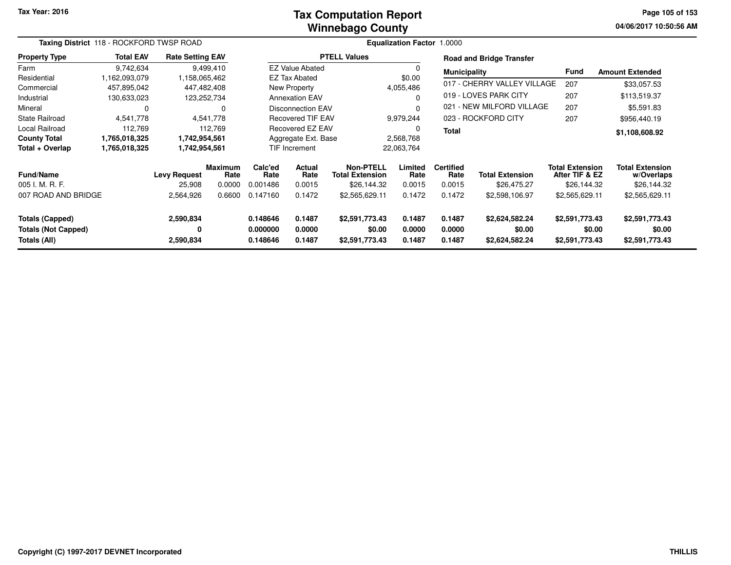#### **Winnebago CountyTax Computation Report**

**04/06/2017 10:50:56 AM Page 105 of 153**

|                                                                      | Taxing District 118 - ROCKFORD TWSP ROAD |                               |                           |                                                         |                            |                                                    | Equalization Factor 1.0000 |                                    |                                            |                                                         |                                                     |
|----------------------------------------------------------------------|------------------------------------------|-------------------------------|---------------------------|---------------------------------------------------------|----------------------------|----------------------------------------------------|----------------------------|------------------------------------|--------------------------------------------|---------------------------------------------------------|-----------------------------------------------------|
| <b>Property Type</b>                                                 | <b>Total EAV</b>                         | <b>Rate Setting EAV</b>       |                           |                                                         |                            | <b>PTELL Values</b>                                |                            |                                    | <b>Road and Bridge Transfer</b>            |                                                         |                                                     |
| Farm                                                                 | 9,742,634                                |                               | 9,499,410                 |                                                         | <b>EZ Value Abated</b>     |                                                    |                            | <b>Municipality</b>                |                                            | <b>Fund</b>                                             | <b>Amount Extended</b>                              |
| Residential                                                          | 1,162,093,079                            | 1,158,065,462                 |                           |                                                         | <b>EZ Tax Abated</b>       |                                                    | \$0.00                     |                                    |                                            |                                                         |                                                     |
| Commercial                                                           | 457,895,042                              |                               | 447,482,408               |                                                         | New Property               |                                                    | 4,055,486                  |                                    | 017 - CHERRY VALLEY VILLAGE                | 207                                                     | \$33,057.53                                         |
| Industrial                                                           | 130,633,023                              |                               | 123,252,734               |                                                         | <b>Annexation EAV</b>      |                                                    | $\Omega$                   |                                    | 019 - LOVES PARK CITY                      | 207                                                     | \$113,519.37                                        |
| Mineral                                                              | 0                                        |                               | 0                         |                                                         | <b>Disconnection EAV</b>   |                                                    | $\Omega$                   |                                    | 021 - NEW MILFORD VILLAGE                  | 207                                                     | \$5,591.83                                          |
| <b>State Railroad</b>                                                | 4,541,778                                |                               | 4,541,778                 |                                                         | <b>Recovered TIF EAV</b>   |                                                    | 9,979,244                  |                                    | 023 - ROCKFORD CITY                        | 207                                                     | \$956,440.19                                        |
| Local Railroad                                                       | 112,769                                  |                               | 112,769                   |                                                         | Recovered EZ EAV           |                                                    | 0                          | <b>Total</b>                       |                                            |                                                         | \$1,108,608.92                                      |
| <b>County Total</b>                                                  | 1,765,018,325                            | 1,742,954,561                 |                           |                                                         | Aggregate Ext. Base        |                                                    | 2,568,768                  |                                    |                                            |                                                         |                                                     |
| Total + Overlap                                                      | 1,765,018,325                            | 1,742,954,561                 |                           |                                                         | <b>TIF Increment</b>       |                                                    | 22,063,764                 |                                    |                                            |                                                         |                                                     |
| <b>Fund/Name</b><br>005 I. M. R. F.                                  |                                          | <b>Levy Request</b><br>25,908 | Maximum<br>Rate<br>0.0000 | Calc'ed<br>Actual<br>Rate<br>Rate<br>0.001486<br>0.0015 |                            | Non-PTELL<br><b>Total Extension</b><br>\$26,144.32 | Limited<br>Rate<br>0.0015  | <b>Certified</b><br>Rate<br>0.0015 | <b>Total Extension</b><br>\$26,475.27      | <b>Total Extension</b><br>After TIF & EZ<br>\$26,144.32 | <b>Total Extension</b><br>w/Overlaps<br>\$26,144.32 |
| 007 ROAD AND BRIDGE                                                  | 2,564,926                                |                               | 0.6600                    | 0.147160                                                | 0.1472                     | \$2,565,629.11                                     | 0.1472                     | 0.1472                             | \$2,598,106.97                             | \$2,565,629.11                                          | \$2,565,629.11                                      |
| <b>Totals (Capped)</b><br><b>Totals (Not Capped)</b><br>Totals (All) |                                          | 2,590,834<br>0<br>2,590,834   |                           | 0.148646<br>0.000000<br>0.148646                        | 0.1487<br>0.0000<br>0.1487 | \$2,591,773.43<br>\$0.00<br>\$2,591,773.43         | 0.1487<br>0.0000<br>0.1487 | 0.1487<br>0.0000<br>0.1487         | \$2,624,582.24<br>\$0.00<br>\$2,624,582.24 | \$2,591,773.43<br>\$0.00<br>\$2,591,773.43              | \$2,591,773.43<br>\$0.00<br>\$2,591,773.43          |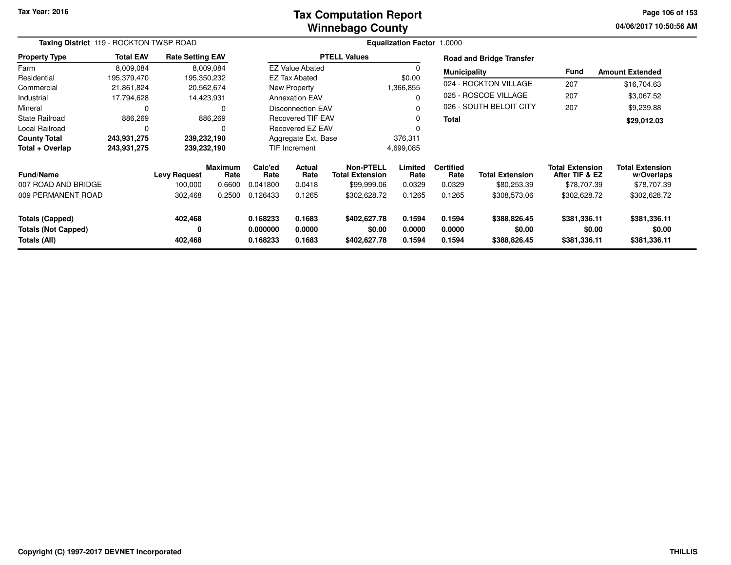#### **Winnebago CountyTax Computation Report**

**04/06/2017 10:50:56 AM Page 106 of 153**

|                                                                      | Taxing District 119 - ROCKTON TWSP ROAD |                                |                           |                                                                |                                          |                                        | <b>Equalization Factor 1.0000</b>                     |                                    |                                        |                                                         |                                                     |
|----------------------------------------------------------------------|-----------------------------------------|--------------------------------|---------------------------|----------------------------------------------------------------|------------------------------------------|----------------------------------------|-------------------------------------------------------|------------------------------------|----------------------------------------|---------------------------------------------------------|-----------------------------------------------------|
| <b>Property Type</b>                                                 | <b>Total EAV</b>                        | <b>Rate Setting EAV</b>        |                           |                                                                |                                          | <b>PTELL Values</b>                    |                                                       |                                    | <b>Road and Bridge Transfer</b>        |                                                         |                                                     |
| Farm                                                                 | 8,009,084                               |                                | 8,009,084                 |                                                                | <b>EZ Value Abated</b>                   |                                        | 0                                                     | <b>Municipality</b>                |                                        | <b>Fund</b>                                             | <b>Amount Extended</b>                              |
| Residential                                                          | 195,379,470                             |                                | 195,350,232               |                                                                | <b>EZ Tax Abated</b>                     |                                        | \$0.00                                                |                                    |                                        |                                                         |                                                     |
| Commercial                                                           | 21,861,824                              |                                | 20,562,674                |                                                                | New Property                             |                                        | 1,366,855                                             |                                    | 024 - ROCKTON VILLAGE                  | 207                                                     | \$16,704.63                                         |
| Industrial                                                           | 17,794,628                              |                                | 14,423,931                |                                                                | <b>Annexation EAV</b>                    |                                        | $\Omega$                                              |                                    | 025 - ROSCOE VILLAGE                   | 207                                                     | \$3,067.52                                          |
| Mineral                                                              | 0                                       |                                | 0                         |                                                                | <b>Disconnection EAV</b>                 |                                        |                                                       |                                    | 026 - SOUTH BELOIT CITY                | 207                                                     | \$9,239.88                                          |
| <b>State Railroad</b>                                                | 886,269                                 |                                | 886,269                   |                                                                | <b>Recovered TIF EAV</b>                 |                                        | $\Omega$                                              | <b>Total</b>                       |                                        |                                                         | \$29,012.03                                         |
| Local Railroad                                                       | 0                                       |                                |                           |                                                                | Recovered EZ EAV                         |                                        | $\Omega$                                              |                                    |                                        |                                                         |                                                     |
| <b>County Total</b>                                                  | 243,931,275                             | 239,232,190                    |                           |                                                                | Aggregate Ext. Base                      |                                        | 376,311                                               |                                    |                                        |                                                         |                                                     |
| Total + Overlap                                                      | 243,931,275                             |                                | 239,232,190               |                                                                | TIF Increment                            |                                        | 4,699,085                                             |                                    |                                        |                                                         |                                                     |
| <b>Fund/Name</b><br>007 ROAD AND BRIDGE                              |                                         | <b>Levy Request</b><br>100,000 | Maximum<br>Rate<br>0.6600 | Calc'ed<br>Rate<br>0.041800                                    | Actual<br>Rate<br><b>Total Extension</b> |                                        | Non-PTELL<br>Limited<br>Rate<br>\$99,999.06<br>0.0329 | <b>Certified</b><br>Rate<br>0.0329 | <b>Total Extension</b><br>\$80,253.39  | <b>Total Extension</b><br>After TIF & EZ<br>\$78,707.39 | <b>Total Extension</b><br>w/Overlaps<br>\$78,707.39 |
| 009 PERMANENT ROAD                                                   |                                         | 302,468                        | 0.2500                    | 0.126433                                                       | 0.0418<br>0.1265                         |                                        | 0.1265<br>\$302,628.72                                | 0.1265                             | \$308,573.06                           | \$302,628.72                                            | \$302,628.72                                        |
| <b>Totals (Capped)</b><br><b>Totals (Not Capped)</b><br>Totals (All) |                                         | 402,468<br>0<br>402,468        |                           | 0.168233<br>0.1683<br>0.000000<br>0.0000<br>0.168233<br>0.1683 |                                          | \$402,627.78<br>\$0.00<br>\$402,627.78 | 0.1594<br>0.0000<br>0.1594                            | 0.1594<br>0.0000<br>0.1594         | \$388,826.45<br>\$0.00<br>\$388,826.45 | \$381,336.11<br>\$0.00<br>\$381,336.11                  | \$381,336.11<br>\$0.00<br>\$381,336.11              |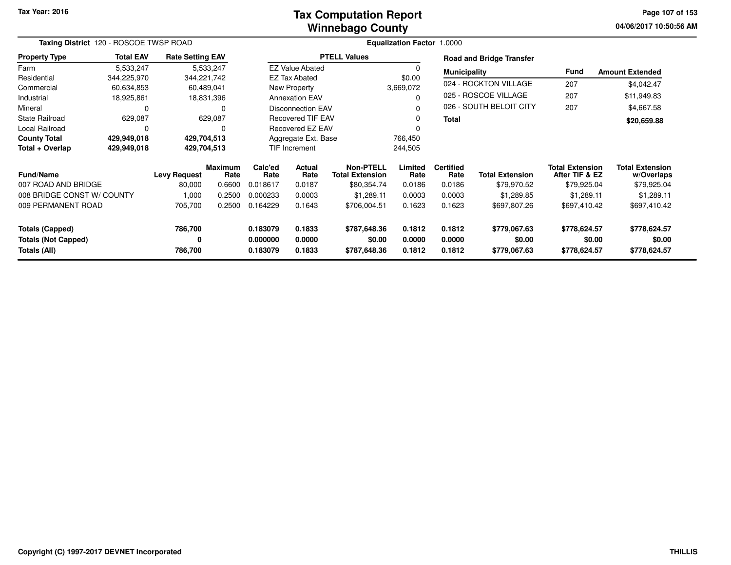#### **Winnebago CountyTax Computation Report**

**04/06/2017 10:50:56 AM Page 107 of 153**

| Taxing District 120 - ROSCOE TWSP ROAD        |                  |                         |                        |                      |                                          |                        | <b>Equalization Factor 1.0000</b>   |                          |                                 |                                          |                                      |
|-----------------------------------------------|------------------|-------------------------|------------------------|----------------------|------------------------------------------|------------------------|-------------------------------------|--------------------------|---------------------------------|------------------------------------------|--------------------------------------|
| <b>Property Type</b>                          | <b>Total EAV</b> | <b>Rate Setting EAV</b> |                        |                      |                                          | <b>PTELL Values</b>    |                                     |                          | <b>Road and Bridge Transfer</b> |                                          |                                      |
| Farm                                          | 5,533,247        |                         | 5,533,247              |                      | <b>EZ Value Abated</b>                   |                        | 0                                   | <b>Municipality</b>      |                                 | Fund                                     | <b>Amount Extended</b>               |
| Residential                                   | 344,225,970      | 344,221,742             |                        |                      | <b>EZ Tax Abated</b>                     |                        | \$0.00                              |                          |                                 |                                          |                                      |
| Commercial                                    | 60,634,853       |                         | 60,489,041             |                      | <b>New Property</b>                      |                        | 3,669,072                           |                          | 024 - ROCKTON VILLAGE           | 207                                      | \$4,042.47                           |
| Industrial                                    | 18,925,861       |                         | 18,831,396             |                      | <b>Annexation EAV</b>                    |                        | $\Omega$                            |                          | 025 - ROSCOE VILLAGE            | 207                                      | \$11,949.83                          |
| Mineral                                       | $\Omega$         |                         | 0                      |                      | <b>Disconnection EAV</b>                 |                        | 0                                   |                          | 026 - SOUTH BELOIT CITY         | 207                                      | \$4,667.58                           |
| <b>State Railroad</b>                         | 629,087          |                         | 629,087                |                      | <b>Recovered TIF EAV</b>                 |                        | 0                                   | <b>Total</b>             |                                 |                                          | \$20,659.88                          |
| Local Railroad                                | 0                |                         | 0                      |                      | <b>Recovered EZ EAV</b>                  |                        |                                     |                          |                                 |                                          |                                      |
| <b>County Total</b>                           | 429,949,018      | 429,704,513             |                        |                      | Aggregate Ext. Base                      |                        | 766,450                             |                          |                                 |                                          |                                      |
| Total + Overlap                               | 429,949,018      | 429,704,513             |                        |                      | TIF Increment                            |                        | 244,505                             |                          |                                 |                                          |                                      |
| <b>Fund/Name</b>                              |                  | <b>Levy Request</b>     | <b>Maximum</b><br>Rate | Calc'ed<br>Rate      | Actual<br><b>Total Extension</b><br>Rate |                        | <b>Non-PTELL</b><br>Limited<br>Rate | <b>Certified</b><br>Rate | <b>Total Extension</b>          | <b>Total Extension</b><br>After TIF & EZ | <b>Total Extension</b><br>w/Overlaps |
| 007 ROAD AND BRIDGE                           |                  | 80,000                  | 0.6600                 | 0.018617             | 0.0187                                   | \$80,354.74            | 0.0186                              | 0.0186                   | \$79,970.52                     | \$79,925.04                              | \$79,925.04                          |
| 008 BRIDGE CONST W/ COUNTY                    |                  | 1,000                   | 0.2500                 | 0.000233             | 0.0003                                   | \$1,289.11             | 0.0003                              | 0.0003                   | \$1,289.85                      | \$1,289.11                               | \$1,289.11                           |
| 009 PERMANENT ROAD                            |                  | 705,700<br>0.2500       |                        | 0.164229             | 0.1643                                   | \$706,004.51           | 0.1623                              | 0.1623                   | \$697,807.26                    | \$697,410.42                             | \$697,410.42                         |
| Totals (Capped)<br><b>Totals (Not Capped)</b> |                  | 786,700<br>0            |                        | 0.183079<br>0.000000 | 0.1833<br>0.0000                         | \$787,648.36<br>\$0.00 | 0.1812<br>0.0000                    | 0.1812<br>0.0000         | \$779,067.63<br>\$0.00          | \$778,624.57<br>\$0.00                   | \$778,624.57<br>\$0.00               |
| Totals (All)                                  |                  | 786,700                 |                        | 0.183079             | 0.1833                                   | \$787,648.36           | 0.1812                              | 0.1812                   | \$779,067.63                    | \$778,624.57                             | \$778,624.57                         |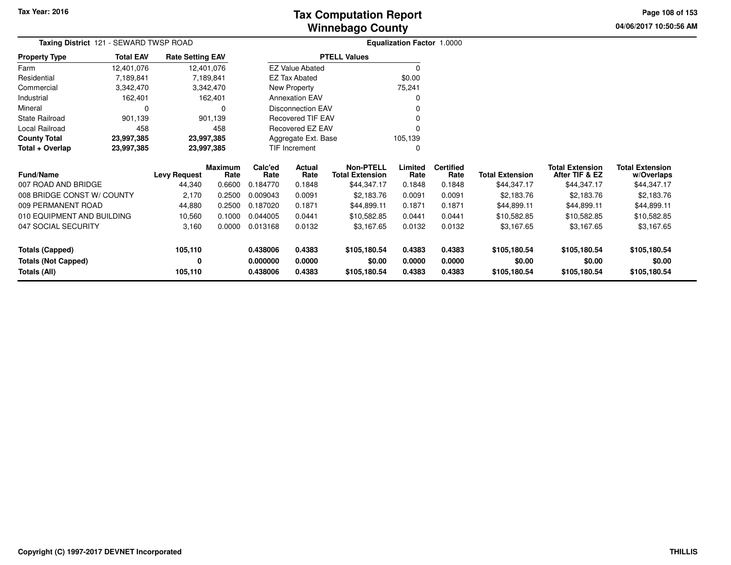**04/06/2017 10:50:56 AM Page 108 of 153**

|                            | Taxing District 121 - SEWARD TWSP ROAD |                         |                        |                         |                          |                                            | Equalization Factor 1.0000 |                          |                        |                                          |                                      |
|----------------------------|----------------------------------------|-------------------------|------------------------|-------------------------|--------------------------|--------------------------------------------|----------------------------|--------------------------|------------------------|------------------------------------------|--------------------------------------|
| <b>Property Type</b>       | <b>Total EAV</b>                       | <b>Rate Setting EAV</b> |                        |                         |                          | <b>PTELL Values</b>                        |                            |                          |                        |                                          |                                      |
| Farm                       | 12,401,076                             |                         | 12,401,076             |                         | <b>EZ Value Abated</b>   |                                            | $\Omega$                   |                          |                        |                                          |                                      |
| Residential                | 7,189,841                              |                         | 7,189,841              |                         | <b>EZ Tax Abated</b>     |                                            | \$0.00                     |                          |                        |                                          |                                      |
| Commercial                 | 3,342,470                              |                         | 3,342,470              |                         | New Property             |                                            | 75,241                     |                          |                        |                                          |                                      |
| Industrial                 | 162,401                                |                         | 162,401                |                         | <b>Annexation EAV</b>    |                                            |                            |                          |                        |                                          |                                      |
| Mineral                    |                                        |                         | 0                      |                         | <b>Disconnection EAV</b> |                                            |                            |                          |                        |                                          |                                      |
| <b>State Railroad</b>      | 901,139                                |                         | 901,139                |                         | Recovered TIF EAV        |                                            |                            |                          |                        |                                          |                                      |
| Local Railroad             | 458                                    |                         | 458                    | <b>Recovered EZ EAV</b> |                          |                                            |                            |                          |                        |                                          |                                      |
| <b>County Total</b>        | 23,997,385                             |                         | 23,997,385             | Aggregate Ext. Base     |                          |                                            | 105,139                    |                          |                        |                                          |                                      |
| Total + Overlap            | 23,997,385                             |                         | 23,997,385             | TIF Increment           |                          |                                            | $\Omega$                   |                          |                        |                                          |                                      |
| <b>Fund/Name</b>           | <b>Levy Request</b>                    |                         | <b>Maximum</b><br>Rate | Calc'ed<br>Rate         | Actual<br>Rate           | <b>Non-PTELL</b><br><b>Total Extension</b> | Limited<br>Rate            | <b>Certified</b><br>Rate | <b>Total Extension</b> | <b>Total Extension</b><br>After TIF & EZ | <b>Total Extension</b><br>w/Overlaps |
| 007 ROAD AND BRIDGE        |                                        | 44,340                  | 0.6600                 | 0.184770                | 0.1848                   | \$44,347.17                                | 0.1848                     | 0.1848                   | \$44,347.17            | \$44,347.17                              | \$44,347.17                          |
| 008 BRIDGE CONST W/ COUNTY |                                        | 2,170                   | 0.2500                 | 0.009043                | 0.0091                   | \$2,183.76                                 | 0.0091                     | 0.0091                   | \$2,183.76             | \$2,183.76                               | \$2,183.76                           |
| 009 PERMANENT ROAD         |                                        | 44,880                  | 0.2500                 | 0.187020                | 0.1871                   | \$44,899.11                                | 0.1871                     | 0.1871                   | \$44,899.11            | \$44,899.11                              | \$44,899.11                          |
| 010 EQUIPMENT AND BUILDING |                                        | 10,560                  | 0.1000                 | 0.044005                | 0.0441                   | \$10,582.85                                | 0.0441                     | 0.0441                   | \$10,582.85            | \$10,582.85                              | \$10,582.85                          |
| 047 SOCIAL SECURITY        |                                        | 3,160                   | 0.0000                 | 0.013168<br>0.0132      |                          | \$3,167.65                                 | 0.0132                     | 0.0132                   | \$3,167.65             | \$3,167.65                               | \$3,167.65                           |
| <b>Totals (Capped)</b>     |                                        | 105,110                 |                        | 0.438006                | 0.4383                   | \$105,180.54                               | 0.4383                     | 0.4383                   | \$105,180.54           | \$105,180.54                             | \$105,180.54                         |
| <b>Totals (Not Capped)</b> |                                        | 0                       |                        | 0.000000                | 0.0000                   | \$0.00                                     | 0.0000                     | 0.0000                   | \$0.00                 | \$0.00                                   | \$0.00                               |
| Totals (All)               |                                        | 105,110                 |                        | 0.438006                | 0.4383                   | \$105,180.54                               | 0.4383                     | 0.4383                   | \$105,180.54           | \$105,180.54                             | \$105,180.54                         |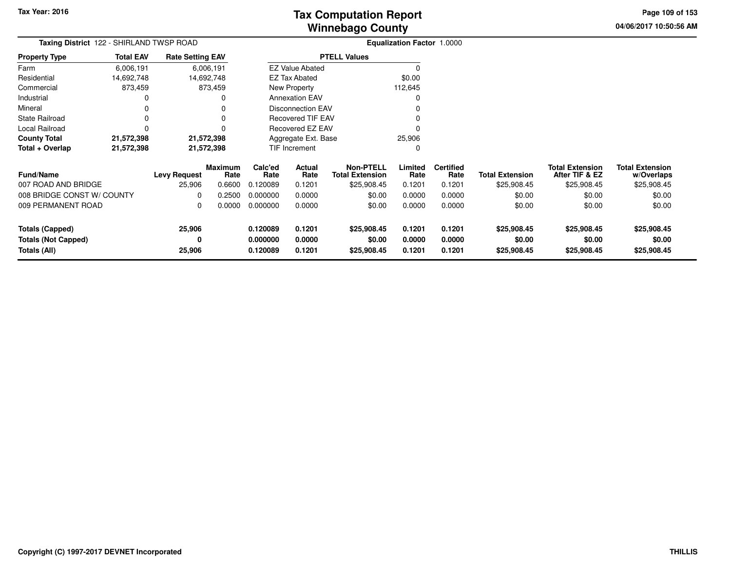**04/06/2017 10:50:56 AMPage 109 of 153**

| Taxing District 122 - SHIRLAND TWSP ROAD          |                  |                         |                        |                          | <b>Equalization Factor 1.0000</b> |                                            |                  |                          |                        |                                          |                                      |
|---------------------------------------------------|------------------|-------------------------|------------------------|--------------------------|-----------------------------------|--------------------------------------------|------------------|--------------------------|------------------------|------------------------------------------|--------------------------------------|
| <b>Property Type</b>                              | <b>Total EAV</b> | <b>Rate Setting EAV</b> |                        |                          |                                   | <b>PTELL Values</b>                        |                  |                          |                        |                                          |                                      |
| Farm                                              | 6,006,191        |                         | 6,006,191              |                          | <b>EZ Value Abated</b>            |                                            |                  |                          |                        |                                          |                                      |
| Residential                                       | 14,692,748       |                         | 14,692,748             |                          | <b>EZ Tax Abated</b>              |                                            | \$0.00           |                          |                        |                                          |                                      |
| Commercial                                        | 873,459          |                         | 873,459                |                          | New Property                      |                                            | 112,645          |                          |                        |                                          |                                      |
| Industrial                                        | 0                |                         |                        |                          | <b>Annexation EAV</b>             |                                            |                  |                          |                        |                                          |                                      |
| Mineral                                           | 0                |                         |                        |                          | <b>Disconnection EAV</b>          |                                            |                  |                          |                        |                                          |                                      |
| <b>State Railroad</b>                             | 0                |                         |                        | <b>Recovered TIF EAV</b> |                                   |                                            |                  |                          |                        |                                          |                                      |
| Local Railroad                                    | 0                |                         | U                      |                          | Recovered EZ EAV<br>$\Omega$      |                                            |                  |                          |                        |                                          |                                      |
| <b>County Total</b>                               | 21,572,398       |                         | 21,572,398             |                          | Aggregate Ext. Base               |                                            | 25,906           |                          |                        |                                          |                                      |
| Total + Overlap                                   | 21,572,398       |                         | 21,572,398             |                          | TIF Increment<br>0                |                                            |                  |                          |                        |                                          |                                      |
| Fund/Name                                         |                  | <b>Levy Request</b>     | <b>Maximum</b><br>Rate | Calc'ed<br>Rate          | Actual<br>Rate                    | <b>Non-PTELL</b><br><b>Total Extension</b> | Limited<br>Rate  | <b>Certified</b><br>Rate | <b>Total Extension</b> | <b>Total Extension</b><br>After TIF & EZ | <b>Total Extension</b><br>w/Overlaps |
| 007 ROAD AND BRIDGE                               |                  | 25,906                  | 0.6600                 | 0.120089                 | 0.1201                            | \$25,908.45                                | 0.1201           | 0.1201                   | \$25,908.45            | \$25,908.45                              | \$25,908.45                          |
| 008 BRIDGE CONST W/ COUNTY                        |                  | 0                       | 0.2500                 | 0.000000                 | 0.0000                            | \$0.00                                     | 0.0000           | 0.0000                   | \$0.00                 | \$0.00                                   | \$0.00                               |
| 009 PERMANENT ROAD                                |                  | 0                       | 0.0000                 | 0.000000                 | 0.0000                            | \$0.00                                     | 0.0000           | 0.0000                   | \$0.00                 | \$0.00                                   | \$0.00                               |
| <b>Totals (Capped)</b>                            |                  | 25,906                  |                        | 0.120089                 | 0.1201                            | \$25,908.45                                | 0.1201           | 0.1201                   | \$25,908.45            | \$25,908.45                              | \$25,908.45                          |
| <b>Totals (Not Capped)</b><br><b>Totals (All)</b> |                  | 0<br>25,906             |                        | 0.000000<br>0.120089     | 0.0000<br>0.1201                  | \$0.00<br>\$25,908.45                      | 0.0000<br>0.1201 | 0.0000<br>0.1201         | \$0.00<br>\$25,908.45  | \$0.00<br>\$25,908.45                    | \$0.00<br>\$25,908.45                |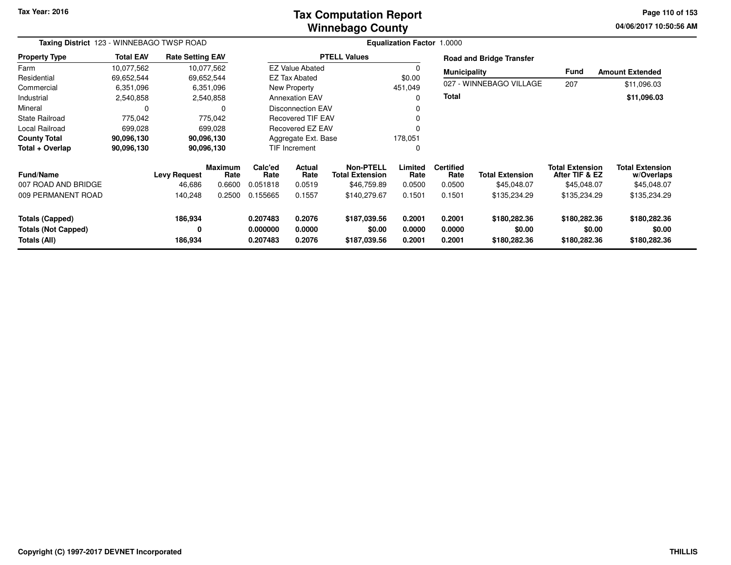**Tax Year: 2016**

### **Winnebago CountyTax Computation Report**

**04/06/2017 10:50:56 AM Page 110 of 153**

| Taxing District 123 - WINNEBAGO TWSP ROAD  |                  |                         |                        |                      | <b>Equalization Factor 1.0000</b> |                                            |                  |                          |                                 |                                          |                                      |  |  |
|--------------------------------------------|------------------|-------------------------|------------------------|----------------------|-----------------------------------|--------------------------------------------|------------------|--------------------------|---------------------------------|------------------------------------------|--------------------------------------|--|--|
| <b>Property Type</b>                       | <b>Total EAV</b> | <b>Rate Setting EAV</b> |                        |                      |                                   | <b>PTELL Values</b>                        |                  |                          | <b>Road and Bridge Transfer</b> |                                          |                                      |  |  |
| Farm                                       | 10,077,562       |                         | 10,077,562             |                      | <b>EZ Value Abated</b>            |                                            |                  | <b>Municipality</b>      |                                 | Fund                                     | <b>Amount Extended</b>               |  |  |
| Residential                                | 69,652,544       | 69,652,544              |                        |                      | <b>EZ Tax Abated</b>              |                                            | \$0.00           |                          |                                 |                                          |                                      |  |  |
| Commercial                                 | 6,351,096        |                         | 6,351,096              |                      | <b>New Property</b>               |                                            | 451,049          |                          | 027 - WINNEBAGO VILLAGE         | 207                                      | \$11,096.03                          |  |  |
| Industrial                                 | 2,540,858        |                         | 2,540,858              |                      | <b>Annexation EAV</b>             |                                            |                  | Total                    |                                 |                                          | \$11,096.03                          |  |  |
| Mineral                                    | $\Omega$         |                         | 0                      |                      | <b>Disconnection EAV</b>          |                                            |                  |                          |                                 |                                          |                                      |  |  |
| <b>State Railroad</b>                      | 775,042          |                         | 775,042                |                      | <b>Recovered TIF EAV</b>          |                                            |                  |                          |                                 |                                          |                                      |  |  |
| Local Railroad                             | 699,028          |                         | 699,028                |                      | Recovered EZ EAV                  |                                            |                  |                          |                                 |                                          |                                      |  |  |
| <b>County Total</b>                        | 90,096,130       | 90,096,130              |                        |                      | Aggregate Ext. Base               |                                            | 178,051          |                          |                                 |                                          |                                      |  |  |
| Total + Overlap                            | 90,096,130       |                         | 90,096,130             |                      | TIF Increment                     |                                            | 0                |                          |                                 |                                          |                                      |  |  |
| Fund/Name                                  |                  | <b>Levy Request</b>     | <b>Maximum</b><br>Rate | Calc'ed<br>Rate      | <b>Actual</b><br>Rate             | <b>Non-PTELL</b><br><b>Total Extension</b> | Limited<br>Rate  | <b>Certified</b><br>Rate | <b>Total Extension</b>          | <b>Total Extension</b><br>After TIF & EZ | <b>Total Extension</b><br>w/Overlaps |  |  |
| 007 ROAD AND BRIDGE                        |                  | 46,686                  | 0.6600                 | 0.051818             | 0.0519                            | \$46,759.89                                | 0.0500           | 0.0500                   | \$45,048.07                     | \$45,048.07                              | \$45,048.07                          |  |  |
| 009 PERMANENT ROAD                         |                  | 140,248                 | 0.2500                 | 0.155665             | 0.1557                            | \$140,279.67                               | 0.1501           | 0.1501                   | \$135,234.29                    | \$135,234.29                             | \$135,234.29                         |  |  |
| <b>Totals (Capped)</b>                     |                  | 186,934                 |                        | 0.207483             | 0.2076                            | \$187,039.56                               | 0.2001           | 0.2001                   | \$180,282.36                    | \$180,282.36                             | \$180,282.36                         |  |  |
| <b>Totals (Not Capped)</b><br>Totals (All) |                  | 0<br>186,934            |                        | 0.000000<br>0.207483 | 0.0000<br>0.2076                  | \$0.00<br>\$187,039.56                     | 0.0000<br>0.2001 | 0.0000<br>0.2001         | \$0.00<br>\$180,282.36          | \$0.00<br>\$180,282.36                   | \$0.00<br>\$180,282.36               |  |  |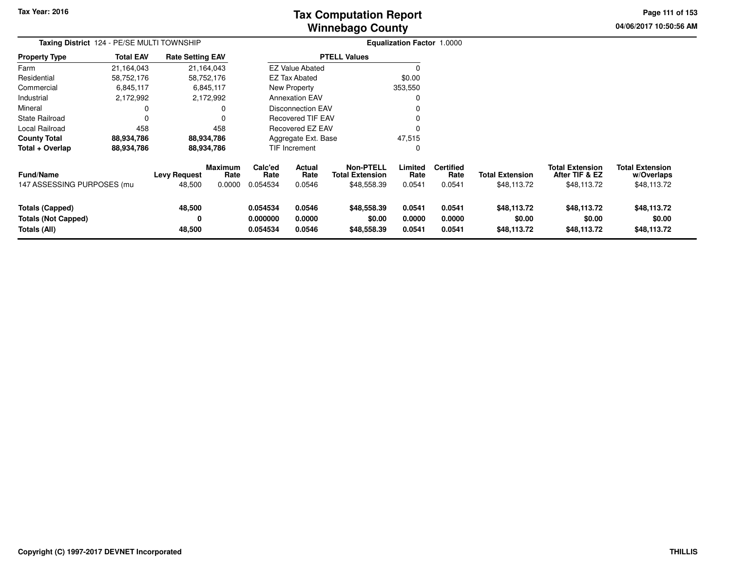**Tax Year: 2016**

# **Winnebago CountyTax Computation Report Tax**

**04/06/2017 10:50:56 AM Page 111 of 153**

| Taxing District 124 - PE/SE MULTI TOWNSHIP                           |                  |                               |                                  |                                  |                                 |                                                           | <b>Equalization Factor 1.0000</b> |                                    |                                       |                                                         |                                                     |
|----------------------------------------------------------------------|------------------|-------------------------------|----------------------------------|----------------------------------|---------------------------------|-----------------------------------------------------------|-----------------------------------|------------------------------------|---------------------------------------|---------------------------------------------------------|-----------------------------------------------------|
| Property Type                                                        | <b>Total EAV</b> | <b>Rate Setting EAV</b>       |                                  |                                  |                                 | <b>PTELL Values</b>                                       |                                   |                                    |                                       |                                                         |                                                     |
| Farm                                                                 | 21,164,043       |                               | 21,164,043                       |                                  | <b>EZ Value Abated</b>          |                                                           | $\Omega$                          |                                    |                                       |                                                         |                                                     |
| Residential                                                          | 58,752,176       |                               | 58,752,176                       |                                  | <b>EZ Tax Abated</b>            |                                                           | \$0.00                            |                                    |                                       |                                                         |                                                     |
| Commercial                                                           | 6,845,117        |                               | 6,845,117                        |                                  | New Property                    |                                                           | 353,550                           |                                    |                                       |                                                         |                                                     |
| Industrial                                                           | 2,172,992        |                               | 2,172,992                        |                                  | <b>Annexation EAV</b>           |                                                           | O                                 |                                    |                                       |                                                         |                                                     |
| Mineral                                                              | 0                |                               |                                  |                                  | Disconnection EAV               |                                                           |                                   |                                    |                                       |                                                         |                                                     |
| State Railroad                                                       | 0                |                               |                                  |                                  | Recovered TIF EAV               |                                                           |                                   |                                    |                                       |                                                         |                                                     |
| Local Railroad                                                       | 458              |                               | 458                              |                                  | Recovered EZ EAV                |                                                           |                                   |                                    |                                       |                                                         |                                                     |
| County Total                                                         | 88,934,786       |                               | 88,934,786                       |                                  | Aggregate Ext. Base             |                                                           | 47,515                            |                                    |                                       |                                                         |                                                     |
| Total + Overlap                                                      | 88,934,786       |                               | 88,934,786                       | TIF Increment                    |                                 |                                                           | 0                                 |                                    |                                       |                                                         |                                                     |
| Fund/Name<br>147 ASSESSING PURPOSES (mu                              |                  | <b>Levy Request</b><br>48,500 | <b>Maximum</b><br>Rate<br>0.0000 | Calc'ed<br>Rate<br>0.054534      | <b>Actual</b><br>Rate<br>0.0546 | <b>Non-PTELL</b><br><b>Total Extension</b><br>\$48,558.39 | Limited<br>Rate<br>0.0541         | <b>Certified</b><br>Rate<br>0.0541 | <b>Total Extension</b><br>\$48,113.72 | <b>Total Extension</b><br>After TIF & EZ<br>\$48,113.72 | <b>Total Extension</b><br>w/Overlaps<br>\$48,113.72 |
| <b>Totals (Capped)</b><br><b>Totals (Not Capped)</b><br>Totals (All) |                  | 48,500<br>0<br>48,500         |                                  | 0.054534<br>0.000000<br>0.054534 | 0.0546<br>0.0000<br>0.0546      | \$48,558.39<br>\$0.00<br>\$48,558.39                      | 0.0541<br>0.0000<br>0.0541        | 0.0541<br>0.0000<br>0.0541         | \$48,113.72<br>\$0.00<br>\$48,113.72  | \$48,113.72<br>\$0.00<br>\$48,113.72                    | \$48,113.72<br>\$0.00<br>\$48,113.72                |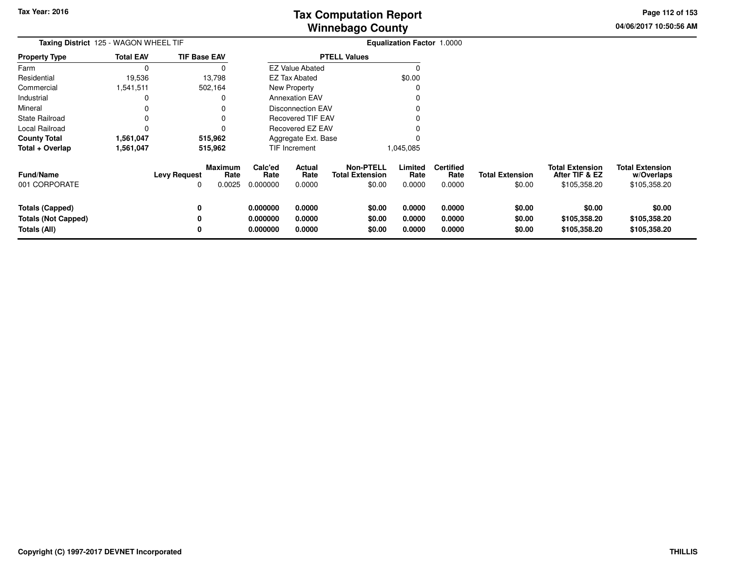**04/06/2017 10:50:56 AMPage 112 of 153**

| <b>Taxing District</b> 125 - WAGON WHEEL TIF                         |                  |                          |                                  |                                  |                            |                                                      | <b>Equalization Factor 1.0000</b> |                                    |                                  |                                                          |                                                      |
|----------------------------------------------------------------------|------------------|--------------------------|----------------------------------|----------------------------------|----------------------------|------------------------------------------------------|-----------------------------------|------------------------------------|----------------------------------|----------------------------------------------------------|------------------------------------------------------|
| <b>Property Type</b>                                                 | <b>Total EAV</b> | <b>TIF Base EAV</b>      |                                  |                                  |                            | <b>PTELL Values</b>                                  |                                   |                                    |                                  |                                                          |                                                      |
| Farm                                                                 | 0                |                          |                                  |                                  | <b>EZ Value Abated</b>     |                                                      |                                   |                                    |                                  |                                                          |                                                      |
| Residential                                                          | 19,536           |                          | 13,798                           |                                  | <b>EZ Tax Abated</b>       |                                                      | \$0.00                            |                                    |                                  |                                                          |                                                      |
| Commercial                                                           | 1,541,511        |                          | 502,164                          |                                  | New Property               |                                                      |                                   |                                    |                                  |                                                          |                                                      |
| Industrial                                                           | 0                |                          |                                  |                                  | <b>Annexation EAV</b>      |                                                      |                                   |                                    |                                  |                                                          |                                                      |
| Mineral                                                              |                  |                          |                                  |                                  | <b>Disconnection EAV</b>   |                                                      |                                   |                                    |                                  |                                                          |                                                      |
| State Railroad                                                       |                  |                          |                                  |                                  | <b>Recovered TIF EAV</b>   |                                                      |                                   |                                    |                                  |                                                          |                                                      |
| Local Railroad                                                       | 0                |                          |                                  |                                  | Recovered EZ EAV           |                                                      |                                   |                                    |                                  |                                                          |                                                      |
| <b>County Total</b>                                                  | 1,561,047        |                          | 515,962                          |                                  | Aggregate Ext. Base        |                                                      |                                   |                                    |                                  |                                                          |                                                      |
| Total + Overlap                                                      | 1,561,047        |                          | 515,962                          |                                  | TIF Increment              |                                                      | 1,045,085                         |                                    |                                  |                                                          |                                                      |
| <b>Fund/Name</b><br>001 CORPORATE                                    |                  | <b>Levy Request</b><br>0 | <b>Maximum</b><br>Rate<br>0.0025 | Calc'ed<br>Rate<br>0.000000      | Actual<br>Rate<br>0.0000   | <b>Non-PTELL</b><br><b>Total Extension</b><br>\$0.00 | Limited<br>Rate<br>0.0000         | <b>Certified</b><br>Rate<br>0.0000 | <b>Total Extension</b><br>\$0.00 | <b>Total Extension</b><br>After TIF & EZ<br>\$105,358.20 | <b>Total Extension</b><br>w/Overlaps<br>\$105,358.20 |
| <b>Totals (Capped)</b><br><b>Totals (Not Capped)</b><br>Totals (All) |                  | 0<br>0<br>0              |                                  | 0.000000<br>0.000000<br>0.000000 | 0.0000<br>0.0000<br>0.0000 | \$0.00<br>\$0.00<br>\$0.00                           | 0.0000<br>0.0000<br>0.0000        | 0.0000<br>0.0000<br>0.0000         | \$0.00<br>\$0.00<br>\$0.00       | \$0.00<br>\$105,358.20<br>\$105,358.20                   | \$0.00<br>\$105,358.20<br>\$105,358.20               |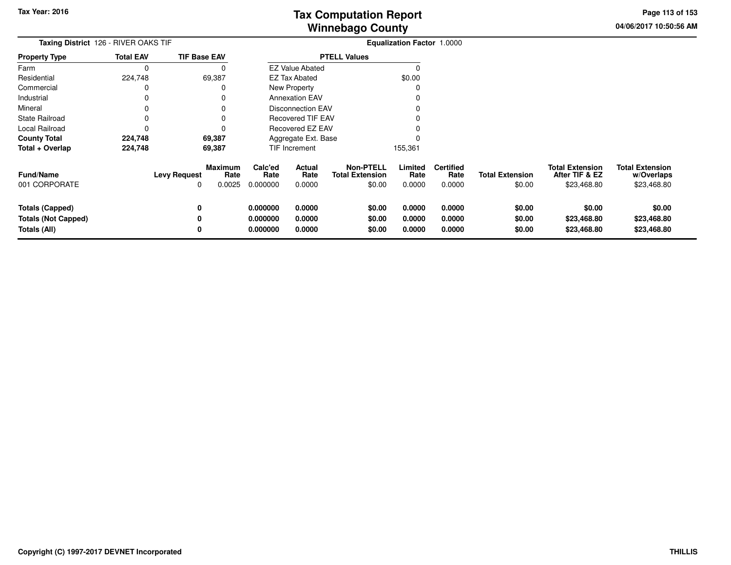**04/06/2017 10:50:56 AMPage 113 of 153**

| Taxing District 126 - RIVER OAKS TIF |                  |                          |                                  |                             |                          |                                                      | <b>Equalization Factor 1.0000</b> |                                    |                                  |                                                         |                                                     |
|--------------------------------------|------------------|--------------------------|----------------------------------|-----------------------------|--------------------------|------------------------------------------------------|-----------------------------------|------------------------------------|----------------------------------|---------------------------------------------------------|-----------------------------------------------------|
| <b>Property Type</b>                 | <b>Total EAV</b> | <b>TIF Base EAV</b>      |                                  |                             |                          | <b>PTELL Values</b>                                  |                                   |                                    |                                  |                                                         |                                                     |
| Farm                                 | 0                |                          | O                                |                             | <b>EZ Value Abated</b>   |                                                      |                                   |                                    |                                  |                                                         |                                                     |
| Residential                          | 224,748          |                          | 69,387                           |                             | <b>EZ Tax Abated</b>     |                                                      | \$0.00                            |                                    |                                  |                                                         |                                                     |
| Commercial                           |                  |                          |                                  |                             | New Property             |                                                      |                                   |                                    |                                  |                                                         |                                                     |
| Industrial                           |                  |                          |                                  |                             | <b>Annexation EAV</b>    |                                                      |                                   |                                    |                                  |                                                         |                                                     |
| Mineral                              |                  |                          |                                  |                             | <b>Disconnection EAV</b> |                                                      |                                   |                                    |                                  |                                                         |                                                     |
| <b>State Railroad</b>                |                  |                          |                                  |                             | <b>Recovered TIF EAV</b> |                                                      |                                   |                                    |                                  |                                                         |                                                     |
| Local Railroad                       |                  |                          |                                  |                             | Recovered EZ EAV         |                                                      |                                   |                                    |                                  |                                                         |                                                     |
| <b>County Total</b>                  | 224,748          |                          | 69,387                           |                             | Aggregate Ext. Base      |                                                      |                                   |                                    |                                  |                                                         |                                                     |
| Total + Overlap                      | 224,748          |                          | 69,387                           |                             | TIF Increment            |                                                      | 155,361                           |                                    |                                  |                                                         |                                                     |
| <b>Fund/Name</b><br>001 CORPORATE    |                  | <b>Levy Request</b><br>0 | <b>Maximum</b><br>Rate<br>0.0025 | Calc'ed<br>Rate<br>0.000000 | Actual<br>Rate<br>0.0000 | <b>Non-PTELL</b><br><b>Total Extension</b><br>\$0.00 | Limited<br>Rate<br>0.0000         | <b>Certified</b><br>Rate<br>0.0000 | <b>Total Extension</b><br>\$0.00 | <b>Total Extension</b><br>After TIF & EZ<br>\$23,468.80 | <b>Total Extension</b><br>w/Overlaps<br>\$23,468.80 |
| Totals (Capped)                      |                  | 0                        |                                  | 0.000000                    | 0.0000                   | \$0.00                                               | 0.0000                            | 0.0000                             | \$0.00                           | \$0.00                                                  | \$0.00                                              |
| <b>Totals (Not Capped)</b>           |                  |                          |                                  | 0.000000                    | 0.0000                   | \$0.00                                               | 0.0000                            | 0.0000                             | \$0.00                           | \$23,468.80                                             | \$23,468.80                                         |
| Totals (All)                         |                  | 0                        |                                  | 0.000000                    | 0.0000                   | \$0.00                                               | 0.0000                            | 0.0000                             | \$0.00                           | \$23,468.80                                             | \$23,468.80                                         |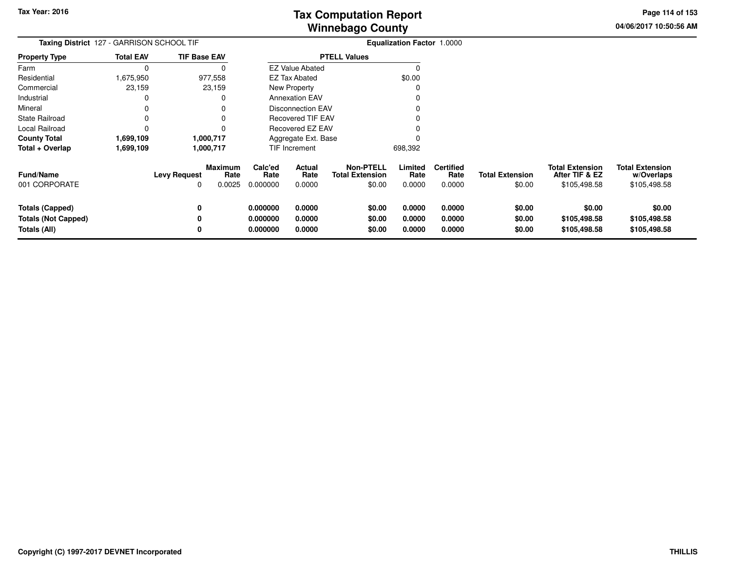**04/06/2017 10:50:56 AMPage 114 of 153**

| Taxing District 127 - GARRISON SCHOOL TIF                            |                  |                          |                           |                                  |                            |                                                      | <b>Equalization Factor 1.0000</b> |                                    |                                  |                                                          |                                                      |
|----------------------------------------------------------------------|------------------|--------------------------|---------------------------|----------------------------------|----------------------------|------------------------------------------------------|-----------------------------------|------------------------------------|----------------------------------|----------------------------------------------------------|------------------------------------------------------|
| <b>Property Type</b>                                                 | <b>Total EAV</b> | <b>TIF Base EAV</b>      |                           |                                  |                            | <b>PTELL Values</b>                                  |                                   |                                    |                                  |                                                          |                                                      |
| Farm                                                                 |                  |                          |                           |                                  | <b>EZ Value Abated</b>     |                                                      |                                   |                                    |                                  |                                                          |                                                      |
| Residential                                                          | 1,675,950        |                          | 977,558                   |                                  | <b>EZ Tax Abated</b>       |                                                      | \$0.00                            |                                    |                                  |                                                          |                                                      |
| Commercial                                                           | 23,159           |                          | 23,159                    |                                  | New Property               |                                                      |                                   |                                    |                                  |                                                          |                                                      |
| Industrial                                                           |                  |                          | 0                         |                                  | <b>Annexation EAV</b>      |                                                      |                                   |                                    |                                  |                                                          |                                                      |
| Mineral                                                              |                  |                          |                           |                                  | <b>Disconnection EAV</b>   |                                                      |                                   |                                    |                                  |                                                          |                                                      |
| <b>State Railroad</b>                                                |                  |                          |                           |                                  | Recovered TIF EAV          |                                                      |                                   |                                    |                                  |                                                          |                                                      |
| Local Railroad                                                       |                  |                          |                           |                                  | <b>Recovered EZ EAV</b>    |                                                      |                                   |                                    |                                  |                                                          |                                                      |
| <b>County Total</b>                                                  | 1,699,109        |                          | 1,000,717                 |                                  | Aggregate Ext. Base        |                                                      |                                   |                                    |                                  |                                                          |                                                      |
| Total + Overlap                                                      | 1,699,109        |                          | 1,000,717                 |                                  | TIF Increment              |                                                      | 698,392                           |                                    |                                  |                                                          |                                                      |
| Fund/Name<br>001 CORPORATE                                           |                  | <b>Levy Request</b><br>0 | Maximum<br>Rate<br>0.0025 | Calc'ed<br>Rate<br>0.000000      | Actual<br>Rate<br>0.0000   | <b>Non-PTELL</b><br><b>Total Extension</b><br>\$0.00 | Limited<br>Rate<br>0.0000         | <b>Certified</b><br>Rate<br>0.0000 | <b>Total Extension</b><br>\$0.00 | <b>Total Extension</b><br>After TIF & EZ<br>\$105,498.58 | <b>Total Extension</b><br>w/Overlaps<br>\$105,498.58 |
| <b>Totals (Capped)</b><br><b>Totals (Not Capped)</b><br>Totals (All) |                  | 0<br>0<br>0              |                           | 0.000000<br>0.000000<br>0.000000 | 0.0000<br>0.0000<br>0.0000 | \$0.00<br>\$0.00<br>\$0.00                           | 0.0000<br>0.0000<br>0.0000        | 0.0000<br>0.0000<br>0.0000         | \$0.00<br>\$0.00<br>\$0.00       | \$0.00<br>\$105,498.58<br>\$105,498.58                   | \$0.00<br>\$105,498.58<br>\$105,498.58               |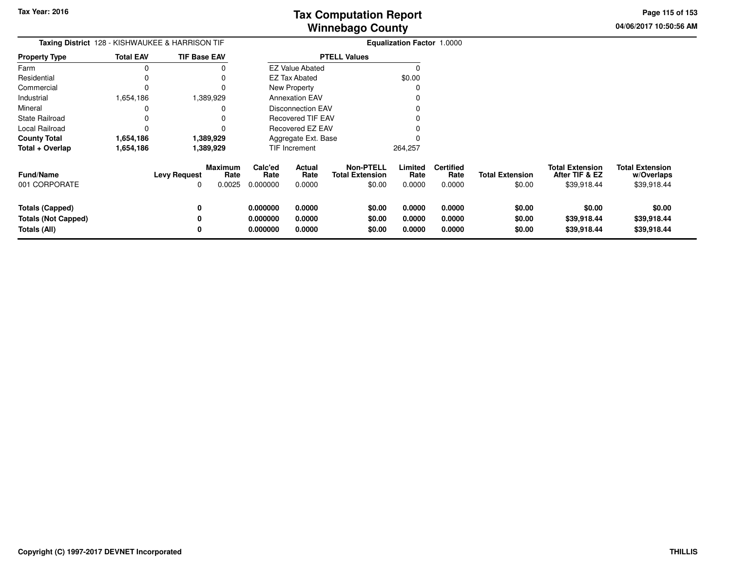**04/06/2017 10:50:56 AMPage 115 of 153**

| <b>Taxing District</b> 128 - KISHWAUKEE & HARRISON TIF        |                  |                          |                           |                                  |                            |                                                      | <b>Equalization Factor 1.0000</b> |                                    |                                  |                                                         |                                                     |
|---------------------------------------------------------------|------------------|--------------------------|---------------------------|----------------------------------|----------------------------|------------------------------------------------------|-----------------------------------|------------------------------------|----------------------------------|---------------------------------------------------------|-----------------------------------------------------|
| <b>Property Type</b>                                          | <b>Total EAV</b> | <b>TIF Base EAV</b>      |                           |                                  |                            | <b>PTELL Values</b>                                  |                                   |                                    |                                  |                                                         |                                                     |
| Farm                                                          | 0                |                          |                           |                                  | <b>EZ Value Abated</b>     |                                                      | O                                 |                                    |                                  |                                                         |                                                     |
| Residential                                                   | 0                |                          |                           |                                  | <b>EZ Tax Abated</b>       |                                                      | \$0.00                            |                                    |                                  |                                                         |                                                     |
| Commercial                                                    | 0                |                          |                           |                                  | New Property               |                                                      |                                   |                                    |                                  |                                                         |                                                     |
| Industrial                                                    | 1,654,186        |                          | 1,389,929                 |                                  | <b>Annexation EAV</b>      |                                                      |                                   |                                    |                                  |                                                         |                                                     |
| Mineral                                                       | 0                |                          |                           |                                  | <b>Disconnection EAV</b>   |                                                      |                                   |                                    |                                  |                                                         |                                                     |
| State Railroad                                                |                  |                          |                           |                                  | <b>Recovered TIF EAV</b>   |                                                      |                                   |                                    |                                  |                                                         |                                                     |
| Local Railroad                                                | 0                |                          |                           |                                  | Recovered EZ EAV           |                                                      |                                   |                                    |                                  |                                                         |                                                     |
| County Total                                                  | 1,654,186        |                          | 1,389,929                 |                                  | Aggregate Ext. Base        |                                                      |                                   |                                    |                                  |                                                         |                                                     |
| Total + Overlap                                               | 1,654,186        |                          | 1,389,929                 | TIF Increment                    |                            |                                                      | 264,257                           |                                    |                                  |                                                         |                                                     |
| Fund/Name<br>001 CORPORATE                                    |                  | <b>Levy Request</b><br>0 | Maximum<br>Rate<br>0.0025 | Calc'ed<br>Rate<br>0.000000      | Actual<br>Rate<br>0.0000   | <b>Non-PTELL</b><br><b>Total Extension</b><br>\$0.00 | Limited<br>Rate<br>0.0000         | <b>Certified</b><br>Rate<br>0.0000 | <b>Total Extension</b><br>\$0.00 | <b>Total Extension</b><br>After TIF & EZ<br>\$39,918.44 | <b>Total Extension</b><br>w/Overlaps<br>\$39,918.44 |
| Totals (Capped)<br><b>Totals (Not Capped)</b><br>Totals (All) |                  | 0<br>0<br>0              |                           | 0.000000<br>0.000000<br>0.000000 | 0.0000<br>0.0000<br>0.0000 | \$0.00<br>\$0.00<br>\$0.00                           | 0.0000<br>0.0000<br>0.0000        | 0.0000<br>0.0000<br>0.0000         | \$0.00<br>\$0.00<br>\$0.00       | \$0.00<br>\$39,918.44<br>\$39,918.44                    | \$0.00<br>\$39,918.44<br>\$39,918.44                |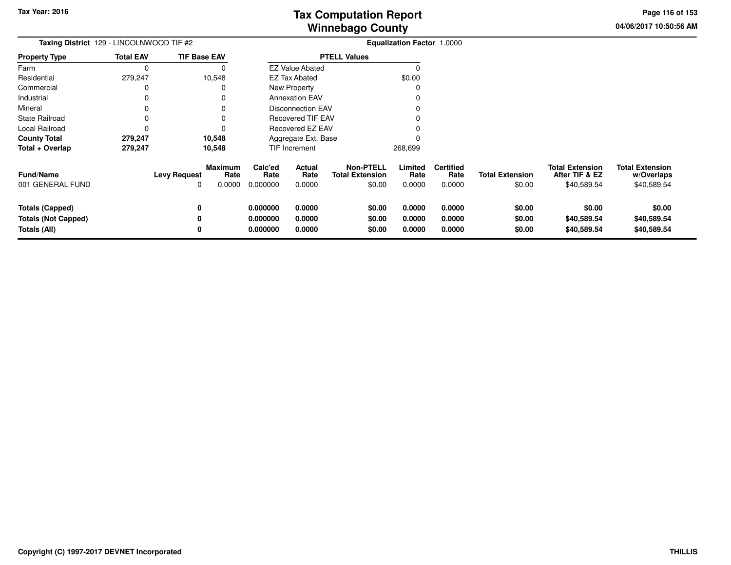**04/06/2017 10:50:56 AMPage 116 of 153**

| Taxing District 129 - LINCOLNWOOD TIF #2 |                  |                          |                                  | <b>Equalization Factor 1.0000</b> |                          |                                                      |                           |                                    |                                  |                                                         |                                                     |
|------------------------------------------|------------------|--------------------------|----------------------------------|-----------------------------------|--------------------------|------------------------------------------------------|---------------------------|------------------------------------|----------------------------------|---------------------------------------------------------|-----------------------------------------------------|
| <b>Property Type</b>                     | <b>Total EAV</b> |                          | <b>TIF Base EAV</b>              |                                   |                          | <b>PTELL Values</b>                                  |                           |                                    |                                  |                                                         |                                                     |
| Farm                                     |                  |                          |                                  |                                   | <b>EZ Value Abated</b>   |                                                      |                           |                                    |                                  |                                                         |                                                     |
| Residential                              | 279,247          |                          | 10,548                           |                                   | <b>EZ Tax Abated</b>     |                                                      | \$0.00                    |                                    |                                  |                                                         |                                                     |
| Commercial                               |                  |                          | 0                                |                                   | <b>New Property</b>      |                                                      |                           |                                    |                                  |                                                         |                                                     |
| Industrial                               |                  |                          | 0                                |                                   | <b>Annexation EAV</b>    |                                                      |                           |                                    |                                  |                                                         |                                                     |
| Mineral                                  |                  |                          |                                  |                                   | <b>Disconnection EAV</b> |                                                      |                           |                                    |                                  |                                                         |                                                     |
| <b>State Railroad</b>                    |                  |                          | 0                                |                                   | <b>Recovered TIF EAV</b> |                                                      |                           |                                    |                                  |                                                         |                                                     |
| Local Railroad                           |                  |                          |                                  |                                   | Recovered EZ EAV         |                                                      |                           |                                    |                                  |                                                         |                                                     |
| <b>County Total</b>                      | 279,247          |                          | 10,548                           |                                   | Aggregate Ext. Base      |                                                      |                           |                                    |                                  |                                                         |                                                     |
| Total + Overlap                          | 279,247          |                          | 10,548                           |                                   | TIF Increment            |                                                      | 268,699                   |                                    |                                  |                                                         |                                                     |
| <b>Fund/Name</b><br>001 GENERAL FUND     |                  | <b>Levy Request</b><br>0 | <b>Maximum</b><br>Rate<br>0.0000 | Calc'ed<br>Rate<br>0.000000       | Actual<br>Rate<br>0.0000 | <b>Non-PTELL</b><br><b>Total Extension</b><br>\$0.00 | Limited<br>Rate<br>0.0000 | <b>Certified</b><br>Rate<br>0.0000 | <b>Total Extension</b><br>\$0.00 | <b>Total Extension</b><br>After TIF & EZ<br>\$40,589.54 | <b>Total Extension</b><br>w/Overlaps<br>\$40,589.54 |
| <b>Totals (Capped)</b>                   |                  | 0                        |                                  | 0.000000                          | 0.0000                   | \$0.00                                               | 0.0000                    | 0.0000                             | \$0.00                           | \$0.00                                                  | \$0.00                                              |
| <b>Totals (Not Capped)</b>               |                  |                          |                                  | 0.000000                          | 0.0000                   | \$0.00                                               | 0.0000                    | 0.0000                             | \$0.00                           | \$40,589.54                                             | \$40,589.54                                         |
| Totals (All)                             |                  |                          |                                  | 0.000000                          | 0.0000                   | \$0.00                                               | 0.0000                    | 0.0000                             | \$0.00                           | \$40,589.54                                             | \$40,589.54                                         |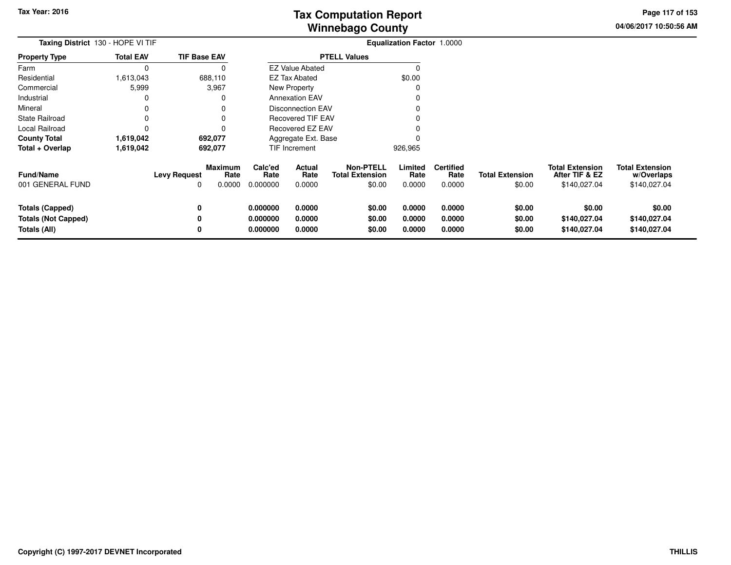**04/06/2017 10:50:56 AMPage 117 of 153**

| <b>Taxing District 130 - HOPE VI TIF</b>                             |                  |                                                         |                                  |                            |                                                      | Equalization Factor 1.0000 |                                    |                                  |                                                          |                                                      |
|----------------------------------------------------------------------|------------------|---------------------------------------------------------|----------------------------------|----------------------------|------------------------------------------------------|----------------------------|------------------------------------|----------------------------------|----------------------------------------------------------|------------------------------------------------------|
| <b>Property Type</b>                                                 | <b>Total EAV</b> | <b>TIF Base EAV</b>                                     |                                  |                            | <b>PTELL Values</b>                                  |                            |                                    |                                  |                                                          |                                                      |
| Farm                                                                 | $\Omega$         | 0                                                       |                                  | <b>EZ Value Abated</b>     |                                                      | $\Omega$                   |                                    |                                  |                                                          |                                                      |
| Residential                                                          | 613,043,         | 688,110                                                 |                                  | <b>EZ Tax Abated</b>       |                                                      | \$0.00                     |                                    |                                  |                                                          |                                                      |
| Commercial                                                           | 5,999            | 3,967                                                   |                                  | <b>New Property</b>        |                                                      | -C                         |                                    |                                  |                                                          |                                                      |
| Industrial                                                           | 0                | 0                                                       |                                  | <b>Annexation EAV</b>      |                                                      |                            |                                    |                                  |                                                          |                                                      |
| Mineral                                                              | 0                |                                                         |                                  | <b>Disconnection EAV</b>   |                                                      |                            |                                    |                                  |                                                          |                                                      |
| <b>State Railroad</b>                                                | 0                |                                                         |                                  | <b>Recovered TIF EAV</b>   |                                                      |                            |                                    |                                  |                                                          |                                                      |
| Local Railroad                                                       | 0                | 0                                                       |                                  | Recovered EZ EAV           |                                                      |                            |                                    |                                  |                                                          |                                                      |
| <b>County Total</b>                                                  | 1,619,042        | 692,077                                                 |                                  | Aggregate Ext. Base        |                                                      |                            |                                    |                                  |                                                          |                                                      |
| Total + Overlap                                                      | 1,619,042        | 692,077                                                 |                                  | TIF Increment              |                                                      | 926,965                    |                                    |                                  |                                                          |                                                      |
| <b>Fund/Name</b><br>001 GENERAL FUND                                 |                  | <b>Maximum</b><br><b>Levy Request</b><br>Rate<br>0.0000 | Calc'ed<br>Rate<br>0.000000      | Actual<br>Rate<br>0.0000   | <b>Non-PTELL</b><br><b>Total Extension</b><br>\$0.00 | Limited<br>Rate<br>0.0000  | <b>Certified</b><br>Rate<br>0.0000 | <b>Total Extension</b><br>\$0.00 | <b>Total Extension</b><br>After TIF & EZ<br>\$140,027.04 | <b>Total Extension</b><br>w/Overlaps<br>\$140,027.04 |
| <b>Totals (Capped)</b><br><b>Totals (Not Capped)</b><br>Totals (All) |                  | 0<br>0                                                  | 0.000000<br>0.000000<br>0.000000 | 0.0000<br>0.0000<br>0.0000 | \$0.00<br>\$0.00<br>\$0.00                           | 0.0000<br>0.0000<br>0.0000 | 0.0000<br>0.0000<br>0.0000         | \$0.00<br>\$0.00<br>\$0.00       | \$0.00<br>\$140,027.04<br>\$140,027.04                   | \$0.00<br>\$140,027.04<br>\$140,027.04               |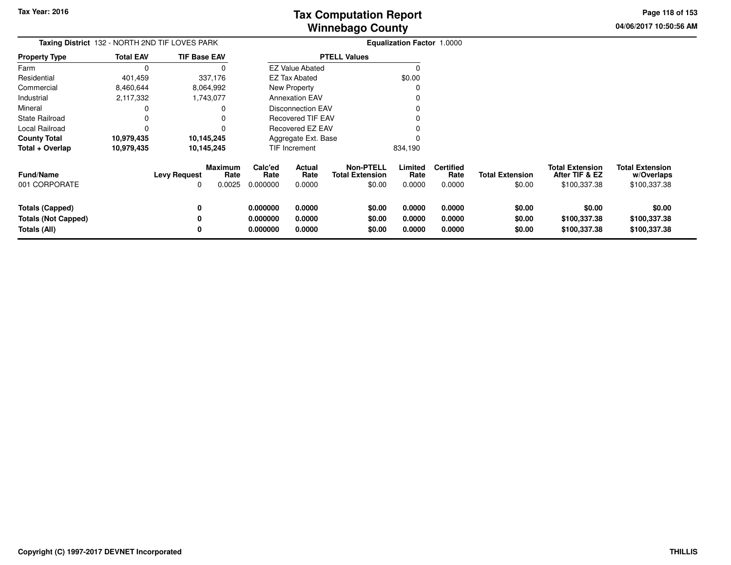**04/06/2017 10:50:56 AMPage 118 of 153**

| Taxing District 132 - NORTH 2ND TIF LOVES PARK                       |                  |                          |                                  |                                  |                            |                                                      | <b>Equalization Factor 1.0000</b> |                                    |                                  |                                                          |                                                      |
|----------------------------------------------------------------------|------------------|--------------------------|----------------------------------|----------------------------------|----------------------------|------------------------------------------------------|-----------------------------------|------------------------------------|----------------------------------|----------------------------------------------------------|------------------------------------------------------|
| <b>Property Type</b>                                                 | <b>Total EAV</b> | <b>TIF Base EAV</b>      |                                  |                                  |                            | <b>PTELL Values</b>                                  |                                   |                                    |                                  |                                                          |                                                      |
| Farm                                                                 |                  |                          |                                  |                                  | <b>EZ Value Abated</b>     |                                                      |                                   |                                    |                                  |                                                          |                                                      |
| Residential                                                          | 401,459          |                          | 337,176                          |                                  | <b>EZ Tax Abated</b>       |                                                      | \$0.00                            |                                    |                                  |                                                          |                                                      |
| Commercial                                                           | 8,460,644        |                          | 8,064,992                        |                                  | New Property               |                                                      |                                   |                                    |                                  |                                                          |                                                      |
| Industrial                                                           | 2,117,332        |                          | 1,743,077                        |                                  | <b>Annexation EAV</b>      |                                                      |                                   |                                    |                                  |                                                          |                                                      |
| Mineral                                                              |                  |                          |                                  |                                  | Disconnection EAV          |                                                      |                                   |                                    |                                  |                                                          |                                                      |
| State Railroad                                                       |                  |                          | 0                                |                                  | <b>Recovered TIF EAV</b>   |                                                      |                                   |                                    |                                  |                                                          |                                                      |
| Local Railroad                                                       |                  |                          | 0                                |                                  | Recovered EZ EAV           |                                                      |                                   |                                    |                                  |                                                          |                                                      |
| <b>County Total</b>                                                  | 10,979,435       |                          | 10,145,245                       |                                  | Aggregate Ext. Base        |                                                      |                                   |                                    |                                  |                                                          |                                                      |
| Total + Overlap                                                      | 10,979,435       |                          | 10,145,245                       |                                  | TIF Increment              |                                                      | 834,190                           |                                    |                                  |                                                          |                                                      |
| <b>Fund/Name</b><br>001 CORPORATE                                    |                  | <b>Levy Request</b><br>0 | <b>Maximum</b><br>Rate<br>0.0025 | Calc'ed<br>Rate<br>0.000000      | Actual<br>Rate<br>0.0000   | <b>Non-PTELL</b><br><b>Total Extension</b><br>\$0.00 | Limited<br>Rate<br>0.0000         | <b>Certified</b><br>Rate<br>0.0000 | <b>Total Extension</b><br>\$0.00 | <b>Total Extension</b><br>After TIF & EZ<br>\$100,337.38 | <b>Total Extension</b><br>w/Overlaps<br>\$100,337.38 |
| <b>Totals (Capped)</b><br><b>Totals (Not Capped)</b><br>Totals (All) |                  | 0<br>0<br>0              |                                  | 0.000000<br>0.000000<br>0.000000 | 0.0000<br>0.0000<br>0.0000 | \$0.00<br>\$0.00<br>\$0.00                           | 0.0000<br>0.0000<br>0.0000        | 0.0000<br>0.0000<br>0.0000         | \$0.00<br>\$0.00<br>\$0.00       | \$0.00<br>\$100,337.38<br>\$100,337.38                   | \$0.00<br>\$100,337.38<br>\$100,337.38               |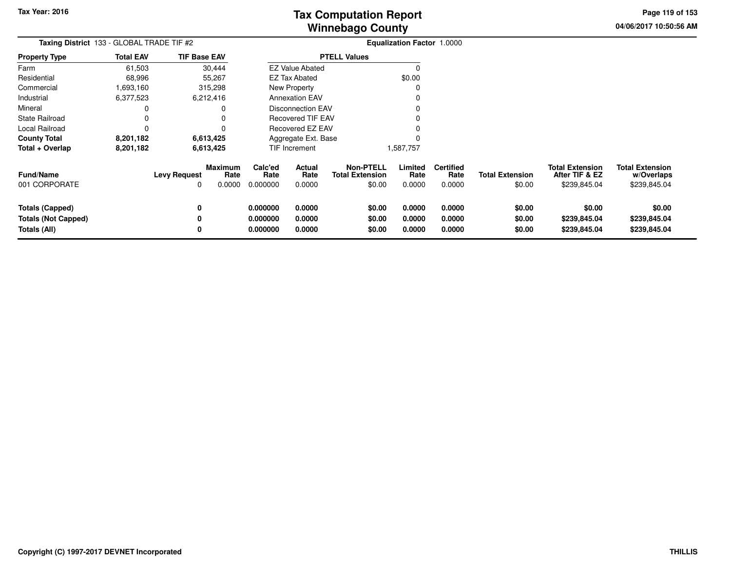**04/06/2017 10:50:56 AMPage 119 of 153**

| Taxing District 133 - GLOBAL TRADE TIF #2                            |                  |                     |                                  |                                  |                            |                                                      | <b>Equalization Factor 1.0000</b> |                                    |                                  |                                                          |                                                      |
|----------------------------------------------------------------------|------------------|---------------------|----------------------------------|----------------------------------|----------------------------|------------------------------------------------------|-----------------------------------|------------------------------------|----------------------------------|----------------------------------------------------------|------------------------------------------------------|
| <b>Property Type</b>                                                 | <b>Total EAV</b> | <b>TIF Base EAV</b> |                                  |                                  |                            | <b>PTELL Values</b>                                  |                                   |                                    |                                  |                                                          |                                                      |
| Farm                                                                 | 61,503           |                     | 30,444                           |                                  | <b>EZ Value Abated</b>     |                                                      | $\Omega$                          |                                    |                                  |                                                          |                                                      |
| Residential                                                          | 68,996           |                     | 55,267                           |                                  | EZ Tax Abated              |                                                      | \$0.00                            |                                    |                                  |                                                          |                                                      |
| Commercial                                                           | 1693,160         |                     | 315,298                          |                                  | <b>New Property</b>        |                                                      | C                                 |                                    |                                  |                                                          |                                                      |
| Industrial                                                           | 6,377,523        |                     | 6,212,416                        |                                  | <b>Annexation EAV</b>      |                                                      | 0                                 |                                    |                                  |                                                          |                                                      |
| Mineral                                                              | 0                |                     | 0                                |                                  | <b>Disconnection EAV</b>   |                                                      |                                   |                                    |                                  |                                                          |                                                      |
| <b>State Railroad</b>                                                | 0                |                     | 0                                |                                  | <b>Recovered TIF EAV</b>   |                                                      |                                   |                                    |                                  |                                                          |                                                      |
| Local Railroad                                                       | 0                |                     |                                  |                                  | Recovered EZ EAV           |                                                      |                                   |                                    |                                  |                                                          |                                                      |
| <b>County Total</b>                                                  | 8,201,182        | 6,613,425           |                                  |                                  | Aggregate Ext. Base        |                                                      |                                   |                                    |                                  |                                                          |                                                      |
| Total + Overlap                                                      | 8,201,182        | 6,613,425           |                                  |                                  | TIF Increment              |                                                      | 1,587,757                         |                                    |                                  |                                                          |                                                      |
| <b>Fund/Name</b><br>001 CORPORATE                                    |                  | <b>Levy Request</b> | <b>Maximum</b><br>Rate<br>0.0000 | Calc'ed<br>Rate<br>0.000000      | Actual<br>Rate<br>0.0000   | <b>Non-PTELL</b><br><b>Total Extension</b><br>\$0.00 | Limited<br>Rate<br>0.0000         | <b>Certified</b><br>Rate<br>0.0000 | <b>Total Extension</b><br>\$0.00 | <b>Total Extension</b><br>After TIF & EZ<br>\$239,845.04 | <b>Total Extension</b><br>w/Overlaps<br>\$239,845.04 |
| <b>Totals (Capped)</b><br><b>Totals (Not Capped)</b><br>Totals (All) |                  | 0<br>0<br>0         |                                  | 0.000000<br>0.000000<br>0.000000 | 0.0000<br>0.0000<br>0.0000 | \$0.00<br>\$0.00<br>\$0.00                           | 0.0000<br>0.0000<br>0.0000        | 0.0000<br>0.0000<br>0.0000         | \$0.00<br>\$0.00<br>\$0.00       | \$0.00<br>\$239,845.04<br>\$239,845.04                   | \$0.00<br>\$239,845.04<br>\$239,845.04               |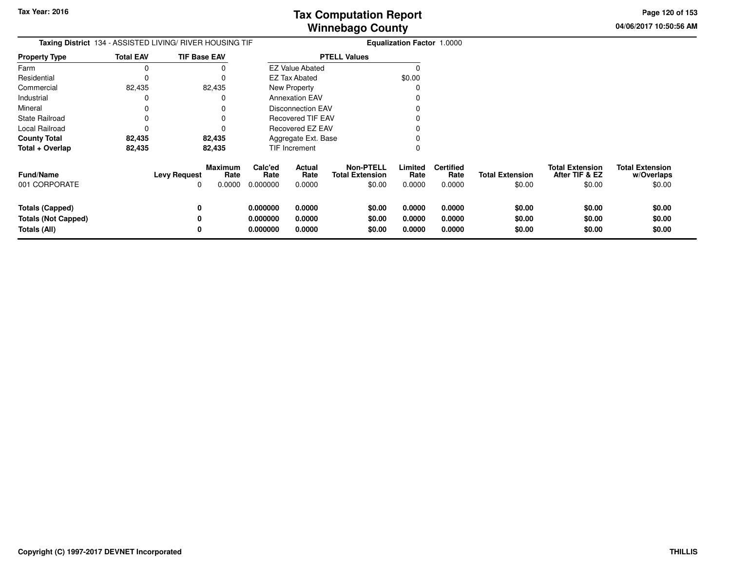**04/06/2017 10:50:56 AM Page 120 of 153**

| <b>Taxing District</b> 134 - ASSISTED LIVING/ RIVER HOUSING TIF      |                  |                          |                                  | Equalization Factor 1.0000       |                            |                                            |                            |                            |                                    |                                  |                                                    |                                                |
|----------------------------------------------------------------------|------------------|--------------------------|----------------------------------|----------------------------------|----------------------------|--------------------------------------------|----------------------------|----------------------------|------------------------------------|----------------------------------|----------------------------------------------------|------------------------------------------------|
| <b>Property Type</b>                                                 | <b>Total EAV</b> | <b>TIF Base EAV</b>      |                                  |                                  |                            | <b>PTELL Values</b>                        |                            |                            |                                    |                                  |                                                    |                                                |
| Farm                                                                 | 0                |                          | 0                                |                                  | <b>EZ Value Abated</b>     |                                            |                            |                            |                                    |                                  |                                                    |                                                |
| Residential                                                          | 0                |                          | 0                                |                                  | EZ Tax Abated              |                                            |                            | \$0.00                     |                                    |                                  |                                                    |                                                |
| Commercial                                                           | 82,435           |                          | 82,435                           |                                  | New Property               |                                            |                            |                            |                                    |                                  |                                                    |                                                |
| Industrial                                                           | 0                |                          | 0                                |                                  | <b>Annexation EAV</b>      |                                            |                            |                            |                                    |                                  |                                                    |                                                |
| Mineral                                                              | 0                |                          | 0                                |                                  | <b>Disconnection EAV</b>   |                                            |                            |                            |                                    |                                  |                                                    |                                                |
| <b>State Railroad</b>                                                | 0                |                          | 0                                |                                  | <b>Recovered TIF EAV</b>   |                                            |                            |                            |                                    |                                  |                                                    |                                                |
| <b>Local Railroad</b>                                                | 0                |                          |                                  |                                  | <b>Recovered EZ EAV</b>    |                                            |                            |                            |                                    |                                  |                                                    |                                                |
| <b>County Total</b>                                                  | 82,435           |                          | 82,435                           |                                  | Aggregate Ext. Base        |                                            |                            |                            |                                    |                                  |                                                    |                                                |
| Total + Overlap                                                      | 82,435           |                          | 82,435                           |                                  | TIF Increment              |                                            |                            | 0                          |                                    |                                  |                                                    |                                                |
| <b>Fund/Name</b><br>001 CORPORATE                                    |                  | <b>Levy Request</b><br>0 | <b>Maximum</b><br>Rate<br>0.0000 | Calc'ed<br>Rate<br>0.000000      | Actual<br>Rate<br>0.0000   | <b>Non-PTELL</b><br><b>Total Extension</b> | \$0.00                     | Limited<br>Rate<br>0.0000  | <b>Certified</b><br>Rate<br>0.0000 | <b>Total Extension</b><br>\$0.00 | <b>Total Extension</b><br>After TIF & EZ<br>\$0.00 | <b>Total Extension</b><br>w/Overlaps<br>\$0.00 |
| <b>Totals (Capped)</b><br><b>Totals (Not Capped)</b><br>Totals (All) |                  | 0<br>0                   |                                  | 0.000000<br>0.000000<br>0.000000 | 0.0000<br>0.0000<br>0.0000 |                                            | \$0.00<br>\$0.00<br>\$0.00 | 0.0000<br>0.0000<br>0.0000 | 0.0000<br>0.0000<br>0.0000         | \$0.00<br>\$0.00<br>\$0.00       | \$0.00<br>\$0.00<br>\$0.00                         | \$0.00<br>\$0.00<br>\$0.00                     |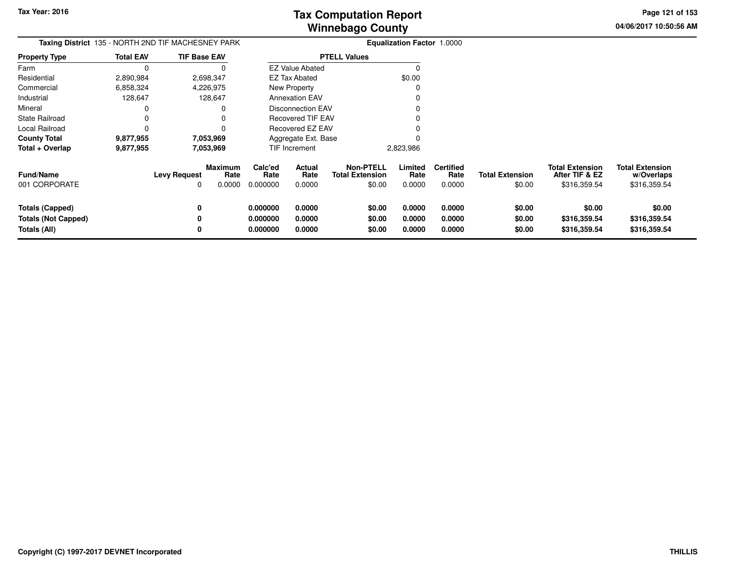**04/06/2017 10:50:56 AM Page 121 of 153**

| <b>Taxing District</b> 135 - NORTH 2ND TIF MACHESNEY PARK            |                  |                                |                |                                  |                            | <b>Equalization Factor 1.0000</b>                    |                            |                                    |                                  |                                                          |                                                      |
|----------------------------------------------------------------------|------------------|--------------------------------|----------------|----------------------------------|----------------------------|------------------------------------------------------|----------------------------|------------------------------------|----------------------------------|----------------------------------------------------------|------------------------------------------------------|
| <b>Property Type</b>                                                 | <b>Total EAV</b> | <b>TIF Base EAV</b>            |                |                                  |                            | <b>PTELL Values</b>                                  |                            |                                    |                                  |                                                          |                                                      |
| Farm                                                                 | $\Omega$         | 0                              |                |                                  | <b>EZ Value Abated</b>     |                                                      | $\Omega$                   |                                    |                                  |                                                          |                                                      |
| Residential                                                          | 2,890,984        | 2,698,347                      |                |                                  | EZ Tax Abated              |                                                      | \$0.00                     |                                    |                                  |                                                          |                                                      |
| Commercial                                                           | 6,858,324        | 4,226,975                      |                |                                  | New Property               |                                                      | C                          |                                    |                                  |                                                          |                                                      |
| Industrial                                                           | 128,647          | 128,647                        |                |                                  | <b>Annexation EAV</b>      |                                                      |                            |                                    |                                  |                                                          |                                                      |
| Mineral                                                              | 0                | 0                              |                |                                  | <b>Disconnection EAV</b>   |                                                      |                            |                                    |                                  |                                                          |                                                      |
| <b>State Railroad</b>                                                | 0                |                                |                |                                  | <b>Recovered TIF EAV</b>   |                                                      |                            |                                    |                                  |                                                          |                                                      |
| Local Railroad                                                       | 0                |                                |                |                                  | Recovered EZ EAV           |                                                      |                            |                                    |                                  |                                                          |                                                      |
| <b>County Total</b>                                                  | 9,877,955        | 7,053,969                      |                |                                  | Aggregate Ext. Base        |                                                      |                            |                                    |                                  |                                                          |                                                      |
| Total + Overlap                                                      | 9,877,955        | 7,053,969                      |                |                                  | TIF Increment              |                                                      | 2,823,986                  |                                    |                                  |                                                          |                                                      |
| <b>Fund/Name</b><br>001 CORPORATE                                    |                  | Maximum<br><b>Levy Request</b> | Rate<br>0.0000 | Calc'ed<br>Rate<br>0.000000      | Actual<br>Rate<br>0.0000   | <b>Non-PTELL</b><br><b>Total Extension</b><br>\$0.00 | Limited<br>Rate<br>0.0000  | <b>Certified</b><br>Rate<br>0.0000 | <b>Total Extension</b><br>\$0.00 | <b>Total Extension</b><br>After TIF & EZ<br>\$316,359.54 | <b>Total Extension</b><br>w/Overlaps<br>\$316,359.54 |
| <b>Totals (Capped)</b><br><b>Totals (Not Capped)</b><br>Totals (All) |                  | 0                              |                | 0.000000<br>0.000000<br>0.000000 | 0.0000<br>0.0000<br>0.0000 | \$0.00<br>\$0.00<br>\$0.00                           | 0.0000<br>0.0000<br>0.0000 | 0.0000<br>0.0000<br>0.0000         | \$0.00<br>\$0.00<br>\$0.00       | \$0.00<br>\$316,359.54<br>\$316,359.54                   | \$0.00<br>\$316,359.54<br>\$316,359.54               |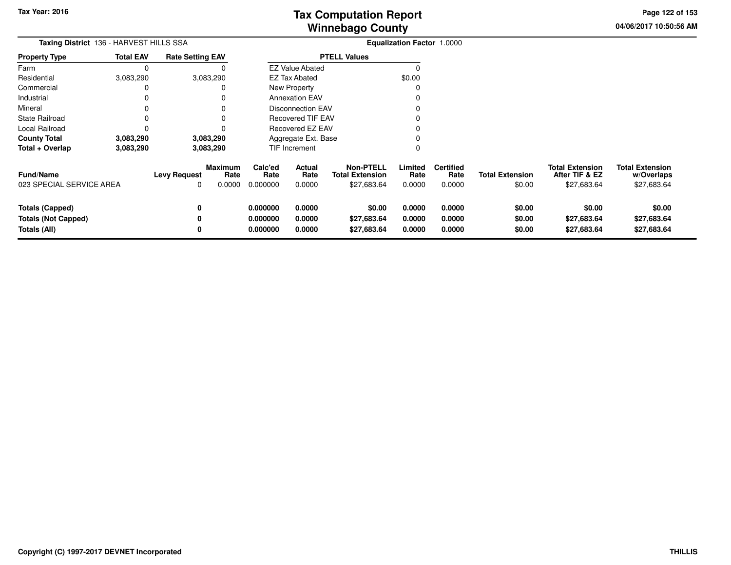**04/06/2017 10:50:56 AM Page 122 of 153**

| Taxing District 136 - HARVEST HILLS SSA                              |                                         |                          |                                  | Equalization Factor 1.0000       |                            |                                                           |                            |                                    |                                  |                                                         |                                                     |
|----------------------------------------------------------------------|-----------------------------------------|--------------------------|----------------------------------|----------------------------------|----------------------------|-----------------------------------------------------------|----------------------------|------------------------------------|----------------------------------|---------------------------------------------------------|-----------------------------------------------------|
| <b>Property Type</b>                                                 | <b>Total EAV</b>                        | <b>Rate Setting EAV</b>  |                                  |                                  |                            | <b>PTELL Values</b>                                       |                            |                                    |                                  |                                                         |                                                     |
| Farm                                                                 | 0                                       |                          |                                  |                                  | <b>EZ Value Abated</b>     |                                                           | 0                          |                                    |                                  |                                                         |                                                     |
| Residential                                                          | 3,083,290                               |                          | 3,083,290                        |                                  | <b>EZ Tax Abated</b>       |                                                           | \$0.00                     |                                    |                                  |                                                         |                                                     |
| Commercial                                                           | 0                                       |                          | 0                                |                                  | New Property               |                                                           |                            |                                    |                                  |                                                         |                                                     |
| Industrial                                                           | 0                                       |                          | 0                                |                                  | <b>Annexation EAV</b>      |                                                           |                            |                                    |                                  |                                                         |                                                     |
| Mineral                                                              |                                         |                          |                                  |                                  | <b>Disconnection EAV</b>   |                                                           |                            |                                    |                                  |                                                         |                                                     |
| <b>State Railroad</b>                                                |                                         |                          |                                  |                                  | <b>Recovered TIF EAV</b>   |                                                           |                            |                                    |                                  |                                                         |                                                     |
| Local Railroad                                                       | 0                                       |                          |                                  |                                  | <b>Recovered EZ EAV</b>    |                                                           |                            |                                    |                                  |                                                         |                                                     |
| <b>County Total</b>                                                  | 3,083,290                               |                          | 3,083,290                        |                                  | Aggregate Ext. Base        |                                                           |                            |                                    |                                  |                                                         |                                                     |
| Total + Overlap                                                      | 3,083,290<br>TIF Increment<br>3,083,290 |                          |                                  |                                  |                            | 0                                                         |                            |                                    |                                  |                                                         |                                                     |
| Fund/Name<br>023 SPECIAL SERVICE AREA                                |                                         | <b>Levy Request</b><br>0 | <b>Maximum</b><br>Rate<br>0.0000 | Calc'ed<br>Rate<br>0.000000      | Actual<br>Rate<br>0.0000   | <b>Non-PTELL</b><br><b>Total Extension</b><br>\$27,683.64 | Limited<br>Rate<br>0.0000  | <b>Certified</b><br>Rate<br>0.0000 | <b>Total Extension</b><br>\$0.00 | <b>Total Extension</b><br>After TIF & EZ<br>\$27,683.64 | <b>Total Extension</b><br>w/Overlaps<br>\$27,683.64 |
| <b>Totals (Capped)</b><br><b>Totals (Not Capped)</b><br>Totals (All) |                                         | 0<br>0<br>0              |                                  | 0.000000<br>0.000000<br>0.000000 | 0.0000<br>0.0000<br>0.0000 | \$0.00<br>\$27,683.64<br>\$27,683.64                      | 0.0000<br>0.0000<br>0.0000 | 0.0000<br>0.0000<br>0.0000         | \$0.00<br>\$0.00<br>\$0.00       | \$0.00<br>\$27,683.64<br>\$27,683.64                    | \$0.00<br>\$27,683.64<br>\$27,683.64                |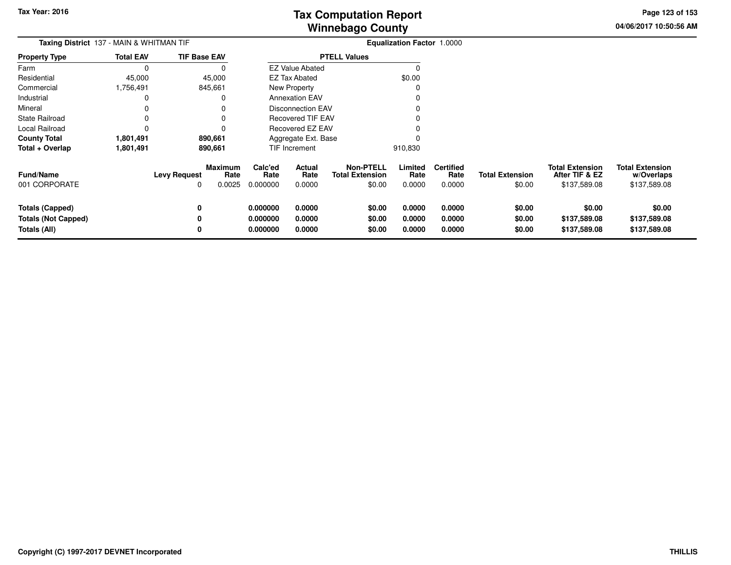**04/06/2017 10:50:56 AM Page 123 of 153**

| <b>Taxing District</b> 137 - MAIN & WHITMAN TIF                      |                  |                          |                           |                                  |                            |                                                      | Equalization Factor 1.0000 |                                    |                                  |                                                          |                                                      |
|----------------------------------------------------------------------|------------------|--------------------------|---------------------------|----------------------------------|----------------------------|------------------------------------------------------|----------------------------|------------------------------------|----------------------------------|----------------------------------------------------------|------------------------------------------------------|
| <b>Property Type</b>                                                 | <b>Total EAV</b> | <b>TIF Base EAV</b>      |                           | <b>PTELL Values</b>              |                            |                                                      |                            |                                    |                                  |                                                          |                                                      |
| Farm                                                                 | 0                |                          | 0                         |                                  | <b>EZ Value Abated</b>     |                                                      | C                          |                                    |                                  |                                                          |                                                      |
| Residential                                                          | 45,000           |                          | 45,000                    |                                  | EZ Tax Abated              |                                                      | \$0.00                     |                                    |                                  |                                                          |                                                      |
| Commercial                                                           | 1,756,491        | 845,661                  |                           |                                  | <b>New Property</b>        |                                                      | 0                          |                                    |                                  |                                                          |                                                      |
| Industrial                                                           | 0                |                          | 0                         |                                  | <b>Annexation EAV</b>      |                                                      |                            |                                    |                                  |                                                          |                                                      |
| Mineral                                                              | 0                |                          |                           |                                  | <b>Disconnection EAV</b>   |                                                      |                            |                                    |                                  |                                                          |                                                      |
| <b>State Railroad</b>                                                |                  |                          |                           |                                  | <b>Recovered TIF EAV</b>   |                                                      |                            |                                    |                                  |                                                          |                                                      |
| Local Railroad                                                       | 0                |                          | ŋ                         |                                  | Recovered EZ EAV           |                                                      |                            |                                    |                                  |                                                          |                                                      |
| <b>County Total</b>                                                  | 1,801,491        | 890,661                  |                           |                                  | Aggregate Ext. Base        |                                                      |                            |                                    |                                  |                                                          |                                                      |
| Total + Overlap                                                      | 1,801,491        | 890,661                  |                           |                                  | TIF Increment              |                                                      | 910,830                    |                                    |                                  |                                                          |                                                      |
| <b>Fund/Name</b><br>001 CORPORATE                                    |                  | <b>Levy Request</b><br>O | Maximum<br>Rate<br>0.0025 | Calc'ed<br>Rate<br>0.000000      | Actual<br>Rate<br>0.0000   | <b>Non-PTELL</b><br><b>Total Extension</b><br>\$0.00 | Limited<br>Rate<br>0.0000  | <b>Certified</b><br>Rate<br>0.0000 | <b>Total Extension</b><br>\$0.00 | <b>Total Extension</b><br>After TIF & EZ<br>\$137,589.08 | <b>Total Extension</b><br>w/Overlaps<br>\$137,589.08 |
| <b>Totals (Capped)</b><br><b>Totals (Not Capped)</b><br>Totals (All) |                  | 0<br>0<br>0              |                           | 0.000000<br>0.000000<br>0.000000 | 0.0000<br>0.0000<br>0.0000 | \$0.00<br>\$0.00<br>\$0.00                           | 0.0000<br>0.0000<br>0.0000 | 0.0000<br>0.0000<br>0.0000         | \$0.00<br>\$0.00<br>\$0.00       | \$0.00<br>\$137,589.08<br>\$137,589.08                   | \$0.00<br>\$137,589.08<br>\$137,589.08               |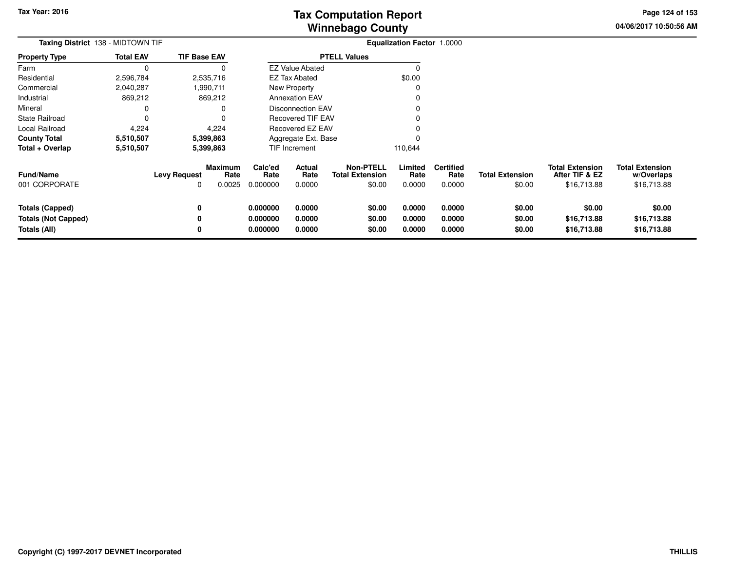**04/06/2017 10:50:56 AMPage 124 of 153**

| Taxing District 138 - MIDTOWN TIF                                    |                  |                          |                                  |                                  | Equalization Factor 1.0000 |                                                      |                            |                                    |                                  |                                                         |                                                     |
|----------------------------------------------------------------------|------------------|--------------------------|----------------------------------|----------------------------------|----------------------------|------------------------------------------------------|----------------------------|------------------------------------|----------------------------------|---------------------------------------------------------|-----------------------------------------------------|
| <b>Property Type</b>                                                 | <b>Total EAV</b> | <b>TIF Base EAV</b>      |                                  | <b>PTELL Values</b>              |                            |                                                      |                            |                                    |                                  |                                                         |                                                     |
| Farm                                                                 | $\Omega$         |                          | 0                                |                                  | <b>EZ Value Abated</b>     |                                                      | C                          |                                    |                                  |                                                         |                                                     |
| Residential                                                          | 2,596,784        |                          | 2,535,716                        |                                  | EZ Tax Abated              |                                                      | \$0.00                     |                                    |                                  |                                                         |                                                     |
| Commercial                                                           | 2,040,287        |                          | ,990,711                         |                                  | <b>New Property</b>        |                                                      | 0                          |                                    |                                  |                                                         |                                                     |
| Industrial                                                           | 869,212          |                          | 869,212                          |                                  | <b>Annexation EAV</b>      |                                                      |                            |                                    |                                  |                                                         |                                                     |
| Mineral                                                              | 0                |                          | 0                                |                                  | <b>Disconnection EAV</b>   |                                                      |                            |                                    |                                  |                                                         |                                                     |
| <b>State Railroad</b>                                                | 0                |                          | 0                                |                                  | <b>Recovered TIF EAV</b>   |                                                      |                            |                                    |                                  |                                                         |                                                     |
| Local Railroad                                                       | 4,224            |                          | 4,224                            |                                  | Recovered EZ EAV           |                                                      |                            |                                    |                                  |                                                         |                                                     |
| <b>County Total</b>                                                  | 5,510,507        |                          | 5,399,863                        |                                  | Aggregate Ext. Base        |                                                      | 0                          |                                    |                                  |                                                         |                                                     |
| Total + Overlap                                                      | 5,510,507        |                          | 5,399,863                        |                                  | TIF Increment              |                                                      | 110,644                    |                                    |                                  |                                                         |                                                     |
| <b>Fund/Name</b><br>001 CORPORATE                                    |                  | <b>Levy Request</b><br>O | <b>Maximum</b><br>Rate<br>0.0025 | Calc'ed<br>Rate<br>0.000000      | Actual<br>Rate<br>0.0000   | <b>Non-PTELL</b><br><b>Total Extension</b><br>\$0.00 | Limited<br>Rate<br>0.0000  | <b>Certified</b><br>Rate<br>0.0000 | <b>Total Extension</b><br>\$0.00 | <b>Total Extension</b><br>After TIF & EZ<br>\$16,713.88 | <b>Total Extension</b><br>w/Overlaps<br>\$16,713.88 |
| <b>Totals (Capped)</b><br><b>Totals (Not Capped)</b><br>Totals (All) |                  | 0<br>0<br>0              |                                  | 0.000000<br>0.000000<br>0.000000 | 0.0000<br>0.0000<br>0.0000 | \$0.00<br>\$0.00<br>\$0.00                           | 0.0000<br>0.0000<br>0.0000 | 0.0000<br>0.0000<br>0.0000         | \$0.00<br>\$0.00<br>\$0.00       | \$0.00<br>\$16,713.88<br>\$16,713.88                    | \$0.00<br>\$16,713.88<br>\$16,713.88                |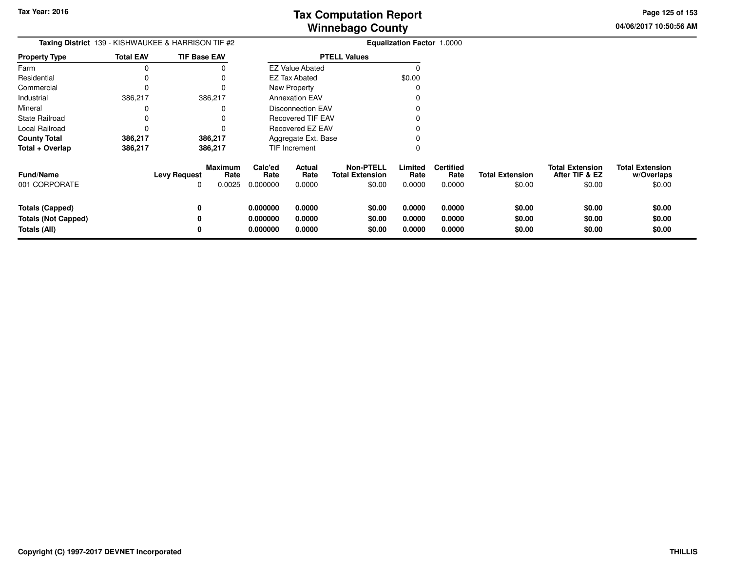**04/06/2017 10:50:56 AM Page 125 of 153**

| <b>Taxing District</b> 139 - KISHWAUKEE & HARRISON TIF #2     |                  |                          |                                  |                                  |                            | <b>Equalization Factor 1.0000</b>                    |                            |                                    |                                  |                                                    |                                                |
|---------------------------------------------------------------|------------------|--------------------------|----------------------------------|----------------------------------|----------------------------|------------------------------------------------------|----------------------------|------------------------------------|----------------------------------|----------------------------------------------------|------------------------------------------------|
| <b>Property Type</b>                                          | <b>Total EAV</b> | <b>TIF Base EAV</b>      |                                  |                                  |                            | <b>PTELL Values</b>                                  |                            |                                    |                                  |                                                    |                                                |
| Farm                                                          | 0                |                          |                                  |                                  | <b>EZ Value Abated</b>     |                                                      | 0                          |                                    |                                  |                                                    |                                                |
| Residential                                                   |                  |                          |                                  |                                  | EZ Tax Abated              |                                                      | \$0.00                     |                                    |                                  |                                                    |                                                |
| Commercial                                                    |                  |                          |                                  |                                  | <b>New Property</b>        |                                                      | 0                          |                                    |                                  |                                                    |                                                |
| Industrial                                                    | 386,217          |                          | 386,217                          |                                  | <b>Annexation EAV</b>      |                                                      |                            |                                    |                                  |                                                    |                                                |
| Mineral                                                       |                  |                          |                                  |                                  | <b>Disconnection EAV</b>   |                                                      |                            |                                    |                                  |                                                    |                                                |
| State Railroad                                                |                  |                          |                                  |                                  | <b>Recovered TIF EAV</b>   |                                                      |                            |                                    |                                  |                                                    |                                                |
| Local Railroad                                                |                  |                          |                                  |                                  | <b>Recovered EZ EAV</b>    |                                                      |                            |                                    |                                  |                                                    |                                                |
| <b>County Total</b>                                           | 386,217          |                          | 386,217                          |                                  | Aggregate Ext. Base        |                                                      |                            |                                    |                                  |                                                    |                                                |
| Total + Overlap                                               | 386,217          |                          | 386,217                          |                                  | <b>TIF Increment</b>       |                                                      | 0                          |                                    |                                  |                                                    |                                                |
| <b>Fund/Name</b><br>001 CORPORATE                             |                  | <b>Levy Request</b><br>0 | <b>Maximum</b><br>Rate<br>0.0025 | Calc'ed<br>Rate<br>0.000000      | Actual<br>Rate<br>0.0000   | <b>Non-PTELL</b><br><b>Total Extension</b><br>\$0.00 | Limited<br>Rate<br>0.0000  | <b>Certified</b><br>Rate<br>0.0000 | <b>Total Extension</b><br>\$0.00 | <b>Total Extension</b><br>After TIF & EZ<br>\$0.00 | <b>Total Extension</b><br>w/Overlaps<br>\$0.00 |
| Totals (Capped)<br><b>Totals (Not Capped)</b><br>Totals (All) |                  | 0<br>0<br>0              |                                  | 0.000000<br>0.000000<br>0.000000 | 0.0000<br>0.0000<br>0.0000 | \$0.00<br>\$0.00<br>\$0.00                           | 0.0000<br>0.0000<br>0.0000 | 0.0000<br>0.0000<br>0.0000         | \$0.00<br>\$0.00<br>\$0.00       | \$0.00<br>\$0.00<br>\$0.00                         | \$0.00<br>\$0.00<br>\$0.00                     |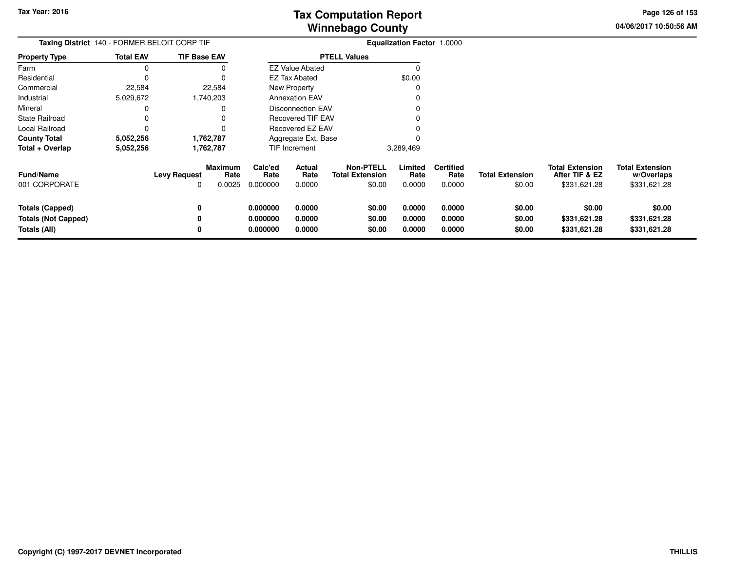**04/06/2017 10:50:56 AMPage 126 of 153**

| Taxing District 140 - FORMER BELOIT CORP TIF                  |                  |                          |                           |                                  |                            | <b>Equalization Factor 1.0000</b>                    |                            |                                    |                                  |                                                          |                                                      |
|---------------------------------------------------------------|------------------|--------------------------|---------------------------|----------------------------------|----------------------------|------------------------------------------------------|----------------------------|------------------------------------|----------------------------------|----------------------------------------------------------|------------------------------------------------------|
| <b>Property Type</b>                                          | <b>Total EAV</b> | <b>TIF Base EAV</b>      |                           |                                  |                            | <b>PTELL Values</b>                                  |                            |                                    |                                  |                                                          |                                                      |
| Farm                                                          | 0                |                          |                           |                                  | <b>EZ Value Abated</b>     |                                                      |                            |                                    |                                  |                                                          |                                                      |
| Residential                                                   | 0                |                          |                           |                                  | <b>EZ Tax Abated</b>       |                                                      | \$0.00                     |                                    |                                  |                                                          |                                                      |
| Commercial                                                    | 22,584           |                          | 22,584                    |                                  | New Property               |                                                      |                            |                                    |                                  |                                                          |                                                      |
| Industrial                                                    | 5,029,672        |                          | 1,740,203                 |                                  | <b>Annexation EAV</b>      |                                                      |                            |                                    |                                  |                                                          |                                                      |
| Mineral                                                       | 0                |                          |                           |                                  | <b>Disconnection EAV</b>   |                                                      |                            |                                    |                                  |                                                          |                                                      |
| State Railroad                                                |                  |                          |                           |                                  | <b>Recovered TIF EAV</b>   |                                                      |                            |                                    |                                  |                                                          |                                                      |
| Local Railroad                                                | 0                |                          |                           |                                  | Recovered EZ EAV           |                                                      |                            |                                    |                                  |                                                          |                                                      |
| County Total                                                  | 5,052,256        |                          | 1,762,787                 |                                  | Aggregate Ext. Base        |                                                      |                            |                                    |                                  |                                                          |                                                      |
| Total + Overlap                                               | 5,052,256        |                          | 1,762,787                 |                                  | TIF Increment              |                                                      | 3,289,469                  |                                    |                                  |                                                          |                                                      |
| <b>Fund/Name</b><br>001 CORPORATE                             |                  | <b>Levy Request</b><br>0 | Maximum<br>Rate<br>0.0025 | Calc'ed<br>Rate<br>0.000000      | Actual<br>Rate<br>0.0000   | <b>Non-PTELL</b><br><b>Total Extension</b><br>\$0.00 | Limited<br>Rate<br>0.0000  | <b>Certified</b><br>Rate<br>0.0000 | <b>Total Extension</b><br>\$0.00 | <b>Total Extension</b><br>After TIF & EZ<br>\$331,621.28 | <b>Total Extension</b><br>w/Overlaps<br>\$331,621.28 |
| Totals (Capped)<br><b>Totals (Not Capped)</b><br>Totals (All) |                  | 0<br>0                   |                           | 0.000000<br>0.000000<br>0.000000 | 0.0000<br>0.0000<br>0.0000 | \$0.00<br>\$0.00<br>\$0.00                           | 0.0000<br>0.0000<br>0.0000 | 0.0000<br>0.0000<br>0.0000         | \$0.00<br>\$0.00<br>\$0.00       | \$0.00<br>\$331,621.28<br>\$331,621.28                   | \$0.00<br>\$331,621.28<br>\$331,621.28               |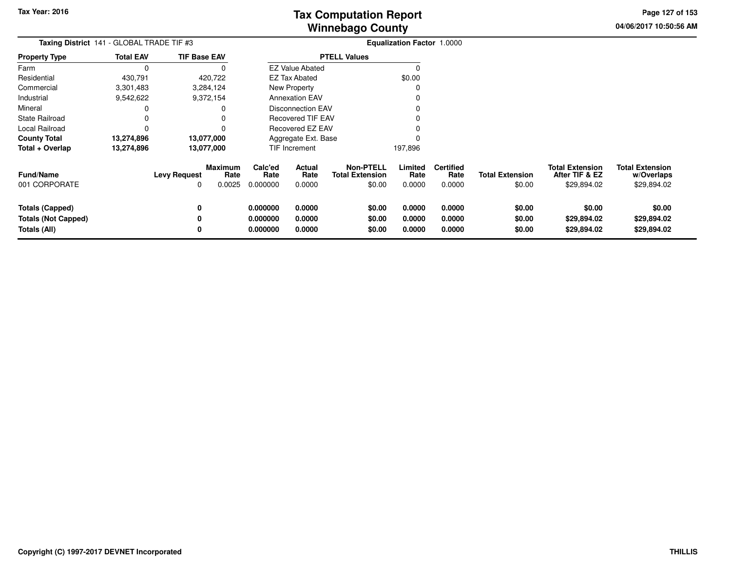**04/06/2017 10:50:56 AMPage 127 of 153**

| Taxing District 141 - GLOBAL TRADE TIF #3                                   |                  |                          |                                  | <b>Equalization Factor 1.0000</b> |                                 |                                                      |                            |                                    |                                  |                                                         |                                                     |
|-----------------------------------------------------------------------------|------------------|--------------------------|----------------------------------|-----------------------------------|---------------------------------|------------------------------------------------------|----------------------------|------------------------------------|----------------------------------|---------------------------------------------------------|-----------------------------------------------------|
| <b>Property Type</b>                                                        | <b>Total EAV</b> | <b>TIF Base EAV</b>      |                                  |                                   |                                 | <b>PTELL Values</b>                                  |                            |                                    |                                  |                                                         |                                                     |
| Farm                                                                        | $\Omega$         |                          |                                  |                                   | <b>EZ Value Abated</b>          |                                                      |                            |                                    |                                  |                                                         |                                                     |
| Residential                                                                 | 430,791          |                          | 420,722                          |                                   | <b>EZ Tax Abated</b>            |                                                      | \$0.00                     |                                    |                                  |                                                         |                                                     |
| Commercial                                                                  | 3,301,483        |                          | 3,284,124                        |                                   | New Property                    |                                                      |                            |                                    |                                  |                                                         |                                                     |
| Industrial                                                                  | 9,542,622        |                          | 9,372,154                        |                                   | <b>Annexation EAV</b>           |                                                      |                            |                                    |                                  |                                                         |                                                     |
| Mineral                                                                     | 0                |                          |                                  |                                   | <b>Disconnection EAV</b>        |                                                      |                            |                                    |                                  |                                                         |                                                     |
| State Railroad                                                              | 0                |                          |                                  |                                   | <b>Recovered TIF EAV</b>        |                                                      |                            |                                    |                                  |                                                         |                                                     |
| Local Railroad                                                              | 0                |                          |                                  |                                   | Recovered EZ EAV                |                                                      |                            |                                    |                                  |                                                         |                                                     |
| <b>County Total</b>                                                         | 13,274,896       |                          | 13,077,000                       |                                   | Aggregate Ext. Base             |                                                      |                            |                                    |                                  |                                                         |                                                     |
| Total + Overlap                                                             | 13,274,896       |                          | 13,077,000                       |                                   | TIF Increment                   |                                                      | 197,896                    |                                    |                                  |                                                         |                                                     |
| Fund/Name<br>001 CORPORATE                                                  |                  | <b>Levy Request</b><br>0 | <b>Maximum</b><br>Rate<br>0.0025 | Calc'ed<br>Rate<br>0.000000       | <b>Actual</b><br>Rate<br>0.0000 | <b>Non-PTELL</b><br><b>Total Extension</b><br>\$0.00 | Limited<br>Rate<br>0.0000  | <b>Certified</b><br>Rate<br>0.0000 | <b>Total Extension</b><br>\$0.00 | <b>Total Extension</b><br>After TIF & EZ<br>\$29,894.02 | <b>Total Extension</b><br>w/Overlaps<br>\$29,894.02 |
| <b>Totals (Capped)</b><br><b>Totals (Not Capped)</b><br><b>Totals (All)</b> |                  | 0<br>0<br>0              |                                  | 0.000000<br>0.000000<br>0.000000  | 0.0000<br>0.0000<br>0.0000      | \$0.00<br>\$0.00<br>\$0.00                           | 0.0000<br>0.0000<br>0.0000 | 0.0000<br>0.0000<br>0.0000         | \$0.00<br>\$0.00<br>\$0.00       | \$0.00<br>\$29,894.02<br>\$29,894.02                    | \$0.00<br>\$29,894.02<br>\$29,894.02                |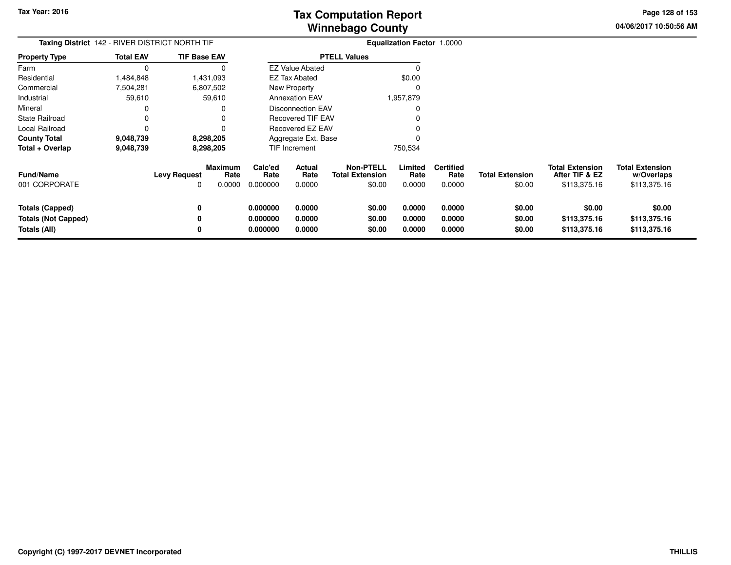**04/06/2017 10:50:56 AM Page 128 of 153**

| Taxing District 142 - RIVER DISTRICT NORTH TIF |                  |                     |                                  | <b>Equalization Factor 1.0000</b> |                                    |                                                      |                           |                                    |                                  |                                                          |                                                      |
|------------------------------------------------|------------------|---------------------|----------------------------------|-----------------------------------|------------------------------------|------------------------------------------------------|---------------------------|------------------------------------|----------------------------------|----------------------------------------------------------|------------------------------------------------------|
| <b>Property Type</b>                           | <b>Total EAV</b> | <b>TIF Base EAV</b> |                                  | <b>PTELL Values</b>               |                                    |                                                      |                           |                                    |                                  |                                                          |                                                      |
| Farm                                           |                  |                     | O                                |                                   | <b>EZ Value Abated</b>             |                                                      |                           |                                    |                                  |                                                          |                                                      |
| Residential                                    | 1,484,848        |                     | 1,431,093                        |                                   | <b>EZ Tax Abated</b>               |                                                      | \$0.00                    |                                    |                                  |                                                          |                                                      |
| Commercial                                     | 7,504,281        |                     | 6,807,502                        |                                   | New Property                       |                                                      |                           |                                    |                                  |                                                          |                                                      |
| Industrial                                     | 59,610           |                     | 59,610                           |                                   | 1,957,879<br><b>Annexation EAV</b> |                                                      |                           |                                    |                                  |                                                          |                                                      |
| Mineral                                        |                  |                     |                                  |                                   | <b>Disconnection EAV</b>           |                                                      |                           |                                    |                                  |                                                          |                                                      |
| <b>State Railroad</b>                          |                  |                     |                                  |                                   | <b>Recovered TIF EAV</b>           |                                                      |                           |                                    |                                  |                                                          |                                                      |
| Local Railroad                                 |                  |                     |                                  | Recovered EZ EAV                  |                                    |                                                      |                           |                                    |                                  |                                                          |                                                      |
| <b>County Total</b>                            | 9,048,739        |                     | 8,298,205                        |                                   | Aggregate Ext. Base                |                                                      |                           |                                    |                                  |                                                          |                                                      |
| Total + Overlap                                | 9,048,739        |                     | 8,298,205                        |                                   | <b>TIF Increment</b>               |                                                      | 750,534                   |                                    |                                  |                                                          |                                                      |
| <b>Fund/Name</b><br>001 CORPORATE              |                  | <b>Levy Request</b> | <b>Maximum</b><br>Rate<br>0.0000 | Calc'ed<br>Rate<br>0.000000       | <b>Actual</b><br>Rate<br>0.0000    | <b>Non-PTELL</b><br><b>Total Extension</b><br>\$0.00 | Limited<br>Rate<br>0.0000 | <b>Certified</b><br>Rate<br>0.0000 | <b>Total Extension</b><br>\$0.00 | <b>Total Extension</b><br>After TIF & EZ<br>\$113,375.16 | <b>Total Extension</b><br>w/Overlaps<br>\$113,375.16 |
| <b>Totals (Capped)</b>                         |                  |                     |                                  | 0.000000                          | 0.0000                             | \$0.00                                               | 0.0000                    | 0.0000                             | \$0.00                           | \$0.00                                                   | \$0.00                                               |
| <b>Totals (Not Capped)</b>                     |                  |                     |                                  | 0.000000                          | 0.0000                             | \$0.00                                               | 0.0000                    | 0.0000                             | \$0.00                           | \$113,375.16                                             | \$113,375.16                                         |
| Totals (All)                                   |                  |                     |                                  | 0.000000                          | 0.0000                             | \$0.00                                               | 0.0000                    | 0.0000                             | \$0.00                           | \$113,375.16                                             | \$113,375.16                                         |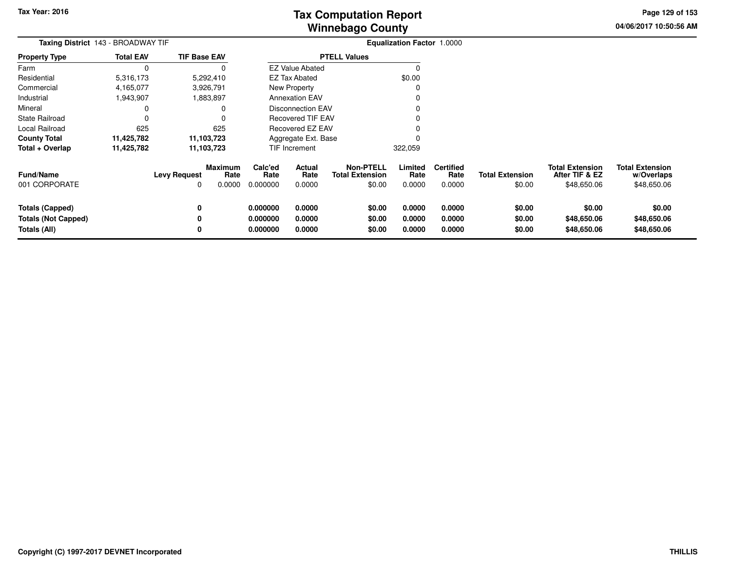**04/06/2017 10:50:56 AMPage 129 of 153**

| Taxing District 143 - BROADWAY TIF                                   | Equalization Factor 1.0000 |                          |                           |                                  |                            |                                                      |                            |                                    |                                  |                                                         |                                                     |
|----------------------------------------------------------------------|----------------------------|--------------------------|---------------------------|----------------------------------|----------------------------|------------------------------------------------------|----------------------------|------------------------------------|----------------------------------|---------------------------------------------------------|-----------------------------------------------------|
| <b>Property Type</b>                                                 | <b>Total EAV</b>           | <b>TIF Base EAV</b>      |                           | <b>PTELL Values</b>              |                            |                                                      |                            |                                    |                                  |                                                         |                                                     |
| Farm                                                                 | $\Omega$                   |                          | 0                         |                                  | <b>EZ Value Abated</b>     |                                                      | $\Omega$                   |                                    |                                  |                                                         |                                                     |
| Residential                                                          | 5,316,173                  |                          | 5,292,410                 |                                  | EZ Tax Abated              |                                                      | \$0.00                     |                                    |                                  |                                                         |                                                     |
| Commercial                                                           | 4,165,077                  |                          | 3,926,791                 |                                  | New Property               |                                                      | 0                          |                                    |                                  |                                                         |                                                     |
| Industrial                                                           | 943,907.                   |                          | 1,883,897                 |                                  | <b>Annexation EAV</b>      |                                                      | O                          |                                    |                                  |                                                         |                                                     |
| Mineral                                                              | 0                          |                          | 0                         |                                  | <b>Disconnection EAV</b>   |                                                      |                            |                                    |                                  |                                                         |                                                     |
| <b>State Railroad</b>                                                | 0                          |                          | 0                         |                                  | <b>Recovered TIF EAV</b>   |                                                      |                            |                                    |                                  |                                                         |                                                     |
| Local Railroad                                                       | 625                        |                          | 625                       |                                  | Recovered EZ EAV           |                                                      |                            |                                    |                                  |                                                         |                                                     |
| <b>County Total</b>                                                  | 11,425,782                 |                          | 11,103,723                |                                  | Aggregate Ext. Base        |                                                      |                            |                                    |                                  |                                                         |                                                     |
| Total + Overlap                                                      | 11,425,782                 |                          | 11,103,723                |                                  | TIF Increment              |                                                      | 322,059                    |                                    |                                  |                                                         |                                                     |
| <b>Fund/Name</b><br>001 CORPORATE                                    |                            | <b>Levy Request</b><br>O | Maximum<br>Rate<br>0.0000 | Calc'ed<br>Rate<br>0.000000      | Actual<br>Rate<br>0.0000   | <b>Non-PTELL</b><br><b>Total Extension</b><br>\$0.00 | Limited<br>Rate<br>0.0000  | <b>Certified</b><br>Rate<br>0.0000 | <b>Total Extension</b><br>\$0.00 | <b>Total Extension</b><br>After TIF & EZ<br>\$48,650.06 | <b>Total Extension</b><br>w/Overlaps<br>\$48,650.06 |
| <b>Totals (Capped)</b><br><b>Totals (Not Capped)</b><br>Totals (All) |                            | 0<br>0<br>0              |                           | 0.000000<br>0.000000<br>0.000000 | 0.0000<br>0.0000<br>0.0000 | \$0.00<br>\$0.00<br>\$0.00                           | 0.0000<br>0.0000<br>0.0000 | 0.0000<br>0.0000<br>0.0000         | \$0.00<br>\$0.00<br>\$0.00       | \$0.00<br>\$48,650.06<br>\$48,650.06                    | \$0.00<br>\$48,650.06<br>\$48,650.06                |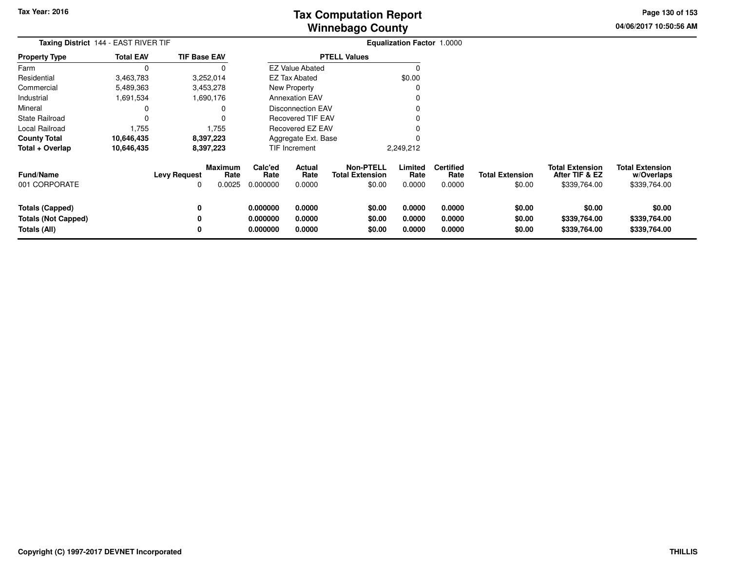**04/06/2017 10:50:56 AMPage 130 of 153**

| Taxing District 144 - EAST RIVER TIF                                        |                  |                                     |                           |                                  |                            |                                                      | <b>Equalization Factor 1.0000</b> |                                    |                                  |                                                          |                                                      |
|-----------------------------------------------------------------------------|------------------|-------------------------------------|---------------------------|----------------------------------|----------------------------|------------------------------------------------------|-----------------------------------|------------------------------------|----------------------------------|----------------------------------------------------------|------------------------------------------------------|
| <b>Property Type</b>                                                        | <b>Total EAV</b> | <b>TIF Base EAV</b>                 |                           |                                  |                            | <b>PTELL Values</b>                                  |                                   |                                    |                                  |                                                          |                                                      |
| Farm                                                                        | $\Omega$         |                                     |                           |                                  | <b>EZ Value Abated</b>     |                                                      |                                   |                                    |                                  |                                                          |                                                      |
| Residential                                                                 | 3,463,783        |                                     | 3,252,014                 |                                  | <b>EZ Tax Abated</b>       |                                                      | \$0.00                            |                                    |                                  |                                                          |                                                      |
| Commercial                                                                  | 5,489,363        |                                     | 3,453,278                 |                                  | New Property               |                                                      |                                   |                                    |                                  |                                                          |                                                      |
| Industrial                                                                  | 1,691,534        |                                     | 1,690,176                 |                                  | <b>Annexation EAV</b>      |                                                      |                                   |                                    |                                  |                                                          |                                                      |
| Mineral                                                                     | 0                |                                     |                           |                                  | <b>Disconnection EAV</b>   |                                                      |                                   |                                    |                                  |                                                          |                                                      |
| State Railroad                                                              | 0                |                                     |                           |                                  | Recovered TIF EAV          |                                                      |                                   |                                    |                                  |                                                          |                                                      |
| Local Railroad                                                              | 1,755            |                                     | 1,755                     |                                  | Recovered EZ EAV           |                                                      |                                   |                                    |                                  |                                                          |                                                      |
| <b>County Total</b>                                                         | 10,646,435       |                                     | 8,397,223                 |                                  | Aggregate Ext. Base        |                                                      |                                   |                                    |                                  |                                                          |                                                      |
| Total + Overlap                                                             | 10,646,435       |                                     | 8,397,223                 |                                  | <b>TIF Increment</b>       |                                                      | 2,249,212                         |                                    |                                  |                                                          |                                                      |
| Fund/Name<br>001 CORPORATE                                                  |                  | <b>Levy Request</b><br><sup>0</sup> | Maximum<br>Rate<br>0.0025 | Calc'ed<br>Rate<br>0.000000      | Actual<br>Rate<br>0.0000   | <b>Non-PTELL</b><br><b>Total Extension</b><br>\$0.00 | Limited<br>Rate<br>0.0000         | <b>Certified</b><br>Rate<br>0.0000 | <b>Total Extension</b><br>\$0.00 | <b>Total Extension</b><br>After TIF & EZ<br>\$339,764.00 | <b>Total Extension</b><br>w/Overlaps<br>\$339,764.00 |
| <b>Totals (Capped)</b><br><b>Totals (Not Capped)</b><br><b>Totals (All)</b> |                  | 0<br>0<br>0                         |                           | 0.000000<br>0.000000<br>0.000000 | 0.0000<br>0.0000<br>0.0000 | \$0.00<br>\$0.00<br>\$0.00                           | 0.0000<br>0.0000<br>0.0000        | 0.0000<br>0.0000<br>0.0000         | \$0.00<br>\$0.00<br>\$0.00       | \$0.00<br>\$339,764.00<br>\$339,764.00                   | \$0.00<br>\$339,764.00<br>\$339,764.00               |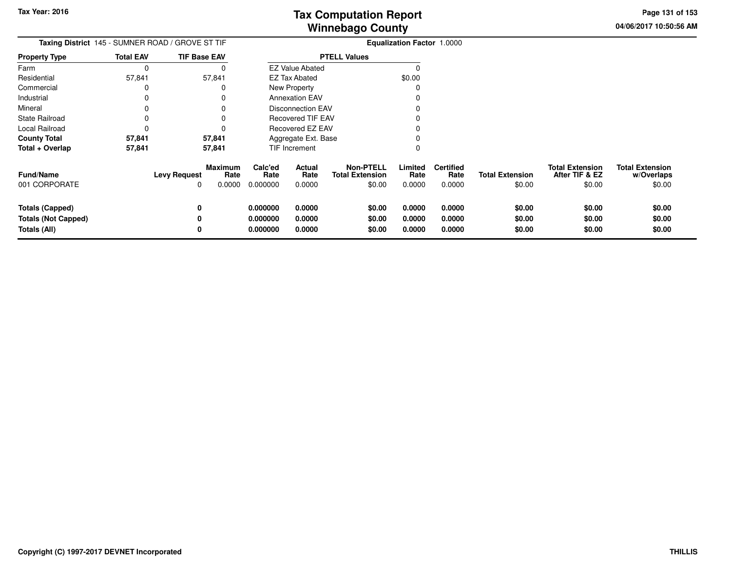**04/06/2017 10:50:56 AMPage 131 of 153**

| Taxing District 145 - SUMNER ROAD / GROVE ST TIF                     | <b>Equalization Factor 1.0000</b> |                                                              |                                  |                                 |                                                      |                            |                                    |                                  |                                                    |                                                |
|----------------------------------------------------------------------|-----------------------------------|--------------------------------------------------------------|----------------------------------|---------------------------------|------------------------------------------------------|----------------------------|------------------------------------|----------------------------------|----------------------------------------------------|------------------------------------------------|
| <b>Property Type</b>                                                 | <b>Total EAV</b>                  | <b>TIF Base EAV</b>                                          |                                  |                                 | <b>PTELL Values</b>                                  |                            |                                    |                                  |                                                    |                                                |
| Farm                                                                 | 0                                 |                                                              |                                  | <b>EZ Value Abated</b>          |                                                      | ŋ                          |                                    |                                  |                                                    |                                                |
| Residential                                                          | 57,841                            | 57,841                                                       |                                  | <b>EZ Tax Abated</b>            |                                                      | \$0.00                     |                                    |                                  |                                                    |                                                |
| Commercial                                                           | 0                                 | 0                                                            |                                  | New Property                    |                                                      |                            |                                    |                                  |                                                    |                                                |
| Industrial                                                           | 0                                 | 0                                                            |                                  | <b>Annexation EAV</b>           |                                                      |                            |                                    |                                  |                                                    |                                                |
| Mineral                                                              | 0                                 | 0                                                            |                                  | <b>Disconnection EAV</b>        |                                                      |                            |                                    |                                  |                                                    |                                                |
| <b>State Railroad</b>                                                | 0                                 | $\Omega$                                                     | <b>Recovered TIF EAV</b><br>O    |                                 |                                                      |                            |                                    |                                  |                                                    |                                                |
| Local Railroad                                                       | 0                                 | 0                                                            |                                  | Recovered EZ EAV                |                                                      |                            |                                    |                                  |                                                    |                                                |
| <b>County Total</b>                                                  | 57,841                            | 57,841                                                       |                                  | Aggregate Ext. Base             |                                                      |                            |                                    |                                  |                                                    |                                                |
| Total + Overlap                                                      | 57,841                            | 57,841                                                       |                                  | TIF Increment                   |                                                      | O                          |                                    |                                  |                                                    |                                                |
| <b>Fund/Name</b><br>001 CORPORATE                                    |                                   | <b>Maximum</b><br><b>Levy Request</b><br>Rate<br>0.0000<br>0 | Calc'ed<br>Rate<br>0.000000      | <b>Actual</b><br>Rate<br>0.0000 | <b>Non-PTELL</b><br><b>Total Extension</b><br>\$0.00 | Limited<br>Rate<br>0.0000  | <b>Certified</b><br>Rate<br>0.0000 | <b>Total Extension</b><br>\$0.00 | <b>Total Extension</b><br>After TIF & EZ<br>\$0.00 | <b>Total Extension</b><br>w/Overlaps<br>\$0.00 |
| <b>Totals (Capped)</b><br><b>Totals (Not Capped)</b><br>Totals (All) |                                   | 0<br>0<br>0                                                  | 0.000000<br>0.000000<br>0.000000 | 0.0000<br>0.0000<br>0.0000      | \$0.00<br>\$0.00<br>\$0.00                           | 0.0000<br>0.0000<br>0.0000 | 0.0000<br>0.0000<br>0.0000         | \$0.00<br>\$0.00<br>\$0.00       | \$0.00<br>\$0.00<br>\$0.00                         | \$0.00<br>\$0.00<br>\$0.00                     |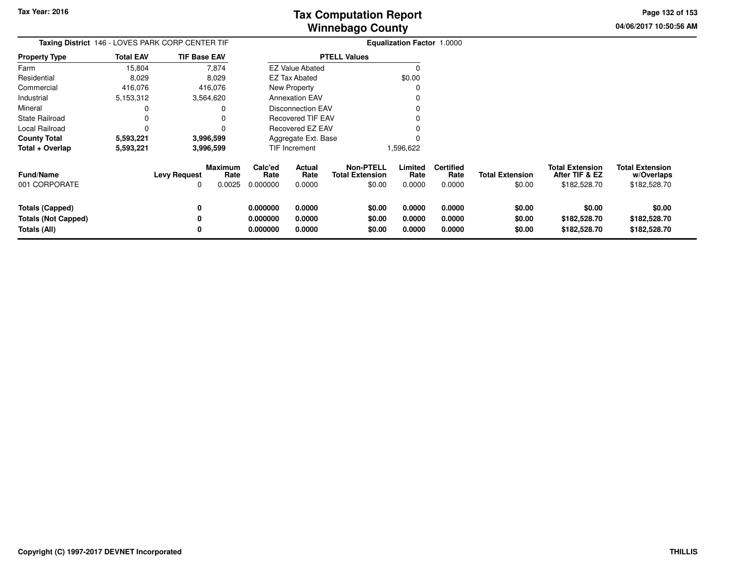**04/06/2017 10:50:56 AMPage 132 of 153**

| Taxing District 146 - LOVES PARK CORP CENTER TIF                     |                  |                          |                                  |                                  |                            |                                                      | <b>Equalization Factor 1.0000</b> |                                    |                                  |                                                          |                                                      |
|----------------------------------------------------------------------|------------------|--------------------------|----------------------------------|----------------------------------|----------------------------|------------------------------------------------------|-----------------------------------|------------------------------------|----------------------------------|----------------------------------------------------------|------------------------------------------------------|
| <b>Property Type</b>                                                 | <b>Total EAV</b> | <b>TIF Base EAV</b>      |                                  |                                  |                            | <b>PTELL Values</b>                                  |                                   |                                    |                                  |                                                          |                                                      |
| Farm                                                                 | 15,804           |                          | 7,874                            |                                  | <b>EZ Value Abated</b>     |                                                      | -C                                |                                    |                                  |                                                          |                                                      |
| Residential                                                          | 8,029            |                          | 8,029                            |                                  | <b>EZ Tax Abated</b>       |                                                      | \$0.00                            |                                    |                                  |                                                          |                                                      |
| Commercial                                                           | 416,076          |                          | 416,076                          |                                  | <b>New Property</b>        |                                                      | C                                 |                                    |                                  |                                                          |                                                      |
| Industrial                                                           | 5,153,312        |                          | 3,564,620                        |                                  | <b>Annexation EAV</b>      |                                                      |                                   |                                    |                                  |                                                          |                                                      |
| Mineral                                                              |                  |                          | 0                                |                                  | Disconnection EAV          |                                                      |                                   |                                    |                                  |                                                          |                                                      |
| <b>State Railroad</b>                                                |                  |                          | 0                                |                                  | <b>Recovered TIF EAV</b>   |                                                      |                                   |                                    |                                  |                                                          |                                                      |
| Local Railroad                                                       |                  |                          | 0                                |                                  | Recovered EZ EAV           |                                                      |                                   |                                    |                                  |                                                          |                                                      |
| <b>County Total</b>                                                  | 5,593,221        |                          | 3,996,599                        |                                  | Aggregate Ext. Base        |                                                      |                                   |                                    |                                  |                                                          |                                                      |
| Total + Overlap                                                      | 5,593,221        |                          | 3,996,599                        |                                  | TIF Increment              |                                                      | 1,596,622                         |                                    |                                  |                                                          |                                                      |
| <b>Fund/Name</b><br>001 CORPORATE                                    |                  | <b>Levy Request</b><br>0 | <b>Maximum</b><br>Rate<br>0.0025 | Calc'ed<br>Rate<br>0.000000      | Actual<br>Rate<br>0.0000   | <b>Non-PTELL</b><br><b>Total Extension</b><br>\$0.00 | Limited<br>Rate<br>0.0000         | <b>Certified</b><br>Rate<br>0.0000 | <b>Total Extension</b><br>\$0.00 | <b>Total Extension</b><br>After TIF & EZ<br>\$182,528.70 | <b>Total Extension</b><br>w/Overlaps<br>\$182,528.70 |
| <b>Totals (Capped)</b><br><b>Totals (Not Capped)</b><br>Totals (All) |                  | 0<br>0<br>0              |                                  | 0.000000<br>0.000000<br>0.000000 | 0.0000<br>0.0000<br>0.0000 | \$0.00<br>\$0.00<br>\$0.00                           | 0.0000<br>0.0000<br>0.0000        | 0.0000<br>0.0000<br>0.0000         | \$0.00<br>\$0.00<br>\$0.00       | \$0.00<br>\$182,528.70<br>\$182,528.70                   | \$0.00<br>\$182,528.70<br>\$182,528.70               |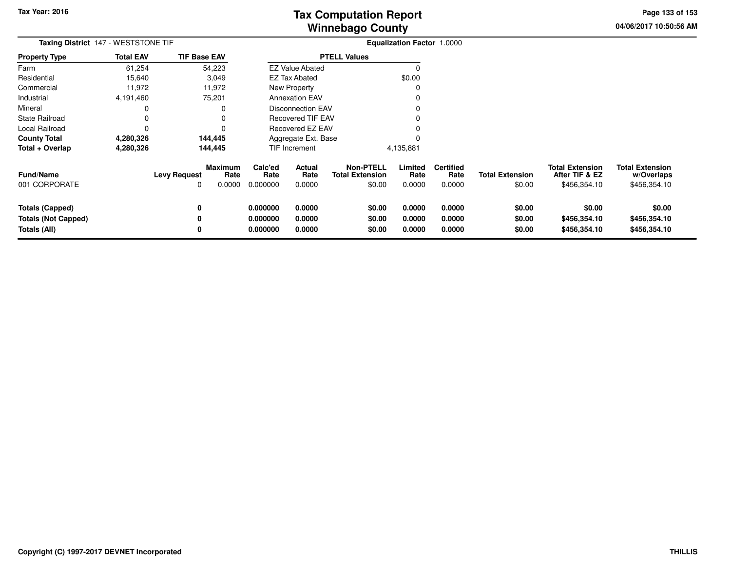**04/06/2017 10:50:56 AMPage 133 of 153**

|                                                               | Taxing District 147 - WESTSTONE TIF |                          |                                  |                                  | <b>Equalization Factor 1.0000</b> |                                                      |                            |                                    |                                  |                                                          |                                                      |
|---------------------------------------------------------------|-------------------------------------|--------------------------|----------------------------------|----------------------------------|-----------------------------------|------------------------------------------------------|----------------------------|------------------------------------|----------------------------------|----------------------------------------------------------|------------------------------------------------------|
| <b>Property Type</b>                                          | <b>Total EAV</b>                    | <b>TIF Base EAV</b>      |                                  |                                  |                                   | <b>PTELL Values</b>                                  |                            |                                    |                                  |                                                          |                                                      |
| Farm                                                          | 61,254                              |                          | 54,223                           |                                  | <b>EZ Value Abated</b>            |                                                      | $\Omega$                   |                                    |                                  |                                                          |                                                      |
| Residential                                                   | 15,640                              |                          | 3,049                            |                                  | <b>EZ Tax Abated</b>              |                                                      | \$0.00                     |                                    |                                  |                                                          |                                                      |
| Commercial                                                    | 11,972                              |                          | 11,972                           |                                  | New Property                      |                                                      | O                          |                                    |                                  |                                                          |                                                      |
| Industrial                                                    | 4,191,460                           |                          | 75,201                           |                                  | <b>Annexation EAV</b>             |                                                      |                            |                                    |                                  |                                                          |                                                      |
| Mineral                                                       | 0                                   |                          | 0                                |                                  | Disconnection EAV                 |                                                      |                            |                                    |                                  |                                                          |                                                      |
| State Railroad                                                | 0                                   |                          |                                  |                                  | <b>Recovered TIF EAV</b>          |                                                      |                            |                                    |                                  |                                                          |                                                      |
| Local Railroad                                                | 0                                   |                          |                                  |                                  | Recovered EZ EAV                  |                                                      |                            |                                    |                                  |                                                          |                                                      |
| County Total                                                  | 4,280,326                           |                          | 144,445                          |                                  | Aggregate Ext. Base               |                                                      |                            |                                    |                                  |                                                          |                                                      |
| Total + Overlap                                               | 4,280,326                           |                          | 144,445                          |                                  | TIF Increment                     |                                                      | 4,135,881                  |                                    |                                  |                                                          |                                                      |
| <b>Fund/Name</b><br>001 CORPORATE                             |                                     | <b>Levy Request</b><br>0 | <b>Maximum</b><br>Rate<br>0.0000 | Calc'ed<br>Rate<br>0.000000      | <b>Actual</b><br>Rate<br>0.0000   | <b>Non-PTELL</b><br><b>Total Extension</b><br>\$0.00 | Limited<br>Rate<br>0.0000  | <b>Certified</b><br>Rate<br>0.0000 | <b>Total Extension</b><br>\$0.00 | <b>Total Extension</b><br>After TIF & EZ<br>\$456,354.10 | <b>Total Extension</b><br>w/Overlaps<br>\$456,354.10 |
| Totals (Capped)<br><b>Totals (Not Capped)</b><br>Totals (All) |                                     | 0<br>0<br>0              |                                  | 0.000000<br>0.000000<br>0.000000 | 0.0000<br>0.0000<br>0.0000        | \$0.00<br>\$0.00<br>\$0.00                           | 0.0000<br>0.0000<br>0.0000 | 0.0000<br>0.0000<br>0.0000         | \$0.00<br>\$0.00<br>\$0.00       | \$0.00<br>\$456,354.10<br>\$456,354.10                   | \$0.00<br>\$456,354.10<br>\$456,354.10               |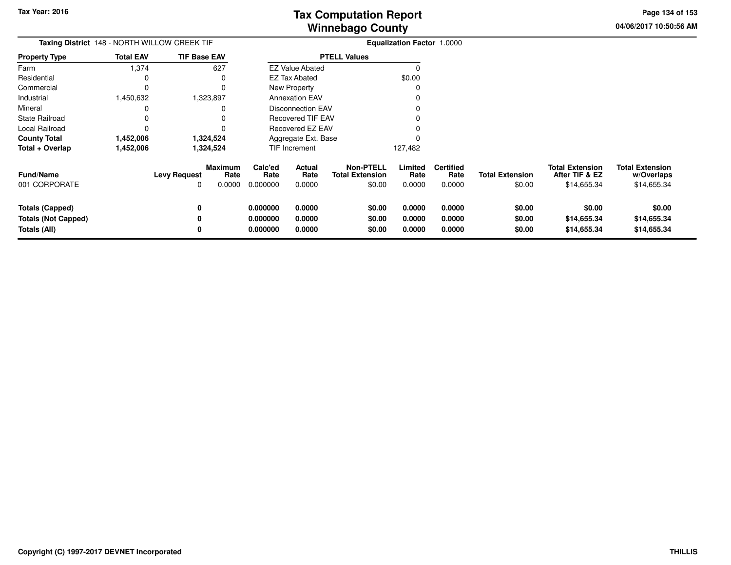**04/06/2017 10:50:56 AMPage 134 of 153**

| Taxing District 148 - NORTH WILLOW CREEK TIF                         |                  |                          |                                  |                                  |                                 |                                                      | <b>Equalization Factor 1.0000</b> |                                    |                                  |                                                         |                                                     |
|----------------------------------------------------------------------|------------------|--------------------------|----------------------------------|----------------------------------|---------------------------------|------------------------------------------------------|-----------------------------------|------------------------------------|----------------------------------|---------------------------------------------------------|-----------------------------------------------------|
| <b>Property Type</b>                                                 | <b>Total EAV</b> | <b>TIF Base EAV</b>      |                                  |                                  |                                 | <b>PTELL Values</b>                                  |                                   |                                    |                                  |                                                         |                                                     |
| Farm                                                                 | 1,374            |                          | 627                              |                                  | <b>EZ Value Abated</b>          |                                                      |                                   |                                    |                                  |                                                         |                                                     |
| Residential                                                          |                  |                          |                                  |                                  | <b>EZ Tax Abated</b>            |                                                      | \$0.00                            |                                    |                                  |                                                         |                                                     |
| Commercial                                                           | 0                |                          |                                  |                                  | New Property                    |                                                      |                                   |                                    |                                  |                                                         |                                                     |
| Industrial                                                           | 1,450,632        |                          | 1,323,897                        |                                  | <b>Annexation EAV</b>           |                                                      |                                   |                                    |                                  |                                                         |                                                     |
| Mineral                                                              |                  |                          |                                  |                                  | <b>Disconnection EAV</b>        |                                                      |                                   |                                    |                                  |                                                         |                                                     |
| <b>State Railroad</b>                                                |                  |                          |                                  |                                  | Recovered TIF EAV               |                                                      |                                   |                                    |                                  |                                                         |                                                     |
| Local Railroad                                                       |                  |                          |                                  |                                  | <b>Recovered EZ EAV</b>         |                                                      |                                   |                                    |                                  |                                                         |                                                     |
| <b>County Total</b>                                                  | 1,452,006        |                          | 1,324,524                        |                                  | Aggregate Ext. Base             |                                                      |                                   |                                    |                                  |                                                         |                                                     |
| Total + Overlap                                                      | 1,452,006        |                          | 1,324,524                        |                                  | TIF Increment                   |                                                      | 127,482                           |                                    |                                  |                                                         |                                                     |
| Fund/Name<br>001 CORPORATE                                           |                  | <b>Levy Request</b><br>0 | <b>Maximum</b><br>Rate<br>0.0000 | Calc'ed<br>Rate<br>0.000000      | <b>Actual</b><br>Rate<br>0.0000 | <b>Non-PTELL</b><br><b>Total Extension</b><br>\$0.00 | Limited<br>Rate<br>0.0000         | <b>Certified</b><br>Rate<br>0.0000 | <b>Total Extension</b><br>\$0.00 | <b>Total Extension</b><br>After TIF & EZ<br>\$14,655.34 | <b>Total Extension</b><br>w/Overlaps<br>\$14,655.34 |
| <b>Totals (Capped)</b><br><b>Totals (Not Capped)</b><br>Totals (All) |                  | 0<br>0<br>0              |                                  | 0.000000<br>0.000000<br>0.000000 | 0.0000<br>0.0000<br>0.0000      | \$0.00<br>\$0.00<br>\$0.00                           | 0.0000<br>0.0000<br>0.0000        | 0.0000<br>0.0000<br>0.0000         | \$0.00<br>\$0.00<br>\$0.00       | \$0.00<br>\$14,655.34<br>\$14,655.34                    | \$0.00<br>\$14,655.34<br>\$14,655.34                |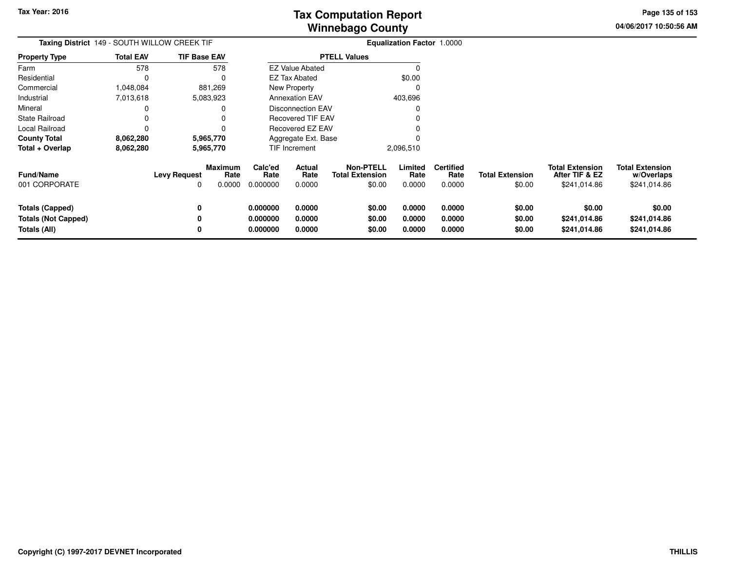**04/06/2017 10:50:56 AM Page 135 of 153**

| Taxing District 149 - SOUTH WILLOW CREEK TIF                         |                  |                          |                           |                                  |                            |                                                      | Equalization Factor 1.0000 |                                    |                                  |                                                          |                                                      |
|----------------------------------------------------------------------|------------------|--------------------------|---------------------------|----------------------------------|----------------------------|------------------------------------------------------|----------------------------|------------------------------------|----------------------------------|----------------------------------------------------------|------------------------------------------------------|
| <b>Property Type</b>                                                 | <b>Total EAV</b> | <b>TIF Base EAV</b>      |                           |                                  |                            | <b>PTELL Values</b>                                  |                            |                                    |                                  |                                                          |                                                      |
| Farm                                                                 | 578              |                          | 578                       |                                  | <b>EZ Value Abated</b>     |                                                      | $\Omega$                   |                                    |                                  |                                                          |                                                      |
| Residential                                                          | 0                |                          | $\Omega$                  |                                  | <b>EZ Tax Abated</b>       |                                                      | \$0.00                     |                                    |                                  |                                                          |                                                      |
| Commercial                                                           | 1,048,084        |                          | 881,269                   |                                  | <b>New Property</b>        |                                                      | C                          |                                    |                                  |                                                          |                                                      |
| Industrial                                                           | 7,013,618        |                          | 5,083,923                 |                                  | <b>Annexation EAV</b>      |                                                      | 403,696                    |                                    |                                  |                                                          |                                                      |
| Mineral                                                              | 0                |                          | 0                         |                                  | <b>Disconnection EAV</b>   |                                                      |                            |                                    |                                  |                                                          |                                                      |
| <b>State Railroad</b>                                                |                  |                          |                           |                                  | <b>Recovered TIF EAV</b>   |                                                      |                            |                                    |                                  |                                                          |                                                      |
| Local Railroad                                                       | 0                |                          | 0                         |                                  | Recovered EZ EAV           |                                                      |                            |                                    |                                  |                                                          |                                                      |
| <b>County Total</b>                                                  | 8,062,280        |                          | 5,965,770                 |                                  | Aggregate Ext. Base        |                                                      |                            |                                    |                                  |                                                          |                                                      |
| Total + Overlap                                                      | 8,062,280        |                          | 5,965,770                 |                                  | TIF Increment              |                                                      | 2,096,510                  |                                    |                                  |                                                          |                                                      |
| <b>Fund/Name</b><br>001 CORPORATE                                    |                  | <b>Levy Request</b><br>0 | Maximum<br>Rate<br>0.0000 | Calc'ed<br>Rate<br>0.000000      | Actual<br>Rate<br>0.0000   | <b>Non-PTELL</b><br><b>Total Extension</b><br>\$0.00 | Limited<br>Rate<br>0.0000  | <b>Certified</b><br>Rate<br>0.0000 | <b>Total Extension</b><br>\$0.00 | <b>Total Extension</b><br>After TIF & EZ<br>\$241,014.86 | <b>Total Extension</b><br>w/Overlaps<br>\$241,014.86 |
| <b>Totals (Capped)</b><br><b>Totals (Not Capped)</b><br>Totals (All) |                  | 0<br>0<br>0              |                           | 0.000000<br>0.000000<br>0.000000 | 0.0000<br>0.0000<br>0.0000 | \$0.00<br>\$0.00<br>\$0.00                           | 0.0000<br>0.0000<br>0.0000 | 0.0000<br>0.0000<br>0.0000         | \$0.00<br>\$0.00<br>\$0.00       | \$0.00<br>\$241,014.86<br>\$241,014.86                   | \$0.00<br>\$241,014.86<br>\$241,014.86               |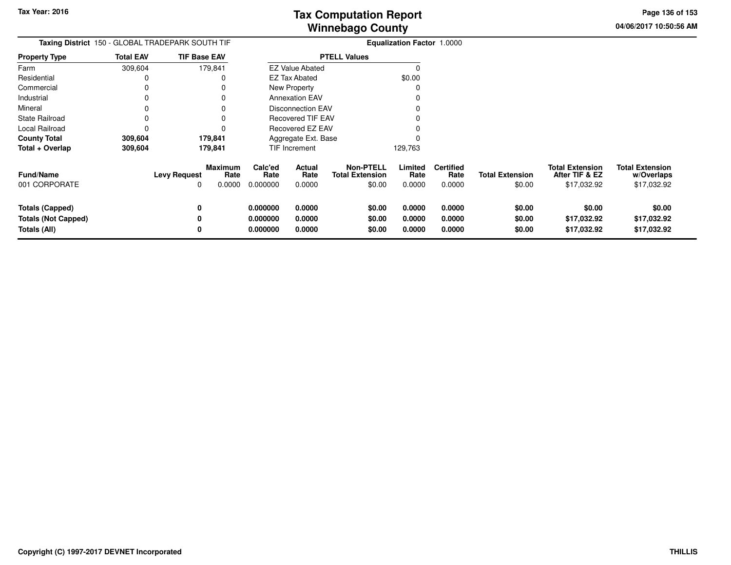**04/06/2017 10:50:56 AMPage 136 of 153**

|                                                               | Taxing District 150 - GLOBAL TRADEPARK SOUTH TIF | <b>Equalization Factor 1.0000</b>                       |                                  |                            |                                                      |                            |                                    |                                  |                                                         |                                                     |
|---------------------------------------------------------------|--------------------------------------------------|---------------------------------------------------------|----------------------------------|----------------------------|------------------------------------------------------|----------------------------|------------------------------------|----------------------------------|---------------------------------------------------------|-----------------------------------------------------|
| <b>Property Type</b>                                          | <b>Total EAV</b>                                 | <b>TIF Base EAV</b>                                     |                                  |                            | <b>PTELL Values</b>                                  |                            |                                    |                                  |                                                         |                                                     |
| Farm                                                          | 309,604                                          | 179,841                                                 |                                  | <b>EZ Value Abated</b>     |                                                      |                            |                                    |                                  |                                                         |                                                     |
| Residential                                                   |                                                  |                                                         |                                  | <b>EZ Tax Abated</b>       |                                                      | \$0.00                     |                                    |                                  |                                                         |                                                     |
| Commercial                                                    |                                                  |                                                         |                                  | New Property               |                                                      |                            |                                    |                                  |                                                         |                                                     |
| Industrial                                                    |                                                  |                                                         |                                  | <b>Annexation EAV</b>      |                                                      |                            |                                    |                                  |                                                         |                                                     |
| Mineral                                                       |                                                  |                                                         |                                  | Disconnection EAV          |                                                      |                            |                                    |                                  |                                                         |                                                     |
| <b>State Railroad</b>                                         |                                                  |                                                         |                                  | <b>Recovered TIF EAV</b>   |                                                      |                            |                                    |                                  |                                                         |                                                     |
| Local Railroad                                                |                                                  |                                                         |                                  | Recovered EZ EAV           |                                                      |                            |                                    |                                  |                                                         |                                                     |
| <b>County Total</b>                                           | 309,604                                          | 179,841                                                 |                                  | Aggregate Ext. Base        |                                                      |                            |                                    |                                  |                                                         |                                                     |
| Total + Overlap                                               | 309,604                                          | 179,841                                                 |                                  | <b>TIF Increment</b>       |                                                      | 129,763                    |                                    |                                  |                                                         |                                                     |
| <b>Fund/Name</b><br>001 CORPORATE                             |                                                  | <b>Maximum</b><br><b>Levy Request</b><br>Rate<br>0.0000 | Calc'ed<br>Rate<br>0.000000      | Actual<br>Rate<br>0.0000   | <b>Non-PTELL</b><br><b>Total Extension</b><br>\$0.00 | Limited<br>Rate<br>0.0000  | <b>Certified</b><br>Rate<br>0.0000 | <b>Total Extension</b><br>\$0.00 | <b>Total Extension</b><br>After TIF & EZ<br>\$17,032.92 | <b>Total Extension</b><br>w/Overlaps<br>\$17,032.92 |
| Totals (Capped)<br><b>Totals (Not Capped)</b><br>Totals (All) |                                                  | 0                                                       | 0.000000<br>0.000000<br>0.000000 | 0.0000<br>0.0000<br>0.0000 | \$0.00<br>\$0.00<br>\$0.00                           | 0.0000<br>0.0000<br>0.0000 | 0.0000<br>0.0000<br>0.0000         | \$0.00<br>\$0.00<br>\$0.00       | \$0.00<br>\$17,032.92<br>\$17,032.92                    | \$0.00<br>\$17,032.92<br>\$17,032.92                |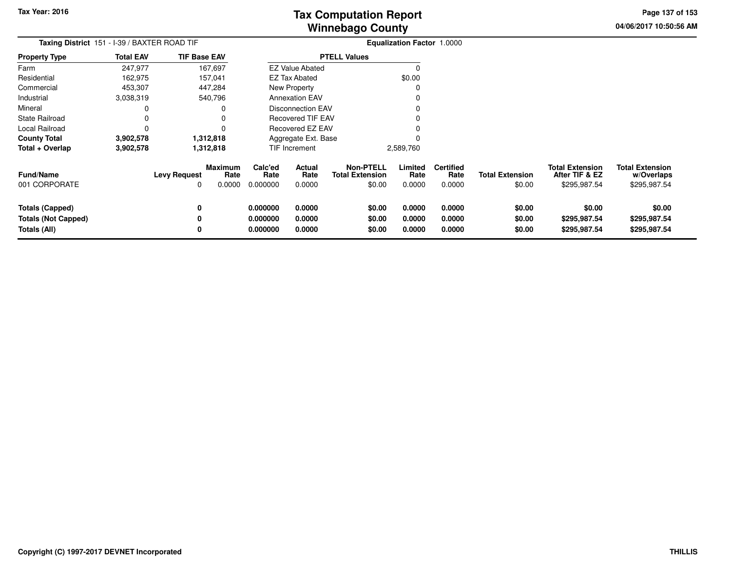**04/06/2017 10:50:56 AMPage 137 of 153**

| <b>Taxing District</b> 151 - I-39 / BAXTER ROAD TIF                         |                  |                          |                           | <b>Equalization Factor 1.0000</b> |                            |                                                      |                            |                                    |                                  |                                                          |                                                      |
|-----------------------------------------------------------------------------|------------------|--------------------------|---------------------------|-----------------------------------|----------------------------|------------------------------------------------------|----------------------------|------------------------------------|----------------------------------|----------------------------------------------------------|------------------------------------------------------|
| <b>Property Type</b>                                                        | <b>Total EAV</b> | <b>TIF Base EAV</b>      |                           |                                   |                            | <b>PTELL Values</b>                                  |                            |                                    |                                  |                                                          |                                                      |
| Farm                                                                        | 247,977          |                          | 167,697                   |                                   | <b>EZ Value Abated</b>     |                                                      | 0                          |                                    |                                  |                                                          |                                                      |
| Residential                                                                 | 162,975          |                          | 157,041                   |                                   | <b>EZ Tax Abated</b>       |                                                      | \$0.00                     |                                    |                                  |                                                          |                                                      |
| Commercial                                                                  | 453,307          |                          | 447,284                   |                                   | New Property               |                                                      | 0                          |                                    |                                  |                                                          |                                                      |
| Industrial                                                                  | 3,038,319        |                          | 540,796                   |                                   | <b>Annexation EAV</b>      |                                                      | 0                          |                                    |                                  |                                                          |                                                      |
| Mineral                                                                     |                  |                          | 0                         |                                   | Disconnection EAV          |                                                      | 0                          |                                    |                                  |                                                          |                                                      |
| <b>State Railroad</b>                                                       |                  |                          | 0                         |                                   | Recovered TIF EAV          |                                                      | 0                          |                                    |                                  |                                                          |                                                      |
| Local Railroad                                                              |                  |                          | $\Omega$                  |                                   | Recovered EZ EAV           |                                                      | 0                          |                                    |                                  |                                                          |                                                      |
| <b>County Total</b>                                                         | 3,902,578        |                          | 1,312,818                 |                                   | Aggregate Ext. Base        |                                                      | 0                          |                                    |                                  |                                                          |                                                      |
| Total + Overlap                                                             | 3,902,578        |                          | 1,312,818                 |                                   | TIF Increment              |                                                      | 2,589,760                  |                                    |                                  |                                                          |                                                      |
| <b>Fund/Name</b><br>001 CORPORATE                                           |                  | <b>Levy Request</b><br>0 | Maximum<br>Rate<br>0.0000 | Calc'ed<br>Rate<br>0.000000       | Actual<br>Rate<br>0.0000   | <b>Non-PTELL</b><br><b>Total Extension</b><br>\$0.00 | Limited<br>Rate<br>0.0000  | <b>Certified</b><br>Rate<br>0.0000 | <b>Total Extension</b><br>\$0.00 | <b>Total Extension</b><br>After TIF & EZ<br>\$295,987.54 | <b>Total Extension</b><br>w/Overlaps<br>\$295,987.54 |
| <b>Totals (Capped)</b><br><b>Totals (Not Capped)</b><br><b>Totals (All)</b> |                  | 0<br>0<br>0              |                           | 0.000000<br>0.000000<br>0.000000  | 0.0000<br>0.0000<br>0.0000 | \$0.00<br>\$0.00<br>\$0.00                           | 0.0000<br>0.0000<br>0.0000 | 0.0000<br>0.0000<br>0.0000         | \$0.00<br>\$0.00<br>\$0.00       | \$0.00<br>\$295,987.54<br>\$295,987.54                   | \$0.00<br>\$295,987.54<br>\$295,987.54               |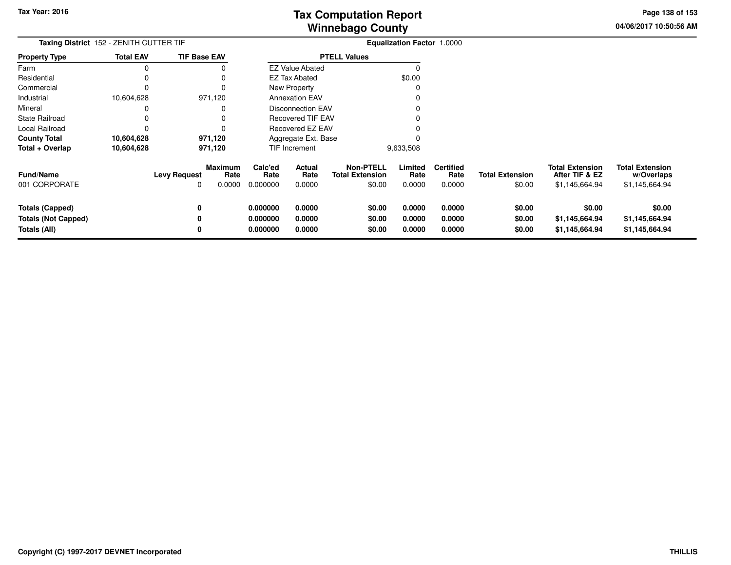**04/06/2017 10:50:56 AMPage 138 of 153**

| <b>Taxing District 152 - ZENITH CUTTER TIF</b>                       |                  |                                                       |                                  |                            |                                                      | <b>Equalization Factor 1.0000</b> |                                    |                                  |                                                            |                                                        |
|----------------------------------------------------------------------|------------------|-------------------------------------------------------|----------------------------------|----------------------------|------------------------------------------------------|-----------------------------------|------------------------------------|----------------------------------|------------------------------------------------------------|--------------------------------------------------------|
| <b>Property Type</b>                                                 | <b>Total EAV</b> | <b>TIF Base EAV</b>                                   |                                  |                            | <b>PTELL Values</b>                                  |                                   |                                    |                                  |                                                            |                                                        |
| Farm                                                                 |                  |                                                       |                                  | <b>EZ Value Abated</b>     |                                                      |                                   |                                    |                                  |                                                            |                                                        |
| Residential                                                          |                  |                                                       |                                  | <b>EZ Tax Abated</b>       |                                                      | \$0.00                            |                                    |                                  |                                                            |                                                        |
| Commercial                                                           |                  |                                                       |                                  | New Property               |                                                      |                                   |                                    |                                  |                                                            |                                                        |
| Industrial                                                           | 10,604,628       | 971,120                                               |                                  | <b>Annexation EAV</b>      |                                                      |                                   |                                    |                                  |                                                            |                                                        |
| Mineral                                                              |                  |                                                       |                                  | <b>Disconnection EAV</b>   |                                                      |                                   |                                    |                                  |                                                            |                                                        |
| State Railroad                                                       |                  |                                                       |                                  | <b>Recovered TIF EAV</b>   |                                                      |                                   |                                    |                                  |                                                            |                                                        |
| Local Railroad                                                       |                  |                                                       |                                  | Recovered EZ EAV           |                                                      |                                   |                                    |                                  |                                                            |                                                        |
| <b>County Total</b>                                                  | 10,604,628       | 971,120                                               |                                  | Aggregate Ext. Base        |                                                      |                                   |                                    |                                  |                                                            |                                                        |
| Total + Overlap                                                      | 10,604,628       | 971,120                                               |                                  | <b>TIF Increment</b>       |                                                      | 9,633,508                         |                                    |                                  |                                                            |                                                        |
| <b>Fund/Name</b><br>001 CORPORATE                                    |                  | Maximum<br>Rate<br><b>Levy Request</b><br>0.0000<br>0 | Calc'ed<br>Rate<br>0.000000      | Actual<br>Rate<br>0.0000   | <b>Non-PTELL</b><br><b>Total Extension</b><br>\$0.00 | Limited<br>Rate<br>0.0000         | <b>Certified</b><br>Rate<br>0.0000 | <b>Total Extension</b><br>\$0.00 | <b>Total Extension</b><br>After TIF & EZ<br>\$1,145,664.94 | <b>Total Extension</b><br>w/Overlaps<br>\$1,145,664.94 |
| <b>Totals (Capped)</b><br><b>Totals (Not Capped)</b><br>Totals (All) |                  | 0<br>0<br>0                                           | 0.000000<br>0.000000<br>0.000000 | 0.0000<br>0.0000<br>0.0000 | \$0.00<br>\$0.00<br>\$0.00                           | 0.0000<br>0.0000<br>0.0000        | 0.0000<br>0.0000<br>0.0000         | \$0.00<br>\$0.00<br>\$0.00       | \$0.00<br>\$1,145,664.94<br>\$1,145,664.94                 | \$0.00<br>\$1,145,664.94<br>\$1,145,664.94             |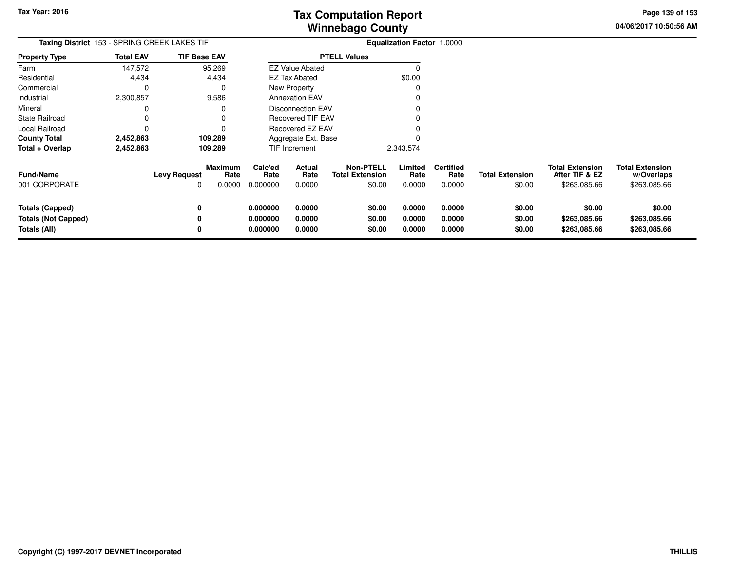**04/06/2017 10:50:56 AMPage 139 of 153**

| Taxing District 153 - SPRING CREEK LAKES TIF                  |                  |                                                              |                                  |                            |                                               | Equalization Factor 1.0000 |                                    |                                  |                                                          |                                                      |
|---------------------------------------------------------------|------------------|--------------------------------------------------------------|----------------------------------|----------------------------|-----------------------------------------------|----------------------------|------------------------------------|----------------------------------|----------------------------------------------------------|------------------------------------------------------|
| <b>Property Type</b>                                          | <b>Total EAV</b> | <b>TIF Base EAV</b>                                          |                                  |                            | <b>PTELL Values</b>                           |                            |                                    |                                  |                                                          |                                                      |
| Farm                                                          | 147,572          | 95,269                                                       |                                  | <b>EZ Value Abated</b>     |                                               |                            |                                    |                                  |                                                          |                                                      |
| Residential                                                   | 4,434            | 4,434                                                        |                                  | <b>EZ Tax Abated</b>       |                                               | \$0.00                     |                                    |                                  |                                                          |                                                      |
| Commercial                                                    | 0                | 0                                                            |                                  | New Property               |                                               |                            |                                    |                                  |                                                          |                                                      |
| Industrial                                                    | 2,300,857        | 9,586                                                        |                                  | <b>Annexation EAV</b>      |                                               |                            |                                    |                                  |                                                          |                                                      |
| Mineral                                                       | 0                | 0                                                            |                                  | <b>Disconnection EAV</b>   |                                               |                            |                                    |                                  |                                                          |                                                      |
| <b>State Railroad</b>                                         |                  | 0                                                            |                                  | Recovered TIF EAV          |                                               |                            |                                    |                                  |                                                          |                                                      |
| Local Railroad                                                |                  |                                                              |                                  | Recovered EZ EAV           |                                               |                            |                                    |                                  |                                                          |                                                      |
| <b>County Total</b>                                           | 2,452,863        | 109,289                                                      |                                  | Aggregate Ext. Base        |                                               |                            |                                    |                                  |                                                          |                                                      |
| Total + Overlap                                               | 2,452,863        | 109,289                                                      |                                  | TIF Increment              |                                               | 2,343,574                  |                                    |                                  |                                                          |                                                      |
| <b>Fund/Name</b><br>001 CORPORATE                             |                  | <b>Maximum</b><br><b>Levy Request</b><br>Rate<br>0.0000<br>0 | Calc'ed<br>Rate<br>0.000000      | Actual<br>Rate<br>0.0000   | Non-PTELL<br><b>Total Extension</b><br>\$0.00 | Limited<br>Rate<br>0.0000  | <b>Certified</b><br>Rate<br>0.0000 | <b>Total Extension</b><br>\$0.00 | <b>Total Extension</b><br>After TIF & EZ<br>\$263,085.66 | <b>Total Extension</b><br>w/Overlaps<br>\$263,085.66 |
| Totals (Capped)<br><b>Totals (Not Capped)</b><br>Totals (All) |                  | 0<br>0<br>0                                                  | 0.000000<br>0.000000<br>0.000000 | 0.0000<br>0.0000<br>0.0000 | \$0.00<br>\$0.00<br>\$0.00                    | 0.0000<br>0.0000<br>0.0000 | 0.0000<br>0.0000<br>0.0000         | \$0.00<br>\$0.00<br>\$0.00       | \$0.00<br>\$263,085.66<br>\$263,085.66                   | \$0.00<br>\$263,085.66<br>\$263,085.66               |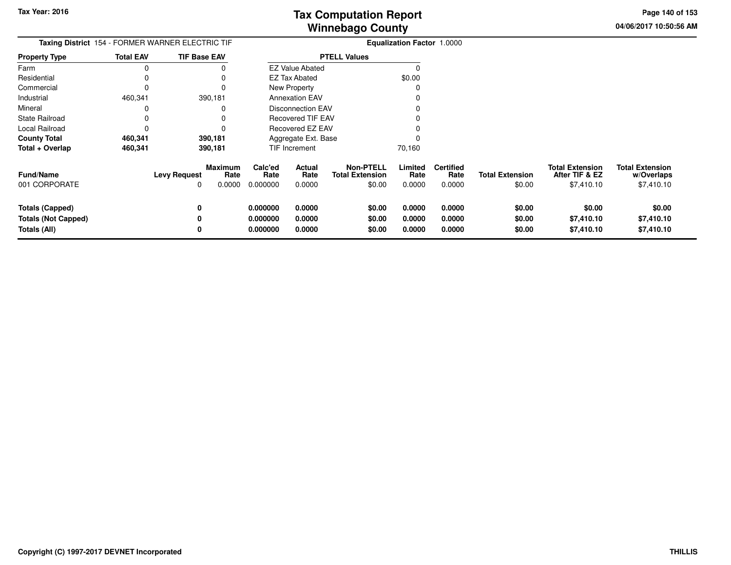**04/06/2017 10:50:56 AM Page 140 of 153**

| Taxing District 154 - FORMER WARNER ELECTRIC TIF |                  |                                                      |                                     |                          |                                                      | <b>Equalization Factor 1.0000</b> |                                    |                                  |                                                        |                                                    |
|--------------------------------------------------|------------------|------------------------------------------------------|-------------------------------------|--------------------------|------------------------------------------------------|-----------------------------------|------------------------------------|----------------------------------|--------------------------------------------------------|----------------------------------------------------|
| <b>Property Type</b>                             | <b>Total EAV</b> | <b>TIF Base EAV</b>                                  |                                     |                          | <b>PTELL Values</b>                                  |                                   |                                    |                                  |                                                        |                                                    |
| Farm                                             | 0                |                                                      |                                     | <b>EZ Value Abated</b>   |                                                      |                                   |                                    |                                  |                                                        |                                                    |
| Residential                                      | 0                |                                                      |                                     | EZ Tax Abated            |                                                      | \$0.00                            |                                    |                                  |                                                        |                                                    |
| Commercial                                       | 0                | 0                                                    |                                     | <b>New Property</b>      |                                                      | O                                 |                                    |                                  |                                                        |                                                    |
| Industrial                                       | 460,341          | 390,181                                              |                                     | <b>Annexation EAV</b>    |                                                      |                                   |                                    |                                  |                                                        |                                                    |
| Mineral                                          | 0                | 0                                                    |                                     | <b>Disconnection EAV</b> |                                                      |                                   |                                    |                                  |                                                        |                                                    |
| <b>State Railroad</b>                            | 0                |                                                      |                                     | <b>Recovered TIF EAV</b> |                                                      |                                   |                                    |                                  |                                                        |                                                    |
| Local Railroad                                   | 0                |                                                      |                                     | Recovered EZ EAV         |                                                      |                                   |                                    |                                  |                                                        |                                                    |
| <b>County Total</b>                              | 460,341          | 390,181                                              |                                     | Aggregate Ext. Base      |                                                      |                                   |                                    |                                  |                                                        |                                                    |
| Total + Overlap                                  | 460,341          | 390,181                                              |                                     | TIF Increment            |                                                      | 70,160                            |                                    |                                  |                                                        |                                                    |
| <b>Fund/Name</b><br>001 CORPORATE                |                  | <b>Maximum</b><br><b>Levy Request</b><br>0.0000<br>0 | Calc'ed<br>Rate<br>Rate<br>0.000000 | Actual<br>Rate<br>0.0000 | <b>Non-PTELL</b><br><b>Total Extension</b><br>\$0.00 | Limited<br>Rate<br>0.0000         | <b>Certified</b><br>Rate<br>0.0000 | <b>Total Extension</b><br>\$0.00 | <b>Total Extension</b><br>After TIF & EZ<br>\$7,410.10 | <b>Total Extension</b><br>w/Overlaps<br>\$7,410.10 |
| <b>Totals (Capped)</b>                           |                  | 0                                                    | 0.000000                            | 0.0000                   | \$0.00                                               | 0.0000                            | 0.0000                             | \$0.00                           | \$0.00                                                 | \$0.00                                             |
| <b>Totals (Not Capped)</b>                       |                  | 0                                                    | 0.000000                            | 0.0000                   | \$0.00                                               | 0.0000                            | 0.0000                             | \$0.00                           | \$7,410.10                                             | \$7,410.10                                         |
| Totals (All)                                     |                  | 0                                                    | 0.000000                            | 0.0000                   | \$0.00                                               | 0.0000                            | 0.0000                             | \$0.00                           | \$7,410.10                                             | \$7,410.10                                         |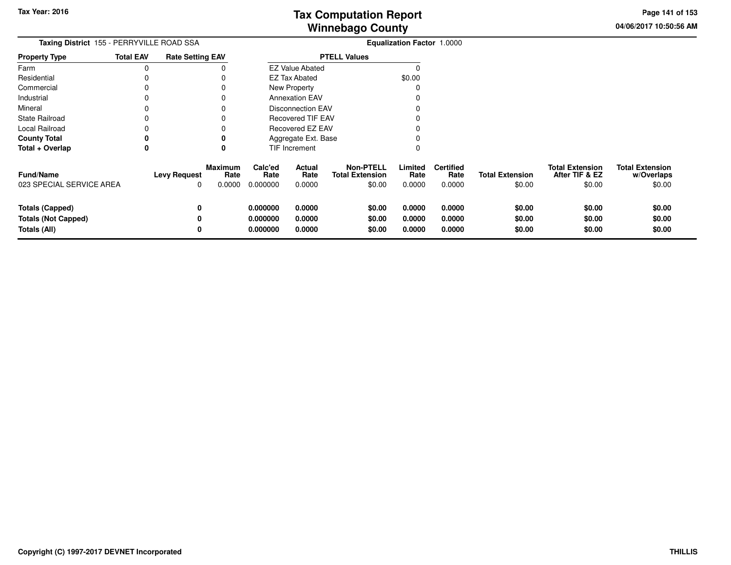**04/06/2017 10:50:56 AM Page 141 of 153**

| Taxing District 155 - PERRYVILLE ROAD SSA                            |                  |                          |                                  |                                  |                            |                                                      | <b>Equalization Factor 1.0000</b> |                                    |                                  |                                                    |                                                |
|----------------------------------------------------------------------|------------------|--------------------------|----------------------------------|----------------------------------|----------------------------|------------------------------------------------------|-----------------------------------|------------------------------------|----------------------------------|----------------------------------------------------|------------------------------------------------|
| Property Type                                                        | <b>Total EAV</b> | <b>Rate Setting EAV</b>  |                                  |                                  |                            | <b>PTELL Values</b>                                  |                                   |                                    |                                  |                                                    |                                                |
| Farm                                                                 | 0                |                          |                                  |                                  | <b>EZ Value Abated</b>     |                                                      | 0                                 |                                    |                                  |                                                    |                                                |
| Residential                                                          |                  |                          |                                  |                                  | <b>EZ Tax Abated</b>       |                                                      | \$0.00                            |                                    |                                  |                                                    |                                                |
| Commercial                                                           |                  |                          |                                  |                                  | <b>New Property</b>        |                                                      | 0                                 |                                    |                                  |                                                    |                                                |
| Industrial                                                           |                  |                          |                                  |                                  | <b>Annexation EAV</b>      |                                                      |                                   |                                    |                                  |                                                    |                                                |
| Mineral                                                              |                  |                          |                                  |                                  | Disconnection EAV          |                                                      |                                   |                                    |                                  |                                                    |                                                |
| State Railroad                                                       |                  |                          |                                  |                                  | <b>Recovered TIF EAV</b>   |                                                      |                                   |                                    |                                  |                                                    |                                                |
| Local Railroad                                                       |                  |                          |                                  |                                  | <b>Recovered EZ EAV</b>    |                                                      |                                   |                                    |                                  |                                                    |                                                |
| County Total                                                         | 0                |                          | 0                                |                                  | Aggregate Ext. Base        |                                                      |                                   |                                    |                                  |                                                    |                                                |
| Total + Overlap                                                      | 0                |                          | 0                                |                                  | <b>TIF Increment</b>       |                                                      | 0                                 |                                    |                                  |                                                    |                                                |
| <b>Fund/Name</b><br>023 SPECIAL SERVICE AREA                         |                  | <b>Levy Request</b><br>0 | <b>Maximum</b><br>Rate<br>0.0000 | Calc'ed<br>Rate<br>0.000000      | Actual<br>Rate<br>0.0000   | <b>Non-PTELL</b><br><b>Total Extension</b><br>\$0.00 | Limited<br>Rate<br>0.0000         | <b>Certified</b><br>Rate<br>0.0000 | <b>Total Extension</b><br>\$0.00 | <b>Total Extension</b><br>After TIF & EZ<br>\$0.00 | <b>Total Extension</b><br>w/Overlaps<br>\$0.00 |
| <b>Totals (Capped)</b><br><b>Totals (Not Capped)</b><br>Totals (All) |                  | 0<br>0<br>0              |                                  | 0.000000<br>0.000000<br>0.000000 | 0.0000<br>0.0000<br>0.0000 | \$0.00<br>\$0.00<br>\$0.00                           | 0.0000<br>0.0000<br>0.0000        | 0.0000<br>0.0000<br>0.0000         | \$0.00<br>\$0.00<br>\$0.00       | \$0.00<br>\$0.00<br>\$0.00                         | \$0.00<br>\$0.00<br>\$0.00                     |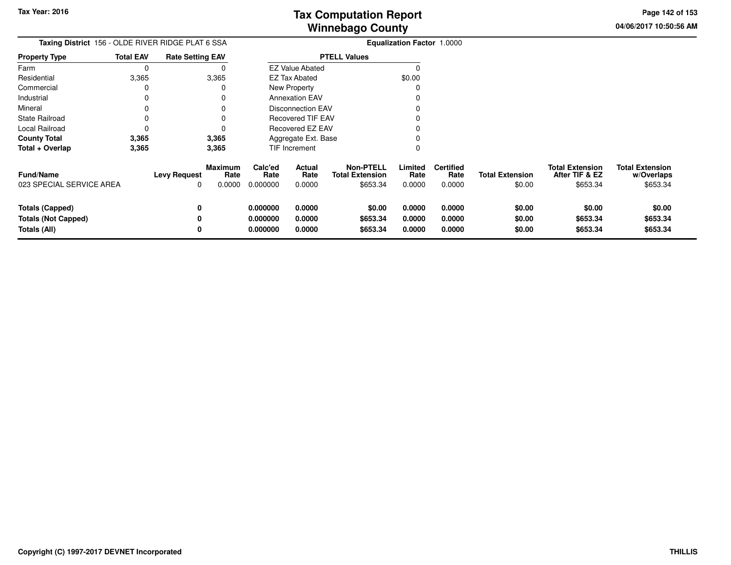**04/06/2017 10:50:56 AMPage 142 of 153**

| Taxing District 156 - OLDE RIVER RIDGE PLAT 6 SSA                    |                  |                          |                           |                                  |                                 |                                                        | <b>Equalization Factor 1.0000</b> |                                    |                                  |                                                      |                                                  |
|----------------------------------------------------------------------|------------------|--------------------------|---------------------------|----------------------------------|---------------------------------|--------------------------------------------------------|-----------------------------------|------------------------------------|----------------------------------|------------------------------------------------------|--------------------------------------------------|
| <b>Property Type</b>                                                 | <b>Total EAV</b> | <b>Rate Setting EAV</b>  |                           |                                  |                                 | <b>PTELL Values</b>                                    |                                   |                                    |                                  |                                                      |                                                  |
| Farm                                                                 | 0                |                          |                           |                                  | <b>EZ Value Abated</b>          |                                                        | 0                                 |                                    |                                  |                                                      |                                                  |
| Residential                                                          | 3,365            |                          | 3,365                     |                                  | <b>EZ Tax Abated</b>            |                                                        | \$0.00                            |                                    |                                  |                                                      |                                                  |
| Commercial                                                           | 0                |                          |                           |                                  | New Property                    |                                                        | 0                                 |                                    |                                  |                                                      |                                                  |
| Industrial                                                           | 0                |                          |                           |                                  | <b>Annexation EAV</b>           |                                                        |                                   |                                    |                                  |                                                      |                                                  |
| Mineral                                                              |                  |                          |                           |                                  | <b>Disconnection EAV</b>        |                                                        |                                   |                                    |                                  |                                                      |                                                  |
| State Railroad                                                       |                  |                          |                           |                                  | <b>Recovered TIF EAV</b>        |                                                        |                                   |                                    |                                  |                                                      |                                                  |
| Local Railroad                                                       | 0                |                          |                           |                                  | Recovered EZ EAV                |                                                        |                                   |                                    |                                  |                                                      |                                                  |
| <b>County Total</b>                                                  | 3,365            |                          | 3,365                     |                                  | Aggregate Ext. Base             |                                                        |                                   |                                    |                                  |                                                      |                                                  |
| Total + Overlap                                                      | 3,365            |                          | 3,365                     |                                  | <b>TIF Increment</b>            |                                                        | 0                                 |                                    |                                  |                                                      |                                                  |
| <b>Fund/Name</b><br>023 SPECIAL SERVICE AREA                         |                  | <b>Levy Request</b><br>0 | Maximum<br>Rate<br>0.0000 | Calc'ed<br>Rate<br>0.000000      | <b>Actual</b><br>Rate<br>0.0000 | <b>Non-PTELL</b><br><b>Total Extension</b><br>\$653.34 | Limited<br>Rate<br>0.0000         | <b>Certified</b><br>Rate<br>0.0000 | <b>Total Extension</b><br>\$0.00 | <b>Total Extension</b><br>After TIF & EZ<br>\$653.34 | <b>Total Extension</b><br>w/Overlaps<br>\$653.34 |
| <b>Totals (Capped)</b><br><b>Totals (Not Capped)</b><br>Totals (All) |                  | 0<br>0<br>0              |                           | 0.000000<br>0.000000<br>0.000000 | 0.0000<br>0.0000<br>0.0000      | \$0.00<br>\$653.34<br>\$653.34                         | 0.0000<br>0.0000<br>0.0000        | 0.0000<br>0.0000<br>0.0000         | \$0.00<br>\$0.00<br>\$0.00       | \$0.00<br>\$653.34<br>\$653.34                       | \$0.00<br>\$653.34<br>\$653.34                   |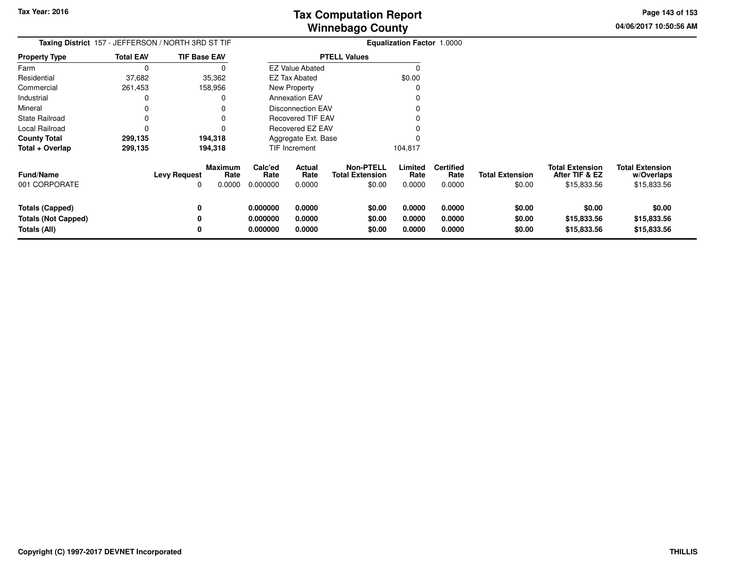**04/06/2017 10:50:56 AMPage 143 of 153**

| Taxing District 157 - JEFFERSON / NORTH 3RD ST TIF                   | <b>Equalization Factor 1.0000</b> |                                                       |                                  |                            |                                                      |                            |                                    |                                  |                                                         |                                                     |
|----------------------------------------------------------------------|-----------------------------------|-------------------------------------------------------|----------------------------------|----------------------------|------------------------------------------------------|----------------------------|------------------------------------|----------------------------------|---------------------------------------------------------|-----------------------------------------------------|
| <b>Property Type</b>                                                 | <b>Total EAV</b>                  | <b>TIF Base EAV</b>                                   |                                  |                            | <b>PTELL Values</b>                                  |                            |                                    |                                  |                                                         |                                                     |
| Farm                                                                 | $\Omega$                          | 0                                                     |                                  | <b>EZ Value Abated</b>     |                                                      | 0                          |                                    |                                  |                                                         |                                                     |
| Residential                                                          | 37,682                            | 35,362                                                |                                  | EZ Tax Abated              |                                                      | \$0.00                     |                                    |                                  |                                                         |                                                     |
| Commercial                                                           | 261,453                           | 158,956                                               |                                  | New Property               |                                                      | 0                          |                                    |                                  |                                                         |                                                     |
| Industrial                                                           | 0                                 | 0                                                     |                                  | <b>Annexation EAV</b>      |                                                      |                            |                                    |                                  |                                                         |                                                     |
| Mineral                                                              | 0                                 | 0                                                     |                                  | <b>Disconnection EAV</b>   |                                                      |                            |                                    |                                  |                                                         |                                                     |
| <b>State Railroad</b>                                                | 0                                 | 0                                                     |                                  | <b>Recovered TIF EAV</b>   |                                                      |                            |                                    |                                  |                                                         |                                                     |
| Local Railroad                                                       | 0                                 | 0                                                     |                                  | Recovered EZ EAV           |                                                      |                            |                                    |                                  |                                                         |                                                     |
| <b>County Total</b>                                                  | 299,135                           | 194,318                                               |                                  | Aggregate Ext. Base        |                                                      |                            |                                    |                                  |                                                         |                                                     |
| Total + Overlap                                                      | 299,135                           | 194,318                                               |                                  | TIF Increment              |                                                      | 104,817                    |                                    |                                  |                                                         |                                                     |
| <b>Fund/Name</b><br>001 CORPORATE                                    |                                   | Maximum<br>Rate<br><b>Levy Request</b><br>0.0000<br>O | Calc'ed<br>Rate<br>0.000000      | Actual<br>Rate<br>0.0000   | <b>Non-PTELL</b><br><b>Total Extension</b><br>\$0.00 | Limited<br>Rate<br>0.0000  | <b>Certified</b><br>Rate<br>0.0000 | <b>Total Extension</b><br>\$0.00 | <b>Total Extension</b><br>After TIF & EZ<br>\$15,833.56 | <b>Total Extension</b><br>w/Overlaps<br>\$15,833.56 |
| <b>Totals (Capped)</b><br><b>Totals (Not Capped)</b><br>Totals (All) |                                   | 0<br>0<br>0                                           | 0.000000<br>0.000000<br>0.000000 | 0.0000<br>0.0000<br>0.0000 | \$0.00<br>\$0.00<br>\$0.00                           | 0.0000<br>0.0000<br>0.0000 | 0.0000<br>0.0000<br>0.0000         | \$0.00<br>\$0.00<br>\$0.00       | \$0.00<br>\$15,833.56<br>\$15,833.56                    | \$0.00<br>\$15,833.56<br>\$15,833.56                |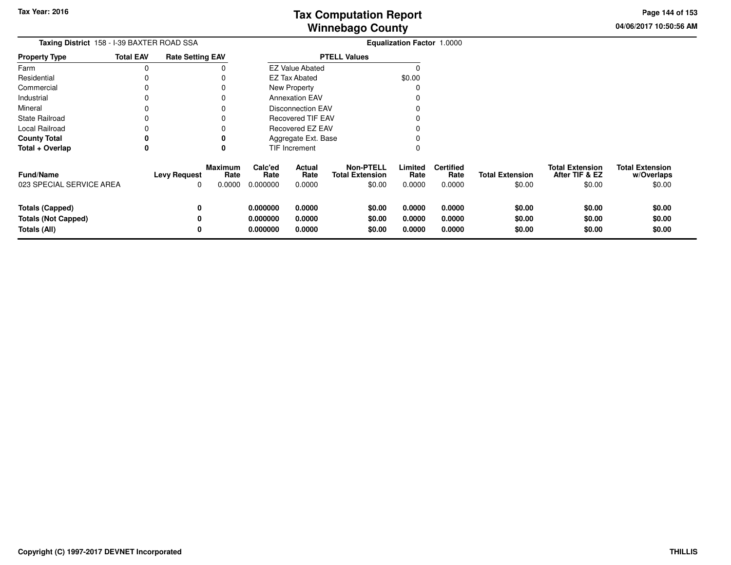**04/06/2017 10:50:56 AM Page 144 of 153**

| Taxing District 158 - I-39 BAXTER ROAD SSA                    |                  |                          |                                  |                                  |                            |                                                      | Equalization Factor 1.0000 |                                    |                                  |                                                    |                                                |
|---------------------------------------------------------------|------------------|--------------------------|----------------------------------|----------------------------------|----------------------------|------------------------------------------------------|----------------------------|------------------------------------|----------------------------------|----------------------------------------------------|------------------------------------------------|
| Property Type                                                 | <b>Total EAV</b> | <b>Rate Setting EAV</b>  |                                  |                                  |                            | <b>PTELL Values</b>                                  |                            |                                    |                                  |                                                    |                                                |
| Farm                                                          | 0                |                          |                                  |                                  | <b>EZ Value Abated</b>     |                                                      | n                          |                                    |                                  |                                                    |                                                |
| Residential                                                   | 0                |                          |                                  |                                  | <b>EZ Tax Abated</b>       |                                                      | \$0.00                     |                                    |                                  |                                                    |                                                |
| Commercial                                                    | 0                |                          |                                  |                                  | New Property               |                                                      |                            |                                    |                                  |                                                    |                                                |
| Industrial                                                    | 0                |                          |                                  |                                  | <b>Annexation EAV</b>      |                                                      |                            |                                    |                                  |                                                    |                                                |
| Mineral                                                       | 0                |                          |                                  |                                  | <b>Disconnection EAV</b>   |                                                      |                            |                                    |                                  |                                                    |                                                |
| State Railroad                                                | 0                |                          |                                  |                                  | <b>Recovered TIF EAV</b>   |                                                      |                            |                                    |                                  |                                                    |                                                |
| Local Railroad                                                |                  |                          |                                  |                                  | Recovered EZ EAV           |                                                      |                            |                                    |                                  |                                                    |                                                |
| County Total                                                  | 0                |                          |                                  |                                  | Aggregate Ext. Base        |                                                      |                            |                                    |                                  |                                                    |                                                |
| Total + Overlap                                               | 0                |                          | 0                                |                                  | TIF Increment              |                                                      |                            |                                    |                                  |                                                    |                                                |
| <b>Fund/Name</b><br>023 SPECIAL SERVICE AREA                  |                  | <b>Levy Request</b><br>0 | <b>Maximum</b><br>Rate<br>0.0000 | Calc'ed<br>Rate<br>0.000000      | Actual<br>Rate<br>0.0000   | <b>Non-PTELL</b><br><b>Total Extension</b><br>\$0.00 | Limited<br>Rate<br>0.0000  | <b>Certified</b><br>Rate<br>0.0000 | <b>Total Extension</b><br>\$0.00 | <b>Total Extension</b><br>After TIF & EZ<br>\$0.00 | <b>Total Extension</b><br>w/Overlaps<br>\$0.00 |
| Totals (Capped)<br><b>Totals (Not Capped)</b><br>Totals (All) |                  | 0<br>0                   |                                  | 0.000000<br>0.000000<br>0.000000 | 0.0000<br>0.0000<br>0.0000 | \$0.00<br>\$0.00<br>\$0.00                           | 0.0000<br>0.0000<br>0.0000 | 0.0000<br>0.0000<br>0.0000         | \$0.00<br>\$0.00<br>\$0.00       | \$0.00<br>\$0.00<br>\$0.00                         | \$0.00<br>\$0.00<br>\$0.00                     |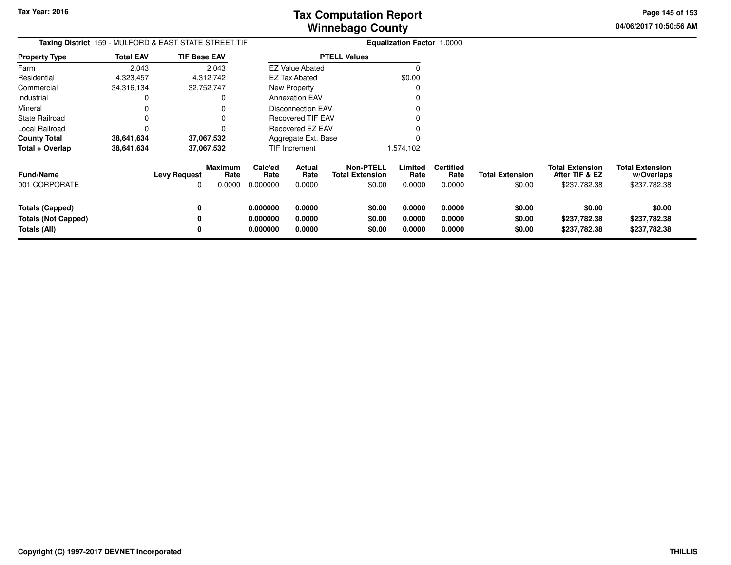**04/06/2017 10:50:56 AM Page 145 of 153**

| <b>Taxing District</b> 159 - MULFORD & EAST STATE STREET TIF |                  |                     |                                  |                             |                          |                                                      | <b>Equalization Factor 1.0000</b> |                                    |                                  |                                                          |                                                      |
|--------------------------------------------------------------|------------------|---------------------|----------------------------------|-----------------------------|--------------------------|------------------------------------------------------|-----------------------------------|------------------------------------|----------------------------------|----------------------------------------------------------|------------------------------------------------------|
| <b>Property Type</b>                                         | <b>Total EAV</b> | <b>TIF Base EAV</b> |                                  |                             |                          | <b>PTELL Values</b>                                  |                                   |                                    |                                  |                                                          |                                                      |
| Farm                                                         | 2,043            |                     | 2,043                            |                             | <b>EZ Value Abated</b>   |                                                      | $\Omega$                          |                                    |                                  |                                                          |                                                      |
| Residential                                                  | 4,323,457        |                     | 4,312,742                        |                             | EZ Tax Abated            |                                                      | \$0.00                            |                                    |                                  |                                                          |                                                      |
| Commercial                                                   | 34,316,134       |                     | 32,752,747                       |                             | New Property             |                                                      | O                                 |                                    |                                  |                                                          |                                                      |
| Industrial                                                   | 0                |                     | 0                                |                             | <b>Annexation EAV</b>    |                                                      |                                   |                                    |                                  |                                                          |                                                      |
| Mineral                                                      |                  |                     |                                  |                             | <b>Disconnection EAV</b> |                                                      |                                   |                                    |                                  |                                                          |                                                      |
| <b>State Railroad</b>                                        |                  |                     |                                  |                             | Recovered TIF EAV        |                                                      |                                   |                                    |                                  |                                                          |                                                      |
| Local Railroad                                               | 0                |                     |                                  |                             | Recovered EZ EAV         |                                                      |                                   |                                    |                                  |                                                          |                                                      |
| <b>County Total</b>                                          | 38,641,634       |                     | 37,067,532                       |                             | Aggregate Ext. Base      |                                                      |                                   |                                    |                                  |                                                          |                                                      |
| Total + Overlap                                              | 38,641,634       |                     | 37,067,532                       |                             | TIF Increment            |                                                      | 1,574,102                         |                                    |                                  |                                                          |                                                      |
| <b>Fund/Name</b><br>001 CORPORATE                            |                  | Levy Request<br>0   | <b>Maximum</b><br>Rate<br>0.0000 | Calc'ed<br>Rate<br>0.000000 | Actual<br>Rate<br>0.0000 | <b>Non-PTELL</b><br><b>Total Extension</b><br>\$0.00 | Limited<br>Rate<br>0.0000         | <b>Certified</b><br>Rate<br>0.0000 | <b>Total Extension</b><br>\$0.00 | <b>Total Extension</b><br>After TIF & EZ<br>\$237,782.38 | <b>Total Extension</b><br>w/Overlaps<br>\$237,782.38 |
| <b>Totals (Capped)</b>                                       |                  | 0                   |                                  | 0.000000                    | 0.0000                   | \$0.00                                               | 0.0000                            | 0.0000                             | \$0.00                           | \$0.00                                                   | \$0.00                                               |
| <b>Totals (Not Capped)</b>                                   |                  |                     |                                  | 0.000000                    | 0.0000                   | \$0.00                                               | 0.0000                            | 0.0000                             | \$0.00                           | \$237,782.38                                             | \$237,782.38                                         |
| Totals (All)                                                 |                  | ŋ                   |                                  | 0.000000                    | 0.0000                   | \$0.00                                               | 0.0000                            | 0.0000                             | \$0.00                           | \$237,782.38                                             | \$237,782.38                                         |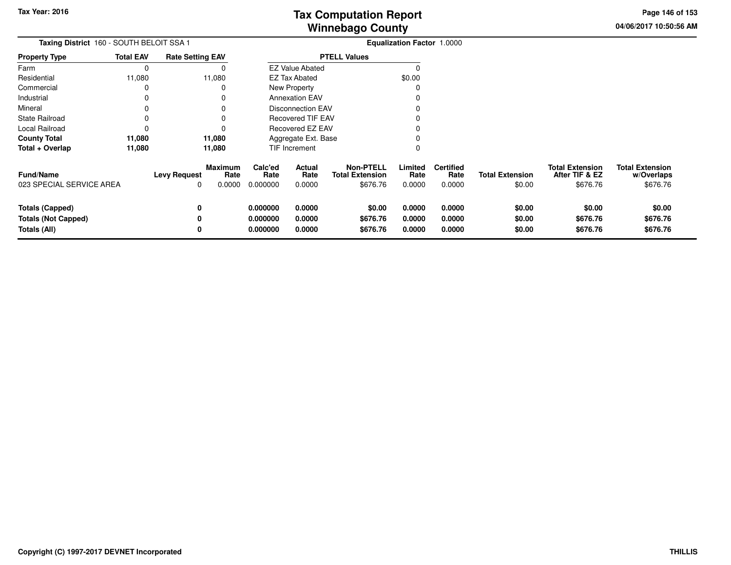**04/06/2017 10:50:56 AM Page 146 of 153**

| Taxing District 160 - SOUTH BELOIT SSA 1                             |                  |                          |                                  | <b>Equalization Factor 1.0000</b> |                            |                                                        |                            |                                    |                                  |                                                      |                                                  |
|----------------------------------------------------------------------|------------------|--------------------------|----------------------------------|-----------------------------------|----------------------------|--------------------------------------------------------|----------------------------|------------------------------------|----------------------------------|------------------------------------------------------|--------------------------------------------------|
| <b>Property Type</b>                                                 | <b>Total EAV</b> | <b>Rate Setting EAV</b>  |                                  |                                   | <b>PTELL Values</b>        |                                                        |                            |                                    |                                  |                                                      |                                                  |
| Farm                                                                 | 0                |                          |                                  |                                   | <b>EZ Value Abated</b>     |                                                        |                            |                                    |                                  |                                                      |                                                  |
| Residential                                                          | 11,080           |                          | 11,080                           |                                   | <b>EZ Tax Abated</b>       |                                                        | \$0.00                     |                                    |                                  |                                                      |                                                  |
| Commercial                                                           | 0                |                          |                                  |                                   | New Property               |                                                        |                            |                                    |                                  |                                                      |                                                  |
| Industrial                                                           | 0                |                          |                                  |                                   | <b>Annexation EAV</b>      |                                                        |                            |                                    |                                  |                                                      |                                                  |
| Mineral                                                              | 0                |                          |                                  |                                   | Disconnection EAV          |                                                        |                            |                                    |                                  |                                                      |                                                  |
| <b>State Railroad</b>                                                | 0                |                          |                                  |                                   | <b>Recovered TIF EAV</b>   |                                                        |                            |                                    |                                  |                                                      |                                                  |
| Local Railroad                                                       | 0                |                          |                                  |                                   | Recovered EZ EAV           |                                                        |                            |                                    |                                  |                                                      |                                                  |
| <b>County Total</b>                                                  | 11,080           |                          | 11,080                           | Aggregate Ext. Base               |                            |                                                        |                            |                                    |                                  |                                                      |                                                  |
| Total + Overlap                                                      | 11,080           |                          | 11,080                           |                                   | TIF Increment              |                                                        | 0                          |                                    |                                  |                                                      |                                                  |
| <b>Fund/Name</b><br>023 SPECIAL SERVICE AREA                         |                  | <b>Levy Request</b><br>0 | <b>Maximum</b><br>Rate<br>0.0000 | Calc'ed<br>Rate<br>0.000000       | Actual<br>Rate<br>0.0000   | <b>Non-PTELL</b><br><b>Total Extension</b><br>\$676.76 | Limited<br>Rate<br>0.0000  | <b>Certified</b><br>Rate<br>0.0000 | <b>Total Extension</b><br>\$0.00 | <b>Total Extension</b><br>After TIF & EZ<br>\$676.76 | <b>Total Extension</b><br>w/Overlaps<br>\$676.76 |
| <b>Totals (Capped)</b><br><b>Totals (Not Capped)</b><br>Totals (All) |                  | 0<br>0<br>0              |                                  | 0.000000<br>0.000000<br>0.000000  | 0.0000<br>0.0000<br>0.0000 | \$0.00<br>\$676.76<br>\$676.76                         | 0.0000<br>0.0000<br>0.0000 | 0.0000<br>0.0000<br>0.0000         | \$0.00<br>\$0.00<br>\$0.00       | \$0.00<br>\$676.76<br>\$676.76                       | \$0.00<br>\$676.76<br>\$676.76                   |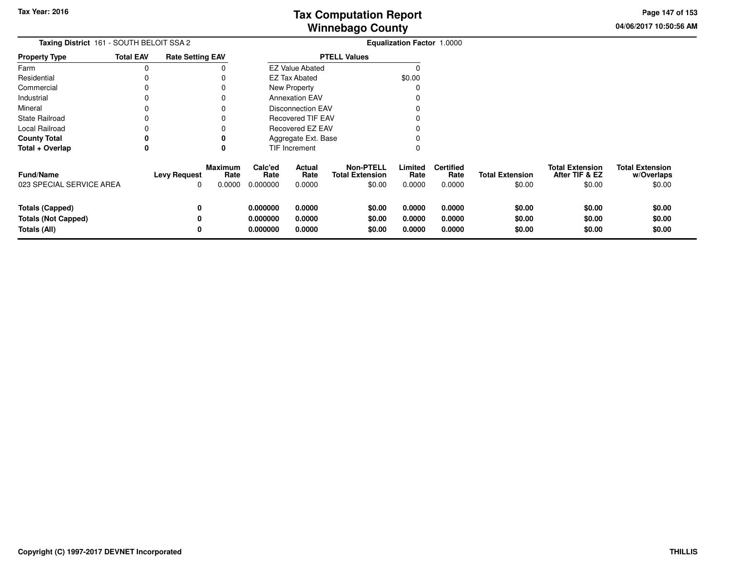**04/06/2017 10:50:56 AM Page 147 of 153**

| Taxing District 161 - SOUTH BELOIT SSA 2                             |                  |                                 |                                  |                                  |                            |                                                      | Equalization Factor 1.0000 |                                    |                                  |                                                    |                                                |
|----------------------------------------------------------------------|------------------|---------------------------------|----------------------------------|----------------------------------|----------------------------|------------------------------------------------------|----------------------------|------------------------------------|----------------------------------|----------------------------------------------------|------------------------------------------------|
| <b>Property Type</b>                                                 | <b>Total EAV</b> | <b>Rate Setting EAV</b>         |                                  | <b>PTELL Values</b>              |                            |                                                      |                            |                                    |                                  |                                                    |                                                |
| Farm                                                                 | 0                |                                 |                                  |                                  | <b>EZ Value Abated</b>     |                                                      |                            |                                    |                                  |                                                    |                                                |
| Residential                                                          |                  |                                 |                                  |                                  | <b>EZ Tax Abated</b>       |                                                      | \$0.00                     |                                    |                                  |                                                    |                                                |
| Commercial                                                           |                  |                                 |                                  |                                  | New Property               |                                                      |                            |                                    |                                  |                                                    |                                                |
| Industrial                                                           |                  |                                 |                                  |                                  | <b>Annexation EAV</b>      |                                                      |                            |                                    |                                  |                                                    |                                                |
| Mineral                                                              |                  |                                 |                                  |                                  | <b>Disconnection EAV</b>   |                                                      |                            |                                    |                                  |                                                    |                                                |
| <b>State Railroad</b>                                                |                  |                                 |                                  |                                  | <b>Recovered TIF EAV</b>   |                                                      |                            |                                    |                                  |                                                    |                                                |
| Local Railroad                                                       |                  |                                 |                                  |                                  | Recovered EZ EAV           |                                                      |                            |                                    |                                  |                                                    |                                                |
| <b>County Total</b>                                                  | 0                |                                 |                                  |                                  | Aggregate Ext. Base        |                                                      |                            |                                    |                                  |                                                    |                                                |
| Total + Overlap                                                      | 0                |                                 |                                  |                                  | <b>TIF Increment</b>       |                                                      |                            |                                    |                                  |                                                    |                                                |
| <b>Fund/Name</b><br>023 SPECIAL SERVICE AREA                         |                  | <b>Levy Request</b><br>$\Omega$ | <b>Maximum</b><br>Rate<br>0.0000 | Calc'ed<br>Rate<br>0.000000      | Actual<br>Rate<br>0.0000   | <b>Non-PTELL</b><br><b>Total Extension</b><br>\$0.00 | Limited<br>Rate<br>0.0000  | <b>Certified</b><br>Rate<br>0.0000 | <b>Total Extension</b><br>\$0.00 | <b>Total Extension</b><br>After TIF & EZ<br>\$0.00 | <b>Total Extension</b><br>w/Overlaps<br>\$0.00 |
| <b>Totals (Capped)</b><br><b>Totals (Not Capped)</b><br>Totals (All) |                  | 0<br>0                          |                                  | 0.000000<br>0.000000<br>0.000000 | 0.0000<br>0.0000<br>0.0000 | \$0.00<br>\$0.00<br>\$0.00                           | 0.0000<br>0.0000<br>0.0000 | 0.0000<br>0.0000<br>0.0000         | \$0.00<br>\$0.00<br>\$0.00       | \$0.00<br>\$0.00<br>\$0.00                         | \$0.00<br>\$0.00<br>\$0.00                     |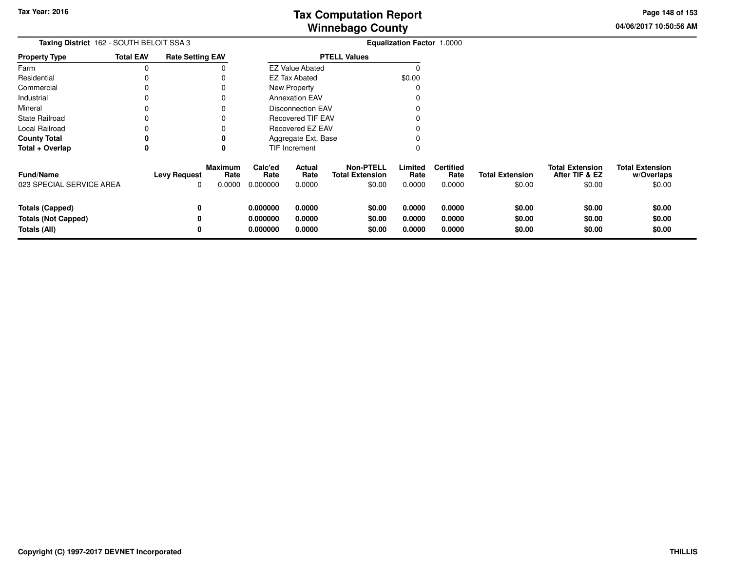**04/06/2017 10:50:56 AMPage 148 of 153**

| Taxing District 162 - SOUTH BELOIT SSA 3                             |                  |                          |                                  |                                  |                            |                                                      |                            |                                    |                                  |                                                    |                                                |
|----------------------------------------------------------------------|------------------|--------------------------|----------------------------------|----------------------------------|----------------------------|------------------------------------------------------|----------------------------|------------------------------------|----------------------------------|----------------------------------------------------|------------------------------------------------|
| <b>Property Type</b>                                                 | <b>Total EAV</b> | <b>Rate Setting EAV</b>  |                                  | <b>PTELL Values</b>              |                            |                                                      |                            |                                    |                                  |                                                    |                                                |
| Farm                                                                 | 0                |                          |                                  |                                  | <b>EZ Value Abated</b>     |                                                      |                            |                                    |                                  |                                                    |                                                |
| Residential                                                          |                  |                          |                                  |                                  | <b>EZ Tax Abated</b>       |                                                      | \$0.00                     |                                    |                                  |                                                    |                                                |
| Commercial                                                           |                  |                          |                                  |                                  | New Property               |                                                      |                            |                                    |                                  |                                                    |                                                |
| Industrial                                                           |                  |                          |                                  |                                  | <b>Annexation EAV</b>      |                                                      |                            |                                    |                                  |                                                    |                                                |
| Mineral                                                              |                  |                          |                                  |                                  | <b>Disconnection EAV</b>   |                                                      |                            |                                    |                                  |                                                    |                                                |
| <b>State Railroad</b>                                                |                  |                          |                                  |                                  | <b>Recovered TIF EAV</b>   |                                                      |                            |                                    |                                  |                                                    |                                                |
| Local Railroad                                                       |                  |                          |                                  |                                  | Recovered EZ EAV           |                                                      |                            |                                    |                                  |                                                    |                                                |
| <b>County Total</b>                                                  | 0                |                          |                                  |                                  | Aggregate Ext. Base        |                                                      |                            |                                    |                                  |                                                    |                                                |
| Total + Overlap                                                      | 0                |                          | 0                                |                                  | TIF Increment              |                                                      |                            |                                    |                                  |                                                    |                                                |
| <b>Fund/Name</b><br>023 SPECIAL SERVICE AREA                         |                  | <b>Levy Request</b><br>0 | <b>Maximum</b><br>Rate<br>0.0000 | Calc'ed<br>Rate<br>0.000000      | Actual<br>Rate<br>0.0000   | <b>Non-PTELL</b><br><b>Total Extension</b><br>\$0.00 | Limited<br>Rate<br>0.0000  | <b>Certified</b><br>Rate<br>0.0000 | <b>Total Extension</b><br>\$0.00 | <b>Total Extension</b><br>After TIF & EZ<br>\$0.00 | <b>Total Extension</b><br>w/Overlaps<br>\$0.00 |
| <b>Totals (Capped)</b><br><b>Totals (Not Capped)</b><br>Totals (All) |                  | 0<br>0<br>0              |                                  | 0.000000<br>0.000000<br>0.000000 | 0.0000<br>0.0000<br>0.0000 | \$0.00<br>\$0.00<br>\$0.00                           | 0.0000<br>0.0000<br>0.0000 | 0.0000<br>0.0000<br>0.0000         | \$0.00<br>\$0.00<br>\$0.00       | \$0.00<br>\$0.00<br>\$0.00                         | \$0.00<br>\$0.00<br>\$0.00                     |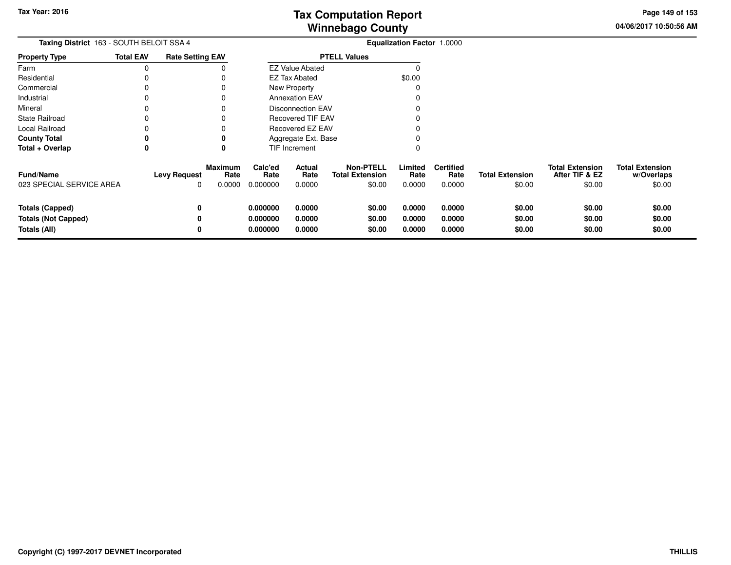**04/06/2017 10:50:56 AM Page 149 of 153**

| Taxing District 163 - SOUTH BELOIT SSA 4                      |                  |                          |                                  |                                  |                            |                                                      | Equalization Factor 1.0000 |                                    |                                  |                                                    |                                                |
|---------------------------------------------------------------|------------------|--------------------------|----------------------------------|----------------------------------|----------------------------|------------------------------------------------------|----------------------------|------------------------------------|----------------------------------|----------------------------------------------------|------------------------------------------------|
| <b>Property Type</b>                                          | <b>Total EAV</b> | <b>Rate Setting EAV</b>  |                                  |                                  |                            | <b>PTELL Values</b>                                  |                            |                                    |                                  |                                                    |                                                |
| Farm                                                          | 0                |                          |                                  |                                  | <b>EZ Value Abated</b>     |                                                      | 0                          |                                    |                                  |                                                    |                                                |
| Residential                                                   |                  |                          |                                  |                                  | EZ Tax Abated              |                                                      | \$0.00                     |                                    |                                  |                                                    |                                                |
| Commercial                                                    | 0                |                          | 0                                |                                  | <b>New Property</b>        |                                                      | 0                          |                                    |                                  |                                                    |                                                |
| Industrial                                                    |                  |                          | 0                                |                                  | <b>Annexation EAV</b>      |                                                      |                            |                                    |                                  |                                                    |                                                |
| Mineral                                                       |                  |                          |                                  |                                  | <b>Disconnection EAV</b>   |                                                      |                            |                                    |                                  |                                                    |                                                |
| State Railroad                                                |                  |                          |                                  |                                  | <b>Recovered TIF EAV</b>   |                                                      |                            |                                    |                                  |                                                    |                                                |
| Local Railroad                                                |                  |                          |                                  |                                  | Recovered EZ EAV           |                                                      |                            |                                    |                                  |                                                    |                                                |
| County Total                                                  | 0                |                          | 0                                |                                  | Aggregate Ext. Base        |                                                      |                            |                                    |                                  |                                                    |                                                |
| Total + Overlap                                               | 0                |                          | 0                                | TIF Increment                    |                            |                                                      | 0                          |                                    |                                  |                                                    |                                                |
| <b>Fund/Name</b><br>023 SPECIAL SERVICE AREA                  |                  | <b>Levy Request</b><br>0 | <b>Maximum</b><br>Rate<br>0.0000 | Calc'ed<br>Rate<br>0.000000      | Actual<br>Rate<br>0.0000   | <b>Non-PTELL</b><br><b>Total Extension</b><br>\$0.00 | Limited<br>Rate<br>0.0000  | <b>Certified</b><br>Rate<br>0.0000 | <b>Total Extension</b><br>\$0.00 | <b>Total Extension</b><br>After TIF & EZ<br>\$0.00 | <b>Total Extension</b><br>w/Overlaps<br>\$0.00 |
| Totals (Capped)<br><b>Totals (Not Capped)</b><br>Totals (All) |                  | 0<br>0<br>0              |                                  | 0.000000<br>0.000000<br>0.000000 | 0.0000<br>0.0000<br>0.0000 | \$0.00<br>\$0.00<br>\$0.00                           | 0.0000<br>0.0000<br>0.0000 | 0.0000<br>0.0000<br>0.0000         | \$0.00<br>\$0.00<br>\$0.00       | \$0.00<br>\$0.00<br>\$0.00                         | \$0.00<br>\$0.00<br>\$0.00                     |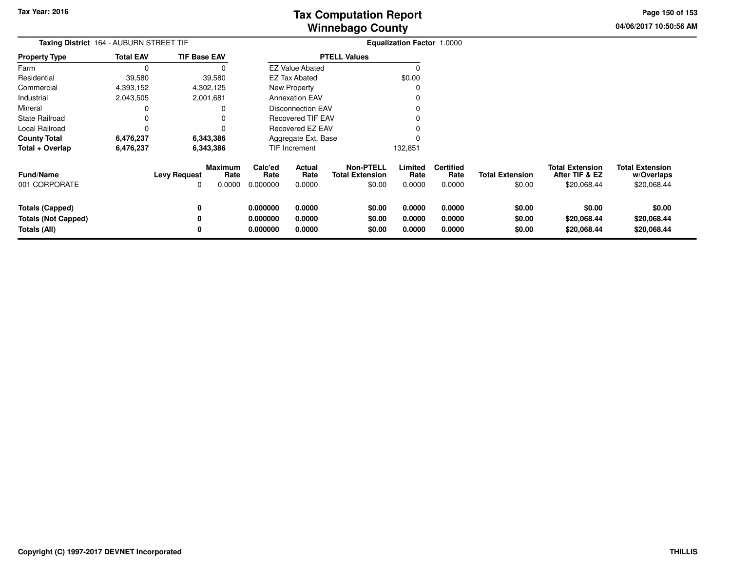**04/06/2017 10:50:56 AMPage 150 of 153**

| Taxing District 164 - AUBURN STREET TIF                       |                  |                          |                           |                                  |                            |                                                      | <b>Equalization Factor 1.0000</b> |                                    |                                  |                                                         |                                                     |
|---------------------------------------------------------------|------------------|--------------------------|---------------------------|----------------------------------|----------------------------|------------------------------------------------------|-----------------------------------|------------------------------------|----------------------------------|---------------------------------------------------------|-----------------------------------------------------|
| <b>Property Type</b>                                          | <b>Total EAV</b> | <b>TIF Base EAV</b>      |                           |                                  |                            | <b>PTELL Values</b>                                  |                                   |                                    |                                  |                                                         |                                                     |
| Farm                                                          | 0                |                          |                           |                                  | <b>EZ Value Abated</b>     |                                                      | 0                                 |                                    |                                  |                                                         |                                                     |
| Residential                                                   | 39,580           |                          | 39,580                    |                                  | <b>EZ Tax Abated</b>       |                                                      | \$0.00                            |                                    |                                  |                                                         |                                                     |
| Commercial                                                    | 4,393,152        |                          | 4,302,125                 |                                  | New Property               |                                                      |                                   |                                    |                                  |                                                         |                                                     |
| Industrial                                                    | 2,043,505        |                          | 2,001,681                 |                                  | <b>Annexation EAV</b>      |                                                      |                                   |                                    |                                  |                                                         |                                                     |
| Mineral                                                       | 0                |                          |                           |                                  | <b>Disconnection EAV</b>   |                                                      |                                   |                                    |                                  |                                                         |                                                     |
| State Railroad                                                | 0                |                          |                           |                                  | <b>Recovered TIF EAV</b>   |                                                      |                                   |                                    |                                  |                                                         |                                                     |
| Local Railroad                                                | 0                |                          |                           |                                  | Recovered EZ EAV           |                                                      |                                   |                                    |                                  |                                                         |                                                     |
| County Total                                                  | 6,476,237        |                          | 6,343,386                 |                                  | Aggregate Ext. Base        |                                                      |                                   |                                    |                                  |                                                         |                                                     |
| Total + Overlap                                               | 6,476,237        | 6,343,386                |                           | TIF Increment                    |                            |                                                      | 132,851                           |                                    |                                  |                                                         |                                                     |
| <b>Fund/Name</b><br>001 CORPORATE                             |                  | <b>Levy Request</b><br>O | Maximum<br>Rate<br>0.0000 | Calc'ed<br>Rate<br>0.000000      | Actual<br>Rate<br>0.0000   | <b>Non-PTELL</b><br><b>Total Extension</b><br>\$0.00 | Limited<br>Rate<br>0.0000         | <b>Certified</b><br>Rate<br>0.0000 | <b>Total Extension</b><br>\$0.00 | <b>Total Extension</b><br>After TIF & EZ<br>\$20,068.44 | <b>Total Extension</b><br>w/Overlaps<br>\$20,068.44 |
| Totals (Capped)<br><b>Totals (Not Capped)</b><br>Totals (All) |                  | 0<br>0<br>0              |                           | 0.000000<br>0.000000<br>0.000000 | 0.0000<br>0.0000<br>0.0000 | \$0.00<br>\$0.00<br>\$0.00                           | 0.0000<br>0.0000<br>0.0000        | 0.0000<br>0.0000<br>0.0000         | \$0.00<br>\$0.00<br>\$0.00       | \$0.00<br>\$20,068.44<br>\$20,068.44                    | \$0.00<br>\$20,068.44<br>\$20,068.44                |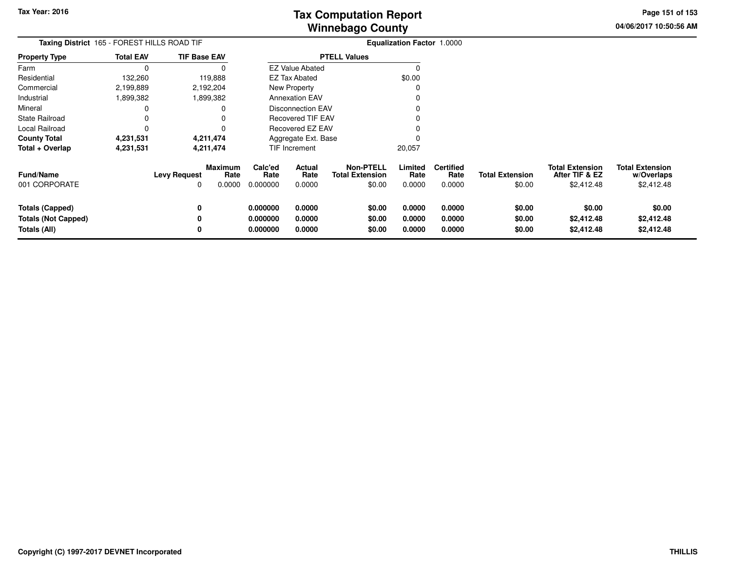**04/06/2017 10:50:56 AMPage 151 of 153**

| Taxing District 165 - FOREST HILLS ROAD TIF                   |                  |                          |                           |                                  |                                 |                                                      | <b>Equalization Factor 1.0000</b> |                                    |                                  |                                                        |                                                    |
|---------------------------------------------------------------|------------------|--------------------------|---------------------------|----------------------------------|---------------------------------|------------------------------------------------------|-----------------------------------|------------------------------------|----------------------------------|--------------------------------------------------------|----------------------------------------------------|
| Property Type                                                 | <b>Total EAV</b> | <b>TIF Base EAV</b>      |                           | <b>PTELL Values</b>              |                                 |                                                      |                                   |                                    |                                  |                                                        |                                                    |
| Farm                                                          | $\Omega$         |                          |                           |                                  | <b>EZ Value Abated</b>          |                                                      | $\Omega$                          |                                    |                                  |                                                        |                                                    |
| Residential                                                   | 132,260          |                          | 119,888                   |                                  | <b>EZ Tax Abated</b>            |                                                      | \$0.00                            |                                    |                                  |                                                        |                                                    |
| Commercial                                                    | 2,199,889        |                          | 2,192,204                 |                                  | New Property                    |                                                      | 0                                 |                                    |                                  |                                                        |                                                    |
| Industrial                                                    | 1,899,382        |                          | 1,899,382                 |                                  | <b>Annexation EAV</b>           |                                                      |                                   |                                    |                                  |                                                        |                                                    |
| Mineral                                                       |                  |                          |                           |                                  | <b>Disconnection EAV</b>        |                                                      |                                   |                                    |                                  |                                                        |                                                    |
| State Railroad                                                |                  |                          |                           |                                  | <b>Recovered TIF EAV</b>        |                                                      |                                   |                                    |                                  |                                                        |                                                    |
| Local Railroad                                                | 0                |                          |                           |                                  | Recovered EZ EAV                |                                                      |                                   |                                    |                                  |                                                        |                                                    |
| <b>County Total</b>                                           | 4,231,531        |                          | 4,211,474                 |                                  | Aggregate Ext. Base             |                                                      |                                   |                                    |                                  |                                                        |                                                    |
| Total + Overlap                                               | 4,231,531        |                          | 4,211,474                 |                                  | TIF Increment                   |                                                      | 20,057                            |                                    |                                  |                                                        |                                                    |
| <b>Fund/Name</b><br>001 CORPORATE                             |                  | <b>Levy Request</b><br>0 | Maximum<br>Rate<br>0.0000 | Calc'ed<br>Rate<br>0.000000      | <b>Actual</b><br>Rate<br>0.0000 | <b>Non-PTELL</b><br><b>Total Extension</b><br>\$0.00 | Limited<br>Rate<br>0.0000         | <b>Certified</b><br>Rate<br>0.0000 | <b>Total Extension</b><br>\$0.00 | <b>Total Extension</b><br>After TIF & EZ<br>\$2,412.48 | <b>Total Extension</b><br>w/Overlaps<br>\$2,412.48 |
| Totals (Capped)<br><b>Totals (Not Capped)</b><br>Totals (All) |                  | 0<br>0<br>0              |                           | 0.000000<br>0.000000<br>0.000000 | 0.0000<br>0.0000<br>0.0000      | \$0.00<br>\$0.00<br>\$0.00                           | 0.0000<br>0.0000<br>0.0000        | 0.0000<br>0.0000<br>0.0000         | \$0.00<br>\$0.00<br>\$0.00       | \$0.00<br>\$2,412.48<br>\$2,412.48                     | \$0.00<br>\$2,412.48<br>\$2,412.48                 |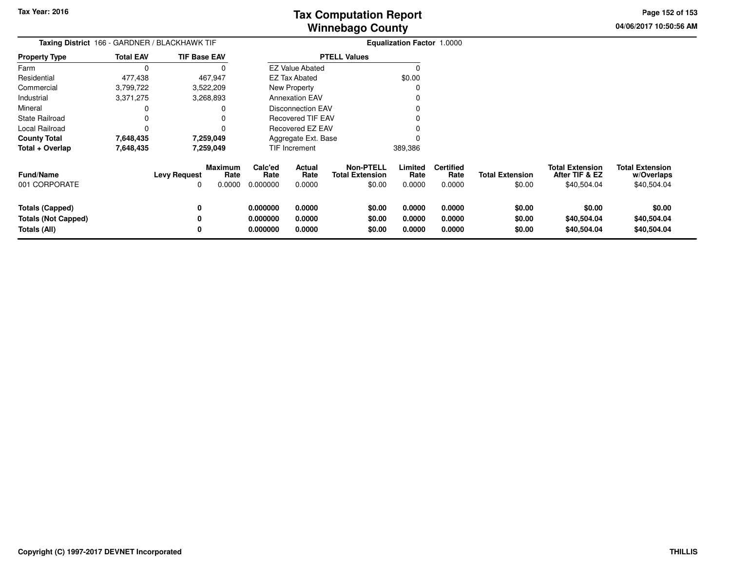**04/06/2017 10:50:56 AMPage 152 of 153**

|                                                                      | Taxing District 166 - GARDNER / BLACKHAWK TIF |                     |                                  |                                  |                            |                                                      | Equalization Factor 1.0000 |                                    |                                  |                                                         |                                                     |
|----------------------------------------------------------------------|-----------------------------------------------|---------------------|----------------------------------|----------------------------------|----------------------------|------------------------------------------------------|----------------------------|------------------------------------|----------------------------------|---------------------------------------------------------|-----------------------------------------------------|
| <b>Property Type</b>                                                 | <b>Total EAV</b>                              | <b>TIF Base EAV</b> |                                  | <b>PTELL Values</b>              |                            |                                                      |                            |                                    |                                  |                                                         |                                                     |
| Farm                                                                 | 0                                             |                     | 0                                |                                  | <b>EZ Value Abated</b>     |                                                      | 0                          |                                    |                                  |                                                         |                                                     |
| Residential                                                          | 477,438                                       | 467,947             |                                  |                                  | EZ Tax Abated              |                                                      | \$0.00                     |                                    |                                  |                                                         |                                                     |
| Commercial                                                           | 3,799,722                                     | 3,522,209           |                                  |                                  | <b>New Property</b>        |                                                      | 0                          |                                    |                                  |                                                         |                                                     |
| Industrial                                                           | 3,371,275                                     | 3,268,893           |                                  |                                  | <b>Annexation EAV</b>      |                                                      |                            |                                    |                                  |                                                         |                                                     |
| Mineral                                                              | 0                                             |                     | 0                                |                                  | <b>Disconnection EAV</b>   |                                                      |                            |                                    |                                  |                                                         |                                                     |
| <b>State Railroad</b>                                                | 0                                             |                     |                                  |                                  | <b>Recovered TIF EAV</b>   |                                                      |                            |                                    |                                  |                                                         |                                                     |
| Local Railroad                                                       | 0                                             |                     | 0                                |                                  | Recovered EZ EAV           |                                                      |                            |                                    |                                  |                                                         |                                                     |
| <b>County Total</b>                                                  | 7,648,435                                     | 7,259,049           |                                  |                                  | Aggregate Ext. Base        |                                                      |                            |                                    |                                  |                                                         |                                                     |
| Total + Overlap                                                      | 7,648,435                                     | 7,259,049           |                                  |                                  | TIF Increment              |                                                      | 389,386                    |                                    |                                  |                                                         |                                                     |
| <b>Fund/Name</b><br>001 CORPORATE                                    |                                               | <b>Levy Request</b> | <b>Maximum</b><br>Rate<br>0.0000 | Calc'ed<br>Rate<br>0.000000      | Actual<br>Rate<br>0.0000   | <b>Non-PTELL</b><br><b>Total Extension</b><br>\$0.00 | Limited<br>Rate<br>0.0000  | <b>Certified</b><br>Rate<br>0.0000 | <b>Total Extension</b><br>\$0.00 | <b>Total Extension</b><br>After TIF & EZ<br>\$40,504.04 | <b>Total Extension</b><br>w/Overlaps<br>\$40,504.04 |
| <b>Totals (Capped)</b><br><b>Totals (Not Capped)</b><br>Totals (All) |                                               | 0<br>0              |                                  | 0.000000<br>0.000000<br>0.000000 | 0.0000<br>0.0000<br>0.0000 | \$0.00<br>\$0.00<br>\$0.00                           | 0.0000<br>0.0000<br>0.0000 | 0.0000<br>0.0000<br>0.0000         | \$0.00<br>\$0.00<br>\$0.00       | \$0.00<br>\$40,504.04<br>\$40,504.04                    | \$0.00<br>\$40,504.04<br>\$40,504.04                |